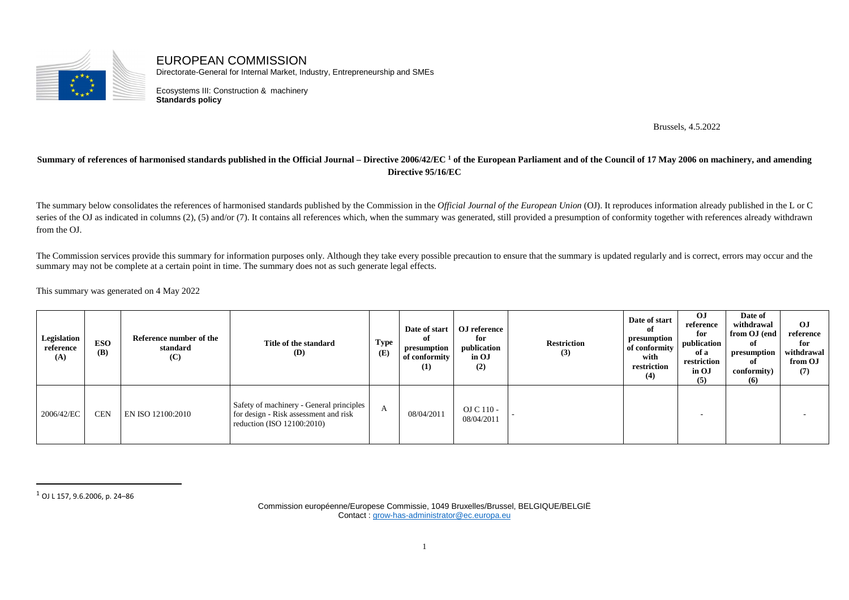

EUROPEAN COMMISSION Directorate-General for Internal Market, Industry, Entrepreneurship and SMEs

Ecosystems III: Construction & machinery **Standards policy**

Brussels, 4.5.2022

## **Summary of references of harmonised standards published in the Official Journal – Directive 2006/42/EC 1 of the European Parliament and of the Council of 17 May 2006 on machinery, and amending Directive 95/16/EC**

The summary below consolidates the references of harmonised standards published by the Commission in the *Official Journal of the European Union* (OJ). It reproduces information already published in the L or C series of the OJ as indicated in columns (2), (5) and/or (7). It contains all references which, when the summary was generated, still provided a presumption of conformity together with references already withdrawn from the OJ.

The Commission services provide this summary for information purposes only. Although they take every possible precaution to ensure that the summary is updated regularly and is correct, errors may occur and the summary may not be complete at a certain point in time. The summary does not as such generate legal effects.

This summary was generated on 4 May 2022

| Legislation<br>reference<br>(A) | <b>ESO</b><br>(B) | Reference number of the<br>standard<br>(C) | Title of the standard<br>(D)                                                                                    | <b>Type</b><br>(E) | оf<br>presumption<br>of conformity<br>(1) | Date of start   OJ reference<br>for<br>publication<br>in OJ<br>(2) | <b>Restriction</b><br>(3) | Date of start<br>оf<br>presumption<br>of conformity<br>with<br>restriction<br>(4) | OJ<br>reference<br>for<br>publication<br>of a<br>restriction<br>in OJ<br>(5) | Date of<br>withdrawal<br>from OJ (end<br>of<br>presumption<br>of<br>conformity)<br>(6) | OJ<br>reference<br>for<br>withdrawal<br>from OJ<br>(7) |
|---------------------------------|-------------------|--------------------------------------------|-----------------------------------------------------------------------------------------------------------------|--------------------|-------------------------------------------|--------------------------------------------------------------------|---------------------------|-----------------------------------------------------------------------------------|------------------------------------------------------------------------------|----------------------------------------------------------------------------------------|--------------------------------------------------------|
| 2006/42/EC                      | <b>CEN</b>        | EN ISO 12100:2010                          | Safety of machinery - General principles<br>for design - Risk assessment and risk<br>reduction (ISO 12100:2010) | $\mathbf{A}$       | 08/04/2011                                | $OJ C 110 -$<br>08/04/2011                                         |                           |                                                                                   |                                                                              |                                                                                        |                                                        |

 $^{\rm 1}$  OJ L 157, 9.6.2006, p. 24–86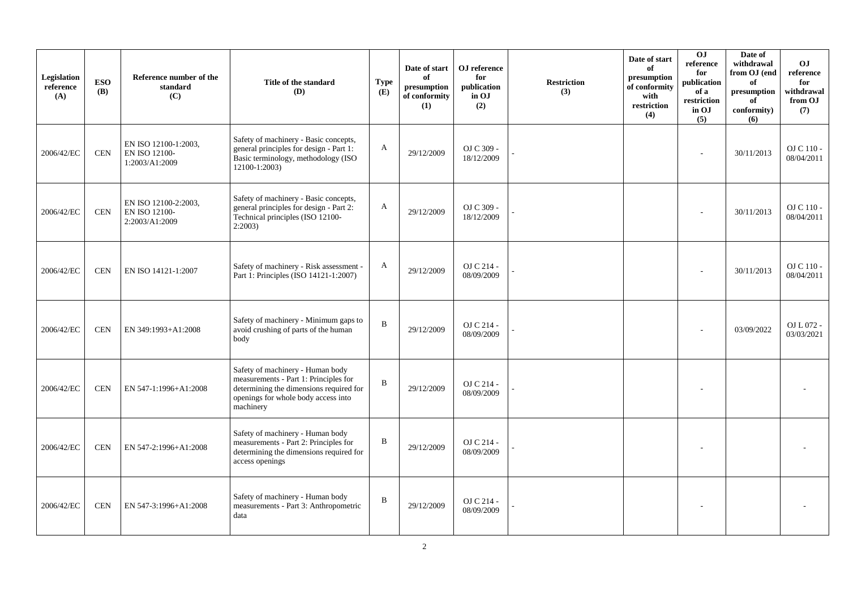| Legislation<br>reference<br>(A) | <b>ESO</b><br><b>(B)</b> | Reference number of the<br>standard<br>(C)                     | Title of the standard<br>(D)                                                                                                                                             | <b>Type</b><br>(E) | Date of start<br>of<br>presumption<br>of conformity<br>(1) | OJ reference<br>for<br>publication<br>in OJ<br>(2) | <b>Restriction</b><br>(3) | Date of start<br>of<br>presumption<br>of conformity<br>with<br>restriction<br>(4) | 0J<br>reference<br>for<br>publication<br>of a<br>restriction<br>in OJ<br>(5) | Date of<br>withdrawal<br>from OJ (end<br>of<br>presumption<br>of<br>conformity)<br>(6) | O <sub>J</sub><br>reference<br>for<br>withdrawal<br>from OJ<br>(7) |
|---------------------------------|--------------------------|----------------------------------------------------------------|--------------------------------------------------------------------------------------------------------------------------------------------------------------------------|--------------------|------------------------------------------------------------|----------------------------------------------------|---------------------------|-----------------------------------------------------------------------------------|------------------------------------------------------------------------------|----------------------------------------------------------------------------------------|--------------------------------------------------------------------|
| 2006/42/EC                      | <b>CEN</b>               | EN ISO 12100-1:2003,<br><b>EN ISO 12100-</b><br>1:2003/A1:2009 | Safety of machinery - Basic concepts,<br>general principles for design - Part 1:<br>Basic terminology, methodology (ISO<br>12100-1:2003)                                 | A                  | 29/12/2009                                                 | OJ C 309 -<br>18/12/2009                           |                           |                                                                                   | ÷                                                                            | 30/11/2013                                                                             | OJ C 110 -<br>08/04/2011                                           |
| 2006/42/EC                      | <b>CEN</b>               | EN ISO 12100-2:2003,<br><b>EN ISO 12100-</b><br>2:2003/A1:2009 | Safety of machinery - Basic concepts,<br>general principles for design - Part 2:<br>Technical principles (ISO 12100-<br>2:2003                                           | A                  | 29/12/2009                                                 | OJ C 309 -<br>18/12/2009                           |                           |                                                                                   |                                                                              | 30/11/2013                                                                             | OJ C 110 -<br>08/04/2011                                           |
| 2006/42/EC                      | $\!$ $\!$ $\!$           | EN ISO 14121-1:2007                                            | Safety of machinery - Risk assessment -<br>Part 1: Principles (ISO 14121-1:2007)                                                                                         | A                  | 29/12/2009                                                 | OJ C 214 -<br>08/09/2009                           |                           |                                                                                   |                                                                              | 30/11/2013                                                                             | OJ C 110 -<br>08/04/2011                                           |
| 2006/42/EC                      | <b>CEN</b>               | EN 349:1993+A1:2008                                            | Safety of machinery - Minimum gaps to<br>avoid crushing of parts of the human<br>body                                                                                    | $\, {\bf B}$       | 29/12/2009                                                 | OJ C 214 -<br>08/09/2009                           |                           |                                                                                   |                                                                              | 03/09/2022                                                                             | OJ L 072 -<br>03/03/2021                                           |
| 2006/42/EC                      | <b>CEN</b>               | EN 547-1:1996+A1:2008                                          | Safety of machinery - Human body<br>measurements - Part 1: Principles for<br>determining the dimensions required for<br>openings for whole body access into<br>machinery | $\mathbf B$        | 29/12/2009                                                 | OJ C 214 -<br>08/09/2009                           |                           |                                                                                   |                                                                              |                                                                                        |                                                                    |
| 2006/42/EC                      | <b>CEN</b>               | EN 547-2:1996+A1:2008                                          | Safety of machinery - Human body<br>measurements - Part 2: Principles for<br>determining the dimensions required for<br>access openings                                  | B                  | 29/12/2009                                                 | OJ C 214 -<br>08/09/2009                           |                           |                                                                                   |                                                                              |                                                                                        |                                                                    |
| 2006/42/EC                      | <b>CEN</b>               | EN 547-3:1996+A1:2008                                          | Safety of machinery - Human body<br>measurements - Part 3: Anthropometric<br>data                                                                                        | B                  | 29/12/2009                                                 | OJ C 214 -<br>08/09/2009                           |                           |                                                                                   |                                                                              |                                                                                        |                                                                    |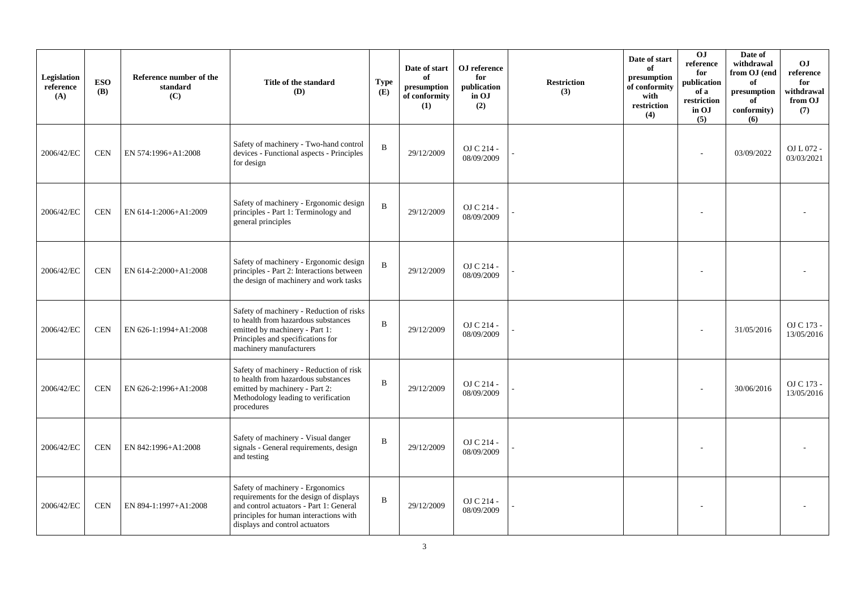| Legislation<br>reference<br>(A) | <b>ESO</b><br><b>(B)</b> | Reference number of the<br>standard<br>(C) | Title of the standard<br>(D)                                                                                                                                                                       | <b>Type</b><br>(E) | Date of start<br>of<br>presumption<br>of conformity<br>(1) | OJ reference<br>for<br>publication<br>in OJ<br>(2) | <b>Restriction</b><br>(3) | Date of start<br>of<br>presumption<br>of conformity<br>with<br>restriction<br>(4) | OJ<br>reference<br>for<br>publication<br>of a<br>restriction<br>in OJ<br>(5) | Date of<br>withdrawal<br>from OJ (end<br>of<br>presumption<br>of<br>conformity)<br>(6) | <b>OJ</b><br>reference<br>for<br>withdrawal<br>from OJ<br>(7) |
|---------------------------------|--------------------------|--------------------------------------------|----------------------------------------------------------------------------------------------------------------------------------------------------------------------------------------------------|--------------------|------------------------------------------------------------|----------------------------------------------------|---------------------------|-----------------------------------------------------------------------------------|------------------------------------------------------------------------------|----------------------------------------------------------------------------------------|---------------------------------------------------------------|
| 2006/42/EC                      | <b>CEN</b>               | EN 574:1996+A1:2008                        | Safety of machinery - Two-hand control<br>devices - Functional aspects - Principles<br>for design                                                                                                  | B                  | 29/12/2009                                                 | OJ C 214 -<br>08/09/2009                           |                           |                                                                                   |                                                                              | 03/09/2022                                                                             | OJ L 072 -<br>03/03/2021                                      |
| 2006/42/EC                      | <b>CEN</b>               | EN 614-1:2006+A1:2009                      | Safety of machinery - Ergonomic design<br>principles - Part 1: Terminology and<br>general principles                                                                                               | $\, {\bf B}$       | 29/12/2009                                                 | OJ C 214 -<br>08/09/2009                           |                           |                                                                                   |                                                                              |                                                                                        |                                                               |
| 2006/42/EC                      | <b>CEN</b>               | EN 614-2:2000+A1:2008                      | Safety of machinery - Ergonomic design<br>principles - Part 2: Interactions between<br>the design of machinery and work tasks                                                                      | B                  | 29/12/2009                                                 | OJ C 214 -<br>08/09/2009                           |                           |                                                                                   |                                                                              |                                                                                        |                                                               |
| 2006/42/EC                      | <b>CEN</b>               | EN 626-1:1994+A1:2008                      | Safety of machinery - Reduction of risks<br>to health from hazardous substances<br>emitted by machinery - Part 1:<br>Principles and specifications for<br>machinery manufacturers                  | $\mathbf B$        | 29/12/2009                                                 | OJ C 214 -<br>08/09/2009                           |                           |                                                                                   |                                                                              | 31/05/2016                                                                             | OJ C 173 -<br>13/05/2016                                      |
| 2006/42/EC                      | <b>CEN</b>               | EN 626-2:1996+A1:2008                      | Safety of machinery - Reduction of risk<br>to health from hazardous substances<br>emitted by machinery - Part 2:<br>Methodology leading to verification<br>procedures                              | $\mathbf B$        | 29/12/2009                                                 | OJ C 214 -<br>08/09/2009                           |                           |                                                                                   |                                                                              | 30/06/2016                                                                             | OJ C 173 -<br>13/05/2016                                      |
| 2006/42/EC                      | <b>CEN</b>               | EN 842:1996+A1:2008                        | Safety of machinery - Visual danger<br>signals - General requirements, design<br>and testing                                                                                                       | $\mathbf B$        | 29/12/2009                                                 | OJ C 214 -<br>08/09/2009                           |                           |                                                                                   |                                                                              |                                                                                        |                                                               |
| 2006/42/EC                      | <b>CEN</b>               | EN 894-1:1997+A1:2008                      | Safety of machinery - Ergonomics<br>requirements for the design of displays<br>and control actuators - Part 1: General<br>principles for human interactions with<br>displays and control actuators | B                  | 29/12/2009                                                 | OJ C 214 -<br>08/09/2009                           |                           |                                                                                   |                                                                              |                                                                                        |                                                               |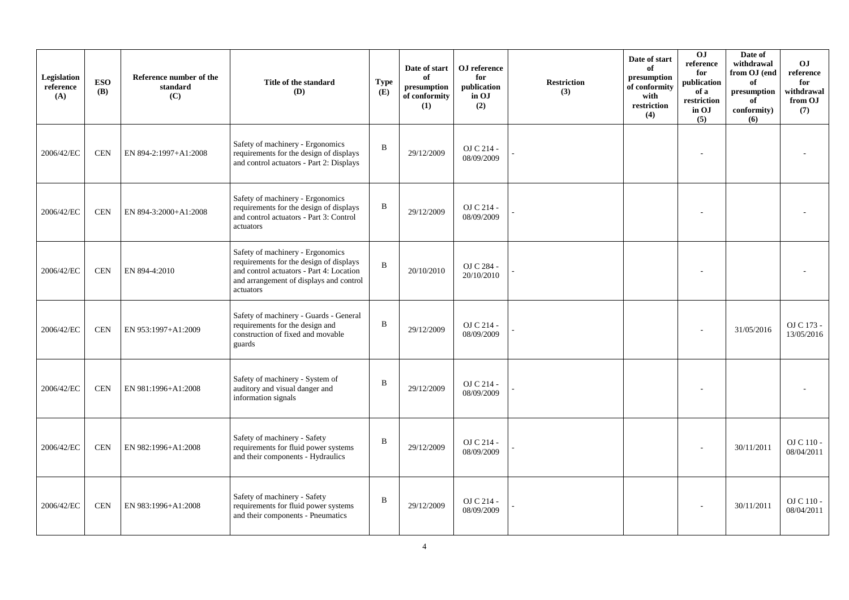| Legislation<br>reference<br>(A) | <b>ESO</b><br><b>(B)</b> | Reference number of the<br>standard<br>(C) | Title of the standard<br>(D)                                                                                                                                                    | <b>Type</b><br>(E) | Date of start<br>of<br>presumption<br>of conformity<br>(1) | OJ reference<br>for<br>publication<br>in OJ<br>(2) | <b>Restriction</b><br>(3) | Date of start<br>of<br>presumption<br>of conformity<br>with<br>restriction<br>(4) | O <sub>J</sub><br>reference<br>for<br>publication<br>of a<br>restriction<br>in OJ<br>(5) | Date of<br>withdrawal<br>from OJ (end<br>of<br>presumption<br>of<br>conformity)<br>(6) | <b>OJ</b><br>reference<br>for<br>withdrawal<br>from OJ<br>(7) |
|---------------------------------|--------------------------|--------------------------------------------|---------------------------------------------------------------------------------------------------------------------------------------------------------------------------------|--------------------|------------------------------------------------------------|----------------------------------------------------|---------------------------|-----------------------------------------------------------------------------------|------------------------------------------------------------------------------------------|----------------------------------------------------------------------------------------|---------------------------------------------------------------|
| 2006/42/EC                      | <b>CEN</b>               | EN 894-2:1997+A1:2008                      | Safety of machinery - Ergonomics<br>requirements for the design of displays<br>and control actuators - Part 2: Displays                                                         | B                  | 29/12/2009                                                 | OJ C 214 -<br>08/09/2009                           |                           |                                                                                   |                                                                                          |                                                                                        |                                                               |
| 2006/42/EC                      | <b>CEN</b>               | EN 894-3:2000+A1:2008                      | Safety of machinery - Ergonomics<br>requirements for the design of displays<br>and control actuators - Part 3: Control<br>actuators                                             | B                  | 29/12/2009                                                 | OJ C 214 -<br>08/09/2009                           |                           |                                                                                   |                                                                                          |                                                                                        |                                                               |
| 2006/42/EC                      | <b>CEN</b>               | EN 894-4:2010                              | Safety of machinery - Ergonomics<br>requirements for the design of displays<br>and control actuators - Part 4: Location<br>and arrangement of displays and control<br>actuators | B                  | 20/10/2010                                                 | OJ C 284 -<br>20/10/2010                           |                           |                                                                                   |                                                                                          |                                                                                        |                                                               |
| 2006/42/EC                      | <b>CEN</b>               | EN 953:1997+A1:2009                        | Safety of machinery - Guards - General<br>requirements for the design and<br>construction of fixed and movable<br>guards                                                        | B                  | 29/12/2009                                                 | OJ C 214 -<br>08/09/2009                           |                           |                                                                                   |                                                                                          | 31/05/2016                                                                             | OJ C 173 -<br>13/05/2016                                      |
| 2006/42/EC                      | <b>CEN</b>               | EN 981:1996+A1:2008                        | Safety of machinery - System of<br>auditory and visual danger and<br>information signals                                                                                        | B                  | 29/12/2009                                                 | OJ C 214 -<br>08/09/2009                           |                           |                                                                                   |                                                                                          |                                                                                        |                                                               |
| 2006/42/EC                      | <b>CEN</b>               | EN 982:1996+A1:2008                        | Safety of machinery - Safety<br>requirements for fluid power systems<br>and their components - Hydraulics                                                                       | $\, {\bf B}$       | 29/12/2009                                                 | OJ C 214 -<br>08/09/2009                           |                           |                                                                                   |                                                                                          | 30/11/2011                                                                             | OJ C 110 -<br>08/04/2011                                      |
| 2006/42/EC                      | <b>CEN</b>               | EN 983:1996+A1:2008                        | Safety of machinery - Safety<br>requirements for fluid power systems<br>and their components - Pneumatics                                                                       | $\, {\bf B}$       | 29/12/2009                                                 | OJ C 214 -<br>08/09/2009                           |                           |                                                                                   |                                                                                          | 30/11/2011                                                                             | $OJ$ C $110$ - $\,$<br>08/04/2011                             |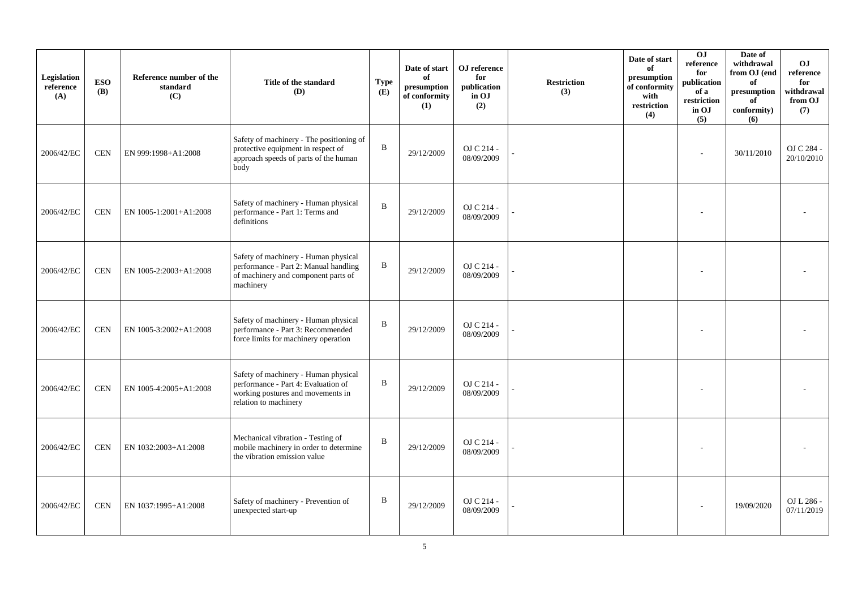| Legislation<br>reference<br>(A) | <b>ESO</b><br><b>(B)</b> | Reference number of the<br>standard<br>(C) | Title of the standard<br>(D)                                                                                                              | <b>Type</b><br>(E) | Date of start<br>of<br>presumption<br>of conformity<br>(1) | OJ reference<br>for<br>publication<br>in OJ<br>(2) | <b>Restriction</b><br>(3) | Date of start<br>of<br>presumption<br>of conformity<br>with<br>$\operatorname{restriction}$<br>(4) | 0J<br>reference<br>for<br>publication<br>of a<br>restriction<br>in OJ<br>(5) | Date of<br>withdrawal<br>from OJ (end<br>of<br>$\bf{presumption}$<br>of<br>conformity)<br>(6) | O <sub>J</sub><br>reference<br>for<br>withdrawal<br>from OJ<br>(7) |
|---------------------------------|--------------------------|--------------------------------------------|-------------------------------------------------------------------------------------------------------------------------------------------|--------------------|------------------------------------------------------------|----------------------------------------------------|---------------------------|----------------------------------------------------------------------------------------------------|------------------------------------------------------------------------------|-----------------------------------------------------------------------------------------------|--------------------------------------------------------------------|
| 2006/42/EC                      | <b>CEN</b>               | EN 999:1998+A1:2008                        | Safety of machinery - The positioning of<br>protective equipment in respect of<br>approach speeds of parts of the human<br>body           | $\, {\bf B}$       | 29/12/2009                                                 | OJ C 214 -<br>08/09/2009                           |                           |                                                                                                    |                                                                              | 30/11/2010                                                                                    | OJ C 284 -<br>20/10/2010                                           |
| 2006/42/EC                      | <b>CEN</b>               | EN 1005-1:2001+A1:2008                     | Safety of machinery - Human physical<br>performance - Part 1: Terms and<br>definitions                                                    | $\bf{B}$           | 29/12/2009                                                 | OJ C 214 -<br>08/09/2009                           |                           |                                                                                                    |                                                                              |                                                                                               |                                                                    |
| 2006/42/EC                      | <b>CEN</b>               | EN 1005-2:2003+A1:2008                     | Safety of machinery - Human physical<br>performance - Part 2: Manual handling<br>of machinery and component parts of<br>machinery         | $\, {\bf B}$       | 29/12/2009                                                 | OJ C 214 -<br>08/09/2009                           |                           |                                                                                                    |                                                                              |                                                                                               |                                                                    |
| 2006/42/EC                      | <b>CEN</b>               | EN 1005-3:2002+A1:2008                     | Safety of machinery - Human physical<br>performance - Part 3: Recommended<br>force limits for machinery operation                         | $\, {\bf B}$       | 29/12/2009                                                 | OJ C 214 -<br>08/09/2009                           |                           |                                                                                                    |                                                                              |                                                                                               |                                                                    |
| 2006/42/EC                      | <b>CEN</b>               | EN 1005-4:2005+A1:2008                     | Safety of machinery - Human physical<br>performance - Part 4: Evaluation of<br>working postures and movements in<br>relation to machinery | $\, {\bf B}$       | 29/12/2009                                                 | OJ C 214 -<br>08/09/2009                           |                           |                                                                                                    |                                                                              |                                                                                               |                                                                    |
| 2006/42/EC                      | <b>CEN</b>               | EN 1032:2003+A1:2008                       | Mechanical vibration - Testing of<br>mobile machinery in order to determine<br>the vibration emission value                               | $\, {\bf B}$       | 29/12/2009                                                 | OJ C 214 -<br>08/09/2009                           |                           |                                                                                                    |                                                                              |                                                                                               |                                                                    |
| 2006/42/EC                      | <b>CEN</b>               | EN 1037:1995+A1:2008                       | Safety of machinery - Prevention of<br>unexpected start-up                                                                                | B                  | 29/12/2009                                                 | OJ C 214 -<br>08/09/2009                           |                           |                                                                                                    |                                                                              | 19/09/2020                                                                                    | OJ L 286 -<br>07/11/2019                                           |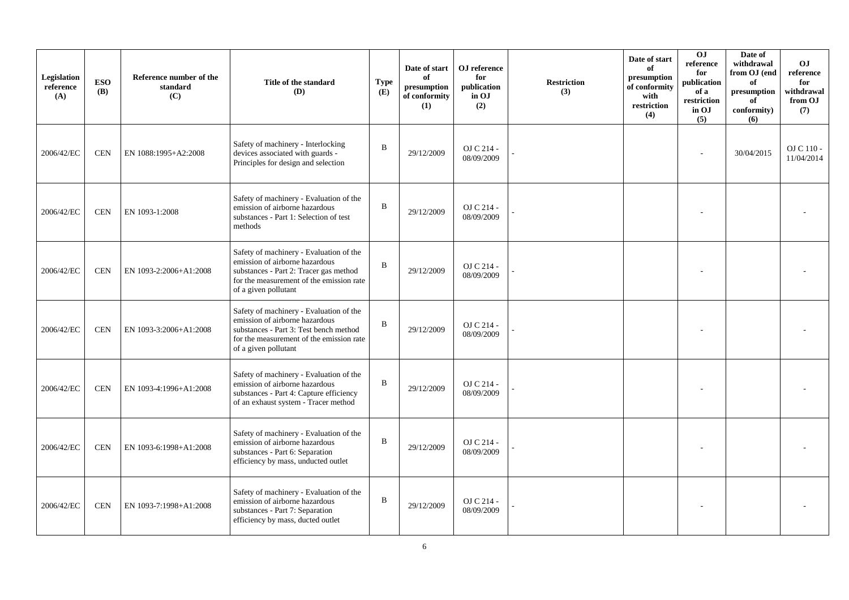| Legislation<br>reference<br>(A) | <b>ESO</b><br><b>(B)</b> | Reference number of the<br>standard<br>(C) | Title of the standard<br><b>(D)</b>                                                                                                                                                     | <b>Type</b><br>(E) | Date of start<br>of<br>presumption<br>of conformity<br>(1) | OJ reference<br>for<br>publication<br>in OJ<br>(2) | <b>Restriction</b><br>(3) | Date of start<br>of<br>presumption<br>of conformity<br>with<br>restriction<br>(4) | OJ<br>reference<br>for<br>publication<br>of a<br>restriction<br>in OJ<br>(5) | Date of<br>withdrawal<br>from OJ (end<br>of<br>presumption<br>of<br>conformity)<br>(6) | <b>OJ</b><br>reference<br>for<br>withdrawal<br>from OJ<br>(7) |
|---------------------------------|--------------------------|--------------------------------------------|-----------------------------------------------------------------------------------------------------------------------------------------------------------------------------------------|--------------------|------------------------------------------------------------|----------------------------------------------------|---------------------------|-----------------------------------------------------------------------------------|------------------------------------------------------------------------------|----------------------------------------------------------------------------------------|---------------------------------------------------------------|
| 2006/42/EC                      | <b>CEN</b>               | EN 1088:1995+A2:2008                       | Safety of machinery - Interlocking<br>devices associated with guards -<br>Principles for design and selection                                                                           | $\, {\bf B}$       | 29/12/2009                                                 | OJ C 214 -<br>08/09/2009                           |                           |                                                                                   |                                                                              | 30/04/2015                                                                             | OJ C 110 -<br>11/04/2014                                      |
| 2006/42/EC                      | <b>CEN</b>               | EN 1093-1:2008                             | Safety of machinery - Evaluation of the<br>emission of airborne hazardous<br>substances - Part 1: Selection of test<br>methods                                                          | $\, {\bf B}$       | 29/12/2009                                                 | OJ C 214 -<br>08/09/2009                           |                           |                                                                                   |                                                                              |                                                                                        |                                                               |
| 2006/42/EC                      | <b>CEN</b>               | EN 1093-2:2006+A1:2008                     | Safety of machinery - Evaluation of the<br>emission of airborne hazardous<br>substances - Part 2: Tracer gas method<br>for the measurement of the emission rate<br>of a given pollutant | $\bf{B}$           | 29/12/2009                                                 | OJ C 214 -<br>08/09/2009                           |                           |                                                                                   |                                                                              |                                                                                        |                                                               |
| 2006/42/EC                      | <b>CEN</b>               | EN 1093-3:2006+A1:2008                     | Safety of machinery - Evaluation of the<br>emission of airborne hazardous<br>substances - Part 3: Test bench method<br>for the measurement of the emission rate<br>of a given pollutant | $\mathbf B$        | 29/12/2009                                                 | OJ C 214 -<br>08/09/2009                           |                           |                                                                                   |                                                                              |                                                                                        |                                                               |
| 2006/42/EC                      | <b>CEN</b>               | EN 1093-4:1996+A1:2008                     | Safety of machinery - Evaluation of the<br>emission of airborne hazardous<br>substances - Part 4: Capture efficiency<br>of an exhaust system - Tracer method                            | $\, {\bf B}$       | 29/12/2009                                                 | OJ C 214 -<br>08/09/2009                           |                           |                                                                                   |                                                                              |                                                                                        |                                                               |
| 2006/42/EC                      | <b>CEN</b>               | EN 1093-6:1998+A1:2008                     | Safety of machinery - Evaluation of the<br>emission of airborne hazardous<br>substances - Part 6: Separation<br>efficiency by mass, unducted outlet                                     | $\, {\bf B}$       | 29/12/2009                                                 | OJ C 214 -<br>08/09/2009                           |                           |                                                                                   |                                                                              |                                                                                        |                                                               |
| 2006/42/EC                      | <b>CEN</b>               | EN 1093-7:1998+A1:2008                     | Safety of machinery - Evaluation of the<br>emission of airborne hazardous<br>substances - Part 7: Separation<br>efficiency by mass, ducted outlet                                       | $\, {\bf B}$       | 29/12/2009                                                 | OJ C 214 -<br>08/09/2009                           |                           |                                                                                   |                                                                              |                                                                                        |                                                               |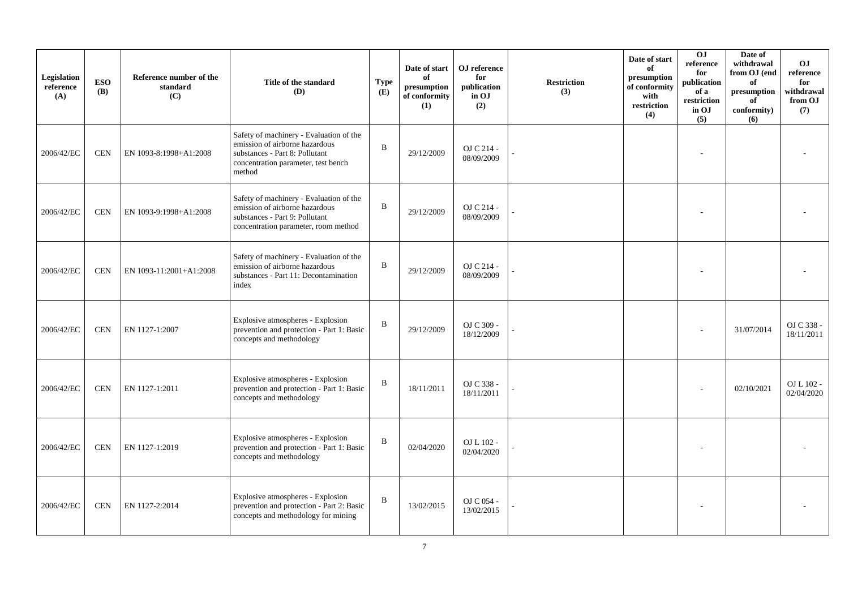| Legislation<br>reference<br>(A) | <b>ESO</b><br><b>(B)</b> | Reference number of the<br>standard<br>(C) | Title of the standard<br>(D)                                                                                                                                 | <b>Type</b><br>(E) | Date of start<br>of<br>presumption<br>of conformity<br>(1) | OJ reference<br>for<br>publication<br>in OJ<br>(2) | <b>Restriction</b><br>(3) | Date of start<br>of<br>presumption<br>of conformity<br>with<br>restriction<br>(4) | 0J<br>reference<br>for<br>publication<br>of a<br>restriction<br>in OJ<br>(5) | Date of<br>withdrawal<br>from OJ (end<br>of<br>$\bf{presumption}$<br>of<br>conformity)<br>(6) | O <sub>J</sub><br>reference<br>for<br>withdrawal<br>from OJ<br>(7) |
|---------------------------------|--------------------------|--------------------------------------------|--------------------------------------------------------------------------------------------------------------------------------------------------------------|--------------------|------------------------------------------------------------|----------------------------------------------------|---------------------------|-----------------------------------------------------------------------------------|------------------------------------------------------------------------------|-----------------------------------------------------------------------------------------------|--------------------------------------------------------------------|
| 2006/42/EC                      | <b>CEN</b>               | EN 1093-8:1998+A1:2008                     | Safety of machinery - Evaluation of the<br>emission of airborne hazardous<br>substances - Part 8: Pollutant<br>concentration parameter, test bench<br>method | $\mathbf{B}$       | 29/12/2009                                                 | OJ C 214 -<br>08/09/2009                           |                           |                                                                                   |                                                                              |                                                                                               |                                                                    |
| 2006/42/EC                      | <b>CEN</b>               | EN 1093-9:1998+A1:2008                     | Safety of machinery - Evaluation of the<br>emission of airborne hazardous<br>substances - Part 9: Pollutant<br>concentration parameter, room method          | $\, {\bf B}$       | 29/12/2009                                                 | OJ C 214 -<br>08/09/2009                           |                           |                                                                                   |                                                                              |                                                                                               |                                                                    |
| 2006/42/EC                      | <b>CEN</b>               | EN 1093-11:2001+A1:2008                    | Safety of machinery - Evaluation of the<br>emission of airborne hazardous<br>substances - Part 11: Decontamination<br>index                                  | $\, {\bf B}$       | 29/12/2009                                                 | OJ C 214 -<br>08/09/2009                           |                           |                                                                                   |                                                                              |                                                                                               |                                                                    |
| 2006/42/EC                      | <b>CEN</b>               | EN 1127-1:2007                             | Explosive atmospheres - Explosion<br>prevention and protection - Part 1: Basic<br>concepts and methodology                                                   | $\, {\bf B}$       | 29/12/2009                                                 | OJ C 309 -<br>18/12/2009                           |                           |                                                                                   |                                                                              | 31/07/2014                                                                                    | OJ C 338 -<br>18/11/2011                                           |
| 2006/42/EC                      | <b>CEN</b>               | EN 1127-1:2011                             | Explosive atmospheres - Explosion<br>prevention and protection - Part 1: Basic<br>concepts and methodology                                                   | $\, {\bf B}$       | 18/11/2011                                                 | OJ C 338 -<br>18/11/2011                           |                           |                                                                                   |                                                                              | 02/10/2021                                                                                    | OJ L 102 -<br>02/04/2020                                           |
| 2006/42/EC                      | <b>CEN</b>               | EN 1127-1:2019                             | Explosive atmospheres - Explosion<br>prevention and protection - Part 1: Basic<br>concepts and methodology                                                   | $\, {\bf B}$       | 02/04/2020                                                 | OJ L 102 -<br>02/04/2020                           |                           |                                                                                   |                                                                              |                                                                                               |                                                                    |
| 2006/42/EC                      | <b>CEN</b>               | EN 1127-2:2014                             | Explosive atmospheres - Explosion<br>prevention and protection - Part 2: Basic<br>concepts and methodology for mining                                        | $\, {\bf B}$       | 13/02/2015                                                 | OJ C 054 -<br>13/02/2015                           |                           |                                                                                   |                                                                              |                                                                                               |                                                                    |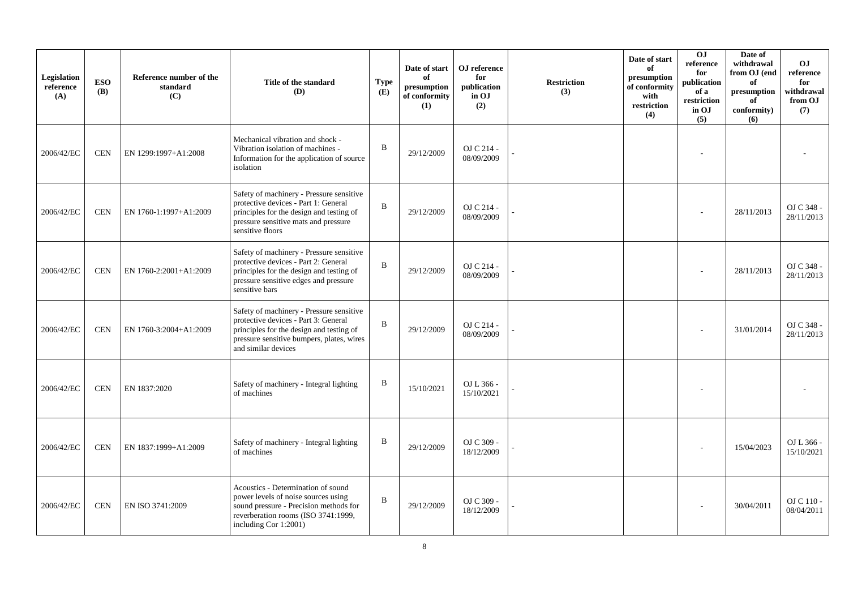| Legislation<br>reference<br>(A) | <b>ESO</b><br><b>(B)</b> | Reference number of the<br>standard<br>(C) | Title of the standard<br>(D)                                                                                                                                                                     | <b>Type</b><br>(E) | Date of start<br>of<br>presumption<br>of conformity<br>(1) | OJ reference<br>for<br>publication<br>in OJ<br>(2) | <b>Restriction</b><br>(3) | Date of start<br>of<br>presumption<br>of conformity<br>with<br>restriction<br>(4) | OJ<br>reference<br>for<br>publication<br>of a<br>restriction<br>in OJ<br>(5) | Date of<br>withdrawal<br>from OJ (end<br>of<br>presumption<br>of<br>conformity)<br>(6) | <b>OJ</b><br>reference<br>for<br>withdrawal<br>from OJ<br>(7) |
|---------------------------------|--------------------------|--------------------------------------------|--------------------------------------------------------------------------------------------------------------------------------------------------------------------------------------------------|--------------------|------------------------------------------------------------|----------------------------------------------------|---------------------------|-----------------------------------------------------------------------------------|------------------------------------------------------------------------------|----------------------------------------------------------------------------------------|---------------------------------------------------------------|
| 2006/42/EC                      | <b>CEN</b>               | EN 1299:1997+A1:2008                       | Mechanical vibration and shock -<br>Vibration isolation of machines -<br>Information for the application of source<br>isolation                                                                  | $\, {\bf B}$       | 29/12/2009                                                 | OJ C 214 -<br>08/09/2009                           |                           |                                                                                   |                                                                              |                                                                                        |                                                               |
| 2006/42/EC                      | <b>CEN</b>               | EN 1760-1:1997+A1:2009                     | Safety of machinery - Pressure sensitive<br>protective devices - Part 1: General<br>principles for the design and testing of<br>pressure sensitive mats and pressure<br>sensitive floors         | $\, {\bf B}$       | 29/12/2009                                                 | OJ C 214 -<br>08/09/2009                           |                           |                                                                                   |                                                                              | 28/11/2013                                                                             | OJ C 348 -<br>28/11/2013                                      |
| 2006/42/EC                      | <b>CEN</b>               | EN 1760-2:2001+A1:2009                     | Safety of machinery - Pressure sensitive<br>protective devices - Part 2: General<br>principles for the design and testing of<br>pressure sensitive edges and pressure<br>sensitive bars          | $\mathbf B$        | 29/12/2009                                                 | OJ C 214 -<br>08/09/2009                           |                           |                                                                                   |                                                                              | 28/11/2013                                                                             | OJ C 348 -<br>28/11/2013                                      |
| 2006/42/EC                      | <b>CEN</b>               | EN 1760-3:2004+A1:2009                     | Safety of machinery - Pressure sensitive<br>protective devices - Part 3: General<br>principles for the design and testing of<br>pressure sensitive bumpers, plates, wires<br>and similar devices | $\mathbf B$        | 29/12/2009                                                 | OJ C 214 -<br>08/09/2009                           |                           |                                                                                   |                                                                              | 31/01/2014                                                                             | OJ C 348 -<br>28/11/2013                                      |
| 2006/42/EC                      | <b>CEN</b>               | EN 1837:2020                               | Safety of machinery - Integral lighting<br>of machines                                                                                                                                           | $\, {\bf B}$       | 15/10/2021                                                 | OJ L 366 -<br>15/10/2021                           |                           |                                                                                   |                                                                              |                                                                                        |                                                               |
| 2006/42/EC                      | <b>CEN</b>               | EN 1837:1999+A1:2009                       | Safety of machinery - Integral lighting<br>of machines                                                                                                                                           | B                  | 29/12/2009                                                 | OJ C 309 -<br>18/12/2009                           |                           |                                                                                   |                                                                              | 15/04/2023                                                                             | OJ L 366 -<br>15/10/2021                                      |
| 2006/42/EC                      | <b>CEN</b>               | EN ISO 3741:2009                           | Acoustics - Determination of sound<br>power levels of noise sources using<br>sound pressure - Precision methods for<br>reverberation rooms (ISO 3741:1999,<br>including Cor 1:2001)              | B                  | 29/12/2009                                                 | OJ C 309 -<br>18/12/2009                           |                           |                                                                                   |                                                                              | 30/04/2011                                                                             | OJ C 110 -<br>08/04/2011                                      |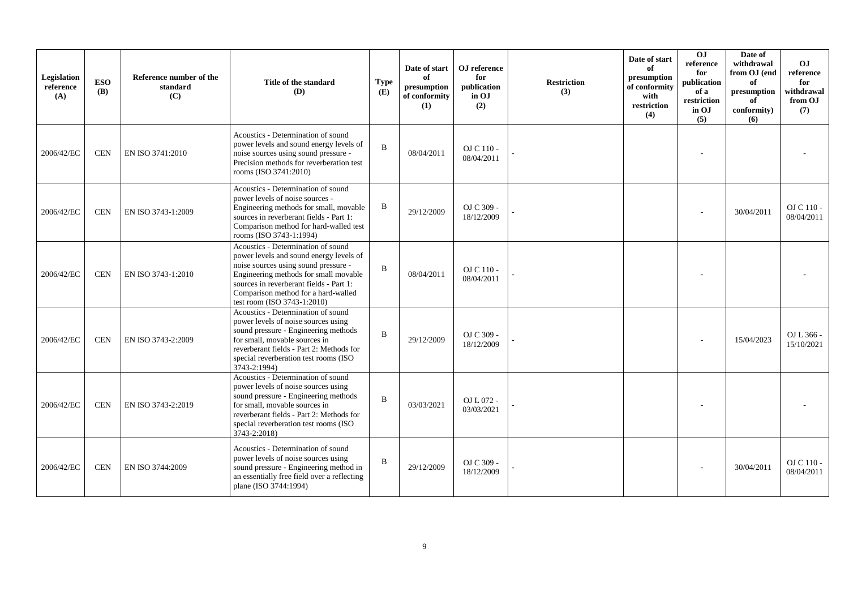| Legislation<br>reference<br>(A) | <b>ESO</b><br><b>(B)</b> | Reference number of the<br>standard<br>(C) | Title of the standard<br>(D)                                                                                                                                                                                                                                                    | <b>Type</b><br>(E) | Date of start<br>of<br>presumption<br>of conformity<br>(1) | OJ reference<br>for<br>publication<br>in OJ<br>(2) | <b>Restriction</b><br>(3) | Date of start<br>of<br>presumption<br>of conformity<br>with<br>restriction<br>(4) | OJ<br>reference<br>for<br>publication<br>of a<br>restriction<br>in OJ<br>(5) | Date of<br>withdrawal<br>from OJ (end<br>of<br>presumption<br>of<br>conformity)<br>(6) | OJ<br>reference<br>for<br>withdrawal<br>from OJ<br>(7) |
|---------------------------------|--------------------------|--------------------------------------------|---------------------------------------------------------------------------------------------------------------------------------------------------------------------------------------------------------------------------------------------------------------------------------|--------------------|------------------------------------------------------------|----------------------------------------------------|---------------------------|-----------------------------------------------------------------------------------|------------------------------------------------------------------------------|----------------------------------------------------------------------------------------|--------------------------------------------------------|
| 2006/42/EC                      | <b>CEN</b>               | EN ISO 3741:2010                           | Acoustics - Determination of sound<br>power levels and sound energy levels of<br>noise sources using sound pressure -<br>Precision methods for reverberation test<br>rooms (ISO 3741:2010)                                                                                      | $\bf{B}$           | 08/04/2011                                                 | $OJ C 110 -$<br>08/04/2011                         |                           |                                                                                   |                                                                              |                                                                                        |                                                        |
| 2006/42/EC                      | <b>CEN</b>               | EN ISO 3743-1:2009                         | Acoustics - Determination of sound<br>power levels of noise sources -<br>Engineering methods for small, movable<br>sources in reverberant fields - Part 1:<br>Comparison method for hard-walled test<br>rooms (ISO 3743-1:1994)                                                 | $\, {\bf B}$       | 29/12/2009                                                 | OJ C 309 -<br>18/12/2009                           |                           |                                                                                   |                                                                              | 30/04/2011                                                                             | OJ C 110 -<br>08/04/2011                               |
| 2006/42/EC                      | <b>CEN</b>               | EN ISO 3743-1:2010                         | Acoustics - Determination of sound<br>power levels and sound energy levels of<br>noise sources using sound pressure -<br>Engineering methods for small movable<br>sources in reverberant fields - Part 1:<br>Comparison method for a hard-walled<br>test room (ISO 3743-1:2010) | $\mathbf B$        | 08/04/2011                                                 | OJ C 110 -<br>08/04/2011                           |                           |                                                                                   |                                                                              |                                                                                        |                                                        |
| 2006/42/EC                      | <b>CEN</b>               | EN ISO 3743-2:2009                         | Acoustics - Determination of sound<br>power levels of noise sources using<br>sound pressure - Engineering methods<br>for small, movable sources in<br>reverberant fields - Part 2: Methods for<br>special reverberation test rooms (ISO<br>3743-2:1994)                         | $\bf{B}$           | 29/12/2009                                                 | OJ C 309 -<br>18/12/2009                           |                           |                                                                                   |                                                                              | 15/04/2023                                                                             | OJ L 366 -<br>15/10/2021                               |
| 2006/42/EC                      | <b>CEN</b>               | EN ISO 3743-2:2019                         | Acoustics - Determination of sound<br>power levels of noise sources using<br>sound pressure - Engineering methods<br>for small, movable sources in<br>reverberant fields - Part 2: Methods for<br>special reverberation test rooms (ISO<br>3743-2:2018)                         | $\mathbf B$        | 03/03/2021                                                 | OJ L 072 -<br>03/03/2021                           |                           |                                                                                   |                                                                              |                                                                                        |                                                        |
| 2006/42/EC                      | <b>CEN</b>               | EN ISO 3744:2009                           | Acoustics - Determination of sound<br>power levels of noise sources using<br>sound pressure - Engineering method in<br>an essentially free field over a reflecting<br>plane (ISO 3744:1994)                                                                                     | $\bf{B}$           | 29/12/2009                                                 | OJ C 309 -<br>18/12/2009                           |                           |                                                                                   |                                                                              | 30/04/2011                                                                             | OJ C 110 -<br>08/04/2011                               |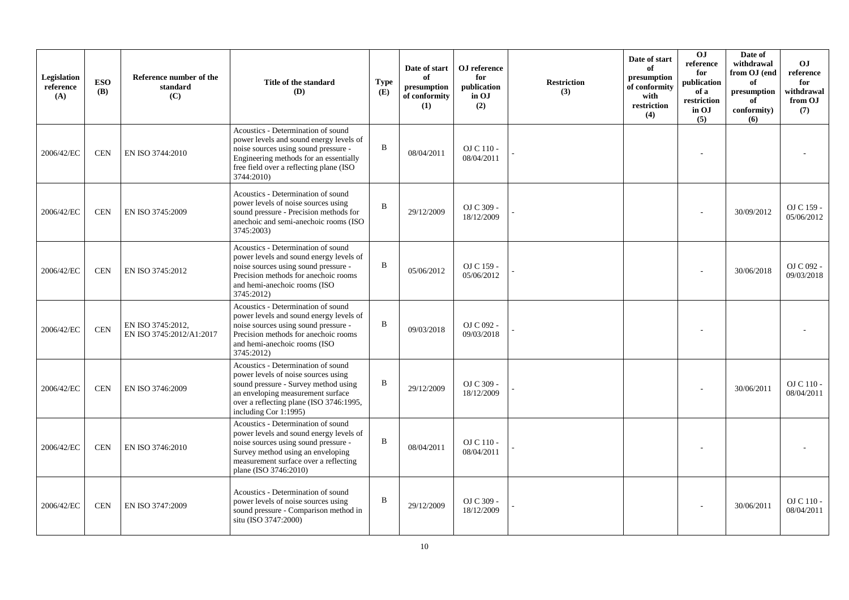| Legislation<br>reference<br>(A) | <b>ESO</b><br><b>(B)</b> | Reference number of the<br>standard<br>(C)    | Title of the standard<br>(D)                                                                                                                                                                                                 | <b>Type</b><br>(E) | Date of start<br>of<br>presumption<br>of conformity<br>(1) | OJ reference<br>for<br>publication<br>in OJ<br>(2) | <b>Restriction</b><br>(3) | Date of start<br>of<br>presumption<br>of conformity<br>with<br>restriction<br>(4) | O <sub>J</sub><br>reference<br>for<br>publication<br>of a<br>restriction<br>in OJ<br>(5) | Date of<br>withdrawal<br>from OJ (end<br>of<br>presumption<br>of<br>conformity)<br>(6) | <b>OJ</b><br>reference<br>for<br>withdrawal<br>from OJ<br>(7) |
|---------------------------------|--------------------------|-----------------------------------------------|------------------------------------------------------------------------------------------------------------------------------------------------------------------------------------------------------------------------------|--------------------|------------------------------------------------------------|----------------------------------------------------|---------------------------|-----------------------------------------------------------------------------------|------------------------------------------------------------------------------------------|----------------------------------------------------------------------------------------|---------------------------------------------------------------|
| 2006/42/EC                      | <b>CEN</b>               | EN ISO 3744:2010                              | Acoustics - Determination of sound<br>power levels and sound energy levels of<br>noise sources using sound pressure -<br>Engineering methods for an essentially<br>free field over a reflecting plane (ISO<br>3744:2010)     | B                  | 08/04/2011                                                 | $OJ C 110 -$<br>08/04/2011                         |                           |                                                                                   |                                                                                          |                                                                                        |                                                               |
| 2006/42/EC                      | <b>CEN</b>               | EN ISO 3745:2009                              | Acoustics - Determination of sound<br>power levels of noise sources using<br>sound pressure - Precision methods for<br>anechoic and semi-anechoic rooms (ISO<br>3745:2003)                                                   | B                  | 29/12/2009                                                 | OJ C 309 -<br>18/12/2009                           |                           |                                                                                   |                                                                                          | 30/09/2012                                                                             | OJ C 159 -<br>05/06/2012                                      |
| 2006/42/EC                      | <b>CEN</b>               | EN ISO 3745:2012                              | Acoustics - Determination of sound<br>power levels and sound energy levels of<br>noise sources using sound pressure -<br>Precision methods for anechoic rooms<br>and hemi-anechoic rooms (ISO<br>3745:2012)                  | B                  | 05/06/2012                                                 | OJ C 159 -<br>05/06/2012                           |                           |                                                                                   |                                                                                          | 30/06/2018                                                                             | OJ C 092 -<br>09/03/2018                                      |
| 2006/42/EC                      | <b>CEN</b>               | EN ISO 3745:2012,<br>EN ISO 3745:2012/A1:2017 | Acoustics - Determination of sound<br>power levels and sound energy levels of<br>noise sources using sound pressure -<br>Precision methods for anechoic rooms<br>and hemi-anechoic rooms (ISO<br>3745:2012)                  | B                  | 09/03/2018                                                 | OJ C 092 -<br>09/03/2018                           |                           |                                                                                   |                                                                                          |                                                                                        |                                                               |
| 2006/42/EC                      | <b>CEN</b>               | EN ISO 3746:2009                              | Acoustics - Determination of sound<br>power levels of noise sources using<br>sound pressure - Survey method using<br>an enveloping measurement surface<br>over a reflecting plane (ISO 3746:1995,<br>including Cor 1:1995)   | B                  | 29/12/2009                                                 | OJ C 309 -<br>18/12/2009                           |                           |                                                                                   |                                                                                          | 30/06/2011                                                                             | OJ C 110 -<br>08/04/2011                                      |
| 2006/42/EC                      | <b>CEN</b>               | EN ISO 3746:2010                              | Acoustics - Determination of sound<br>power levels and sound energy levels of<br>noise sources using sound pressure -<br>Survey method using an enveloping<br>measurement surface over a reflecting<br>plane (ISO 3746:2010) | B                  | 08/04/2011                                                 | OJ C 110 -<br>08/04/2011                           |                           |                                                                                   |                                                                                          |                                                                                        |                                                               |
| 2006/42/EC                      | <b>CEN</b>               | EN ISO 3747:2009                              | Acoustics - Determination of sound<br>power levels of noise sources using<br>sound pressure - Comparison method in<br>situ (ISO 3747:2000)                                                                                   | B                  | 29/12/2009                                                 | OJ C 309 -<br>18/12/2009                           |                           |                                                                                   |                                                                                          | 30/06/2011                                                                             | $OJ C 110$ -<br>08/04/2011                                    |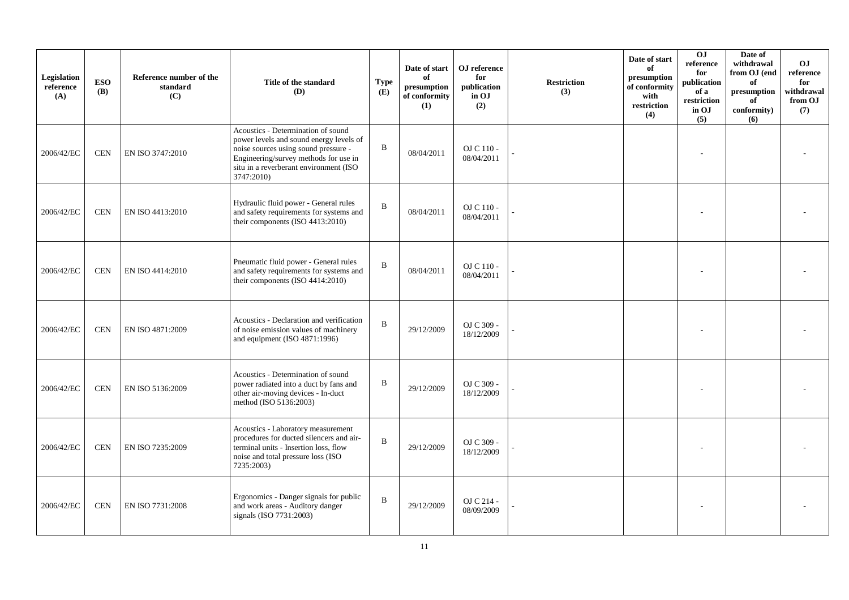| Legislation<br>reference<br>(A) | <b>ESO</b><br><b>(B)</b> | Reference number of the<br>standard<br>(C) | Title of the standard<br>(D)                                                                                                                                                                                           | <b>Type</b><br>(E) | Date of start<br>of<br>presumption<br>of conformity<br>(1) | OJ reference<br>for<br>publication<br>in OJ<br>(2) | <b>Restriction</b><br>(3) | Date of start<br>of<br>presumption<br>of conformity<br>with<br>restriction<br>(4) | O <sub>J</sub><br>reference<br>for<br>publication<br>of a<br>restriction<br>in OJ<br>(5) | Date of<br>withdrawal<br>from OJ (end<br>of<br>$\bf{presumption}$<br>of<br>conformity)<br>(6) | O <sub>J</sub><br>reference<br>for<br>withdrawal<br>from OJ<br>(7) |
|---------------------------------|--------------------------|--------------------------------------------|------------------------------------------------------------------------------------------------------------------------------------------------------------------------------------------------------------------------|--------------------|------------------------------------------------------------|----------------------------------------------------|---------------------------|-----------------------------------------------------------------------------------|------------------------------------------------------------------------------------------|-----------------------------------------------------------------------------------------------|--------------------------------------------------------------------|
| 2006/42/EC                      | <b>CEN</b>               | EN ISO 3747:2010                           | Acoustics - Determination of sound<br>power levels and sound energy levels of<br>noise sources using sound pressure -<br>Engineering/survey methods for use in<br>situ in a reverberant environment (ISO<br>3747:2010) | $\, {\bf B}$       | 08/04/2011                                                 | $OJ C 110 -$<br>08/04/2011                         |                           |                                                                                   |                                                                                          |                                                                                               |                                                                    |
| 2006/42/EC                      | <b>CEN</b>               | EN ISO 4413:2010                           | Hydraulic fluid power - General rules<br>and safety requirements for systems and<br>their components (ISO 4413:2010)                                                                                                   | $\, {\bf B}$       | 08/04/2011                                                 | OJ C 110 -<br>08/04/2011                           |                           |                                                                                   |                                                                                          |                                                                                               |                                                                    |
| 2006/42/EC                      | <b>CEN</b>               | EN ISO 4414:2010                           | Pneumatic fluid power - General rules<br>and safety requirements for systems and<br>their components (ISO 4414:2010)                                                                                                   | $\bf{B}$           | 08/04/2011                                                 | OJ C 110 -<br>08/04/2011                           |                           |                                                                                   |                                                                                          |                                                                                               |                                                                    |
| 2006/42/EC                      | <b>CEN</b>               | EN ISO 4871:2009                           | Acoustics - Declaration and verification<br>of noise emission values of machinery<br>and equipment (ISO 4871:1996)                                                                                                     | $\bf{B}$           | 29/12/2009                                                 | OJ C 309 -<br>18/12/2009                           |                           |                                                                                   |                                                                                          |                                                                                               |                                                                    |
| 2006/42/EC                      | <b>CEN</b>               | EN ISO 5136:2009                           | Acoustics - Determination of sound<br>power radiated into a duct by fans and<br>other air-moving devices - In-duct<br>method (ISO 5136:2003)                                                                           | $\, {\bf B}$       | 29/12/2009                                                 | OJ C 309 -<br>18/12/2009                           |                           |                                                                                   |                                                                                          |                                                                                               |                                                                    |
| 2006/42/EC                      | <b>CEN</b>               | EN ISO 7235:2009                           | Acoustics - Laboratory measurement<br>procedures for ducted silencers and air-<br>terminal units - Insertion loss, flow<br>noise and total pressure loss (ISO<br>7235:2003)                                            | $\, {\bf B}$       | 29/12/2009                                                 | OJ C 309 -<br>18/12/2009                           |                           |                                                                                   |                                                                                          |                                                                                               |                                                                    |
| 2006/42/EC                      | <b>CEN</b>               | EN ISO 7731:2008                           | Ergonomics - Danger signals for public<br>and work areas - Auditory danger<br>signals (ISO 7731:2003)                                                                                                                  | $\, {\bf B}$       | 29/12/2009                                                 | OJ C 214 -<br>08/09/2009                           |                           |                                                                                   |                                                                                          |                                                                                               |                                                                    |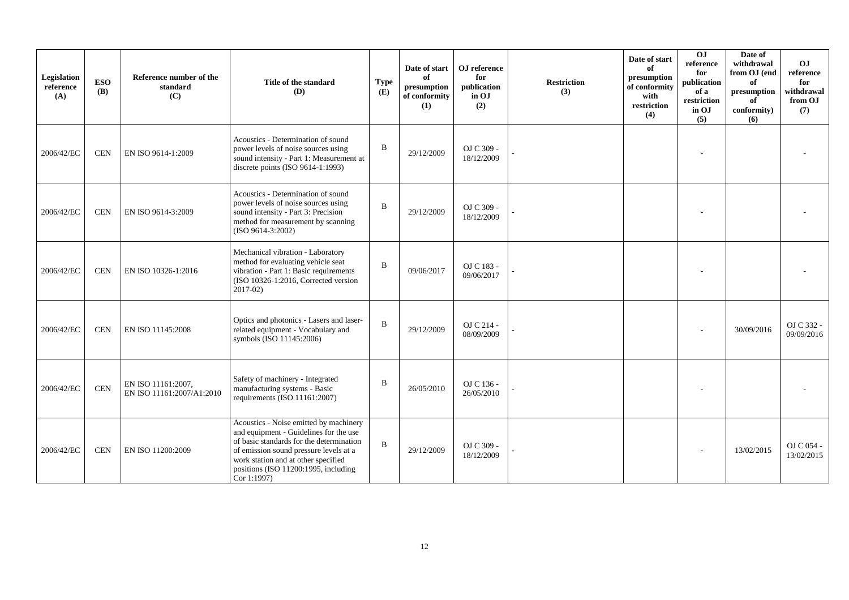| Legislation<br>reference<br>(A) | <b>ESO</b><br><b>(B)</b> | Reference number of the<br>standard<br>(C)      | Title of the standard<br>(D)                                                                                                                                                                                                                                         | <b>Type</b><br>(E) | Date of start<br>of<br>presumption<br>of conformity<br>(1) | OJ reference<br>for<br>publication<br>in OJ<br>(2) | <b>Restriction</b><br>(3) | Date of start<br>of<br>presumption<br>of conformity<br>with<br>restriction<br>(4) | $\overline{0}$<br>reference<br>for<br>publication<br>of a<br>restriction<br>in OJ<br>(5) | Date of<br>withdrawal<br>from OJ (end<br>of<br>$\,$ presumption<br>of<br>conformity)<br>(6) | O <sub>J</sub><br>reference<br>for<br>withdrawal<br>from OJ<br>(7) |
|---------------------------------|--------------------------|-------------------------------------------------|----------------------------------------------------------------------------------------------------------------------------------------------------------------------------------------------------------------------------------------------------------------------|--------------------|------------------------------------------------------------|----------------------------------------------------|---------------------------|-----------------------------------------------------------------------------------|------------------------------------------------------------------------------------------|---------------------------------------------------------------------------------------------|--------------------------------------------------------------------|
| 2006/42/EC                      | <b>CEN</b>               | EN ISO 9614-1:2009                              | Acoustics - Determination of sound<br>power levels of noise sources using<br>sound intensity - Part 1: Measurement at<br>discrete points (ISO 9614-1:1993)                                                                                                           | B                  | 29/12/2009                                                 | OJ C 309 -<br>18/12/2009                           |                           |                                                                                   |                                                                                          |                                                                                             |                                                                    |
| 2006/42/EC                      | <b>CEN</b>               | EN ISO 9614-3:2009                              | Acoustics - Determination of sound<br>power levels of noise sources using<br>sound intensity - Part 3: Precision<br>method for measurement by scanning<br>$(ISO 9614-3:2002)$                                                                                        | $\mathbf B$        | 29/12/2009                                                 | OJ C 309 -<br>18/12/2009                           |                           |                                                                                   |                                                                                          |                                                                                             |                                                                    |
| 2006/42/EC                      | <b>CEN</b>               | EN ISO 10326-1:2016                             | Mechanical vibration - Laboratory<br>method for evaluating vehicle seat<br>vibration - Part 1: Basic requirements<br>(ISO 10326-1:2016, Corrected version<br>$2017 - 02$                                                                                             | B                  | 09/06/2017                                                 | OJ C 183 -<br>09/06/2017                           |                           |                                                                                   |                                                                                          |                                                                                             |                                                                    |
| 2006/42/EC                      | <b>CEN</b>               | EN ISO 11145:2008                               | Optics and photonics - Lasers and laser-<br>related equipment - Vocabulary and<br>symbols (ISO 11145:2006)                                                                                                                                                           | B                  | 29/12/2009                                                 | OJ C 214 -<br>08/09/2009                           |                           |                                                                                   |                                                                                          | 30/09/2016                                                                                  | OJ C 332 -<br>09/09/2016                                           |
| 2006/42/EC                      | <b>CEN</b>               | EN ISO 11161:2007.<br>EN ISO 11161:2007/A1:2010 | Safety of machinery - Integrated<br>manufacturing systems - Basic<br>requirements (ISO 11161:2007)                                                                                                                                                                   | B                  | 26/05/2010                                                 | OJ C 136 -<br>26/05/2010                           |                           |                                                                                   |                                                                                          |                                                                                             |                                                                    |
| 2006/42/EC                      | <b>CEN</b>               | EN ISO 11200:2009                               | Acoustics - Noise emitted by machinery<br>and equipment - Guidelines for the use<br>of basic standards for the determination<br>of emission sound pressure levels at a<br>work station and at other specified<br>positions (ISO 11200:1995, including<br>Cor 1:1997) | $\mathbf B$        | 29/12/2009                                                 | OJ C 309 -<br>18/12/2009                           |                           |                                                                                   |                                                                                          | 13/02/2015                                                                                  | OJ C 054 -<br>13/02/2015                                           |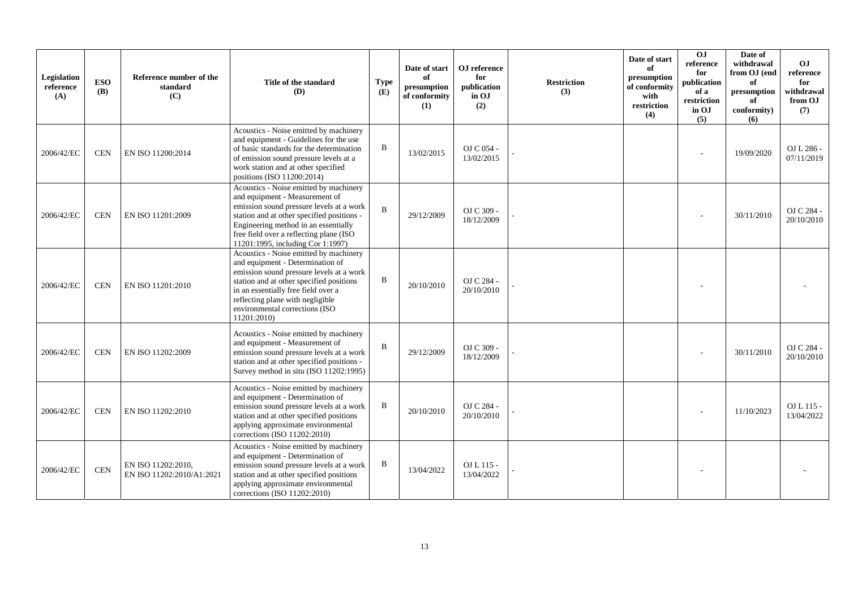| Legislation<br>reference<br>(A) | <b>ESO</b><br><b>(B)</b> | Reference number of the<br>standard<br>(C)      | Title of the standard<br>(D)                                                                                                                                                                                                                                                                   | <b>Type</b><br>(E) | Date of start<br>of<br>presumption<br>of conformity<br>(1) | OJ reference<br>for<br>publication<br>in OJ<br>(2) | <b>Restriction</b><br>(3) | Date of start<br>of<br>presumption<br>of conformity<br>with<br>restriction<br>(4) | $\overline{0}$<br>reference<br>for<br>publication<br>of a<br>restriction<br>in OJ<br>(5) | Date of<br>withdrawal<br>from OJ (end<br>of<br>presumption<br>of<br>conformity)<br>(6) | OJ<br>reference<br>for<br>withdrawal<br>from OJ<br>(7) |
|---------------------------------|--------------------------|-------------------------------------------------|------------------------------------------------------------------------------------------------------------------------------------------------------------------------------------------------------------------------------------------------------------------------------------------------|--------------------|------------------------------------------------------------|----------------------------------------------------|---------------------------|-----------------------------------------------------------------------------------|------------------------------------------------------------------------------------------|----------------------------------------------------------------------------------------|--------------------------------------------------------|
| 2006/42/EC                      | <b>CEN</b>               | EN ISO 11200:2014                               | Acoustics - Noise emitted by machinery<br>and equipment - Guidelines for the use<br>of basic standards for the determination<br>of emission sound pressure levels at a<br>work station and at other specified<br>positions (ISO 11200:2014)                                                    | B                  | 13/02/2015                                                 | OJ C 054 -<br>13/02/2015                           |                           |                                                                                   |                                                                                          | 19/09/2020                                                                             | OJ L 286 -<br>07/11/2019                               |
| 2006/42/EC                      | <b>CEN</b>               | EN ISO 11201:2009                               | Acoustics - Noise emitted by machinery<br>and equipment - Measurement of<br>emission sound pressure levels at a work<br>station and at other specified positions -<br>Engineering method in an essentially<br>free field over a reflecting plane (ISO<br>11201:1995, including Cor 1:1997)     | B                  | 29/12/2009                                                 | OJ C 309 -<br>18/12/2009                           |                           |                                                                                   |                                                                                          | 30/11/2010                                                                             | OJ C 284 -<br>20/10/2010                               |
| 2006/42/EC                      | <b>CEN</b>               | EN ISO 11201:2010                               | Acoustics - Noise emitted by machinery<br>and equipment - Determination of<br>emission sound pressure levels at a work<br>station and at other specified positions<br>in an essentially free field over a<br>reflecting plane with negligible<br>environmental corrections (ISO<br>11201:2010) | B                  | 20/10/2010                                                 | OJ C 284 -<br>20/10/2010                           |                           |                                                                                   |                                                                                          |                                                                                        |                                                        |
| 2006/42/EC                      | <b>CEN</b>               | EN ISO 11202:2009                               | Acoustics - Noise emitted by machinery<br>and equipment - Measurement of<br>emission sound pressure levels at a work<br>station and at other specified positions -<br>Survey method in situ (ISO 11202:1995)                                                                                   | B                  | 29/12/2009                                                 | OJ C 309 -<br>18/12/2009                           |                           |                                                                                   |                                                                                          | 30/11/2010                                                                             | OJ C 284 -<br>20/10/2010                               |
| 2006/42/EC                      | <b>CEN</b>               | EN ISO 11202:2010                               | Acoustics - Noise emitted by machinery<br>and equipment - Determination of<br>emission sound pressure levels at a work<br>station and at other specified positions<br>applying approximate environmental<br>corrections (ISO 11202:2010)                                                       | B                  | 20/10/2010                                                 | OJ C 284 -<br>20/10/2010                           |                           |                                                                                   |                                                                                          | 11/10/2023                                                                             | $OL115-$<br>13/04/2022                                 |
| 2006/42/EC                      | <b>CEN</b>               | EN ISO 11202:2010,<br>EN ISO 11202:2010/A1:2021 | Acoustics - Noise emitted by machinery<br>and equipment - Determination of<br>emission sound pressure levels at a work<br>station and at other specified positions<br>applying approximate environmental<br>corrections (ISO 11202:2010)                                                       | B                  | 13/04/2022                                                 | OJ L 115 -<br>13/04/2022                           |                           |                                                                                   |                                                                                          |                                                                                        |                                                        |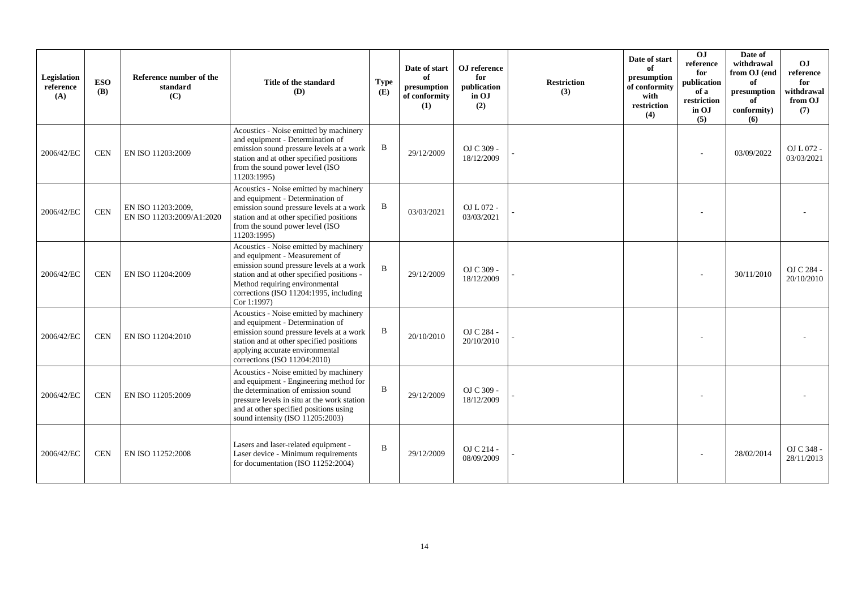| Legislation<br>reference<br>(A) | <b>ESO</b><br><b>(B)</b> | Reference number of the<br>standard<br>(C)      | Title of the standard<br>(D)                                                                                                                                                                                                                                  | <b>Type</b><br>(E) | Date of start<br>of<br>presumption<br>of conformity<br>(1) | OJ reference<br>for<br>publication<br>in OJ<br>(2) | <b>Restriction</b><br>(3) | Date of start<br>of<br>presumption<br>of conformity<br>with<br>restriction<br>(4) | $\overline{0}$<br>reference<br>for<br>publication<br>of a<br>restriction<br>in OJ<br>(5) | Date of<br>withdrawal<br>from OJ (end<br>of<br>presumption<br>of<br>conformity)<br>(6) | O <sub>J</sub><br>reference<br>for<br>withdrawal<br>from OJ<br>(7) |
|---------------------------------|--------------------------|-------------------------------------------------|---------------------------------------------------------------------------------------------------------------------------------------------------------------------------------------------------------------------------------------------------------------|--------------------|------------------------------------------------------------|----------------------------------------------------|---------------------------|-----------------------------------------------------------------------------------|------------------------------------------------------------------------------------------|----------------------------------------------------------------------------------------|--------------------------------------------------------------------|
| 2006/42/EC                      | <b>CEN</b>               | EN ISO 11203:2009                               | Acoustics - Noise emitted by machinery<br>and equipment - Determination of<br>emission sound pressure levels at a work<br>station and at other specified positions<br>from the sound power level (ISO<br>11203:1995)                                          | $\, {\bf B}$       | 29/12/2009                                                 | OJ C 309 -<br>18/12/2009                           |                           |                                                                                   |                                                                                          | 03/09/2022                                                                             | $OL L 072 -$<br>03/03/2021                                         |
| 2006/42/EC                      | <b>CEN</b>               | EN ISO 11203:2009.<br>EN ISO 11203:2009/A1:2020 | Acoustics - Noise emitted by machinery<br>and equipment - Determination of<br>emission sound pressure levels at a work<br>station and at other specified positions<br>from the sound power level (ISO<br>11203:1995)                                          | $\mathbf B$        | 03/03/2021                                                 | $OL L 072 -$<br>03/03/2021                         |                           |                                                                                   |                                                                                          |                                                                                        |                                                                    |
| 2006/42/EC                      | <b>CEN</b>               | EN ISO 11204:2009                               | Acoustics - Noise emitted by machinery<br>and equipment - Measurement of<br>emission sound pressure levels at a work<br>station and at other specified positions -<br>Method requiring environmental<br>corrections (ISO 11204:1995, including<br>Cor 1:1997) | B                  | 29/12/2009                                                 | OJ C 309 -<br>18/12/2009                           |                           |                                                                                   |                                                                                          | 30/11/2010                                                                             | OJ C 284 -<br>20/10/2010                                           |
| 2006/42/EC                      | <b>CEN</b>               | EN ISO 11204:2010                               | Acoustics - Noise emitted by machinery<br>and equipment - Determination of<br>emission sound pressure levels at a work<br>station and at other specified positions<br>applying accurate environmental<br>corrections (ISO 11204:2010)                         | B                  | 20/10/2010                                                 | OJ C 284 -<br>20/10/2010                           |                           |                                                                                   |                                                                                          |                                                                                        |                                                                    |
| 2006/42/EC                      | <b>CEN</b>               | EN ISO 11205:2009                               | Acoustics - Noise emitted by machinery<br>and equipment - Engineering method for<br>the determination of emission sound<br>pressure levels in situ at the work station<br>and at other specified positions using<br>sound intensity (ISO 11205:2003)          | B                  | 29/12/2009                                                 | OJ C 309 -<br>18/12/2009                           |                           |                                                                                   |                                                                                          |                                                                                        |                                                                    |
| 2006/42/EC                      | <b>CEN</b>               | EN ISO 11252:2008                               | Lasers and laser-related equipment -<br>Laser device - Minimum requirements<br>for documentation (ISO 11252:2004)                                                                                                                                             | $\mathbf B$        | 29/12/2009                                                 | OJ C 214 -<br>08/09/2009                           |                           |                                                                                   |                                                                                          | 28/02/2014                                                                             | OJ C 348 -<br>28/11/2013                                           |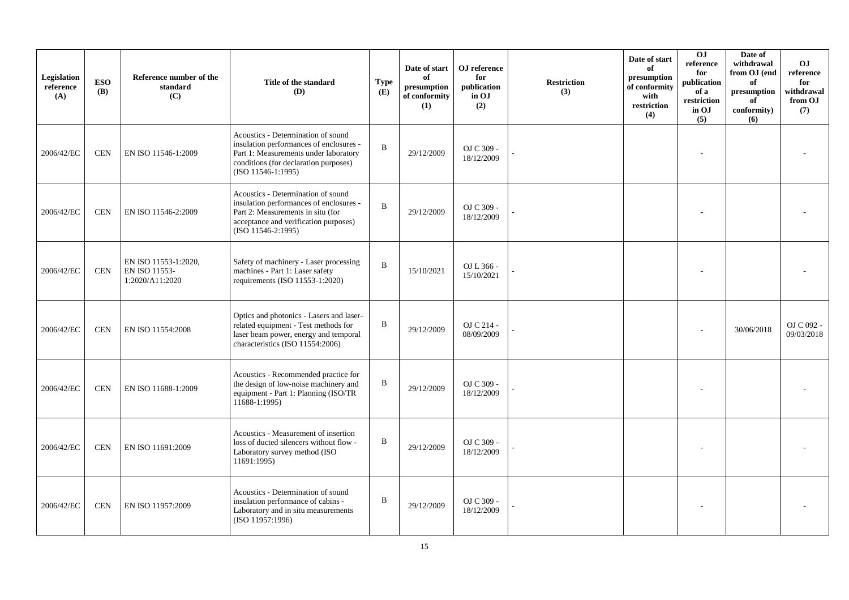| Legislation<br>reference<br>(A) | <b>ESO</b><br><b>(B)</b> | Reference number of the<br>standard<br>(C)               | Title of the standard<br>(D)                                                                                                                                                          | <b>Type</b><br>(E) | Date of start<br>of<br>presumption<br>of conformity<br>(1) | OJ reference<br>for<br>publication<br>in OJ<br>(2) | <b>Restriction</b><br>(3) | Date of start<br>of<br>presumption<br>of conformity<br>with<br>restriction<br>(4) | O <sub>J</sub><br>reference<br>for<br>publication<br>of a<br>restriction<br>in OJ<br>(5) | Date of<br>withdrawal<br>from OJ (end<br>of<br>$\bf{presumption}$<br>of<br>conformity)<br>(6) | O <sub>J</sub><br>reference<br>for<br>withdrawal<br>from OJ<br>(7) |
|---------------------------------|--------------------------|----------------------------------------------------------|---------------------------------------------------------------------------------------------------------------------------------------------------------------------------------------|--------------------|------------------------------------------------------------|----------------------------------------------------|---------------------------|-----------------------------------------------------------------------------------|------------------------------------------------------------------------------------------|-----------------------------------------------------------------------------------------------|--------------------------------------------------------------------|
| 2006/42/EC                      | <b>CEN</b>               | EN ISO 11546-1:2009                                      | Acoustics - Determination of sound<br>insulation performances of enclosures -<br>Part 1: Measurements under laboratory<br>conditions (for declaration purposes)<br>(ISO 11546-1:1995) | $\, {\bf B}$       | 29/12/2009                                                 | OJ C 309 -<br>18/12/2009                           |                           |                                                                                   |                                                                                          |                                                                                               |                                                                    |
| 2006/42/EC                      | <b>CEN</b>               | EN ISO 11546-2:2009                                      | Acoustics - Determination of sound<br>insulation performances of enclosures -<br>Part 2: Measurements in situ (for<br>acceptance and verification purposes)<br>(ISO 11546-2:1995)     | $\, {\bf B}$       | 29/12/2009                                                 | OJ C 309 -<br>18/12/2009                           |                           |                                                                                   |                                                                                          |                                                                                               |                                                                    |
| 2006/42/EC                      | CEN                      | EN ISO 11553-1:2020,<br>EN ISO 11553-<br>1:2020/A11:2020 | Safety of machinery - Laser processing<br>machines - Part 1: Laser safety<br>requirements (ISO 11553-1:2020)                                                                          | $\bf{B}$           | 15/10/2021                                                 | OJ L 366 -<br>15/10/2021                           |                           |                                                                                   |                                                                                          |                                                                                               |                                                                    |
| 2006/42/EC                      | <b>CEN</b>               | EN ISO 11554:2008                                        | Optics and photonics - Lasers and laser-<br>related equipment - Test methods for<br>laser beam power, energy and temporal<br>characteristics (ISO 11554:2006)                         | $\, {\bf B}$       | 29/12/2009                                                 | OJ C 214 -<br>08/09/2009                           |                           |                                                                                   |                                                                                          | 30/06/2018                                                                                    | OJ C 092 -<br>09/03/2018                                           |
| 2006/42/EC                      | <b>CEN</b>               | EN ISO 11688-1:2009                                      | Acoustics - Recommended practice for<br>the design of low-noise machinery and<br>equipment - Part 1: Planning (ISO/TR<br>11688-1:1995)                                                | $\, {\bf B}$       | 29/12/2009                                                 | OJ C 309 -<br>18/12/2009                           |                           |                                                                                   |                                                                                          |                                                                                               |                                                                    |
| 2006/42/EC                      | <b>CEN</b>               | EN ISO 11691:2009                                        | Acoustics - Measurement of insertion<br>loss of ducted silencers without flow -<br>Laboratory survey method (ISO<br>11691:1995)                                                       | $\, {\bf B}$       | 29/12/2009                                                 | OJ C 309 -<br>18/12/2009                           |                           |                                                                                   |                                                                                          |                                                                                               |                                                                    |
| 2006/42/EC                      | <b>CEN</b>               | EN ISO 11957:2009                                        | Acoustics - Determination of sound<br>insulation performance of cabins -<br>Laboratory and in situ measurements<br>(ISO 11957:1996)                                                   | $\, {\bf B}$       | 29/12/2009                                                 | OJ C 309 -<br>18/12/2009                           |                           |                                                                                   |                                                                                          |                                                                                               |                                                                    |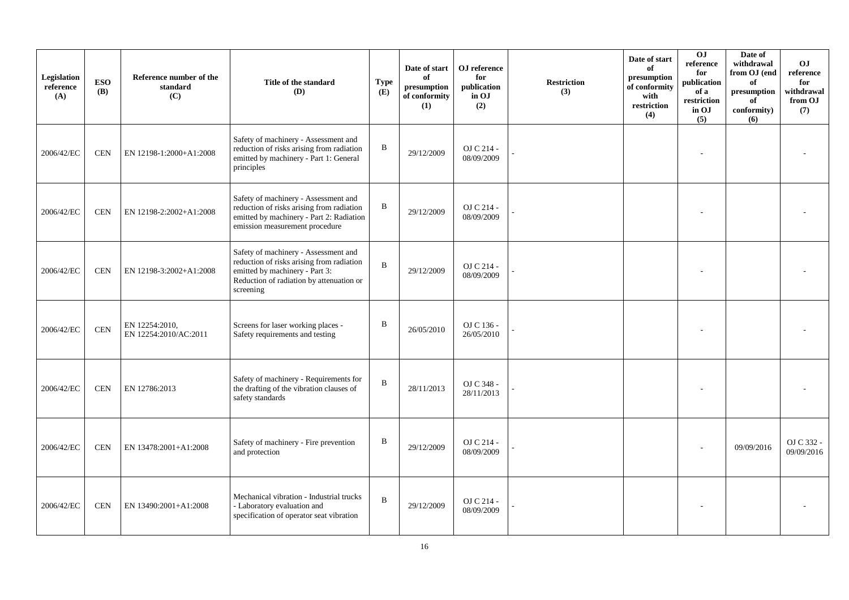| Legislation<br>reference<br>(A) | <b>ESO</b><br><b>(B)</b> | Reference number of the<br>standard<br>(C) | Title of the standard<br>(D)                                                                                                                                                 | Type<br>(E)  | Date of start<br>of<br>presumption<br>of conformity<br>(1) | OJ reference<br>for<br>publication<br>in OJ<br>(2) | <b>Restriction</b><br>(3) | Date of start<br>of<br>presumption<br>of conformity<br>with<br>restriction<br>(4) | OJ<br>reference<br>for<br>publication<br>of a<br>restriction<br>in OJ<br>(5) | Date of<br>withdrawal<br>from OJ (end<br>of<br>presumption<br>of<br>conformity)<br>(6) | <b>OJ</b><br>reference<br>for<br>withdrawal<br>from OJ<br>(7) |
|---------------------------------|--------------------------|--------------------------------------------|------------------------------------------------------------------------------------------------------------------------------------------------------------------------------|--------------|------------------------------------------------------------|----------------------------------------------------|---------------------------|-----------------------------------------------------------------------------------|------------------------------------------------------------------------------|----------------------------------------------------------------------------------------|---------------------------------------------------------------|
| 2006/42/EC                      | <b>CEN</b>               | EN 12198-1:2000+A1:2008                    | Safety of machinery - Assessment and<br>reduction of risks arising from radiation<br>emitted by machinery - Part 1: General<br>principles                                    | $\bf{B}$     | 29/12/2009                                                 | OJ C 214 -<br>08/09/2009                           |                           |                                                                                   |                                                                              |                                                                                        |                                                               |
| 2006/42/EC                      | <b>CEN</b>               | EN 12198-2:2002+A1:2008                    | Safety of machinery - Assessment and<br>reduction of risks arising from radiation<br>emitted by machinery - Part 2: Radiation<br>emission measurement procedure              | B            | 29/12/2009                                                 | OJ C 214 -<br>08/09/2009                           |                           |                                                                                   |                                                                              |                                                                                        |                                                               |
| 2006/42/EC                      | CEN                      | EN 12198-3:2002+A1:2008                    | Safety of machinery - Assessment and<br>reduction of risks arising from radiation<br>emitted by machinery - Part 3:<br>Reduction of radiation by attenuation or<br>screening | $\bf{B}$     | 29/12/2009                                                 | OJ C 214 -<br>08/09/2009                           |                           |                                                                                   |                                                                              |                                                                                        |                                                               |
| 2006/42/EC                      | <b>CEN</b>               | EN 12254:2010,<br>EN 12254:2010/AC:2011    | Screens for laser working places -<br>Safety requirements and testing                                                                                                        | $\, {\bf B}$ | 26/05/2010                                                 | OJ C 136 -<br>26/05/2010                           |                           |                                                                                   |                                                                              |                                                                                        |                                                               |
| 2006/42/EC                      | <b>CEN</b>               | EN 12786:2013                              | Safety of machinery - Requirements for<br>the drafting of the vibration clauses of<br>safety standards                                                                       | $\bf{B}$     | 28/11/2013                                                 | OJ C 348 -<br>28/11/2013                           |                           |                                                                                   |                                                                              |                                                                                        |                                                               |
| 2006/42/EC                      | <b>CEN</b>               | EN 13478:2001+A1:2008                      | Safety of machinery - Fire prevention<br>and protection                                                                                                                      | $\, {\bf B}$ | 29/12/2009                                                 | OJ C 214 -<br>08/09/2009                           |                           |                                                                                   |                                                                              | 09/09/2016                                                                             | OJ C 332 -<br>09/09/2016                                      |
| 2006/42/EC                      | <b>CEN</b>               | EN 13490:2001+A1:2008                      | Mechanical vibration - Industrial trucks<br>- Laboratory evaluation and<br>specification of operator seat vibration                                                          | $\, {\bf B}$ | 29/12/2009                                                 | OJ C 214 -<br>08/09/2009                           |                           |                                                                                   |                                                                              |                                                                                        |                                                               |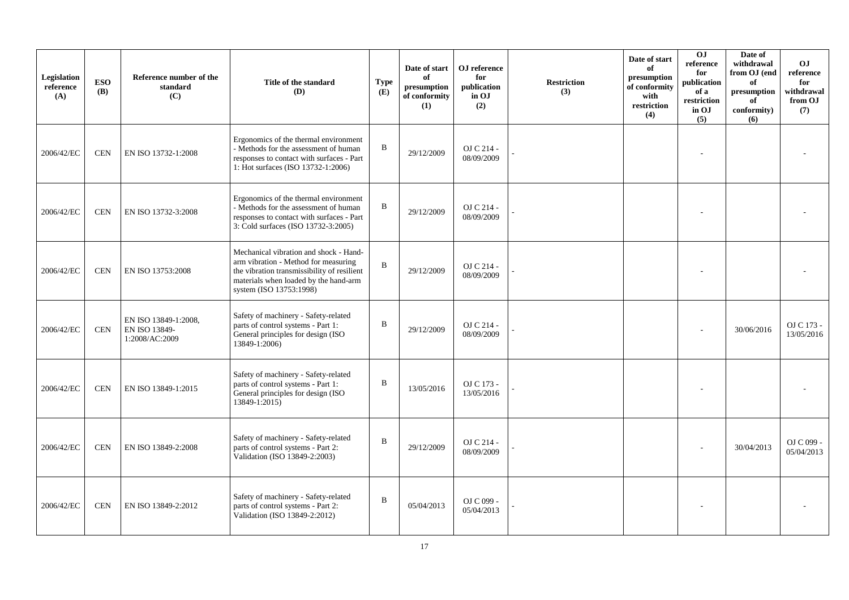| Legislation<br>reference<br>(A) | <b>ESO</b><br><b>(B)</b> | Reference number of the<br>standard<br>(C)              | Title of the standard<br>(D)                                                                                                                                                                      | <b>Type</b><br>(E) | Date of start<br>of<br>presumption<br>of conformity<br>(1) | OJ reference<br>for<br>publication<br>in OJ<br>(2) | <b>Restriction</b><br>(3) | Date of start<br>of<br>presumption<br>of conformity<br>with<br>restriction<br>(4) | OJ<br>reference<br>for<br>publication<br>of a<br>restriction<br>in OJ<br>(5) | Date of<br>withdrawal<br>from OJ (end<br>of<br>presumption<br>of<br>conformity)<br>(6) | <b>OJ</b><br>reference<br>for<br>withdrawal<br>from OJ<br>(7) |
|---------------------------------|--------------------------|---------------------------------------------------------|---------------------------------------------------------------------------------------------------------------------------------------------------------------------------------------------------|--------------------|------------------------------------------------------------|----------------------------------------------------|---------------------------|-----------------------------------------------------------------------------------|------------------------------------------------------------------------------|----------------------------------------------------------------------------------------|---------------------------------------------------------------|
| 2006/42/EC                      | <b>CEN</b>               | EN ISO 13732-1:2008                                     | Ergonomics of the thermal environment<br>- Methods for the assessment of human<br>responses to contact with surfaces - Part<br>1: Hot surfaces (ISO 13732-1:2006)                                 | B                  | 29/12/2009                                                 | OJ C 214 -<br>08/09/2009                           |                           |                                                                                   |                                                                              |                                                                                        |                                                               |
| 2006/42/EC                      | <b>CEN</b>               | EN ISO 13732-3:2008                                     | Ergonomics of the thermal environment<br>- Methods for the assessment of human<br>responses to contact with surfaces - Part<br>3: Cold surfaces (ISO 13732-3:2005)                                | B                  | 29/12/2009                                                 | OJ C 214 -<br>08/09/2009                           |                           |                                                                                   |                                                                              |                                                                                        |                                                               |
| 2006/42/EC                      | <b>CEN</b>               | EN ISO 13753:2008                                       | Mechanical vibration and shock - Hand-<br>arm vibration - Method for measuring<br>the vibration transmissibility of resilient<br>materials when loaded by the hand-arm<br>system (ISO 13753:1998) | B                  | 29/12/2009                                                 | OJ C 214 -<br>08/09/2009                           |                           |                                                                                   |                                                                              |                                                                                        |                                                               |
| 2006/42/EC                      | <b>CEN</b>               | EN ISO 13849-1:2008,<br>EN ISO 13849-<br>1:2008/AC:2009 | Safety of machinery - Safety-related<br>parts of control systems - Part 1:<br>General principles for design (ISO<br>13849-1:2006)                                                                 | B                  | 29/12/2009                                                 | OJ C 214 -<br>08/09/2009                           |                           |                                                                                   |                                                                              | 30/06/2016                                                                             | OJ C 173 -<br>13/05/2016                                      |
| 2006/42/EC                      | <b>CEN</b>               | EN ISO 13849-1:2015                                     | Safety of machinery - Safety-related<br>parts of control systems - Part 1:<br>General principles for design (ISO<br>13849-1:2015)                                                                 | B                  | 13/05/2016                                                 | OJ C 173 -<br>13/05/2016                           |                           |                                                                                   |                                                                              |                                                                                        |                                                               |
| 2006/42/EC                      | <b>CEN</b>               | EN ISO 13849-2:2008                                     | Safety of machinery - Safety-related<br>parts of control systems - Part 2:<br>Validation (ISO 13849-2:2003)                                                                                       | $\mathbf B$        | 29/12/2009                                                 | OJ C 214 -<br>08/09/2009                           |                           |                                                                                   |                                                                              | 30/04/2013                                                                             | OJ C 099 -<br>05/04/2013                                      |
| 2006/42/EC                      | <b>CEN</b>               | EN ISO 13849-2:2012                                     | Safety of machinery - Safety-related<br>parts of control systems - Part 2:<br>Validation (ISO 13849-2:2012)                                                                                       | B                  | 05/04/2013                                                 | OJ C 099 -<br>05/04/2013                           |                           |                                                                                   |                                                                              |                                                                                        |                                                               |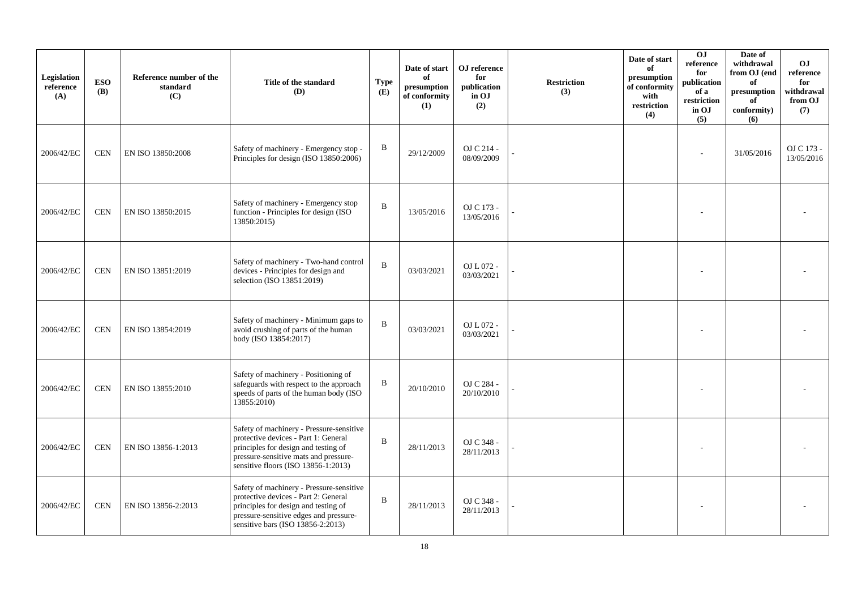| Legislation<br>reference<br>(A) | <b>ESO</b><br><b>(B)</b> | Reference number of the<br>standard<br>(C) | Title of the standard<br>(D)                                                                                                                                                                             | <b>Type</b><br>(E) | Date of start<br>of<br>presumption<br>of conformity<br>(1) | OJ reference<br>for<br>publication<br>in OJ<br>(2) | <b>Restriction</b><br>(3) | Date of start<br>of<br>presumption<br>of conformity<br>with<br>restriction<br>(4) | 0 <sub>J</sub><br>reference<br>for<br>publication<br>of a<br>restriction<br>in OJ<br>(5) | Date of<br>withdrawal<br>from OJ (end<br>of<br>presumption<br>of<br>conformity)<br>(6) | <b>OJ</b><br>reference<br>for<br>withdrawal<br>from OJ<br>(7) |
|---------------------------------|--------------------------|--------------------------------------------|----------------------------------------------------------------------------------------------------------------------------------------------------------------------------------------------------------|--------------------|------------------------------------------------------------|----------------------------------------------------|---------------------------|-----------------------------------------------------------------------------------|------------------------------------------------------------------------------------------|----------------------------------------------------------------------------------------|---------------------------------------------------------------|
| 2006/42/EC                      | <b>CEN</b>               | EN ISO 13850:2008                          | Safety of machinery - Emergency stop -<br>Principles for design (ISO 13850:2006)                                                                                                                         | B                  | 29/12/2009                                                 | OJ C 214 -<br>08/09/2009                           |                           |                                                                                   |                                                                                          | 31/05/2016                                                                             | OJ C 173 -<br>13/05/2016                                      |
| 2006/42/EC                      | <b>CEN</b>               | EN ISO 13850:2015                          | Safety of machinery - Emergency stop<br>function - Principles for design (ISO<br>13850:2015)                                                                                                             | B                  | 13/05/2016                                                 | OJ C 173 -<br>13/05/2016                           |                           |                                                                                   |                                                                                          |                                                                                        |                                                               |
| 2006/42/EC                      | <b>CEN</b>               | EN ISO 13851:2019                          | Safety of machinery - Two-hand control<br>devices - Principles for design and<br>selection (ISO 13851:2019)                                                                                              | B                  | 03/03/2021                                                 | OJ L 072 -<br>03/03/2021                           |                           |                                                                                   |                                                                                          |                                                                                        |                                                               |
| 2006/42/EC                      | <b>CEN</b>               | EN ISO 13854:2019                          | Safety of machinery - Minimum gaps to<br>avoid crushing of parts of the human<br>body (ISO 13854:2017)                                                                                                   | B                  | 03/03/2021                                                 | OJ L 072 -<br>03/03/2021                           |                           |                                                                                   |                                                                                          |                                                                                        |                                                               |
| 2006/42/EC                      | <b>CEN</b>               | EN ISO 13855:2010                          | Safety of machinery - Positioning of<br>safeguards with respect to the approach<br>speeds of parts of the human body (ISO<br>13855:2010)                                                                 | B                  | 20/10/2010                                                 | OJ C 284 -<br>20/10/2010                           |                           |                                                                                   |                                                                                          |                                                                                        |                                                               |
| 2006/42/EC                      | <b>CEN</b>               | EN ISO 13856-1:2013                        | Safety of machinery - Pressure-sensitive<br>protective devices - Part 1: General<br>principles for design and testing of<br>pressure-sensitive mats and pressure-<br>sensitive floors (ISO 13856-1:2013) | B                  | 28/11/2013                                                 | OJ C 348 -<br>28/11/2013                           |                           |                                                                                   |                                                                                          |                                                                                        |                                                               |
| 2006/42/EC                      | <b>CEN</b>               | EN ISO 13856-2:2013                        | Safety of machinery - Pressure-sensitive<br>protective devices - Part 2: General<br>principles for design and testing of<br>pressure-sensitive edges and pressure-<br>sensitive bars (ISO 13856-2:2013)  | B                  | 28/11/2013                                                 | OJ C 348 -<br>28/11/2013                           |                           |                                                                                   |                                                                                          |                                                                                        |                                                               |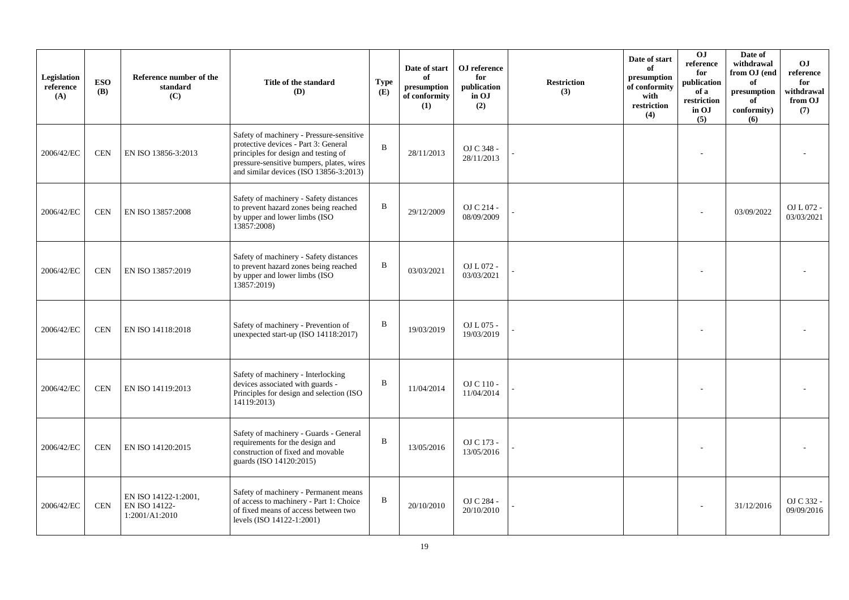| Legislation<br>reference<br>(A) | <b>ESO</b><br><b>(B)</b> | Reference number of the<br>standard<br>(C)              | Title of the standard<br>(D)                                                                                                                                                                                       | <b>Type</b><br>(E) | Date of start<br>of<br>presumption<br>of conformity<br>(1) | OJ reference<br>for<br>publication<br>in OJ<br>(2) | <b>Restriction</b><br>(3) | Date of start<br>of<br>presumption<br>of conformity<br>with<br>restriction<br>(4) | OJ<br>$\rm reference$<br>for<br>publication<br>of a<br>restriction<br>in OJ<br>(5) | Date of<br>withdrawal<br>from OJ (end<br>of<br>presumption<br>of<br>conformity)<br>(6) | <b>OJ</b><br>reference<br>for<br>withdrawal<br>from OJ<br>(7) |
|---------------------------------|--------------------------|---------------------------------------------------------|--------------------------------------------------------------------------------------------------------------------------------------------------------------------------------------------------------------------|--------------------|------------------------------------------------------------|----------------------------------------------------|---------------------------|-----------------------------------------------------------------------------------|------------------------------------------------------------------------------------|----------------------------------------------------------------------------------------|---------------------------------------------------------------|
| 2006/42/EC                      | <b>CEN</b>               | EN ISO 13856-3:2013                                     | Safety of machinery - Pressure-sensitive<br>protective devices - Part 3: General<br>principles for design and testing of<br>pressure-sensitive bumpers, plates, wires<br>and similar devices (ISO $13856-3:2013$ ) | B                  | 28/11/2013                                                 | OJ C 348 -<br>28/11/2013                           |                           |                                                                                   |                                                                                    |                                                                                        |                                                               |
| 2006/42/EC                      | <b>CEN</b>               | EN ISO 13857:2008                                       | Safety of machinery - Safety distances<br>to prevent hazard zones being reached<br>by upper and lower limbs (ISO<br>13857:2008)                                                                                    | B                  | 29/12/2009                                                 | OJ C 214 -<br>08/09/2009                           |                           |                                                                                   |                                                                                    | 03/09/2022                                                                             | OJ L 072 -<br>03/03/2021                                      |
| 2006/42/EC                      | <b>CEN</b>               | EN ISO 13857:2019                                       | Safety of machinery - Safety distances<br>to prevent hazard zones being reached<br>by upper and lower limbs (ISO<br>13857:2019)                                                                                    | B                  | 03/03/2021                                                 | OJ L 072 -<br>03/03/2021                           |                           |                                                                                   |                                                                                    |                                                                                        |                                                               |
| 2006/42/EC                      | <b>CEN</b>               | EN ISO 14118:2018                                       | Safety of machinery - Prevention of<br>unexpected start-up (ISO 14118:2017)                                                                                                                                        | B                  | 19/03/2019                                                 | OJ L 075 -<br>19/03/2019                           |                           |                                                                                   |                                                                                    |                                                                                        |                                                               |
| 2006/42/EC                      | <b>CEN</b>               | EN ISO 14119:2013                                       | Safety of machinery - Interlocking<br>devices associated with guards -<br>Principles for design and selection (ISO<br>14119:2013)                                                                                  | B                  | 11/04/2014                                                 | OJ C 110 -<br>11/04/2014                           |                           |                                                                                   |                                                                                    |                                                                                        |                                                               |
| 2006/42/EC                      | <b>CEN</b>               | EN ISO 14120:2015                                       | Safety of machinery - Guards - General<br>requirements for the design and<br>construction of fixed and movable<br>guards (ISO 14120:2015)                                                                          | B                  | 13/05/2016                                                 | OJ C 173 -<br>13/05/2016                           |                           |                                                                                   |                                                                                    |                                                                                        |                                                               |
| 2006/42/EC                      | <b>CEN</b>               | EN ISO 14122-1:2001,<br>EN ISO 14122-<br>1:2001/A1:2010 | Safety of machinery - Permanent means<br>of access to machinery - Part 1: Choice<br>of fixed means of access between two<br>levels (ISO 14122-1:2001)                                                              | B                  | 20/10/2010                                                 | OJ C 284 -<br>20/10/2010                           |                           |                                                                                   |                                                                                    | 31/12/2016                                                                             | OJ C 332 -<br>09/09/2016                                      |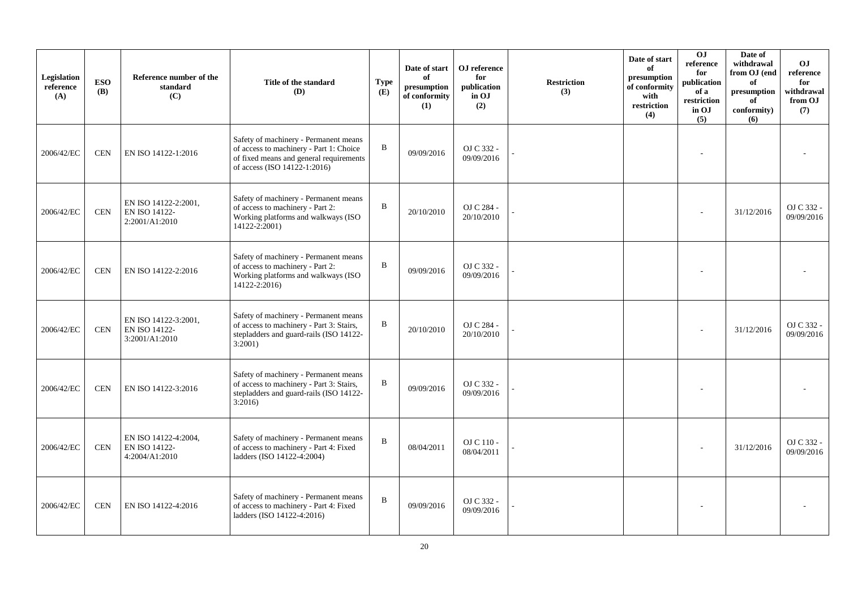| Legislation<br>reference<br>(A) | <b>ESO</b><br><b>(B)</b> | Reference number of the<br>standard<br>(C)                     | Title of the standard<br>(D)                                                                                                                                | <b>Type</b><br>(E) | Date of start<br>of<br>presumption<br>of conformity<br>(1) | OJ reference<br>for<br>publication<br>in OJ<br>(2) | <b>Restriction</b><br>(3) | Date of start<br>of<br>presumption<br>of conformity<br>with<br>restriction<br>(4) | 0J<br>$\rm reference$<br>for<br>publication<br>of a<br>restriction<br>in OJ<br>(5) | Date of<br>withdrawal<br>from OJ (end<br>of<br>presumption<br>of<br>conformity)<br>(6) | O <sub>J</sub><br>reference<br>for<br>withdrawal<br>from OJ<br>(7) |
|---------------------------------|--------------------------|----------------------------------------------------------------|-------------------------------------------------------------------------------------------------------------------------------------------------------------|--------------------|------------------------------------------------------------|----------------------------------------------------|---------------------------|-----------------------------------------------------------------------------------|------------------------------------------------------------------------------------|----------------------------------------------------------------------------------------|--------------------------------------------------------------------|
| 2006/42/EC                      | <b>CEN</b>               | EN ISO 14122-1:2016                                            | Safety of machinery - Permanent means<br>of access to machinery - Part 1: Choice<br>of fixed means and general requirements<br>of access (ISO 14122-1:2016) | B                  | 09/09/2016                                                 | OJ C 332 -<br>09/09/2016                           |                           |                                                                                   |                                                                                    |                                                                                        |                                                                    |
| 2006/42/EC                      | <b>CEN</b>               | EN ISO 14122-2:2001,<br>EN ISO 14122-<br>2:2001/A1:2010        | Safety of machinery - Permanent means<br>of access to machinery - Part 2:<br>Working platforms and walkways (ISO<br>14122-2:2001)                           | B                  | 20/10/2010                                                 | OJ C 284 -<br>20/10/2010                           |                           |                                                                                   |                                                                                    | 31/12/2016                                                                             | OJ C 332 -<br>09/09/2016                                           |
| 2006/42/EC                      | <b>CEN</b>               | EN ISO 14122-2:2016                                            | Safety of machinery - Permanent means<br>of access to machinery - Part 2:<br>Working platforms and walkways (ISO<br>14122-2:2016)                           | B                  | 09/09/2016                                                 | OJ C 332 -<br>09/09/2016                           |                           |                                                                                   |                                                                                    |                                                                                        |                                                                    |
| 2006/42/EC                      | <b>CEN</b>               | EN ISO 14122-3:2001,<br><b>EN ISO 14122-</b><br>3:2001/A1:2010 | Safety of machinery - Permanent means<br>of access to machinery - Part 3: Stairs,<br>stepladders and guard-rails (ISO 14122-<br>$3:2001$ )                  | B                  | 20/10/2010                                                 | OJ C 284 -<br>20/10/2010                           |                           |                                                                                   |                                                                                    | 31/12/2016                                                                             | OJ C 332 -<br>09/09/2016                                           |
| 2006/42/EC                      | <b>CEN</b>               | EN ISO 14122-3:2016                                            | Safety of machinery - Permanent means<br>of access to machinery - Part 3: Stairs,<br>stepladders and guard-rails (ISO 14122-<br>3:2016                      | B                  | 09/09/2016                                                 | OJ C 332 -<br>09/09/2016                           |                           |                                                                                   |                                                                                    |                                                                                        |                                                                    |
| 2006/42/EC                      | <b>CEN</b>               | EN ISO 14122-4:2004,<br>EN ISO 14122-<br>4:2004/A1:2010        | Safety of machinery - Permanent means<br>of access to machinery - Part 4: Fixed<br>ladders (ISO 14122-4:2004)                                               | B                  | 08/04/2011                                                 | OJ C 110 -<br>08/04/2011                           |                           |                                                                                   |                                                                                    | 31/12/2016                                                                             | OJ C 332 -<br>09/09/2016                                           |
| 2006/42/EC                      | <b>CEN</b>               | EN ISO 14122-4:2016                                            | Safety of machinery - Permanent means<br>of access to machinery - Part 4: Fixed<br>ladders (ISO 14122-4:2016)                                               | B                  | 09/09/2016                                                 | OJ C 332 -<br>09/09/2016                           |                           |                                                                                   |                                                                                    |                                                                                        |                                                                    |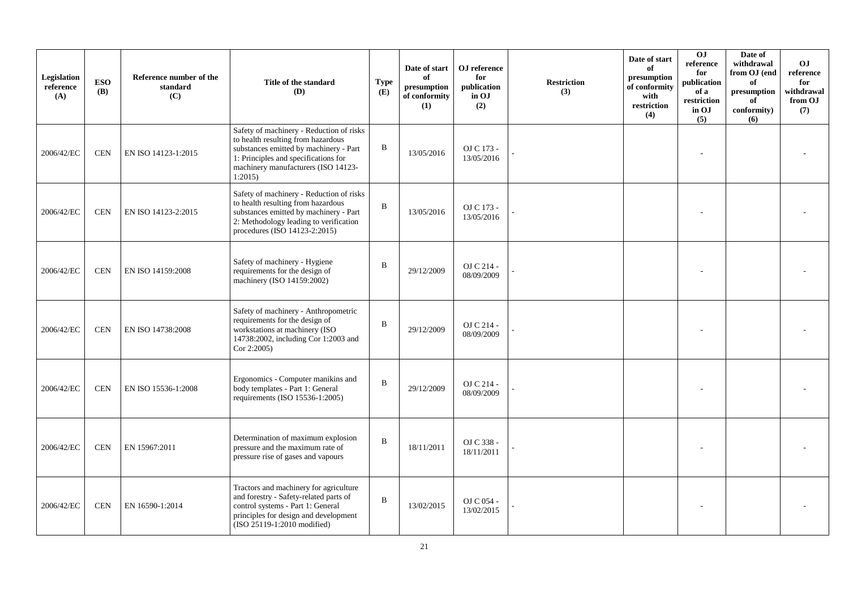| Legislation<br>reference<br>(A) | <b>ESO</b><br><b>(B)</b> | Reference number of the<br>standard<br>(C) | Title of the standard<br>(D)                                                                                                                                                                                      | <b>Type</b><br>(E) | Date of start<br>of<br>presumption<br>of conformity<br>(1) | OJ reference<br>for<br>publication<br>in OJ<br>(2) | <b>Restriction</b><br>(3) | Date of start<br>of<br>presumption<br>of conformity<br>with<br>restriction<br>(4) | O <sub>J</sub><br>reference<br>for<br>publication<br>of a<br>restriction<br>in OJ<br>(5) | Date of<br>withdrawal<br>from OJ (end<br>of<br>presumption<br>of<br>conformity)<br>(6) | OJ.<br>reference<br>for<br>withdrawal<br>from OJ<br>(7) |
|---------------------------------|--------------------------|--------------------------------------------|-------------------------------------------------------------------------------------------------------------------------------------------------------------------------------------------------------------------|--------------------|------------------------------------------------------------|----------------------------------------------------|---------------------------|-----------------------------------------------------------------------------------|------------------------------------------------------------------------------------------|----------------------------------------------------------------------------------------|---------------------------------------------------------|
| 2006/42/EC                      | <b>CEN</b>               | EN ISO 14123-1:2015                        | Safety of machinery - Reduction of risks<br>to health resulting from hazardous<br>substances emitted by machinery - Part<br>1: Principles and specifications for<br>machinery manufacturers (ISO 14123-<br>1:2015 | $\bf{B}$           | 13/05/2016                                                 | OJ C 173 -<br>13/05/2016                           |                           |                                                                                   |                                                                                          |                                                                                        |                                                         |
| 2006/42/EC                      | <b>CEN</b>               | EN ISO 14123-2:2015                        | Safety of machinery - Reduction of risks<br>to health resulting from hazardous<br>substances emitted by machinery - Part<br>2: Methodology leading to verification<br>procedures (ISO 14123-2:2015)               | $\mathbf B$        | 13/05/2016                                                 | OJ C 173 -<br>13/05/2016                           |                           |                                                                                   |                                                                                          |                                                                                        |                                                         |
| 2006/42/EC                      | <b>CEN</b>               | EN ISO 14159:2008                          | Safety of machinery - Hygiene<br>requirements for the design of<br>machinery (ISO 14159:2002)                                                                                                                     | $\, {\bf B}$       | 29/12/2009                                                 | OJ C 214 -<br>08/09/2009                           |                           |                                                                                   |                                                                                          |                                                                                        |                                                         |
| 2006/42/EC                      | <b>CEN</b>               | EN ISO 14738:2008                          | Safety of machinery - Anthropometric<br>requirements for the design of<br>workstations at machinery (ISO<br>14738:2002, including Cor 1:2003 and<br>Cor 2:2005)                                                   | $\, {\bf B}$       | 29/12/2009                                                 | OJ C 214 -<br>08/09/2009                           |                           |                                                                                   |                                                                                          |                                                                                        |                                                         |
| 2006/42/EC                      | <b>CEN</b>               | EN ISO 15536-1:2008                        | Ergonomics - Computer manikins and<br>body templates - Part 1: General<br>requirements (ISO 15536-1:2005)                                                                                                         | $\bf{B}$           | 29/12/2009                                                 | OJ C 214 -<br>08/09/2009                           |                           |                                                                                   |                                                                                          |                                                                                        |                                                         |
| 2006/42/EC                      | <b>CEN</b>               | EN 15967:2011                              | Determination of maximum explosion<br>pressure and the maximum rate of<br>pressure rise of gases and vapours                                                                                                      | $\, {\bf B}$       | 18/11/2011                                                 | OJ C 338 -<br>18/11/2011                           |                           |                                                                                   |                                                                                          |                                                                                        |                                                         |
| 2006/42/EC                      | <b>CEN</b>               | EN 16590-1:2014                            | Tractors and machinery for agriculture<br>and forestry - Safety-related parts of<br>control systems - Part 1: General<br>principles for design and development<br>(ISO 25119-1:2010 modified)                     | $\, {\bf B}$       | 13/02/2015                                                 | OJ C 054 -<br>13/02/2015                           |                           |                                                                                   |                                                                                          |                                                                                        |                                                         |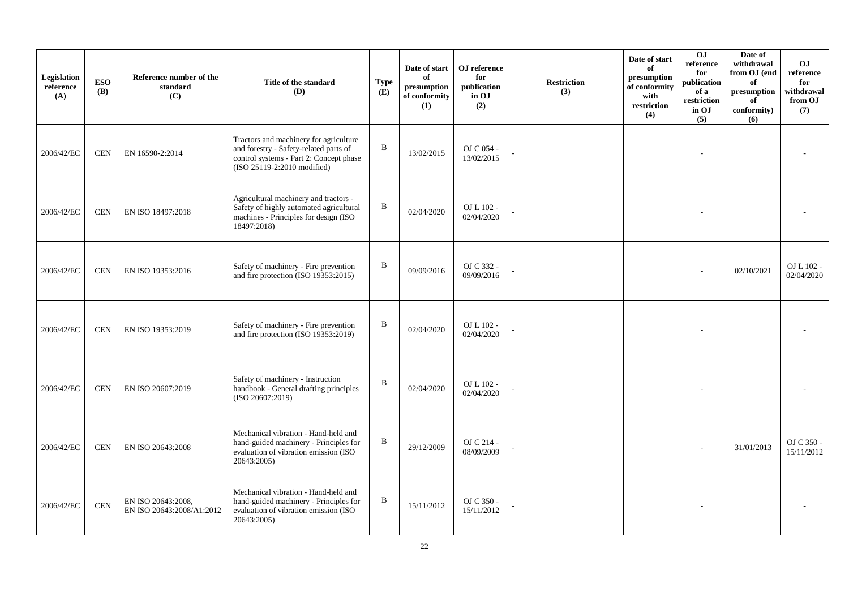| Legislation<br>reference<br>(A) | <b>ESO</b><br><b>(B)</b> | Reference number of the<br>standard<br>(C)      | Title of the standard<br>(D)                                                                                                                               | <b>Type</b><br>(E) | Date of start<br>of<br>presumption<br>of conformity<br>(1) | OJ reference<br>for<br>publication<br>in OJ<br>(2) | <b>Restriction</b><br>(3) | Date of start<br>of<br>presumption<br>of conformity<br>with<br>restriction<br>(4) | 0J<br>reference<br>for<br>publication<br>of a<br>restriction<br>in OJ<br>(5) | Date of<br>withdrawal<br>from OJ (end<br>of<br>presumption<br>of<br>conformity)<br>(6) | O <sub>J</sub><br>reference<br>for<br>withdrawal<br>from OJ<br>(7) |
|---------------------------------|--------------------------|-------------------------------------------------|------------------------------------------------------------------------------------------------------------------------------------------------------------|--------------------|------------------------------------------------------------|----------------------------------------------------|---------------------------|-----------------------------------------------------------------------------------|------------------------------------------------------------------------------|----------------------------------------------------------------------------------------|--------------------------------------------------------------------|
| 2006/42/EC                      | <b>CEN</b>               | EN 16590-2:2014                                 | Tractors and machinery for agriculture<br>and forestry - Safety-related parts of<br>control systems - Part 2: Concept phase<br>(ISO 25119-2:2010 modified) | B                  | 13/02/2015                                                 | OJ C 054 -<br>13/02/2015                           |                           |                                                                                   |                                                                              |                                                                                        |                                                                    |
| 2006/42/EC                      | <b>CEN</b>               | EN ISO 18497:2018                               | Agricultural machinery and tractors -<br>Safety of highly automated agricultural<br>machines - Principles for design (ISO<br>18497:2018)                   | $\, {\bf B}$       | 02/04/2020                                                 | OJ L 102 -<br>02/04/2020                           |                           |                                                                                   |                                                                              |                                                                                        |                                                                    |
| 2006/42/EC                      | <b>CEN</b>               | EN ISO 19353:2016                               | Safety of machinery - Fire prevention<br>and fire protection (ISO 19353:2015)                                                                              | $\, {\bf B}$       | 09/09/2016                                                 | OJ C 332 -<br>09/09/2016                           |                           |                                                                                   |                                                                              | 02/10/2021                                                                             | OJ L 102 -<br>02/04/2020                                           |
| 2006/42/EC                      | <b>CEN</b>               | EN ISO 19353:2019                               | Safety of machinery - Fire prevention<br>and fire protection (ISO 19353:2019)                                                                              | $\, {\bf B}$       | 02/04/2020                                                 | OJ L 102 -<br>02/04/2020                           |                           |                                                                                   |                                                                              |                                                                                        |                                                                    |
| 2006/42/EC                      | <b>CEN</b>               | EN ISO 20607:2019                               | Safety of machinery - Instruction<br>handbook - General drafting principles<br>(ISO 20607:2019)                                                            | $\, {\bf B}$       | 02/04/2020                                                 | OJ L 102 -<br>02/04/2020                           |                           |                                                                                   |                                                                              |                                                                                        |                                                                    |
| 2006/42/EC                      | <b>CEN</b>               | EN ISO 20643:2008                               | Mechanical vibration - Hand-held and<br>hand-guided machinery - Principles for<br>evaluation of vibration emission (ISO<br>20643:2005)                     | B                  | 29/12/2009                                                 | OJ C 214 -<br>08/09/2009                           |                           |                                                                                   |                                                                              | 31/01/2013                                                                             | OJ C 350 -<br>15/11/2012                                           |
| 2006/42/EC                      | <b>CEN</b>               | EN ISO 20643:2008,<br>EN ISO 20643:2008/A1:2012 | Mechanical vibration - Hand-held and<br>hand-guided machinery - Principles for<br>evaluation of vibration emission (ISO<br>20643:2005)                     | B                  | 15/11/2012                                                 | OJ C 350 -<br>15/11/2012                           |                           |                                                                                   |                                                                              |                                                                                        |                                                                    |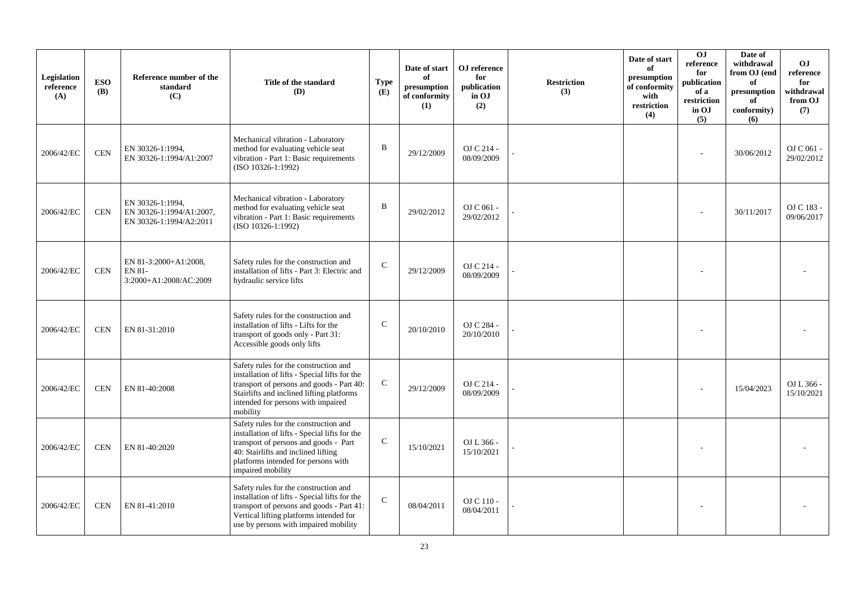| Legislation<br>reference<br>(A) | <b>ESO</b><br><b>(B)</b> | Reference number of the<br>standard<br>(C)                              | Title of the standard<br><b>(D)</b>                                                                                                                                                                                                | <b>Type</b><br>(E) | Date of start<br>of<br>presumption<br>of conformity<br>(1) | OJ reference<br>for<br>publication<br>in OJ<br>(2) | <b>Restriction</b><br>(3) | Date of start<br>of<br>presumption<br>of conformity<br>with<br>restriction<br>(4) | OJ<br>reference<br>for<br>publication<br>of a<br>restriction<br>in OJ<br>(5) | Date of<br>withdrawal<br>from OJ (end<br>of<br>presumption<br>of<br>conformity)<br>(6) | O <sub>J</sub><br>reference<br>for<br>withdrawal<br>from OJ<br>(7) |
|---------------------------------|--------------------------|-------------------------------------------------------------------------|------------------------------------------------------------------------------------------------------------------------------------------------------------------------------------------------------------------------------------|--------------------|------------------------------------------------------------|----------------------------------------------------|---------------------------|-----------------------------------------------------------------------------------|------------------------------------------------------------------------------|----------------------------------------------------------------------------------------|--------------------------------------------------------------------|
| 2006/42/EC                      | <b>CEN</b>               | EN 30326-1:1994,<br>EN 30326-1:1994/A1:2007                             | Mechanical vibration - Laboratory<br>method for evaluating vehicle seat<br>vibration - Part 1: Basic requirements<br>(ISO 10326-1:1992)                                                                                            | B                  | 29/12/2009                                                 | OJ C 214 -<br>08/09/2009                           |                           |                                                                                   |                                                                              | 30/06/2012                                                                             | OJ C 061 -<br>29/02/2012                                           |
| 2006/42/EC                      | <b>CEN</b>               | EN 30326-1:1994,<br>EN 30326-1:1994/A1:2007,<br>EN 30326-1:1994/A2:2011 | Mechanical vibration - Laboratory<br>method for evaluating vehicle seat<br>vibration - Part 1: Basic requirements<br>(ISO 10326-1:1992)                                                                                            | B                  | 29/02/2012                                                 | OJ C 061 -<br>29/02/2012                           |                           |                                                                                   |                                                                              | 30/11/2017                                                                             | OJ C 183 -<br>09/06/2017                                           |
| 2006/42/EC                      | <b>CEN</b>               | EN 81-3:2000+A1:2008,<br>EN 81-<br>3:2000+A1:2008/AC:2009               | Safety rules for the construction and<br>installation of lifts - Part 3: Electric and<br>hydraulic service lifts                                                                                                                   | $\mathbf C$        | 29/12/2009                                                 | OJ C 214 -<br>08/09/2009                           |                           |                                                                                   |                                                                              |                                                                                        |                                                                    |
| 2006/42/EC                      | <b>CEN</b>               | EN 81-31:2010                                                           | Safety rules for the construction and<br>installation of lifts - Lifts for the<br>transport of goods only - Part 31:<br>Accessible goods only lifts                                                                                | $\mathsf{C}$       | 20/10/2010                                                 | OJ C 284 -<br>20/10/2010                           |                           |                                                                                   |                                                                              |                                                                                        |                                                                    |
| 2006/42/EC                      | <b>CEN</b>               | EN 81-40:2008                                                           | Safety rules for the construction and<br>installation of lifts - Special lifts for the<br>transport of persons and goods - Part 40:<br>Stairlifts and inclined lifting platforms<br>intended for persons with impaired<br>mobility | C                  | 29/12/2009                                                 | OJ C 214 -<br>08/09/2009                           |                           |                                                                                   |                                                                              | 15/04/2023                                                                             | OJ L 366 -<br>15/10/2021                                           |
| 2006/42/EC                      | <b>CEN</b>               | EN 81-40:2020                                                           | Safety rules for the construction and<br>installation of lifts - Special lifts for the<br>transport of persons and goods - Part<br>40: Stairlifts and inclined lifting<br>platforms intended for persons with<br>impaired mobility | $\mathsf{C}$       | 15/10/2021                                                 | OJ L 366 -<br>15/10/2021                           |                           |                                                                                   |                                                                              |                                                                                        |                                                                    |
| 2006/42/EC                      | <b>CEN</b>               | EN 81-41:2010                                                           | Safety rules for the construction and<br>installation of lifts - Special lifts for the<br>transport of persons and goods - Part 41:<br>Vertical lifting platforms intended for<br>use by persons with impaired mobility            | $\mathbf C$        | 08/04/2011                                                 | OJ C 110 -<br>08/04/2011                           |                           |                                                                                   |                                                                              |                                                                                        |                                                                    |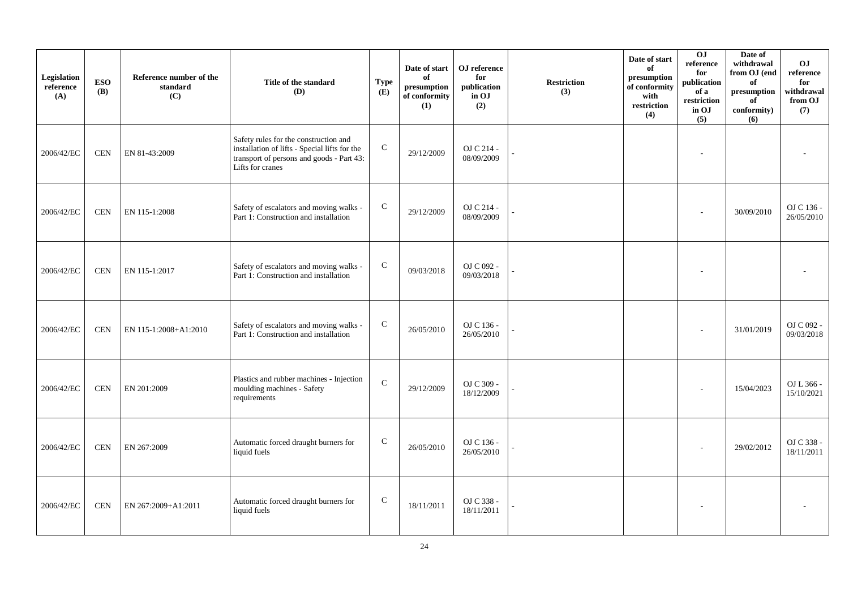| Legislation<br>reference<br>(A) | <b>ESO</b><br><b>(B)</b> | Reference number of the<br>standard<br>(C) | Title of the standard<br>(D)                                                                                                                            | <b>Type</b><br>(E) | Date of start<br>of<br>presumption<br>of conformity<br>(1) | OJ reference<br>for<br>publication<br>in OJ<br>(2) | <b>Restriction</b><br>(3) | Date of start<br>of<br>presumption<br>of conformity<br>with<br>restriction<br>(4) | 0J<br>reference<br>for<br>publication<br>of a<br>restriction<br>in OJ<br>(5) | Date of<br>withdrawal<br>from OJ (end<br>of<br>$\bf{presumption}$<br>of<br>conformity)<br>(6) | OJ<br>$\rm reference$<br>for<br>withdrawal<br>from OJ<br>(7) |
|---------------------------------|--------------------------|--------------------------------------------|---------------------------------------------------------------------------------------------------------------------------------------------------------|--------------------|------------------------------------------------------------|----------------------------------------------------|---------------------------|-----------------------------------------------------------------------------------|------------------------------------------------------------------------------|-----------------------------------------------------------------------------------------------|--------------------------------------------------------------|
| 2006/42/EC                      | <b>CEN</b>               | EN 81-43:2009                              | Safety rules for the construction and<br>installation of lifts - Special lifts for the<br>transport of persons and goods - Part 43:<br>Lifts for cranes | $\mathbf C$        | 29/12/2009                                                 | OJ C 214 -<br>08/09/2009                           |                           |                                                                                   |                                                                              |                                                                                               |                                                              |
| 2006/42/EC                      | <b>CEN</b>               | EN 115-1:2008                              | Safety of escalators and moving walks -<br>Part 1: Construction and installation                                                                        | $\mathbf C$        | 29/12/2009                                                 | OJ C 214 -<br>08/09/2009                           |                           |                                                                                   |                                                                              | 30/09/2010                                                                                    | OJ C 136 -<br>26/05/2010                                     |
| 2006/42/EC                      | <b>CEN</b>               | EN 115-1:2017                              | Safety of escalators and moving walks -<br>Part 1: Construction and installation                                                                        | $\mathbf C$        | 09/03/2018                                                 | OJ C 092 -<br>09/03/2018                           |                           |                                                                                   | ٠                                                                            |                                                                                               |                                                              |
| 2006/42/EC                      | <b>CEN</b>               | EN 115-1:2008+A1:2010                      | Safety of escalators and moving walks -<br>Part 1: Construction and installation                                                                        | $\mathsf{C}$       | 26/05/2010                                                 | OJ C 136 -<br>26/05/2010                           |                           |                                                                                   |                                                                              | 31/01/2019                                                                                    | OJ C 092 -<br>09/03/2018                                     |
| 2006/42/EC                      | <b>CEN</b>               | EN 201:2009                                | Plastics and rubber machines - Injection<br>moulding machines - Safety<br>requirements                                                                  | $\mathbf C$        | 29/12/2009                                                 | OJ C 309 -<br>18/12/2009                           |                           |                                                                                   |                                                                              | 15/04/2023                                                                                    | OJ L 366 -<br>15/10/2021                                     |
| 2006/42/EC                      | <b>CEN</b>               | EN 267:2009                                | Automatic forced draught burners for<br>liquid fuels                                                                                                    | $\mathbf C$        | 26/05/2010                                                 | OJ C 136 -<br>26/05/2010                           |                           |                                                                                   |                                                                              | 29/02/2012                                                                                    | OJ C 338 -<br>18/11/2011                                     |
| 2006/42/EC                      | <b>CEN</b>               | EN 267:2009+A1:2011                        | Automatic forced draught burners for<br>liquid fuels                                                                                                    | $\mathbf C$        | 18/11/2011                                                 | OJ C 338 -<br>18/11/2011                           |                           |                                                                                   |                                                                              |                                                                                               |                                                              |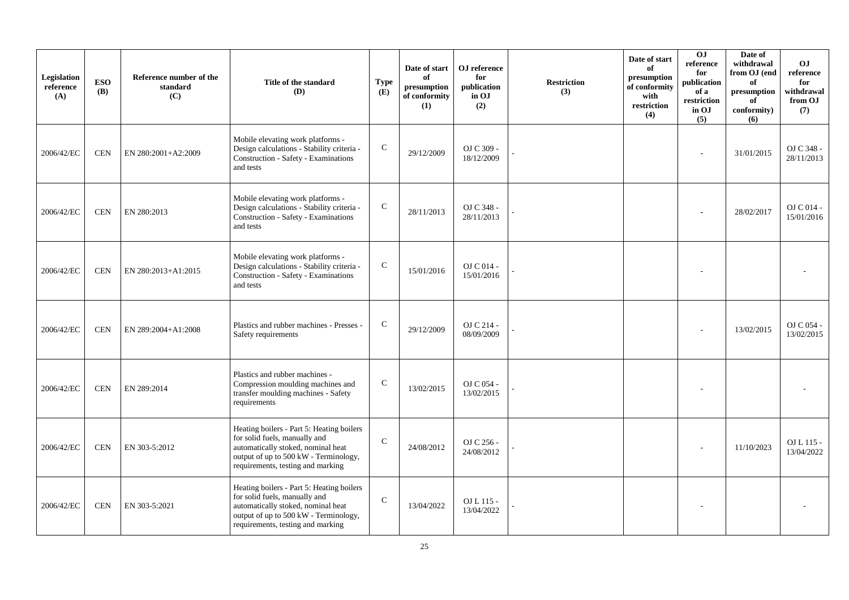| Legislation<br>reference<br>(A) | <b>ESO</b><br><b>(B)</b> | Reference number of the<br>standard<br>(C) | Title of the standard<br>(D)                                                                                                                                                                   | <b>Type</b><br>(E) | Date of start<br>of<br>presumption<br>of conformity<br>(1) | OJ reference<br>for<br>publication<br>in OJ<br>(2) | <b>Restriction</b><br>(3) | Date of start<br>of<br>presumption<br>of conformity<br>with<br>restriction<br>(4) | OJ<br>$\rm reference$<br>for<br>publication<br>of a<br>restriction<br>in OJ<br>(5) | Date of<br>withdrawal<br>from OJ (end<br>of<br>presumption<br>of<br>conformity)<br>(6) | O <sub>J</sub><br>reference<br>for<br>withdrawal<br>from OJ<br>(7) |
|---------------------------------|--------------------------|--------------------------------------------|------------------------------------------------------------------------------------------------------------------------------------------------------------------------------------------------|--------------------|------------------------------------------------------------|----------------------------------------------------|---------------------------|-----------------------------------------------------------------------------------|------------------------------------------------------------------------------------|----------------------------------------------------------------------------------------|--------------------------------------------------------------------|
| 2006/42/EC                      | <b>CEN</b>               | EN 280:2001+A2:2009                        | Mobile elevating work platforms -<br>Design calculations - Stability criteria -<br>Construction - Safety - Examinations<br>and tests                                                           | $\mathsf{C}$       | 29/12/2009                                                 | OJ C 309 -<br>18/12/2009                           |                           |                                                                                   |                                                                                    | 31/01/2015                                                                             | OJ C 348 -<br>28/11/2013                                           |
| 2006/42/EC                      | <b>CEN</b>               | EN 280:2013                                | Mobile elevating work platforms -<br>Design calculations - Stability criteria -<br>Construction - Safety - Examinations<br>and tests                                                           | $\mathsf{C}$       | 28/11/2013                                                 | OJ C 348 -<br>28/11/2013                           |                           |                                                                                   |                                                                                    | 28/02/2017                                                                             | OJ C 014 -<br>15/01/2016                                           |
| 2006/42/EC                      | <b>CEN</b>               | EN 280:2013+A1:2015                        | Mobile elevating work platforms -<br>Design calculations - Stability criteria -<br>Construction - Safety - Examinations<br>and tests                                                           | $\mathsf{C}$       | 15/01/2016                                                 | OJ C 014 -<br>15/01/2016                           |                           |                                                                                   |                                                                                    |                                                                                        |                                                                    |
| 2006/42/EC                      | <b>CEN</b>               | EN 289:2004+A1:2008                        | Plastics and rubber machines - Presses -<br>Safety requirements                                                                                                                                | $\mathbf C$        | 29/12/2009                                                 | OJ C 214 -<br>08/09/2009                           |                           |                                                                                   |                                                                                    | 13/02/2015                                                                             | OJ C 054 -<br>13/02/2015                                           |
| 2006/42/EC                      | <b>CEN</b>               | EN 289:2014                                | Plastics and rubber machines -<br>Compression moulding machines and<br>transfer moulding machines - Safety<br>requirements                                                                     | $\mathsf{C}$       | 13/02/2015                                                 | OJ C 054 -<br>13/02/2015                           |                           |                                                                                   |                                                                                    |                                                                                        |                                                                    |
| 2006/42/EC                      | <b>CEN</b>               | EN 303-5:2012                              | Heating boilers - Part 5: Heating boilers<br>for solid fuels, manually and<br>automatically stoked, nominal heat<br>output of up to 500 kW - Terminology,<br>requirements, testing and marking | $\mathbf C$        | 24/08/2012                                                 | OJ C 256 -<br>24/08/2012                           |                           |                                                                                   |                                                                                    | 11/10/2023                                                                             | OJ L 115 -<br>13/04/2022                                           |
| 2006/42/EC                      | <b>CEN</b>               | EN 303-5:2021                              | Heating boilers - Part 5: Heating boilers<br>for solid fuels, manually and<br>automatically stoked, nominal heat<br>output of up to 500 kW - Terminology,<br>requirements, testing and marking | $\mathbf C$        | 13/04/2022                                                 | OJ L 115 -<br>13/04/2022                           |                           |                                                                                   |                                                                                    |                                                                                        |                                                                    |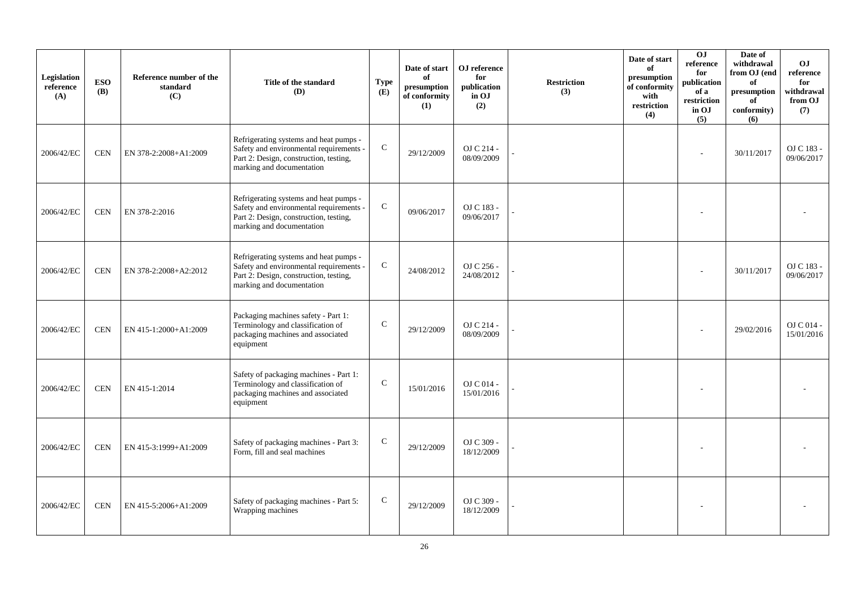| Legislation<br>reference<br>(A) | <b>ESO</b><br><b>(B)</b> | Reference number of the<br>standard<br>(C) | Title of the standard<br><b>(D)</b>                                                                                                                      | <b>Type</b><br>(E) | Date of start<br>of<br>presumption<br>of conformity<br>(1) | OJ reference<br>for<br>publication<br>in OJ<br>(2) | <b>Restriction</b><br>(3) | Date of start<br>of<br>presumption<br>of conformity<br>with<br>restriction<br>(4) | OJ<br>reference<br>for<br>publication<br>of a<br>restriction<br>in OJ<br>(5) | Date of<br>withdrawal<br>from OJ (end<br>of<br>presumption<br>of<br>conformity)<br>(6) | OJ.<br>reference<br>for<br>withdrawal<br>from OJ<br>(7) |
|---------------------------------|--------------------------|--------------------------------------------|----------------------------------------------------------------------------------------------------------------------------------------------------------|--------------------|------------------------------------------------------------|----------------------------------------------------|---------------------------|-----------------------------------------------------------------------------------|------------------------------------------------------------------------------|----------------------------------------------------------------------------------------|---------------------------------------------------------|
| 2006/42/EC                      | <b>CEN</b>               | EN 378-2:2008+A1:2009                      | Refrigerating systems and heat pumps -<br>Safety and environmental requirements -<br>Part 2: Design, construction, testing,<br>marking and documentation | ${\bf C}$          | 29/12/2009                                                 | OJ C 214 -<br>08/09/2009                           |                           |                                                                                   |                                                                              | 30/11/2017                                                                             | OJ C 183 -<br>09/06/2017                                |
| 2006/42/EC                      | <b>CEN</b>               | EN 378-2:2016                              | Refrigerating systems and heat pumps -<br>Safety and environmental requirements -<br>Part 2: Design, construction, testing,<br>marking and documentation | ${\bf C}$          | 09/06/2017                                                 | OJ C 183 -<br>09/06/2017                           |                           |                                                                                   |                                                                              |                                                                                        |                                                         |
| 2006/42/EC                      | <b>CEN</b>               | EN 378-2:2008+A2:2012                      | Refrigerating systems and heat pumps -<br>Safety and environmental requirements -<br>Part 2: Design, construction, testing,<br>marking and documentation | ${\bf C}$          | 24/08/2012                                                 | OJ C 256 -<br>24/08/2012                           |                           |                                                                                   |                                                                              | 30/11/2017                                                                             | OJ C 183 -<br>09/06/2017                                |
| 2006/42/EC                      | <b>CEN</b>               | EN 415-1:2000+A1:2009                      | Packaging machines safety - Part 1:<br>Terminology and classification of<br>packaging machines and associated<br>equipment                               | $\mathcal{C}$      | 29/12/2009                                                 | OJ C 214 -<br>08/09/2009                           |                           |                                                                                   |                                                                              | 29/02/2016                                                                             | OJ C 014 -<br>15/01/2016                                |
| 2006/42/EC                      | <b>CEN</b>               | EN 415-1:2014                              | Safety of packaging machines - Part 1:<br>Terminology and classification of<br>packaging machines and associated<br>equipment                            | $\mathbf C$        | 15/01/2016                                                 | OJ C 014 -<br>15/01/2016                           |                           |                                                                                   |                                                                              |                                                                                        |                                                         |
| 2006/42/EC                      | <b>CEN</b>               | EN 415-3:1999+A1:2009                      | Safety of packaging machines - Part 3:<br>Form, fill and seal machines                                                                                   | $\mathsf{C}$       | 29/12/2009                                                 | OJ C 309 -<br>18/12/2009                           |                           |                                                                                   |                                                                              |                                                                                        |                                                         |
| 2006/42/EC                      | <b>CEN</b>               | EN 415-5:2006+A1:2009                      | Safety of packaging machines - Part 5:<br>Wrapping machines                                                                                              | $\mathbf C$        | 29/12/2009                                                 | OJ C 309 -<br>18/12/2009                           |                           |                                                                                   |                                                                              |                                                                                        |                                                         |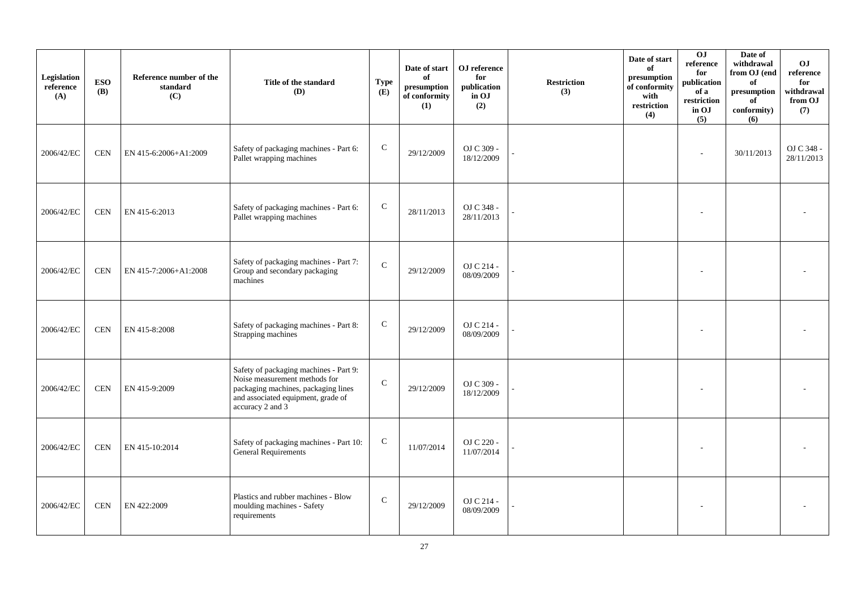| Legislation<br>reference<br>(A) | <b>ESO</b><br>(B) | Reference number of the<br>standard<br>(C) | Title of the standard<br>(D)                                                                                                                                             | <b>Type</b><br>(E) | Date of start<br>of<br>presumption<br>of conformity<br>(1) | OJ reference<br>for<br>publication<br>in OJ<br>(2) | <b>Restriction</b><br>(3) | Date of start<br>of<br>presumption<br>of conformity<br>with<br>restriction<br>(4) | 0J<br>reference<br>for<br>publication<br>of a<br>restriction<br>in OJ<br>(5) | Date of<br>withdrawal<br>from OJ (end<br>of<br>presumption<br>of<br>conformity)<br>(6) | O <sub>J</sub><br>reference<br>for<br>withdrawal<br>from OJ<br>(7) |
|---------------------------------|-------------------|--------------------------------------------|--------------------------------------------------------------------------------------------------------------------------------------------------------------------------|--------------------|------------------------------------------------------------|----------------------------------------------------|---------------------------|-----------------------------------------------------------------------------------|------------------------------------------------------------------------------|----------------------------------------------------------------------------------------|--------------------------------------------------------------------|
| 2006/42/EC                      | <b>CEN</b>        | EN 415-6:2006+A1:2009                      | Safety of packaging machines - Part 6:<br>Pallet wrapping machines                                                                                                       | $\mathbf C$        | 29/12/2009                                                 | OJ C 309 -<br>18/12/2009                           |                           |                                                                                   |                                                                              | 30/11/2013                                                                             | OJ C 348 -<br>28/11/2013                                           |
| 2006/42/EC                      | <b>CEN</b>        | EN 415-6:2013                              | Safety of packaging machines - Part 6:<br>Pallet wrapping machines                                                                                                       | ${\bf C}$          | 28/11/2013                                                 | OJ C 348 -<br>28/11/2013                           |                           |                                                                                   |                                                                              |                                                                                        |                                                                    |
| 2006/42/EC                      | <b>CEN</b>        | EN 415-7:2006+A1:2008                      | Safety of packaging machines - Part 7:<br>Group and secondary packaging<br>machines                                                                                      | $\mathcal{C}$      | 29/12/2009                                                 | OJ C 214 -<br>08/09/2009                           |                           |                                                                                   |                                                                              |                                                                                        |                                                                    |
| 2006/42/EC                      | <b>CEN</b>        | EN 415-8:2008                              | Safety of packaging machines - Part 8:<br>Strapping machines                                                                                                             | $\mathbf C$        | 29/12/2009                                                 | OJ C 214 -<br>08/09/2009                           |                           |                                                                                   |                                                                              |                                                                                        |                                                                    |
| 2006/42/EC                      | <b>CEN</b>        | EN 415-9:2009                              | Safety of packaging machines - Part 9:<br>Noise measurement methods for<br>packaging machines, packaging lines<br>and associated equipment, grade of<br>accuracy 2 and 3 | $\mathbf C$        | 29/12/2009                                                 | OJ C 309 -<br>18/12/2009                           |                           |                                                                                   |                                                                              |                                                                                        |                                                                    |
| 2006/42/EC                      | <b>CEN</b>        | EN 415-10:2014                             | Safety of packaging machines - Part 10:<br><b>General Requirements</b>                                                                                                   | $\mathbf C$        | 11/07/2014                                                 | OJ C 220 -<br>11/07/2014                           |                           |                                                                                   |                                                                              |                                                                                        |                                                                    |
| 2006/42/EC                      | <b>CEN</b>        | EN 422:2009                                | Plastics and rubber machines - Blow<br>moulding machines - Safety<br>requirements                                                                                        | $\mathsf{C}$       | 29/12/2009                                                 | OJ C 214 -<br>08/09/2009                           |                           |                                                                                   |                                                                              |                                                                                        |                                                                    |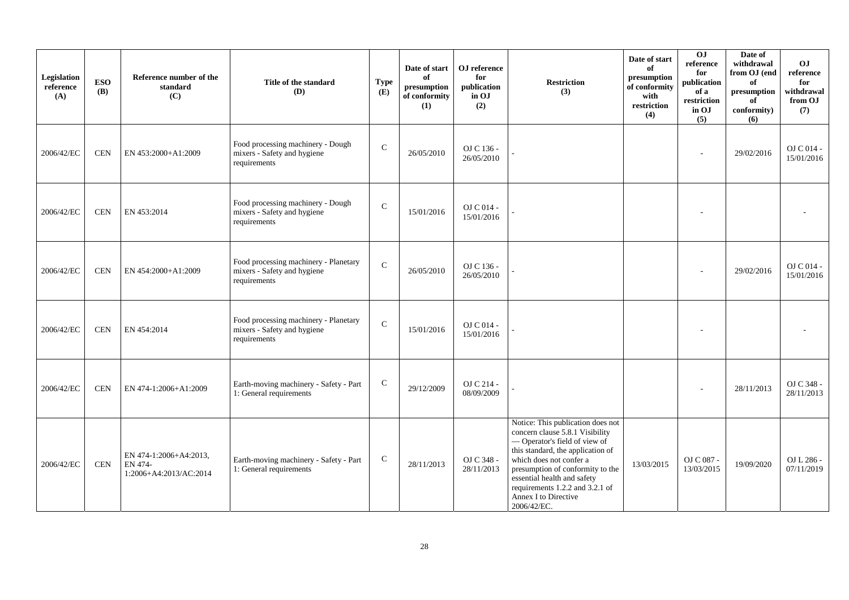| Legislation<br>reference<br>(A) | <b>ESO</b><br><b>(B)</b> | Reference number of the<br>standard<br>(C)                  | Title of the standard<br>(D)                                                         | <b>Type</b><br>(E) | Date of start<br>of<br>presumption<br>of conformity<br>(1) | OJ reference<br>for<br>publication<br>in OJ<br>(2) | <b>Restriction</b><br>(3)                                                                                                                                                                                                                                                                                         | Date of start<br>of<br>presumption<br>of conformity<br>with<br>restriction<br>(4) | OJ<br>reference<br>for<br>publication<br>of a<br>restriction<br>in OJ<br>(5) | Date of<br>withdrawal<br>from OJ (end<br>of<br>presumption<br>of<br>conformity)<br>(6) | OJ<br>reference<br>for<br>withdrawal<br>from OJ<br>(7) |
|---------------------------------|--------------------------|-------------------------------------------------------------|--------------------------------------------------------------------------------------|--------------------|------------------------------------------------------------|----------------------------------------------------|-------------------------------------------------------------------------------------------------------------------------------------------------------------------------------------------------------------------------------------------------------------------------------------------------------------------|-----------------------------------------------------------------------------------|------------------------------------------------------------------------------|----------------------------------------------------------------------------------------|--------------------------------------------------------|
| 2006/42/EC                      | <b>CEN</b>               | EN 453:2000+A1:2009                                         | Food processing machinery - Dough<br>mixers - Safety and hygiene<br>requirements     | $\mathsf{C}$       | 26/05/2010                                                 | OJ C 136 -<br>26/05/2010                           |                                                                                                                                                                                                                                                                                                                   |                                                                                   |                                                                              | 29/02/2016                                                                             | OJ C 014 -<br>15/01/2016                               |
| 2006/42/EC                      | <b>CEN</b>               | EN 453:2014                                                 | Food processing machinery - Dough<br>mixers - Safety and hygiene<br>requirements     | $\mathsf{C}$       | 15/01/2016                                                 | OJ C 014 -<br>15/01/2016                           |                                                                                                                                                                                                                                                                                                                   |                                                                                   |                                                                              |                                                                                        |                                                        |
| 2006/42/EC                      | <b>CEN</b>               | EN 454:2000+A1:2009                                         | Food processing machinery - Planetary<br>mixers - Safety and hygiene<br>requirements | $\mathcal{C}$      | 26/05/2010                                                 | OJ C 136 -<br>26/05/2010                           |                                                                                                                                                                                                                                                                                                                   |                                                                                   |                                                                              | 29/02/2016                                                                             | OJ C 014 -<br>15/01/2016                               |
| 2006/42/EC                      | <b>CEN</b>               | EN 454:2014                                                 | Food processing machinery - Planetary<br>mixers - Safety and hygiene<br>requirements | $\mathsf{C}$       | 15/01/2016                                                 | OJ C 014 -<br>15/01/2016                           |                                                                                                                                                                                                                                                                                                                   |                                                                                   |                                                                              |                                                                                        |                                                        |
| 2006/42/EC                      | <b>CEN</b>               | EN 474-1:2006+A1:2009                                       | Earth-moving machinery - Safety - Part<br>1: General requirements                    | $\mathsf{C}$       | 29/12/2009                                                 | OJ C 214 -<br>08/09/2009                           |                                                                                                                                                                                                                                                                                                                   |                                                                                   |                                                                              | 28/11/2013                                                                             | OJ C 348 -<br>28/11/2013                               |
| 2006/42/EC                      | $\mbox{CEN}$             | EN 474-1:2006+A4:2013,<br>EN 474-<br>1:2006+A4:2013/AC:2014 | Earth-moving machinery - Safety - Part<br>1: General requirements                    | $\mathbf C$        | 28/11/2013                                                 | OJ C 348 -<br>28/11/2013                           | Notice: This publication does not<br>concern clause 5.8.1 Visibility<br>-Operator's field of view of<br>this standard, the application of<br>which does not confer a<br>presumption of conformity to the<br>essential health and safety<br>requirements 1.2.2 and 3.2.1 of<br>Annex I to Directive<br>2006/42/EC. | 13/03/2015                                                                        | OJ C 087 -<br>13/03/2015                                                     | 19/09/2020                                                                             | OJ L 286 -<br>07/11/2019                               |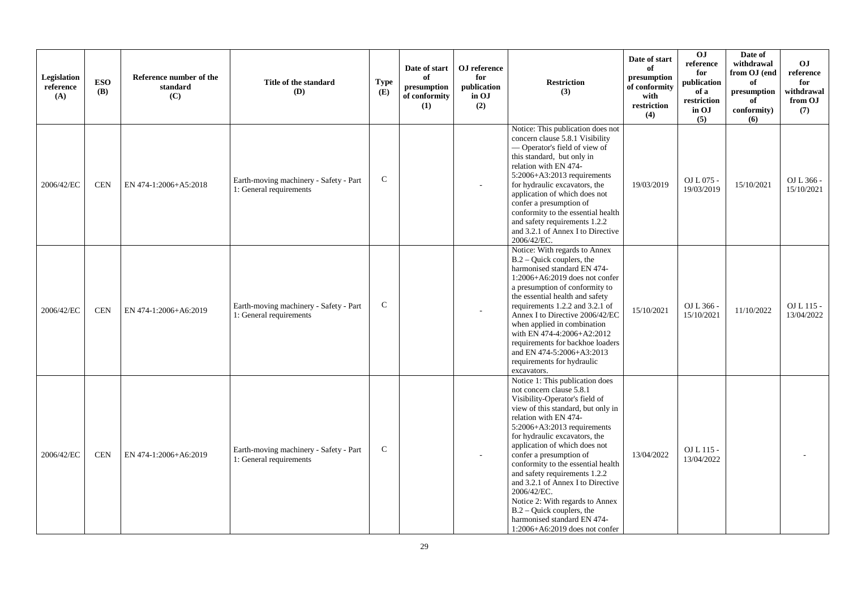| Legislation<br>reference<br>(A) | <b>ESO</b><br><b>(B)</b> | Reference number of the<br>standard<br>(C) | Title of the standard<br><b>(D)</b>                               | <b>Type</b><br>(E) | Date of start<br>of<br>presumption<br>of conformity<br>(1) | OJ reference<br>for<br>publication<br>in OJ<br>(2) | <b>Restriction</b><br>(3)                                                                                                                                                                                                                                                                                                                                                                                                                                                                                                                                      | Date of start<br>of<br>presumption<br>of conformity<br>with<br>restriction<br>(4) | 0 <sub>1</sub><br>reference<br>for<br>publication<br>of a<br>restriction<br>in OJ<br>(5) | Date of<br>withdrawal<br>from OJ (end<br>of<br>presumption<br>of<br>conformity)<br>(6) | <b>OJ</b><br>reference<br>for<br>withdrawal<br>from OJ<br>(7) |
|---------------------------------|--------------------------|--------------------------------------------|-------------------------------------------------------------------|--------------------|------------------------------------------------------------|----------------------------------------------------|----------------------------------------------------------------------------------------------------------------------------------------------------------------------------------------------------------------------------------------------------------------------------------------------------------------------------------------------------------------------------------------------------------------------------------------------------------------------------------------------------------------------------------------------------------------|-----------------------------------------------------------------------------------|------------------------------------------------------------------------------------------|----------------------------------------------------------------------------------------|---------------------------------------------------------------|
| 2006/42/EC                      | <b>CEN</b>               | EN 474-1:2006+A5:2018                      | Earth-moving machinery - Safety - Part<br>1: General requirements | $\mathsf{C}$       |                                                            |                                                    | Notice: This publication does not<br>concern clause 5.8.1 Visibility<br>- Operator's field of view of<br>this standard, but only in<br>relation with EN 474-<br>5:2006+A3:2013 requirements<br>for hydraulic excavators, the<br>application of which does not<br>confer a presumption of<br>conformity to the essential health<br>and safety requirements 1.2.2<br>and 3.2.1 of Annex I to Directive<br>2006/42/EC.                                                                                                                                            | 19/03/2019                                                                        | OJ L 075 -<br>19/03/2019                                                                 | 15/10/2021                                                                             | OJ L 366 -<br>15/10/2021                                      |
| 2006/42/EC                      | <b>CEN</b>               | EN 474-1:2006+A6:2019                      | Earth-moving machinery - Safety - Part<br>1: General requirements | $\mathsf{C}$       |                                                            |                                                    | Notice: With regards to Annex<br>$B.2 -$ Quick couplers, the<br>harmonised standard EN 474-<br>1:2006+A6:2019 does not confer<br>a presumption of conformity to<br>the essential health and safety<br>requirements 1.2.2 and 3.2.1 of<br>Annex I to Directive 2006/42/EC<br>when applied in combination<br>with EN 474-4:2006+A2:2012<br>requirements for backhoe loaders<br>and EN 474-5:2006+A3:2013<br>requirements for hydraulic<br>excavators.                                                                                                            | 15/10/2021                                                                        | OJ L 366 -<br>15/10/2021                                                                 | 11/10/2022                                                                             | $OLL115-$<br>13/04/2022                                       |
| 2006/42/EC                      | <b>CEN</b>               | EN 474-1:2006+A6:2019                      | Earth-moving machinery - Safety - Part<br>1: General requirements | $\mathbf C$        |                                                            |                                                    | Notice 1: This publication does<br>not concern clause 5.8.1<br>Visibility-Operator's field of<br>view of this standard, but only in<br>relation with EN 474-<br>$5:2006 + A3:2013$ requirements<br>for hydraulic excavators, the<br>application of which does not<br>confer a presumption of<br>conformity to the essential health<br>and safety requirements 1.2.2<br>and 3.2.1 of Annex I to Directive<br>2006/42/EC.<br>Notice 2: With regards to Annex<br>$B.2 -$ Quick couplers, the<br>harmonised standard EN 474-<br>$1:2006 + A6:2019$ does not confer | 13/04/2022                                                                        | OJ L 115 -<br>13/04/2022                                                                 |                                                                                        |                                                               |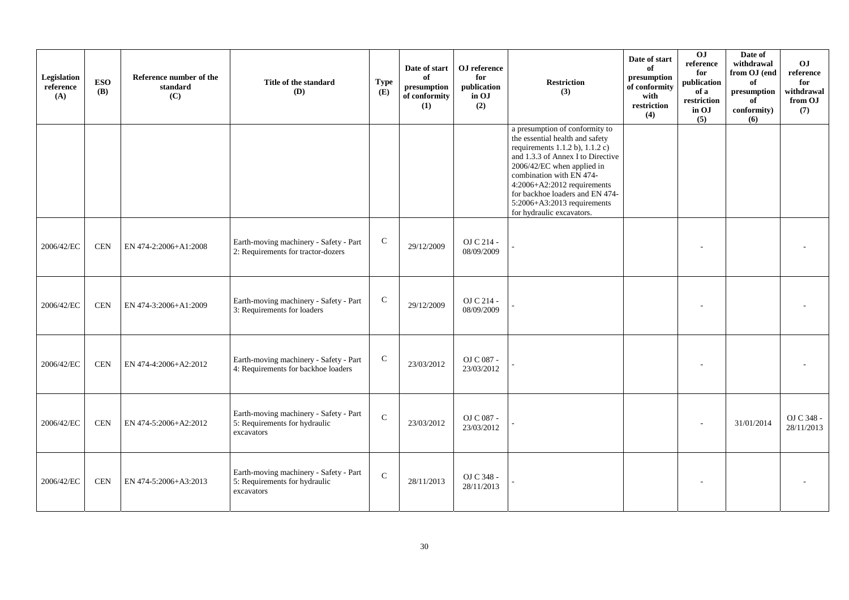| Legislation<br>reference<br>(A) | <b>ESO</b><br><b>(B)</b> | Reference number of the<br>standard<br>(C) | Title of the standard<br>(D)                                                          | <b>Type</b><br>(E) | Date of start<br>of<br>presumption<br>of conformity<br>(1) | OJ reference<br>for<br>publication<br>in OJ<br>(2) | <b>Restriction</b><br>(3)                                                                                                                                                                                                                                                                                                               | Date of start<br>of<br>presumption<br>of conformity<br>with<br>restriction<br>(4) | OJ<br>reference<br>for<br>publication<br>of a<br>restriction<br>in OJ<br>(5) | Date of<br>withdrawal<br>from OJ (end<br>of<br>presumption<br>of<br>conformity)<br>(6) | OJ<br>reference<br>for<br>withdrawal<br>from OJ<br>(7) |
|---------------------------------|--------------------------|--------------------------------------------|---------------------------------------------------------------------------------------|--------------------|------------------------------------------------------------|----------------------------------------------------|-----------------------------------------------------------------------------------------------------------------------------------------------------------------------------------------------------------------------------------------------------------------------------------------------------------------------------------------|-----------------------------------------------------------------------------------|------------------------------------------------------------------------------|----------------------------------------------------------------------------------------|--------------------------------------------------------|
|                                 |                          |                                            |                                                                                       |                    |                                                            |                                                    | a presumption of conformity to<br>the essential health and safety<br>requirements $1.1.2$ b), $1.1.2$ c)<br>and 1.3.3 of Annex I to Directive<br>2006/42/EC when applied in<br>combination with EN 474-<br>$4:2006+A2:2012$ requirements<br>for backhoe loaders and EN 474-<br>5:2006+A3:2013 requirements<br>for hydraulic excavators. |                                                                                   |                                                                              |                                                                                        |                                                        |
| 2006/42/EC                      | <b>CEN</b>               | EN 474-2:2006+A1:2008                      | Earth-moving machinery - Safety - Part<br>2: Requirements for tractor-dozers          | ${\bf C}$          | 29/12/2009                                                 | OJ C 214 -<br>08/09/2009                           |                                                                                                                                                                                                                                                                                                                                         |                                                                                   |                                                                              |                                                                                        |                                                        |
| 2006/42/EC                      | <b>CEN</b>               | EN 474-3:2006+A1:2009                      | Earth-moving machinery - Safety - Part<br>3: Requirements for loaders                 | $\mathbf C$        | 29/12/2009                                                 | OJ C 214 -<br>08/09/2009                           |                                                                                                                                                                                                                                                                                                                                         |                                                                                   |                                                                              |                                                                                        |                                                        |
| 2006/42/EC                      | <b>CEN</b>               | EN 474-4:2006+A2:2012                      | Earth-moving machinery - Safety - Part<br>4: Requirements for backhoe loaders         | $\mathbf C$        | 23/03/2012                                                 | OJ C 087 -<br>23/03/2012                           |                                                                                                                                                                                                                                                                                                                                         |                                                                                   |                                                                              |                                                                                        |                                                        |
| 2006/42/EC                      | <b>CEN</b>               | EN 474-5:2006+A2:2012                      | Earth-moving machinery - Safety - Part<br>5: Requirements for hydraulic<br>excavators | $\mathcal{C}$      | 23/03/2012                                                 | OJ C 087 -<br>23/03/2012                           |                                                                                                                                                                                                                                                                                                                                         |                                                                                   |                                                                              | 31/01/2014                                                                             | OJ C 348 -<br>28/11/2013                               |
| 2006/42/EC                      | <b>CEN</b>               | EN 474-5:2006+A3:2013                      | Earth-moving machinery - Safety - Part<br>5: Requirements for hydraulic<br>excavators | $\mathbf C$        | 28/11/2013                                                 | OJ C 348 -<br>28/11/2013                           |                                                                                                                                                                                                                                                                                                                                         |                                                                                   |                                                                              |                                                                                        |                                                        |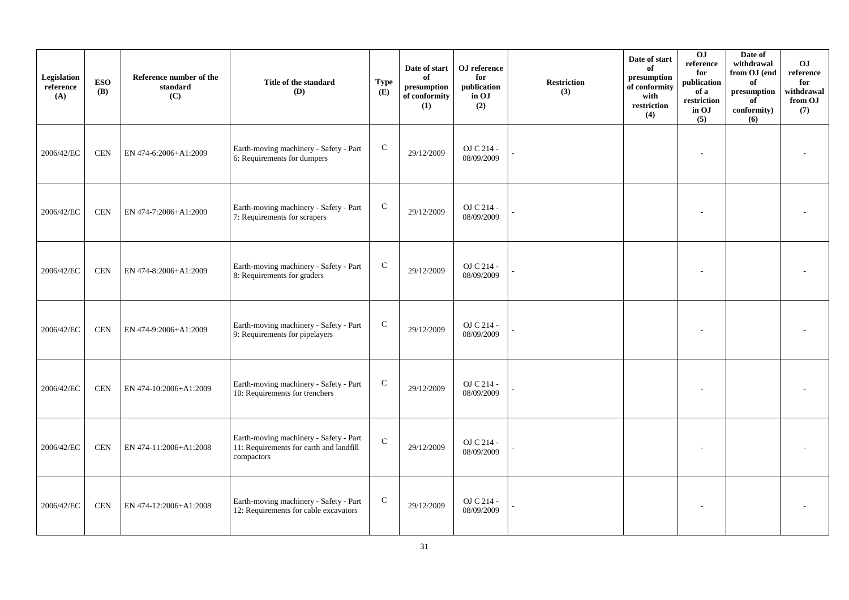| Legislation<br>reference<br>(A) | <b>ESO</b><br><b>(B)</b> | Reference number of the<br>standard<br>(C) | Title of the standard<br>(D)                                                                    | <b>Type</b><br>(E) | Date of start<br>of<br>presumption<br>of conformity<br>(1) | ${\bf OJ}$ reference<br>for<br>publication<br>in OJ<br>(2) | <b>Restriction</b><br>(3) | Date of start<br>of<br>presumption<br>of conformity<br>with<br>restriction<br>(4) | $\overline{0}$<br>reference<br>for<br>publication<br>of a<br>restriction<br>in OJ<br>(5) | Date of<br>withdrawal<br>from OJ (end<br>of<br>$\bf{presumption}$<br>of<br>conformity)<br>(6) | O <sub>J</sub><br>reference<br>for<br>withdrawal<br>from OJ<br>(7) |
|---------------------------------|--------------------------|--------------------------------------------|-------------------------------------------------------------------------------------------------|--------------------|------------------------------------------------------------|------------------------------------------------------------|---------------------------|-----------------------------------------------------------------------------------|------------------------------------------------------------------------------------------|-----------------------------------------------------------------------------------------------|--------------------------------------------------------------------|
| 2006/42/EC                      | <b>CEN</b>               | EN 474-6:2006+A1:2009                      | Earth-moving machinery - Safety - Part<br>6: Requirements for dumpers                           | ${\bf C}$          | 29/12/2009                                                 | OJ C 214 -<br>08/09/2009                                   |                           |                                                                                   |                                                                                          |                                                                                               |                                                                    |
| 2006/42/EC                      | <b>CEN</b>               | EN 474-7:2006+A1:2009                      | Earth-moving machinery - Safety - Part<br>7: Requirements for scrapers                          | ${\bf C}$          | 29/12/2009                                                 | OJ C 214 -<br>08/09/2009                                   |                           |                                                                                   |                                                                                          |                                                                                               |                                                                    |
| 2006/42/EC                      | <b>CEN</b>               | EN 474-8:2006+A1:2009                      | Earth-moving machinery - Safety - Part<br>8: Requirements for graders                           | ${\bf C}$          | 29/12/2009                                                 | OJ C 214 -<br>08/09/2009                                   |                           |                                                                                   |                                                                                          |                                                                                               |                                                                    |
| 2006/42/EC                      | <b>CEN</b>               | EN 474-9:2006+A1:2009                      | Earth-moving machinery - Safety - Part<br>9: Requirements for pipelayers                        | $\mathbf C$        | 29/12/2009                                                 | OJ C 214 -<br>08/09/2009                                   |                           |                                                                                   |                                                                                          |                                                                                               |                                                                    |
| 2006/42/EC                      | <b>CEN</b>               | EN 474-10:2006+A1:2009                     | Earth-moving machinery - Safety - Part<br>10: Requirements for trenchers                        | $\mathbf C$        | 29/12/2009                                                 | OJ C 214 -<br>08/09/2009                                   |                           |                                                                                   |                                                                                          |                                                                                               |                                                                    |
| 2006/42/EC                      | <b>CEN</b>               | EN 474-11:2006+A1:2008                     | Earth-moving machinery - Safety - Part<br>11: Requirements for earth and landfill<br>compactors | $\mathbf C$        | 29/12/2009                                                 | OJ C 214 -<br>08/09/2009                                   |                           |                                                                                   |                                                                                          |                                                                                               |                                                                    |
| 2006/42/EC                      | <b>CEN</b>               | EN 474-12:2006+A1:2008                     | Earth-moving machinery - Safety - Part<br>12: Requirements for cable excavators                 | $\mathbf C$        | 29/12/2009                                                 | OJ C 214 -<br>08/09/2009                                   |                           |                                                                                   |                                                                                          |                                                                                               |                                                                    |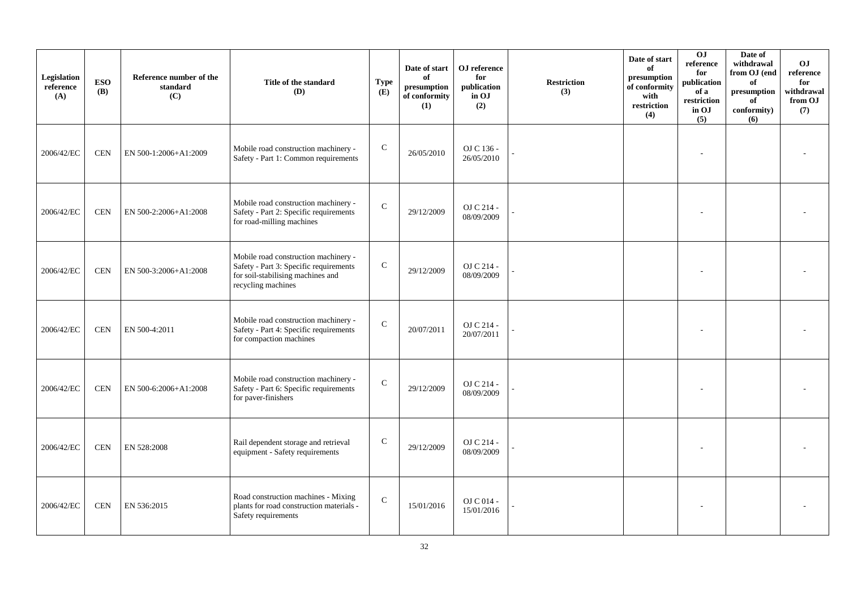| Legislation<br>reference<br>(A) | <b>ESO</b><br><b>(B)</b> | Reference number of the<br>standard<br>(C) | Title of the standard<br>(D)                                                                                                              | <b>Type</b><br>(E) | Date of start<br>of<br>presumption<br>of conformity<br>(1) | OJ reference<br>for<br>publication<br>in OJ<br>(2) | <b>Restriction</b><br>(3) | Date of start<br>of<br>presumption<br>of conformity<br>with<br>restriction<br>(4) | 0J<br>reference<br>for<br>publication<br>of a<br>restriction<br>in OJ<br>(5) | Date of<br>withdrawal<br>from OJ (end<br>of<br>presumption<br>of<br>conformity)<br>(6) | O <sub>J</sub><br>reference<br>for<br>withdrawal<br>from OJ<br>(7) |
|---------------------------------|--------------------------|--------------------------------------------|-------------------------------------------------------------------------------------------------------------------------------------------|--------------------|------------------------------------------------------------|----------------------------------------------------|---------------------------|-----------------------------------------------------------------------------------|------------------------------------------------------------------------------|----------------------------------------------------------------------------------------|--------------------------------------------------------------------|
| 2006/42/EC                      | <b>CEN</b>               | EN 500-1:2006+A1:2009                      | Mobile road construction machinery -<br>Safety - Part 1: Common requirements                                                              | ${\bf C}$          | 26/05/2010                                                 | OJ C 136 -<br>26/05/2010                           |                           |                                                                                   |                                                                              |                                                                                        |                                                                    |
| 2006/42/EC                      | <b>CEN</b>               | EN 500-2:2006+A1:2008                      | Mobile road construction machinery -<br>Safety - Part 2: Specific requirements<br>for road-milling machines                               | $\mathbf C$        | 29/12/2009                                                 | OJ C 214 -<br>08/09/2009                           |                           |                                                                                   |                                                                              |                                                                                        |                                                                    |
| 2006/42/EC                      | <b>CEN</b>               | EN 500-3:2006+A1:2008                      | Mobile road construction machinery -<br>Safety - Part 3: Specific requirements<br>for soil-stabilising machines and<br>recycling machines | ${\bf C}$          | 29/12/2009                                                 | OJ C 214 -<br>08/09/2009                           |                           |                                                                                   |                                                                              |                                                                                        |                                                                    |
| 2006/42/EC                      | <b>CEN</b>               | EN 500-4:2011                              | Mobile road construction machinery -<br>Safety - Part 4: Specific requirements<br>for compaction machines                                 | ${\bf C}$          | 20/07/2011                                                 | OJ C 214 -<br>20/07/2011                           |                           |                                                                                   |                                                                              |                                                                                        |                                                                    |
| 2006/42/EC                      | <b>CEN</b>               | EN 500-6:2006+A1:2008                      | Mobile road construction machinery -<br>Safety - Part 6: Specific requirements<br>for paver-finishers                                     | $\mathsf{C}$       | 29/12/2009                                                 | OJ C 214 -<br>08/09/2009                           |                           |                                                                                   |                                                                              |                                                                                        |                                                                    |
| 2006/42/EC                      | <b>CEN</b>               | EN 528:2008                                | Rail dependent storage and retrieval<br>equipment - Safety requirements                                                                   | $\mathbf C$        | 29/12/2009                                                 | OJ C 214 -<br>08/09/2009                           |                           |                                                                                   |                                                                              |                                                                                        |                                                                    |
| 2006/42/EC                      | <b>CEN</b>               | EN 536:2015                                | Road construction machines - Mixing<br>plants for road construction materials -<br>Safety requirements                                    | $\mathbf C$        | 15/01/2016                                                 | $OJ C 014 -$<br>15/01/2016                         |                           |                                                                                   |                                                                              |                                                                                        |                                                                    |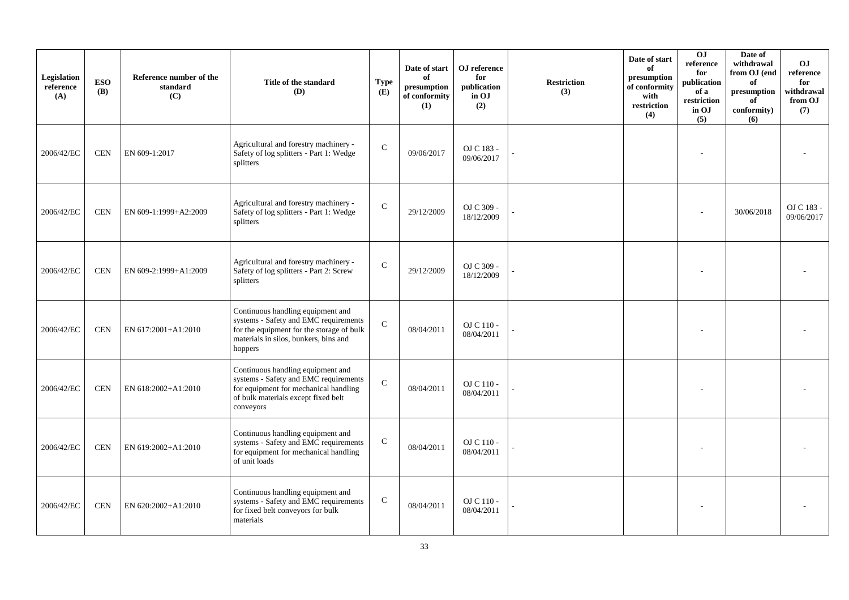| Legislation<br>reference<br>(A) | <b>ESO</b><br><b>(B)</b> | Reference number of the<br>standard<br>(C) | Title of the standard<br>(D)                                                                                                                                                | <b>Type</b><br>(E) | Date of start<br>of<br>presumption<br>of conformity<br>(1) | OJ reference<br>for<br>publication<br>in OJ<br>(2) | <b>Restriction</b><br>(3) | Date of start<br>of<br>presumption<br>of conformity<br>with<br>restriction<br>(4) | 0 <sub>J</sub><br>reference<br>for<br>publication<br>of a<br>restriction<br>in OJ<br>(5) | Date of<br>withdrawal<br>from OJ (end<br>of<br>presumption<br>of<br>conformity)<br>(6) | <b>OJ</b><br>reference<br>for<br>withdrawal<br>from OJ<br>(7) |
|---------------------------------|--------------------------|--------------------------------------------|-----------------------------------------------------------------------------------------------------------------------------------------------------------------------------|--------------------|------------------------------------------------------------|----------------------------------------------------|---------------------------|-----------------------------------------------------------------------------------|------------------------------------------------------------------------------------------|----------------------------------------------------------------------------------------|---------------------------------------------------------------|
| 2006/42/EC                      | <b>CEN</b>               | EN 609-1:2017                              | Agricultural and forestry machinery -<br>Safety of log splitters - Part 1: Wedge<br>splitters                                                                               | $\mathsf{C}$       | 09/06/2017                                                 | OJ C 183 -<br>09/06/2017                           |                           |                                                                                   |                                                                                          |                                                                                        |                                                               |
| 2006/42/EC                      | <b>CEN</b>               | EN 609-1:1999+A2:2009                      | Agricultural and forestry machinery -<br>Safety of log splitters - Part 1: Wedge<br>splitters                                                                               | $\mathbf{C}$       | 29/12/2009                                                 | OJ C 309 -<br>18/12/2009                           |                           |                                                                                   |                                                                                          | 30/06/2018                                                                             | OJ C 183 -<br>09/06/2017                                      |
| 2006/42/EC                      | <b>CEN</b>               | EN 609-2:1999+A1:2009                      | Agricultural and forestry machinery -<br>Safety of log splitters - Part 2: Screw<br>splitters                                                                               | $\mathcal{C}$      | 29/12/2009                                                 | OJ C 309 -<br>18/12/2009                           |                           |                                                                                   |                                                                                          |                                                                                        |                                                               |
| 2006/42/EC                      | <b>CEN</b>               | EN 617:2001+A1:2010                        | Continuous handling equipment and<br>systems - Safety and EMC requirements<br>for the equipment for the storage of bulk<br>materials in silos, bunkers, bins and<br>hoppers | $\mathbf C$        | 08/04/2011                                                 | OJ C 110 -<br>08/04/2011                           |                           |                                                                                   |                                                                                          |                                                                                        |                                                               |
| 2006/42/EC                      | <b>CEN</b>               | EN 618:2002+A1:2010                        | Continuous handling equipment and<br>systems - Safety and EMC requirements<br>for equipment for mechanical handling<br>of bulk materials except fixed belt<br>conveyors     | $\mathcal{C}$      | 08/04/2011                                                 | OJ C 110 -<br>08/04/2011                           |                           |                                                                                   | ٠                                                                                        |                                                                                        |                                                               |
| 2006/42/EC                      | <b>CEN</b>               | EN 619:2002+A1:2010                        | Continuous handling equipment and<br>systems - Safety and EMC requirements<br>for equipment for mechanical handling<br>of unit loads                                        | $\mathsf{C}$       | 08/04/2011                                                 | OJ C 110 -<br>08/04/2011                           |                           |                                                                                   |                                                                                          |                                                                                        |                                                               |
| 2006/42/EC                      | <b>CEN</b>               | EN 620:2002+A1:2010                        | Continuous handling equipment and<br>systems - Safety and EMC requirements<br>for fixed belt conveyors for bulk<br>materials                                                | $\mathsf{C}$       | 08/04/2011                                                 | $OJ C 110 -$<br>08/04/2011                         |                           |                                                                                   |                                                                                          |                                                                                        |                                                               |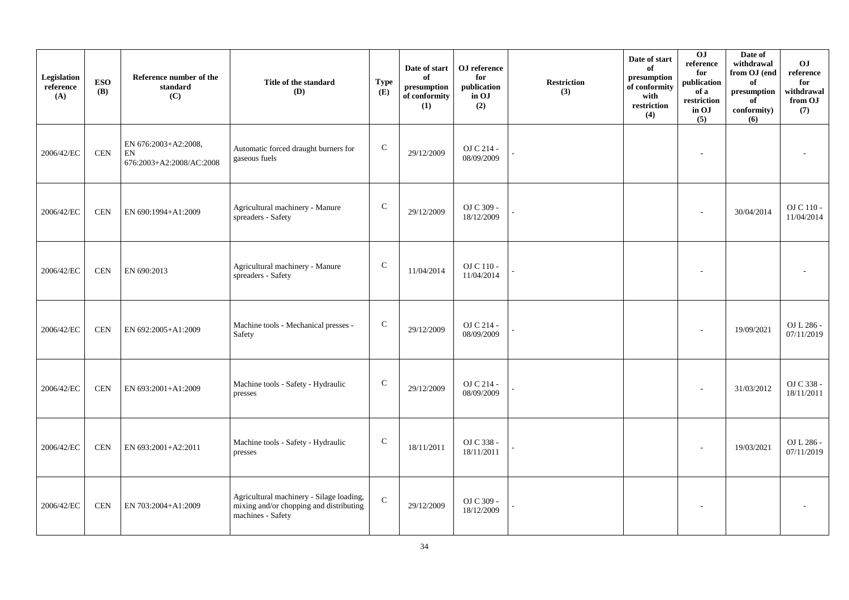| Legislation<br>reference<br>(A) | <b>ESO</b><br><b>(B)</b> | Reference number of the<br>standard<br>(C)             | Title of the standard<br><b>(D)</b>                                                                      | <b>Type</b><br>(E) | Date of start<br>of<br>presumption<br>of conformity<br>(1) | OJ reference<br>for<br>publication<br>in OJ<br>(2) | <b>Restriction</b><br>(3) | Date of start<br>of<br>presumption<br>of conformity<br>with<br>restriction<br>(4) | 0J<br>reference<br>for<br>publication<br>of a<br>restriction<br>in OJ<br>(5) | Date of<br>withdrawal<br>from OJ (end<br>of<br>presumption<br>of<br>conformity)<br>(6) | O <sub>J</sub><br>reference<br>for<br>withdrawal<br>from OJ<br>(7) |
|---------------------------------|--------------------------|--------------------------------------------------------|----------------------------------------------------------------------------------------------------------|--------------------|------------------------------------------------------------|----------------------------------------------------|---------------------------|-----------------------------------------------------------------------------------|------------------------------------------------------------------------------|----------------------------------------------------------------------------------------|--------------------------------------------------------------------|
| 2006/42/EC                      | <b>CEN</b>               | EN 676:2003+A2:2008,<br>EN<br>676:2003+A2:2008/AC:2008 | Automatic forced draught burners for<br>gaseous fuels                                                    | ${\bf C}$          | 29/12/2009                                                 | OJ C 214 -<br>08/09/2009                           |                           |                                                                                   | $\sim$                                                                       |                                                                                        |                                                                    |
| 2006/42/EC                      | <b>CEN</b>               | EN 690:1994+A1:2009                                    | Agricultural machinery - Manure<br>spreaders - Safety                                                    | ${\bf C}$          | 29/12/2009                                                 | OJ C 309 -<br>18/12/2009                           |                           |                                                                                   |                                                                              | 30/04/2014                                                                             | OJ C 110 -<br>11/04/2014                                           |
| 2006/42/EC                      | <b>CEN</b>               | EN 690:2013                                            | Agricultural machinery - Manure<br>spreaders - Safety                                                    | $\mathsf{C}$       | 11/04/2014                                                 | $OJ$ C $110$ - $\,$<br>11/04/2014                  |                           |                                                                                   |                                                                              |                                                                                        |                                                                    |
| 2006/42/EC                      | <b>CEN</b>               | EN 692:2005+A1:2009                                    | Machine tools - Mechanical presses -<br>Safety                                                           | $\mathsf{C}$       | 29/12/2009                                                 | OJ C 214 -<br>08/09/2009                           |                           |                                                                                   |                                                                              | 19/09/2021                                                                             | OJ L 286 -<br>07/11/2019                                           |
| 2006/42/EC                      | <b>CEN</b>               | EN 693:2001+A1:2009                                    | Machine tools - Safety - Hydraulic<br>presses                                                            | $\mathsf{C}$       | 29/12/2009                                                 | OJ C 214 -<br>08/09/2009                           |                           |                                                                                   | $\overline{\phantom{a}}$                                                     | 31/03/2012                                                                             | OJ C 338 -<br>18/11/2011                                           |
| 2006/42/EC                      | <b>CEN</b>               | EN 693:2001+A2:2011                                    | Machine tools - Safety - Hydraulic<br>presses                                                            | $\mathsf{C}$       | 18/11/2011                                                 | OJ C 338 -<br>18/11/2011                           |                           |                                                                                   |                                                                              | 19/03/2021                                                                             | OJ L 286 -<br>07/11/2019                                           |
| 2006/42/EC                      | <b>CEN</b>               | EN 703:2004+A1:2009                                    | Agricultural machinery - Silage loading,<br>mixing and/or chopping and distributing<br>machines - Safety | ${\bf C}$          | 29/12/2009                                                 | OJ C 309 -<br>18/12/2009                           |                           |                                                                                   | $\overline{\phantom{a}}$                                                     |                                                                                        |                                                                    |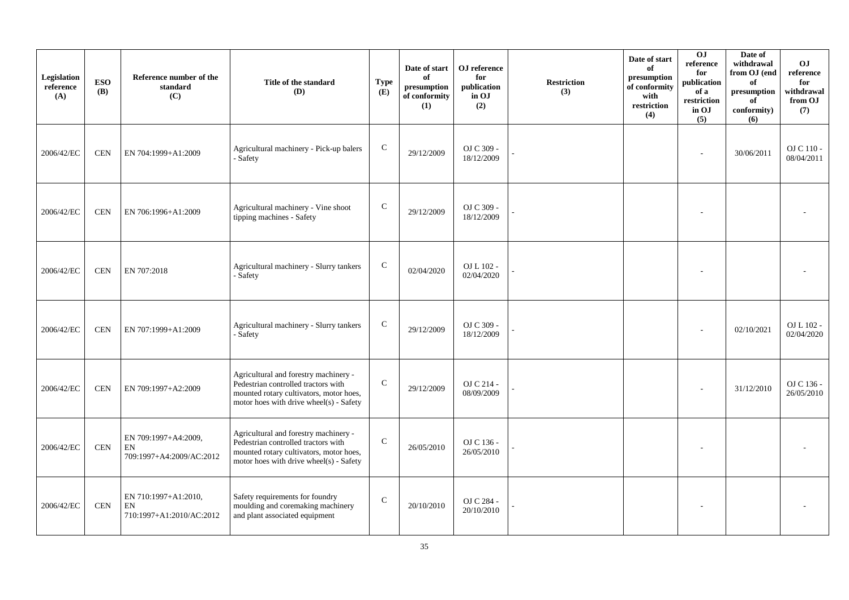| Legislation<br>reference<br>(A) | <b>ESO</b><br><b>(B)</b> | Reference number of the<br>standard<br>(C)             | Title of the standard<br>(D)                                                                                                                                       | <b>Type</b><br>(E) | Date of start<br>of<br>presumption<br>of conformity<br>(1) | OJ reference<br>for<br>publication<br>in OJ<br>(2) | <b>Restriction</b><br>(3) | Date of start<br>of<br>presumption<br>of conformity<br>with<br>$\operatorname{restriction}$<br>(4) | $\overline{0}$<br>reference<br>for<br>publication<br>of a<br>restriction<br>in OJ<br>(5) | Date of<br>withdrawal<br>from OJ (end<br>of<br>$\bf{presumption}$<br>of<br>conformity)<br>(6) | O <sub>J</sub><br>reference<br>for<br>withdrawal<br>from OJ<br>(7) |
|---------------------------------|--------------------------|--------------------------------------------------------|--------------------------------------------------------------------------------------------------------------------------------------------------------------------|--------------------|------------------------------------------------------------|----------------------------------------------------|---------------------------|----------------------------------------------------------------------------------------------------|------------------------------------------------------------------------------------------|-----------------------------------------------------------------------------------------------|--------------------------------------------------------------------|
| 2006/42/EC                      | <b>CEN</b>               | EN 704:1999+A1:2009                                    | Agricultural machinery - Pick-up balers<br>- Safety                                                                                                                | $\mathsf{C}$       | 29/12/2009                                                 | OJ C 309 -<br>18/12/2009                           |                           |                                                                                                    |                                                                                          | 30/06/2011                                                                                    | OJ C 110 -<br>08/04/2011                                           |
| 2006/42/EC                      | $\mbox{CEN}$             | EN 706:1996+A1:2009                                    | Agricultural machinery - Vine shoot<br>tipping machines - Safety                                                                                                   | $\mathbf C$        | 29/12/2009                                                 | OJ C 309 -<br>18/12/2009                           |                           |                                                                                                    |                                                                                          |                                                                                               |                                                                    |
| 2006/42/EC                      | <b>CEN</b>               | EN 707:2018                                            | Agricultural machinery - Slurry tankers<br>- Safety                                                                                                                | $\mathsf{C}$       | 02/04/2020                                                 | OJ L 102 -<br>02/04/2020                           |                           |                                                                                                    |                                                                                          |                                                                                               |                                                                    |
| 2006/42/EC                      | <b>CEN</b>               | EN 707:1999+A1:2009                                    | Agricultural machinery - Slurry tankers<br>- Safety                                                                                                                | $\mathbf C$        | 29/12/2009                                                 | OJ C 309 -<br>18/12/2009                           |                           |                                                                                                    |                                                                                          | 02/10/2021                                                                                    | OJ L 102 -<br>02/04/2020                                           |
| 2006/42/EC                      | <b>CEN</b>               | EN 709:1997+A2:2009                                    | Agricultural and forestry machinery -<br>Pedestrian controlled tractors with<br>mounted rotary cultivators, motor hoes,<br>motor hoes with drive wheel(s) - Safety | $\mathbf C$        | 29/12/2009                                                 | OJ C 214 -<br>08/09/2009                           |                           |                                                                                                    |                                                                                          | 31/12/2010                                                                                    | OJ C 136 -<br>26/05/2010                                           |
| 2006/42/EC                      | <b>CEN</b>               | EN 709:1997+A4:2009,<br>EN<br>709:1997+A4:2009/AC:2012 | Agricultural and forestry machinery -<br>Pedestrian controlled tractors with<br>mounted rotary cultivators, motor hoes,<br>motor hoes with drive wheel(s) - Safety | $\mathcal{C}$      | 26/05/2010                                                 | OJ C 136 -<br>26/05/2010                           |                           |                                                                                                    |                                                                                          |                                                                                               |                                                                    |
| 2006/42/EC                      | <b>CEN</b>               | EN 710:1997+A1:2010,<br>EN<br>710:1997+A1:2010/AC:2012 | Safety requirements for foundry<br>moulding and coremaking machinery<br>and plant associated equipment                                                             | $\mathsf C$        | 20/10/2010                                                 | OJ C 284 -<br>20/10/2010                           |                           |                                                                                                    |                                                                                          |                                                                                               |                                                                    |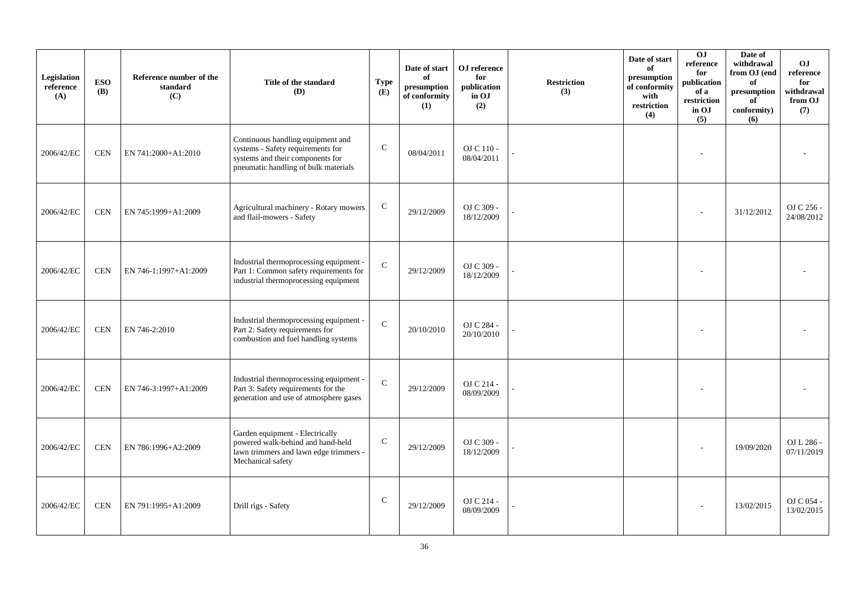| Legislation<br>reference<br>(A) | <b>ESO</b><br><b>(B)</b> | Reference number of the<br>standard<br>(C) | Title of the standard<br><b>(D)</b>                                                                                                                | <b>Type</b><br>(E) | Date of start<br>of<br>$\bf{presumption}$<br>of conformity<br>(1) | OJ reference<br>for<br>publication<br>in OJ<br>(2) | <b>Restriction</b><br>(3) | Date of start<br>of<br>presumption<br>of conformity<br>with<br>restriction<br>(4) | 0J<br>reference<br>for<br>publication<br>of a<br>restriction<br>in OJ<br>(5) | Date of<br>withdrawal<br>from OJ (end<br>of<br>presumption<br>of<br>conformity)<br>(6) | <b>OJ</b><br>reference<br>for<br>withdrawal<br>from OJ<br>(7) |
|---------------------------------|--------------------------|--------------------------------------------|----------------------------------------------------------------------------------------------------------------------------------------------------|--------------------|-------------------------------------------------------------------|----------------------------------------------------|---------------------------|-----------------------------------------------------------------------------------|------------------------------------------------------------------------------|----------------------------------------------------------------------------------------|---------------------------------------------------------------|
| 2006/42/EC                      | <b>CEN</b>               | EN 741:2000+A1:2010                        | Continuous handling equipment and<br>systems - Safety requirements for<br>systems and their components for<br>pneumatic handling of bulk materials | $\mathbf C$        | 08/04/2011                                                        | OJ C 110 -<br>08/04/2011                           |                           |                                                                                   |                                                                              |                                                                                        |                                                               |
| 2006/42/EC                      | <b>CEN</b>               | EN 745:1999+A1:2009                        | Agricultural machinery - Rotary mowers<br>and flail-mowers - Safety                                                                                | ${\bf C}$          | 29/12/2009                                                        | OJ C 309 -<br>18/12/2009                           |                           |                                                                                   |                                                                              | 31/12/2012                                                                             | OJ C 256 -<br>24/08/2012                                      |
| 2006/42/EC                      | <b>CEN</b>               | EN 746-1:1997+A1:2009                      | Industrial thermoprocessing equipment -<br>Part 1: Common safety requirements for<br>industrial thermoprocessing equipment                         | $\mathcal{C}$      | 29/12/2009                                                        | OJ C 309 -<br>18/12/2009                           |                           |                                                                                   |                                                                              |                                                                                        |                                                               |
| 2006/42/EC                      | <b>CEN</b>               | EN 746-2:2010                              | Industrial thermoprocessing equipment -<br>Part 2: Safety requirements for<br>combustion and fuel handling systems                                 | $\mathcal{C}$      | 20/10/2010                                                        | OJ C 284 -<br>20/10/2010                           |                           |                                                                                   |                                                                              |                                                                                        |                                                               |
| 2006/42/EC                      | <b>CEN</b>               | EN 746-3:1997+A1:2009                      | Industrial thermoprocessing equipment -<br>Part 3: Safety requirements for the<br>generation and use of atmosphere gases                           | $\mathcal{C}$      | 29/12/2009                                                        | OJ C 214 -<br>08/09/2009                           |                           |                                                                                   |                                                                              |                                                                                        |                                                               |
| 2006/42/EC                      | <b>CEN</b>               | EN 786:1996+A2:2009                        | Garden equipment - Electrically<br>powered walk-behind and hand-held<br>lawn trimmers and lawn edge trimmers -<br>Mechanical safety                | $\mathsf{C}$       | 29/12/2009                                                        | OJ C 309 -<br>18/12/2009                           |                           |                                                                                   |                                                                              | 19/09/2020                                                                             | OJ L 286 -<br>07/11/2019                                      |
| 2006/42/EC                      | <b>CEN</b>               | EN 791:1995+A1:2009                        | Drill rigs - Safety                                                                                                                                | $\mathsf{C}$       | 29/12/2009                                                        | OJ C 214 -<br>08/09/2009                           |                           |                                                                                   |                                                                              | 13/02/2015                                                                             | OJ C 054 -<br>13/02/2015                                      |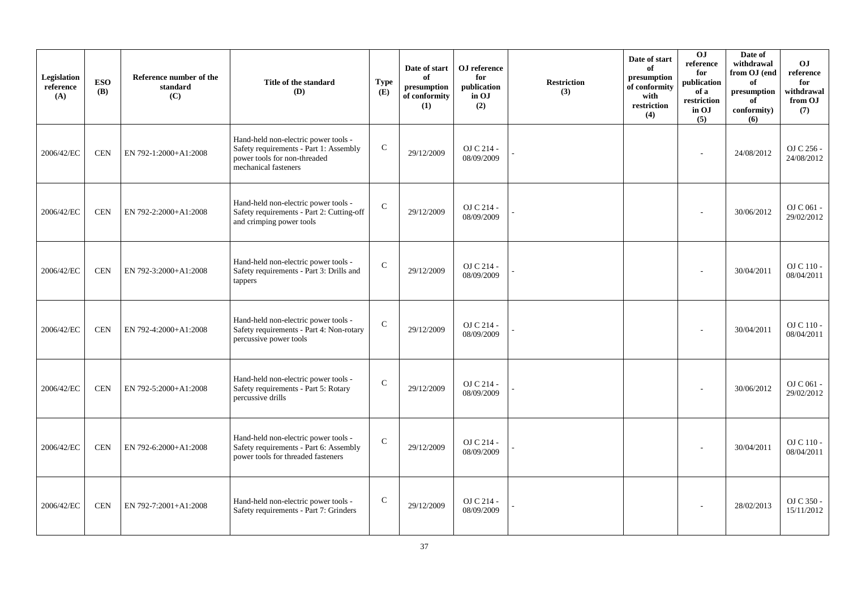| Legislation<br>reference<br>(A) | <b>ESO</b><br><b>(B)</b> | Reference number of the<br>standard<br>(C) | Title of the standard<br><b>(D)</b>                                                                                                    | <b>Type</b><br>(E) | Date of start<br>of<br>presumption<br>of conformity<br>(1) | OJ reference<br>for<br>publication<br>in OJ<br>(2) | <b>Restriction</b><br>(3) | Date of start<br>of<br>presumption<br>of conformity<br>with<br>restriction<br>(4) | OJ<br>$\rm reference$<br>for<br>publication<br>of a<br>restriction<br>in OJ<br>(5) | Date of<br>withdrawal<br>from OJ (end<br>of<br>presumption<br>of<br>conformity)<br>(6) | O <sub>J</sub><br>reference<br>for<br>withdrawal<br>from OJ<br>(7) |
|---------------------------------|--------------------------|--------------------------------------------|----------------------------------------------------------------------------------------------------------------------------------------|--------------------|------------------------------------------------------------|----------------------------------------------------|---------------------------|-----------------------------------------------------------------------------------|------------------------------------------------------------------------------------|----------------------------------------------------------------------------------------|--------------------------------------------------------------------|
| 2006/42/EC                      | <b>CEN</b>               | EN 792-1:2000+A1:2008                      | Hand-held non-electric power tools -<br>Safety requirements - Part 1: Assembly<br>power tools for non-threaded<br>mechanical fasteners | ${\bf C}$          | 29/12/2009                                                 | OJ C 214 -<br>08/09/2009                           |                           |                                                                                   |                                                                                    | 24/08/2012                                                                             | OJ C 256 -<br>24/08/2012                                           |
| 2006/42/EC                      | <b>CEN</b>               | EN 792-2:2000+A1:2008                      | Hand-held non-electric power tools -<br>Safety requirements - Part 2: Cutting-off<br>and crimping power tools                          | $\mathbf C$        | 29/12/2009                                                 | OJ C 214 -<br>08/09/2009                           |                           |                                                                                   |                                                                                    | 30/06/2012                                                                             | OJ C 061 -<br>29/02/2012                                           |
| 2006/42/EC                      | <b>CEN</b>               | EN 792-3:2000+A1:2008                      | Hand-held non-electric power tools -<br>Safety requirements - Part 3: Drills and<br>tappers                                            | $\mathbf C$        | 29/12/2009                                                 | OJ C 214 -<br>08/09/2009                           |                           |                                                                                   |                                                                                    | 30/04/2011                                                                             | OJ C 110 -<br>08/04/2011                                           |
| 2006/42/EC                      | <b>CEN</b>               | EN 792-4:2000+A1:2008                      | Hand-held non-electric power tools -<br>Safety requirements - Part 4: Non-rotary<br>percussive power tools                             | $\mathsf{C}$       | 29/12/2009                                                 | OJ C 214 -<br>08/09/2009                           |                           |                                                                                   |                                                                                    | 30/04/2011                                                                             | OJ C 110 -<br>08/04/2011                                           |
| 2006/42/EC                      | <b>CEN</b>               | EN 792-5:2000+A1:2008                      | Hand-held non-electric power tools -<br>Safety requirements - Part 5: Rotary<br>percussive drills                                      | $\mathsf{C}$       | 29/12/2009                                                 | OJ C 214 -<br>08/09/2009                           |                           |                                                                                   |                                                                                    | 30/06/2012                                                                             | OJ C 061 -<br>29/02/2012                                           |
| 2006/42/EC                      | <b>CEN</b>               | EN 792-6:2000+A1:2008                      | Hand-held non-electric power tools -<br>Safety requirements - Part 6: Assembly<br>power tools for threaded fasteners                   | $\mathbf C$        | 29/12/2009                                                 | OJ C 214 -<br>08/09/2009                           |                           |                                                                                   |                                                                                    | 30/04/2011                                                                             | OJ C 110 -<br>08/04/2011                                           |
| 2006/42/EC                      | <b>CEN</b>               | EN 792-7:2001+A1:2008                      | Hand-held non-electric power tools -<br>Safety requirements - Part 7: Grinders                                                         | $\mathsf{C}$       | 29/12/2009                                                 | OJ C 214 -<br>08/09/2009                           |                           |                                                                                   |                                                                                    | 28/02/2013                                                                             | OJ C 350 -<br>15/11/2012                                           |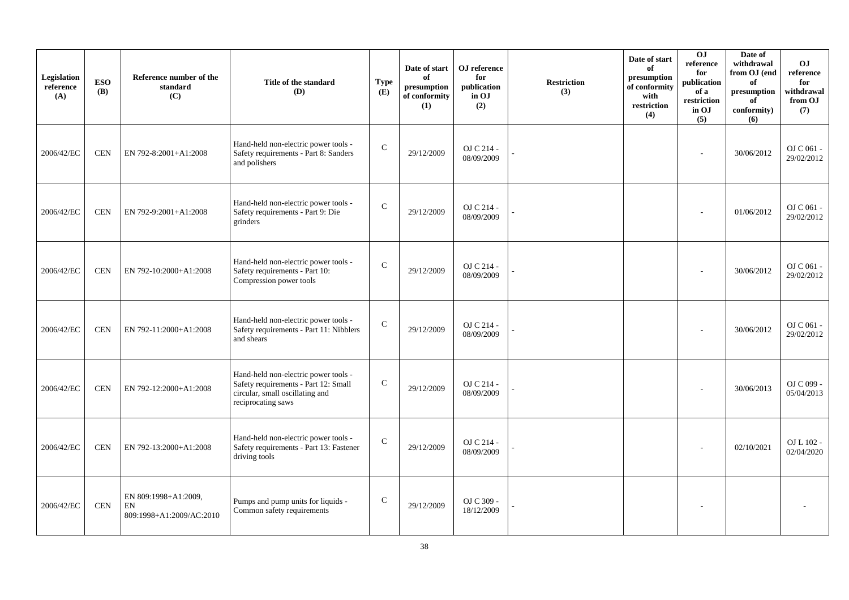| Legislation<br>reference<br>(A) | <b>ESO</b><br><b>(B)</b> | Reference number of the<br>standard<br>(C)             | Title of the standard<br>(D)                                                                                                          | <b>Type</b><br>(E) | Date of start<br>of<br>presumption<br>of conformity<br>(1) | OJ reference<br>for<br>publication<br>in OJ<br>(2) | <b>Restriction</b><br>(3) | Date of start<br>of<br>presumption<br>of conformity<br>with<br>restriction<br>(4) | $\overline{0}$<br>reference<br>for<br>publication<br>of a<br>restriction<br>in OJ<br>(5) | Date of<br>withdrawal<br>from OJ (end<br>of<br>presumption<br>of<br>conformity)<br>(6) | O <sub>J</sub><br>reference<br>for<br>withdrawal<br>from OJ<br>(7) |
|---------------------------------|--------------------------|--------------------------------------------------------|---------------------------------------------------------------------------------------------------------------------------------------|--------------------|------------------------------------------------------------|----------------------------------------------------|---------------------------|-----------------------------------------------------------------------------------|------------------------------------------------------------------------------------------|----------------------------------------------------------------------------------------|--------------------------------------------------------------------|
| 2006/42/EC                      | <b>CEN</b>               | EN 792-8:2001+A1:2008                                  | Hand-held non-electric power tools -<br>Safety requirements - Part 8: Sanders<br>and polishers                                        | $\mathsf{C}$       | 29/12/2009                                                 | OJ C 214 -<br>08/09/2009                           |                           |                                                                                   | ÷                                                                                        | 30/06/2012                                                                             | OJ C 061 -<br>29/02/2012                                           |
| 2006/42/EC                      | <b>CEN</b>               | EN 792-9:2001+A1:2008                                  | Hand-held non-electric power tools -<br>Safety requirements - Part 9: Die<br>grinders                                                 | $\mathbf C$        | 29/12/2009                                                 | OJ C 214 -<br>08/09/2009                           |                           |                                                                                   |                                                                                          | 01/06/2012                                                                             | OJ C 061 -<br>29/02/2012                                           |
| 2006/42/EC                      | <b>CEN</b>               | EN 792-10:2000+A1:2008                                 | Hand-held non-electric power tools -<br>Safety requirements - Part 10:<br>Compression power tools                                     | $\mathbf C$        | 29/12/2009                                                 | OJ C 214 -<br>08/09/2009                           |                           |                                                                                   |                                                                                          | 30/06/2012                                                                             | OJ C 061 -<br>29/02/2012                                           |
| 2006/42/EC                      | <b>CEN</b>               | EN 792-11:2000+A1:2008                                 | Hand-held non-electric power tools -<br>Safety requirements - Part 11: Nibblers<br>and shears                                         | $\mathbf C$        | 29/12/2009                                                 | OJ C 214 -<br>08/09/2009                           |                           |                                                                                   |                                                                                          | 30/06/2012                                                                             | OJ C 061 -<br>29/02/2012                                           |
| 2006/42/EC                      | <b>CEN</b>               | EN 792-12:2000+A1:2008                                 | Hand-held non-electric power tools -<br>Safety requirements - Part 12: Small<br>circular, small oscillating and<br>reciprocating saws | $\mathsf{C}$       | 29/12/2009                                                 | OJ C 214 -<br>08/09/2009                           |                           |                                                                                   |                                                                                          | 30/06/2013                                                                             | OJ C 099 -<br>05/04/2013                                           |
| 2006/42/EC                      | <b>CEN</b>               | EN 792-13:2000+A1:2008                                 | Hand-held non-electric power tools -<br>Safety requirements - Part 13: Fastener<br>driving tools                                      | $\mathbf C$        | 29/12/2009                                                 | OJ C 214 -<br>08/09/2009                           |                           |                                                                                   |                                                                                          | 02/10/2021                                                                             | OJ L 102 -<br>02/04/2020                                           |
| 2006/42/EC                      | $\mbox{CEN}$             | EN 809:1998+A1:2009,<br>EN<br>809:1998+A1:2009/AC:2010 | Pumps and pump units for liquids -<br>Common safety requirements                                                                      | $\mathsf{C}$       | 29/12/2009                                                 | OJ C 309 -<br>18/12/2009                           |                           |                                                                                   |                                                                                          |                                                                                        |                                                                    |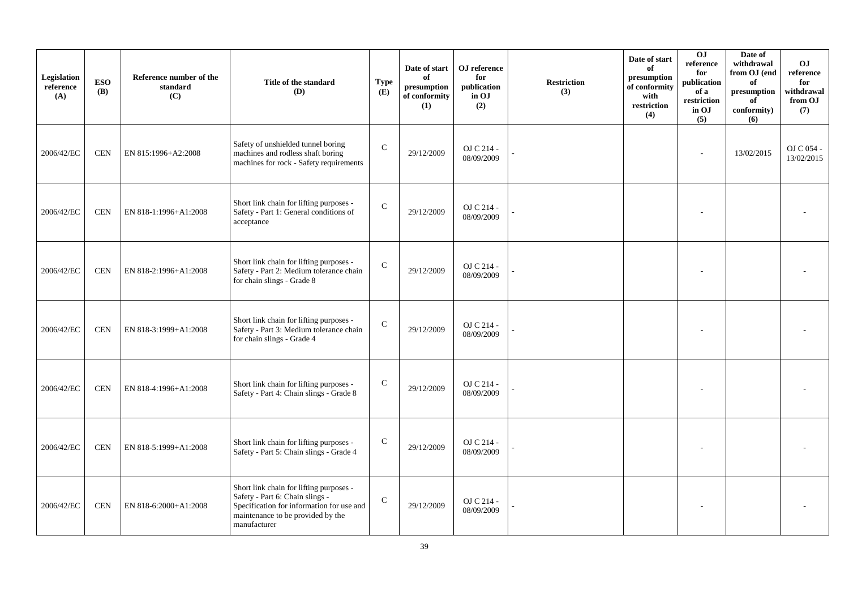| Legislation<br>reference<br>(A) | <b>ESO</b><br><b>(B)</b> | Reference number of the<br>standard<br>(C) | Title of the standard<br>(D)                                                                                                                                                 | <b>Type</b><br>(E) | Date of start<br>of<br>presumption<br>of conformity<br>(1) | OJ reference<br>for<br>publication<br>in OJ<br>(2) | <b>Restriction</b><br>(3) | Date of start<br>of<br>presumption<br>of conformity<br>with<br>restriction<br>(4) | O <sub>J</sub><br>reference<br>for<br>publication<br>of a<br>restriction<br>in OJ<br>(5) | Date of<br>withdrawal<br>from OJ (end<br>of<br>presumption<br>of<br>conformity)<br>(6) | O <sub>J</sub><br>reference<br>for<br>withdrawal<br>from OJ<br>(7) |
|---------------------------------|--------------------------|--------------------------------------------|------------------------------------------------------------------------------------------------------------------------------------------------------------------------------|--------------------|------------------------------------------------------------|----------------------------------------------------|---------------------------|-----------------------------------------------------------------------------------|------------------------------------------------------------------------------------------|----------------------------------------------------------------------------------------|--------------------------------------------------------------------|
| 2006/42/EC                      | <b>CEN</b>               | EN 815:1996+A2:2008                        | Safety of unshielded tunnel boring<br>machines and rodless shaft boring<br>machines for rock - Safety requirements                                                           | $\mathcal{C}$      | 29/12/2009                                                 | OJ C 214 -<br>08/09/2009                           |                           |                                                                                   |                                                                                          | 13/02/2015                                                                             | OJ C 054 -<br>13/02/2015                                           |
| 2006/42/EC                      | <b>CEN</b>               | EN 818-1:1996+A1:2008                      | Short link chain for lifting purposes -<br>Safety - Part 1: General conditions of<br>acceptance                                                                              | $\mathbf C$        | 29/12/2009                                                 | OJ C 214 -<br>08/09/2009                           |                           |                                                                                   |                                                                                          |                                                                                        |                                                                    |
| 2006/42/EC                      | <b>CEN</b>               | EN 818-2:1996+A1:2008                      | Short link chain for lifting purposes -<br>Safety - Part 2: Medium tolerance chain<br>for chain slings - Grade 8                                                             | $\mathcal{C}$      | 29/12/2009                                                 | OJ C 214 -<br>08/09/2009                           |                           |                                                                                   |                                                                                          |                                                                                        |                                                                    |
| 2006/42/EC                      | <b>CEN</b>               | EN 818-3:1999+A1:2008                      | Short link chain for lifting purposes -<br>Safety - Part 3: Medium tolerance chain<br>for chain slings - Grade 4                                                             | $\mathbf C$        | 29/12/2009                                                 | OJ C 214 -<br>08/09/2009                           |                           |                                                                                   |                                                                                          |                                                                                        |                                                                    |
| 2006/42/EC                      | <b>CEN</b>               | EN 818-4:1996+A1:2008                      | Short link chain for lifting purposes -<br>Safety - Part 4: Chain slings - Grade 8                                                                                           | $\mathcal{C}$      | 29/12/2009                                                 | OJ C 214 -<br>08/09/2009                           |                           |                                                                                   |                                                                                          |                                                                                        |                                                                    |
| 2006/42/EC                      | <b>CEN</b>               | EN 818-5:1999+A1:2008                      | Short link chain for lifting purposes -<br>Safety - Part 5: Chain slings - Grade 4                                                                                           | $\mathsf C$        | 29/12/2009                                                 | OJ C 214 -<br>08/09/2009                           |                           |                                                                                   |                                                                                          |                                                                                        |                                                                    |
| 2006/42/EC                      | <b>CEN</b>               | EN 818-6:2000+A1:2008                      | Short link chain for lifting purposes -<br>Safety - Part 6: Chain slings -<br>Specification for information for use and<br>maintenance to be provided by the<br>manufacturer | $\mathsf{C}$       | 29/12/2009                                                 | OJ C 214 -<br>08/09/2009                           |                           |                                                                                   |                                                                                          |                                                                                        |                                                                    |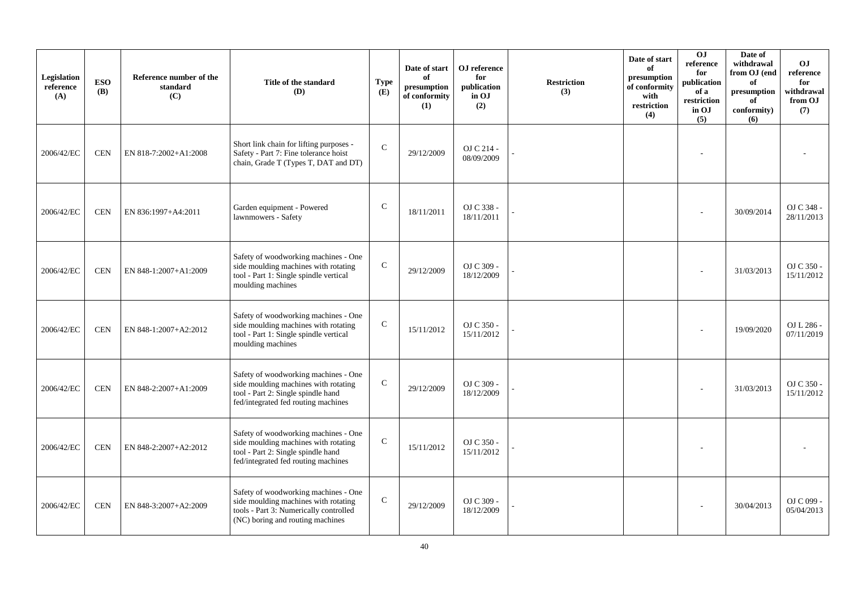| Legislation<br>reference<br>(A) | <b>ESO</b><br><b>(B)</b> | Reference number of the<br>standard<br>(C) | Title of the standard<br>(D)                                                                                                                               | <b>Type</b><br>(E) | Date of start<br>of<br>presumption<br>of conformity<br>(1) | OJ reference<br>for<br>publication<br>in OJ<br>(2) | <b>Restriction</b><br>(3) | Date of start<br>of<br>presumption<br>of conformity<br>with<br>restriction<br>(4) | OJ<br>reference<br>for<br>publication<br>of a<br>restriction<br>in OJ<br>(5) | Date of<br>withdrawal<br>from OJ (end<br>of<br>presumption<br>of<br>conformity)<br>(6) | O <sub>J</sub><br>reference<br>for<br>withdrawal<br>from OJ<br>(7) |
|---------------------------------|--------------------------|--------------------------------------------|------------------------------------------------------------------------------------------------------------------------------------------------------------|--------------------|------------------------------------------------------------|----------------------------------------------------|---------------------------|-----------------------------------------------------------------------------------|------------------------------------------------------------------------------|----------------------------------------------------------------------------------------|--------------------------------------------------------------------|
| 2006/42/EC                      | <b>CEN</b>               | EN 818-7:2002+A1:2008                      | Short link chain for lifting purposes -<br>Safety - Part 7: Fine tolerance hoist<br>chain, Grade T (Types T, DAT and DT)                                   | $\mathcal{C}$      | 29/12/2009                                                 | OJ C 214 -<br>08/09/2009                           |                           |                                                                                   |                                                                              |                                                                                        |                                                                    |
| 2006/42/EC                      | <b>CEN</b>               | EN 836:1997+A4:2011                        | Garden equipment - Powered<br>lawnmowers - Safety                                                                                                          | $\mathsf{C}$       | 18/11/2011                                                 | OJ C 338 -<br>18/11/2011                           |                           |                                                                                   |                                                                              | 30/09/2014                                                                             | OJ C 348 -<br>28/11/2013                                           |
| 2006/42/EC                      | <b>CEN</b>               | EN 848-1:2007+A1:2009                      | Safety of woodworking machines - One<br>side moulding machines with rotating<br>tool - Part 1: Single spindle vertical<br>moulding machines                | $\mathsf{C}$       | 29/12/2009                                                 | OJ C 309 -<br>18/12/2009                           |                           |                                                                                   |                                                                              | 31/03/2013                                                                             | OJ C 350 -<br>15/11/2012                                           |
| 2006/42/EC                      | <b>CEN</b>               | EN 848-1:2007+A2:2012                      | Safety of woodworking machines - One<br>side moulding machines with rotating<br>tool - Part 1: Single spindle vertical<br>moulding machines                | $\mathbf C$        | 15/11/2012                                                 | OJ C 350 -<br>15/11/2012                           |                           |                                                                                   |                                                                              | 19/09/2020                                                                             | OJ L 286 -<br>07/11/2019                                           |
| 2006/42/EC                      | <b>CEN</b>               | EN 848-2:2007+A1:2009                      | Safety of woodworking machines - One<br>side moulding machines with rotating<br>tool - Part 2: Single spindle hand<br>fed/integrated fed routing machines  | $\mathbf C$        | 29/12/2009                                                 | OJ C 309 -<br>18/12/2009                           |                           |                                                                                   |                                                                              | 31/03/2013                                                                             | OJ C 350 -<br>15/11/2012                                           |
| 2006/42/EC                      | <b>CEN</b>               | EN 848-2:2007+A2:2012                      | Safety of woodworking machines - One<br>side moulding machines with rotating<br>tool - Part 2: Single spindle hand<br>fed/integrated fed routing machines  | $\mathbf C$        | 15/11/2012                                                 | OJ C 350 -<br>15/11/2012                           |                           |                                                                                   |                                                                              |                                                                                        |                                                                    |
| 2006/42/EC                      | <b>CEN</b>               | EN 848-3:2007+A2:2009                      | Safety of woodworking machines - One<br>side moulding machines with rotating<br>tools - Part 3: Numerically controlled<br>(NC) boring and routing machines | $\mathbf C$        | 29/12/2009                                                 | OJ C 309 -<br>18/12/2009                           |                           |                                                                                   |                                                                              | 30/04/2013                                                                             | OJ C 099 -<br>05/04/2013                                           |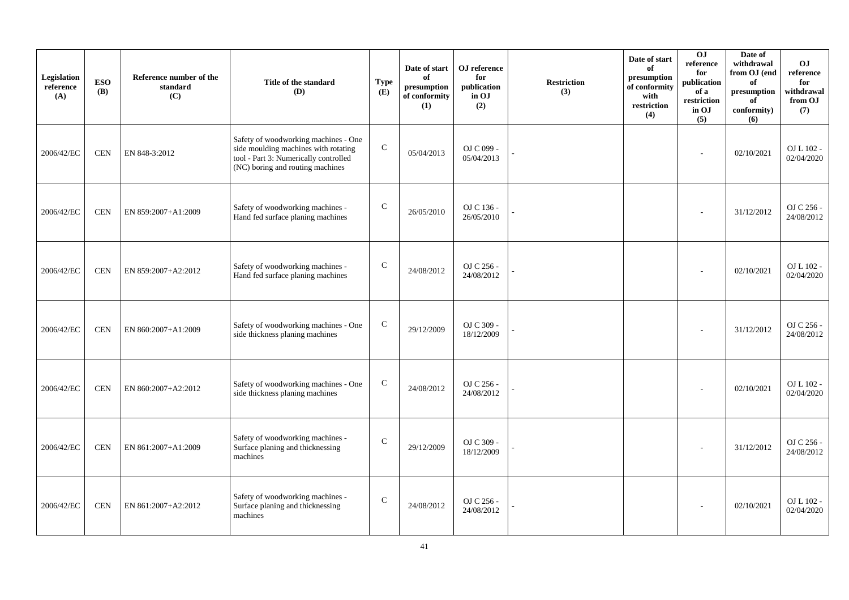| Legislation<br>reference<br>(A) | <b>ESO</b><br><b>(B)</b> | Reference number of the<br>standard<br>(C) | Title of the standard<br>(D)                                                                                                                              | <b>Type</b><br>(E) | Date of start<br>of<br>presumption<br>of conformity<br>(1) | OJ reference<br>for<br>publication<br>in OJ<br>(2) | <b>Restriction</b><br>(3) | Date of start<br>of<br>presumption<br>of conformity<br>with<br>restriction<br>(4) | 0J<br>reference<br>for<br>publication<br>of a<br>restriction<br>in OJ<br>(5) | Date of<br>withdrawal<br>from OJ (end<br>of<br>presumption<br>of<br>conformity)<br>(6) | O <sub>J</sub><br>reference<br>for<br>withdrawal<br>from OJ<br>(7) |
|---------------------------------|--------------------------|--------------------------------------------|-----------------------------------------------------------------------------------------------------------------------------------------------------------|--------------------|------------------------------------------------------------|----------------------------------------------------|---------------------------|-----------------------------------------------------------------------------------|------------------------------------------------------------------------------|----------------------------------------------------------------------------------------|--------------------------------------------------------------------|
| 2006/42/EC                      | <b>CEN</b>               | EN 848-3:2012                              | Safety of woodworking machines - One<br>side moulding machines with rotating<br>tool - Part 3: Numerically controlled<br>(NC) boring and routing machines | ${\bf C}$          | 05/04/2013                                                 | OJ C 099 -<br>05/04/2013                           |                           |                                                                                   | ÷                                                                            | 02/10/2021                                                                             | OJ L 102 -<br>02/04/2020                                           |
| 2006/42/EC                      | <b>CEN</b>               | EN 859:2007+A1:2009                        | Safety of woodworking machines -<br>Hand fed surface planing machines                                                                                     | ${\bf C}$          | 26/05/2010                                                 | OJ C 136 -<br>26/05/2010                           |                           |                                                                                   |                                                                              | 31/12/2012                                                                             | OJ C 256 -<br>24/08/2012                                           |
| 2006/42/EC                      | <b>CEN</b>               | EN 859:2007+A2:2012                        | Safety of woodworking machines -<br>Hand fed surface planing machines                                                                                     | $\mathbf C$        | 24/08/2012                                                 | OJ C 256 -<br>24/08/2012                           |                           |                                                                                   |                                                                              | 02/10/2021                                                                             | OJ L 102 -<br>02/04/2020                                           |
| 2006/42/EC                      | <b>CEN</b>               | EN 860:2007+A1:2009                        | Safety of woodworking machines - One<br>side thickness planing machines                                                                                   | $\mathsf{C}$       | 29/12/2009                                                 | OJ C 309 -<br>18/12/2009                           |                           |                                                                                   |                                                                              | 31/12/2012                                                                             | OJ C 256 -<br>24/08/2012                                           |
| 2006/42/EC                      | <b>CEN</b>               | EN 860:2007+A2:2012                        | Safety of woodworking machines - One<br>side thickness planing machines                                                                                   | $\mathsf{C}$       | 24/08/2012                                                 | OJ C 256 -<br>24/08/2012                           |                           |                                                                                   |                                                                              | 02/10/2021                                                                             | OJ L 102 -<br>02/04/2020                                           |
| 2006/42/EC                      | <b>CEN</b>               | EN 861:2007+A1:2009                        | Safety of woodworking machines -<br>Surface planing and thicknessing<br>machines                                                                          | $\mathsf{C}$       | 29/12/2009                                                 | OJ C 309 -<br>18/12/2009                           |                           |                                                                                   |                                                                              | 31/12/2012                                                                             | OJ C 256 -<br>24/08/2012                                           |
| 2006/42/EC                      | <b>CEN</b>               | EN 861:2007+A2:2012                        | Safety of woodworking machines -<br>Surface planing and thicknessing<br>machines                                                                          | $\mathsf{C}$       | 24/08/2012                                                 | OJ C 256 -<br>24/08/2012                           |                           |                                                                                   |                                                                              | 02/10/2021                                                                             | OJ L 102 -<br>02/04/2020                                           |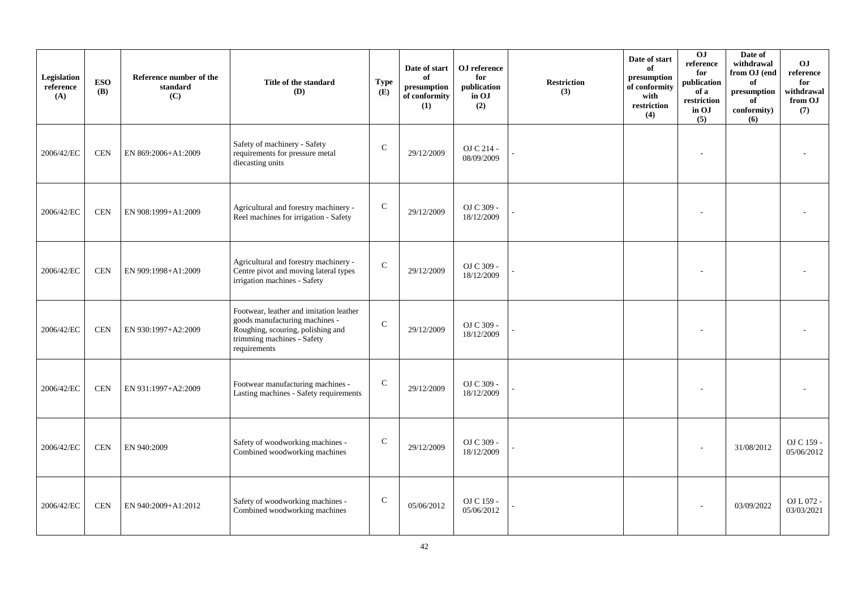| Legislation<br>reference<br>(A) | <b>ESO</b><br><b>(B)</b> | Reference number of the<br>standard<br>(C) | Title of the standard<br>(D)                                                                                                                                 | <b>Type</b><br>(E) | Date of start<br>of<br>presumption<br>of conformity<br>(1) | OJ reference<br>for<br>publication<br>in OJ<br>(2) | <b>Restriction</b><br>(3) | Date of start<br>of<br>presumption<br>of conformity<br>with<br>restriction<br>(4) | O <sub>J</sub><br>reference<br>for<br>publication<br>of a<br>restriction<br>in OJ<br>(5) | Date of<br>withdrawal<br>from OJ (end<br>of<br>presumption<br>of<br>conformity)<br>(6) | O <sub>J</sub><br>reference<br>for<br>withdrawal<br>from OJ<br>(7) |
|---------------------------------|--------------------------|--------------------------------------------|--------------------------------------------------------------------------------------------------------------------------------------------------------------|--------------------|------------------------------------------------------------|----------------------------------------------------|---------------------------|-----------------------------------------------------------------------------------|------------------------------------------------------------------------------------------|----------------------------------------------------------------------------------------|--------------------------------------------------------------------|
| 2006/42/EC                      | <b>CEN</b>               | EN 869:2006+A1:2009                        | Safety of machinery - Safety<br>requirements for pressure metal<br>diecasting units                                                                          | ${\bf C}$          | 29/12/2009                                                 | OJ C 214 -<br>08/09/2009                           |                           |                                                                                   |                                                                                          |                                                                                        |                                                                    |
| 2006/42/EC                      | <b>CEN</b>               | EN 908:1999+A1:2009                        | Agricultural and forestry machinery -<br>Reel machines for irrigation - Safety                                                                               | $\mathbf C$        | 29/12/2009                                                 | OJ C 309 -<br>18/12/2009                           |                           |                                                                                   |                                                                                          |                                                                                        |                                                                    |
| 2006/42/EC                      | <b>CEN</b>               | EN 909:1998+A1:2009                        | Agricultural and forestry machinery -<br>Centre pivot and moving lateral types<br>irrigation machines - Safety                                               | $\mathbf C$        | 29/12/2009                                                 | OJ C 309 -<br>18/12/2009                           |                           |                                                                                   |                                                                                          |                                                                                        |                                                                    |
| 2006/42/EC                      | <b>CEN</b>               | EN 930:1997+A2:2009                        | Footwear, leather and imitation leather<br>goods manufacturing machines -<br>Roughing, scouring, polishing and<br>trimming machines - Safety<br>requirements | $\mathbf C$        | 29/12/2009                                                 | OJ C 309 -<br>18/12/2009                           |                           |                                                                                   |                                                                                          |                                                                                        |                                                                    |
| 2006/42/EC                      | <b>CEN</b>               | EN 931:1997+A2:2009                        | Footwear manufacturing machines -<br>Lasting machines - Safety requirements                                                                                  | $\mathsf{C}$       | 29/12/2009                                                 | OJ C 309 -<br>18/12/2009                           |                           |                                                                                   |                                                                                          |                                                                                        |                                                                    |
| 2006/42/EC                      | <b>CEN</b>               | EN 940:2009                                | Safety of woodworking machines -<br>Combined woodworking machines                                                                                            | $\mathsf{C}$       | 29/12/2009                                                 | OJ C 309 -<br>18/12/2009                           |                           |                                                                                   |                                                                                          | 31/08/2012                                                                             | OJ C 159 -<br>05/06/2012                                           |
| 2006/42/EC                      | <b>CEN</b>               | EN 940:2009+A1:2012                        | Safety of woodworking machines -<br>Combined woodworking machines                                                                                            | $\mathsf{C}$       | 05/06/2012                                                 | OJ C 159 -<br>05/06/2012                           |                           |                                                                                   |                                                                                          | 03/09/2022                                                                             | OJ L 072 -<br>03/03/2021                                           |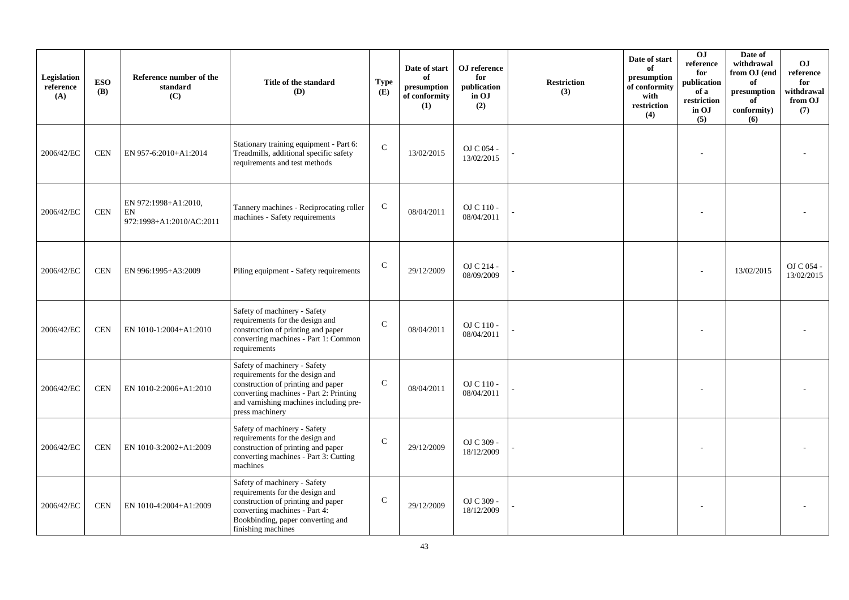| Legislation<br>reference<br>(A) | <b>ESO</b><br><b>(B)</b> | Reference number of the<br>standard<br>(C)             | Title of the standard<br>(D)                                                                                                                                                                                 | <b>Type</b><br>(E) | Date of start<br>of<br>presumption<br>of conformity<br>(1) | OJ reference<br>for<br>publication<br>in OJ<br>(2) | <b>Restriction</b><br>(3) | Date of start<br>of<br>presumption<br>of conformity<br>with<br>restriction<br>(4) | O <sub>J</sub><br>reference<br>for<br>publication<br>of a<br>restriction<br>in OJ<br>(5) | Date of<br>withdrawal<br>from OJ (end<br>of<br>presumption<br>of<br>conformity)<br>(6) | <b>OJ</b><br>reference<br>for<br>withdrawal<br>from OJ<br>(7) |
|---------------------------------|--------------------------|--------------------------------------------------------|--------------------------------------------------------------------------------------------------------------------------------------------------------------------------------------------------------------|--------------------|------------------------------------------------------------|----------------------------------------------------|---------------------------|-----------------------------------------------------------------------------------|------------------------------------------------------------------------------------------|----------------------------------------------------------------------------------------|---------------------------------------------------------------|
| 2006/42/EC                      | <b>CEN</b>               | EN 957-6:2010+A1:2014                                  | Stationary training equipment - Part 6:<br>Treadmills, additional specific safety<br>requirements and test methods                                                                                           | $\mathsf{C}$       | 13/02/2015                                                 | OJ C 054 -<br>13/02/2015                           |                           |                                                                                   |                                                                                          |                                                                                        |                                                               |
| 2006/42/EC                      | <b>CEN</b>               | EN 972:1998+A1:2010,<br>EN<br>972:1998+A1:2010/AC:2011 | Tannery machines - Reciprocating roller<br>machines - Safety requirements                                                                                                                                    | $\mathsf{C}$       | 08/04/2011                                                 | OJ C 110 -<br>08/04/2011                           |                           |                                                                                   |                                                                                          |                                                                                        |                                                               |
| 2006/42/EC                      | <b>CEN</b>               | EN 996:1995+A3:2009                                    | Piling equipment - Safety requirements                                                                                                                                                                       | $\mathcal{C}$      | 29/12/2009                                                 | OJ C 214 -<br>08/09/2009                           |                           |                                                                                   |                                                                                          | 13/02/2015                                                                             | OJ C 054 -<br>13/02/2015                                      |
| 2006/42/EC                      | <b>CEN</b>               | EN 1010-1:2004+A1:2010                                 | Safety of machinery - Safety<br>requirements for the design and<br>construction of printing and paper<br>converting machines - Part 1: Common<br>requirements                                                | $\mathcal{C}$      | 08/04/2011                                                 | OJ C 110 -<br>08/04/2011                           |                           |                                                                                   |                                                                                          |                                                                                        |                                                               |
| 2006/42/EC                      | <b>CEN</b>               | EN 1010-2:2006+A1:2010                                 | Safety of machinery - Safety<br>requirements for the design and<br>construction of printing and paper<br>converting machines - Part 2: Printing<br>and varnishing machines including pre-<br>press machinery | $\mathsf{C}$       | 08/04/2011                                                 | OJ C 110 -<br>08/04/2011                           |                           |                                                                                   |                                                                                          |                                                                                        |                                                               |
| 2006/42/EC                      | <b>CEN</b>               | EN 1010-3:2002+A1:2009                                 | Safety of machinery - Safety<br>requirements for the design and<br>construction of printing and paper<br>converting machines - Part 3: Cutting<br>machines                                                   | $\mathsf{C}$       | 29/12/2009                                                 | OJ C 309 -<br>18/12/2009                           |                           |                                                                                   |                                                                                          |                                                                                        |                                                               |
| 2006/42/EC                      | <b>CEN</b>               | EN 1010-4:2004+A1:2009                                 | Safety of machinery - Safety<br>requirements for the design and<br>construction of printing and paper<br>converting machines - Part 4:<br>Bookbinding, paper converting and<br>finishing machines            | $\mathsf{C}$       | 29/12/2009                                                 | OJ C 309 -<br>18/12/2009                           |                           |                                                                                   |                                                                                          |                                                                                        |                                                               |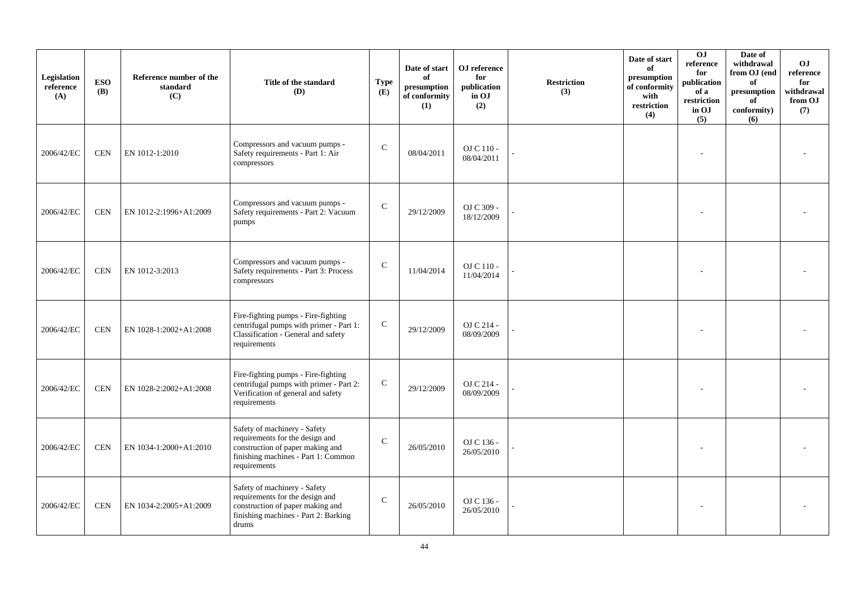| Legislation<br>reference<br>(A) | <b>ESO</b><br><b>(B)</b> | Reference number of the<br>standard<br>(C) | Title of the standard<br>(D)                                                                                                                               | <b>Type</b><br>(E) | Date of start<br>of<br>presumption<br>of conformity<br>(1) | OJ reference<br>for<br>publication<br>in OJ<br>(2) | <b>Restriction</b><br>(3) | Date of start<br>of<br>presumption<br>of conformity<br>with<br>restriction<br>(4) | O <sub>J</sub><br>reference<br>for<br>publication<br>of a<br>restriction<br>in OJ<br>(5) | Date of<br>withdrawal<br>from OJ (end<br>of<br>presumption<br>of<br>conformity)<br>(6) | O <sub>J</sub><br>reference<br>for<br>withdrawal<br>from OJ<br>(7) |
|---------------------------------|--------------------------|--------------------------------------------|------------------------------------------------------------------------------------------------------------------------------------------------------------|--------------------|------------------------------------------------------------|----------------------------------------------------|---------------------------|-----------------------------------------------------------------------------------|------------------------------------------------------------------------------------------|----------------------------------------------------------------------------------------|--------------------------------------------------------------------|
| 2006/42/EC                      | <b>CEN</b>               | EN 1012-1:2010                             | Compressors and vacuum pumps -<br>Safety requirements - Part 1: Air<br>compressors                                                                         | $\mathcal{C}$      | 08/04/2011                                                 | OJ C 110 -<br>08/04/2011                           |                           |                                                                                   |                                                                                          |                                                                                        |                                                                    |
| 2006/42/EC                      | <b>CEN</b>               | EN 1012-2:1996+A1:2009                     | Compressors and vacuum pumps -<br>Safety requirements - Part 2: Vacuum<br>pumps                                                                            | $\mathbf C$        | 29/12/2009                                                 | OJ C 309 -<br>18/12/2009                           |                           |                                                                                   |                                                                                          |                                                                                        |                                                                    |
| 2006/42/EC                      | <b>CEN</b>               | EN 1012-3:2013                             | Compressors and vacuum pumps -<br>Safety requirements - Part 3: Process<br>compressors                                                                     | $\mathcal{C}$      | 11/04/2014                                                 | OJ C 110 -<br>11/04/2014                           |                           |                                                                                   |                                                                                          |                                                                                        |                                                                    |
| 2006/42/EC                      | <b>CEN</b>               | EN 1028-1:2002+A1:2008                     | Fire-fighting pumps - Fire-fighting<br>centrifugal pumps with primer - Part 1:<br>Classification - General and safety<br>requirements                      | ${\bf C}$          | 29/12/2009                                                 | OJ C 214 -<br>08/09/2009                           |                           |                                                                                   |                                                                                          |                                                                                        |                                                                    |
| 2006/42/EC                      | <b>CEN</b>               | EN 1028-2:2002+A1:2008                     | Fire-fighting pumps - Fire-fighting<br>centrifugal pumps with primer - Part 2:<br>Verification of general and safety<br>requirements                       | ${\bf C}$          | 29/12/2009                                                 | OJ C 214 -<br>08/09/2009                           |                           |                                                                                   |                                                                                          |                                                                                        |                                                                    |
| 2006/42/EC                      | <b>CEN</b>               | EN 1034-1:2000+A1:2010                     | Safety of machinery - Safety<br>requirements for the design and<br>construction of paper making and<br>finishing machines - Part 1: Common<br>requirements | $\mathcal{C}$      | 26/05/2010                                                 | OJ C 136 -<br>26/05/2010                           |                           |                                                                                   |                                                                                          |                                                                                        |                                                                    |
| 2006/42/EC                      | <b>CEN</b>               | EN 1034-2:2005+A1:2009                     | Safety of machinery - Safety<br>requirements for the design and<br>construction of paper making and<br>finishing machines - Part 2: Barking<br>drums       | $\mathcal{C}$      | 26/05/2010                                                 | OJ C 136 -<br>26/05/2010                           |                           |                                                                                   |                                                                                          |                                                                                        |                                                                    |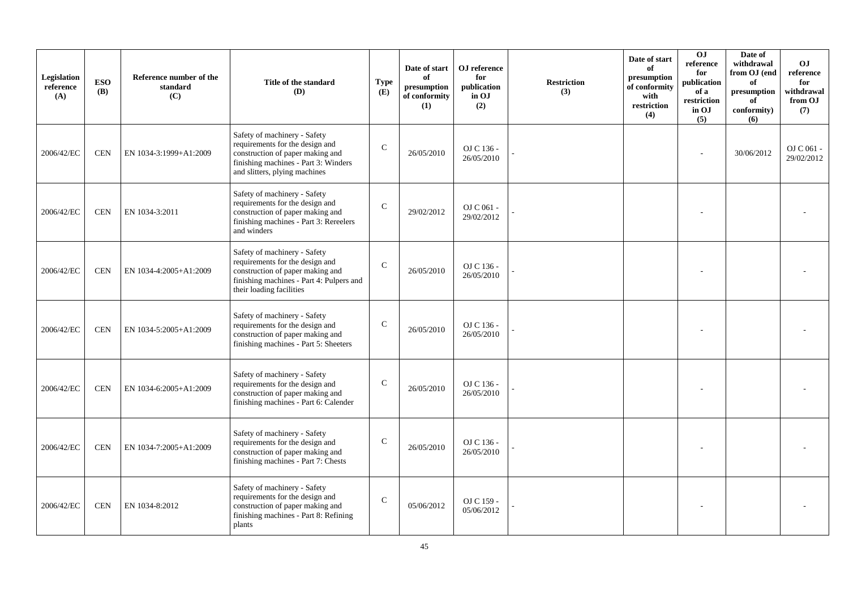| <b>Legislation</b><br>reference<br>(A) | <b>ESO</b><br><b>(B)</b> | Reference number of the<br>standard<br>(C) | Title of the standard<br>(D)                                                                                                                                                 | <b>Type</b><br>(E) | Date of start<br>of<br>presumption<br>of conformity<br>(1) | OJ reference<br>for<br>publication<br>in OJ<br>(2) | <b>Restriction</b><br>(3) | Date of start<br>of<br>presumption<br>of conformity<br>with<br>$\operatorname{restriction}$<br>(4) | O <sub>J</sub><br>reference<br>for<br>publication<br>of a<br>restriction<br>in OJ<br>(5) | Date of<br>withdrawal<br>from OJ (end<br>of<br>$\bf{presumption}$<br>of<br>conformity)<br>(6) | OJ.<br>reference<br>for<br>withdrawal<br>from OJ<br>(7) |
|----------------------------------------|--------------------------|--------------------------------------------|------------------------------------------------------------------------------------------------------------------------------------------------------------------------------|--------------------|------------------------------------------------------------|----------------------------------------------------|---------------------------|----------------------------------------------------------------------------------------------------|------------------------------------------------------------------------------------------|-----------------------------------------------------------------------------------------------|---------------------------------------------------------|
| 2006/42/EC                             | <b>CEN</b>               | EN 1034-3:1999+A1:2009                     | Safety of machinery - Safety<br>requirements for the design and<br>construction of paper making and<br>finishing machines - Part 3: Winders<br>and slitters, plying machines | $\mathcal{C}$      | 26/05/2010                                                 | OJ C 136 -<br>26/05/2010                           |                           |                                                                                                    |                                                                                          | 30/06/2012                                                                                    | OJ C 061 -<br>29/02/2012                                |
| 2006/42/EC                             | <b>CEN</b>               | EN 1034-3:2011                             | Safety of machinery - Safety<br>requirements for the design and<br>construction of paper making and<br>finishing machines - Part 3: Rereelers<br>and winders                 | $\mathsf{C}$       | 29/02/2012                                                 | OJ C 061 -<br>29/02/2012                           |                           |                                                                                                    |                                                                                          |                                                                                               |                                                         |
| 2006/42/EC                             | <b>CEN</b>               | EN 1034-4:2005+A1:2009                     | Safety of machinery - Safety<br>requirements for the design and<br>construction of paper making and<br>finishing machines - Part 4: Pulpers and<br>their loading facilities  | $\mathcal{C}$      | 26/05/2010                                                 | OJ C 136 -<br>26/05/2010                           |                           |                                                                                                    |                                                                                          |                                                                                               |                                                         |
| 2006/42/EC                             | <b>CEN</b>               | EN 1034-5:2005+A1:2009                     | Safety of machinery - Safety<br>requirements for the design and<br>construction of paper making and<br>finishing machines - Part 5: Sheeters                                 | $\mathsf{C}$       | 26/05/2010                                                 | OJ C 136 -<br>26/05/2010                           |                           |                                                                                                    |                                                                                          |                                                                                               |                                                         |
| 2006/42/EC                             | <b>CEN</b>               | EN 1034-6:2005+A1:2009                     | Safety of machinery - Safety<br>requirements for the design and<br>construction of paper making and<br>finishing machines - Part 6: Calender                                 | $\mathcal{C}$      | 26/05/2010                                                 | OJ C 136 -<br>26/05/2010                           |                           |                                                                                                    |                                                                                          |                                                                                               |                                                         |
| 2006/42/EC                             | <b>CEN</b>               | EN 1034-7:2005+A1:2009                     | Safety of machinery - Safety<br>requirements for the design and<br>construction of paper making and<br>finishing machines - Part 7: Chests                                   | $\mathsf{C}$       | 26/05/2010                                                 | OJ C 136 -<br>26/05/2010                           |                           |                                                                                                    |                                                                                          |                                                                                               |                                                         |
| 2006/42/EC                             | <b>CEN</b>               | EN 1034-8:2012                             | Safety of machinery - Safety<br>requirements for the design and<br>construction of paper making and<br>finishing machines - Part 8: Refining<br>plants                       | $\mathcal{C}$      | 05/06/2012                                                 | OJ C 159 -<br>05/06/2012                           |                           |                                                                                                    |                                                                                          |                                                                                               |                                                         |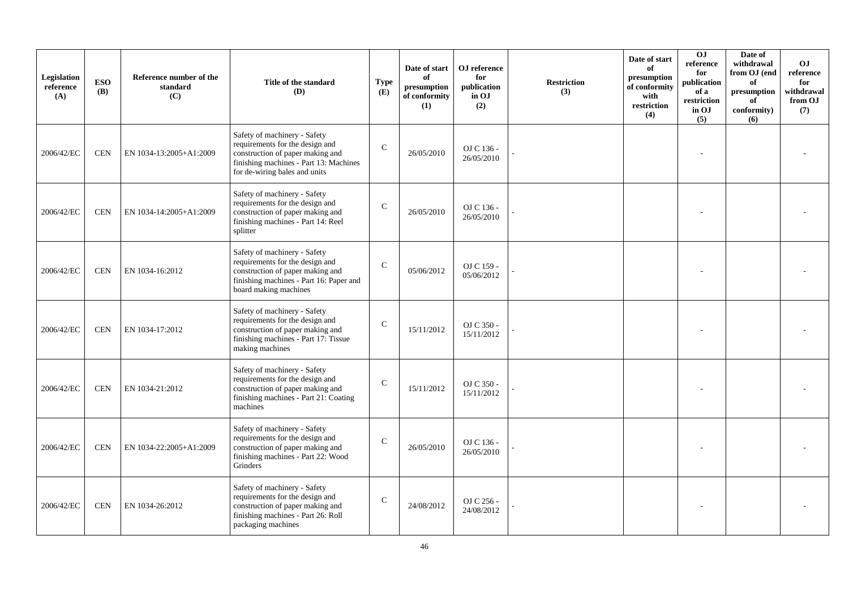| Legislation<br>reference<br>(A) | <b>ESO</b><br><b>(B)</b> | Reference number of the<br>standard<br>(C) | Title of the standard<br>(D)                                                                                                                                                   | <b>Type</b><br>(E) | Date of start<br>of<br>presumption<br>of conformity<br>(1) | OJ reference<br>for<br>publication<br>in OJ<br>(2) | <b>Restriction</b><br>(3) | Date of start<br>of<br>presumption<br>of conformity<br>with<br>restriction<br>(4) | O <sub>J</sub><br>reference<br>for<br>publication<br>of a<br>restriction<br>in OJ<br>(5) | Date of<br>withdrawal<br>from OJ (end<br>of<br>presumption<br>of<br>conformity)<br>(6) | <b>OJ</b><br>reference<br>for<br>withdrawal<br>from OJ<br>(7) |
|---------------------------------|--------------------------|--------------------------------------------|--------------------------------------------------------------------------------------------------------------------------------------------------------------------------------|--------------------|------------------------------------------------------------|----------------------------------------------------|---------------------------|-----------------------------------------------------------------------------------|------------------------------------------------------------------------------------------|----------------------------------------------------------------------------------------|---------------------------------------------------------------|
| 2006/42/EC                      | <b>CEN</b>               | EN 1034-13:2005+A1:2009                    | Safety of machinery - Safety<br>requirements for the design and<br>construction of paper making and<br>finishing machines - Part 13: Machines<br>for de-wiring bales and units | $\mathcal{C}$      | 26/05/2010                                                 | OJ C 136 -<br>26/05/2010                           |                           |                                                                                   |                                                                                          |                                                                                        |                                                               |
| 2006/42/EC                      | <b>CEN</b>               | EN 1034-14:2005+A1:2009                    | Safety of machinery - Safety<br>requirements for the design and<br>construction of paper making and<br>finishing machines - Part 14: Reel<br>splitter                          | $\mathbf C$        | 26/05/2010                                                 | OJ C 136 -<br>26/05/2010                           |                           |                                                                                   |                                                                                          |                                                                                        |                                                               |
| 2006/42/EC                      | <b>CEN</b>               | EN 1034-16:2012                            | Safety of machinery - Safety<br>requirements for the design and<br>construction of paper making and<br>finishing machines - Part 16: Paper and<br>board making machines        | $\mathbf C$        | 05/06/2012                                                 | OJ C 159 -<br>05/06/2012                           |                           |                                                                                   |                                                                                          |                                                                                        |                                                               |
| 2006/42/EC                      | <b>CEN</b>               | EN 1034-17:2012                            | Safety of machinery - Safety<br>requirements for the design and<br>construction of paper making and<br>finishing machines - Part 17: Tissue<br>making machines                 | $\mathcal{C}$      | 15/11/2012                                                 | OJ C 350 -<br>15/11/2012                           |                           |                                                                                   |                                                                                          |                                                                                        |                                                               |
| 2006/42/EC                      | <b>CEN</b>               | EN 1034-21:2012                            | Safety of machinery - Safety<br>requirements for the design and<br>construction of paper making and<br>finishing machines - Part 21: Coating<br>machines                       | $\mathcal{C}$      | 15/11/2012                                                 | OJ C 350 -<br>15/11/2012                           |                           |                                                                                   |                                                                                          |                                                                                        |                                                               |
| 2006/42/EC                      | <b>CEN</b>               | EN 1034-22:2005+A1:2009                    | Safety of machinery - Safety<br>requirements for the design and<br>construction of paper making and<br>finishing machines - Part 22: Wood<br>Grinders                          | $\mathsf{C}$       | 26/05/2010                                                 | OJ C 136 -<br>26/05/2010                           |                           |                                                                                   |                                                                                          |                                                                                        |                                                               |
| 2006/42/EC                      | <b>CEN</b>               | EN 1034-26:2012                            | Safety of machinery - Safety<br>requirements for the design and<br>construction of paper making and<br>finishing machines - Part 26: Roll<br>packaging machines                | $\mathcal{C}$      | 24/08/2012                                                 | OJ C 256 -<br>24/08/2012                           |                           |                                                                                   |                                                                                          |                                                                                        |                                                               |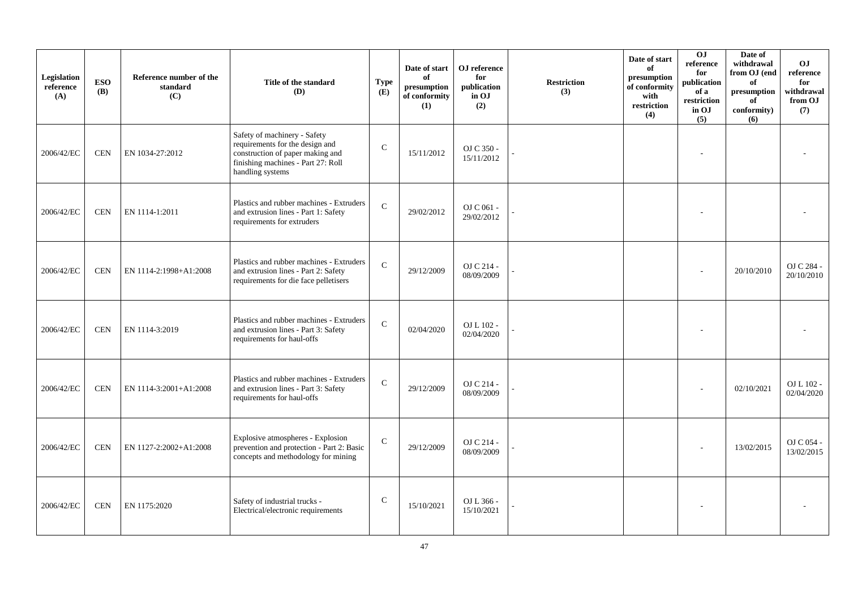| Legislation<br>reference<br>(A) | <b>ESO</b><br><b>(B)</b> | Reference number of the<br>standard<br>(C) | Title of the standard<br>(D)                                                                                                                                  | <b>Type</b><br>(E) | Date of start<br>of<br>presumption<br>of conformity<br>(1) | OJ reference<br>for<br>publication<br>in OJ<br>(2) | <b>Restriction</b><br>(3) | Date of start<br>of<br>presumption<br>of conformity<br>with<br>restriction<br>(4) | 0J<br>reference<br>for<br>publication<br>of a<br>restriction<br>in OJ<br>(5) | Date of<br>withdrawal<br>from OJ (end<br>of<br>$\bf{presumption}$<br>of<br>conformity)<br>(6) | O <sub>J</sub><br>reference<br>for<br>withdrawal<br>from OJ<br>(7) |
|---------------------------------|--------------------------|--------------------------------------------|---------------------------------------------------------------------------------------------------------------------------------------------------------------|--------------------|------------------------------------------------------------|----------------------------------------------------|---------------------------|-----------------------------------------------------------------------------------|------------------------------------------------------------------------------|-----------------------------------------------------------------------------------------------|--------------------------------------------------------------------|
| 2006/42/EC                      | <b>CEN</b>               | EN 1034-27:2012                            | Safety of machinery - Safety<br>requirements for the design and<br>construction of paper making and<br>finishing machines - Part 27: Roll<br>handling systems | $\mathcal{C}$      | 15/11/2012                                                 | OJ C 350 -<br>15/11/2012                           |                           |                                                                                   |                                                                              |                                                                                               |                                                                    |
| 2006/42/EC                      | <b>CEN</b>               | EN 1114-1:2011                             | Plastics and rubber machines - Extruders<br>and extrusion lines - Part 1: Safety<br>requirements for extruders                                                | $\mathbf C$        | 29/02/2012                                                 | OJ C 061 -<br>29/02/2012                           |                           |                                                                                   |                                                                              |                                                                                               |                                                                    |
| 2006/42/EC                      | <b>CEN</b>               | EN 1114-2:1998+A1:2008                     | Plastics and rubber machines - Extruders<br>and extrusion lines - Part 2: Safety<br>requirements for die face pelletisers                                     | $\mathbf C$        | 29/12/2009                                                 | OJ C 214 -<br>08/09/2009                           |                           |                                                                                   |                                                                              | 20/10/2010                                                                                    | OJ C 284 -<br>20/10/2010                                           |
| 2006/42/EC                      | <b>CEN</b>               | EN 1114-3:2019                             | Plastics and rubber machines - Extruders<br>and extrusion lines - Part 3: Safety<br>requirements for haul-offs                                                | $\mathbf C$        | 02/04/2020                                                 | OJ L 102 -<br>02/04/2020                           |                           |                                                                                   |                                                                              |                                                                                               |                                                                    |
| 2006/42/EC                      | <b>CEN</b>               | EN 1114-3:2001+A1:2008                     | Plastics and rubber machines - Extruders<br>and extrusion lines - Part 3: Safety<br>requirements for haul-offs                                                | $\mathsf{C}$       | 29/12/2009                                                 | OJ C 214 -<br>08/09/2009                           |                           |                                                                                   |                                                                              | 02/10/2021                                                                                    | OJ L 102 -<br>02/04/2020                                           |
| 2006/42/EC                      | <b>CEN</b>               | EN 1127-2:2002+A1:2008                     | Explosive atmospheres - Explosion<br>prevention and protection - Part 2: Basic<br>concepts and methodology for mining                                         | $\mathbf C$        | 29/12/2009                                                 | OJ C 214 -<br>08/09/2009                           |                           |                                                                                   |                                                                              | 13/02/2015                                                                                    | OJ C 054 -<br>13/02/2015                                           |
| 2006/42/EC                      | <b>CEN</b>               | EN 1175:2020                               | Safety of industrial trucks -<br>Electrical/electronic requirements                                                                                           | $\mathsf{C}$       | 15/10/2021                                                 | OJ L 366 -<br>15/10/2021                           |                           |                                                                                   |                                                                              |                                                                                               |                                                                    |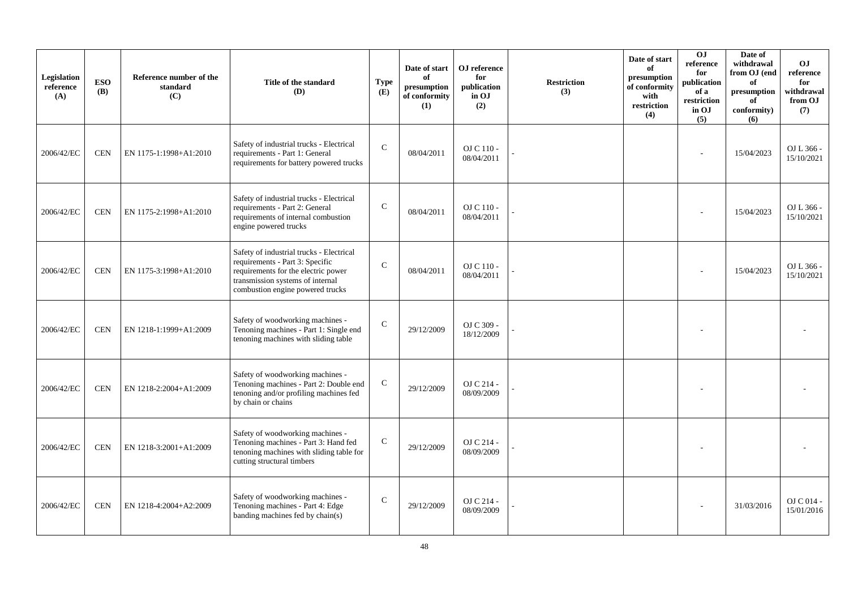| Legislation<br>reference<br>(A) | <b>ESO</b><br><b>(B)</b> | Reference number of the<br>standard<br>(C) | Title of the standard<br>(D)                                                                                                                                                               | <b>Type</b><br>(E) | Date of start<br>of<br>presumption<br>of conformity<br>(1) | OJ reference<br>for<br>publication<br>in OJ<br>(2) | <b>Restriction</b><br>(3) | Date of start<br>of<br>presumption<br>of conformity<br>with<br>restriction<br>(4) | OJ<br>reference<br>for<br>publication<br>of a<br>restriction<br>in OJ<br>(5) | Date of<br>withdrawal<br>from OJ (end<br>of<br>presumption<br>of<br>conformity)<br>(6) | <b>OJ</b><br>reference<br>for<br>withdrawal<br>from OJ<br>(7) |
|---------------------------------|--------------------------|--------------------------------------------|--------------------------------------------------------------------------------------------------------------------------------------------------------------------------------------------|--------------------|------------------------------------------------------------|----------------------------------------------------|---------------------------|-----------------------------------------------------------------------------------|------------------------------------------------------------------------------|----------------------------------------------------------------------------------------|---------------------------------------------------------------|
| 2006/42/EC                      | <b>CEN</b>               | EN 1175-1:1998+A1:2010                     | Safety of industrial trucks - Electrical<br>requirements - Part 1: General<br>requirements for battery powered trucks                                                                      | $\mathbf{C}$       | 08/04/2011                                                 | OJ C 110 -<br>08/04/2011                           |                           |                                                                                   |                                                                              | 15/04/2023                                                                             | OJ L 366 -<br>15/10/2021                                      |
| 2006/42/EC                      | <b>CEN</b>               | EN 1175-2:1998+A1:2010                     | Safety of industrial trucks - Electrical<br>requirements - Part 2: General<br>requirements of internal combustion<br>engine powered trucks                                                 | $\mathbf C$        | 08/04/2011                                                 | OJ C 110 -<br>08/04/2011                           |                           |                                                                                   |                                                                              | 15/04/2023                                                                             | OJ L 366 -<br>15/10/2021                                      |
| 2006/42/EC                      | <b>CEN</b>               | EN 1175-3:1998+A1:2010                     | Safety of industrial trucks - Electrical<br>requirements - Part 3: Specific<br>requirements for the electric power<br>transmission systems of internal<br>combustion engine powered trucks | $\mathcal{C}$      | 08/04/2011                                                 | OJ C 110 -<br>08/04/2011                           |                           |                                                                                   |                                                                              | 15/04/2023                                                                             | OJ L 366 -<br>15/10/2021                                      |
| 2006/42/EC                      | <b>CEN</b>               | EN 1218-1:1999+A1:2009                     | Safety of woodworking machines -<br>Tenoning machines - Part 1: Single end<br>tenoning machines with sliding table                                                                         | $\mathcal{C}$      | 29/12/2009                                                 | OJ C 309 -<br>18/12/2009                           |                           |                                                                                   |                                                                              |                                                                                        |                                                               |
| 2006/42/EC                      | <b>CEN</b>               | EN 1218-2:2004+A1:2009                     | Safety of woodworking machines -<br>Tenoning machines - Part 2: Double end<br>tenoning and/or profiling machines fed<br>by chain or chains                                                 | $\mathbf C$        | 29/12/2009                                                 | OJ C 214 -<br>08/09/2009                           |                           |                                                                                   |                                                                              |                                                                                        |                                                               |
| 2006/42/EC                      | <b>CEN</b>               | EN 1218-3:2001+A1:2009                     | Safety of woodworking machines -<br>Tenoning machines - Part 3: Hand fed<br>tenoning machines with sliding table for<br>cutting structural timbers                                         | $\mathbf C$        | 29/12/2009                                                 | OJ C 214 -<br>08/09/2009                           |                           |                                                                                   |                                                                              |                                                                                        |                                                               |
| 2006/42/EC                      | <b>CEN</b>               | EN 1218-4:2004+A2:2009                     | Safety of woodworking machines -<br>Tenoning machines - Part 4: Edge<br>banding machines fed by chain(s)                                                                                   | $\mathsf{C}$       | 29/12/2009                                                 | OJ C 214 -<br>08/09/2009                           |                           |                                                                                   |                                                                              | 31/03/2016                                                                             | OJ C 014 -<br>15/01/2016                                      |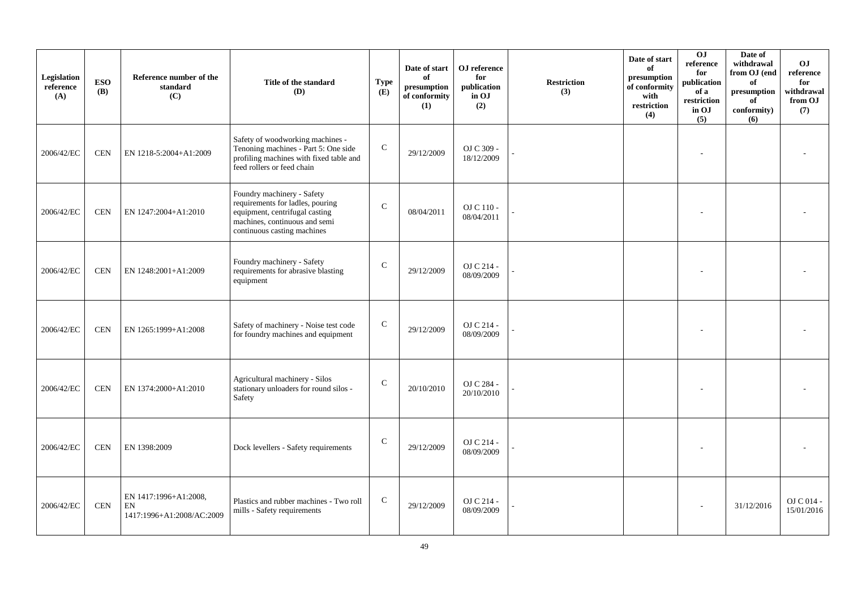| Legislation<br>reference<br>(A) | <b>ESO</b><br><b>(B)</b> | Reference number of the<br>standard<br>(C)               | Title of the standard<br>(D)                                                                                                                                     | <b>Type</b><br>(E) | Date of start<br>of<br>presumption<br>of conformity<br>(1) | OJ reference<br>for<br>publication<br>in OJ<br>(2) | <b>Restriction</b><br>(3) | Date of start<br>of<br>presumption<br>of conformity<br>with<br>$\operatorname{restriction}$<br>(4) | 0J<br>reference<br>for<br>publication<br>of a<br>restriction<br>in OJ<br>(5) | Date of<br>withdrawal<br>from OJ (end<br>of<br>$\,$ presumption<br>of<br>conformity)<br>(6) | O <sub>J</sub><br>reference<br>for<br>withdrawal<br>from OJ<br>(7) |
|---------------------------------|--------------------------|----------------------------------------------------------|------------------------------------------------------------------------------------------------------------------------------------------------------------------|--------------------|------------------------------------------------------------|----------------------------------------------------|---------------------------|----------------------------------------------------------------------------------------------------|------------------------------------------------------------------------------|---------------------------------------------------------------------------------------------|--------------------------------------------------------------------|
| 2006/42/EC                      | <b>CEN</b>               | EN 1218-5:2004+A1:2009                                   | Safety of woodworking machines -<br>Tenoning machines - Part 5: One side<br>profiling machines with fixed table and<br>feed rollers or feed chain                | $\mathbf C$        | 29/12/2009                                                 | OJ C 309 -<br>18/12/2009                           |                           |                                                                                                    |                                                                              |                                                                                             |                                                                    |
| 2006/42/EC                      | <b>CEN</b>               | EN 1247:2004+A1:2010                                     | Foundry machinery - Safety<br>requirements for ladles, pouring<br>equipment, centrifugal casting<br>machines, continuous and semi<br>continuous casting machines | $\mathsf{C}$       | 08/04/2011                                                 | OJ C 110 -<br>08/04/2011                           |                           |                                                                                                    |                                                                              |                                                                                             |                                                                    |
| 2006/42/EC                      | <b>CEN</b>               | EN 1248:2001+A1:2009                                     | Foundry machinery - Safety<br>requirements for abrasive blasting<br>equipment                                                                                    | $\mathsf{C}$       | 29/12/2009                                                 | OJ C 214 -<br>08/09/2009                           |                           |                                                                                                    |                                                                              |                                                                                             |                                                                    |
| 2006/42/EC                      | <b>CEN</b>               | EN 1265:1999+A1:2008                                     | Safety of machinery - Noise test code<br>for foundry machines and equipment                                                                                      | $\mathbf C$        | 29/12/2009                                                 | OJ C 214 -<br>08/09/2009                           |                           |                                                                                                    |                                                                              |                                                                                             |                                                                    |
| 2006/42/EC                      | <b>CEN</b>               | EN 1374:2000+A1:2010                                     | Agricultural machinery - Silos<br>stationary unloaders for round silos -<br>Safety                                                                               | $\mathsf{C}$       | 20/10/2010                                                 | OJ C 284 -<br>20/10/2010                           |                           |                                                                                                    |                                                                              |                                                                                             |                                                                    |
| 2006/42/EC                      | <b>CEN</b>               | EN 1398:2009                                             | Dock levellers - Safety requirements                                                                                                                             | ${\bf C}$          | 29/12/2009                                                 | OJ C 214 -<br>08/09/2009                           |                           |                                                                                                    |                                                                              |                                                                                             |                                                                    |
| 2006/42/EC                      | <b>CEN</b>               | EN 1417:1996+A1:2008,<br>EN<br>1417:1996+A1:2008/AC:2009 | Plastics and rubber machines - Two roll<br>mills - Safety requirements                                                                                           | $\mathsf{C}$       | 29/12/2009                                                 | OJ C 214 -<br>08/09/2009                           |                           |                                                                                                    |                                                                              | 31/12/2016                                                                                  | OJ C 014 -<br>15/01/2016                                           |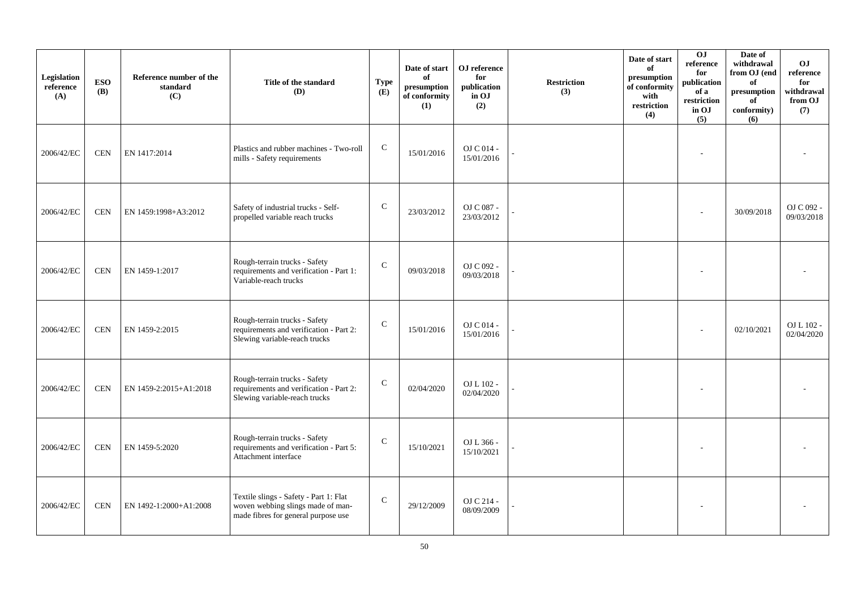| Legislation<br>reference<br>(A) | <b>ESO</b><br><b>(B)</b> | Reference number of the<br>standard<br>(C) | Title of the standard<br>(D)                                                                                       | <b>Type</b><br>(E) | Date of start<br>of<br>presumption<br>of conformity<br>(1) | OJ reference<br>for<br>publication<br>in OJ<br>(2) | <b>Restriction</b><br>(3) | Date of start<br>of<br>presumption<br>of conformity<br>with<br>restriction<br>(4) | 0J<br>reference<br>for<br>publication<br>of a<br>restriction<br>in OJ<br>(5) | Date of<br>withdrawal<br>from OJ (end<br>of<br>presumption<br>of<br>conformity)<br>(6) | O <sub>J</sub><br>reference<br>for<br>withdrawal<br>from OJ<br>(7) |
|---------------------------------|--------------------------|--------------------------------------------|--------------------------------------------------------------------------------------------------------------------|--------------------|------------------------------------------------------------|----------------------------------------------------|---------------------------|-----------------------------------------------------------------------------------|------------------------------------------------------------------------------|----------------------------------------------------------------------------------------|--------------------------------------------------------------------|
| 2006/42/EC                      | <b>CEN</b>               | EN 1417:2014                               | Plastics and rubber machines - Two-roll<br>mills - Safety requirements                                             | ${\bf C}$          | 15/01/2016                                                 | OJ C 014 -<br>15/01/2016                           |                           |                                                                                   |                                                                              |                                                                                        |                                                                    |
| 2006/42/EC                      | <b>CEN</b>               | EN 1459:1998+A3:2012                       | Safety of industrial trucks - Self-<br>propelled variable reach trucks                                             | $\mathsf{C}$       | 23/03/2012                                                 | OJ C $087$ -<br>23/03/2012                         |                           |                                                                                   |                                                                              | 30/09/2018                                                                             | OJ C 092 -<br>09/03/2018                                           |
| 2006/42/EC                      | <b>CEN</b>               | EN 1459-1:2017                             | Rough-terrain trucks - Safety<br>requirements and verification - Part 1:<br>Variable-reach trucks                  | $\mathbf C$        | 09/03/2018                                                 | OJ C 092 -<br>09/03/2018                           |                           |                                                                                   |                                                                              |                                                                                        |                                                                    |
| 2006/42/EC                      | <b>CEN</b>               | EN 1459-2:2015                             | Rough-terrain trucks - Safety<br>requirements and verification - Part 2:<br>Slewing variable-reach trucks          | ${\bf C}$          | 15/01/2016                                                 | OJ C 014 -<br>15/01/2016                           |                           |                                                                                   |                                                                              | 02/10/2021                                                                             | OJ L 102 -<br>02/04/2020                                           |
| 2006/42/EC                      | <b>CEN</b>               | EN 1459-2:2015+A1:2018                     | Rough-terrain trucks - Safety<br>requirements and verification - Part 2:<br>Slewing variable-reach trucks          | $\mathcal{C}$      | 02/04/2020                                                 | OJ L 102 -<br>02/04/2020                           |                           |                                                                                   |                                                                              |                                                                                        |                                                                    |
| 2006/42/EC                      | <b>CEN</b>               | EN 1459-5:2020                             | Rough-terrain trucks - Safety<br>requirements and verification - Part 5:<br>Attachment interface                   | $\mathsf{C}$       | 15/10/2021                                                 | OJ L 366 -<br>15/10/2021                           |                           |                                                                                   |                                                                              |                                                                                        |                                                                    |
| 2006/42/EC                      | <b>CEN</b>               | EN 1492-1:2000+A1:2008                     | Textile slings - Safety - Part 1: Flat<br>woven webbing slings made of man-<br>made fibres for general purpose use | $\mathsf{C}$       | 29/12/2009                                                 | OJ C 214 -<br>08/09/2009                           |                           |                                                                                   |                                                                              |                                                                                        |                                                                    |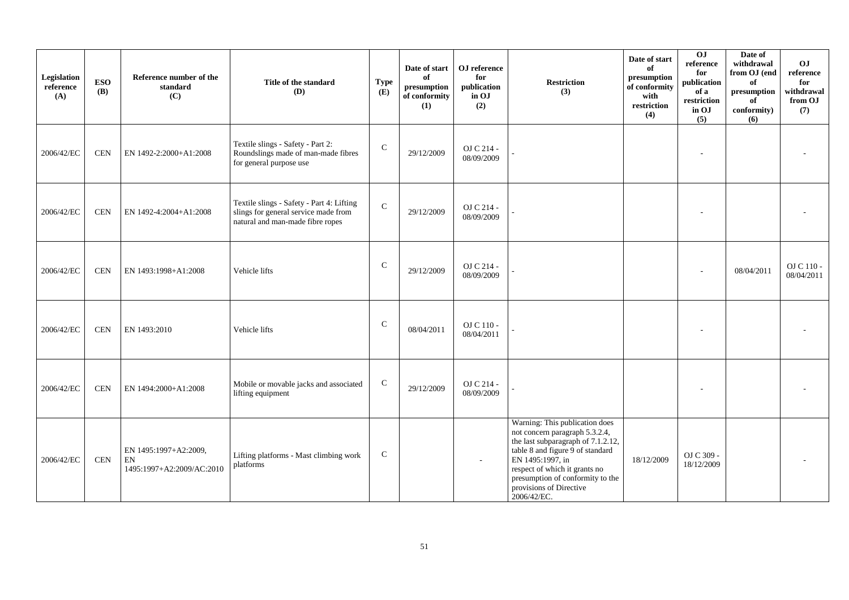| Legislation<br>reference<br>(A) | <b>ESO</b><br>(B) | Reference number of the<br>standard<br>(C)                                       | Title of the standard<br>(D)                                                                                          | <b>Type</b><br>(E) | Date of start<br>of<br>$\bf{presumption}$<br>of conformity<br>(1) | OJ reference<br>for<br>publication<br>in OJ<br>(2) | <b>Restriction</b><br>(3)                                                                                                                                                                                                                                                     | Date of start<br>of<br>presumption<br>of conformity<br>with<br>restriction<br>(4) | OJ<br>reference<br>for<br>publication<br>of a<br>restriction<br>in OJ<br>(5) | Date of<br>withdrawal<br>from OJ (end<br>of<br>presumption<br>of<br>conformity)<br>(6) | OJ<br>reference<br>for<br>withdrawal<br>from OJ<br>(7) |
|---------------------------------|-------------------|----------------------------------------------------------------------------------|-----------------------------------------------------------------------------------------------------------------------|--------------------|-------------------------------------------------------------------|----------------------------------------------------|-------------------------------------------------------------------------------------------------------------------------------------------------------------------------------------------------------------------------------------------------------------------------------|-----------------------------------------------------------------------------------|------------------------------------------------------------------------------|----------------------------------------------------------------------------------------|--------------------------------------------------------|
| 2006/42/EC                      | <b>CEN</b>        | EN 1492-2:2000+A1:2008                                                           | Textile slings - Safety - Part 2:<br>Roundslings made of man-made fibres<br>for general purpose use                   | $\mathsf{C}$       | 29/12/2009                                                        | OJ C 214 -<br>08/09/2009                           |                                                                                                                                                                                                                                                                               |                                                                                   |                                                                              |                                                                                        |                                                        |
| 2006/42/EC                      | <b>CEN</b>        | EN 1492-4:2004+A1:2008                                                           | Textile slings - Safety - Part 4: Lifting<br>slings for general service made from<br>natural and man-made fibre ropes | ${\bf C}$          | 29/12/2009                                                        | OJ C 214 -<br>08/09/2009                           |                                                                                                                                                                                                                                                                               |                                                                                   |                                                                              |                                                                                        |                                                        |
| 2006/42/EC                      | <b>CEN</b>        | EN 1493:1998+A1:2008                                                             | Vehicle lifts                                                                                                         | $\mathsf{C}$       | 29/12/2009                                                        | OJ C 214 -<br>08/09/2009                           |                                                                                                                                                                                                                                                                               |                                                                                   |                                                                              | 08/04/2011                                                                             | OJ C 110 -<br>08/04/2011                               |
| 2006/42/EC                      | <b>CEN</b>        | EN 1493:2010                                                                     | Vehicle lifts                                                                                                         | $\mathcal{C}$      | 08/04/2011                                                        | OJ C 110 -<br>08/04/2011                           |                                                                                                                                                                                                                                                                               |                                                                                   |                                                                              |                                                                                        |                                                        |
| 2006/42/EC                      | <b>CEN</b>        | EN 1494:2000+A1:2008                                                             | Mobile or movable jacks and associated<br>lifting equipment                                                           | $\mathbf C$        | 29/12/2009                                                        | OJ C 214 -<br>08/09/2009                           |                                                                                                                                                                                                                                                                               |                                                                                   | $\overline{\phantom{a}}$                                                     |                                                                                        |                                                        |
| 2006/42/EC                      | <b>CEN</b>        | EN 1495:1997+A2:2009,<br>$\mathop{\rm EN}\nolimits$<br>1495:1997+A2:2009/AC:2010 | Lifting platforms - Mast climbing work<br>platforms                                                                   | $\mathsf{C}$       |                                                                   |                                                    | Warning: This publication does<br>not concern paragraph 5.3.2.4,<br>the last subparagraph of 7.1.2.12,<br>table 8 and figure 9 of standard<br>EN 1495:1997, in<br>respect of which it grants no<br>presumption of conformity to the<br>provisions of Directive<br>2006/42/EC. | 18/12/2009                                                                        | OJ C 309 -<br>18/12/2009                                                     |                                                                                        |                                                        |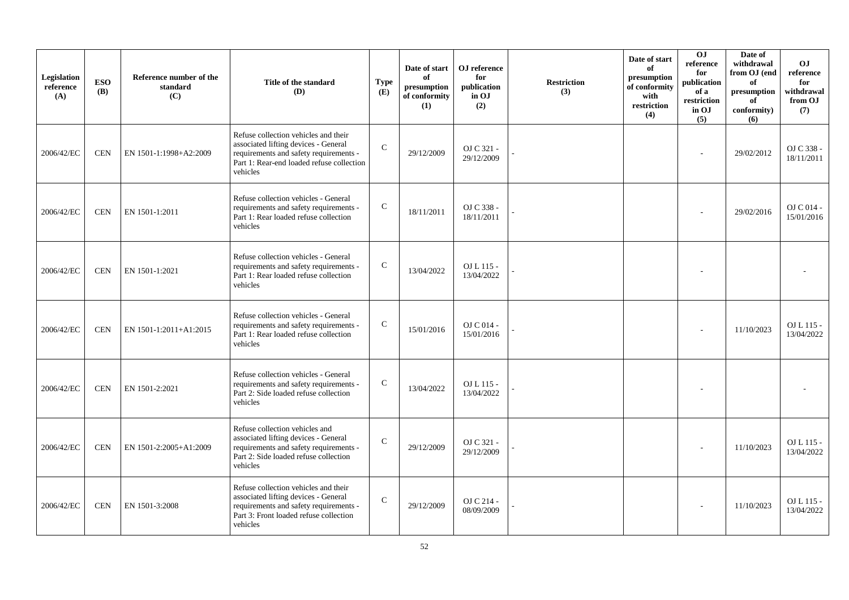| Legislation<br>reference<br>(A) | <b>ESO</b><br><b>(B)</b> | Reference number of the<br>standard<br>(C) | Title of the standard<br>(D)                                                                                                                                                    | <b>Type</b><br>(E) | Date of start<br>of<br>presumption<br>of conformity<br>(1) | OJ reference<br>for<br>publication<br>in OJ<br>(2) | <b>Restriction</b><br>(3) | Date of start<br>of<br>presumption<br>of conformity<br>with<br>restriction<br>(4) | O <sub>J</sub><br>reference<br>for<br>publication<br>of a<br>restriction<br>in OJ<br>(5) | Date of<br>withdrawal<br>from OJ (end<br>of<br>presumption<br>of<br>conformity)<br>(6) | <b>OJ</b><br>reference<br>for<br>withdrawal<br>from OJ<br>(7) |
|---------------------------------|--------------------------|--------------------------------------------|---------------------------------------------------------------------------------------------------------------------------------------------------------------------------------|--------------------|------------------------------------------------------------|----------------------------------------------------|---------------------------|-----------------------------------------------------------------------------------|------------------------------------------------------------------------------------------|----------------------------------------------------------------------------------------|---------------------------------------------------------------|
| 2006/42/EC                      | <b>CEN</b>               | EN 1501-1:1998+A2:2009                     | Refuse collection vehicles and their<br>associated lifting devices - General<br>requirements and safety requirements -<br>Part 1: Rear-end loaded refuse collection<br>vehicles | $\mathsf{C}$       | 29/12/2009                                                 | OJ C 321 -<br>29/12/2009                           |                           |                                                                                   |                                                                                          | 29/02/2012                                                                             | OJ C 338 -<br>18/11/2011                                      |
| 2006/42/EC                      | <b>CEN</b>               | EN 1501-1:2011                             | Refuse collection vehicles - General<br>requirements and safety requirements -<br>Part 1: Rear loaded refuse collection<br>vehicles                                             | $\mathsf{C}$       | 18/11/2011                                                 | OJ C 338 -<br>18/11/2011                           |                           |                                                                                   |                                                                                          | 29/02/2016                                                                             | OJ C 014 -<br>15/01/2016                                      |
| 2006/42/EC                      | <b>CEN</b>               | EN 1501-1:2021                             | Refuse collection vehicles - General<br>requirements and safety requirements -<br>Part 1: Rear loaded refuse collection<br>vehicles                                             | $\mathsf{C}$       | 13/04/2022                                                 | OJ L 115 -<br>13/04/2022                           |                           |                                                                                   |                                                                                          |                                                                                        |                                                               |
| 2006/42/EC                      | <b>CEN</b>               | EN 1501-1:2011+A1:2015                     | Refuse collection vehicles - General<br>requirements and safety requirements -<br>Part 1: Rear loaded refuse collection<br>vehicles                                             | $\mathsf{C}$       | 15/01/2016                                                 | OJ C 014 -<br>15/01/2016                           |                           |                                                                                   |                                                                                          | 11/10/2023                                                                             | OJ L 115 -<br>13/04/2022                                      |
| 2006/42/EC                      | <b>CEN</b>               | EN 1501-2:2021                             | Refuse collection vehicles - General<br>requirements and safety requirements -<br>Part 2: Side loaded refuse collection<br>vehicles                                             | $\mathbf C$        | 13/04/2022                                                 | OJ L 115 -<br>13/04/2022                           |                           |                                                                                   |                                                                                          |                                                                                        |                                                               |
| 2006/42/EC                      | <b>CEN</b>               | EN 1501-2:2005+A1:2009                     | Refuse collection vehicles and<br>associated lifting devices - General<br>requirements and safety requirements -<br>Part 2: Side loaded refuse collection<br>vehicles           | $\mathbf C$        | 29/12/2009                                                 | OJ C 321 -<br>29/12/2009                           |                           |                                                                                   |                                                                                          | 11/10/2023                                                                             | OJ L 115 -<br>13/04/2022                                      |
| 2006/42/EC                      | <b>CEN</b>               | EN 1501-3:2008                             | Refuse collection vehicles and their<br>associated lifting devices - General<br>requirements and safety requirements -<br>Part 3: Front loaded refuse collection<br>vehicles    | $\mathcal{C}$      | 29/12/2009                                                 | OJ C 214 -<br>08/09/2009                           |                           |                                                                                   |                                                                                          | 11/10/2023                                                                             | OJ L 115 -<br>13/04/2022                                      |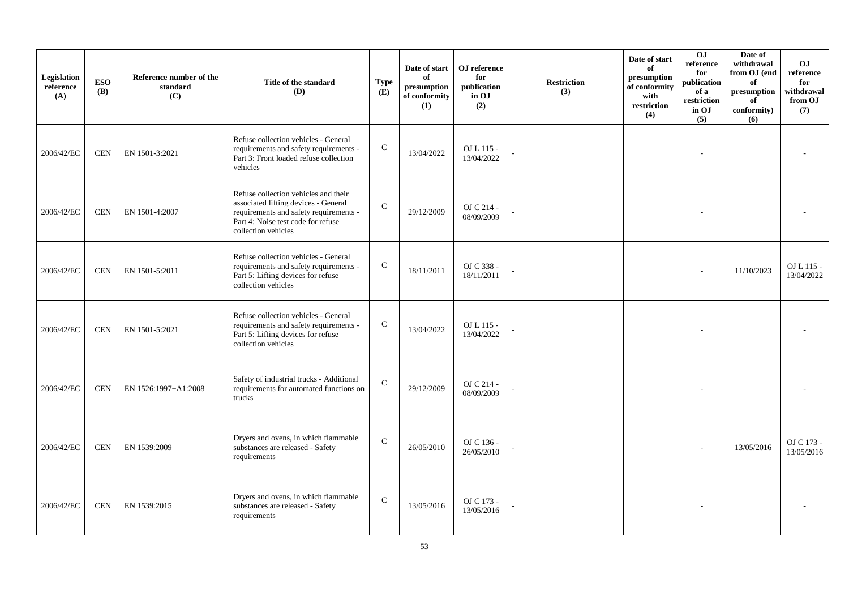| Legislation<br>reference<br>(A) | <b>ESO</b><br><b>(B)</b> | Reference number of the<br>standard<br>(C) | Title of the standard<br>(D)                                                                                                                                                        | <b>Type</b><br>(E) | Date of start<br>of<br>presumption<br>of conformity<br>(1) | OJ reference<br>for<br>publication<br>in OJ<br>(2) | <b>Restriction</b><br>(3) | Date of start<br>of<br>presumption<br>of conformity<br>with<br>restriction<br>(4) | 0J<br>reference<br>for<br>publication<br>of a<br>restriction<br>in OJ<br>(5) | Date of<br>withdrawal<br>from OJ (end<br>of<br>$\bf{presumption}$<br>of<br>conformity)<br>(6) | O <sub>J</sub><br>reference<br>for<br>withdrawal<br>from OJ<br>(7) |
|---------------------------------|--------------------------|--------------------------------------------|-------------------------------------------------------------------------------------------------------------------------------------------------------------------------------------|--------------------|------------------------------------------------------------|----------------------------------------------------|---------------------------|-----------------------------------------------------------------------------------|------------------------------------------------------------------------------|-----------------------------------------------------------------------------------------------|--------------------------------------------------------------------|
| 2006/42/EC                      | <b>CEN</b>               | EN 1501-3:2021                             | Refuse collection vehicles - General<br>requirements and safety requirements -<br>Part 3: Front loaded refuse collection<br>vehicles                                                | ${\bf C}$          | 13/04/2022                                                 | OJ L 115 -<br>13/04/2022                           |                           |                                                                                   |                                                                              |                                                                                               |                                                                    |
| 2006/42/EC                      | <b>CEN</b>               | EN 1501-4:2007                             | Refuse collection vehicles and their<br>associated lifting devices - General<br>requirements and safety requirements -<br>Part 4: Noise test code for refuse<br>collection vehicles | $\mathcal{C}$      | 29/12/2009                                                 | OJ C 214 -<br>08/09/2009                           |                           |                                                                                   |                                                                              |                                                                                               |                                                                    |
| 2006/42/EC                      | <b>CEN</b>               | EN 1501-5:2011                             | Refuse collection vehicles - General<br>requirements and safety requirements -<br>Part 5: Lifting devices for refuse<br>collection vehicles                                         | $\mathsf{C}$       | 18/11/2011                                                 | OJ C 338 -<br>18/11/2011                           |                           |                                                                                   |                                                                              | 11/10/2023                                                                                    | $OL115-$<br>13/04/2022                                             |
| 2006/42/EC                      | <b>CEN</b>               | EN 1501-5:2021                             | Refuse collection vehicles - General<br>requirements and safety requirements -<br>Part 5: Lifting devices for refuse<br>collection vehicles                                         | ${\bf C}$          | 13/04/2022                                                 | OJ L 115 -<br>13/04/2022                           |                           |                                                                                   |                                                                              |                                                                                               |                                                                    |
| 2006/42/EC                      | <b>CEN</b>               | EN 1526:1997+A1:2008                       | Safety of industrial trucks - Additional<br>requirements for automated functions on<br>trucks                                                                                       | $\mathcal{C}$      | 29/12/2009                                                 | OJ C 214 -<br>08/09/2009                           |                           |                                                                                   |                                                                              |                                                                                               |                                                                    |
| 2006/42/EC                      | <b>CEN</b>               | EN 1539:2009                               | Dryers and ovens, in which flammable<br>substances are released - Safety<br>requirements                                                                                            | $\mathbf C$        | 26/05/2010                                                 | OJ C 136 -<br>26/05/2010                           |                           |                                                                                   |                                                                              | 13/05/2016                                                                                    | OJ C 173 -<br>13/05/2016                                           |
| 2006/42/EC                      | <b>CEN</b>               | EN 1539:2015                               | Dryers and ovens, in which flammable<br>substances are released - Safety<br>requirements                                                                                            | $\mathsf{C}$       | 13/05/2016                                                 | OJ C 173 -<br>13/05/2016                           |                           |                                                                                   |                                                                              |                                                                                               |                                                                    |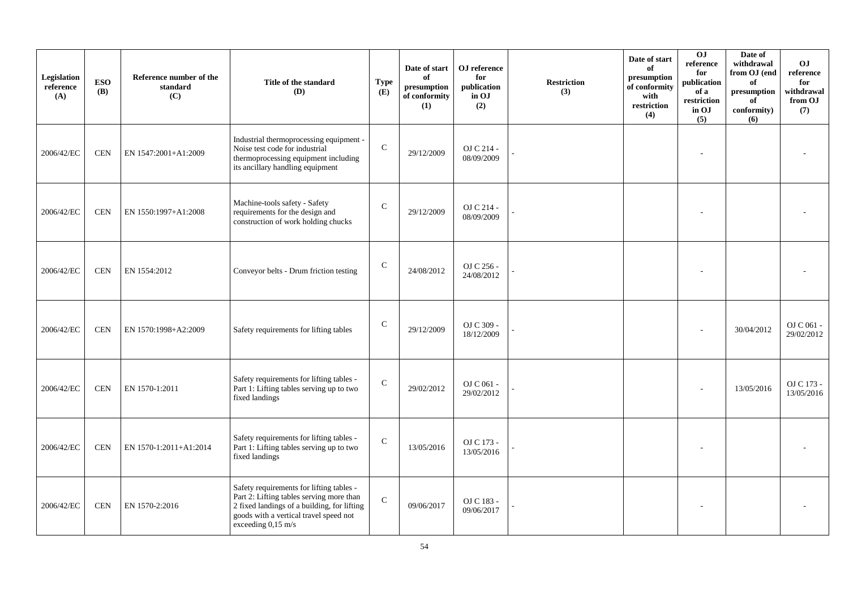| Legislation<br>reference<br>(A) | <b>ESO</b><br><b>(B)</b> | Reference number of the<br>standard<br>(C) | Title of the standard<br>(D)                                                                                                                                                                        | Type<br>(E)   | Date of start<br>of<br>presumption<br>of conformity<br>(1) | OJ reference<br>for<br>publication<br>in OJ<br>(2) | <b>Restriction</b><br>(3) | Date of start<br>of<br>presumption<br>of conformity<br>with<br>restriction<br>(4) | 0J<br>reference<br>for<br>publication<br>of a<br>restriction<br>in OJ<br>(5) | Date of<br>withdrawal<br>from OJ (end<br>of<br>presumption<br>of<br>conformity)<br>(6) | O <sub>J</sub><br>reference<br>for<br>withdrawal<br>from OJ<br>(7) |
|---------------------------------|--------------------------|--------------------------------------------|-----------------------------------------------------------------------------------------------------------------------------------------------------------------------------------------------------|---------------|------------------------------------------------------------|----------------------------------------------------|---------------------------|-----------------------------------------------------------------------------------|------------------------------------------------------------------------------|----------------------------------------------------------------------------------------|--------------------------------------------------------------------|
| 2006/42/EC                      | <b>CEN</b>               | EN 1547:2001+A1:2009                       | Industrial thermoprocessing equipment<br>Noise test code for industrial<br>thermoprocessing equipment including<br>its ancillary handling equipment                                                 | $\mathsf{C}$  | 29/12/2009                                                 | OJ C 214 -<br>08/09/2009                           |                           |                                                                                   |                                                                              |                                                                                        |                                                                    |
| 2006/42/EC                      | <b>CEN</b>               | EN 1550:1997+A1:2008                       | Machine-tools safety - Safety<br>requirements for the design and<br>construction of work holding chucks                                                                                             | $\mathsf{C}$  | 29/12/2009                                                 | OJ C 214 -<br>08/09/2009                           |                           |                                                                                   |                                                                              |                                                                                        |                                                                    |
| 2006/42/EC                      | <b>CEN</b>               | EN 1554:2012                               | Conveyor belts - Drum friction testing                                                                                                                                                              | $\mathsf{C}$  | 24/08/2012                                                 | OJ C 256 -<br>24/08/2012                           |                           |                                                                                   |                                                                              |                                                                                        |                                                                    |
| 2006/42/EC                      | <b>CEN</b>               | EN 1570:1998+A2:2009                       | Safety requirements for lifting tables                                                                                                                                                              | $\mathcal{C}$ | 29/12/2009                                                 | OJ C 309 -<br>18/12/2009                           |                           |                                                                                   |                                                                              | 30/04/2012                                                                             | OJ C 061 -<br>29/02/2012                                           |
| 2006/42/EC                      | <b>CEN</b>               | EN 1570-1:2011                             | Safety requirements for lifting tables -<br>Part 1: Lifting tables serving up to two<br>fixed landings                                                                                              | $\mathbf C$   | 29/02/2012                                                 | OJ C 061 -<br>29/02/2012                           |                           |                                                                                   |                                                                              | 13/05/2016                                                                             | OJ C 173 -<br>13/05/2016                                           |
| 2006/42/EC                      | <b>CEN</b>               | EN 1570-1:2011+A1:2014                     | Safety requirements for lifting tables -<br>Part 1: Lifting tables serving up to two<br>fixed landings                                                                                              | ${\bf C}$     | 13/05/2016                                                 | OJ C 173 -<br>13/05/2016                           |                           |                                                                                   |                                                                              |                                                                                        |                                                                    |
| 2006/42/EC                      | <b>CEN</b>               | EN 1570-2:2016                             | Safety requirements for lifting tables -<br>Part 2: Lifting tables serving more than<br>2 fixed landings of a building, for lifting<br>goods with a vertical travel speed not<br>exceeding 0,15 m/s | $\mathbf{C}$  | 09/06/2017                                                 | OJ C 183 -<br>09/06/2017                           |                           |                                                                                   |                                                                              |                                                                                        |                                                                    |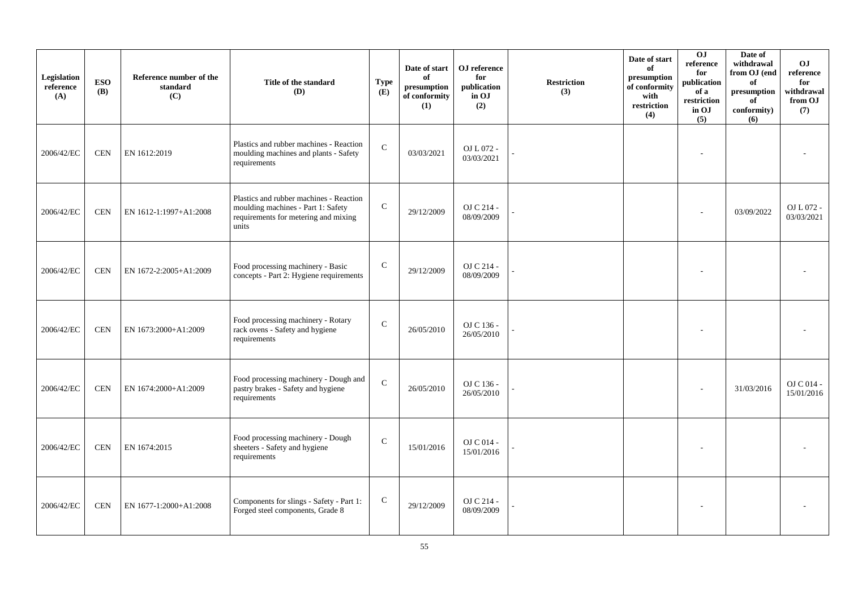| Legislation<br>reference<br>(A) | <b>ESO</b><br><b>(B)</b> | Reference number of the<br>standard<br>(C) | Title of the standard<br>(D)                                                                                                   | <b>Type</b><br>(E) | Date of start<br>of<br>presumption<br>of conformity<br>(1) | OJ reference<br>for<br>publication<br>in OJ<br>(2) | <b>Restriction</b><br>(3) | Date of start<br>of<br>presumption<br>of conformity<br>with<br>restriction<br>(4) | OJ<br>reference<br>for<br>publication<br>of a<br>restriction<br>in OJ<br>(5) | Date of<br>withdrawal<br>from OJ (end<br>of<br>presumption<br>of<br>conformity)<br>(6) | <b>OJ</b><br>$\rm reference$<br>for<br>withdrawal<br>from OJ<br>(7) |
|---------------------------------|--------------------------|--------------------------------------------|--------------------------------------------------------------------------------------------------------------------------------|--------------------|------------------------------------------------------------|----------------------------------------------------|---------------------------|-----------------------------------------------------------------------------------|------------------------------------------------------------------------------|----------------------------------------------------------------------------------------|---------------------------------------------------------------------|
| 2006/42/EC                      | <b>CEN</b>               | EN 1612:2019                               | Plastics and rubber machines - Reaction<br>moulding machines and plants - Safety<br>requirements                               | $\mathbf{C}$       | 03/03/2021                                                 | OJ L 072 -<br>03/03/2021                           |                           |                                                                                   |                                                                              |                                                                                        |                                                                     |
| 2006/42/EC                      | <b>CEN</b>               | EN 1612-1:1997+A1:2008                     | Plastics and rubber machines - Reaction<br>moulding machines - Part 1: Safety<br>requirements for metering and mixing<br>units | $\mathsf{C}$       | 29/12/2009                                                 | OJ C 214 -<br>08/09/2009                           |                           |                                                                                   |                                                                              | 03/09/2022                                                                             | OJ L 072 -<br>03/03/2021                                            |
| 2006/42/EC                      | <b>CEN</b>               | EN 1672-2:2005+A1:2009                     | Food processing machinery - Basic<br>concepts - Part 2: Hygiene requirements                                                   | ${\bf C}$          | 29/12/2009                                                 | OJ C 214 -<br>08/09/2009                           |                           |                                                                                   |                                                                              |                                                                                        |                                                                     |
| 2006/42/EC                      | <b>CEN</b>               | EN 1673:2000+A1:2009                       | Food processing machinery - Rotary<br>rack ovens - Safety and hygiene<br>requirements                                          | $\mathsf{C}$       | 26/05/2010                                                 | OJ C 136 -<br>26/05/2010                           |                           |                                                                                   |                                                                              |                                                                                        |                                                                     |
| 2006/42/EC                      | <b>CEN</b>               | EN 1674:2000+A1:2009                       | Food processing machinery - Dough and<br>pastry brakes - Safety and hygiene<br>requirements                                    | $\mathbf C$        | 26/05/2010                                                 | OJ C 136 -<br>26/05/2010                           |                           |                                                                                   |                                                                              | 31/03/2016                                                                             | $OJ$ C 014 -<br>15/01/2016                                          |
| 2006/42/EC                      | <b>CEN</b>               | EN 1674:2015                               | Food processing machinery - Dough<br>sheeters - Safety and hygiene<br>requirements                                             | $\mathsf{C}$       | 15/01/2016                                                 | OJ C 014 -<br>15/01/2016                           |                           |                                                                                   |                                                                              |                                                                                        |                                                                     |
| 2006/42/EC                      | <b>CEN</b>               | EN 1677-1:2000+A1:2008                     | Components for slings - Safety - Part 1:<br>Forged steel components, Grade 8                                                   | $\mathbf C$        | 29/12/2009                                                 | OJ C 214 -<br>08/09/2009                           |                           |                                                                                   |                                                                              |                                                                                        |                                                                     |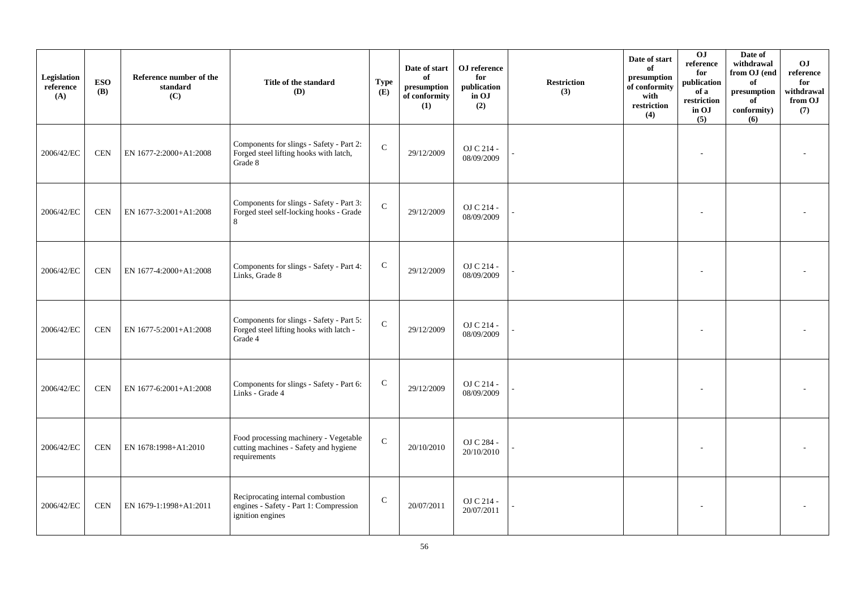| Legislation<br>reference<br>(A) | <b>ESO</b><br><b>(B)</b> | Reference number of the<br>standard<br>(C) | Title of the standard<br>(D)                                                                    | <b>Type</b><br>(E) | Date of start<br>of<br>presumption<br>of conformity<br>(1) | ${\bf OJ}$ reference<br>for<br>publication<br>in OJ<br>(2) | <b>Restriction</b><br>(3) | Date of start<br>of<br>presumption<br>of conformity<br>with<br>restriction<br>(4) | $\overline{0}$<br>reference<br>for<br>publication<br>of a<br>restriction<br>in OJ<br>(5) | Date of<br>withdrawal<br>from OJ (end<br>of<br>$\bf{presumption}$<br>of<br>conformity)<br>(6) | O <sub>J</sub><br>$\rm reference$<br>for<br>withdrawal<br>from OJ<br>(7) |
|---------------------------------|--------------------------|--------------------------------------------|-------------------------------------------------------------------------------------------------|--------------------|------------------------------------------------------------|------------------------------------------------------------|---------------------------|-----------------------------------------------------------------------------------|------------------------------------------------------------------------------------------|-----------------------------------------------------------------------------------------------|--------------------------------------------------------------------------|
| 2006/42/EC                      | <b>CEN</b>               | EN 1677-2:2000+A1:2008                     | Components for slings - Safety - Part 2:<br>Forged steel lifting hooks with latch,<br>Grade 8   | $\mathbf C$        | 29/12/2009                                                 | OJ C 214 -<br>08/09/2009                                   |                           |                                                                                   |                                                                                          |                                                                                               |                                                                          |
| 2006/42/EC                      | <b>CEN</b>               | EN 1677-3:2001+A1:2008                     | Components for slings - Safety - Part 3:<br>Forged steel self-locking hooks - Grade<br>8        | $\mathbf C$        | 29/12/2009                                                 | OJ C 214 -<br>08/09/2009                                   |                           |                                                                                   |                                                                                          |                                                                                               |                                                                          |
| 2006/42/EC                      | <b>CEN</b>               | EN 1677-4:2000+A1:2008                     | Components for slings - Safety - Part 4:<br>Links, Grade 8                                      | $\mathsf{C}$       | 29/12/2009                                                 | OJ C 214 -<br>08/09/2009                                   |                           |                                                                                   |                                                                                          |                                                                                               |                                                                          |
| 2006/42/EC                      | <b>CEN</b>               | EN 1677-5:2001+A1:2008                     | Components for slings - Safety - Part 5:<br>Forged steel lifting hooks with latch -<br>Grade 4  | $\mathbf C$        | 29/12/2009                                                 | OJ C 214 -<br>08/09/2009                                   |                           |                                                                                   |                                                                                          |                                                                                               |                                                                          |
| 2006/42/EC                      | <b>CEN</b>               | EN 1677-6:2001+A1:2008                     | Components for slings - Safety - Part 6:<br>Links - Grade 4                                     | $\mathbf C$        | 29/12/2009                                                 | OJ C 214 -<br>08/09/2009                                   |                           |                                                                                   |                                                                                          |                                                                                               |                                                                          |
| 2006/42/EC                      | <b>CEN</b>               | EN 1678:1998+A1:2010                       | Food processing machinery - Vegetable<br>cutting machines - Safety and hygiene<br>requirements  | $\mathbf C$        | 20/10/2010                                                 | OJ C 284 -<br>20/10/2010                                   |                           |                                                                                   |                                                                                          |                                                                                               |                                                                          |
| 2006/42/EC                      | <b>CEN</b>               | EN 1679-1:1998+A1:2011                     | Reciprocating internal combustion<br>engines - Safety - Part 1: Compression<br>ignition engines | $\mathbf C$        | 20/07/2011                                                 | OJ C 214 -<br>20/07/2011                                   |                           |                                                                                   |                                                                                          |                                                                                               |                                                                          |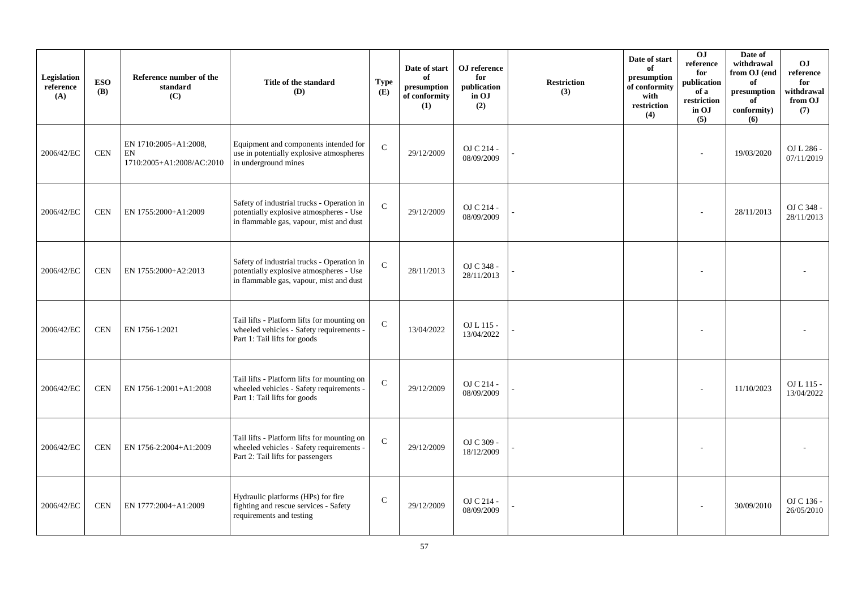| Legislation<br>reference<br>(A) | <b>ESO</b><br><b>(B)</b> | Reference number of the<br>standard<br>(C)               | Title of the standard<br>(D)                                                                                                     | <b>Type</b><br>(E) | Date of start<br>of<br>presumption<br>of conformity<br>(1) | OJ reference<br>for<br>publication<br>in OJ<br>(2) | <b>Restriction</b><br>(3) | Date of start<br>of<br>presumption<br>of conformity<br>with<br>restriction<br>(4) | 0J<br>reference<br>for<br>publication<br>of a<br>restriction<br>in OJ<br>(5) | Date of<br>withdrawal<br>from OJ (end<br>of<br>presumption<br>of<br>conformity)<br>(6) | <b>OJ</b><br>reference<br>for<br>withdrawal<br>from OJ<br>(7) |
|---------------------------------|--------------------------|----------------------------------------------------------|----------------------------------------------------------------------------------------------------------------------------------|--------------------|------------------------------------------------------------|----------------------------------------------------|---------------------------|-----------------------------------------------------------------------------------|------------------------------------------------------------------------------|----------------------------------------------------------------------------------------|---------------------------------------------------------------|
| 2006/42/EC                      | <b>CEN</b>               | EN 1710:2005+A1:2008,<br>EN<br>1710:2005+A1:2008/AC:2010 | Equipment and components intended for<br>use in potentially explosive atmospheres<br>in underground mines                        | $\mathbf{C}$       | 29/12/2009                                                 | OJ C 214 -<br>08/09/2009                           |                           |                                                                                   |                                                                              | 19/03/2020                                                                             | OJ L 286 -<br>07/11/2019                                      |
| 2006/42/EC                      | <b>CEN</b>               | EN 1755:2000+A1:2009                                     | Safety of industrial trucks - Operation in<br>potentially explosive atmospheres - Use<br>in flammable gas, vapour, mist and dust | $\mathcal{C}$      | 29/12/2009                                                 | OJ C 214 -<br>08/09/2009                           |                           |                                                                                   |                                                                              | 28/11/2013                                                                             | OJ C 348 -<br>28/11/2013                                      |
| 2006/42/EC                      | <b>CEN</b>               | EN 1755:2000+A2:2013                                     | Safety of industrial trucks - Operation in<br>potentially explosive atmospheres - Use<br>in flammable gas, vapour, mist and dust | $\mathcal{C}$      | 28/11/2013                                                 | OJ C 348 -<br>28/11/2013                           |                           |                                                                                   |                                                                              |                                                                                        |                                                               |
| 2006/42/EC                      | <b>CEN</b>               | EN 1756-1:2021                                           | Tail lifts - Platform lifts for mounting on<br>wheeled vehicles - Safety requirements -<br>Part 1: Tail lifts for goods          | $\mathbf C$        | 13/04/2022                                                 | OJ L 115 -<br>13/04/2022                           |                           |                                                                                   |                                                                              |                                                                                        |                                                               |
| 2006/42/EC                      | <b>CEN</b>               | EN 1756-1:2001+A1:2008                                   | Tail lifts - Platform lifts for mounting on<br>wheeled vehicles - Safety requirements -<br>Part 1: Tail lifts for goods          | $\mathcal{C}$      | 29/12/2009                                                 | OJ C 214 -<br>08/09/2009                           |                           |                                                                                   |                                                                              | 11/10/2023                                                                             | OJ L 115 -<br>13/04/2022                                      |
| 2006/42/EC                      | <b>CEN</b>               | EN 1756-2:2004+A1:2009                                   | Tail lifts - Platform lifts for mounting on<br>wheeled vehicles - Safety requirements -<br>Part 2: Tail lifts for passengers     | $\mathbf C$        | 29/12/2009                                                 | OJ C 309 -<br>18/12/2009                           |                           |                                                                                   |                                                                              |                                                                                        |                                                               |
| 2006/42/EC                      | <b>CEN</b>               | EN 1777:2004+A1:2009                                     | Hydraulic platforms (HPs) for fire<br>fighting and rescue services - Safety<br>requirements and testing                          | $\mathbf C$        | 29/12/2009                                                 | OJ C 214 -<br>08/09/2009                           |                           |                                                                                   |                                                                              | 30/09/2010                                                                             | OJ C 136 -<br>26/05/2010                                      |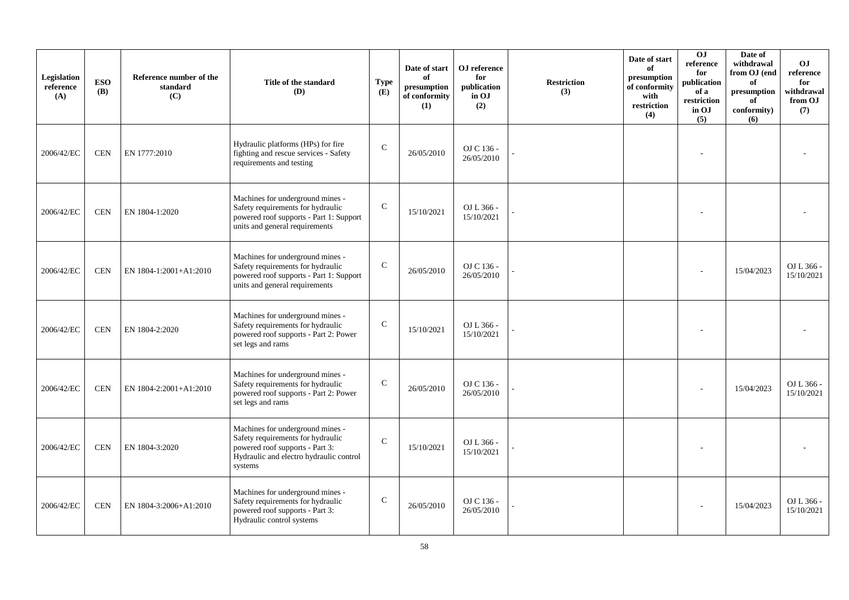| Legislation<br>reference<br>(A) | <b>ESO</b><br><b>(B)</b> | Reference number of the<br>standard<br>(C) | Title of the standard<br>(D)                                                                                                                                   | <b>Type</b><br>(E) | Date of start<br>of<br>presumption<br>of conformity<br>(1) | OJ reference<br>for<br>publication<br>in OJ<br>(2) | <b>Restriction</b><br>(3) | Date of start<br>of<br>presumption<br>of conformity<br>with<br>restriction<br>(4) | OJ<br>reference<br>for<br>publication<br>of a<br>restriction<br>in OJ<br>(5) | Date of<br>withdrawal<br>from OJ (end<br>of<br>presumption<br>of<br>conformity)<br>(6) | <b>OJ</b><br>reference<br>for<br>withdrawal<br>from OJ<br>(7) |
|---------------------------------|--------------------------|--------------------------------------------|----------------------------------------------------------------------------------------------------------------------------------------------------------------|--------------------|------------------------------------------------------------|----------------------------------------------------|---------------------------|-----------------------------------------------------------------------------------|------------------------------------------------------------------------------|----------------------------------------------------------------------------------------|---------------------------------------------------------------|
| 2006/42/EC                      | <b>CEN</b>               | EN 1777:2010                               | Hydraulic platforms (HPs) for fire<br>fighting and rescue services - Safety<br>requirements and testing                                                        | $\mathcal{C}$      | 26/05/2010                                                 | OJ C 136 -<br>26/05/2010                           |                           |                                                                                   |                                                                              |                                                                                        |                                                               |
| 2006/42/EC                      | <b>CEN</b>               | EN 1804-1:2020                             | Machines for underground mines -<br>Safety requirements for hydraulic<br>powered roof supports - Part 1: Support<br>units and general requirements             | $\mathsf{C}$       | 15/10/2021                                                 | OJ L 366 -<br>15/10/2021                           |                           |                                                                                   |                                                                              |                                                                                        |                                                               |
| 2006/42/EC                      | <b>CEN</b>               | EN 1804-1:2001+A1:2010                     | Machines for underground mines -<br>Safety requirements for hydraulic<br>powered roof supports - Part 1: Support<br>units and general requirements             | $\mathsf{C}$       | 26/05/2010                                                 | OJ C 136 -<br>26/05/2010                           |                           |                                                                                   |                                                                              | 15/04/2023                                                                             | OJ L 366 -<br>15/10/2021                                      |
| 2006/42/EC                      | <b>CEN</b>               | EN 1804-2:2020                             | Machines for underground mines -<br>Safety requirements for hydraulic<br>powered roof supports - Part 2: Power<br>set legs and rams                            | C                  | 15/10/2021                                                 | OJ L 366 -<br>15/10/2021                           |                           |                                                                                   |                                                                              |                                                                                        |                                                               |
| 2006/42/EC                      | <b>CEN</b>               | EN 1804-2:2001+A1:2010                     | Machines for underground mines -<br>Safety requirements for hydraulic<br>powered roof supports - Part 2: Power<br>set legs and rams                            | $\mathcal{C}$      | 26/05/2010                                                 | OJ C 136 -<br>26/05/2010                           |                           |                                                                                   |                                                                              | 15/04/2023                                                                             | OJ L 366 -<br>15/10/2021                                      |
| 2006/42/EC                      | <b>CEN</b>               | EN 1804-3:2020                             | Machines for underground mines -<br>Safety requirements for hydraulic<br>powered roof supports - Part 3:<br>Hydraulic and electro hydraulic control<br>systems | $\mathcal{C}$      | 15/10/2021                                                 | OJ L 366 -<br>15/10/2021                           |                           |                                                                                   |                                                                              |                                                                                        |                                                               |
| 2006/42/EC                      | <b>CEN</b>               | EN 1804-3:2006+A1:2010                     | Machines for underground mines -<br>Safety requirements for hydraulic<br>powered roof supports - Part 3:<br>Hydraulic control systems                          | $\mathsf{C}$       | 26/05/2010                                                 | OJ C 136 -<br>26/05/2010                           |                           |                                                                                   |                                                                              | 15/04/2023                                                                             | OJ L 366 -<br>15/10/2021                                      |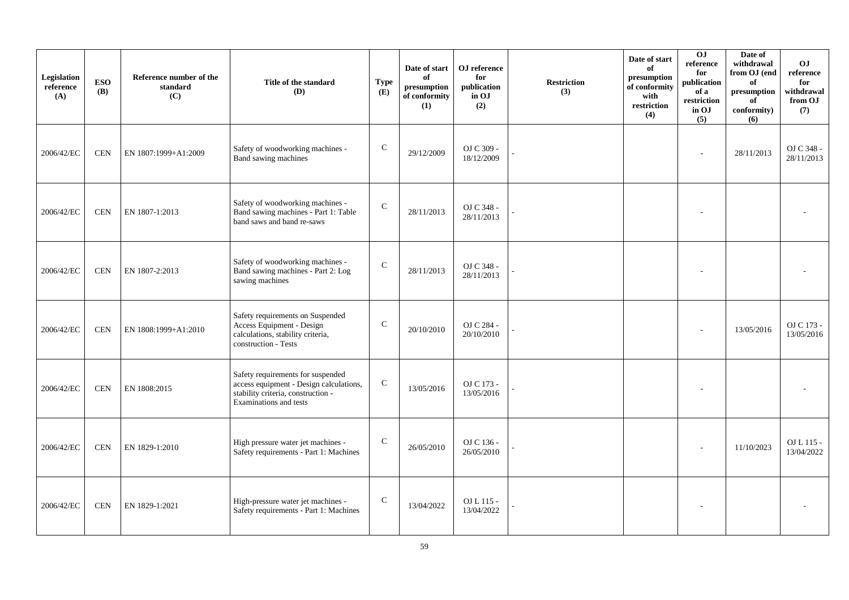| Legislation<br>reference<br>(A) | <b>ESO</b><br><b>(B)</b> | Reference number of the<br>standard<br>(C) | Title of the standard<br>(D)                                                                                                                        | <b>Type</b><br>(E) | Date of start<br>of<br>presumption<br>of conformity<br>(1) | OJ reference<br>for<br>publication<br>in OJ<br>(2) | <b>Restriction</b><br>(3) | Date of start<br>of<br>presumption<br>of conformity<br>with<br>restriction<br>(4) | $\overline{0}$<br>reference<br>for<br>publication<br>of a<br>restriction<br>in OJ<br>(5) | Date of<br>withdrawal<br>from OJ (end<br>of<br>presumption<br>of<br>conformity)<br>(6) | <b>OJ</b><br>reference<br>for<br>withdrawal<br>from OJ<br>(7) |
|---------------------------------|--------------------------|--------------------------------------------|-----------------------------------------------------------------------------------------------------------------------------------------------------|--------------------|------------------------------------------------------------|----------------------------------------------------|---------------------------|-----------------------------------------------------------------------------------|------------------------------------------------------------------------------------------|----------------------------------------------------------------------------------------|---------------------------------------------------------------|
| 2006/42/EC                      | <b>CEN</b>               | EN 1807:1999+A1:2009                       | Safety of woodworking machines -<br>Band sawing machines                                                                                            | $\mathbf C$        | 29/12/2009                                                 | OJ C 309 -<br>18/12/2009                           |                           |                                                                                   | $\sim$                                                                                   | 28/11/2013                                                                             | OJ C 348 -<br>28/11/2013                                      |
| 2006/42/EC                      | <b>CEN</b>               | EN 1807-1:2013                             | Safety of woodworking machines -<br>Band sawing machines - Part 1: Table<br>band saws and band re-saws                                              | $\mathsf{C}$       | 28/11/2013                                                 | OJ C 348 -<br>28/11/2013                           |                           |                                                                                   |                                                                                          |                                                                                        |                                                               |
| 2006/42/EC                      | <b>CEN</b>               | EN 1807-2:2013                             | Safety of woodworking machines -<br>Band sawing machines - Part 2: Log<br>sawing machines                                                           | $\mathsf{C}$       | 28/11/2013                                                 | OJ C 348 -<br>28/11/2013                           |                           |                                                                                   |                                                                                          |                                                                                        |                                                               |
| 2006/42/EC                      | <b>CEN</b>               | EN 1808:1999+A1:2010                       | Safety requirements on Suspended<br>Access Equipment - Design<br>calculations, stability criteria,<br>construction - Tests                          | $\mathsf{C}$       | 20/10/2010                                                 | OJ C 284 -<br>20/10/2010                           |                           |                                                                                   |                                                                                          | 13/05/2016                                                                             | OJ C 173 -<br>13/05/2016                                      |
| 2006/42/EC                      | <b>CEN</b>               | EN 1808:2015                               | Safety requirements for suspended<br>access equipment - Design calculations,<br>stability criteria, construction -<br><b>Examinations</b> and tests | $\mathbf C$        | 13/05/2016                                                 | OJ C 173 -<br>13/05/2016                           |                           |                                                                                   |                                                                                          |                                                                                        |                                                               |
| 2006/42/EC                      | <b>CEN</b>               | EN 1829-1:2010                             | High pressure water jet machines -<br>Safety requirements - Part 1: Machines                                                                        | $\mathsf{C}$       | 26/05/2010                                                 | OJ C 136 -<br>26/05/2010                           |                           |                                                                                   |                                                                                          | 11/10/2023                                                                             | OJ L 115 -<br>13/04/2022                                      |
| 2006/42/EC                      | <b>CEN</b>               | EN 1829-1:2021                             | High-pressure water jet machines -<br>Safety requirements - Part 1: Machines                                                                        | $\mathsf{C}$       | 13/04/2022                                                 | OJ L 115 -<br>13/04/2022                           |                           |                                                                                   |                                                                                          |                                                                                        |                                                               |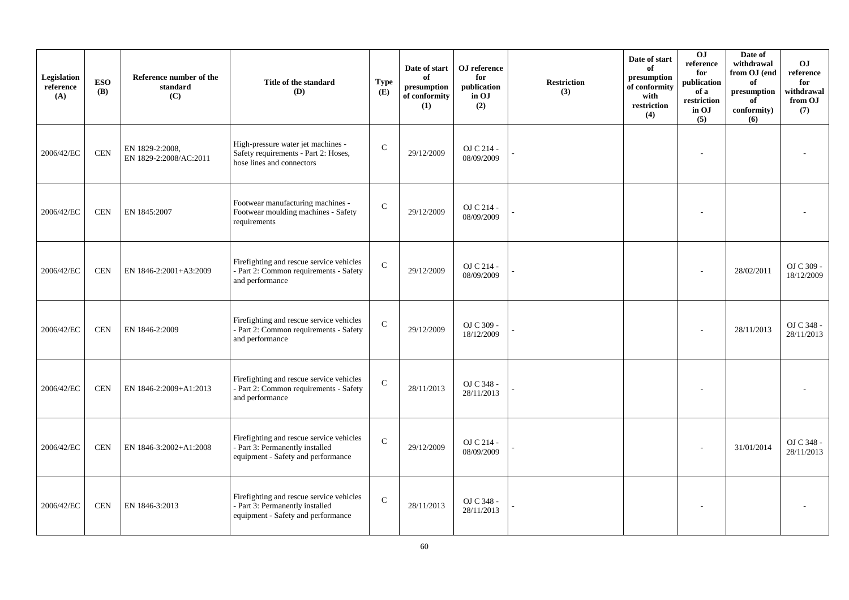| Legislation<br>reference<br>(A) | <b>ESO</b><br><b>(B)</b> | Reference number of the<br>standard<br>(C) | Title of the standard<br>(D)                                                                                      | <b>Type</b><br>(E) | Date of start<br>of<br>presumption<br>of conformity<br>(1) | OJ reference<br>for<br>publication<br>in OJ<br>(2) | <b>Restriction</b><br>(3) | Date of start<br>of<br>presumption<br>of conformity<br>with<br>restriction<br>(4) | O <sub>J</sub><br>reference<br>for<br>publication<br>of a<br>restriction<br>in OJ<br>(5) | Date of<br>withdrawal<br>from OJ (end<br>of<br>presumption<br>of<br>conformity)<br>(6) | O <sub>J</sub><br>reference<br>for<br>withdrawal<br>from OJ<br>(7) |
|---------------------------------|--------------------------|--------------------------------------------|-------------------------------------------------------------------------------------------------------------------|--------------------|------------------------------------------------------------|----------------------------------------------------|---------------------------|-----------------------------------------------------------------------------------|------------------------------------------------------------------------------------------|----------------------------------------------------------------------------------------|--------------------------------------------------------------------|
| 2006/42/EC                      | <b>CEN</b>               | EN 1829-2:2008,<br>EN 1829-2:2008/AC:2011  | High-pressure water jet machines -<br>Safety requirements - Part 2: Hoses,<br>hose lines and connectors           | $\mathsf C$        | 29/12/2009                                                 | OJ C 214 -<br>08/09/2009                           |                           |                                                                                   |                                                                                          |                                                                                        |                                                                    |
| 2006/42/EC                      | <b>CEN</b>               | EN 1845:2007                               | Footwear manufacturing machines -<br>Footwear moulding machines - Safety<br>requirements                          | $\mathbf C$        | 29/12/2009                                                 | OJ C 214 -<br>08/09/2009                           |                           |                                                                                   |                                                                                          |                                                                                        |                                                                    |
| 2006/42/EC                      | <b>CEN</b>               | EN 1846-2:2001+A3:2009                     | Firefighting and rescue service vehicles<br>- Part 2: Common requirements - Safety<br>and performance             | $\mathbf{C}$       | 29/12/2009                                                 | OJ C 214 -<br>08/09/2009                           |                           |                                                                                   |                                                                                          | 28/02/2011                                                                             | OJ C 309 -<br>18/12/2009                                           |
| 2006/42/EC                      | <b>CEN</b>               | EN 1846-2:2009                             | Firefighting and rescue service vehicles<br>- Part 2: Common requirements - Safety<br>and performance             | $\mathbf C$        | 29/12/2009                                                 | OJ C 309 -<br>18/12/2009                           |                           |                                                                                   |                                                                                          | 28/11/2013                                                                             | OJ C 348 -<br>28/11/2013                                           |
| 2006/42/EC                      | <b>CEN</b>               | EN 1846-2:2009+A1:2013                     | Firefighting and rescue service vehicles<br>- Part 2: Common requirements - Safety<br>and performance             | $\mathbf{C}$       | 28/11/2013                                                 | OJ C 348 -<br>28/11/2013                           |                           |                                                                                   |                                                                                          |                                                                                        |                                                                    |
| 2006/42/EC                      | <b>CEN</b>               | EN 1846-3:2002+A1:2008                     | Firefighting and rescue service vehicles<br>- Part 3: Permanently installed<br>equipment - Safety and performance | $\mathbf{C}$       | 29/12/2009                                                 | OJ C 214 -<br>08/09/2009                           |                           |                                                                                   |                                                                                          | 31/01/2014                                                                             | OJ C 348 -<br>28/11/2013                                           |
| 2006/42/EC                      | <b>CEN</b>               | EN 1846-3:2013                             | Firefighting and rescue service vehicles<br>- Part 3: Permanently installed<br>equipment - Safety and performance | ${\bf C}$          | 28/11/2013                                                 | OJ C 348 -<br>28/11/2013                           |                           |                                                                                   |                                                                                          |                                                                                        |                                                                    |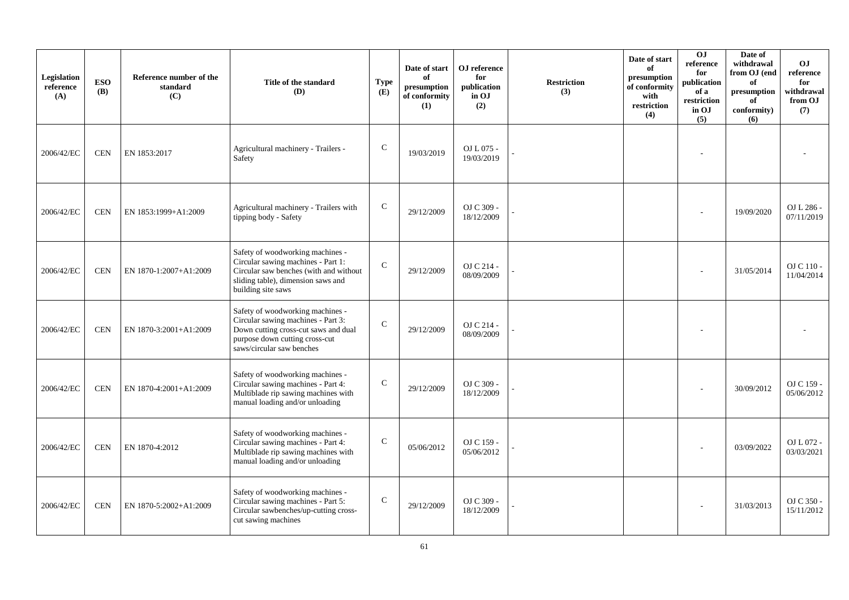| Legislation<br>reference<br>(A) | <b>ESO</b><br><b>(B)</b> | Reference number of the<br>standard<br>(C) | Title of the standard<br>(D)                                                                                                                                                  | <b>Type</b><br>(E) | Date of start<br>of<br>presumption<br>of conformity<br>(1) | OJ reference<br>for<br>publication<br>in OJ<br>(2) | <b>Restriction</b><br>(3) | Date of start<br>of<br>presumption<br>of conformity<br>with<br>restriction<br>(4) | OJ<br>reference<br>for<br>publication<br>of a<br>restriction<br>in OJ<br>(5) | Date of<br>withdrawal<br>from OJ (end<br>of<br>presumption<br>of<br>conformity)<br>(6) | <b>OJ</b><br>reference<br>for<br>withdrawal<br>from OJ<br>(7) |
|---------------------------------|--------------------------|--------------------------------------------|-------------------------------------------------------------------------------------------------------------------------------------------------------------------------------|--------------------|------------------------------------------------------------|----------------------------------------------------|---------------------------|-----------------------------------------------------------------------------------|------------------------------------------------------------------------------|----------------------------------------------------------------------------------------|---------------------------------------------------------------|
| 2006/42/EC                      | <b>CEN</b>               | EN 1853:2017                               | Agricultural machinery - Trailers -<br>Safety                                                                                                                                 | ${\bf C}$          | 19/03/2019                                                 | OJ L 075 -<br>19/03/2019                           |                           |                                                                                   |                                                                              |                                                                                        |                                                               |
| 2006/42/EC                      | <b>CEN</b>               | EN 1853:1999+A1:2009                       | Agricultural machinery - Trailers with<br>tipping body - Safety                                                                                                               | $\mathsf{C}$       | 29/12/2009                                                 | OJ C 309 -<br>18/12/2009                           |                           |                                                                                   |                                                                              | 19/09/2020                                                                             | OJ L 286 -<br>07/11/2019                                      |
| 2006/42/EC                      | <b>CEN</b>               | EN 1870-1:2007+A1:2009                     | Safety of woodworking machines -<br>Circular sawing machines - Part 1:<br>Circular saw benches (with and without<br>sliding table), dimension saws and<br>building site saws  | $\mathcal{C}$      | 29/12/2009                                                 | OJ C 214 -<br>08/09/2009                           |                           |                                                                                   |                                                                              | 31/05/2014                                                                             | OJ C 110 -<br>11/04/2014                                      |
| 2006/42/EC                      | <b>CEN</b>               | EN 1870-3:2001+A1:2009                     | Safety of woodworking machines -<br>Circular sawing machines - Part 3:<br>Down cutting cross-cut saws and dual<br>purpose down cutting cross-cut<br>saws/circular saw benches | $\mathbf C$        | 29/12/2009                                                 | OJ C 214 -<br>08/09/2009                           |                           |                                                                                   |                                                                              |                                                                                        |                                                               |
| 2006/42/EC                      | <b>CEN</b>               | EN 1870-4:2001+A1:2009                     | Safety of woodworking machines -<br>Circular sawing machines - Part 4:<br>Multiblade rip sawing machines with<br>manual loading and/or unloading                              | $\mathsf{C}$       | 29/12/2009                                                 | OJ C 309 -<br>18/12/2009                           |                           |                                                                                   |                                                                              | 30/09/2012                                                                             | OJ C 159 -<br>05/06/2012                                      |
| 2006/42/EC                      | <b>CEN</b>               | EN 1870-4:2012                             | Safety of woodworking machines -<br>Circular sawing machines - Part 4:<br>Multiblade rip sawing machines with<br>manual loading and/or unloading                              | $\mathbf C$        | 05/06/2012                                                 | OJ C 159 -<br>05/06/2012                           |                           |                                                                                   |                                                                              | 03/09/2022                                                                             | OJ L 072 -<br>03/03/2021                                      |
| 2006/42/EC                      | <b>CEN</b>               | EN 1870-5:2002+A1:2009                     | Safety of woodworking machines -<br>Circular sawing machines - Part 5:<br>Circular sawbenches/up-cutting cross-<br>cut sawing machines                                        | $\mathbf C$        | 29/12/2009                                                 | OJ C 309 -<br>18/12/2009                           |                           |                                                                                   |                                                                              | 31/03/2013                                                                             | OJ C 350 -<br>15/11/2012                                      |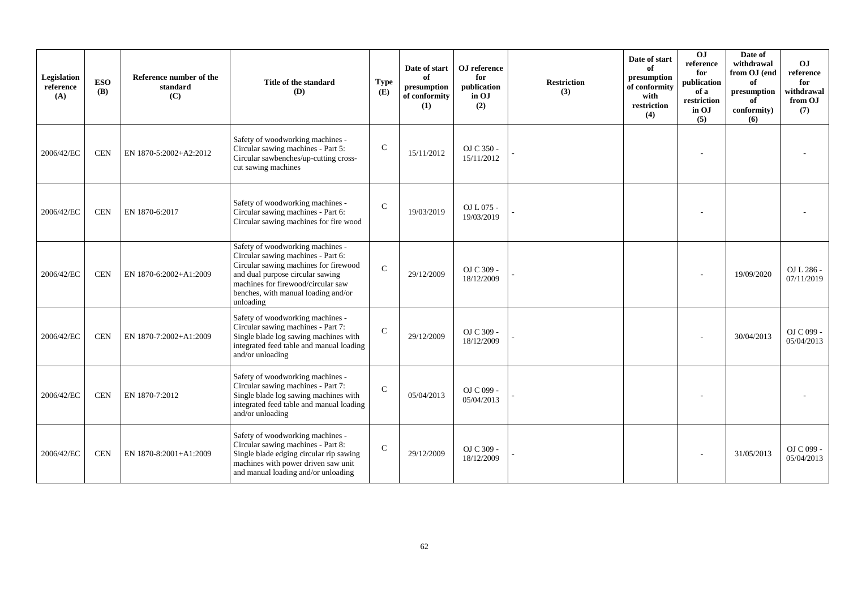| Legislation<br>reference<br>(A) | <b>ESO</b><br><b>(B)</b> | Reference number of the<br>standard<br>(C) | Title of the standard<br>(D)                                                                                                                                                                                                                  | <b>Type</b><br>(E) | Date of start<br>of<br>presumption<br>of conformity<br>(1) | OJ reference<br>for<br>publication<br>in OJ<br>(2) | <b>Restriction</b><br>(3) | Date of start<br>of<br>presumption<br>of conformity<br>with<br>restriction<br>(4) | $\overline{0}$<br>reference<br>for<br>publication<br>of a<br>restriction<br>in OJ<br>(5) | Date of<br>withdrawal<br>from OJ (end<br>of<br>presumption<br>of<br>conformity)<br>(6) | O <sub>J</sub><br>reference<br>for<br>withdrawal<br>from OJ<br>(7) |
|---------------------------------|--------------------------|--------------------------------------------|-----------------------------------------------------------------------------------------------------------------------------------------------------------------------------------------------------------------------------------------------|--------------------|------------------------------------------------------------|----------------------------------------------------|---------------------------|-----------------------------------------------------------------------------------|------------------------------------------------------------------------------------------|----------------------------------------------------------------------------------------|--------------------------------------------------------------------|
| 2006/42/EC                      | <b>CEN</b>               | EN 1870-5:2002+A2:2012                     | Safety of woodworking machines -<br>Circular sawing machines - Part 5:<br>Circular sawbenches/up-cutting cross-<br>cut sawing machines                                                                                                        | $\mathbf C$        | 15/11/2012                                                 | OJ C 350 -<br>15/11/2012                           |                           |                                                                                   |                                                                                          |                                                                                        |                                                                    |
| 2006/42/EC                      | <b>CEN</b>               | EN 1870-6:2017                             | Safety of woodworking machines -<br>Circular sawing machines - Part 6:<br>Circular sawing machines for fire wood                                                                                                                              | $\mathcal{C}$      | 19/03/2019                                                 | OJ L 075 -<br>19/03/2019                           |                           |                                                                                   |                                                                                          |                                                                                        |                                                                    |
| 2006/42/EC                      | <b>CEN</b>               | EN 1870-6:2002+A1:2009                     | Safety of woodworking machines -<br>Circular sawing machines - Part 6:<br>Circular sawing machines for firewood<br>and dual purpose circular sawing<br>machines for firewood/circular saw<br>benches, with manual loading and/or<br>unloading | $\mathcal{C}$      | 29/12/2009                                                 | OJ C 309 -<br>18/12/2009                           |                           |                                                                                   |                                                                                          | 19/09/2020                                                                             | OJ L 286 -<br>07/11/2019                                           |
| 2006/42/EC                      | <b>CEN</b>               | EN 1870-7:2002+A1:2009                     | Safety of woodworking machines -<br>Circular sawing machines - Part 7:<br>Single blade log sawing machines with<br>integrated feed table and manual loading<br>and/or unloading                                                               | $\mathcal{C}$      | 29/12/2009                                                 | OJ C 309 -<br>18/12/2009                           |                           |                                                                                   |                                                                                          | 30/04/2013                                                                             | OJ C 099 -<br>05/04/2013                                           |
| 2006/42/EC                      | <b>CEN</b>               | EN 1870-7:2012                             | Safety of woodworking machines -<br>Circular sawing machines - Part 7:<br>Single blade log sawing machines with<br>integrated feed table and manual loading<br>and/or unloading                                                               | $\mathbf C$        | 05/04/2013                                                 | OJ C 099 -<br>05/04/2013                           |                           |                                                                                   |                                                                                          |                                                                                        |                                                                    |
| 2006/42/EC                      | <b>CEN</b>               | EN 1870-8:2001+A1:2009                     | Safety of woodworking machines -<br>Circular sawing machines - Part 8:<br>Single blade edging circular rip sawing<br>machines with power driven saw unit<br>and manual loading and/or unloading                                               | $\mathcal{C}$      | 29/12/2009                                                 | OJ C 309 -<br>18/12/2009                           |                           |                                                                                   |                                                                                          | 31/05/2013                                                                             | OJ C 099 -<br>05/04/2013                                           |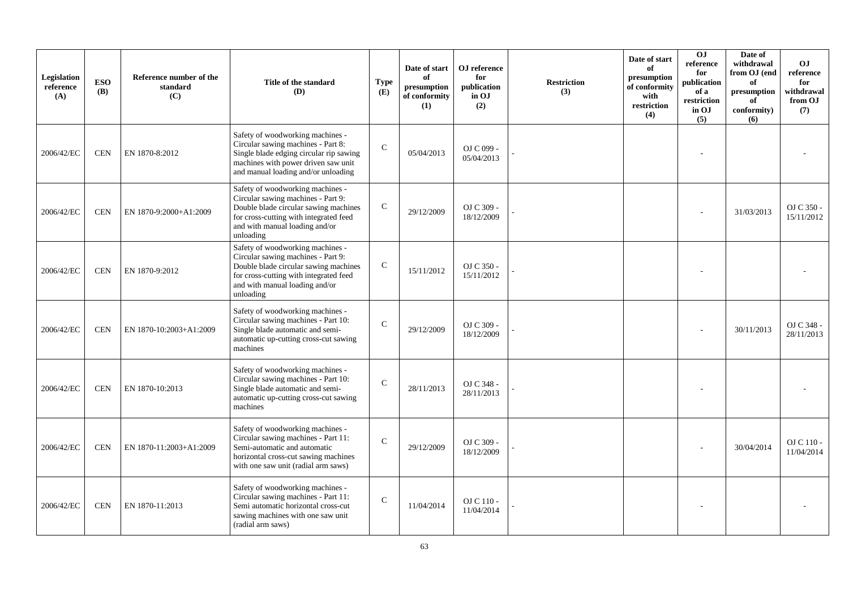| Legislation<br>reference<br>(A) | <b>ESO</b><br><b>(B)</b> | Reference number of the<br>standard<br>(C) | Title of the standard<br>(D)                                                                                                                                                                             | <b>Type</b><br>(E) | Date of start<br>of<br>presumption<br>of conformity<br>(1) | OJ reference<br>for<br>publication<br>in OJ<br>(2) | <b>Restriction</b><br>(3) | Date of start<br>of<br>presumption<br>of conformity<br>with<br>restriction<br>(4) | O <sub>J</sub><br>reference<br>for<br>publication<br>of a<br>restriction<br>in OJ<br>(5) | Date of<br>withdrawal<br>from OJ (end<br>of<br>presumption<br>of<br>conformity)<br>(6) | <b>OJ</b><br>reference<br>for<br>withdrawal<br>from OJ<br>(7) |
|---------------------------------|--------------------------|--------------------------------------------|----------------------------------------------------------------------------------------------------------------------------------------------------------------------------------------------------------|--------------------|------------------------------------------------------------|----------------------------------------------------|---------------------------|-----------------------------------------------------------------------------------|------------------------------------------------------------------------------------------|----------------------------------------------------------------------------------------|---------------------------------------------------------------|
| 2006/42/EC                      | <b>CEN</b>               | EN 1870-8:2012                             | Safety of woodworking machines -<br>Circular sawing machines - Part 8:<br>Single blade edging circular rip sawing<br>machines with power driven saw unit<br>and manual loading and/or unloading          | $\mathcal{C}$      | 05/04/2013                                                 | OJ C 099 -<br>05/04/2013                           |                           |                                                                                   |                                                                                          |                                                                                        |                                                               |
| 2006/42/EC                      | <b>CEN</b>               | EN 1870-9:2000+A1:2009                     | Safety of woodworking machines -<br>Circular sawing machines - Part 9:<br>Double blade circular sawing machines<br>for cross-cutting with integrated feed<br>and with manual loading and/or<br>unloading | $\mathsf{C}$       | 29/12/2009                                                 | OJ C 309 -<br>18/12/2009                           |                           |                                                                                   |                                                                                          | 31/03/2013                                                                             | OJ C 350 -<br>15/11/2012                                      |
| 2006/42/EC                      | <b>CEN</b>               | EN 1870-9:2012                             | Safety of woodworking machines -<br>Circular sawing machines - Part 9:<br>Double blade circular sawing machines<br>for cross-cutting with integrated feed<br>and with manual loading and/or<br>unloading | $\mathsf{C}$       | 15/11/2012                                                 | OJ C 350 -<br>15/11/2012                           |                           |                                                                                   |                                                                                          |                                                                                        |                                                               |
| 2006/42/EC                      | <b>CEN</b>               | EN 1870-10:2003+A1:2009                    | Safety of woodworking machines -<br>Circular sawing machines - Part 10:<br>Single blade automatic and semi-<br>automatic up-cutting cross-cut sawing<br>machines                                         | $\mathcal{C}$      | 29/12/2009                                                 | OJ C 309 -<br>18/12/2009                           |                           |                                                                                   |                                                                                          | 30/11/2013                                                                             | OJ C 348 -<br>28/11/2013                                      |
| 2006/42/EC                      | <b>CEN</b>               | EN 1870-10:2013                            | Safety of woodworking machines -<br>Circular sawing machines - Part 10:<br>Single blade automatic and semi-<br>automatic up-cutting cross-cut sawing<br>machines                                         | $\mathsf{C}$       | 28/11/2013                                                 | OJ C 348 -<br>28/11/2013                           |                           |                                                                                   |                                                                                          |                                                                                        |                                                               |
| 2006/42/EC                      | <b>CEN</b>               | EN 1870-11:2003+A1:2009                    | Safety of woodworking machines -<br>Circular sawing machines - Part 11:<br>Semi-automatic and automatic<br>horizontal cross-cut sawing machines<br>with one saw unit (radial arm saws)                   | $\mathsf{C}$       | 29/12/2009                                                 | OJ C 309 -<br>18/12/2009                           |                           |                                                                                   |                                                                                          | 30/04/2014                                                                             | OJ C 110 -<br>11/04/2014                                      |
| 2006/42/EC                      | <b>CEN</b>               | EN 1870-11:2013                            | Safety of woodworking machines -<br>Circular sawing machines - Part 11:<br>Semi automatic horizontal cross-cut<br>sawing machines with one saw unit<br>(radial arm saws)                                 | $\mathsf{C}$       | 11/04/2014                                                 | OJ C 110 -<br>11/04/2014                           |                           |                                                                                   |                                                                                          |                                                                                        |                                                               |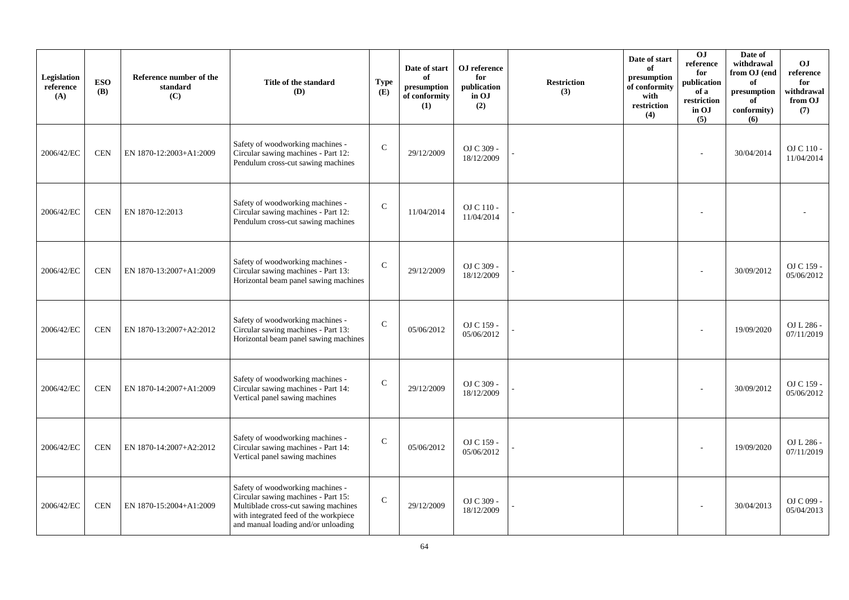| Legislation<br>reference<br>(A) | <b>ESO</b><br><b>(B)</b> | Reference number of the<br>standard<br>(C) | Title of the standard<br>(D)                                                                                                                                                                    | <b>Type</b><br>(E) | Date of start<br>of<br>presumption<br>of conformity<br>(1) | OJ reference<br>for<br>publication<br>in OJ<br>(2) | <b>Restriction</b><br>(3) | Date of start<br>of<br>presumption<br>of conformity<br>with<br>restriction<br>(4) | 0J<br>reference<br>for<br>publication<br>of a<br>restriction<br>in OJ<br>(5) | Date of<br>withdrawal<br>from OJ (end<br>of<br>presumption<br>of<br>conformity)<br>(6) | <b>OJ</b><br>reference<br>for<br>withdrawal<br>from OJ<br>(7) |
|---------------------------------|--------------------------|--------------------------------------------|-------------------------------------------------------------------------------------------------------------------------------------------------------------------------------------------------|--------------------|------------------------------------------------------------|----------------------------------------------------|---------------------------|-----------------------------------------------------------------------------------|------------------------------------------------------------------------------|----------------------------------------------------------------------------------------|---------------------------------------------------------------|
| 2006/42/EC                      | <b>CEN</b>               | EN 1870-12:2003+A1:2009                    | Safety of woodworking machines -<br>Circular sawing machines - Part 12:<br>Pendulum cross-cut sawing machines                                                                                   | $\mathsf{C}$       | 29/12/2009                                                 | OJ C 309 -<br>18/12/2009                           |                           |                                                                                   |                                                                              | 30/04/2014                                                                             | OJ C 110 -<br>11/04/2014                                      |
| 2006/42/EC                      | <b>CEN</b>               | EN 1870-12:2013                            | Safety of woodworking machines -<br>Circular sawing machines - Part 12:<br>Pendulum cross-cut sawing machines                                                                                   | $\mathsf{C}$       | 11/04/2014                                                 | $\rm OJ$ C 110 -<br>11/04/2014                     |                           |                                                                                   |                                                                              |                                                                                        |                                                               |
| 2006/42/EC                      | <b>CEN</b>               | EN 1870-13:2007+A1:2009                    | Safety of woodworking machines -<br>Circular sawing machines - Part 13:<br>Horizontal beam panel sawing machines                                                                                | $\mathsf{C}$       | 29/12/2009                                                 | OJ C 309 -<br>18/12/2009                           |                           |                                                                                   |                                                                              | 30/09/2012                                                                             | OJ C 159 -<br>05/06/2012                                      |
| 2006/42/EC                      | <b>CEN</b>               | EN 1870-13:2007+A2:2012                    | Safety of woodworking machines -<br>Circular sawing machines - Part 13:<br>Horizontal beam panel sawing machines                                                                                | $\mathcal{C}$      | 05/06/2012                                                 | OJ C 159 -<br>05/06/2012                           |                           |                                                                                   |                                                                              | 19/09/2020                                                                             | OJ L 286 -<br>07/11/2019                                      |
| 2006/42/EC                      | <b>CEN</b>               | EN 1870-14:2007+A1:2009                    | Safety of woodworking machines -<br>Circular sawing machines - Part 14:<br>Vertical panel sawing machines                                                                                       | $\mathcal{C}$      | 29/12/2009                                                 | OJ C 309 -<br>18/12/2009                           |                           |                                                                                   |                                                                              | 30/09/2012                                                                             | OJ C 159 -<br>05/06/2012                                      |
| 2006/42/EC                      | <b>CEN</b>               | EN 1870-14:2007+A2:2012                    | Safety of woodworking machines -<br>Circular sawing machines - Part 14:<br>Vertical panel sawing machines                                                                                       | $\mathbf C$        | 05/06/2012                                                 | OJ C 159 -<br>05/06/2012                           |                           |                                                                                   |                                                                              | 19/09/2020                                                                             | OJ L 286 -<br>07/11/2019                                      |
| 2006/42/EC                      | <b>CEN</b>               | EN 1870-15:2004+A1:2009                    | Safety of woodworking machines -<br>Circular sawing machines - Part 15:<br>Multiblade cross-cut sawing machines<br>with integrated feed of the workpiece<br>and manual loading and/or unloading | $\mathbf C$        | 29/12/2009                                                 | OJ C 309 -<br>18/12/2009                           |                           |                                                                                   |                                                                              | 30/04/2013                                                                             | OJ C 099 -<br>05/04/2013                                      |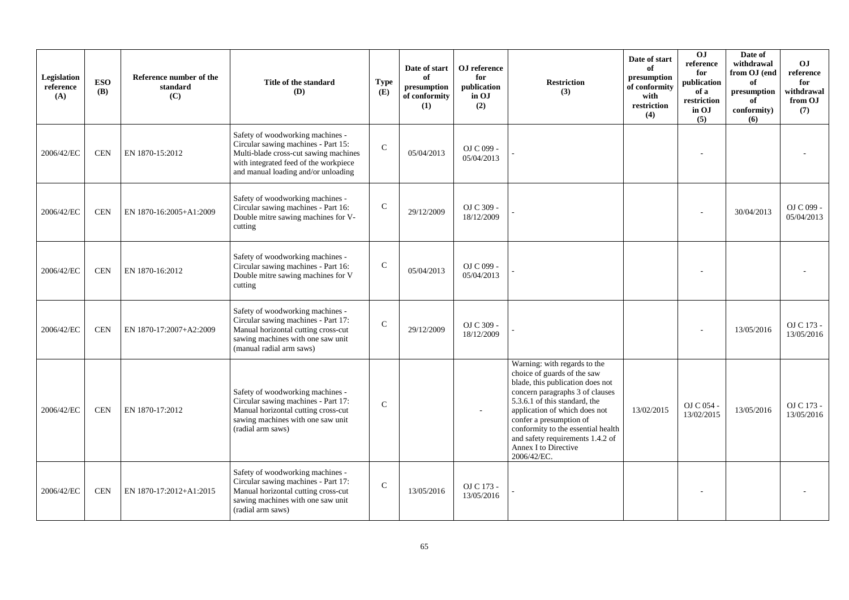| Legislation<br>reference<br>(A) | <b>ESO</b><br><b>(B)</b> | Reference number of the<br>standard<br>(C) | Title of the standard<br>(D)                                                                                                                                                                     | <b>Type</b><br>(E) | Date of start<br>of<br>presumption<br>of conformity<br>(1) | OJ reference<br>for<br>publication<br>in OJ<br>(2) | <b>Restriction</b><br>(3)                                                                                                                                                                                                                                                                                                                        | Date of start<br>of<br>presumption<br>of conformity<br>with<br>restriction<br>(4) | OJ<br>reference<br>for<br>publication<br>of a<br>restriction<br>in OJ<br>(5) | Date of<br>withdrawal<br>from OJ (end<br>of<br>$\bf{presumption}$<br>of<br>conformity)<br>(6) | OJ.<br>reference<br>for<br>withdrawal<br>from OJ<br>(7) |
|---------------------------------|--------------------------|--------------------------------------------|--------------------------------------------------------------------------------------------------------------------------------------------------------------------------------------------------|--------------------|------------------------------------------------------------|----------------------------------------------------|--------------------------------------------------------------------------------------------------------------------------------------------------------------------------------------------------------------------------------------------------------------------------------------------------------------------------------------------------|-----------------------------------------------------------------------------------|------------------------------------------------------------------------------|-----------------------------------------------------------------------------------------------|---------------------------------------------------------|
| 2006/42/EC                      | <b>CEN</b>               | EN 1870-15:2012                            | Safety of woodworking machines -<br>Circular sawing machines - Part 15:<br>Multi-blade cross-cut sawing machines<br>with integrated feed of the workpiece<br>and manual loading and/or unloading | $\mathsf{C}$       | 05/04/2013                                                 | OJ C 099 -<br>05/04/2013                           |                                                                                                                                                                                                                                                                                                                                                  |                                                                                   |                                                                              |                                                                                               |                                                         |
| 2006/42/EC                      | <b>CEN</b>               | EN 1870-16:2005+A1:2009                    | Safety of woodworking machines -<br>Circular sawing machines - Part 16:<br>Double mitre sawing machines for V-<br>cutting                                                                        | $\mathcal{C}$      | 29/12/2009                                                 | OJ C 309 -<br>18/12/2009                           |                                                                                                                                                                                                                                                                                                                                                  |                                                                                   |                                                                              | 30/04/2013                                                                                    | OJ C 099 -<br>05/04/2013                                |
| 2006/42/EC                      | <b>CEN</b>               | EN 1870-16:2012                            | Safety of woodworking machines -<br>Circular sawing machines - Part 16:<br>Double mitre sawing machines for V<br>cutting                                                                         | $\mathsf C$        | 05/04/2013                                                 | OJ C 099 -<br>05/04/2013                           |                                                                                                                                                                                                                                                                                                                                                  |                                                                                   |                                                                              |                                                                                               |                                                         |
| 2006/42/EC                      | <b>CEN</b>               | EN 1870-17:2007+A2:2009                    | Safety of woodworking machines -<br>Circular sawing machines - Part 17:<br>Manual horizontal cutting cross-cut<br>sawing machines with one saw unit<br>(manual radial arm saws)                  | $\mathcal{C}$      | 29/12/2009                                                 | OJ C 309 -<br>18/12/2009                           |                                                                                                                                                                                                                                                                                                                                                  |                                                                                   |                                                                              | 13/05/2016                                                                                    | OJ C 173 -<br>13/05/2016                                |
| 2006/42/EC                      | <b>CEN</b>               | EN 1870-17:2012                            | Safety of woodworking machines -<br>Circular sawing machines - Part 17:<br>Manual horizontal cutting cross-cut<br>sawing machines with one saw unit<br>(radial arm saws)                         | $\mathcal{C}$      |                                                            | ÷,                                                 | Warning: with regards to the<br>choice of guards of the saw<br>blade, this publication does not<br>concern paragraphs 3 of clauses<br>5.3.6.1 of this standard, the<br>application of which does not<br>confer a presumption of<br>conformity to the essential health<br>and safety requirements 1.4.2 of<br>Annex I to Directive<br>2006/42/EC. | 13/02/2015                                                                        | OJ C 054 -<br>13/02/2015                                                     | 13/05/2016                                                                                    | OJ C 173 -<br>13/05/2016                                |
| 2006/42/EC                      | <b>CEN</b>               | EN 1870-17:2012+A1:2015                    | Safety of woodworking machines -<br>Circular sawing machines - Part 17:<br>Manual horizontal cutting cross-cut<br>sawing machines with one saw unit<br>(radial arm saws)                         | $\mathbf C$        | 13/05/2016                                                 | OJ C 173 -<br>13/05/2016                           |                                                                                                                                                                                                                                                                                                                                                  |                                                                                   |                                                                              |                                                                                               |                                                         |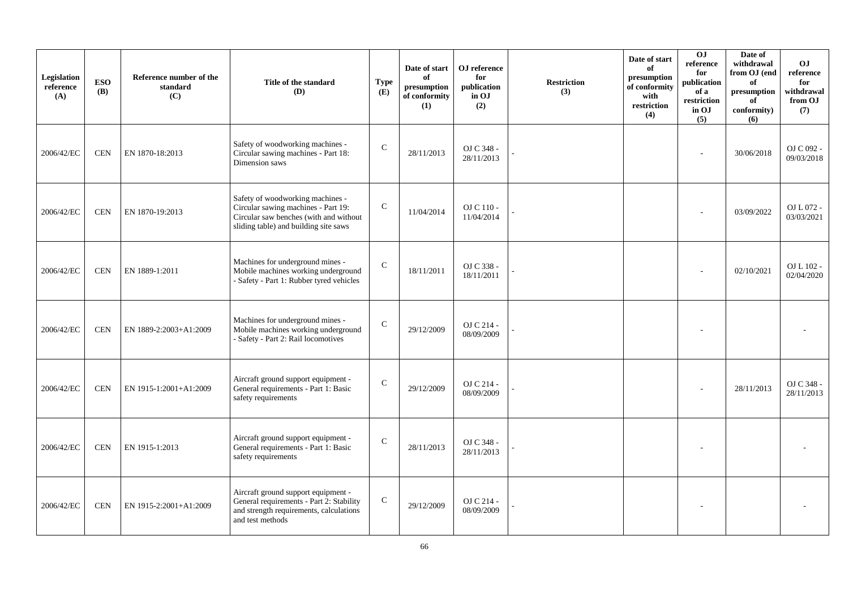| Legislation<br>reference<br>(A) | <b>ESO</b><br><b>(B)</b> | Reference number of the<br>standard<br>(C) | Title of the standard<br>(D)                                                                                                                               | <b>Type</b><br>(E) | Date of start<br>of<br>presumption<br>of conformity<br>(1) | OJ reference<br>for<br>publication<br>in OJ<br>(2) | <b>Restriction</b><br>(3) | Date of start<br>of<br>presumption<br>of conformity<br>with<br>restriction<br>(4) | 0J<br>reference<br>for<br>publication<br>of a<br>restriction<br>in OJ<br>(5) | Date of<br>withdrawal<br>from OJ (end<br>of<br>presumption<br>of<br>conformity)<br>(6) | <b>OJ</b><br>reference<br>for<br>withdrawal<br>from OJ<br>(7) |
|---------------------------------|--------------------------|--------------------------------------------|------------------------------------------------------------------------------------------------------------------------------------------------------------|--------------------|------------------------------------------------------------|----------------------------------------------------|---------------------------|-----------------------------------------------------------------------------------|------------------------------------------------------------------------------|----------------------------------------------------------------------------------------|---------------------------------------------------------------|
| 2006/42/EC                      | <b>CEN</b>               | EN 1870-18:2013                            | Safety of woodworking machines -<br>Circular sawing machines - Part 18:<br>Dimension saws                                                                  | $\mathcal{C}$      | 28/11/2013                                                 | OJ C 348 -<br>28/11/2013                           |                           |                                                                                   |                                                                              | 30/06/2018                                                                             | OJ C 092 -<br>09/03/2018                                      |
| 2006/42/EC                      | <b>CEN</b>               | EN 1870-19:2013                            | Safety of woodworking machines -<br>Circular sawing machines - Part 19:<br>Circular saw benches (with and without<br>sliding table) and building site saws | $\mathbf C$        | 11/04/2014                                                 | OJ C 110 -<br>11/04/2014                           |                           |                                                                                   |                                                                              | 03/09/2022                                                                             | OJ L 072 -<br>03/03/2021                                      |
| 2006/42/EC                      | <b>CEN</b>               | EN 1889-1:2011                             | Machines for underground mines -<br>Mobile machines working underground<br>- Safety - Part 1: Rubber tyred vehicles                                        | $\mathcal{C}$      | 18/11/2011                                                 | OJ C 338 -<br>18/11/2011                           |                           |                                                                                   |                                                                              | 02/10/2021                                                                             | OJ L 102 -<br>02/04/2020                                      |
| 2006/42/EC                      | <b>CEN</b>               | EN 1889-2:2003+A1:2009                     | Machines for underground mines -<br>Mobile machines working underground<br>- Safety - Part 2: Rail locomotives                                             | $\mathbf C$        | 29/12/2009                                                 | OJ C 214 -<br>08/09/2009                           |                           |                                                                                   |                                                                              |                                                                                        |                                                               |
| 2006/42/EC                      | <b>CEN</b>               | EN 1915-1:2001+A1:2009                     | Aircraft ground support equipment -<br>General requirements - Part 1: Basic<br>safety requirements                                                         | $\mathcal{C}$      | 29/12/2009                                                 | OJ C 214 -<br>08/09/2009                           |                           |                                                                                   |                                                                              | 28/11/2013                                                                             | OJ C 348 -<br>28/11/2013                                      |
| 2006/42/EC                      | <b>CEN</b>               | EN 1915-1:2013                             | Aircraft ground support equipment -<br>General requirements - Part 1: Basic<br>safety requirements                                                         | $\mathsf{C}$       | 28/11/2013                                                 | OJ C 348 -<br>28/11/2013                           |                           |                                                                                   |                                                                              |                                                                                        |                                                               |
| 2006/42/EC                      | <b>CEN</b>               | EN 1915-2:2001+A1:2009                     | Aircraft ground support equipment -<br>General requirements - Part 2: Stability<br>and strength requirements, calculations<br>and test methods             | $\mathbf C$        | 29/12/2009                                                 | OJ C 214 -<br>08/09/2009                           |                           |                                                                                   |                                                                              |                                                                                        |                                                               |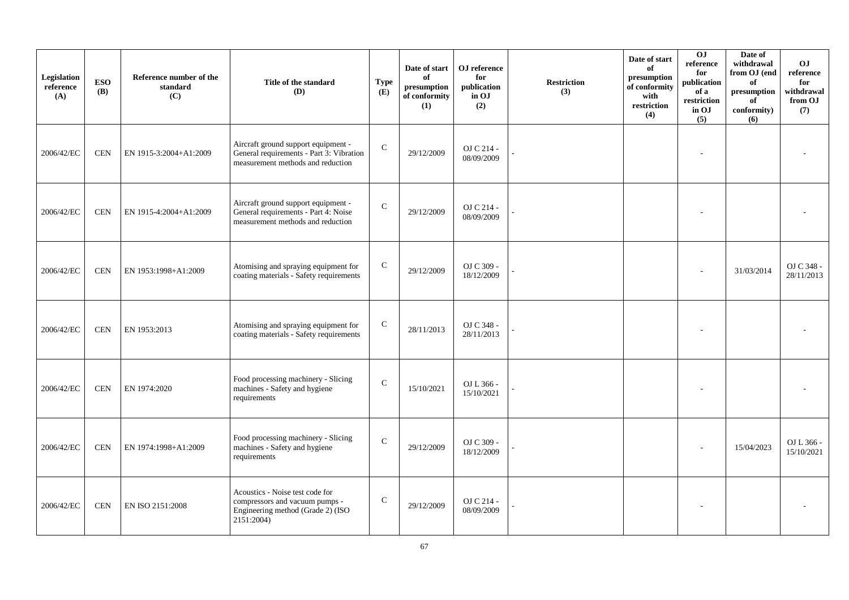| Legislation<br>reference<br>(A) | <b>ESO</b><br><b>(B)</b> | Reference number of the<br>standard<br>(C) | Title of the standard<br><b>(D)</b>                                                                                  | <b>Type</b><br>(E) | Date of start<br>of<br>presumption<br>of conformity<br>(1) | OJ reference<br>for<br>publication<br>in OJ<br>(2) | <b>Restriction</b><br>(3) | Date of start<br>of<br>presumption<br>of conformity<br>with<br>restriction<br>(4) | 0J<br>reference<br>for<br>publication<br>of a<br>restriction<br>in OJ<br>(5) | Date of<br>withdrawal<br>from OJ (end<br>of<br>presumption<br>of<br>conformity)<br>(6) | <b>OJ</b><br>reference<br>for<br>withdrawal<br>from OJ<br>(7) |
|---------------------------------|--------------------------|--------------------------------------------|----------------------------------------------------------------------------------------------------------------------|--------------------|------------------------------------------------------------|----------------------------------------------------|---------------------------|-----------------------------------------------------------------------------------|------------------------------------------------------------------------------|----------------------------------------------------------------------------------------|---------------------------------------------------------------|
| 2006/42/EC                      | <b>CEN</b>               | EN 1915-3:2004+A1:2009                     | Aircraft ground support equipment -<br>General requirements - Part 3: Vibration<br>measurement methods and reduction | $\mathbf C$        | 29/12/2009                                                 | OJ C 214 -<br>08/09/2009                           |                           |                                                                                   |                                                                              |                                                                                        |                                                               |
| 2006/42/EC                      | <b>CEN</b>               | EN 1915-4:2004+A1:2009                     | Aircraft ground support equipment -<br>General requirements - Part 4: Noise<br>measurement methods and reduction     | $\mathsf{C}$       | 29/12/2009                                                 | OJ C 214 -<br>08/09/2009                           |                           |                                                                                   |                                                                              |                                                                                        |                                                               |
| 2006/42/EC                      | <b>CEN</b>               | EN 1953:1998+A1:2009                       | Atomising and spraying equipment for<br>coating materials - Safety requirements                                      | $\mathsf{C}$       | 29/12/2009                                                 | OJ C 309 -<br>18/12/2009                           |                           |                                                                                   |                                                                              | 31/03/2014                                                                             | OJ C 348 -<br>28/11/2013                                      |
| 2006/42/EC                      | <b>CEN</b>               | EN 1953:2013                               | Atomising and spraying equipment for<br>coating materials - Safety requirements                                      | $\mathbf C$        | 28/11/2013                                                 | OJ C 348 -<br>28/11/2013                           |                           |                                                                                   |                                                                              |                                                                                        |                                                               |
| 2006/42/EC                      | <b>CEN</b>               | EN 1974:2020                               | Food processing machinery - Slicing<br>machines - Safety and hygiene<br>requirements                                 | $\mathcal{C}$      | 15/10/2021                                                 | OJ L 366 -<br>15/10/2021                           |                           |                                                                                   |                                                                              |                                                                                        |                                                               |
| 2006/42/EC                      | <b>CEN</b>               | EN 1974:1998+A1:2009                       | Food processing machinery - Slicing<br>machines - Safety and hygiene<br>requirements                                 | $\mathcal{C}$      | 29/12/2009                                                 | OJ C 309 -<br>18/12/2009                           |                           |                                                                                   |                                                                              | 15/04/2023                                                                             | OJ L 366 -<br>15/10/2021                                      |
| 2006/42/EC                      | <b>CEN</b>               | EN ISO 2151:2008                           | Acoustics - Noise test code for<br>compressors and vacuum pumps -<br>Engineering method (Grade 2) (ISO<br>2151:2004) | ${\bf C}$          | 29/12/2009                                                 | OJ C 214 -<br>08/09/2009                           |                           |                                                                                   |                                                                              |                                                                                        |                                                               |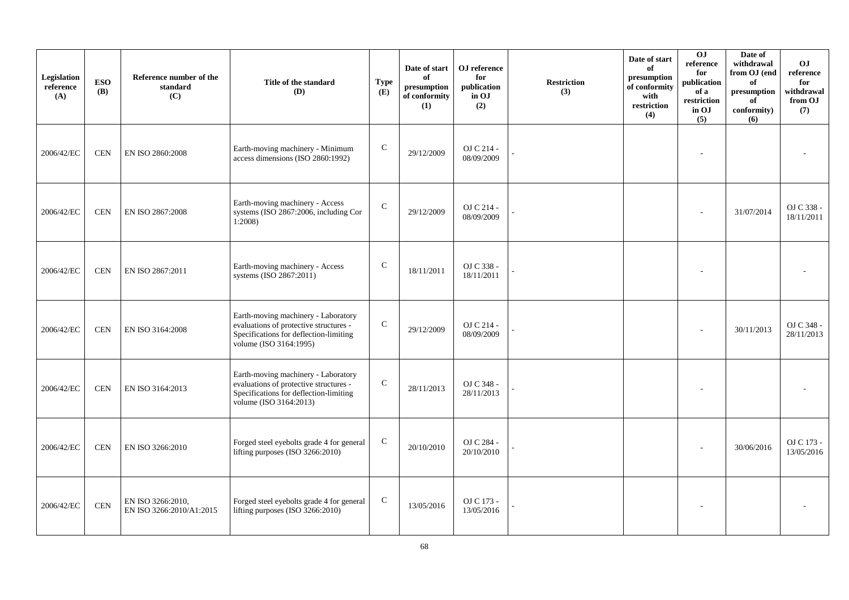| Legislation<br>reference<br>(A) | <b>ESO</b><br><b>(B)</b> | Reference number of the<br>standard<br>(C)    | Title of the standard<br><b>(D)</b>                                                                                                               | <b>Type</b><br>(E) | Date of start<br>of<br>presumption<br>of conformity<br>(1) | OJ reference<br>for<br>publication<br>in OJ<br>(2) | <b>Restriction</b><br>(3) | Date of start<br>of<br>presumption<br>of conformity<br>with<br>restriction<br>(4) | OJ<br>reference<br>for<br>publication<br>of a<br>restriction<br>in OJ<br>(5) | Date of<br>withdrawal<br>from OJ (end<br>of<br>presumption<br>of<br>conformity)<br>(6) | O <sub>J</sub><br>reference<br>for<br>withdrawal<br>from OJ<br>(7) |
|---------------------------------|--------------------------|-----------------------------------------------|---------------------------------------------------------------------------------------------------------------------------------------------------|--------------------|------------------------------------------------------------|----------------------------------------------------|---------------------------|-----------------------------------------------------------------------------------|------------------------------------------------------------------------------|----------------------------------------------------------------------------------------|--------------------------------------------------------------------|
| 2006/42/EC                      | <b>CEN</b>               | EN ISO 2860:2008                              | Earth-moving machinery - Minimum<br>access dimensions (ISO 2860:1992)                                                                             | $\mathsf{C}$       | 29/12/2009                                                 | OJ C 214 -<br>08/09/2009                           |                           |                                                                                   |                                                                              |                                                                                        |                                                                    |
| 2006/42/EC                      | <b>CEN</b>               | EN ISO 2867:2008                              | Earth-moving machinery - Access<br>systems (ISO 2867:2006, including Cor<br>1:2008                                                                | $\mathbf C$        | 29/12/2009                                                 | OJ C 214 -<br>08/09/2009                           |                           |                                                                                   |                                                                              | 31/07/2014                                                                             | OJ C 338 -<br>18/11/2011                                           |
| 2006/42/EC                      | <b>CEN</b>               | EN ISO 2867:2011                              | Earth-moving machinery - Access<br>systems (ISO 2867:2011)                                                                                        | $\mathsf{C}$       | 18/11/2011                                                 | OJ C 338 -<br>18/11/2011                           |                           |                                                                                   |                                                                              |                                                                                        |                                                                    |
| 2006/42/EC                      | <b>CEN</b>               | EN ISO 3164:2008                              | Earth-moving machinery - Laboratory<br>evaluations of protective structures -<br>Specifications for deflection-limiting<br>volume (ISO 3164:1995) | $\mathbf C$        | 29/12/2009                                                 | OJ C 214 -<br>08/09/2009                           |                           |                                                                                   |                                                                              | 30/11/2013                                                                             | OJ C 348 -<br>28/11/2013                                           |
| 2006/42/EC                      | <b>CEN</b>               | EN ISO 3164:2013                              | Earth-moving machinery - Laboratory<br>evaluations of protective structures -<br>Specifications for deflection-limiting<br>volume (ISO 3164:2013) | $\mathbf C$        | 28/11/2013                                                 | OJ C 348 -<br>28/11/2013                           |                           |                                                                                   |                                                                              |                                                                                        |                                                                    |
| 2006/42/EC                      | <b>CEN</b>               | EN ISO 3266:2010                              | Forged steel eyebolts grade 4 for general<br>lifting purposes (ISO 3266:2010)                                                                     | $\mathbf C$        | 20/10/2010                                                 | OJ C 284 -<br>20/10/2010                           |                           |                                                                                   |                                                                              | 30/06/2016                                                                             | OJ C 173 -<br>13/05/2016                                           |
| 2006/42/EC                      | $\mbox{CEN}$             | EN ISO 3266:2010,<br>EN ISO 3266:2010/A1:2015 | Forged steel eyebolts grade 4 for general<br>lifting purposes (ISO 3266:2010)                                                                     | $\mathbf C$        | 13/05/2016                                                 | OJ C 173 -<br>13/05/2016                           |                           |                                                                                   |                                                                              |                                                                                        |                                                                    |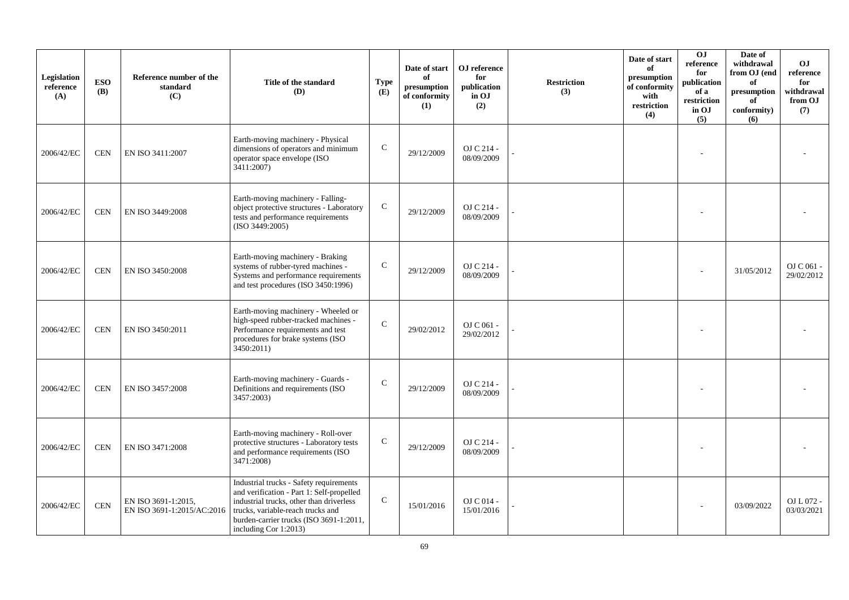| Legislation<br>reference<br>(A) | <b>ESO</b><br><b>(B)</b> | Reference number of the<br>standard<br>(C)        | Title of the standard<br>(D)                                                                                                                                                                                                                 | <b>Type</b><br>(E) | Date of start<br>of<br>presumption<br>of conformity<br>(1) | OJ reference<br>for<br>publication<br>in OJ<br>(2) | <b>Restriction</b><br>(3) | Date of start<br>of<br>presumption<br>of conformity<br>with<br>restriction<br>(4) | O <sub>J</sub><br>reference<br>for<br>publication<br>of a<br>restriction<br>in OJ<br>(5) | Date of<br>withdrawal<br>from OJ (end<br>of<br>presumption<br>of<br>conformity)<br>(6) | <b>OJ</b><br>reference<br>for<br>withdrawal<br>from OJ<br>(7) |
|---------------------------------|--------------------------|---------------------------------------------------|----------------------------------------------------------------------------------------------------------------------------------------------------------------------------------------------------------------------------------------------|--------------------|------------------------------------------------------------|----------------------------------------------------|---------------------------|-----------------------------------------------------------------------------------|------------------------------------------------------------------------------------------|----------------------------------------------------------------------------------------|---------------------------------------------------------------|
| 2006/42/EC                      | <b>CEN</b>               | EN ISO 3411:2007                                  | Earth-moving machinery - Physical<br>dimensions of operators and minimum<br>operator space envelope (ISO<br>3411:2007                                                                                                                        | $\mathsf{C}$       | 29/12/2009                                                 | OJ C 214 -<br>08/09/2009                           |                           |                                                                                   |                                                                                          |                                                                                        |                                                               |
| 2006/42/EC                      | <b>CEN</b>               | EN ISO 3449:2008                                  | Earth-moving machinery - Falling-<br>object protective structures - Laboratory<br>tests and performance requirements<br>(ISO 3449:2005)                                                                                                      | $\mathbf C$        | 29/12/2009                                                 | OJ C 214 -<br>08/09/2009                           |                           |                                                                                   |                                                                                          |                                                                                        |                                                               |
| 2006/42/EC                      | <b>CEN</b>               | EN ISO 3450:2008                                  | Earth-moving machinery - Braking<br>systems of rubber-tyred machines -<br>Systems and performance requirements<br>and test procedures (ISO 3450:1996)                                                                                        | $\mathsf{C}$       | 29/12/2009                                                 | OJ C 214 -<br>08/09/2009                           |                           |                                                                                   |                                                                                          | 31/05/2012                                                                             | OJ C 061 -<br>29/02/2012                                      |
| 2006/42/EC                      | <b>CEN</b>               | EN ISO 3450:2011                                  | Earth-moving machinery - Wheeled or<br>high-speed rubber-tracked machines -<br>Performance requirements and test<br>procedures for brake systems (ISO<br>3450:2011)                                                                          | ${\bf C}$          | 29/02/2012                                                 | OJ C 061 -<br>29/02/2012                           |                           |                                                                                   |                                                                                          |                                                                                        |                                                               |
| 2006/42/EC                      | <b>CEN</b>               | EN ISO 3457:2008                                  | Earth-moving machinery - Guards -<br>Definitions and requirements (ISO<br>3457:2003)                                                                                                                                                         | $\mathsf{C}$       | 29/12/2009                                                 | OJ C 214 -<br>08/09/2009                           |                           |                                                                                   |                                                                                          |                                                                                        |                                                               |
| 2006/42/EC                      | $\mbox{CEN}$             | EN ISO 3471:2008                                  | Earth-moving machinery - Roll-over<br>protective structures - Laboratory tests<br>and performance requirements (ISO<br>3471:2008)                                                                                                            | $\mathsf C$        | 29/12/2009                                                 | OJ C 214 -<br>08/09/2009                           |                           |                                                                                   |                                                                                          |                                                                                        |                                                               |
| 2006/42/EC                      | $\mbox{CEN}$             | EN ISO 3691-1:2015,<br>EN ISO 3691-1:2015/AC:2016 | Industrial trucks - Safety requirements<br>and verification - Part 1: Self-propelled<br>industrial trucks, other than driverless<br>trucks, variable-reach trucks and<br>burden-carrier trucks (ISO 3691-1:2011,<br>including Cor $1:2013$ ) | $\mathsf C$        | 15/01/2016                                                 | OJ C 014 -<br>15/01/2016                           |                           |                                                                                   |                                                                                          | 03/09/2022                                                                             | OJ L 072 -<br>03/03/2021                                      |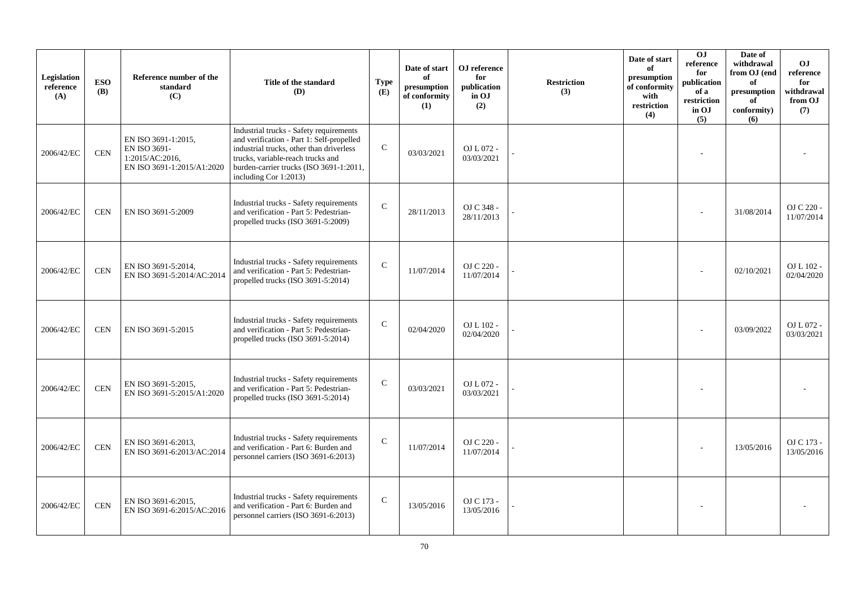| Legislation<br>reference<br>(A) | <b>ESO</b><br><b>(B)</b> | Reference number of the<br>standard<br>(C)                                           | Title of the standard<br>(D)                                                                                                                                                                                                              | <b>Type</b><br>(E) | Date of start<br>of<br>presumption<br>of conformity<br>(1) | OJ reference<br>for<br>publication<br>in OJ<br>(2) | <b>Restriction</b><br>(3) | Date of start<br>of<br>presumption<br>of conformity<br>with<br>restriction<br>(4) | 0J<br>reference<br>for<br>publication<br>of a<br>restriction<br>in OJ<br>(5) | Date of<br>withdrawal<br>from OJ (end<br>of<br>presumption<br>of<br>conformity)<br>(6) | <b>OJ</b><br>reference<br>for<br>withdrawal<br>from OJ<br>(7) |
|---------------------------------|--------------------------|--------------------------------------------------------------------------------------|-------------------------------------------------------------------------------------------------------------------------------------------------------------------------------------------------------------------------------------------|--------------------|------------------------------------------------------------|----------------------------------------------------|---------------------------|-----------------------------------------------------------------------------------|------------------------------------------------------------------------------|----------------------------------------------------------------------------------------|---------------------------------------------------------------|
| 2006/42/EC                      | <b>CEN</b>               | EN ISO 3691-1:2015,<br>EN ISO 3691-<br>1:2015/AC:2016.<br>EN ISO 3691-1:2015/A1:2020 | Industrial trucks - Safety requirements<br>and verification - Part 1: Self-propelled<br>industrial trucks, other than driverless<br>trucks, variable-reach trucks and<br>burden-carrier trucks (ISO 3691-1:2011,<br>including Cor 1:2013) | $\mathcal{C}$      | 03/03/2021                                                 | OJ L 072 -<br>03/03/2021                           |                           |                                                                                   |                                                                              |                                                                                        |                                                               |
| 2006/42/EC                      | <b>CEN</b>               | EN ISO 3691-5:2009                                                                   | Industrial trucks - Safety requirements<br>and verification - Part 5: Pedestrian-<br>propelled trucks (ISO 3691-5:2009)                                                                                                                   | $\mathcal{C}$      | 28/11/2013                                                 | OJ C 348 -<br>28/11/2013                           |                           |                                                                                   |                                                                              | 31/08/2014                                                                             | OJ C 220 -<br>11/07/2014                                      |
| 2006/42/EC                      | <b>CEN</b>               | EN ISO 3691-5:2014,<br>EN ISO 3691-5:2014/AC:2014                                    | Industrial trucks - Safety requirements<br>and verification - Part 5: Pedestrian-<br>propelled trucks (ISO 3691-5:2014)                                                                                                                   | $\mathcal{C}$      | 11/07/2014                                                 | OJ C 220 -<br>11/07/2014                           |                           |                                                                                   |                                                                              | 02/10/2021                                                                             | OJ L 102 -<br>02/04/2020                                      |
| 2006/42/EC                      | <b>CEN</b>               | EN ISO 3691-5:2015                                                                   | Industrial trucks - Safety requirements<br>and verification - Part 5: Pedestrian-<br>propelled trucks (ISO 3691-5:2014)                                                                                                                   | $\mathbf C$        | 02/04/2020                                                 | OJ L 102 -<br>02/04/2020                           |                           |                                                                                   |                                                                              | 03/09/2022                                                                             | OJ L 072 -<br>03/03/2021                                      |
| 2006/42/EC                      | <b>CEN</b>               | EN ISO 3691-5:2015,<br>EN ISO 3691-5:2015/A1:2020                                    | Industrial trucks - Safety requirements<br>and verification - Part 5: Pedestrian-<br>propelled trucks (ISO 3691-5:2014)                                                                                                                   | $\mathcal{C}$      | 03/03/2021                                                 | OJ L 072 -<br>03/03/2021                           |                           |                                                                                   |                                                                              |                                                                                        |                                                               |
| 2006/42/EC                      | <b>CEN</b>               | EN ISO 3691-6:2013,<br>EN ISO 3691-6:2013/AC:2014                                    | Industrial trucks - Safety requirements<br>and verification - Part 6: Burden and<br>personnel carriers (ISO 3691-6:2013)                                                                                                                  | $\mathsf{C}$       | 11/07/2014                                                 | OJ C 220 -<br>11/07/2014                           |                           |                                                                                   |                                                                              | 13/05/2016                                                                             | OJ C 173 -<br>13/05/2016                                      |
| 2006/42/EC                      | <b>CEN</b>               | EN ISO 3691-6:2015,<br>EN ISO 3691-6:2015/AC:2016                                    | Industrial trucks - Safety requirements<br>and verification - Part 6: Burden and<br>personnel carriers (ISO 3691-6:2013)                                                                                                                  | $\mathsf{C}$       | 13/05/2016                                                 | OJ C 173 -<br>13/05/2016                           |                           |                                                                                   |                                                                              |                                                                                        |                                                               |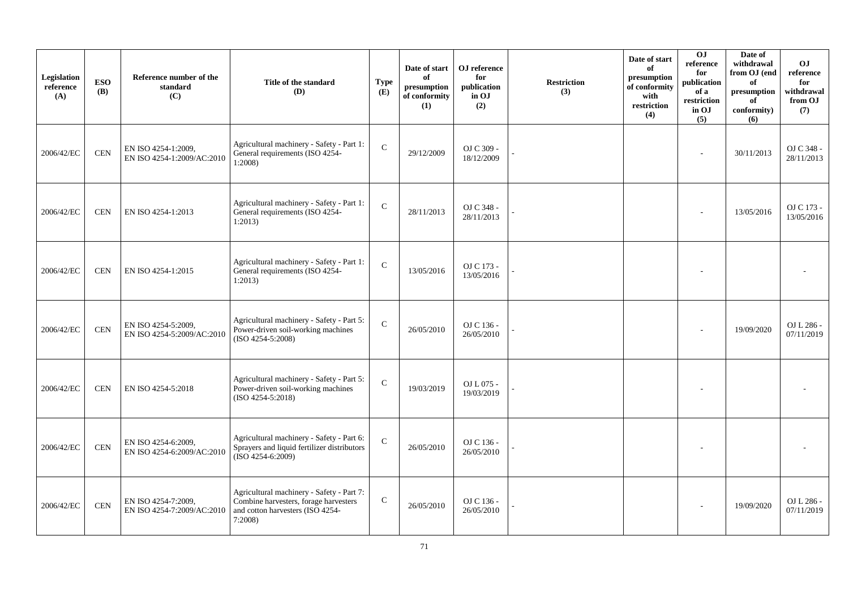| Legislation<br>reference<br>(A) | <b>ESO</b><br><b>(B)</b> | Reference number of the<br>standard<br>(C)        | Title of the standard<br><b>(D)</b>                                                                                              | <b>Type</b><br>(E) | Date of start<br>of<br>presumption<br>of conformity<br>(1) | OJ reference<br>for<br>publication<br>in OJ<br>(2) | <b>Restriction</b><br>(3) | Date of start<br>of<br>presumption<br>of conformity<br>with<br>restriction<br>(4) | OJ<br>reference<br>for<br>publication<br>of a<br>restriction<br>in OJ<br>(5) | Date of<br>withdrawal<br>from OJ (end<br>of<br>presumption<br>of<br>conformity)<br>(6) | <b>OJ</b><br>reference<br>for<br>withdrawal<br>from OJ<br>(7) |
|---------------------------------|--------------------------|---------------------------------------------------|----------------------------------------------------------------------------------------------------------------------------------|--------------------|------------------------------------------------------------|----------------------------------------------------|---------------------------|-----------------------------------------------------------------------------------|------------------------------------------------------------------------------|----------------------------------------------------------------------------------------|---------------------------------------------------------------|
| 2006/42/EC                      | <b>CEN</b>               | EN ISO 4254-1:2009.<br>EN ISO 4254-1:2009/AC:2010 | Agricultural machinery - Safety - Part 1:<br>General requirements (ISO 4254-<br>1:2008                                           | $\mathbf{C}$       | 29/12/2009                                                 | OJ C 309 -<br>18/12/2009                           |                           |                                                                                   | ÷                                                                            | 30/11/2013                                                                             | OJ C 348 -<br>28/11/2013                                      |
| 2006/42/EC                      | <b>CEN</b>               | EN ISO 4254-1:2013                                | Agricultural machinery - Safety - Part 1:<br>General requirements (ISO 4254-<br>1:2013                                           | $\mathbf C$        | 28/11/2013                                                 | OJ C 348 -<br>28/11/2013                           |                           |                                                                                   |                                                                              | 13/05/2016                                                                             | OJ C 173 -<br>13/05/2016                                      |
| 2006/42/EC                      | <b>CEN</b>               | EN ISO 4254-1:2015                                | Agricultural machinery - Safety - Part 1:<br>General requirements (ISO 4254-<br>1:2013                                           | $\mathbf C$        | 13/05/2016                                                 | OJ C 173 -<br>13/05/2016                           |                           |                                                                                   |                                                                              |                                                                                        |                                                               |
| 2006/42/EC                      | $\mbox{CEN}$             | EN ISO 4254-5:2009,<br>EN ISO 4254-5:2009/AC:2010 | Agricultural machinery - Safety - Part 5:<br>Power-driven soil-working machines<br>(ISO 4254-5:2008)                             | $\mathbf C$        | 26/05/2010                                                 | OJ C 136 -<br>26/05/2010                           |                           |                                                                                   |                                                                              | 19/09/2020                                                                             | OJ L 286 -<br>07/11/2019                                      |
| 2006/42/EC                      | <b>CEN</b>               | EN ISO 4254-5:2018                                | Agricultural machinery - Safety - Part 5:<br>Power-driven soil-working machines<br>$(ISO 4254-5:2018)$                           | $\mathbf C$        | 19/03/2019                                                 | OJ L 075 -<br>19/03/2019                           |                           |                                                                                   |                                                                              |                                                                                        |                                                               |
| 2006/42/EC                      | $\mbox{CEN}$             | EN ISO 4254-6:2009,<br>EN ISO 4254-6:2009/AC:2010 | Agricultural machinery - Safety - Part 6:<br>Sprayers and liquid fertilizer distributors<br>$(ISO 4254-6:2009)$                  | $\mathbf C$        | 26/05/2010                                                 | OJ C 136 -<br>26/05/2010                           |                           |                                                                                   |                                                                              |                                                                                        |                                                               |
| 2006/42/EC                      | <b>CEN</b>               | EN ISO 4254-7:2009,<br>EN ISO 4254-7:2009/AC:2010 | Agricultural machinery - Safety - Part 7:<br>Combine harvesters, forage harvesters<br>and cotton harvesters (ISO 4254-<br>7:2008 | $\mathsf{C}$       | 26/05/2010                                                 | OJ C 136 -<br>26/05/2010                           |                           |                                                                                   |                                                                              | 19/09/2020                                                                             | OJ L 286 -<br>07/11/2019                                      |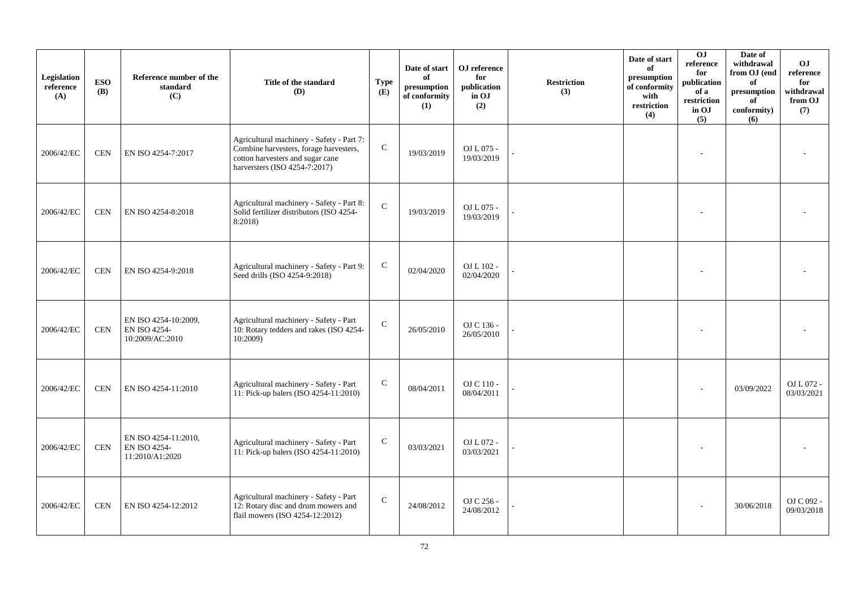| Legislation<br>reference<br>(A) | <b>ESO</b><br><b>(B)</b> | Reference number of the<br>standard<br>(C)                     | Title of the standard<br>(D)                                                                                                                             | <b>Type</b><br>(E) | Date of start<br>of<br>presumption<br>of conformity<br>(1) | ${\bf OJ}$ reference<br>for<br>publication<br>in OJ<br>(2) | <b>Restriction</b><br>(3) | Date of start<br>of<br>presumption<br>of conformity<br>with<br>$\operatorname{restriction}$<br>(4) | 0J<br>reference<br>for<br>publication<br>of a<br>restriction<br>in OJ<br>(5) | Date of<br>withdrawal<br>from OJ (end<br>of<br>$\bf{presumption}$<br>of<br>conformity)<br>(6) | O <sub>J</sub><br>reference<br>for<br>withdrawal<br>from OJ<br>(7) |
|---------------------------------|--------------------------|----------------------------------------------------------------|----------------------------------------------------------------------------------------------------------------------------------------------------------|--------------------|------------------------------------------------------------|------------------------------------------------------------|---------------------------|----------------------------------------------------------------------------------------------------|------------------------------------------------------------------------------|-----------------------------------------------------------------------------------------------|--------------------------------------------------------------------|
| 2006/42/EC                      | <b>CEN</b>               | EN ISO 4254-7:2017                                             | Agricultural machinery - Safety - Part 7:<br>Combine harvesters, forage harvesters,<br>cotton harvesters and sugar cane<br>harversters (ISO 4254-7:2017) | ${\bf C}$          | 19/03/2019                                                 | OJ L 075 -<br>19/03/2019                                   |                           |                                                                                                    |                                                                              |                                                                                               |                                                                    |
| 2006/42/EC                      | <b>CEN</b>               | EN ISO 4254-8:2018                                             | Agricultural machinery - Safety - Part 8:<br>Solid fertilizer distributors (ISO 4254-<br>8:2018)                                                         | $\mathbf C$        | 19/03/2019                                                 | OJ L 075 -<br>19/03/2019                                   |                           |                                                                                                    |                                                                              |                                                                                               |                                                                    |
| 2006/42/EC                      | <b>CEN</b>               | EN ISO 4254-9:2018                                             | Agricultural machinery - Safety - Part 9:<br>Seed drills (ISO 4254-9:2018)                                                                               | $\mathsf{C}$       | 02/04/2020                                                 | OJ L 102 -<br>02/04/2020                                   |                           |                                                                                                    |                                                                              |                                                                                               |                                                                    |
| 2006/42/EC                      | <b>CEN</b>               | EN ISO 4254-10:2009,<br><b>EN ISO 4254-</b><br>10:2009/AC:2010 | Agricultural machinery - Safety - Part<br>10: Rotary tedders and rakes (ISO 4254-<br>10:2009)                                                            | $\mathbf C$        | 26/05/2010                                                 | OJ C 136 -<br>26/05/2010                                   |                           |                                                                                                    |                                                                              |                                                                                               |                                                                    |
| 2006/42/EC                      | <b>CEN</b>               | EN ISO 4254-11:2010                                            | Agricultural machinery - Safety - Part<br>11: Pick-up balers (ISO 4254-11:2010)                                                                          | $\mathbf C$        | 08/04/2011                                                 | OJ C 110 -<br>08/04/2011                                   |                           |                                                                                                    |                                                                              | 03/09/2022                                                                                    | OJ L 072 -<br>03/03/2021                                           |
| 2006/42/EC                      | <b>CEN</b>               | EN ISO 4254-11:2010,<br>EN ISO 4254-<br>11:2010/A1:2020        | Agricultural machinery - Safety - Part<br>11: Pick-up balers (ISO 4254-11:2010)                                                                          | $\mathbf C$        | 03/03/2021                                                 | OJ L 072 -<br>03/03/2021                                   |                           |                                                                                                    |                                                                              |                                                                                               |                                                                    |
| 2006/42/EC                      | <b>CEN</b>               | EN ISO 4254-12:2012                                            | Agricultural machinery - Safety - Part<br>12: Rotary disc and drum mowers and<br>flail mowers (ISO 4254-12:2012)                                         | $\mathsf C$        | 24/08/2012                                                 | OJ C 256 -<br>24/08/2012                                   |                           |                                                                                                    |                                                                              | 30/06/2018                                                                                    | OJ C 092 -<br>09/03/2018                                           |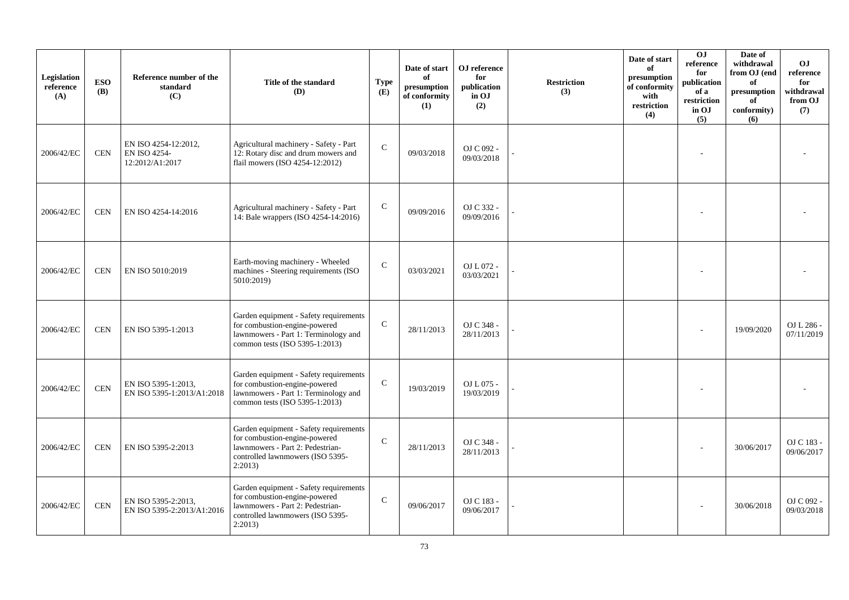| Legislation<br>reference<br>(A) | <b>ESO</b><br><b>(B)</b> | Reference number of the<br>standard<br>(C)              | Title of the standard<br>(D)                                                                                                                               | <b>Type</b><br>(E) | Date of start<br>of<br>presumption<br>of conformity<br>(1) | OJ reference<br>for<br>publication<br>in OJ<br>(2) | <b>Restriction</b><br>(3) | Date of start<br>of<br>presumption<br>of conformity<br>with<br>restriction<br>(4) | 0 <sub>J</sub><br>reference<br>for<br>publication<br>of a<br>restriction<br>in OJ<br>(5) | Date of<br>withdrawal<br>from OJ (end<br>of<br>presumption<br>of<br>conformity)<br>(6) | <b>OJ</b><br>reference<br>for<br>withdrawal<br>from OJ<br>(7) |
|---------------------------------|--------------------------|---------------------------------------------------------|------------------------------------------------------------------------------------------------------------------------------------------------------------|--------------------|------------------------------------------------------------|----------------------------------------------------|---------------------------|-----------------------------------------------------------------------------------|------------------------------------------------------------------------------------------|----------------------------------------------------------------------------------------|---------------------------------------------------------------|
| 2006/42/EC                      | <b>CEN</b>               | EN ISO 4254-12:2012,<br>EN ISO 4254-<br>12:2012/A1:2017 | Agricultural machinery - Safety - Part<br>12: Rotary disc and drum mowers and<br>flail mowers (ISO 4254-12:2012)                                           | $\mathcal{C}$      | 09/03/2018                                                 | OJ C 092 -<br>09/03/2018                           |                           |                                                                                   |                                                                                          |                                                                                        |                                                               |
| 2006/42/EC                      | <b>CEN</b>               | EN ISO 4254-14:2016                                     | Agricultural machinery - Safety - Part<br>14: Bale wrappers (ISO 4254-14:2016)                                                                             | $\mathsf{C}$       | 09/09/2016                                                 | OJ C 332 -<br>09/09/2016                           |                           |                                                                                   |                                                                                          |                                                                                        |                                                               |
| 2006/42/EC                      | <b>CEN</b>               | EN ISO 5010:2019                                        | Earth-moving machinery - Wheeled<br>machines - Steering requirements (ISO<br>5010:2019)                                                                    | $\mathcal{C}$      | 03/03/2021                                                 | OJ L 072 -<br>03/03/2021                           |                           |                                                                                   |                                                                                          |                                                                                        |                                                               |
| 2006/42/EC                      | <b>CEN</b>               | EN ISO 5395-1:2013                                      | Garden equipment - Safety requirements<br>for combustion-engine-powered<br>lawnmowers - Part 1: Terminology and<br>common tests (ISO 5395-1:2013)          | $\mathsf{C}$       | 28/11/2013                                                 | OJ C 348 -<br>28/11/2013                           |                           |                                                                                   |                                                                                          | 19/09/2020                                                                             | OJ L 286 -<br>07/11/2019                                      |
| 2006/42/EC                      | <b>CEN</b>               | EN ISO 5395-1:2013,<br>EN ISO 5395-1:2013/A1:2018       | Garden equipment - Safety requirements<br>for combustion-engine-powered<br>lawnmowers - Part 1: Terminology and<br>common tests (ISO 5395-1:2013)          | $\mathcal{C}$      | 19/03/2019                                                 | OJ L 075 -<br>19/03/2019                           |                           |                                                                                   |                                                                                          |                                                                                        |                                                               |
| 2006/42/EC                      | <b>CEN</b>               | EN ISO 5395-2:2013                                      | Garden equipment - Safety requirements<br>for combustion-engine-powered<br>lawnmowers - Part 2: Pedestrian-<br>controlled lawnmowers (ISO 5395-<br>2:2013) | $\mathcal{C}$      | 28/11/2013                                                 | OJ C 348 -<br>28/11/2013                           |                           |                                                                                   |                                                                                          | 30/06/2017                                                                             | OJ C 183 -<br>09/06/2017                                      |
| 2006/42/EC                      | <b>CEN</b>               | EN ISO 5395-2:2013,<br>EN ISO 5395-2:2013/A1:2016       | Garden equipment - Safety requirements<br>for combustion-engine-powered<br>lawnmowers - Part 2: Pedestrian-<br>controlled lawnmowers (ISO 5395-<br>2:2013  | $\mathbf C$        | 09/06/2017                                                 | OJ C 183 -<br>09/06/2017                           |                           |                                                                                   |                                                                                          | 30/06/2018                                                                             | OJ C 092 -<br>09/03/2018                                      |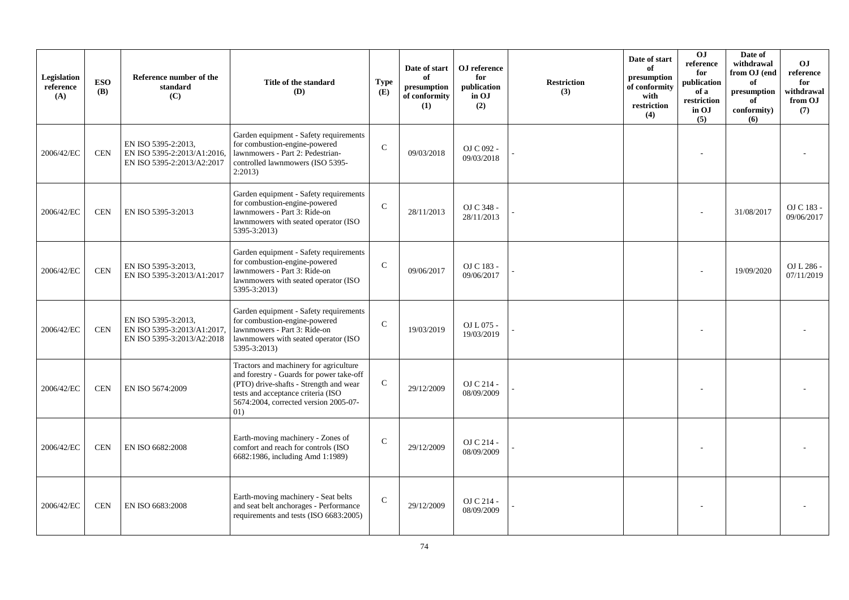| Legislation<br>reference<br>(A) | <b>ESO</b><br><b>(B)</b> | Reference number of the<br>standard<br>(C)                                       | Title of the standard<br>(D)                                                                                                                                                                                       | <b>Type</b><br>(E) | Date of start<br>of<br>presumption<br>of conformity<br>(1) | ${\bf OJ}$ reference<br>for<br>publication<br>in OJ<br>(2) | <b>Restriction</b><br>(3) | Date of start<br>of<br>presumption<br>of conformity<br>with<br>restriction<br>(4) | O <sub>J</sub><br>reference<br>for<br>publication<br>of a<br>restriction<br>in OJ<br>(5) | Date of<br>withdrawal<br>from OJ (end<br>of<br>presumption<br>of<br>conformity)<br>(6) | <b>OJ</b><br>reference<br>for<br>withdrawal<br>from OJ<br>(7) |
|---------------------------------|--------------------------|----------------------------------------------------------------------------------|--------------------------------------------------------------------------------------------------------------------------------------------------------------------------------------------------------------------|--------------------|------------------------------------------------------------|------------------------------------------------------------|---------------------------|-----------------------------------------------------------------------------------|------------------------------------------------------------------------------------------|----------------------------------------------------------------------------------------|---------------------------------------------------------------|
| 2006/42/EC                      | <b>CEN</b>               | EN ISO 5395-2:2013,<br>EN ISO 5395-2:2013/A1:2016,<br>EN ISO 5395-2:2013/A2:2017 | Garden equipment - Safety requirements<br>for combustion-engine-powered<br>lawnmowers - Part 2: Pedestrian-<br>controlled lawnmowers (ISO 5395-<br>2:2013                                                          | $\mathsf{C}$       | 09/03/2018                                                 | OJ C 092 -<br>09/03/2018                                   |                           |                                                                                   |                                                                                          |                                                                                        |                                                               |
| 2006/42/EC                      | <b>CEN</b>               | EN ISO 5395-3:2013                                                               | Garden equipment - Safety requirements<br>for combustion-engine-powered<br>lawnmowers - Part 3: Ride-on<br>lawnmowers with seated operator (ISO<br>5395-3:2013)                                                    | $\mathbf C$        | 28/11/2013                                                 | OJ C 348 -<br>28/11/2013                                   |                           |                                                                                   |                                                                                          | 31/08/2017                                                                             | OJ C 183 -<br>09/06/2017                                      |
| 2006/42/EC                      | <b>CEN</b>               | EN ISO 5395-3:2013,<br>EN ISO 5395-3:2013/A1:2017                                | Garden equipment - Safety requirements<br>for combustion-engine-powered<br>lawnmowers - Part 3: Ride-on<br>lawnmowers with seated operator (ISO<br>5395-3:2013)                                                    | $\mathcal{C}$      | 09/06/2017                                                 | OJ C 183 -<br>09/06/2017                                   |                           |                                                                                   |                                                                                          | 19/09/2020                                                                             | OJ L 286 -<br>07/11/2019                                      |
| 2006/42/EC                      | <b>CEN</b>               | EN ISO 5395-3:2013,<br>EN ISO 5395-3:2013/A1:2017.<br>EN ISO 5395-3:2013/A2:2018 | Garden equipment - Safety requirements<br>for combustion-engine-powered<br>lawnmowers - Part 3: Ride-on<br>lawnmowers with seated operator (ISO<br>5395-3:2013)                                                    | $\mathcal{C}$      | 19/03/2019                                                 | OJ L 075 -<br>19/03/2019                                   |                           |                                                                                   |                                                                                          |                                                                                        |                                                               |
| 2006/42/EC                      | <b>CEN</b>               | EN ISO 5674:2009                                                                 | Tractors and machinery for agriculture<br>and forestry - Guards for power take-off<br>(PTO) drive-shafts - Strength and wear<br>tests and acceptance criteria (ISO<br>5674:2004, corrected version 2005-07-<br>01) | $\mathsf{C}$       | 29/12/2009                                                 | OJ C 214 -<br>08/09/2009                                   |                           |                                                                                   |                                                                                          |                                                                                        |                                                               |
| 2006/42/EC                      | <b>CEN</b>               | EN ISO 6682:2008                                                                 | Earth-moving machinery - Zones of<br>comfort and reach for controls (ISO<br>6682:1986, including Amd 1:1989)                                                                                                       | $\mathbf C$        | 29/12/2009                                                 | OJ C 214 -<br>08/09/2009                                   |                           |                                                                                   |                                                                                          |                                                                                        |                                                               |
| 2006/42/EC                      | <b>CEN</b>               | EN ISO 6683:2008                                                                 | Earth-moving machinery - Seat belts<br>and seat belt anchorages - Performance<br>requirements and tests (ISO 6683:2005)                                                                                            | $\mathbf C$        | 29/12/2009                                                 | OJ C 214 -<br>08/09/2009                                   |                           |                                                                                   |                                                                                          |                                                                                        |                                                               |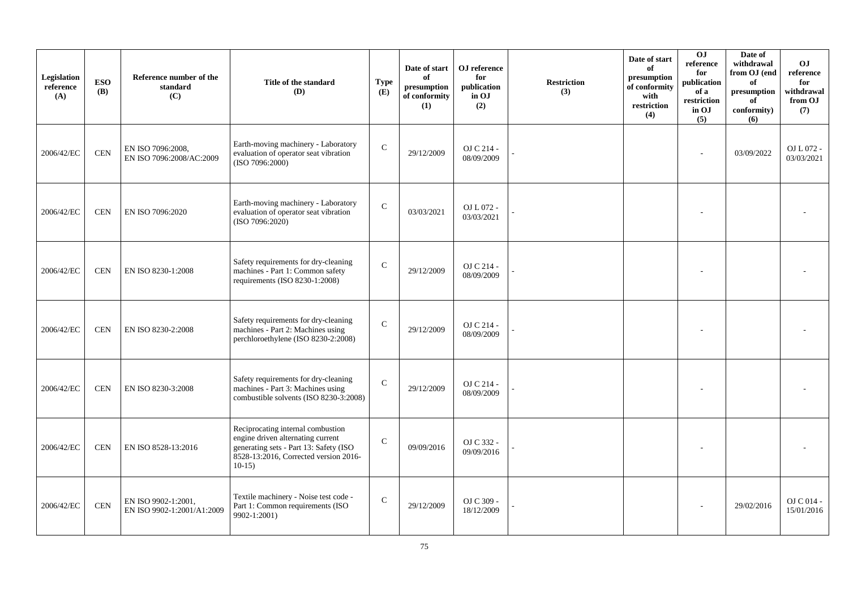| Legislation<br>reference<br>(A) | <b>ESO</b><br><b>(B)</b> | Reference number of the<br>standard<br>(C)        | Title of the standard<br>(D)                                                                                                                                         | <b>Type</b><br>(E) | Date of start<br>of<br>presumption<br>of conformity<br>(1) | OJ reference<br>for<br>publication<br>in OJ<br>(2) | <b>Restriction</b><br>(3) | Date of start<br>of<br>presumption<br>of conformity<br>with<br>restriction<br>(4) | O <sub>J</sub><br>reference<br>for<br>publication<br>of a<br>restriction<br>in OJ<br>(5) | Date of<br>withdrawal<br>from OJ (end<br>of<br>$\bf{presumption}$<br>of<br>conformity)<br>(6) | O <sub>J</sub><br>reference<br>for<br>withdrawal<br>from OJ<br>(7) |
|---------------------------------|--------------------------|---------------------------------------------------|----------------------------------------------------------------------------------------------------------------------------------------------------------------------|--------------------|------------------------------------------------------------|----------------------------------------------------|---------------------------|-----------------------------------------------------------------------------------|------------------------------------------------------------------------------------------|-----------------------------------------------------------------------------------------------|--------------------------------------------------------------------|
| 2006/42/EC                      | <b>CEN</b>               | EN ISO 7096:2008.<br>EN ISO 7096:2008/AC:2009     | Earth-moving machinery - Laboratory<br>evaluation of operator seat vibration<br>(ISO 7096:2000)                                                                      | $\mathcal{C}$      | 29/12/2009                                                 | OJ C 214 -<br>08/09/2009                           |                           |                                                                                   |                                                                                          | 03/09/2022                                                                                    | OJ L 072 -<br>03/03/2021                                           |
| 2006/42/EC                      | <b>CEN</b>               | EN ISO 7096:2020                                  | Earth-moving machinery - Laboratory<br>evaluation of operator seat vibration<br>(ISO 7096:2020)                                                                      | $\mathbf{C}$       | 03/03/2021                                                 | OJ L $072$ -<br>03/03/2021                         |                           |                                                                                   |                                                                                          |                                                                                               |                                                                    |
| 2006/42/EC                      | <b>CEN</b>               | EN ISO 8230-1:2008                                | Safety requirements for dry-cleaning<br>machines - Part 1: Common safety<br>requirements (ISO 8230-1:2008)                                                           | $\mathcal{C}$      | 29/12/2009                                                 | OJ C 214 -<br>08/09/2009                           |                           |                                                                                   |                                                                                          |                                                                                               |                                                                    |
| 2006/42/EC                      | <b>CEN</b>               | EN ISO 8230-2:2008                                | Safety requirements for dry-cleaning<br>machines - Part 2: Machines using<br>perchloroethylene (ISO 8230-2:2008)                                                     | $\mathcal{C}$      | 29/12/2009                                                 | OJ C 214 -<br>08/09/2009                           |                           |                                                                                   |                                                                                          |                                                                                               |                                                                    |
| 2006/42/EC                      | <b>CEN</b>               | EN ISO 8230-3:2008                                | Safety requirements for dry-cleaning<br>machines - Part 3: Machines using<br>combustible solvents (ISO 8230-3:2008)                                                  | $\mathcal{C}$      | 29/12/2009                                                 | OJ C 214 -<br>08/09/2009                           |                           |                                                                                   |                                                                                          |                                                                                               |                                                                    |
| 2006/42/EC                      | <b>CEN</b>               | EN ISO 8528-13:2016                               | Reciprocating internal combustion<br>engine driven alternating current<br>generating sets - Part 13: Safety (ISO<br>8528-13:2016, Corrected version 2016-<br>$10-15$ | $\mathcal{C}$      | 09/09/2016                                                 | OJ C 332 -<br>09/09/2016                           |                           |                                                                                   |                                                                                          |                                                                                               |                                                                    |
| 2006/42/EC                      | <b>CEN</b>               | EN ISO 9902-1:2001,<br>EN ISO 9902-1:2001/A1:2009 | Textile machinery - Noise test code -<br>Part 1: Common requirements (ISO<br>9902-1:2001)                                                                            | $\mathsf{C}$       | 29/12/2009                                                 | OJ C 309 -<br>18/12/2009                           |                           |                                                                                   |                                                                                          | 29/02/2016                                                                                    | $OJ C 014 -$<br>15/01/2016                                         |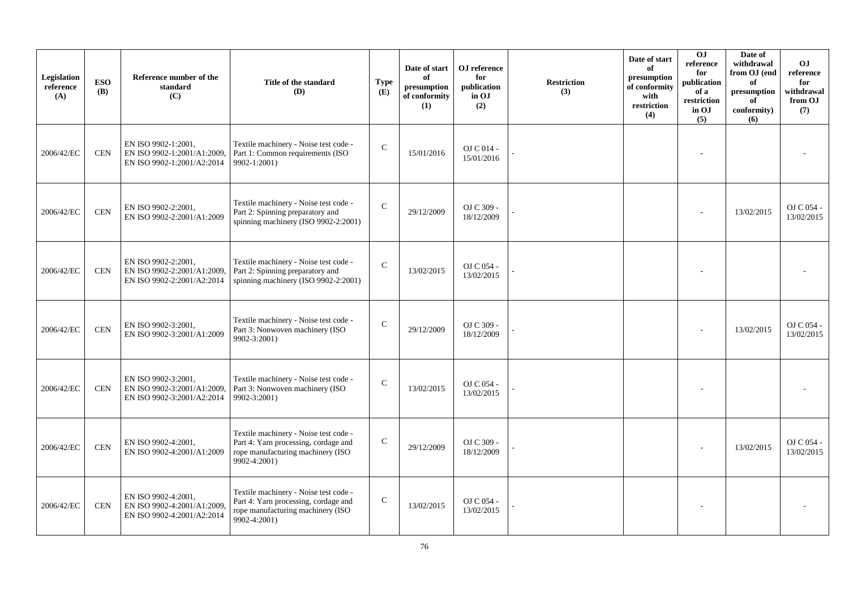| Legislation<br>reference<br>(A) | <b>ESO</b><br><b>(B)</b> | Reference number of the<br>standard<br>(C)                                       | Title of the standard<br>(D)                                                                                                       | <b>Type</b><br>(E) | Date of start<br>of<br>presumption<br>of conformity<br>(1) | OJ reference<br>for<br>publication<br>in OJ<br>(2) | <b>Restriction</b><br>(3) | Date of start<br>of<br>presumption<br>of conformity<br>with<br>restriction<br>(4) | OJ<br>reference<br>for<br>publication<br>of a<br>restriction<br>in OJ<br>(5) | Date of<br>withdrawal<br>from OJ (end<br>of<br>presumption<br>of<br>conformity)<br>(6) | O <sub>J</sub><br>reference<br>for<br>withdrawal<br>from OJ<br>(7) |
|---------------------------------|--------------------------|----------------------------------------------------------------------------------|------------------------------------------------------------------------------------------------------------------------------------|--------------------|------------------------------------------------------------|----------------------------------------------------|---------------------------|-----------------------------------------------------------------------------------|------------------------------------------------------------------------------|----------------------------------------------------------------------------------------|--------------------------------------------------------------------|
| 2006/42/EC                      | <b>CEN</b>               | EN ISO 9902-1:2001,<br>EN ISO 9902-1:2001/A1:2009,<br>EN ISO 9902-1:2001/A2:2014 | Textile machinery - Noise test code -<br>Part 1: Common requirements (ISO<br>9902-1:2001)                                          | $\mathcal{C}$      | 15/01/2016                                                 | OJ C 014 -<br>15/01/2016                           |                           |                                                                                   |                                                                              |                                                                                        |                                                                    |
| 2006/42/EC                      | <b>CEN</b>               | EN ISO 9902-2:2001,<br>EN ISO 9902-2:2001/A1:2009                                | Textile machinery - Noise test code -<br>Part 2: Spinning preparatory and<br>spinning machinery (ISO 9902-2:2001)                  | $\mathcal{C}$      | 29/12/2009                                                 | OJ C 309 -<br>18/12/2009                           |                           |                                                                                   |                                                                              | 13/02/2015                                                                             | OJ C 054 -<br>13/02/2015                                           |
| 2006/42/EC                      | <b>CEN</b>               | EN ISO 9902-2:2001.<br>EN ISO 9902-2:2001/A1:2009,<br>EN ISO 9902-2:2001/A2:2014 | Textile machinery - Noise test code -<br>Part 2: Spinning preparatory and<br>spinning machinery (ISO 9902-2:2001)                  | $\mathcal{C}$      | 13/02/2015                                                 | OJ C 054 -<br>13/02/2015                           |                           |                                                                                   |                                                                              |                                                                                        |                                                                    |
| 2006/42/EC                      | <b>CEN</b>               | EN ISO 9902-3:2001,<br>EN ISO 9902-3:2001/A1:2009                                | Textile machinery - Noise test code -<br>Part 3: Nonwoven machinery (ISO<br>9902-3:2001)                                           | $\mathbf C$        | 29/12/2009                                                 | OJ C 309 -<br>18/12/2009                           |                           |                                                                                   |                                                                              | 13/02/2015                                                                             | OJ C 054 -<br>13/02/2015                                           |
| 2006/42/EC                      | <b>CEN</b>               | EN ISO 9902-3:2001,<br>EN ISO 9902-3:2001/A1:2009,<br>EN ISO 9902-3:2001/A2:2014 | Textile machinery - Noise test code -<br>Part 3: Nonwoven machinery (ISO<br>9902-3:2001)                                           | $\mathcal{C}$      | 13/02/2015                                                 | OJ C 054 -<br>13/02/2015                           |                           |                                                                                   |                                                                              |                                                                                        |                                                                    |
| 2006/42/EC                      | <b>CEN</b>               | EN ISO 9902-4:2001,<br>EN ISO 9902-4:2001/A1:2009                                | Textile machinery - Noise test code -<br>Part 4: Yarn processing, cordage and<br>rope manufacturing machinery (ISO<br>9902-4:2001) | $\mathsf{C}$       | 29/12/2009                                                 | OJ C 309 -<br>18/12/2009                           |                           |                                                                                   |                                                                              | 13/02/2015                                                                             | OJ C 054 -<br>13/02/2015                                           |
| 2006/42/EC                      | <b>CEN</b>               | EN ISO 9902-4:2001,<br>EN ISO 9902-4:2001/A1:2009.<br>EN ISO 9902-4:2001/A2:2014 | Textile machinery - Noise test code -<br>Part 4: Yarn processing, cordage and<br>rope manufacturing machinery (ISO<br>9902-4:2001) | $\mathsf{C}$       | 13/02/2015                                                 | OJ C 054 -<br>13/02/2015                           |                           |                                                                                   |                                                                              |                                                                                        |                                                                    |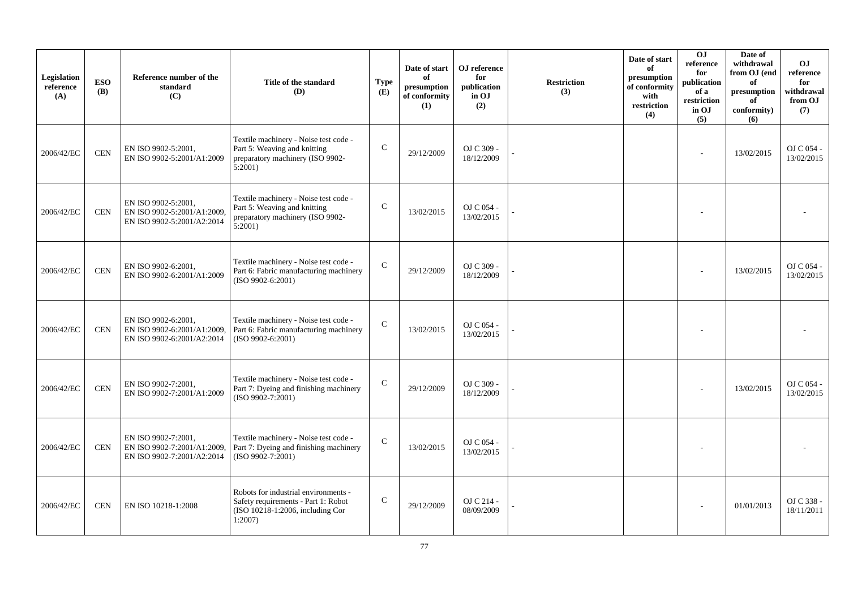| Legislation<br>reference<br>(A) | <b>ESO</b><br><b>(B)</b> | Reference number of the<br>standard<br>(C)                                       | Title of the standard<br>(D)                                                                                              | <b>Type</b><br>(E) | Date of start<br>of<br>presumption<br>of conformity<br>(1) | OJ reference<br>for<br>publication<br>in OJ<br>(2) | <b>Restriction</b><br>(3) | Date of start<br>of<br>presumption<br>of conformity<br>with<br>restriction<br>(4) | O <sub>J</sub><br>reference<br>for<br>publication<br>of a<br>restriction<br>in OJ<br>(5) | Date of<br>withdrawal<br>from OJ (end<br>of<br>presumption<br>of<br>conformity)<br>(6) | <b>OJ</b><br>reference<br>for<br>withdrawal<br>from OJ<br>(7) |
|---------------------------------|--------------------------|----------------------------------------------------------------------------------|---------------------------------------------------------------------------------------------------------------------------|--------------------|------------------------------------------------------------|----------------------------------------------------|---------------------------|-----------------------------------------------------------------------------------|------------------------------------------------------------------------------------------|----------------------------------------------------------------------------------------|---------------------------------------------------------------|
| 2006/42/EC                      | <b>CEN</b>               | EN ISO 9902-5:2001,<br>EN ISO 9902-5:2001/A1:2009                                | Textile machinery - Noise test code -<br>Part 5: Weaving and knitting<br>preparatory machinery (ISO 9902-<br>$5:2001$ )   | $\mathsf{C}$       | 29/12/2009                                                 | OJ C 309 -<br>18/12/2009                           |                           |                                                                                   | ٠                                                                                        | 13/02/2015                                                                             | OJ C 054 -<br>13/02/2015                                      |
| 2006/42/EC                      | <b>CEN</b>               | EN ISO 9902-5:2001,<br>EN ISO 9902-5:2001/A1:2009.<br>EN ISO 9902-5:2001/A2:2014 | Textile machinery - Noise test code -<br>Part 5: Weaving and knitting<br>preparatory machinery (ISO 9902-<br>$5:2001$ )   | $\mathbf C$        | 13/02/2015                                                 | OJ C 054 -<br>13/02/2015                           |                           |                                                                                   |                                                                                          |                                                                                        |                                                               |
| 2006/42/EC                      | <b>CEN</b>               | EN ISO 9902-6:2001,<br>EN ISO 9902-6:2001/A1:2009                                | Textile machinery - Noise test code -<br>Part 6: Fabric manufacturing machinery<br>(ISO 9902-6:2001)                      | $\mathbf C$        | 29/12/2009                                                 | OJ C 309 -<br>18/12/2009                           |                           |                                                                                   |                                                                                          | 13/02/2015                                                                             | OJ C 054 -<br>13/02/2015                                      |
| 2006/42/EC                      | <b>CEN</b>               | EN ISO 9902-6:2001,<br>EN ISO 9902-6:2001/A1:2009.<br>EN ISO 9902-6:2001/A2:2014 | Textile machinery - Noise test code -<br>Part 6: Fabric manufacturing machinery<br>$(ISO 9902-6:2001)$                    | $\mathbf C$        | 13/02/2015                                                 | OJ C 054 -<br>13/02/2015                           |                           |                                                                                   |                                                                                          |                                                                                        |                                                               |
| 2006/42/EC                      | <b>CEN</b>               | EN ISO 9902-7:2001,<br>EN ISO 9902-7:2001/A1:2009                                | Textile machinery - Noise test code -<br>Part 7: Dyeing and finishing machinery<br>$(ISO 9902-7:2001)$                    | $\mathbf C$        | 29/12/2009                                                 | OJ C 309 -<br>18/12/2009                           |                           |                                                                                   |                                                                                          | 13/02/2015                                                                             | OJ C 054 -<br>13/02/2015                                      |
| 2006/42/EC                      | <b>CEN</b>               | EN ISO 9902-7:2001,<br>EN ISO 9902-7:2001/A1:2009,<br>EN ISO 9902-7:2001/A2:2014 | Textile machinery - Noise test code -<br>Part 7: Dyeing and finishing machinery<br>$(ISO 9902-7:2001)$                    | $\mathbf C$        | 13/02/2015                                                 | OJ C 054 -<br>13/02/2015                           |                           |                                                                                   |                                                                                          |                                                                                        |                                                               |
| 2006/42/EC                      | <b>CEN</b>               | EN ISO 10218-1:2008                                                              | Robots for industrial environments -<br>Safety requirements - Part 1: Robot<br>(ISO 10218-1:2006, including Cor<br>1:2007 | $\mathsf{C}$       | 29/12/2009                                                 | OJ C 214 -<br>08/09/2009                           |                           |                                                                                   |                                                                                          | 01/01/2013                                                                             | OJ C 338 -<br>18/11/2011                                      |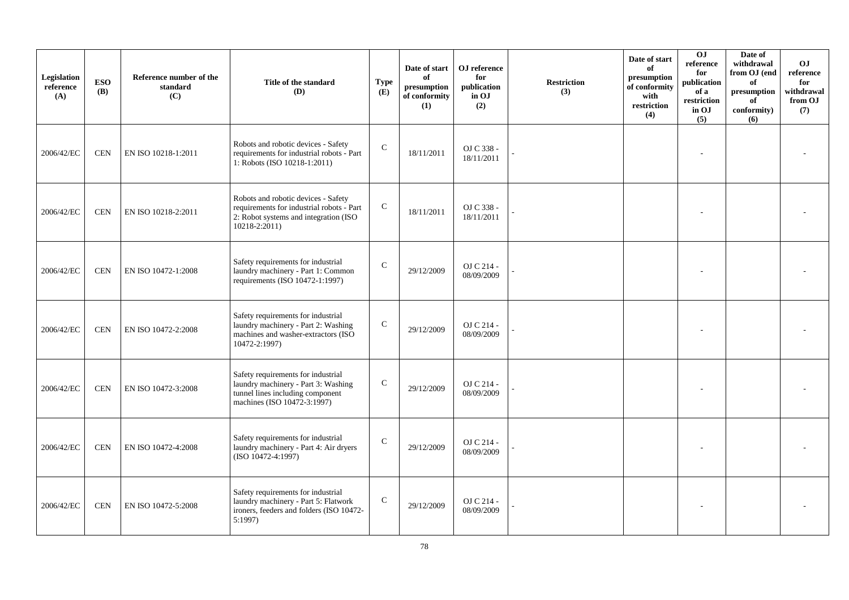| Legislation<br>reference<br>(A) | <b>ESO</b><br><b>(B)</b> | Reference number of the<br>standard<br>(C) | Title of the standard<br>(D)                                                                                                                  | <b>Type</b><br>(E) | Date of start<br>of<br>presumption<br>of conformity<br>(1) | OJ reference<br>for<br>publication<br>in OJ<br>(2) | <b>Restriction</b><br>(3) | Date of start<br>of<br>presumption<br>of conformity<br>with<br>restriction<br>(4) | OJ<br>reference<br>for<br>publication<br>of a<br>restriction<br>in OJ<br>(5) | Date of<br>withdrawal<br>from OJ (end<br>of<br>presumption<br>of<br>conformity)<br>(6) | O <sub>J</sub><br>reference<br>for<br>withdrawal<br>from OJ<br>(7) |
|---------------------------------|--------------------------|--------------------------------------------|-----------------------------------------------------------------------------------------------------------------------------------------------|--------------------|------------------------------------------------------------|----------------------------------------------------|---------------------------|-----------------------------------------------------------------------------------|------------------------------------------------------------------------------|----------------------------------------------------------------------------------------|--------------------------------------------------------------------|
| 2006/42/EC                      | <b>CEN</b>               | EN ISO 10218-1:2011                        | Robots and robotic devices - Safety<br>requirements for industrial robots - Part<br>1: Robots (ISO 10218-1:2011)                              | $\mathcal{C}$      | 18/11/2011                                                 | OJ C 338 -<br>18/11/2011                           |                           |                                                                                   |                                                                              |                                                                                        |                                                                    |
| 2006/42/EC                      | <b>CEN</b>               | EN ISO 10218-2:2011                        | Robots and robotic devices - Safety<br>requirements for industrial robots - Part<br>2: Robot systems and integration (ISO<br>$10218 - 2:2011$ | ${\bf C}$          | 18/11/2011                                                 | OJ C 338 -<br>18/11/2011                           |                           |                                                                                   |                                                                              |                                                                                        |                                                                    |
| 2006/42/EC                      | <b>CEN</b>               | EN ISO 10472-1:2008                        | Safety requirements for industrial<br>laundry machinery - Part 1: Common<br>requirements (ISO 10472-1:1997)                                   | $\mathcal{C}$      | 29/12/2009                                                 | OJ C 214 -<br>08/09/2009                           |                           |                                                                                   |                                                                              |                                                                                        |                                                                    |
| 2006/42/EC                      | <b>CEN</b>               | EN ISO 10472-2:2008                        | Safety requirements for industrial<br>laundry machinery - Part 2: Washing<br>machines and washer-extractors (ISO<br>10472-2:1997)             | $\mathbf C$        | 29/12/2009                                                 | OJ C 214 -<br>08/09/2009                           |                           |                                                                                   |                                                                              |                                                                                        |                                                                    |
| 2006/42/EC                      | <b>CEN</b>               | EN ISO 10472-3:2008                        | Safety requirements for industrial<br>laundry machinery - Part 3: Washing<br>tunnel lines including component<br>machines (ISO 10472-3:1997)  | $\mathbf C$        | 29/12/2009                                                 | OJ C 214 -<br>08/09/2009                           |                           |                                                                                   |                                                                              |                                                                                        |                                                                    |
| 2006/42/EC                      | <b>CEN</b>               | EN ISO 10472-4:2008                        | Safety requirements for industrial<br>laundry machinery - Part 4: Air dryers<br>(ISO 10472-4:1997)                                            | $\mathsf{C}$       | 29/12/2009                                                 | OJ C 214 -<br>08/09/2009                           |                           |                                                                                   |                                                                              |                                                                                        |                                                                    |
| 2006/42/EC                      | <b>CEN</b>               | EN ISO 10472-5:2008                        | Safety requirements for industrial<br>laundry machinery - Part 5: Flatwork<br>ironers, feeders and folders (ISO 10472-<br>5:1997              | $\mathbf C$        | 29/12/2009                                                 | OJ C 214 -<br>08/09/2009                           |                           |                                                                                   |                                                                              |                                                                                        |                                                                    |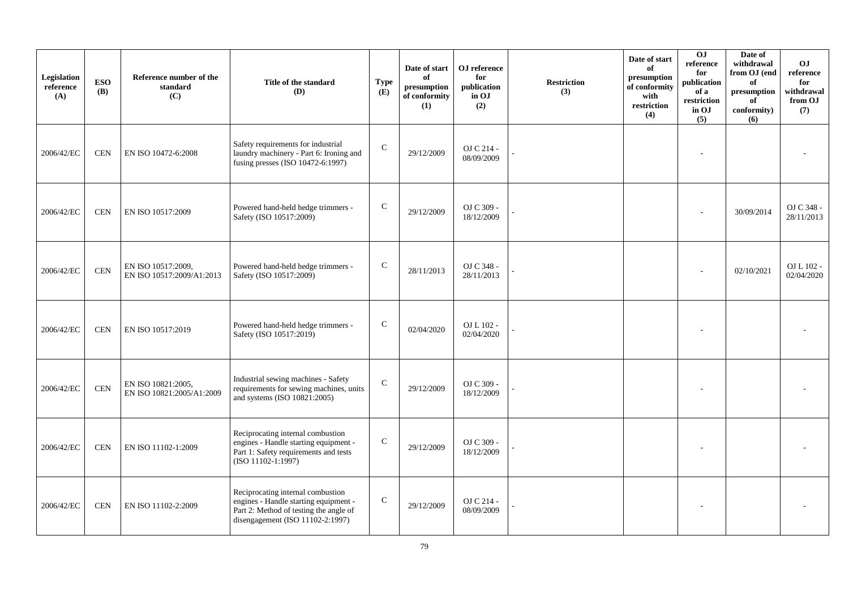| Legislation<br>reference<br>(A) | <b>ESO</b><br><b>(B)</b> | Reference number of the<br>standard<br>(C)      | Title of the standard<br>(D)                                                                                                                                | <b>Type</b><br>(E) | Date of start<br>of<br>presumption<br>of conformity<br>(1) | OJ reference<br>for<br>publication<br>in OJ<br>(2) | <b>Restriction</b><br>(3) | Date of start<br>of<br>presumption<br>of conformity<br>with<br>restriction<br>(4) | O <sub>J</sub><br>reference<br>for<br>publication<br>of a<br>restriction<br>in OJ<br>(5) | Date of<br>withdrawal<br>from OJ (end<br>of<br>presumption<br>of<br>conformity)<br>(6) | <b>OJ</b><br>reference<br>for<br>withdrawal<br>from OJ<br>(7) |
|---------------------------------|--------------------------|-------------------------------------------------|-------------------------------------------------------------------------------------------------------------------------------------------------------------|--------------------|------------------------------------------------------------|----------------------------------------------------|---------------------------|-----------------------------------------------------------------------------------|------------------------------------------------------------------------------------------|----------------------------------------------------------------------------------------|---------------------------------------------------------------|
| 2006/42/EC                      | <b>CEN</b>               | EN ISO 10472-6:2008                             | Safety requirements for industrial<br>laundry machinery - Part 6: Ironing and<br>fusing presses (ISO 10472-6:1997)                                          | $\mathsf{C}$       | 29/12/2009                                                 | OJ C 214 -<br>08/09/2009                           |                           |                                                                                   |                                                                                          |                                                                                        |                                                               |
| 2006/42/EC                      | <b>CEN</b>               | EN ISO 10517:2009                               | Powered hand-held hedge trimmers -<br>Safety (ISO 10517:2009)                                                                                               | $\mathsf{C}$       | 29/12/2009                                                 | OJ C 309 -<br>18/12/2009                           |                           |                                                                                   |                                                                                          | 30/09/2014                                                                             | OJ C 348 -<br>28/11/2013                                      |
| 2006/42/EC                      | <b>CEN</b>               | EN ISO 10517:2009,<br>EN ISO 10517:2009/A1:2013 | Powered hand-held hedge trimmers -<br>Safety (ISO 10517:2009)                                                                                               | $\mathsf{C}$       | 28/11/2013                                                 | OJ C 348 -<br>28/11/2013                           |                           |                                                                                   |                                                                                          | 02/10/2021                                                                             | OJ L 102 -<br>02/04/2020                                      |
| 2006/42/EC                      | <b>CEN</b>               | EN ISO 10517:2019                               | Powered hand-held hedge trimmers -<br>Safety (ISO 10517:2019)                                                                                               | $\mathsf{C}$       | 02/04/2020                                                 | OJ L 102 -<br>02/04/2020                           |                           |                                                                                   |                                                                                          |                                                                                        |                                                               |
| 2006/42/EC                      | <b>CEN</b>               | EN ISO 10821:2005,<br>EN ISO 10821:2005/A1:2009 | Industrial sewing machines - Safety<br>requirements for sewing machines, units<br>and systems (ISO 10821:2005)                                              | $\mathbf C$        | 29/12/2009                                                 | OJ C 309 -<br>18/12/2009                           |                           |                                                                                   |                                                                                          |                                                                                        |                                                               |
| 2006/42/EC                      | <b>CEN</b>               | EN ISO 11102-1:2009                             | Reciprocating internal combustion<br>engines - Handle starting equipment -<br>Part 1: Safety requirements and tests<br>(ISO 11102-1:1997)                   | ${\bf C}$          | 29/12/2009                                                 | OJ C 309 -<br>18/12/2009                           |                           |                                                                                   |                                                                                          |                                                                                        |                                                               |
| 2006/42/EC                      | <b>CEN</b>               | EN ISO 11102-2:2009                             | Reciprocating internal combustion<br>engines - Handle starting equipment -<br>Part 2: Method of testing the angle of<br>disengagement (ISO $11102-2:1997$ ) | $\mathsf{C}$       | 29/12/2009                                                 | OJ C 214 -<br>08/09/2009                           |                           |                                                                                   |                                                                                          |                                                                                        |                                                               |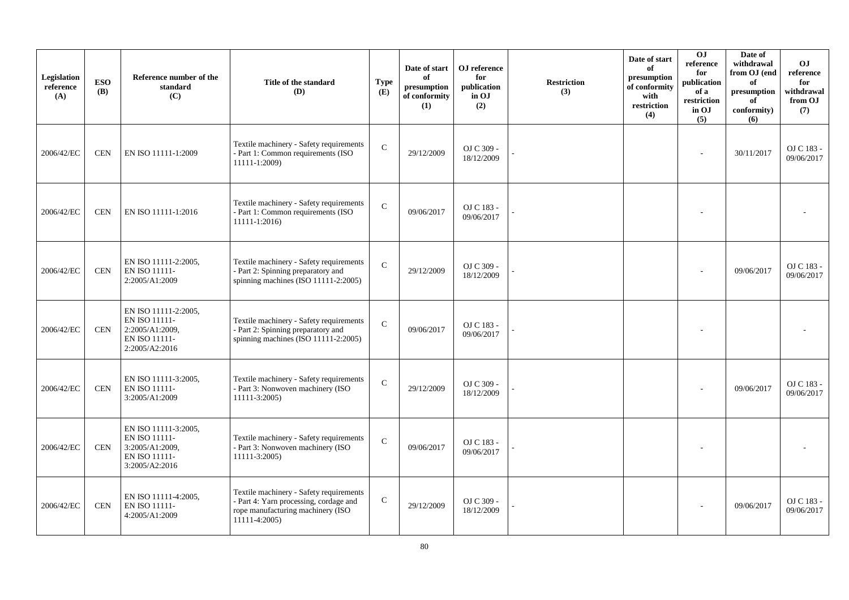| Legislation<br>reference<br>(A) | <b>ESO</b><br><b>(B)</b> | Reference number of the<br>standard<br>(C)                                                  | Title of the standard<br>(D)                                                                                                            | <b>Type</b><br>(E) | Date of start<br>of<br>presumption<br>of conformity<br>(1) | OJ reference<br>for<br>publication<br>in OJ<br>(2) | <b>Restriction</b><br>(3) | Date of start<br>of<br>presumption<br>of conformity<br>with<br>restriction<br>(4) | 0 <sub>J</sub><br>reference<br>for<br>publication<br>of a<br>restriction<br>in OJ<br>(5) | Date of<br>withdrawal<br>from OJ (end<br>of<br>presumption<br>of<br>conformity)<br>(6) | <b>OJ</b><br>reference<br>for<br>withdrawal<br>from OJ<br>(7) |
|---------------------------------|--------------------------|---------------------------------------------------------------------------------------------|-----------------------------------------------------------------------------------------------------------------------------------------|--------------------|------------------------------------------------------------|----------------------------------------------------|---------------------------|-----------------------------------------------------------------------------------|------------------------------------------------------------------------------------------|----------------------------------------------------------------------------------------|---------------------------------------------------------------|
| 2006/42/EC                      | <b>CEN</b>               | EN ISO 11111-1:2009                                                                         | Textile machinery - Safety requirements<br>- Part 1: Common requirements (ISO<br>11111-1:2009)                                          | $\mathbf C$        | 29/12/2009                                                 | OJ C 309 -<br>18/12/2009                           |                           |                                                                                   |                                                                                          | 30/11/2017                                                                             | OJ C 183 -<br>09/06/2017                                      |
| 2006/42/EC                      | <b>CEN</b>               | EN ISO 11111-1:2016                                                                         | Textile machinery - Safety requirements<br>- Part 1: Common requirements (ISO<br>11111-1:2016)                                          | $\mathbf C$        | 09/06/2017                                                 | OJ C 183 -<br>09/06/2017                           |                           |                                                                                   | $\overline{\phantom{a}}$                                                                 |                                                                                        |                                                               |
| 2006/42/EC                      | <b>CEN</b>               | EN ISO 11111-2:2005,<br>EN ISO 11111-<br>2:2005/A1:2009                                     | Textile machinery - Safety requirements<br>- Part 2: Spinning preparatory and<br>spinning machines (ISO 11111-2:2005)                   | $\mathbf C$        | 29/12/2009                                                 | OJ C 309 -<br>18/12/2009                           |                           |                                                                                   |                                                                                          | 09/06/2017                                                                             | OJ C 183 -<br>09/06/2017                                      |
| 2006/42/EC                      | <b>CEN</b>               | EN ISO 11111-2:2005,<br>EN ISO 11111-<br>2:2005/A1:2009,<br>EN ISO 11111-<br>2:2005/A2:2016 | Textile machinery - Safety requirements<br>- Part 2: Spinning preparatory and<br>spinning machines (ISO 11111-2:2005)                   | $\mathbf C$        | 09/06/2017                                                 | OJ C 183 -<br>09/06/2017                           |                           |                                                                                   |                                                                                          |                                                                                        |                                                               |
| 2006/42/EC                      | CEN                      | EN ISO 11111-3:2005,<br>EN ISO 11111-<br>3:2005/A1:2009                                     | Textile machinery - Safety requirements<br>- Part 3: Nonwoven machinery (ISO<br>11111-3:2005)                                           | $\mathsf{C}$       | 29/12/2009                                                 | OJ C 309 -<br>18/12/2009                           |                           |                                                                                   |                                                                                          | 09/06/2017                                                                             | OJ C 183 -<br>09/06/2017                                      |
| 2006/42/EC                      | <b>CEN</b>               | EN ISO 11111-3:2005,<br>EN ISO 11111-<br>3:2005/A1:2009,<br>EN ISO 11111-<br>3:2005/A2:2016 | Textile machinery - Safety requirements<br>- Part 3: Nonwoven machinery (ISO<br>11111-3:2005)                                           | $\mathcal{C}$      | 09/06/2017                                                 | OJ C 183 -<br>09/06/2017                           |                           |                                                                                   |                                                                                          |                                                                                        |                                                               |
| 2006/42/EC                      | <b>CEN</b>               | EN ISO 11111-4:2005,<br>EN ISO 11111-<br>4:2005/A1:2009                                     | Textile machinery - Safety requirements<br>- Part 4: Yarn processing, cordage and<br>rope manufacturing machinery (ISO<br>11111-4:2005) | $\mathbf C$        | 29/12/2009                                                 | OJ C 309 -<br>18/12/2009                           |                           |                                                                                   |                                                                                          | 09/06/2017                                                                             | OJ C 183 -<br>09/06/2017                                      |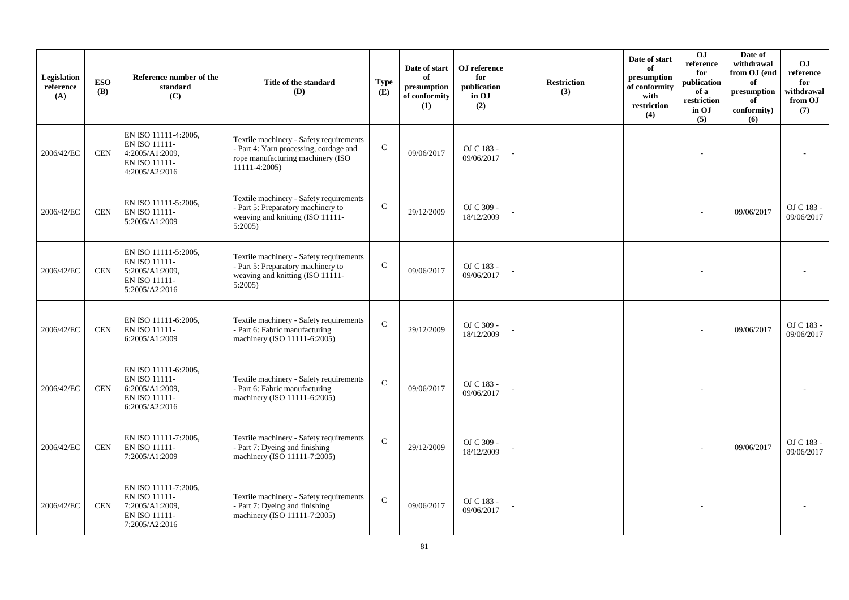| Legislation<br>reference<br>(A) | <b>ESO</b><br><b>(B)</b> | Reference number of the<br>standard<br>(C)                                                  | Title of the standard<br>(D)                                                                                                            | <b>Type</b><br>(E) | Date of start<br>of<br>presumption<br>of conformity<br>(1) | OJ reference<br>for<br>publication<br>in OJ<br>(2) | <b>Restriction</b><br>(3) | Date of start<br>of<br>presumption<br>of conformity<br>with<br>restriction<br>(4) | $\overline{0}$<br>reference<br>for<br>publication<br>of a<br>restriction<br>in OJ<br>(5) | Date of<br>withdrawal<br>from OJ (end<br>of<br>presumption<br>of<br>conformity)<br>(6) | <b>OJ</b><br>reference<br>for<br>withdrawal<br>from OJ<br>(7) |
|---------------------------------|--------------------------|---------------------------------------------------------------------------------------------|-----------------------------------------------------------------------------------------------------------------------------------------|--------------------|------------------------------------------------------------|----------------------------------------------------|---------------------------|-----------------------------------------------------------------------------------|------------------------------------------------------------------------------------------|----------------------------------------------------------------------------------------|---------------------------------------------------------------|
| 2006/42/EC                      | <b>CEN</b>               | EN ISO 11111-4:2005,<br>EN ISO 11111-<br>4:2005/A1:2009,<br>EN ISO 11111-<br>4:2005/A2:2016 | Textile machinery - Safety requirements<br>- Part 4: Yarn processing, cordage and<br>rope manufacturing machinery (ISO<br>11111-4:2005) | $\mathbf C$        | 09/06/2017                                                 | OJ C 183 -<br>09/06/2017                           |                           |                                                                                   |                                                                                          |                                                                                        |                                                               |
| 2006/42/EC                      | <b>CEN</b>               | EN ISO 11111-5:2005,<br>EN ISO 11111-<br>5:2005/A1:2009                                     | Textile machinery - Safety requirements<br>- Part 5: Preparatory machinery to<br>weaving and knitting (ISO 11111-<br>5:2005             | $\mathsf{C}$       | 29/12/2009                                                 | OJ C 309 -<br>18/12/2009                           |                           |                                                                                   |                                                                                          | 09/06/2017                                                                             | OJ C 183 -<br>09/06/2017                                      |
| 2006/42/EC                      | CEN                      | EN ISO 11111-5:2005,<br>EN ISO 11111-<br>5:2005/A1:2009,<br>EN ISO 11111-<br>5:2005/A2:2016 | Textile machinery - Safety requirements<br>- Part 5: Preparatory machinery to<br>weaving and knitting (ISO 11111-<br>5:2005             | $\mathcal{C}$      | 09/06/2017                                                 | OJ C 183 -<br>09/06/2017                           |                           |                                                                                   |                                                                                          |                                                                                        |                                                               |
| 2006/42/EC                      | <b>CEN</b>               | EN ISO 11111-6:2005,<br>EN ISO 11111-<br>6:2005/A1:2009                                     | Textile machinery - Safety requirements<br>- Part 6: Fabric manufacturing<br>machinery (ISO 11111-6:2005)                               | $\mathsf{C}$       | 29/12/2009                                                 | OJ C 309 -<br>18/12/2009                           |                           |                                                                                   |                                                                                          | 09/06/2017                                                                             | OJ C 183 -<br>09/06/2017                                      |
| 2006/42/EC                      | <b>CEN</b>               | EN ISO 11111-6:2005,<br>EN ISO 11111-<br>6:2005/A1:2009,<br>EN ISO 11111-<br>6:2005/A2:2016 | Textile machinery - Safety requirements<br>- Part 6: Fabric manufacturing<br>machinery (ISO 11111-6:2005)                               | ${\bf C}$          | 09/06/2017                                                 | OJ C 183 -<br>09/06/2017                           |                           |                                                                                   |                                                                                          |                                                                                        |                                                               |
| 2006/42/EC                      | <b>CEN</b>               | EN ISO 11111-7:2005,<br>EN ISO 11111-<br>7:2005/A1:2009                                     | Textile machinery - Safety requirements<br>- Part 7: Dyeing and finishing<br>machinery (ISO 11111-7:2005)                               | $\mathbf C$        | 29/12/2009                                                 | OJ C 309 -<br>18/12/2009                           |                           |                                                                                   |                                                                                          | 09/06/2017                                                                             | OJ C 183 -<br>09/06/2017                                      |
| 2006/42/EC                      | <b>CEN</b>               | EN ISO 11111-7:2005,<br>EN ISO 11111-<br>7:2005/A1:2009,<br>EN ISO 11111-<br>7:2005/A2:2016 | Textile machinery - Safety requirements<br>- Part 7: Dyeing and finishing<br>machinery (ISO 11111-7:2005)                               | $\mathcal{C}$      | 09/06/2017                                                 | OJ C 183 -<br>09/06/2017                           |                           |                                                                                   |                                                                                          |                                                                                        |                                                               |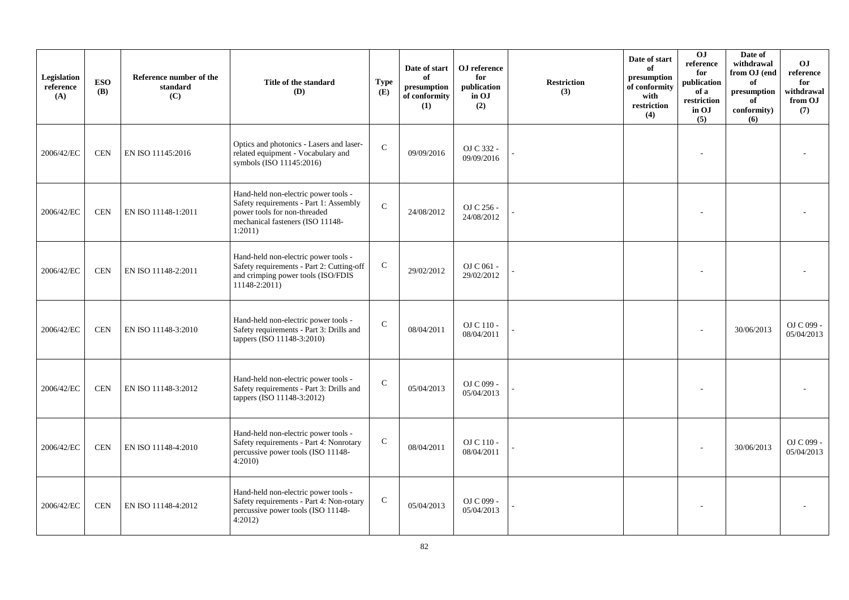| Legislation<br>reference<br>(A) | <b>ESO</b><br><b>(B)</b> | Reference number of the<br>standard<br>(C) | Title of the standard<br>(D)                                                                                                                                  | <b>Type</b><br>(E) | Date of start<br>of<br>presumption<br>of conformity<br>(1) | OJ reference<br>for<br>publication<br>in OJ<br>(2) | <b>Restriction</b><br>(3) | Date of start<br>of<br>presumption<br>of conformity<br>with<br>restriction<br>(4) | O <sub>J</sub><br>reference<br>for<br>publication<br>of a<br>restriction<br>in OJ<br>(5) | Date of<br>withdrawal<br>from OJ (end<br>of<br>$\bf{presumption}$<br>of<br>conformity)<br>(6) | O <sub>J</sub><br>reference<br>for<br>withdrawal<br>from OJ<br>(7) |
|---------------------------------|--------------------------|--------------------------------------------|---------------------------------------------------------------------------------------------------------------------------------------------------------------|--------------------|------------------------------------------------------------|----------------------------------------------------|---------------------------|-----------------------------------------------------------------------------------|------------------------------------------------------------------------------------------|-----------------------------------------------------------------------------------------------|--------------------------------------------------------------------|
| 2006/42/EC                      | CEN                      | EN ISO 11145:2016                          | Optics and photonics - Lasers and laser-<br>related equipment - Vocabulary and<br>symbols (ISO 11145:2016)                                                    | $\mathcal{C}$      | 09/09/2016                                                 | OJ C 332 -<br>09/09/2016                           |                           |                                                                                   |                                                                                          |                                                                                               |                                                                    |
| 2006/42/EC                      | <b>CEN</b>               | EN ISO 11148-1:2011                        | Hand-held non-electric power tools -<br>Safety requirements - Part 1: Assembly<br>power tools for non-threaded<br>mechanical fasteners (ISO 11148-<br>1:2011) | $\mathbf{C}$       | 24/08/2012                                                 | OJ C 256 -<br>24/08/2012                           |                           |                                                                                   |                                                                                          |                                                                                               |                                                                    |
| 2006/42/EC                      | <b>CEN</b>               | EN ISO 11148-2:2011                        | Hand-held non-electric power tools -<br>Safety requirements - Part 2: Cutting-off<br>and crimping power tools (ISO/FDIS<br>11148-2:2011)                      | $\mathsf{C}$       | 29/02/2012                                                 | OJ C 061 -<br>29/02/2012                           |                           |                                                                                   |                                                                                          |                                                                                               |                                                                    |
| 2006/42/EC                      | <b>CEN</b>               | EN ISO 11148-3:2010                        | Hand-held non-electric power tools -<br>Safety requirements - Part 3: Drills and<br>tappers (ISO 11148-3:2010)                                                | ${\bf C}$          | 08/04/2011                                                 | OJ C 110 -<br>08/04/2011                           |                           |                                                                                   |                                                                                          | 30/06/2013                                                                                    | OJ C 099 -<br>05/04/2013                                           |
| 2006/42/EC                      | <b>CEN</b>               | EN ISO 11148-3:2012                        | Hand-held non-electric power tools -<br>Safety requirements - Part 3: Drills and<br>tappers (ISO 11148-3:2012)                                                | $\mathcal{C}$      | 05/04/2013                                                 | OJ C 099 -<br>05/04/2013                           |                           |                                                                                   |                                                                                          |                                                                                               |                                                                    |
| 2006/42/EC                      | <b>CEN</b>               | EN ISO 11148-4:2010                        | Hand-held non-electric power tools -<br>Safety requirements - Part 4: Nonrotary<br>percussive power tools (ISO 11148-<br>4:2010                               | $\mathsf{C}$       | 08/04/2011                                                 | OJ C 110 -<br>08/04/2011                           |                           |                                                                                   |                                                                                          | 30/06/2013                                                                                    | OJ C 099 -<br>05/04/2013                                           |
| 2006/42/EC                      | <b>CEN</b>               | EN ISO 11148-4:2012                        | Hand-held non-electric power tools -<br>Safety requirements - Part 4: Non-rotary<br>percussive power tools (ISO 11148-<br>4:2012                              | $\mathsf{C}$       | 05/04/2013                                                 | OJ C 099 -<br>05/04/2013                           |                           |                                                                                   |                                                                                          |                                                                                               |                                                                    |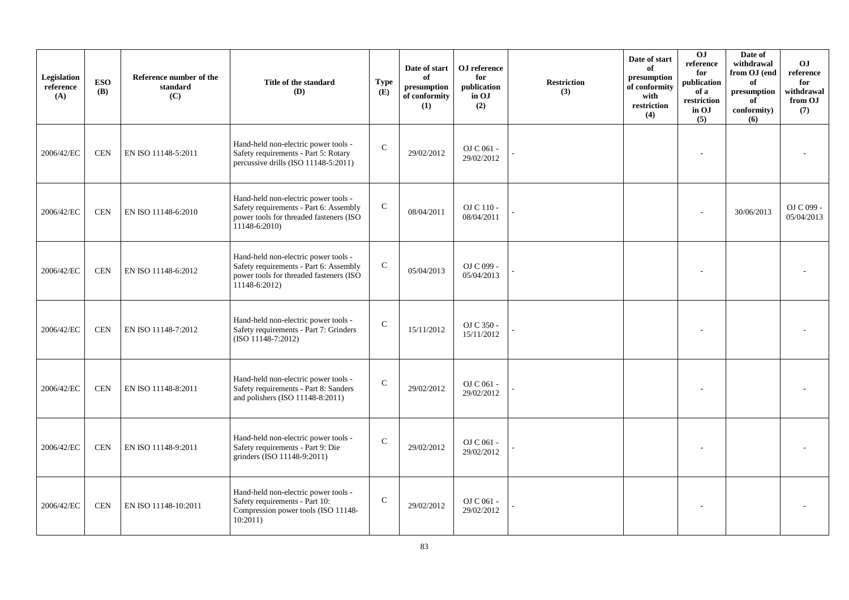| Legislation<br>reference<br>(A) | <b>ESO</b><br><b>(B)</b> | Reference number of the<br>standard<br>(C) | Title of the standard<br>(D)                                                                                                                  | <b>Type</b><br>(E) | Date of start<br>of<br>$\bf{presumption}$<br>of conformity<br>(1) | OJ reference<br>for<br>publication<br>in OJ<br>(2) | <b>Restriction</b><br>(3) | Date of start<br>of<br>presumption<br>of conformity<br>with<br>restriction<br>(4) | 0J<br>$\rm reference$<br>for<br>publication<br>of a<br>restriction<br>in OJ<br>(5) | Date of<br>withdrawal<br>from OJ (end<br>of<br>presumption<br>of<br>conformity)<br>(6) | <b>OJ</b><br>reference<br>for<br>withdrawal<br>from OJ<br>(7) |
|---------------------------------|--------------------------|--------------------------------------------|-----------------------------------------------------------------------------------------------------------------------------------------------|--------------------|-------------------------------------------------------------------|----------------------------------------------------|---------------------------|-----------------------------------------------------------------------------------|------------------------------------------------------------------------------------|----------------------------------------------------------------------------------------|---------------------------------------------------------------|
| 2006/42/EC                      | <b>CEN</b>               | EN ISO 11148-5:2011                        | Hand-held non-electric power tools -<br>Safety requirements - Part 5: Rotary<br>percussive drills (ISO 11148-5:2011)                          | $\mathbf C$        | 29/02/2012                                                        | OJ C 061 -<br>29/02/2012                           |                           |                                                                                   |                                                                                    |                                                                                        |                                                               |
| 2006/42/EC                      | <b>CEN</b>               | EN ISO 11148-6:2010                        | Hand-held non-electric power tools -<br>Safety requirements - Part 6: Assembly<br>power tools for threaded fasteners (ISO<br>$11148 - 6:2010$ | ${\bf C}$          | 08/04/2011                                                        | OJ C 110 -<br>08/04/2011                           |                           |                                                                                   |                                                                                    | 30/06/2013                                                                             | OJ C 099 -<br>05/04/2013                                      |
| 2006/42/EC                      | <b>CEN</b>               | EN ISO 11148-6:2012                        | Hand-held non-electric power tools -<br>Safety requirements - Part 6: Assembly<br>power tools for threaded fasteners (ISO<br>$11148 - 6:2012$ | $\mathsf{C}$       | 05/04/2013                                                        | OJ C 099 -<br>05/04/2013                           |                           |                                                                                   |                                                                                    |                                                                                        |                                                               |
| 2006/42/EC                      | <b>CEN</b>               | EN ISO 11148-7:2012                        | Hand-held non-electric power tools -<br>Safety requirements - Part 7: Grinders<br>$(ISO 11148-7:2012)$                                        | $\mathsf{C}$       | 15/11/2012                                                        | OJ C 350 -<br>15/11/2012                           |                           |                                                                                   |                                                                                    |                                                                                        |                                                               |
| 2006/42/EC                      | <b>CEN</b>               | EN ISO 11148-8:2011                        | Hand-held non-electric power tools -<br>Safety requirements - Part 8: Sanders<br>and polishers (ISO 11148-8:2011)                             | $\mathsf{C}$       | 29/02/2012                                                        | OJ C 061 -<br>29/02/2012                           |                           |                                                                                   |                                                                                    |                                                                                        |                                                               |
| 2006/42/EC                      | <b>CEN</b>               | EN ISO 11148-9:2011                        | Hand-held non-electric power tools -<br>Safety requirements - Part 9: Die<br>grinders (ISO 11148-9:2011)                                      | $\mathbf C$        | 29/02/2012                                                        | OJ C 061 -<br>29/02/2012                           |                           |                                                                                   |                                                                                    |                                                                                        |                                                               |
| 2006/42/EC                      | <b>CEN</b>               | EN ISO 11148-10:2011                       | Hand-held non-electric power tools -<br>Safety requirements - Part 10:<br>Compression power tools (ISO 11148-<br>10:2011)                     | $\mathbf C$        | 29/02/2012                                                        | OJ C 061 -<br>29/02/2012                           |                           |                                                                                   |                                                                                    |                                                                                        |                                                               |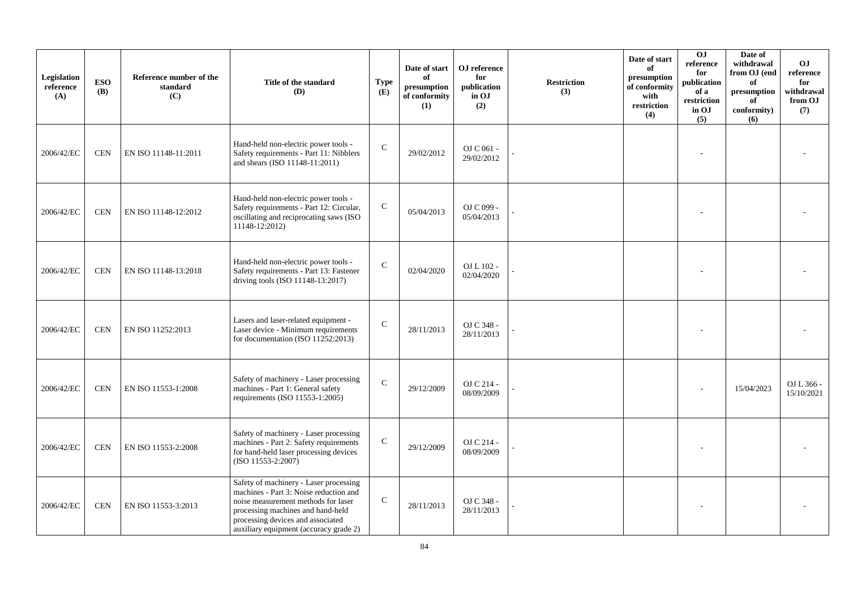| Legislation<br>reference<br>(A) | <b>ESO</b><br><b>(B)</b> | Reference number of the<br>standard<br>(C) | Title of the standard<br>(D)                                                                                                                                                                                                                | <b>Type</b><br>(E) | Date of start<br>of<br>presumption<br>of conformity<br>(1) | OJ reference<br>for<br>publication<br>in OJ<br>(2) | <b>Restriction</b><br>(3) | Date of start<br>of<br>presumption<br>of conformity<br>with<br>$\operatorname{restriction}$<br>(4) | 0J<br>reference<br>for<br>publication<br>of a<br>restriction<br>in OJ<br>(5) | Date of<br>withdrawal<br>from OJ (end<br>of<br>$\bf{presumption}$<br>of<br>conformity)<br>(6) | OJ.<br>reference<br>for<br>withdrawal<br>from OJ<br>(7) |
|---------------------------------|--------------------------|--------------------------------------------|---------------------------------------------------------------------------------------------------------------------------------------------------------------------------------------------------------------------------------------------|--------------------|------------------------------------------------------------|----------------------------------------------------|---------------------------|----------------------------------------------------------------------------------------------------|------------------------------------------------------------------------------|-----------------------------------------------------------------------------------------------|---------------------------------------------------------|
| 2006/42/EC                      | <b>CEN</b>               | EN ISO 11148-11:2011                       | Hand-held non-electric power tools -<br>Safety requirements - Part 11: Nibblers<br>and shears (ISO 11148-11:2011)                                                                                                                           | $\mathcal{C}$      | 29/02/2012                                                 | OJ C 061 -<br>29/02/2012                           |                           |                                                                                                    |                                                                              |                                                                                               |                                                         |
| 2006/42/EC                      | <b>CEN</b>               | EN ISO 11148-12:2012                       | Hand-held non-electric power tools -<br>Safety requirements - Part 12: Circular,<br>oscillating and reciprocating saws (ISO<br>11148-12:2012)                                                                                               | $\mathsf C$        | 05/04/2013                                                 | OJ C 099 -<br>05/04/2013                           |                           |                                                                                                    |                                                                              |                                                                                               |                                                         |
| 2006/42/EC                      | <b>CEN</b>               | EN ISO 11148-13:2018                       | Hand-held non-electric power tools -<br>Safety requirements - Part 13: Fastener<br>driving tools (ISO 11148-13:2017)                                                                                                                        | $\mathcal{C}$      | 02/04/2020                                                 | OJ L 102 -<br>02/04/2020                           |                           |                                                                                                    |                                                                              |                                                                                               |                                                         |
| 2006/42/EC                      | <b>CEN</b>               | EN ISO 11252:2013                          | Lasers and laser-related equipment -<br>Laser device - Minimum requirements<br>for documentation (ISO $11252:2013$ )                                                                                                                        | ${\bf C}$          | 28/11/2013                                                 | OJ C 348 -<br>28/11/2013                           |                           |                                                                                                    |                                                                              |                                                                                               |                                                         |
| 2006/42/EC                      | <b>CEN</b>               | EN ISO 11553-1:2008                        | Safety of machinery - Laser processing<br>machines - Part 1: General safety<br>requirements (ISO 11553-1:2005)                                                                                                                              | $\mathcal{C}$      | 29/12/2009                                                 | OJ C 214 -<br>08/09/2009                           |                           |                                                                                                    |                                                                              | 15/04/2023                                                                                    | OJ L 366 -<br>15/10/2021                                |
| 2006/42/EC                      | <b>CEN</b>               | EN ISO 11553-2:2008                        | Safety of machinery - Laser processing<br>machines - Part 2: Safety requirements<br>for hand-held laser processing devices<br>$(ISO 11553-2:2007)$                                                                                          | $\mathsf C$        | 29/12/2009                                                 | OJ C 214 -<br>08/09/2009                           |                           |                                                                                                    |                                                                              |                                                                                               |                                                         |
| 2006/42/EC                      | <b>CEN</b>               | EN ISO 11553-3:2013                        | Safety of machinery - Laser processing<br>machines - Part 3: Noise reduction and<br>noise measurement methods for laser<br>processing machines and hand-held<br>processing devices and associated<br>auxiliary equipment (accuracy grade 2) | $\mathbf C$        | 28/11/2013                                                 | OJ C 348 -<br>28/11/2013                           |                           |                                                                                                    |                                                                              |                                                                                               |                                                         |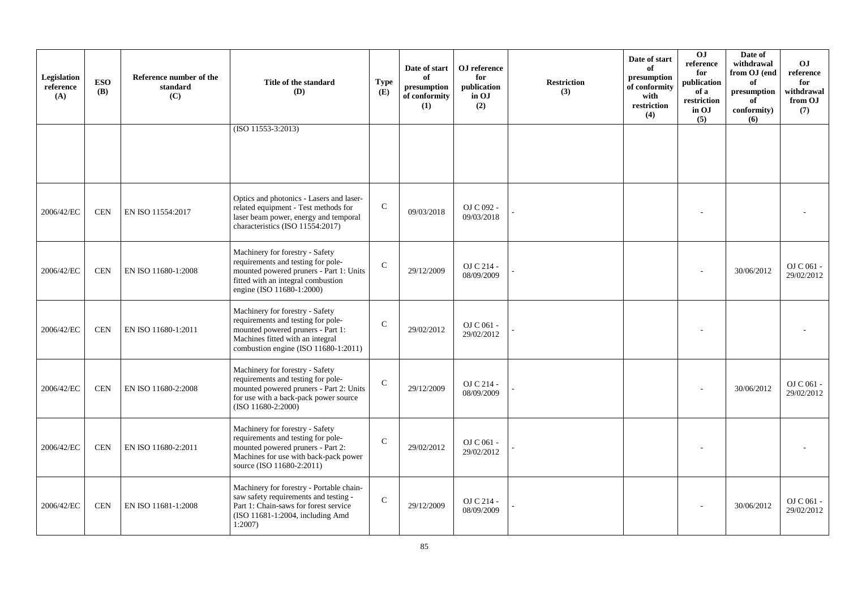| Legislation<br>reference<br>(A) | <b>ESO</b><br><b>(B)</b> | Reference number of the<br>standard<br>(C) | Title of the standard<br>(D)                                                                                                                                                           | <b>Type</b><br>(E) | Date of start<br>of<br>presumption<br>of conformity<br>(1) | OJ reference<br>for<br>publication<br>in OJ<br>(2) | <b>Restriction</b><br>(3) | Date of start<br>of<br>presumption<br>of conformity<br>with<br>restriction<br>(4) | O <sub>J</sub><br>reference<br>for<br>publication<br>of a<br>restriction<br>in OJ<br>(5) | Date of<br>withdrawal<br>from OJ (end<br>of<br>presumption<br>of<br>conformity)<br>(6) | <b>OJ</b><br>reference<br>for<br>withdrawal<br>from OJ<br>(7) |
|---------------------------------|--------------------------|--------------------------------------------|----------------------------------------------------------------------------------------------------------------------------------------------------------------------------------------|--------------------|------------------------------------------------------------|----------------------------------------------------|---------------------------|-----------------------------------------------------------------------------------|------------------------------------------------------------------------------------------|----------------------------------------------------------------------------------------|---------------------------------------------------------------|
|                                 |                          |                                            | $(ISO 11553-3:2013)$                                                                                                                                                                   |                    |                                                            |                                                    |                           |                                                                                   |                                                                                          |                                                                                        |                                                               |
| 2006/42/EC                      | <b>CEN</b>               | EN ISO 11554:2017                          | Optics and photonics - Lasers and laser-<br>related equipment - Test methods for<br>laser beam power, energy and temporal<br>characteristics (ISO 11554:2017)                          | $\mathcal{C}$      | 09/03/2018                                                 | OJ C 092 -<br>09/03/2018                           |                           |                                                                                   |                                                                                          |                                                                                        |                                                               |
| 2006/42/EC                      | <b>CEN</b>               | EN ISO 11680-1:2008                        | Machinery for forestry - Safety<br>requirements and testing for pole-<br>mounted powered pruners - Part 1: Units<br>fitted with an integral combustion<br>engine (ISO 11680-1:2000)    | $\mathcal{C}$      | 29/12/2009                                                 | OJ C 214 -<br>08/09/2009                           |                           |                                                                                   |                                                                                          | 30/06/2012                                                                             | OJ C 061 -<br>29/02/2012                                      |
| 2006/42/EC                      | <b>CEN</b>               | EN ISO 11680-1:2011                        | Machinery for forestry - Safety<br>requirements and testing for pole-<br>mounted powered pruners - Part 1:<br>Machines fitted with an integral<br>combustion engine (ISO 11680-1:2011) | $\mathsf{C}$       | 29/02/2012                                                 | OJ C 061 -<br>29/02/2012                           |                           |                                                                                   |                                                                                          |                                                                                        |                                                               |
| 2006/42/EC                      | <b>CEN</b>               | EN ISO 11680-2:2008                        | Machinery for forestry - Safety<br>requirements and testing for pole-<br>mounted powered pruners - Part 2: Units<br>for use with a back-pack power source<br>(ISO 11680-2:2000)        | $\mathcal{C}$      | 29/12/2009                                                 | OJ C 214 -<br>08/09/2009                           |                           |                                                                                   |                                                                                          | 30/06/2012                                                                             | OJ C 061 -<br>29/02/2012                                      |
| 2006/42/EC                      | <b>CEN</b>               | EN ISO 11680-2:2011                        | Machinery for forestry - Safety<br>requirements and testing for pole-<br>mounted powered pruners - Part 2:<br>Machines for use with back-pack power<br>source (ISO 11680-2:2011)       | $\mathcal{C}$      | 29/02/2012                                                 | OJ C 061 -<br>29/02/2012                           |                           |                                                                                   |                                                                                          |                                                                                        |                                                               |
| 2006/42/EC                      | <b>CEN</b>               | EN ISO 11681-1:2008                        | Machinery for forestry - Portable chain-<br>saw safety requirements and testing -<br>Part 1: Chain-saws for forest service<br>(ISO 11681-1:2004, including Amd<br>$1:2007$ )           | $\mathcal{C}$      | 29/12/2009                                                 | OJ C 214 -<br>08/09/2009                           |                           |                                                                                   |                                                                                          | 30/06/2012                                                                             | OJ C 061 -<br>29/02/2012                                      |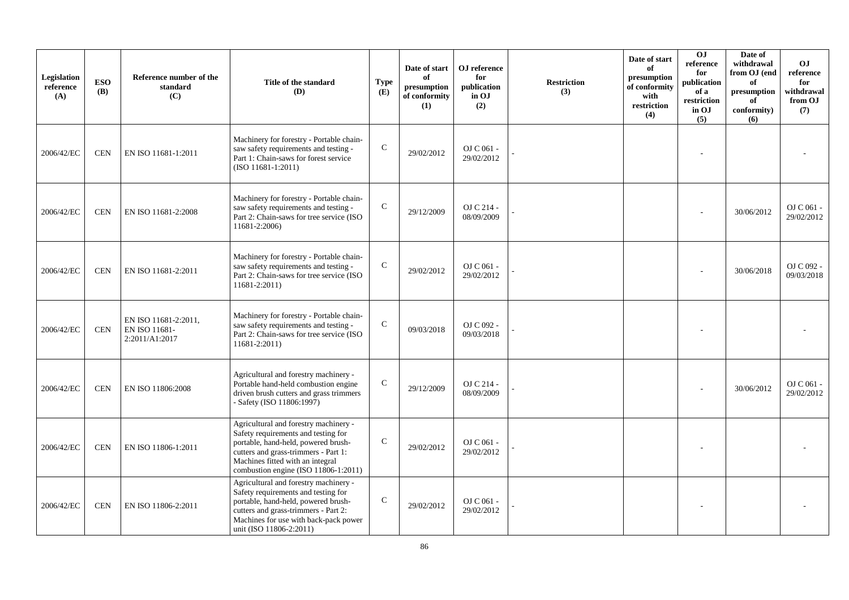| Legislation<br>reference<br>(A) | <b>ESO</b><br><b>(B)</b> | Reference number of the<br>standard<br>(C)              | Title of the standard<br>(D)                                                                                                                                                                                                            | <b>Type</b><br>(E) | Date of start<br>of<br>presumption<br>of conformity<br>(1) | OJ reference<br>for<br>publication<br>in OJ<br>(2) | <b>Restriction</b><br>(3) | Date of start<br>of<br>presumption<br>of conformity<br>with<br>restriction<br>(4) | OJ<br>reference<br>for<br>publication<br>of a<br>restriction<br>in OJ<br>(5) | Date of<br>withdrawal<br>from OJ (end<br>of<br>presumption<br>of<br>conformity)<br>(6) | <b>OJ</b><br>reference<br>for<br>withdrawal<br>from OJ<br>(7) |
|---------------------------------|--------------------------|---------------------------------------------------------|-----------------------------------------------------------------------------------------------------------------------------------------------------------------------------------------------------------------------------------------|--------------------|------------------------------------------------------------|----------------------------------------------------|---------------------------|-----------------------------------------------------------------------------------|------------------------------------------------------------------------------|----------------------------------------------------------------------------------------|---------------------------------------------------------------|
| 2006/42/EC                      | <b>CEN</b>               | EN ISO 11681-1:2011                                     | Machinery for forestry - Portable chain-<br>saw safety requirements and testing -<br>Part 1: Chain-saws for forest service<br>$(ISO 11681-1:2011)$                                                                                      | $\mathsf{C}$       | 29/02/2012                                                 | OJ C 061 -<br>29/02/2012                           |                           |                                                                                   |                                                                              |                                                                                        |                                                               |
| 2006/42/EC                      | <b>CEN</b>               | EN ISO 11681-2:2008                                     | Machinery for forestry - Portable chain-<br>saw safety requirements and testing -<br>Part 2: Chain-saws for tree service (ISO<br>11681-2:2006)                                                                                          | $\mathsf{C}$       | 29/12/2009                                                 | OJ C 214 -<br>08/09/2009                           |                           |                                                                                   |                                                                              | 30/06/2012                                                                             | OJ C 061 -<br>29/02/2012                                      |
| 2006/42/EC                      | <b>CEN</b>               | EN ISO 11681-2:2011                                     | Machinery for forestry - Portable chain-<br>saw safety requirements and testing -<br>Part 2: Chain-saws for tree service (ISO<br>11681-2:2011)                                                                                          | $\mathsf{C}$       | 29/02/2012                                                 | OJ C 061 -<br>29/02/2012                           |                           |                                                                                   |                                                                              | 30/06/2018                                                                             | OJ C 092 -<br>09/03/2018                                      |
| 2006/42/EC                      | <b>CEN</b>               | EN ISO 11681-2:2011,<br>EN ISO 11681-<br>2:2011/A1:2017 | Machinery for forestry - Portable chain-<br>saw safety requirements and testing -<br>Part 2: Chain-saws for tree service (ISO<br>11681-2:2011)                                                                                          | $\mathbf C$        | 09/03/2018                                                 | OJ C 092 -<br>09/03/2018                           |                           |                                                                                   |                                                                              |                                                                                        |                                                               |
| 2006/42/EC                      | <b>CEN</b>               | EN ISO 11806:2008                                       | Agricultural and forestry machinery -<br>Portable hand-held combustion engine<br>driven brush cutters and grass trimmers<br>- Safety (ISO 11806:1997)                                                                                   | $\mathbf C$        | 29/12/2009                                                 | OJ C 214 -<br>08/09/2009                           |                           |                                                                                   |                                                                              | 30/06/2012                                                                             | OJ C 061 -<br>29/02/2012                                      |
| 2006/42/EC                      | <b>CEN</b>               | EN ISO 11806-1:2011                                     | Agricultural and forestry machinery -<br>Safety requirements and testing for<br>portable, hand-held, powered brush-<br>cutters and grass-trimmers - Part 1:<br>Machines fitted with an integral<br>combustion engine (ISO 11806-1:2011) | $\mathsf{C}$       | 29/02/2012                                                 | OJ C 061 -<br>29/02/2012                           |                           |                                                                                   |                                                                              |                                                                                        |                                                               |
| 2006/42/EC                      | <b>CEN</b>               | EN ISO 11806-2:2011                                     | Agricultural and forestry machinery -<br>Safety requirements and testing for<br>portable, hand-held, powered brush-<br>cutters and grass-trimmers - Part 2:<br>Machines for use with back-pack power<br>unit (ISO 11806-2:2011)         | $\mathbf C$        | 29/02/2012                                                 | OJ C 061 -<br>29/02/2012                           |                           |                                                                                   |                                                                              |                                                                                        |                                                               |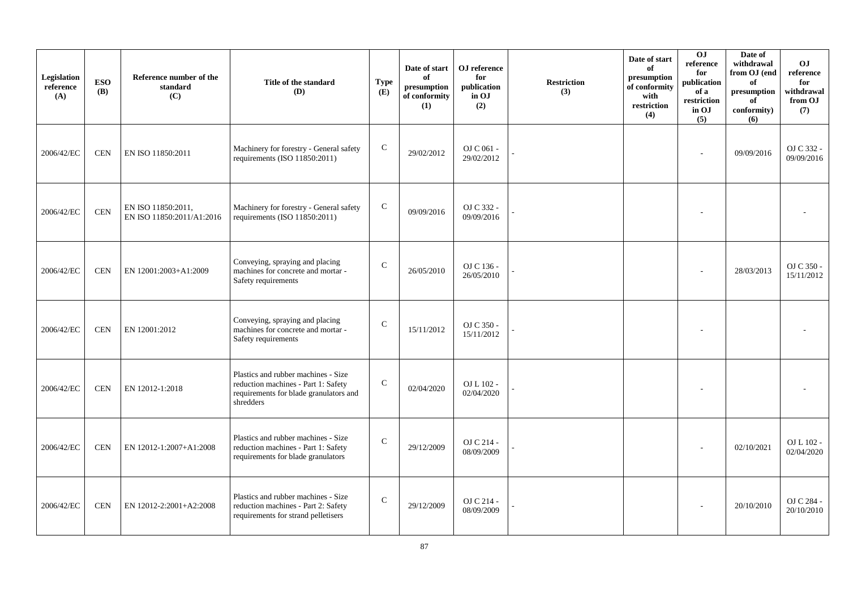| Legislation<br>reference<br>(A) | <b>ESO</b><br><b>(B)</b> | Reference number of the<br>standard<br>(C)      | Title of the standard<br>(D)                                                                                                      | <b>Type</b><br>(E) | Date of start<br>of<br>presumption<br>of conformity<br>(1) | OJ reference<br>for<br>publication<br>in OJ<br>(2) | <b>Restriction</b><br>(3) | Date of start<br>of<br>presumption<br>of conformity<br>with<br>restriction<br>(4) | 0J<br>reference<br>for<br>publication<br>of a<br>restriction<br>in OJ<br>(5) | Date of<br>withdrawal<br>from OJ (end<br>of<br>presumption<br>of<br>conformity)<br>(6) | <b>OJ</b><br>reference<br>for<br>withdrawal<br>from OJ<br>(7) |
|---------------------------------|--------------------------|-------------------------------------------------|-----------------------------------------------------------------------------------------------------------------------------------|--------------------|------------------------------------------------------------|----------------------------------------------------|---------------------------|-----------------------------------------------------------------------------------|------------------------------------------------------------------------------|----------------------------------------------------------------------------------------|---------------------------------------------------------------|
| 2006/42/EC                      | <b>CEN</b>               | EN ISO 11850:2011                               | Machinery for forestry - General safety<br>requirements (ISO 11850:2011)                                                          | ${\bf C}$          | 29/02/2012                                                 | OJ C 061 -<br>29/02/2012                           |                           |                                                                                   |                                                                              | 09/09/2016                                                                             | OJ C 332 -<br>09/09/2016                                      |
| 2006/42/EC                      | $\mbox{CEN}$             | EN ISO 11850:2011,<br>EN ISO 11850:2011/A1:2016 | Machinery for forestry - General safety<br>requirements (ISO 11850:2011)                                                          | $\mathsf{C}$       | 09/09/2016                                                 | OJ C 332 -<br>09/09/2016                           |                           |                                                                                   |                                                                              |                                                                                        |                                                               |
| 2006/42/EC                      | <b>CEN</b>               | EN 12001:2003+A1:2009                           | Conveying, spraying and placing<br>machines for concrete and mortar -<br>Safety requirements                                      | $\mathcal{C}$      | 26/05/2010                                                 | OJ C 136 -<br>26/05/2010                           |                           |                                                                                   |                                                                              | 28/03/2013                                                                             | OJ C 350 -<br>15/11/2012                                      |
| 2006/42/EC                      | <b>CEN</b>               | EN 12001:2012                                   | Conveying, spraying and placing<br>machines for concrete and mortar -<br>Safety requirements                                      | ${\bf C}$          | 15/11/2012                                                 | OJ C 350 -<br>15/11/2012                           |                           |                                                                                   |                                                                              |                                                                                        |                                                               |
| 2006/42/EC                      | <b>CEN</b>               | EN 12012-1:2018                                 | Plastics and rubber machines - Size<br>reduction machines - Part 1: Safety<br>requirements for blade granulators and<br>shredders | ${\bf C}$          | 02/04/2020                                                 | OJ L 102 -<br>02/04/2020                           |                           |                                                                                   |                                                                              |                                                                                        |                                                               |
| 2006/42/EC                      | <b>CEN</b>               | EN 12012-1:2007+A1:2008                         | Plastics and rubber machines - Size<br>reduction machines - Part 1: Safety<br>requirements for blade granulators                  | $\mathsf{C}$       | 29/12/2009                                                 | OJ C 214 -<br>08/09/2009                           |                           |                                                                                   |                                                                              | 02/10/2021                                                                             | OJ L 102 -<br>02/04/2020                                      |
| 2006/42/EC                      | <b>CEN</b>               | EN 12012-2:2001+A2:2008                         | Plastics and rubber machines - Size<br>reduction machines - Part 2: Safety<br>requirements for strand pelletisers                 | $\mathsf{C}$       | 29/12/2009                                                 | OJ C 214 -<br>08/09/2009                           |                           |                                                                                   |                                                                              | 20/10/2010                                                                             | OJ C 284 -<br>20/10/2010                                      |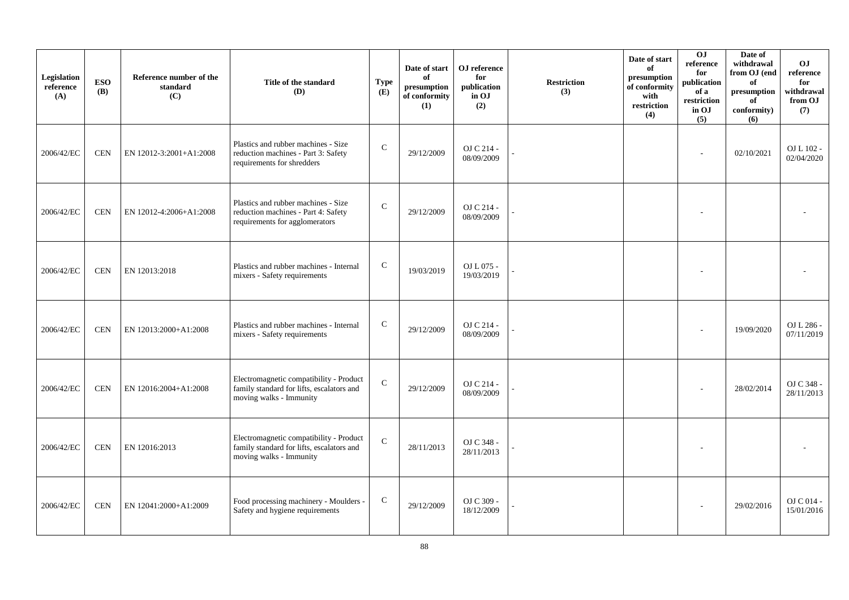| Legislation<br>reference<br>(A) | <b>ESO</b><br><b>(B)</b> | Reference number of the<br>standard<br>(C) | Title of the standard<br><b>(D)</b>                                                                             | <b>Type</b><br>(E) | Date of start<br>of<br>presumption<br>of conformity<br>(1) | OJ reference<br>for<br>publication<br>in OJ<br>(2) | <b>Restriction</b><br>(3) | Date of start<br>of<br>presumption<br>of conformity<br>with<br>restriction<br>(4) | 0J<br>reference<br>for<br>publication<br>of a<br>restriction<br>in OJ<br>(5) | Date of<br>withdrawal<br>from OJ (end<br>of<br>presumption<br>of<br>conformity)<br>(6) | <b>OJ</b><br>reference<br>for<br>withdrawal<br>from OJ<br>(7) |
|---------------------------------|--------------------------|--------------------------------------------|-----------------------------------------------------------------------------------------------------------------|--------------------|------------------------------------------------------------|----------------------------------------------------|---------------------------|-----------------------------------------------------------------------------------|------------------------------------------------------------------------------|----------------------------------------------------------------------------------------|---------------------------------------------------------------|
| 2006/42/EC                      | <b>CEN</b>               | EN 12012-3:2001+A1:2008                    | Plastics and rubber machines - Size<br>reduction machines - Part 3: Safety<br>requirements for shredders        | ${\bf C}$          | 29/12/2009                                                 | OJ C 214 -<br>08/09/2009                           |                           |                                                                                   | ÷,                                                                           | 02/10/2021                                                                             | OJ L 102 -<br>02/04/2020                                      |
| 2006/42/EC                      | <b>CEN</b>               | EN 12012-4:2006+A1:2008                    | Plastics and rubber machines - Size<br>reduction machines - Part 4: Safety<br>requirements for agglomerators    | $\mathbf C$        | 29/12/2009                                                 | OJ C 214 -<br>08/09/2009                           |                           |                                                                                   |                                                                              |                                                                                        |                                                               |
| 2006/42/EC                      | <b>CEN</b>               | EN 12013:2018                              | Plastics and rubber machines - Internal<br>mixers - Safety requirements                                         | $\mathsf{C}$       | 19/03/2019                                                 | OJ L 075 -<br>19/03/2019                           |                           |                                                                                   |                                                                              |                                                                                        |                                                               |
| 2006/42/EC                      | <b>CEN</b>               | EN 12013:2000+A1:2008                      | Plastics and rubber machines - Internal<br>mixers - Safety requirements                                         | ${\bf C}$          | 29/12/2009                                                 | OJ C 214 -<br>08/09/2009                           |                           |                                                                                   |                                                                              | 19/09/2020                                                                             | OJ L 286 -<br>07/11/2019                                      |
| 2006/42/EC                      | <b>CEN</b>               | EN 12016:2004+A1:2008                      | Electromagnetic compatibility - Product<br>family standard for lifts, escalators and<br>moving walks - Immunity | ${\bf C}$          | 29/12/2009                                                 | OJ C 214 -<br>08/09/2009                           |                           |                                                                                   |                                                                              | 28/02/2014                                                                             | OJ C 348 -<br>28/11/2013                                      |
| 2006/42/EC                      | <b>CEN</b>               | EN 12016:2013                              | Electromagnetic compatibility - Product<br>family standard for lifts, escalators and<br>moving walks - Immunity | $\mathbf C$        | 28/11/2013                                                 | OJ C 348 -<br>28/11/2013                           |                           |                                                                                   |                                                                              |                                                                                        |                                                               |
| 2006/42/EC                      | <b>CEN</b>               | EN 12041:2000+A1:2009                      | Food processing machinery - Moulders -<br>Safety and hygiene requirements                                       | $\mathbf C$        | 29/12/2009                                                 | OJ C 309 -<br>18/12/2009                           |                           |                                                                                   |                                                                              | 29/02/2016                                                                             | OJ C 014 -<br>15/01/2016                                      |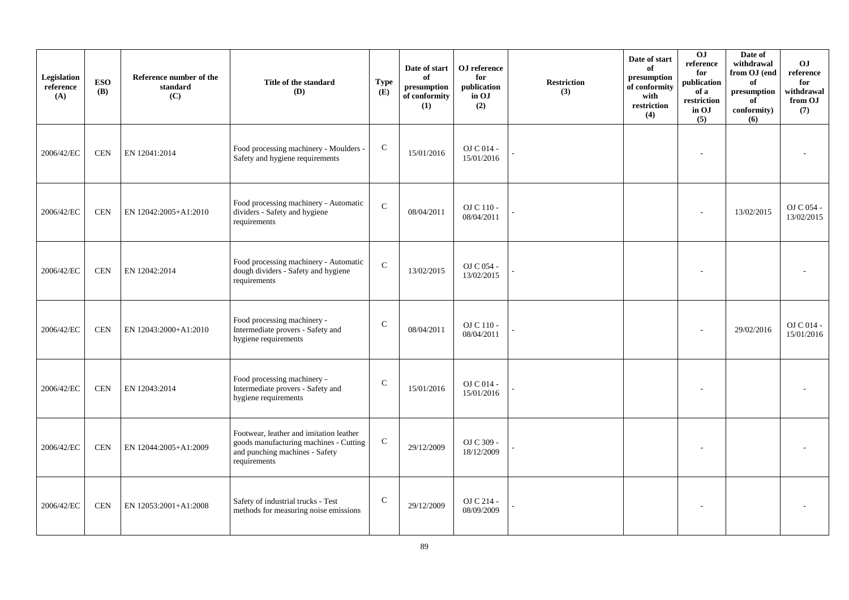| Legislation<br>reference<br>(A) | <b>ESO</b><br><b>(B)</b> | Reference number of the<br>standard<br>(C) | Title of the standard<br>(D)                                                                                                        | <b>Type</b><br>(E) | Date of start<br>of<br>presumption<br>of conformity<br>(1) | OJ reference<br>for<br>publication<br>in OJ<br>(2) | <b>Restriction</b><br>(3) | Date of start<br>of<br>presumption<br>of conformity<br>with<br>restriction<br>(4) | 0J<br>reference<br>for<br>publication<br>of a<br>restriction<br>in OJ<br>(5) | Date of<br>withdrawal<br>from OJ (end<br>of<br>presumption<br>of<br>conformity)<br>(6) | <b>OJ</b><br>reference<br>for<br>withdrawal<br>from OJ<br>(7) |
|---------------------------------|--------------------------|--------------------------------------------|-------------------------------------------------------------------------------------------------------------------------------------|--------------------|------------------------------------------------------------|----------------------------------------------------|---------------------------|-----------------------------------------------------------------------------------|------------------------------------------------------------------------------|----------------------------------------------------------------------------------------|---------------------------------------------------------------|
| 2006/42/EC                      | <b>CEN</b>               | EN 12041:2014                              | Food processing machinery - Moulders -<br>Safety and hygiene requirements                                                           | ${\bf C}$          | 15/01/2016                                                 | OJ C 014 -<br>15/01/2016                           |                           |                                                                                   |                                                                              |                                                                                        |                                                               |
| 2006/42/EC                      | <b>CEN</b>               | EN 12042:2005+A1:2010                      | Food processing machinery - Automatic<br>dividers - Safety and hygiene<br>requirements                                              | $\mathbf C$        | 08/04/2011                                                 | OJ C 110 -<br>08/04/2011                           |                           |                                                                                   |                                                                              | 13/02/2015                                                                             | OJ C 054 -<br>13/02/2015                                      |
| 2006/42/EC                      | <b>CEN</b>               | EN 12042:2014                              | Food processing machinery - Automatic<br>dough dividers - Safety and hygiene<br>requirements                                        | $\mathbf C$        | 13/02/2015                                                 | OJ C 054 -<br>13/02/2015                           |                           |                                                                                   |                                                                              |                                                                                        |                                                               |
| 2006/42/EC                      | <b>CEN</b>               | EN 12043:2000+A1:2010                      | Food processing machinery -<br>Intermediate provers - Safety and<br>hygiene requirements                                            | ${\bf C}$          | 08/04/2011                                                 | OJ C 110 -<br>08/04/2011                           |                           |                                                                                   |                                                                              | 29/02/2016                                                                             | OJ C 014 -<br>15/01/2016                                      |
| 2006/42/EC                      | <b>CEN</b>               | EN 12043:2014                              | Food processing machinery -<br>Intermediate provers - Safety and<br>hygiene requirements                                            | $\mathcal{C}$      | 15/01/2016                                                 | OJ C 014 -<br>15/01/2016                           |                           |                                                                                   |                                                                              |                                                                                        |                                                               |
| 2006/42/EC                      | <b>CEN</b>               | EN 12044:2005+A1:2009                      | Footwear, leather and imitation leather<br>goods manufacturing machines - Cutting<br>and punching machines - Safety<br>requirements | ${\bf C}$          | 29/12/2009                                                 | OJ C 309 -<br>18/12/2009                           |                           |                                                                                   |                                                                              |                                                                                        |                                                               |
| 2006/42/EC                      | <b>CEN</b>               | EN 12053:2001+A1:2008                      | Safety of industrial trucks - Test<br>methods for measuring noise emissions                                                         | $\mathsf{C}$       | 29/12/2009                                                 | OJ C 214 -<br>08/09/2009                           |                           |                                                                                   |                                                                              |                                                                                        |                                                               |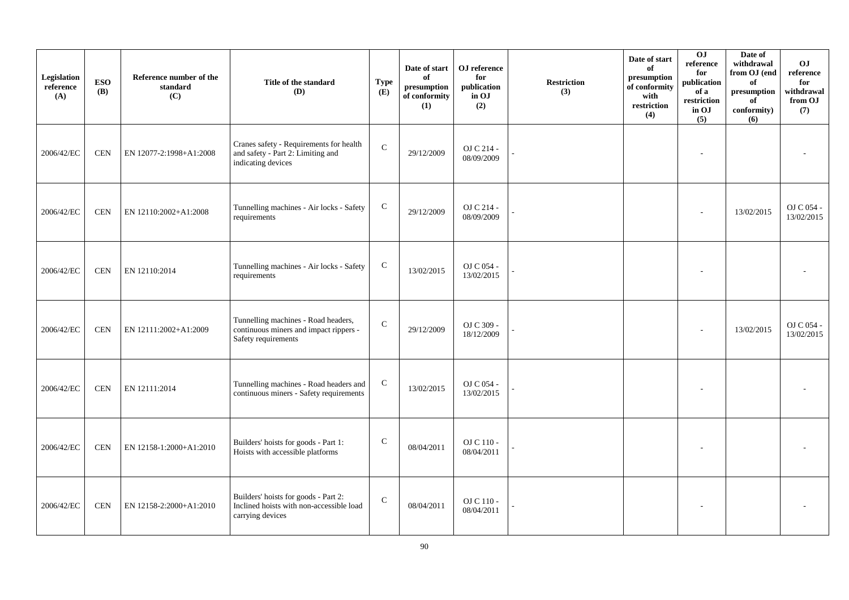| Legislation<br>reference<br>(A) | <b>ESO</b><br><b>(B)</b> | Reference number of the<br>standard<br>(C) | Title of the standard<br><b>(D)</b>                                                                  | <b>Type</b><br>(E) | Date of start<br>of<br>presumption<br>of conformity<br>(1) | OJ reference<br>for<br>publication<br>in OJ<br>(2) | <b>Restriction</b><br>(3) | Date of start<br>of<br>presumption<br>of conformity<br>with<br>restriction<br>(4) | 0J<br>reference<br>for<br>publication<br>of a<br>restriction<br>in OJ<br>(5) | Date of<br>withdrawal<br>from OJ (end<br>of<br>presumption<br>of<br>conformity)<br>(6) | O <sub>J</sub><br>$\rm reference$<br>for<br>withdrawal<br>from OJ<br>(7) |
|---------------------------------|--------------------------|--------------------------------------------|------------------------------------------------------------------------------------------------------|--------------------|------------------------------------------------------------|----------------------------------------------------|---------------------------|-----------------------------------------------------------------------------------|------------------------------------------------------------------------------|----------------------------------------------------------------------------------------|--------------------------------------------------------------------------|
| 2006/42/EC                      | <b>CEN</b>               | EN 12077-2:1998+A1:2008                    | Cranes safety - Requirements for health<br>and safety - Part 2: Limiting and<br>indicating devices   | ${\bf C}$          | 29/12/2009                                                 | OJ C 214 -<br>08/09/2009                           |                           |                                                                                   |                                                                              |                                                                                        |                                                                          |
| 2006/42/EC                      | <b>CEN</b>               | EN 12110:2002+A1:2008                      | Tunnelling machines - Air locks - Safety<br>requirements                                             | $\mathbf C$        | 29/12/2009                                                 | OJ C 214 -<br>08/09/2009                           |                           |                                                                                   |                                                                              | 13/02/2015                                                                             | OJ C 054 -<br>13/02/2015                                                 |
| 2006/42/EC                      | <b>CEN</b>               | EN 12110:2014                              | Tunnelling machines - Air locks - Safety<br>requirements                                             | $\mathbf C$        | 13/02/2015                                                 | OJ C 054 -<br>13/02/2015                           |                           |                                                                                   |                                                                              |                                                                                        |                                                                          |
| 2006/42/EC                      | <b>CEN</b>               | EN 12111:2002+A1:2009                      | Tunnelling machines - Road headers,<br>continuous miners and impact rippers -<br>Safety requirements | ${\bf C}$          | 29/12/2009                                                 | OJ C 309 -<br>18/12/2009                           |                           |                                                                                   |                                                                              | 13/02/2015                                                                             | OJ C 054 -<br>13/02/2015                                                 |
| 2006/42/EC                      | <b>CEN</b>               | EN 12111:2014                              | Tunnelling machines - Road headers and<br>continuous miners - Safety requirements                    | $\mathbf C$        | 13/02/2015                                                 | OJ C 054 -<br>13/02/2015                           |                           |                                                                                   |                                                                              |                                                                                        |                                                                          |
| 2006/42/EC                      | <b>CEN</b>               | EN 12158-1:2000+A1:2010                    | Builders' hoists for goods - Part 1:<br>Hoists with accessible platforms                             | $\mathbf C$        | 08/04/2011                                                 | OJ C 110 -<br>08/04/2011                           |                           |                                                                                   |                                                                              |                                                                                        |                                                                          |
| 2006/42/EC                      | <b>CEN</b>               | EN 12158-2:2000+A1:2010                    | Builders' hoists for goods - Part 2:<br>Inclined hoists with non-accessible load<br>carrying devices | $\mathbf C$        | 08/04/2011                                                 | OJ C 110 -<br>08/04/2011                           |                           |                                                                                   |                                                                              |                                                                                        |                                                                          |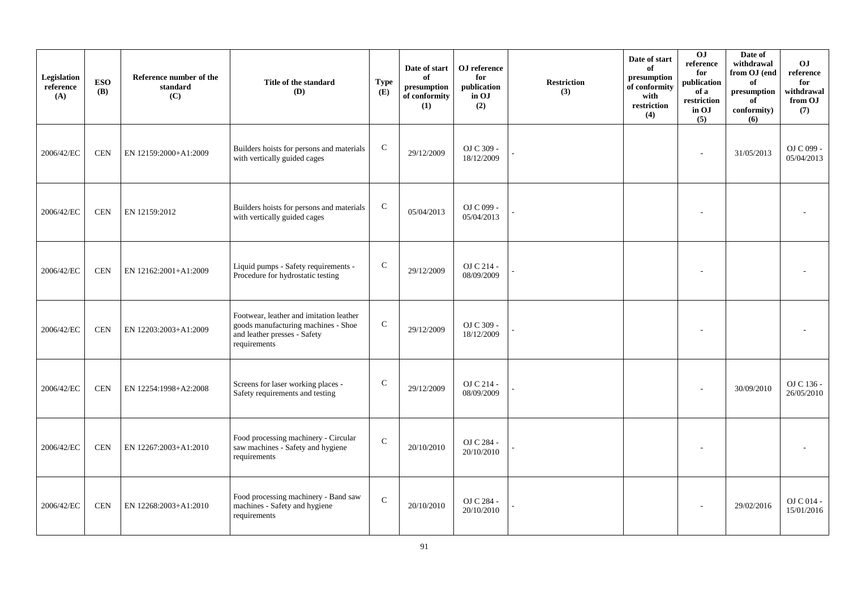| Legislation<br>reference<br>(A) | <b>ESO</b><br><b>(B)</b> | Reference number of the<br>standard<br>(C) | Title of the standard<br>(D)                                                                                                   | <b>Type</b><br>(E) | Date of start<br>of<br>presumption<br>of conformity<br>(1) | OJ reference<br>for<br>publication<br>in OJ<br>(2) | <b>Restriction</b><br>(3) | Date of start<br>of<br>presumption<br>of conformity<br>with<br>restriction<br>(4) | 0J<br>reference<br>for<br>publication<br>of a<br>restriction<br>in OJ<br>(5) | Date of<br>withdrawal<br>from OJ (end<br>of<br>presumption<br>of<br>conformity)<br>(6) | OJ<br>reference<br>for<br>withdrawal<br>from OJ<br>(7) |
|---------------------------------|--------------------------|--------------------------------------------|--------------------------------------------------------------------------------------------------------------------------------|--------------------|------------------------------------------------------------|----------------------------------------------------|---------------------------|-----------------------------------------------------------------------------------|------------------------------------------------------------------------------|----------------------------------------------------------------------------------------|--------------------------------------------------------|
| 2006/42/EC                      | <b>CEN</b>               | EN 12159:2000+A1:2009                      | Builders hoists for persons and materials<br>with vertically guided cages                                                      | $\mathbf C$        | 29/12/2009                                                 | OJ C 309 -<br>18/12/2009                           |                           |                                                                                   | ÷,                                                                           | 31/05/2013                                                                             | OJ C 099 -<br>05/04/2013                               |
| 2006/42/EC                      | <b>CEN</b>               | EN 12159:2012                              | Builders hoists for persons and materials<br>with vertically guided cages                                                      | $\mathbf C$        | 05/04/2013                                                 | OJ C 099 -<br>05/04/2013                           |                           |                                                                                   |                                                                              |                                                                                        |                                                        |
| 2006/42/EC                      | <b>CEN</b>               | EN 12162:2001+A1:2009                      | Liquid pumps - Safety requirements -<br>Procedure for hydrostatic testing                                                      | $\mathsf{C}$       | 29/12/2009                                                 | OJ C 214 -<br>08/09/2009                           |                           |                                                                                   |                                                                              |                                                                                        |                                                        |
| 2006/42/EC                      | <b>CEN</b>               | EN 12203:2003+A1:2009                      | Footwear, leather and imitation leather<br>goods manufacturing machines - Shoe<br>and leather presses - Safety<br>requirements | ${\bf C}$          | 29/12/2009                                                 | OJ C 309 -<br>18/12/2009                           |                           |                                                                                   |                                                                              |                                                                                        |                                                        |
| 2006/42/EC                      | <b>CEN</b>               | EN 12254:1998+A2:2008                      | Screens for laser working places -<br>Safety requirements and testing                                                          | $\mathbf C$        | 29/12/2009                                                 | OJ C 214 -<br>08/09/2009                           |                           |                                                                                   |                                                                              | 30/09/2010                                                                             | OJ C 136 -<br>26/05/2010                               |
| 2006/42/EC                      | <b>CEN</b>               | EN 12267:2003+A1:2010                      | Food processing machinery - Circular<br>saw machines - Safety and hygiene<br>requirements                                      | $\mathsf{C}$       | 20/10/2010                                                 | OJ C 284 -<br>20/10/2010                           |                           |                                                                                   |                                                                              |                                                                                        |                                                        |
| 2006/42/EC                      | <b>CEN</b>               | EN 12268:2003+A1:2010                      | Food processing machinery - Band saw<br>machines - Safety and hygiene<br>requirements                                          | $\mathbf C$        | 20/10/2010                                                 | OJ C 284 -<br>20/10/2010                           |                           |                                                                                   |                                                                              | 29/02/2016                                                                             | OJ C 014 -<br>15/01/2016                               |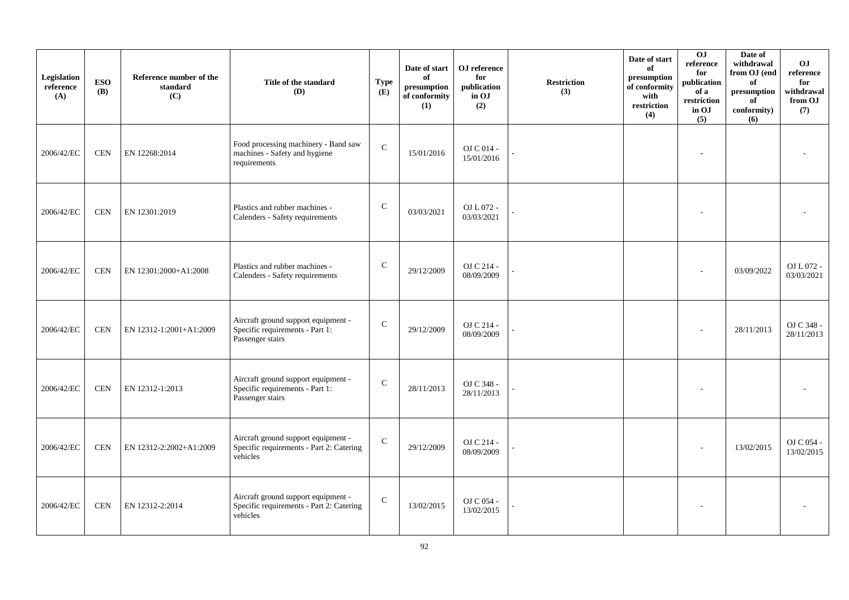| Legislation<br>reference<br>(A) | <b>ESO</b><br><b>(B)</b> | Reference number of the<br>standard<br>(C) | Title of the standard<br>(D)                                                                | <b>Type</b><br>(E) | Date of start<br>of<br>presumption<br>of conformity<br>(1) | OJ reference<br>for<br>publication<br>in OJ<br>(2) | <b>Restriction</b><br>(3) | Date of start<br>of<br>presumption<br>of conformity<br>with<br>restriction<br>(4) | 0J<br>reference<br>for<br>publication<br>of a<br>restriction<br>in OJ<br>(5) | Date of<br>withdrawal<br>from OJ (end<br>of<br>$\bf{presumption}$<br>of<br>conformity)<br>(6) | O <sub>J</sub><br>reference<br>for<br>withdrawal<br>from OJ<br>(7) |
|---------------------------------|--------------------------|--------------------------------------------|---------------------------------------------------------------------------------------------|--------------------|------------------------------------------------------------|----------------------------------------------------|---------------------------|-----------------------------------------------------------------------------------|------------------------------------------------------------------------------|-----------------------------------------------------------------------------------------------|--------------------------------------------------------------------|
| 2006/42/EC                      | <b>CEN</b>               | EN 12268:2014                              | Food processing machinery - Band saw<br>machines - Safety and hygiene<br>requirements       | $\mathbf{C}$       | 15/01/2016                                                 | OJ C 014 -<br>15/01/2016                           |                           |                                                                                   |                                                                              |                                                                                               |                                                                    |
| 2006/42/EC                      | <b>CEN</b>               | EN 12301:2019                              | Plastics and rubber machines -<br>Calenders - Safety requirements                           | $\mathbf C$        | 03/03/2021                                                 | OJ L 072 -<br>03/03/2021                           |                           |                                                                                   | ٠                                                                            |                                                                                               |                                                                    |
| 2006/42/EC                      | <b>CEN</b>               | EN 12301:2000+A1:2008                      | Plastics and rubber machines -<br>Calenders - Safety requirements                           | $\mathsf{C}$       | 29/12/2009                                                 | OJ C 214 -<br>08/09/2009                           |                           |                                                                                   |                                                                              | 03/09/2022                                                                                    | OJ L 072 -<br>03/03/2021                                           |
| 2006/42/EC                      | <b>CEN</b>               | EN 12312-1:2001+A1:2009                    | Aircraft ground support equipment -<br>Specific requirements - Part 1:<br>Passenger stairs  | $\mathbf C$        | 29/12/2009                                                 | OJ C 214 -<br>08/09/2009                           |                           |                                                                                   |                                                                              | 28/11/2013                                                                                    | OJ C 348 -<br>28/11/2013                                           |
| 2006/42/EC                      | <b>CEN</b>               | EN 12312-1:2013                            | Aircraft ground support equipment -<br>Specific requirements - Part 1:<br>Passenger stairs  | $\mathcal{C}$      | 28/11/2013                                                 | OJ C 348 -<br>28/11/2013                           |                           |                                                                                   |                                                                              |                                                                                               |                                                                    |
| 2006/42/EC                      | <b>CEN</b>               | EN 12312-2:2002+A1:2009                    | Aircraft ground support equipment -<br>Specific requirements - Part 2: Catering<br>vehicles | $\mathsf{C}$       | 29/12/2009                                                 | OJ C 214 -<br>08/09/2009                           |                           |                                                                                   |                                                                              | 13/02/2015                                                                                    | OJ C 054 -<br>13/02/2015                                           |
| 2006/42/EC                      | <b>CEN</b>               | EN 12312-2:2014                            | Aircraft ground support equipment -<br>Specific requirements - Part 2: Catering<br>vehicles | $\mathsf{C}$       | 13/02/2015                                                 | OJ C $054$ -<br>13/02/2015                         |                           |                                                                                   |                                                                              |                                                                                               |                                                                    |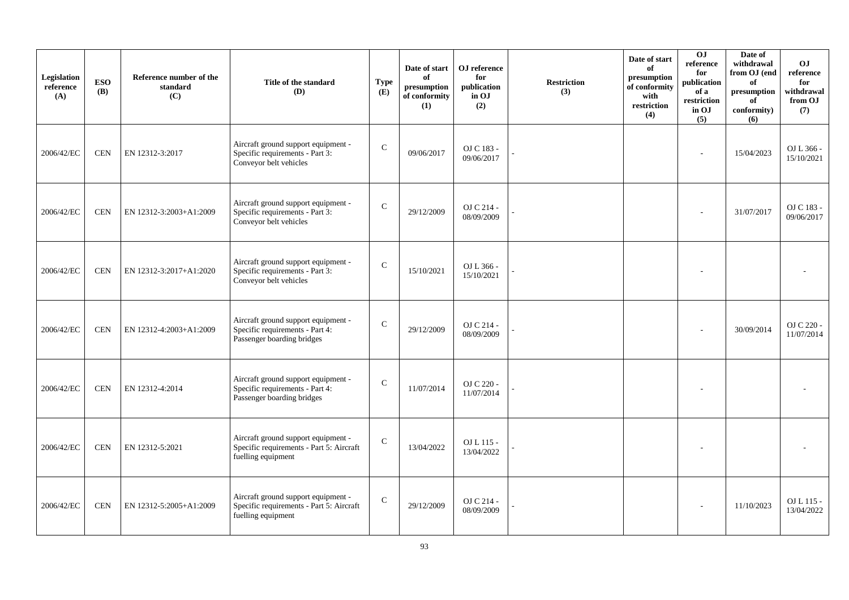| Legislation<br>reference<br>(A) | <b>ESO</b><br><b>(B)</b> | Reference number of the<br>standard<br>(C) | Title of the standard<br>(D)                                                                          | <b>Type</b><br>(E) | Date of start<br>of<br>presumption<br>of conformity<br>(1) | OJ reference<br>for<br>publication<br>in OJ<br>(2) | <b>Restriction</b><br>(3) | Date of start<br>of<br>presumption<br>of conformity<br>with<br>restriction<br>(4) | 0J<br>reference<br>for<br>publication<br>of a<br>restriction<br>in OJ<br>(5) | Date of<br>withdrawal<br>from OJ (end<br>of<br>presumption<br>of<br>conformity)<br>(6) | O <sub>J</sub><br>reference<br>for<br>withdrawal<br>from OJ<br>(7) |
|---------------------------------|--------------------------|--------------------------------------------|-------------------------------------------------------------------------------------------------------|--------------------|------------------------------------------------------------|----------------------------------------------------|---------------------------|-----------------------------------------------------------------------------------|------------------------------------------------------------------------------|----------------------------------------------------------------------------------------|--------------------------------------------------------------------|
| 2006/42/EC                      | <b>CEN</b>               | EN 12312-3:2017                            | Aircraft ground support equipment -<br>Specific requirements - Part 3:<br>Conveyor belt vehicles      | ${\bf C}$          | 09/06/2017                                                 | OJ C 183 -<br>09/06/2017                           |                           |                                                                                   | ä,                                                                           | 15/04/2023                                                                             | OJ L 366 -<br>15/10/2021                                           |
| 2006/42/EC                      | <b>CEN</b>               | EN 12312-3:2003+A1:2009                    | Aircraft ground support equipment -<br>Specific requirements - Part 3:<br>Conveyor belt vehicles      | $\mathbf C$        | 29/12/2009                                                 | OJ C 214 -<br>08/09/2009                           |                           |                                                                                   |                                                                              | 31/07/2017                                                                             | OJ C 183 -<br>09/06/2017                                           |
| 2006/42/EC                      | $\mbox{CEN}$             | EN 12312-3:2017+A1:2020                    | Aircraft ground support equipment -<br>Specific requirements - Part 3:<br>Conveyor belt vehicles      | $\mathsf{C}$       | 15/10/2021                                                 | OJ L 366 -<br>15/10/2021                           |                           |                                                                                   |                                                                              |                                                                                        |                                                                    |
| 2006/42/EC                      | <b>CEN</b>               | EN 12312-4:2003+A1:2009                    | Aircraft ground support equipment -<br>Specific requirements - Part 4:<br>Passenger boarding bridges  | $\mathbf C$        | 29/12/2009                                                 | OJ C 214 -<br>08/09/2009                           |                           |                                                                                   |                                                                              | 30/09/2014                                                                             | OJ C 220 -<br>11/07/2014                                           |
| 2006/42/EC                      | <b>CEN</b>               | EN 12312-4:2014                            | Aircraft ground support equipment -<br>Specific requirements - Part 4:<br>Passenger boarding bridges  | $\mathcal{C}$      | 11/07/2014                                                 | OJ C 220 -<br>11/07/2014                           |                           |                                                                                   |                                                                              |                                                                                        |                                                                    |
| 2006/42/EC                      | <b>CEN</b>               | EN 12312-5:2021                            | Aircraft ground support equipment -<br>Specific requirements - Part 5: Aircraft<br>fuelling equipment | $\mathsf{C}$       | 13/04/2022                                                 | OJ L 115 -<br>13/04/2022                           |                           |                                                                                   |                                                                              |                                                                                        |                                                                    |
| 2006/42/EC                      | <b>CEN</b>               | EN 12312-5:2005+A1:2009                    | Aircraft ground support equipment -<br>Specific requirements - Part 5: Aircraft<br>fuelling equipment | $\mathbf C$        | 29/12/2009                                                 | OJ C 214 -<br>08/09/2009                           |                           |                                                                                   |                                                                              | 11/10/2023                                                                             | OJ L 115 -<br>13/04/2022                                           |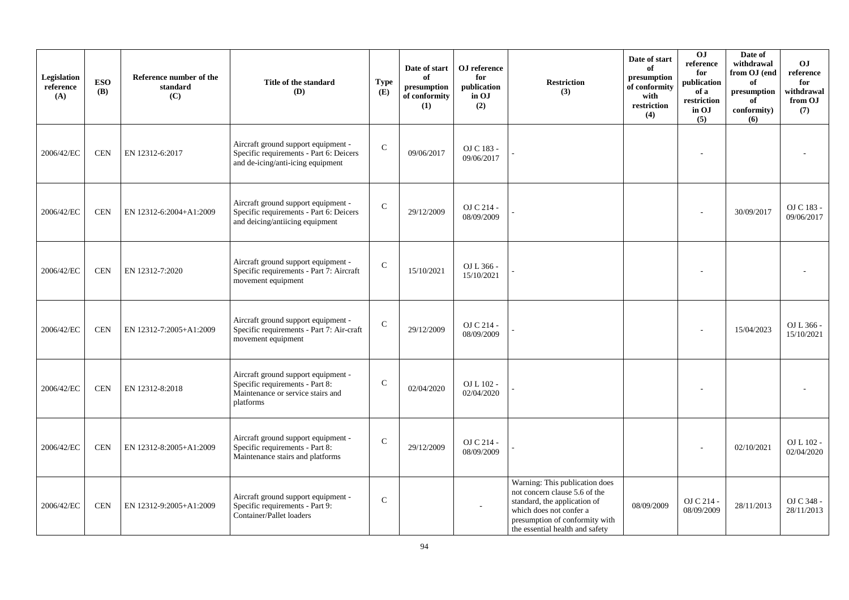| Legislation<br>reference<br>(A) | <b>ESO</b><br><b>(B)</b> | Reference number of the<br>standard<br>(C) | Title of the standard<br>(D)                                                                                             | <b>Type</b><br>(E) | Date of start<br>of<br>presumption<br>of conformity<br>(1) | OJ reference<br>for<br>publication<br>in OJ<br>(2) | <b>Restriction</b><br>(3)                                                                                                                                                                       | Date of start<br>of<br>presumption<br>of conformity<br>with<br>restriction<br>(4) | 0J<br>reference<br>for<br>publication<br>of a<br>restriction<br>in OJ<br>(5) | Date of<br>withdrawal<br>from OJ (end<br>of<br>presumption<br>of<br>conformity)<br>(6) | O <sub>J</sub><br>reference<br>for<br>withdrawal<br>from OJ<br>(7) |
|---------------------------------|--------------------------|--------------------------------------------|--------------------------------------------------------------------------------------------------------------------------|--------------------|------------------------------------------------------------|----------------------------------------------------|-------------------------------------------------------------------------------------------------------------------------------------------------------------------------------------------------|-----------------------------------------------------------------------------------|------------------------------------------------------------------------------|----------------------------------------------------------------------------------------|--------------------------------------------------------------------|
| 2006/42/EC                      | <b>CEN</b>               | EN 12312-6:2017                            | Aircraft ground support equipment -<br>Specific requirements - Part 6: Deicers<br>and de-icing/anti-icing equipment      | $\mathsf{C}$       | 09/06/2017                                                 | OJ C 183 -<br>09/06/2017                           |                                                                                                                                                                                                 |                                                                                   |                                                                              |                                                                                        |                                                                    |
| 2006/42/EC                      | <b>CEN</b>               | EN 12312-6:2004+A1:2009                    | Aircraft ground support equipment -<br>Specific requirements - Part 6: Deicers<br>and deicing/antiicing equipment        | $\mathbf C$        | 29/12/2009                                                 | OJ C 214 -<br>08/09/2009                           |                                                                                                                                                                                                 |                                                                                   |                                                                              | 30/09/2017                                                                             | OJ C 183 -<br>09/06/2017                                           |
| 2006/42/EC                      | <b>CEN</b>               | EN 12312-7:2020                            | Aircraft ground support equipment -<br>Specific requirements - Part 7: Aircraft<br>movement equipment                    | $\mathbf C$        | 15/10/2021                                                 | OJ L 366 -<br>15/10/2021                           |                                                                                                                                                                                                 |                                                                                   |                                                                              |                                                                                        |                                                                    |
| 2006/42/EC                      | <b>CEN</b>               | EN 12312-7:2005+A1:2009                    | Aircraft ground support equipment -<br>Specific requirements - Part 7: Air-craft<br>movement equipment                   | $\mathbf C$        | 29/12/2009                                                 | OJ C 214 -<br>08/09/2009                           |                                                                                                                                                                                                 |                                                                                   |                                                                              | 15/04/2023                                                                             | OJ L 366 -<br>15/10/2021                                           |
| 2006/42/EC                      | <b>CEN</b>               | EN 12312-8:2018                            | Aircraft ground support equipment -<br>Specific requirements - Part 8:<br>Maintenance or service stairs and<br>platforms | $\mathbf C$        | 02/04/2020                                                 | OJ L 102 -<br>02/04/2020                           |                                                                                                                                                                                                 |                                                                                   |                                                                              |                                                                                        |                                                                    |
| 2006/42/EC                      | <b>CEN</b>               | EN 12312-8:2005+A1:2009                    | Aircraft ground support equipment -<br>Specific requirements - Part 8:<br>Maintenance stairs and platforms               | $\mathbf C$        | 29/12/2009                                                 | OJ C 214 -<br>08/09/2009                           |                                                                                                                                                                                                 |                                                                                   |                                                                              | 02/10/2021                                                                             | OJ L 102 -<br>02/04/2020                                           |
| 2006/42/EC                      | <b>CEN</b>               | EN 12312-9:2005+A1:2009                    | Aircraft ground support equipment -<br>Specific requirements - Part 9:<br>Container/Pallet loaders                       | $\mathbf C$        |                                                            |                                                    | Warning: This publication does<br>not concern clause 5.6 of the<br>standard, the application of<br>which does not confer a<br>presumption of conformity with<br>the essential health and safety | 08/09/2009                                                                        | OJ C 214 -<br>08/09/2009                                                     | 28/11/2013                                                                             | OJ C 348 -<br>28/11/2013                                           |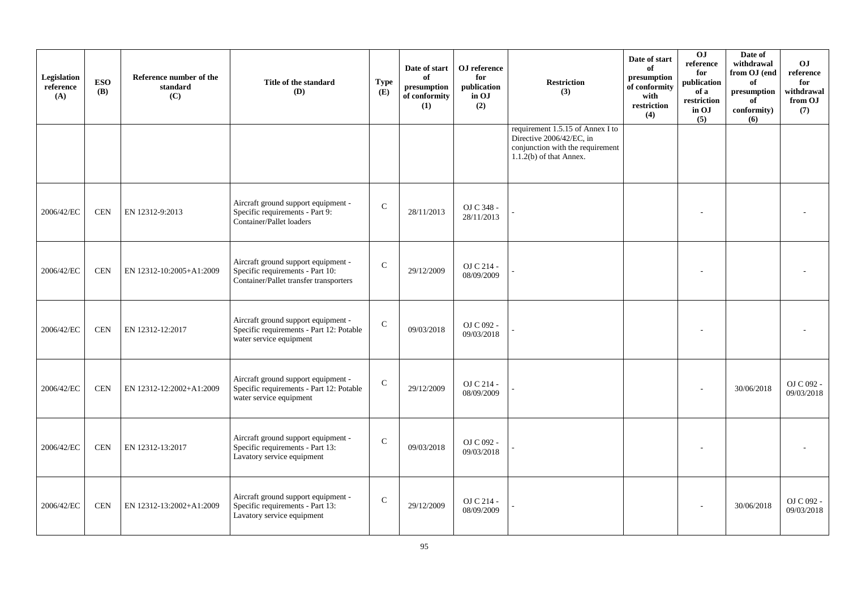| Legislation<br>reference<br>(A) | <b>ESO</b><br><b>(B)</b> | Reference number of the<br>standard<br>(C) | Title of the standard<br>(D)                                                                                      | <b>Type</b><br>(E) | Date of start<br>of<br>presumption<br>of conformity<br>(1) | OJ reference<br>for<br>publication<br>in OJ<br>(2) | <b>Restriction</b><br>(3)                                                                                                     | Date of start<br>of<br>presumption<br>of conformity<br>with<br>restriction<br>(4) | 0J<br>reference<br>for<br>publication<br>of a<br>restriction<br>in OJ<br>(5) | Date of<br>withdrawal<br>from OJ (end<br>of<br>$\bf{presumption}$<br>of<br>conformity)<br>(6) | O <sub>J</sub><br>reference<br>for<br>withdrawal<br>from OJ<br>(7) |
|---------------------------------|--------------------------|--------------------------------------------|-------------------------------------------------------------------------------------------------------------------|--------------------|------------------------------------------------------------|----------------------------------------------------|-------------------------------------------------------------------------------------------------------------------------------|-----------------------------------------------------------------------------------|------------------------------------------------------------------------------|-----------------------------------------------------------------------------------------------|--------------------------------------------------------------------|
|                                 |                          |                                            |                                                                                                                   |                    |                                                            |                                                    | requirement 1.5.15 of Annex I to<br>Directive 2006/42/EC, in<br>conjunction with the requirement<br>$1.1.2(b)$ of that Annex. |                                                                                   |                                                                              |                                                                                               |                                                                    |
| 2006/42/EC                      | <b>CEN</b>               | EN 12312-9:2013                            | Aircraft ground support equipment -<br>Specific requirements - Part 9:<br>Container/Pallet loaders                | $\mathcal{C}$      | 28/11/2013                                                 | OJ C 348 -<br>28/11/2013                           |                                                                                                                               |                                                                                   |                                                                              |                                                                                               |                                                                    |
| 2006/42/EC                      | <b>CEN</b>               | EN 12312-10:2005+A1:2009                   | Aircraft ground support equipment -<br>Specific requirements - Part 10:<br>Container/Pallet transfer transporters | $\mathcal{C}$      | 29/12/2009                                                 | OJ C 214 -<br>08/09/2009                           |                                                                                                                               |                                                                                   |                                                                              |                                                                                               |                                                                    |
| 2006/42/EC                      | <b>CEN</b>               | EN 12312-12:2017                           | Aircraft ground support equipment -<br>Specific requirements - Part 12: Potable<br>water service equipment        | $\mathbf C$        | 09/03/2018                                                 | OJ C 092 -<br>09/03/2018                           |                                                                                                                               |                                                                                   |                                                                              |                                                                                               |                                                                    |
| 2006/42/EC                      | <b>CEN</b>               | EN 12312-12:2002+A1:2009                   | Aircraft ground support equipment -<br>Specific requirements - Part 12: Potable<br>water service equipment        | $\mathcal{C}$      | 29/12/2009                                                 | OJ C 214 -<br>08/09/2009                           |                                                                                                                               |                                                                                   |                                                                              | 30/06/2018                                                                                    | OJ C 092 -<br>09/03/2018                                           |
| 2006/42/EC                      | <b>CEN</b>               | EN 12312-13:2017                           | Aircraft ground support equipment -<br>Specific requirements - Part 13:<br>Lavatory service equipment             | $\mathcal{C}$      | 09/03/2018                                                 | OJ C 092 -<br>09/03/2018                           |                                                                                                                               |                                                                                   |                                                                              |                                                                                               |                                                                    |
| 2006/42/EC                      | <b>CEN</b>               | EN 12312-13:2002+A1:2009                   | Aircraft ground support equipment -<br>Specific requirements - Part 13:<br>Lavatory service equipment             | $\mathbf C$        | 29/12/2009                                                 | OJ C 214 -<br>08/09/2009                           |                                                                                                                               |                                                                                   |                                                                              | 30/06/2018                                                                                    | OJ C 092 -<br>09/03/2018                                           |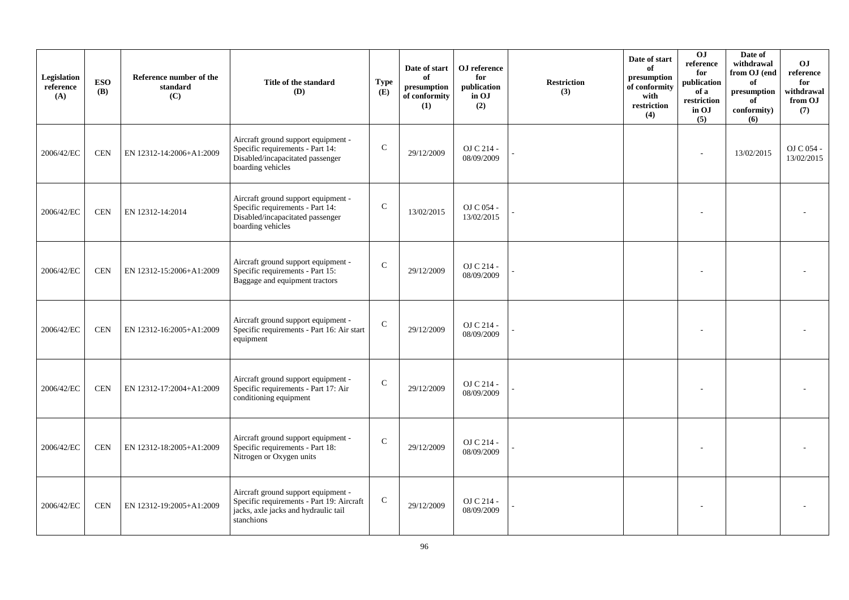| Legislation<br>reference<br>(A) | <b>ESO</b><br><b>(B)</b> | Reference number of the<br>standard<br>(C) | Title of the standard<br>(D)                                                                                                           | <b>Type</b><br>(E) | Date of start<br>of<br>presumption<br>of conformity<br>(1) | OJ reference<br>for<br>publication<br>in OJ<br>(2) | <b>Restriction</b><br>(3) | Date of start<br>of<br>presumption<br>of conformity<br>with<br>restriction<br>(4) | O <sub>J</sub><br>reference<br>for<br>publication<br>of a<br>restriction<br>in OJ<br>(5) | Date of<br>withdrawal<br>from OJ (end<br>of<br>$\bf{presumption}$<br>of<br>conformity)<br>(6) | O <sub>J</sub><br>reference<br>for<br>withdrawal<br>from OJ<br>(7) |
|---------------------------------|--------------------------|--------------------------------------------|----------------------------------------------------------------------------------------------------------------------------------------|--------------------|------------------------------------------------------------|----------------------------------------------------|---------------------------|-----------------------------------------------------------------------------------|------------------------------------------------------------------------------------------|-----------------------------------------------------------------------------------------------|--------------------------------------------------------------------|
| 2006/42/EC                      | <b>CEN</b>               | EN 12312-14:2006+A1:2009                   | Aircraft ground support equipment -<br>Specific requirements - Part 14:<br>Disabled/incapacitated passenger<br>boarding vehicles       | $\mathcal{C}$      | 29/12/2009                                                 | OJ C 214 -<br>08/09/2009                           |                           |                                                                                   |                                                                                          | 13/02/2015                                                                                    | OJ C 054 -<br>13/02/2015                                           |
| 2006/42/EC                      | <b>CEN</b>               | EN 12312-14:2014                           | Aircraft ground support equipment -<br>Specific requirements - Part 14:<br>Disabled/incapacitated passenger<br>boarding vehicles       | $\mathbf C$        | 13/02/2015                                                 | OJ C 054 -<br>13/02/2015                           |                           |                                                                                   |                                                                                          |                                                                                               |                                                                    |
| 2006/42/EC                      | <b>CEN</b>               | EN 12312-15:2006+A1:2009                   | Aircraft ground support equipment -<br>Specific requirements - Part 15:<br>Baggage and equipment tractors                              | $\mathcal{C}$      | 29/12/2009                                                 | OJ C 214 -<br>08/09/2009                           |                           |                                                                                   |                                                                                          |                                                                                               |                                                                    |
| 2006/42/EC                      | <b>CEN</b>               | EN 12312-16:2005+A1:2009                   | Aircraft ground support equipment -<br>Specific requirements - Part 16: Air start<br>equipment                                         | ${\bf C}$          | 29/12/2009                                                 | OJ C 214 -<br>08/09/2009                           |                           |                                                                                   |                                                                                          |                                                                                               |                                                                    |
| 2006/42/EC                      | <b>CEN</b>               | EN 12312-17:2004+A1:2009                   | Aircraft ground support equipment -<br>Specific requirements - Part 17: Air<br>conditioning equipment                                  | $\mathcal{C}$      | 29/12/2009                                                 | OJ C 214 -<br>08/09/2009                           |                           |                                                                                   |                                                                                          |                                                                                               |                                                                    |
| 2006/42/EC                      | <b>CEN</b>               | EN 12312-18:2005+A1:2009                   | Aircraft ground support equipment -<br>Specific requirements - Part 18:<br>Nitrogen or Oxygen units                                    | $\mathcal{C}$      | 29/12/2009                                                 | OJ C 214 -<br>08/09/2009                           |                           |                                                                                   |                                                                                          |                                                                                               |                                                                    |
| 2006/42/EC                      | <b>CEN</b>               | EN 12312-19:2005+A1:2009                   | Aircraft ground support equipment -<br>Specific requirements - Part 19: Aircraft<br>jacks, axle jacks and hydraulic tail<br>stanchions | $\mathsf{C}$       | 29/12/2009                                                 | OJ C 214 -<br>08/09/2009                           |                           |                                                                                   |                                                                                          |                                                                                               |                                                                    |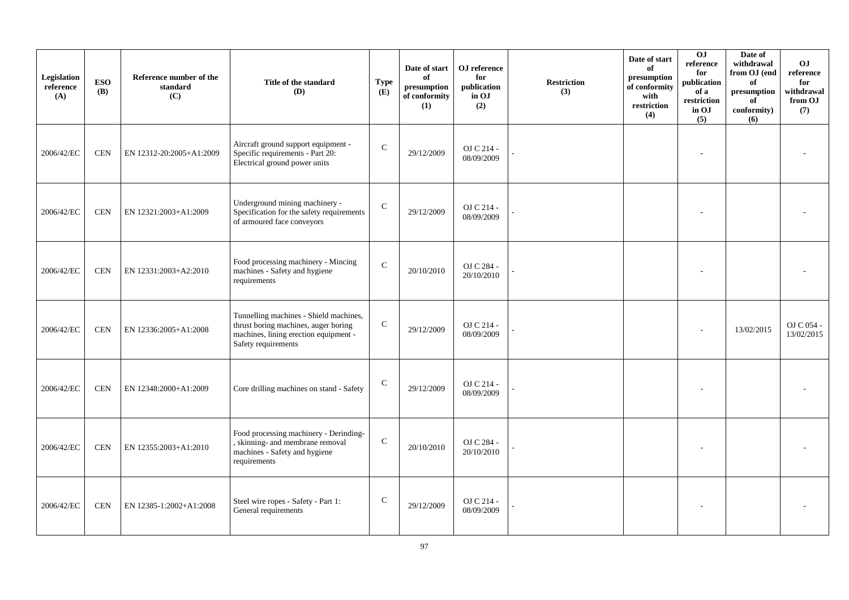| Legislation<br>reference<br>(A) | <b>ESO</b><br><b>(B)</b> | Reference number of the<br>standard<br>(C) | Title of the standard<br>(D)                                                                                                                   | <b>Type</b><br>(E) | Date of start<br>of<br>presumption<br>of conformity<br>(1) | OJ reference<br>for<br>publication<br>in OJ<br>(2) | <b>Restriction</b><br>(3) | Date of start<br>of<br>presumption<br>of conformity<br>with<br>restriction<br>(4) | 0J<br>reference<br>for<br>publication<br>of a<br>restriction<br>in OJ<br>(5) | Date of<br>withdrawal<br>from OJ (end<br>of<br>presumption<br>of<br>conformity)<br>(6) | O <sub>J</sub><br>reference<br>for<br>withdrawal<br>from OJ<br>(7) |
|---------------------------------|--------------------------|--------------------------------------------|------------------------------------------------------------------------------------------------------------------------------------------------|--------------------|------------------------------------------------------------|----------------------------------------------------|---------------------------|-----------------------------------------------------------------------------------|------------------------------------------------------------------------------|----------------------------------------------------------------------------------------|--------------------------------------------------------------------|
| 2006/42/EC                      | <b>CEN</b>               | EN 12312-20:2005+A1:2009                   | Aircraft ground support equipment -<br>Specific requirements - Part 20:<br>Electrical ground power units                                       | ${\bf C}$          | 29/12/2009                                                 | OJ C 214 -<br>08/09/2009                           |                           |                                                                                   |                                                                              |                                                                                        |                                                                    |
| 2006/42/EC                      | <b>CEN</b>               | EN 12321:2003+A1:2009                      | Underground mining machinery -<br>Specification for the safety requirements<br>of armoured face conveyors                                      | ${\bf C}$          | 29/12/2009                                                 | OJ C 214 -<br>08/09/2009                           |                           |                                                                                   |                                                                              |                                                                                        |                                                                    |
| 2006/42/EC                      | <b>CEN</b>               | EN 12331:2003+A2:2010                      | Food processing machinery - Mincing<br>machines - Safety and hygiene<br>requirements                                                           | $\mathcal{C}$      | 20/10/2010                                                 | OJ C 284 -<br>20/10/2010                           |                           |                                                                                   |                                                                              |                                                                                        |                                                                    |
| 2006/42/EC                      | <b>CEN</b>               | EN 12336:2005+A1:2008                      | Tunnelling machines - Shield machines,<br>thrust boring machines, auger boring<br>machines, lining erection equipment -<br>Safety requirements | $\mathbf C$        | 29/12/2009                                                 | OJ C 214 -<br>08/09/2009                           |                           |                                                                                   |                                                                              | 13/02/2015                                                                             | OJ C 054 -<br>13/02/2015                                           |
| 2006/42/EC                      | <b>CEN</b>               | EN 12348:2000+A1:2009                      | Core drilling machines on stand - Safety                                                                                                       | $\mathsf{C}$       | 29/12/2009                                                 | OJ C 214 -<br>08/09/2009                           |                           |                                                                                   |                                                                              |                                                                                        |                                                                    |
| 2006/42/EC                      | <b>CEN</b>               | EN 12355:2003+A1:2010                      | Food processing machinery - Derinding-<br>, skinning- and membrane removal<br>machines - Safety and hygiene<br>requirements                    | $\mathbf C$        | 20/10/2010                                                 | OJ C 284 -<br>20/10/2010                           |                           |                                                                                   |                                                                              |                                                                                        |                                                                    |
| 2006/42/EC                      | <b>CEN</b>               | EN 12385-1:2002+A1:2008                    | Steel wire ropes - Safety - Part 1:<br>General requirements                                                                                    | $\mathbf C$        | 29/12/2009                                                 | OJ C 214 -<br>08/09/2009                           |                           |                                                                                   |                                                                              |                                                                                        |                                                                    |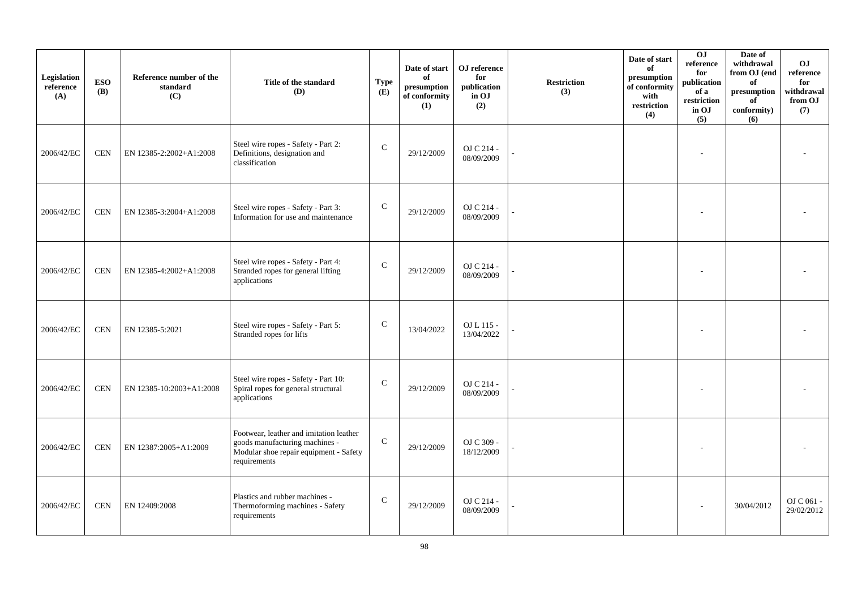| Legislation<br>reference<br>(A) | <b>ESO</b><br><b>(B)</b> | Reference number of the<br>standard<br>(C) | Title of the standard<br>(D)                                                                                                        | <b>Type</b><br>(E) | Date of start<br>of<br>presumption<br>of conformity<br>(1) | OJ reference<br>for<br>publication<br>in OJ<br>(2) | <b>Restriction</b><br>(3) | Date of start<br>of<br>presumption<br>of conformity<br>with<br>restriction<br>(4) | 0J<br>reference<br>for<br>publication<br>of a<br>restriction<br>in OJ<br>(5) | Date of<br>withdrawal<br>from OJ (end<br>of<br>$\,$ presumption<br>of<br>conformity)<br>(6) | O <sub>J</sub><br>reference<br>for<br>withdrawal<br>from OJ<br>(7) |
|---------------------------------|--------------------------|--------------------------------------------|-------------------------------------------------------------------------------------------------------------------------------------|--------------------|------------------------------------------------------------|----------------------------------------------------|---------------------------|-----------------------------------------------------------------------------------|------------------------------------------------------------------------------|---------------------------------------------------------------------------------------------|--------------------------------------------------------------------|
| 2006/42/EC                      | <b>CEN</b>               | EN 12385-2:2002+A1:2008                    | Steel wire ropes - Safety - Part 2:<br>Definitions, designation and<br>classification                                               | $\mathbf C$        | 29/12/2009                                                 | OJ C 214 -<br>08/09/2009                           |                           |                                                                                   |                                                                              |                                                                                             |                                                                    |
| 2006/42/EC                      | <b>CEN</b>               | EN 12385-3:2004+A1:2008                    | Steel wire ropes - Safety - Part 3:<br>Information for use and maintenance                                                          | ${\bf C}$          | 29/12/2009                                                 | OJ C 214 -<br>08/09/2009                           |                           |                                                                                   |                                                                              |                                                                                             |                                                                    |
| 2006/42/EC                      | <b>CEN</b>               | EN 12385-4:2002+A1:2008                    | Steel wire ropes - Safety - Part 4:<br>Stranded ropes for general lifting<br>applications                                           | $\mathcal{C}$      | 29/12/2009                                                 | OJ C 214 -<br>08/09/2009                           |                           |                                                                                   |                                                                              |                                                                                             |                                                                    |
| 2006/42/EC                      | <b>CEN</b>               | EN 12385-5:2021                            | Steel wire ropes - Safety - Part 5:<br>Stranded ropes for lifts                                                                     | $\mathbf C$        | 13/04/2022                                                 | OJ L 115 -<br>13/04/2022                           |                           |                                                                                   |                                                                              |                                                                                             |                                                                    |
| 2006/42/EC                      | <b>CEN</b>               | EN 12385-10:2003+A1:2008                   | Steel wire ropes - Safety - Part 10:<br>Spiral ropes for general structural<br>applications                                         | $\mathsf{C}$       | 29/12/2009                                                 | OJ C 214 -<br>08/09/2009                           |                           |                                                                                   |                                                                              |                                                                                             |                                                                    |
| 2006/42/EC                      | <b>CEN</b>               | EN 12387:2005+A1:2009                      | Footwear, leather and imitation leather<br>goods manufacturing machines -<br>Modular shoe repair equipment - Safety<br>requirements | $\mathbf C$        | 29/12/2009                                                 | OJ C 309 -<br>18/12/2009                           |                           |                                                                                   |                                                                              |                                                                                             |                                                                    |
| 2006/42/EC                      | <b>CEN</b>               | EN 12409:2008                              | Plastics and rubber machines -<br>Thermoforming machines - Safety<br>requirements                                                   | $\mathsf{C}$       | 29/12/2009                                                 | OJ C 214 -<br>08/09/2009                           |                           |                                                                                   |                                                                              | 30/04/2012                                                                                  | OJ C 061 -<br>29/02/2012                                           |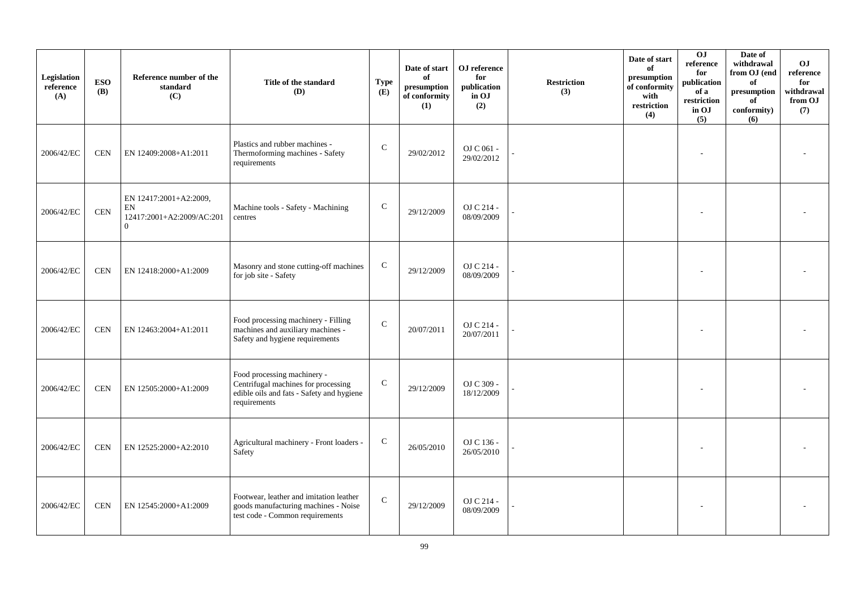| Legislation<br>reference<br>(A) | <b>ESO</b><br><b>(B)</b> | Reference number of the<br>standard<br>(C)                                          | Title of the standard<br>(D)                                                                                                    | <b>Type</b><br>(E) | Date of start<br>of<br>presumption<br>of conformity<br>(1) | OJ reference<br>for<br>publication<br>in OJ<br>(2) | Restriction<br>(3) | Date of start<br>of<br>presumption<br>of conformity<br>with<br>$\operatorname{restriction}$<br>(4) | 0J<br>reference<br>for<br>publication<br>of a<br>restriction<br>in OJ<br>(5) | Date of<br>withdrawal<br>from OJ (end<br>of<br>presumption<br>of<br>conformity)<br>(6) | O <sub>J</sub><br>reference<br>for<br>withdrawal<br>from OJ<br>(7) |
|---------------------------------|--------------------------|-------------------------------------------------------------------------------------|---------------------------------------------------------------------------------------------------------------------------------|--------------------|------------------------------------------------------------|----------------------------------------------------|--------------------|----------------------------------------------------------------------------------------------------|------------------------------------------------------------------------------|----------------------------------------------------------------------------------------|--------------------------------------------------------------------|
| 2006/42/EC                      | <b>CEN</b>               | EN 12409:2008+A1:2011                                                               | Plastics and rubber machines -<br>Thermoforming machines - Safety<br>requirements                                               | ${\bf C}$          | 29/02/2012                                                 | OJ C 061 -<br>29/02/2012                           |                    |                                                                                                    |                                                                              |                                                                                        |                                                                    |
| 2006/42/EC                      | <b>CEN</b>               | EN 12417:2001+A2:2009,<br>${\rm EN}$<br>12417:2001+A2:2009/AC:201<br>$\overline{0}$ | Machine tools - Safety - Machining<br>centres                                                                                   | ${\bf C}$          | 29/12/2009                                                 | OJ C 214 -<br>08/09/2009                           |                    |                                                                                                    |                                                                              |                                                                                        |                                                                    |
| 2006/42/EC                      | <b>CEN</b>               | EN 12418:2000+A1:2009                                                               | Masonry and stone cutting-off machines<br>for job site - Safety                                                                 | $\mathsf{C}$       | 29/12/2009                                                 | OJ C 214 -<br>08/09/2009                           |                    |                                                                                                    |                                                                              |                                                                                        |                                                                    |
| 2006/42/EC                      | <b>CEN</b>               | EN 12463:2004+A1:2011                                                               | Food processing machinery - Filling<br>machines and auxiliary machines -<br>Safety and hygiene requirements                     | $\mathsf{C}$       | 20/07/2011                                                 | OJ C 214 -<br>20/07/2011                           |                    |                                                                                                    |                                                                              |                                                                                        |                                                                    |
| 2006/42/EC                      | <b>CEN</b>               | EN 12505:2000+A1:2009                                                               | Food processing machinery -<br>Centrifugal machines for processing<br>edible oils and fats - Safety and hygiene<br>requirements | ${\bf C}$          | 29/12/2009                                                 | OJ C 309 -<br>18/12/2009                           |                    |                                                                                                    |                                                                              |                                                                                        |                                                                    |
| 2006/42/EC                      | <b>CEN</b>               | EN 12525:2000+A2:2010                                                               | Agricultural machinery - Front loaders -<br>Safety                                                                              | $\mathsf{C}$       | 26/05/2010                                                 | OJ C 136 -<br>26/05/2010                           |                    |                                                                                                    |                                                                              |                                                                                        |                                                                    |
| 2006/42/EC                      | <b>CEN</b>               | EN 12545:2000+A1:2009                                                               | Footwear, leather and imitation leather<br>goods manufacturing machines - Noise<br>test code - Common requirements              | $\mathsf{C}$       | 29/12/2009                                                 | OJ C 214 -<br>08/09/2009                           |                    |                                                                                                    |                                                                              |                                                                                        |                                                                    |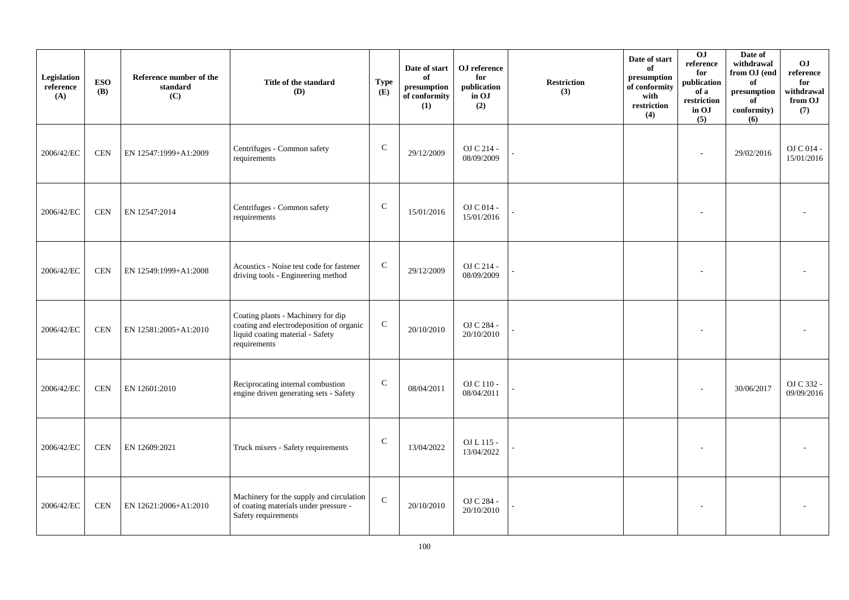| Legislation<br>reference<br>(A) | <b>ESO</b><br><b>(B)</b> | Reference number of the<br>standard<br>(C) | Title of the standard<br>(D)                                                                                                       | <b>Type</b><br>(E) | Date of start<br>of<br>presumption<br>of conformity<br>(1) | ${\bf OJ}$ reference<br>for<br>publication<br>in OJ<br>(2) | <b>Restriction</b><br>(3) | Date of start<br>of<br>presumption<br>of conformity<br>with<br>restriction<br>(4) | $\overline{0}$<br>reference<br>for<br>publication<br>of a<br>restriction<br>in OJ<br>(5) | Date of<br>withdrawal<br>from OJ (end<br>of<br>$\bf{presumption}$<br>of<br>conformity)<br>(6) | OJ<br>$\rm reference$<br>for<br>withdrawal<br>from OJ<br>(7) |
|---------------------------------|--------------------------|--------------------------------------------|------------------------------------------------------------------------------------------------------------------------------------|--------------------|------------------------------------------------------------|------------------------------------------------------------|---------------------------|-----------------------------------------------------------------------------------|------------------------------------------------------------------------------------------|-----------------------------------------------------------------------------------------------|--------------------------------------------------------------|
| 2006/42/EC                      | <b>CEN</b>               | EN 12547:1999+A1:2009                      | Centrifuges - Common safety<br>requirements                                                                                        | $\mathsf C$        | 29/12/2009                                                 | OJ C 214 -<br>08/09/2009                                   |                           |                                                                                   |                                                                                          | 29/02/2016                                                                                    | OJ C 014 -<br>15/01/2016                                     |
| 2006/42/EC                      | $\mbox{CEN}$             | EN 12547:2014                              | Centrifuges - Common safety<br>requirements                                                                                        | $\mathsf{C}$       | 15/01/2016                                                 | OJ C 014 -<br>15/01/2016                                   |                           |                                                                                   |                                                                                          |                                                                                               |                                                              |
| 2006/42/EC                      | <b>CEN</b>               | EN 12549:1999+A1:2008                      | Acoustics - Noise test code for fastener<br>driving tools - Engineering method                                                     | $\mathsf{C}$       | 29/12/2009                                                 | OJ C 214 -<br>08/09/2009                                   |                           |                                                                                   |                                                                                          |                                                                                               |                                                              |
| 2006/42/EC                      | <b>CEN</b>               | EN 12581:2005+A1:2010                      | Coating plants - Machinery for dip<br>coating and electrodeposition of organic<br>liquid coating material - Safety<br>requirements | ${\bf C}$          | 20/10/2010                                                 | OJ C 284 -<br>20/10/2010                                   |                           |                                                                                   |                                                                                          |                                                                                               |                                                              |
| 2006/42/EC                      | <b>CEN</b>               | EN 12601:2010                              | Reciprocating internal combustion<br>engine driven generating sets - Safety                                                        | $\mathbf C$        | 08/04/2011                                                 | OJ C 110 -<br>08/04/2011                                   |                           |                                                                                   |                                                                                          | 30/06/2017                                                                                    | OJ C 332 -<br>09/09/2016                                     |
| 2006/42/EC                      | <b>CEN</b>               | EN 12609:2021                              | Truck mixers - Safety requirements                                                                                                 | $\mathsf{C}$       | 13/04/2022                                                 | OJ L 115 -<br>13/04/2022                                   |                           |                                                                                   |                                                                                          |                                                                                               |                                                              |
| 2006/42/EC                      | <b>CEN</b>               | EN 12621:2006+A1:2010                      | Machinery for the supply and circulation<br>of coating materials under pressure -<br>Safety requirements                           | ${\bf C}$          | 20/10/2010                                                 | OJ C 284 -<br>20/10/2010                                   |                           |                                                                                   |                                                                                          |                                                                                               |                                                              |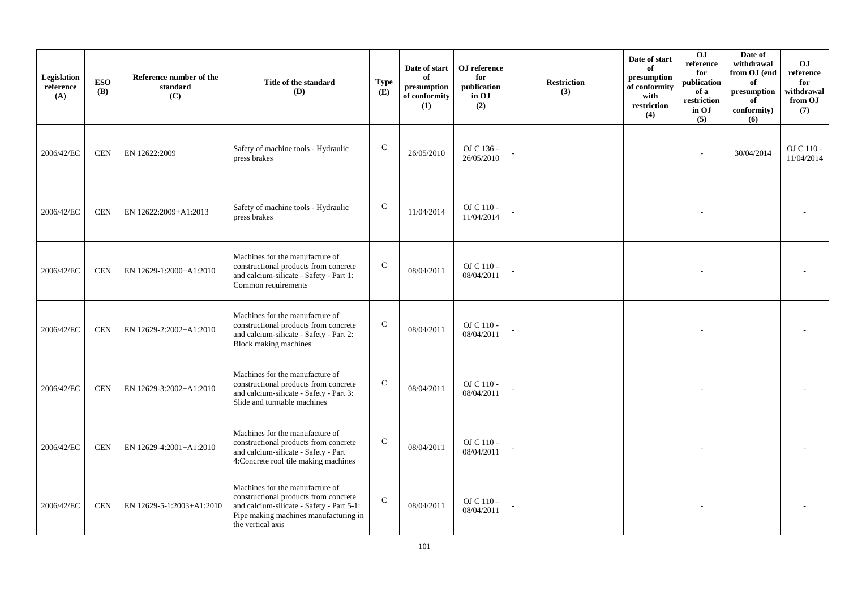| Legislation<br>reference<br>(A) | <b>ESO</b><br><b>(B)</b> | Reference number of the<br>standard<br>(C) | Title of the standard<br>(D)                                                                                                                                                        | <b>Type</b><br>(E) | Date of start<br>of<br>presumption<br>of conformity<br>(1) | OJ reference<br>for<br>publication<br>in OJ<br>(2) | <b>Restriction</b><br>(3) | Date of start<br>of<br>presumption<br>of conformity<br>with<br>$\operatorname{restriction}$<br>(4) | 0J<br>reference<br>for<br>publication<br>of a<br>restriction<br>in OJ<br>(5) | Date of<br>withdrawal<br>from OJ (end<br>of<br>$\bf{presumption}$<br>of<br>conformity)<br>(6) | O <sub>J</sub><br>reference<br>for<br>withdrawal<br>from OJ<br>(7) |
|---------------------------------|--------------------------|--------------------------------------------|-------------------------------------------------------------------------------------------------------------------------------------------------------------------------------------|--------------------|------------------------------------------------------------|----------------------------------------------------|---------------------------|----------------------------------------------------------------------------------------------------|------------------------------------------------------------------------------|-----------------------------------------------------------------------------------------------|--------------------------------------------------------------------|
| 2006/42/EC                      | <b>CEN</b>               | EN 12622:2009                              | Safety of machine tools - Hydraulic<br>press brakes                                                                                                                                 | $\mathbf C$        | 26/05/2010                                                 | OJ C 136 -<br>26/05/2010                           |                           |                                                                                                    |                                                                              | 30/04/2014                                                                                    | OJ C 110 -<br>11/04/2014                                           |
| 2006/42/EC                      | <b>CEN</b>               | EN 12622:2009+A1:2013                      | Safety of machine tools - Hydraulic<br>press brakes                                                                                                                                 | $\mathcal{C}$      | 11/04/2014                                                 | $\rm OJ$ C 110 -<br>11/04/2014                     |                           |                                                                                                    |                                                                              |                                                                                               |                                                                    |
| 2006/42/EC                      | <b>CEN</b>               | EN 12629-1:2000+A1:2010                    | Machines for the manufacture of<br>constructional products from concrete<br>and calcium-silicate - Safety - Part 1:<br>Common requirements                                          | $\mathsf{C}$       | 08/04/2011                                                 | OJ C 110 -<br>08/04/2011                           |                           |                                                                                                    |                                                                              |                                                                                               |                                                                    |
| 2006/42/EC                      | <b>CEN</b>               | EN 12629-2:2002+A1:2010                    | Machines for the manufacture of<br>constructional products from concrete<br>and calcium-silicate - Safety - Part 2:<br>Block making machines                                        | ${\bf C}$          | 08/04/2011                                                 | OJ C 110 -<br>08/04/2011                           |                           |                                                                                                    |                                                                              |                                                                                               |                                                                    |
| 2006/42/EC                      | <b>CEN</b>               | EN 12629-3:2002+A1:2010                    | Machines for the manufacture of<br>constructional products from concrete<br>and calcium-silicate - Safety - Part 3:<br>Slide and turntable machines                                 | $\mathsf{C}$       | 08/04/2011                                                 | OJ C 110 -<br>08/04/2011                           |                           |                                                                                                    |                                                                              |                                                                                               |                                                                    |
| 2006/42/EC                      | <b>CEN</b>               | EN 12629-4:2001+A1:2010                    | Machines for the manufacture of<br>constructional products from concrete<br>and calcium-silicate - Safety - Part<br>4:Concrete roof tile making machines                            | $\mathsf{C}$       | 08/04/2011                                                 | OJ C 110 -<br>08/04/2011                           |                           |                                                                                                    |                                                                              |                                                                                               |                                                                    |
| 2006/42/EC                      | <b>CEN</b>               | EN 12629-5-1:2003+A1:2010                  | Machines for the manufacture of<br>constructional products from concrete<br>and calcium-silicate - Safety - Part 5-1:<br>Pipe making machines manufacturing in<br>the vertical axis | $\mathsf{C}$       | 08/04/2011                                                 | $OJ C 110 -$<br>08/04/2011                         |                           |                                                                                                    |                                                                              |                                                                                               |                                                                    |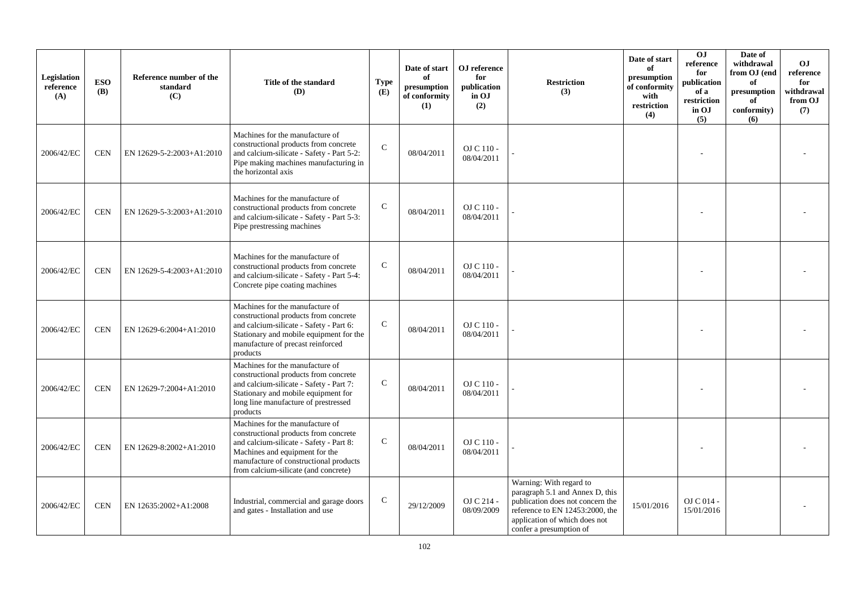| Legislation<br>reference<br>(A) | <b>ESO</b><br><b>(B)</b> | Reference number of the<br>standard<br>(C) | Title of the standard<br>(D)                                                                                                                                                                                                            | <b>Type</b><br>(E) | Date of start<br>of<br>presumption<br>of conformity<br>(1) | OJ reference<br>for<br>publication<br>in OJ<br>(2) | <b>Restriction</b><br>(3)                                                                                                                                                                     | Date of start<br>of<br>presumption<br>of conformity<br>with<br>restriction<br>(4) | OJ<br>reference<br>for<br>publication<br>of a<br>restriction<br>in OJ<br>(5) | Date of<br>withdrawal<br>from OJ (end<br>of<br>presumption<br>of<br>conformity)<br>(6) | O <sub>J</sub><br>reference<br>for<br>withdrawal<br>from OJ<br>(7) |
|---------------------------------|--------------------------|--------------------------------------------|-----------------------------------------------------------------------------------------------------------------------------------------------------------------------------------------------------------------------------------------|--------------------|------------------------------------------------------------|----------------------------------------------------|-----------------------------------------------------------------------------------------------------------------------------------------------------------------------------------------------|-----------------------------------------------------------------------------------|------------------------------------------------------------------------------|----------------------------------------------------------------------------------------|--------------------------------------------------------------------|
| 2006/42/EC                      | <b>CEN</b>               | EN 12629-5-2:2003+A1:2010                  | Machines for the manufacture of<br>constructional products from concrete<br>and calcium-silicate - Safety - Part 5-2:<br>Pipe making machines manufacturing in<br>the horizontal axis                                                   | $\mathcal{C}$      | 08/04/2011                                                 | OJ C 110 -<br>08/04/2011                           |                                                                                                                                                                                               |                                                                                   |                                                                              |                                                                                        |                                                                    |
| 2006/42/EC                      | <b>CEN</b>               | EN 12629-5-3:2003+A1:2010                  | Machines for the manufacture of<br>constructional products from concrete<br>and calcium-silicate - Safety - Part 5-3:<br>Pipe prestressing machines                                                                                     | $\mathcal{C}$      | 08/04/2011                                                 | OJ C 110 -<br>08/04/2011                           |                                                                                                                                                                                               |                                                                                   |                                                                              |                                                                                        |                                                                    |
| 2006/42/EC                      | <b>CEN</b>               | EN 12629-5-4:2003+A1:2010                  | Machines for the manufacture of<br>constructional products from concrete<br>and calcium-silicate - Safety - Part 5-4:<br>Concrete pipe coating machines                                                                                 | $\mathbf C$        | 08/04/2011                                                 | OJ C 110 -<br>08/04/2011                           |                                                                                                                                                                                               |                                                                                   |                                                                              |                                                                                        |                                                                    |
| 2006/42/EC                      | <b>CEN</b>               | EN 12629-6:2004+A1:2010                    | Machines for the manufacture of<br>constructional products from concrete<br>and calcium-silicate - Safety - Part 6:<br>Stationary and mobile equipment for the<br>manufacture of precast reinforced<br>products                         | $\mathsf{C}$       | 08/04/2011                                                 | OJ C 110 -<br>08/04/2011                           |                                                                                                                                                                                               |                                                                                   |                                                                              |                                                                                        |                                                                    |
| 2006/42/EC                      | <b>CEN</b>               | EN 12629-7:2004+A1:2010                    | Machines for the manufacture of<br>constructional products from concrete<br>and calcium-silicate - Safety - Part 7:<br>Stationary and mobile equipment for<br>long line manufacture of prestressed<br>products                          | $\mathsf{C}$       | 08/04/2011                                                 | OJ C 110 -<br>08/04/2011                           |                                                                                                                                                                                               |                                                                                   |                                                                              |                                                                                        |                                                                    |
| 2006/42/EC                      | <b>CEN</b>               | EN 12629-8:2002+A1:2010                    | Machines for the manufacture of<br>constructional products from concrete<br>and calcium-silicate - Safety - Part 8:<br>Machines and equipment for the<br>manufacture of constructional products<br>from calcium-silicate (and concrete) | $\mathsf{C}$       | 08/04/2011                                                 | OJ C 110 -<br>08/04/2011                           |                                                                                                                                                                                               |                                                                                   |                                                                              |                                                                                        |                                                                    |
| 2006/42/EC                      | <b>CEN</b>               | EN 12635:2002+A1:2008                      | Industrial, commercial and garage doors<br>and gates - Installation and use                                                                                                                                                             | $\mathsf{C}$       | 29/12/2009                                                 | OJ C 214 -<br>08/09/2009                           | Warning: With regard to<br>paragraph 5.1 and Annex D, this<br>publication does not concern the<br>reference to EN 12453:2000, the<br>application of which does not<br>confer a presumption of | 15/01/2016                                                                        | OJ C 014 -<br>15/01/2016                                                     |                                                                                        |                                                                    |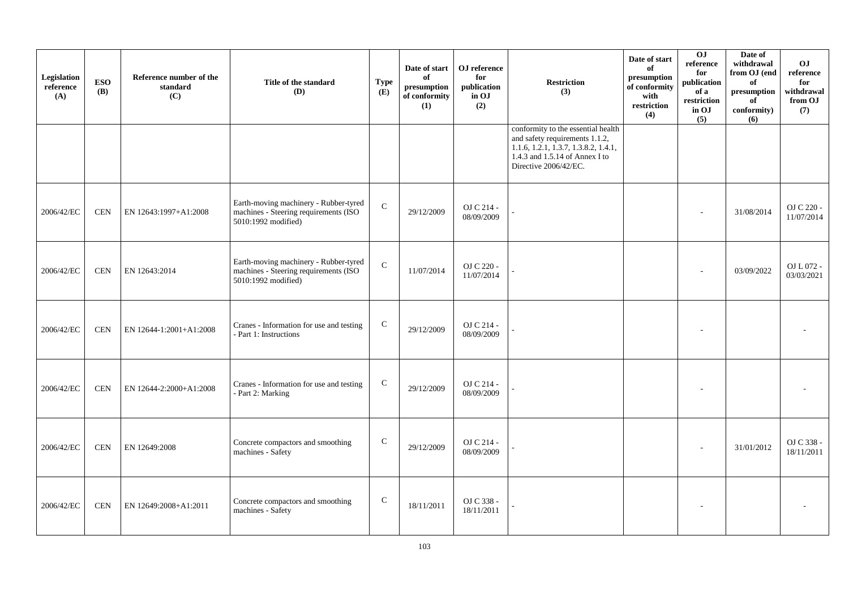| Legislation<br>reference<br>(A) | <b>ESO</b><br><b>(B)</b> | Reference number of the<br>standard<br>(C) | Title of the standard<br>(D)                                                                          | <b>Type</b><br>(E) | Date of start<br>of<br>presumption<br>of conformity<br>(1) | OJ reference<br>for<br>publication<br>in OJ<br>(2) | <b>Restriction</b><br>(3)                                                                                                                                                              | Date of start<br>of<br>presumption<br>of conformity<br>with<br>restriction<br>(4) | 0J<br>reference<br>for<br>publication<br>of a<br>restriction<br>in OJ<br>(5) | Date of<br>withdrawal<br>from OJ (end<br>of<br>$\,$ presumption<br>of<br>conformity)<br>(6) | O <sub>J</sub><br>reference<br>for<br>withdrawal<br>from OJ<br>(7) |
|---------------------------------|--------------------------|--------------------------------------------|-------------------------------------------------------------------------------------------------------|--------------------|------------------------------------------------------------|----------------------------------------------------|----------------------------------------------------------------------------------------------------------------------------------------------------------------------------------------|-----------------------------------------------------------------------------------|------------------------------------------------------------------------------|---------------------------------------------------------------------------------------------|--------------------------------------------------------------------|
|                                 |                          |                                            |                                                                                                       |                    |                                                            |                                                    | conformity to the essential health<br>and safety requirements 1.1.2,<br>$1.1.6$ , $1.2.1$ , $1.3.7$ , $1.3.8.2$ , $1.4.1$ ,<br>1.4.3 and 1.5.14 of Annex I to<br>Directive 2006/42/EC. |                                                                                   |                                                                              |                                                                                             |                                                                    |
| 2006/42/EC                      | <b>CEN</b>               | EN 12643:1997+A1:2008                      | Earth-moving machinery - Rubber-tyred<br>machines - Steering requirements (ISO<br>5010:1992 modified) | $\mathbf C$        | 29/12/2009                                                 | OJ C 214 -<br>08/09/2009                           |                                                                                                                                                                                        |                                                                                   |                                                                              | 31/08/2014                                                                                  | OJ C 220 -<br>11/07/2014                                           |
| 2006/42/EC                      | <b>CEN</b>               | EN 12643:2014                              | Earth-moving machinery - Rubber-tyred<br>machines - Steering requirements (ISO<br>5010:1992 modified) | $\mathcal{C}$      | 11/07/2014                                                 | OJ C 220 -<br>11/07/2014                           |                                                                                                                                                                                        |                                                                                   |                                                                              | 03/09/2022                                                                                  | OJ L 072 -<br>03/03/2021                                           |
| 2006/42/EC                      | <b>CEN</b>               | EN 12644-1:2001+A1:2008                    | Cranes - Information for use and testing<br>- Part 1: Instructions                                    | $\mathsf{C}$       | 29/12/2009                                                 | OJ C 214 -<br>08/09/2009                           |                                                                                                                                                                                        |                                                                                   |                                                                              |                                                                                             |                                                                    |
| 2006/42/EC                      | <b>CEN</b>               | EN 12644-2:2000+A1:2008                    | Cranes - Information for use and testing<br>- Part 2: Marking                                         | $\mathbf C$        | 29/12/2009                                                 | OJ C 214 -<br>08/09/2009                           |                                                                                                                                                                                        |                                                                                   |                                                                              |                                                                                             |                                                                    |
| 2006/42/EC                      | <b>CEN</b>               | EN 12649:2008                              | Concrete compactors and smoothing<br>machines - Safety                                                | $\mathbf C$        | 29/12/2009                                                 | OJ C 214 -<br>08/09/2009                           |                                                                                                                                                                                        |                                                                                   |                                                                              | 31/01/2012                                                                                  | OJ C 338 -<br>18/11/2011                                           |
| 2006/42/EC                      | <b>CEN</b>               | EN 12649:2008+A1:2011                      | Concrete compactors and smoothing<br>machines - Safety                                                | $\mathbf C$        | 18/11/2011                                                 | OJ C 338 -<br>18/11/2011                           |                                                                                                                                                                                        |                                                                                   |                                                                              |                                                                                             |                                                                    |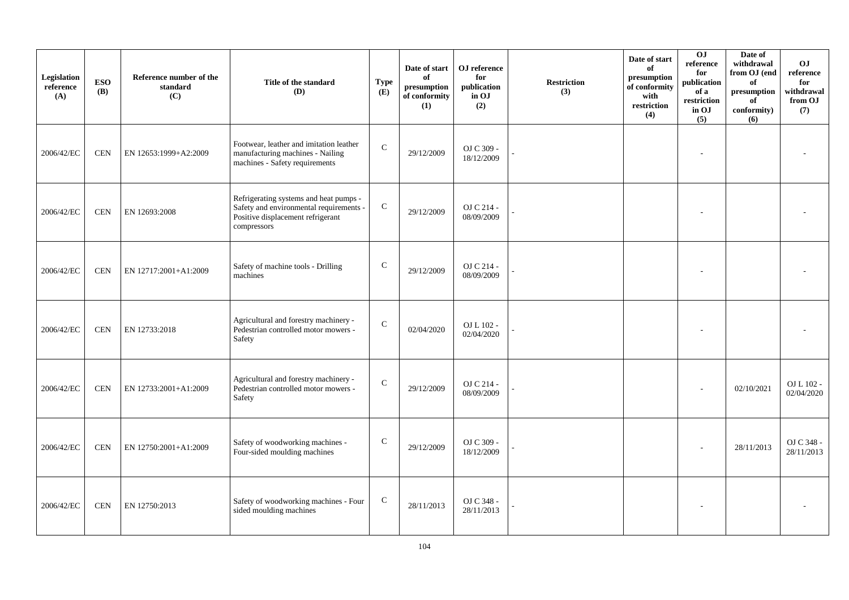| Legislation<br>reference<br>(A) | <b>ESO</b><br><b>(B)</b> | Reference number of the<br>standard<br>(C) | Title of the standard<br>(D)                                                                                                          | Type<br>(E)   | Date of start<br>of<br>$\,$ presumption<br>of conformity<br>(1) | OJ reference<br>for<br>publication<br>in OJ<br>(2) | Restriction<br>(3) | Date of start<br>of<br>presumption<br>of conformity<br>with<br>restriction<br>(4) | 0J<br>reference<br>for<br>publication<br>of a<br>restriction<br>in OJ<br>(5) | Date of<br>withdrawal<br>from OJ (end<br>of<br>$\,$ presumption<br>of<br>conformity)<br>(6) | O <sub>J</sub><br>reference<br>for<br>withdrawal<br>from OJ<br>(7) |
|---------------------------------|--------------------------|--------------------------------------------|---------------------------------------------------------------------------------------------------------------------------------------|---------------|-----------------------------------------------------------------|----------------------------------------------------|--------------------|-----------------------------------------------------------------------------------|------------------------------------------------------------------------------|---------------------------------------------------------------------------------------------|--------------------------------------------------------------------|
| 2006/42/EC                      | <b>CEN</b>               | EN 12653:1999+A2:2009                      | Footwear, leather and imitation leather<br>manufacturing machines - Nailing<br>machines - Safety requirements                         | $\mathbf C$   | 29/12/2009                                                      | OJ C 309 -<br>18/12/2009                           |                    |                                                                                   |                                                                              |                                                                                             |                                                                    |
| 2006/42/EC                      | $\mbox{CEN}$             | EN 12693:2008                              | Refrigerating systems and heat pumps -<br>Safety and environmental requirements -<br>Positive displacement refrigerant<br>compressors | ${\bf C}$     | 29/12/2009                                                      | OJ C 214 -<br>08/09/2009                           |                    |                                                                                   |                                                                              |                                                                                             |                                                                    |
| 2006/42/EC                      | <b>CEN</b>               | EN 12717:2001+A1:2009                      | Safety of machine tools - Drilling<br>machines                                                                                        | $\mathsf{C}$  | 29/12/2009                                                      | OJ C 214 -<br>08/09/2009                           |                    |                                                                                   |                                                                              |                                                                                             |                                                                    |
| 2006/42/EC                      | <b>CEN</b>               | EN 12733:2018                              | Agricultural and forestry machinery -<br>Pedestrian controlled motor mowers -<br>Safety                                               | $\mathcal{C}$ | 02/04/2020                                                      | OJ L 102 -<br>02/04/2020                           |                    |                                                                                   |                                                                              |                                                                                             |                                                                    |
| 2006/42/EC                      | <b>CEN</b>               | EN 12733:2001+A1:2009                      | Agricultural and forestry machinery -<br>Pedestrian controlled motor mowers -<br>Safety                                               | $\mathsf C$   | 29/12/2009                                                      | OJ C 214 -<br>08/09/2009                           |                    |                                                                                   |                                                                              | 02/10/2021                                                                                  | OJ L 102 -<br>02/04/2020                                           |
| 2006/42/EC                      | <b>CEN</b>               | EN 12750:2001+A1:2009                      | Safety of woodworking machines -<br>Four-sided moulding machines                                                                      | $\mathsf{C}$  | 29/12/2009                                                      | OJ C 309 -<br>18/12/2009                           |                    |                                                                                   |                                                                              | 28/11/2013                                                                                  | OJ C 348 -<br>28/11/2013                                           |
| 2006/42/EC                      | <b>CEN</b>               | EN 12750:2013                              | Safety of woodworking machines - Four<br>sided moulding machines                                                                      | $\mathbf C$   | 28/11/2013                                                      | OJ C 348 -<br>28/11/2013                           |                    |                                                                                   |                                                                              |                                                                                             |                                                                    |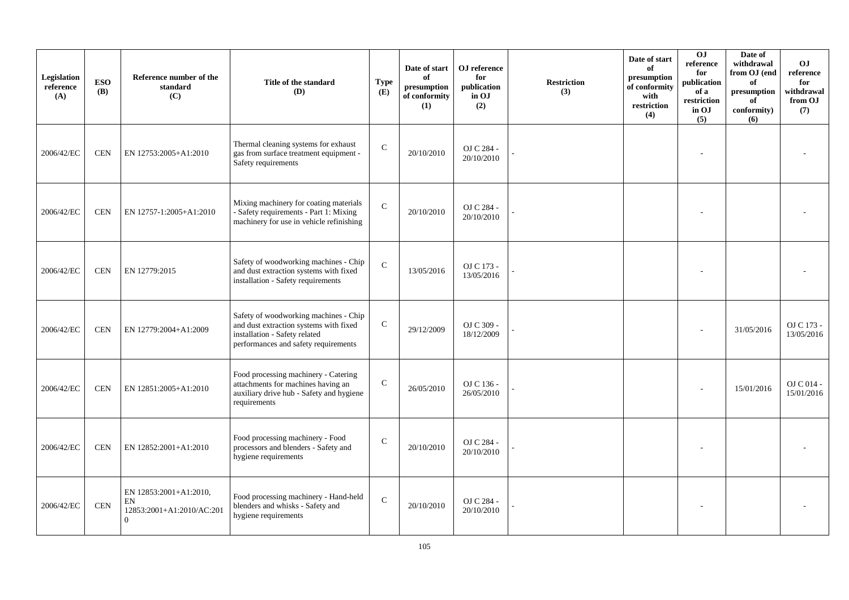| Legislation<br>reference<br>(A) | <b>ESO</b><br><b>(B)</b> | Reference number of the<br>standard<br>(C)                     | Title of the standard<br>(D)                                                                                                                             | <b>Type</b><br>(E) | Date of start<br>of<br>presumption<br>of conformity<br>(1) | OJ reference<br>for<br>publication<br>in OJ<br>(2) | Restriction<br>(3) | Date of start<br>of<br>presumption<br>of conformity<br>with<br>restriction<br>(4) | OJ<br>reference<br>for<br>publication<br>of a<br>restriction<br>in OJ<br>(5) | Date of<br>withdrawal<br>from OJ (end<br>of<br>presumption<br>of<br>conformity)<br>(6) | OJ.<br>reference<br>for<br>withdrawal<br>from OJ<br>(7) |
|---------------------------------|--------------------------|----------------------------------------------------------------|----------------------------------------------------------------------------------------------------------------------------------------------------------|--------------------|------------------------------------------------------------|----------------------------------------------------|--------------------|-----------------------------------------------------------------------------------|------------------------------------------------------------------------------|----------------------------------------------------------------------------------------|---------------------------------------------------------|
| 2006/42/EC                      | <b>CEN</b>               | EN 12753:2005+A1:2010                                          | Thermal cleaning systems for exhaust<br>gas from surface treatment equipment -<br>Safety requirements                                                    | ${\bf C}$          | 20/10/2010                                                 | OJ C 284 -<br>20/10/2010                           |                    |                                                                                   |                                                                              |                                                                                        |                                                         |
| 2006/42/EC                      | $\mbox{CEN}$             | EN 12757-1:2005+A1:2010                                        | Mixing machinery for coating materials<br>- Safety requirements - Part 1: Mixing<br>machinery for use in vehicle refinishing                             | ${\bf C}$          | 20/10/2010                                                 | OJ C 284 -<br>20/10/2010                           |                    |                                                                                   |                                                                              |                                                                                        |                                                         |
| 2006/42/EC                      | <b>CEN</b>               | EN 12779:2015                                                  | Safety of woodworking machines - Chip<br>and dust extraction systems with fixed<br>installation - Safety requirements                                    | $\mathbf C$        | 13/05/2016                                                 | OJ C 173 -<br>13/05/2016                           |                    |                                                                                   |                                                                              |                                                                                        |                                                         |
| 2006/42/EC                      | <b>CEN</b>               | EN 12779:2004+A1:2009                                          | Safety of woodworking machines - Chip<br>and dust extraction systems with fixed<br>installation - Safety related<br>performances and safety requirements | $\mathsf{C}$       | 29/12/2009                                                 | OJ C 309 -<br>18/12/2009                           |                    |                                                                                   |                                                                              | 31/05/2016                                                                             | OJ C 173 -<br>13/05/2016                                |
| 2006/42/EC                      | <b>CEN</b>               | EN 12851:2005+A1:2010                                          | Food processing machinery - Catering<br>attachments for machines having an<br>auxiliary drive hub - Safety and hygiene<br>requirements                   | $\mathcal{C}$      | 26/05/2010                                                 | OJ C 136 -<br>26/05/2010                           |                    |                                                                                   |                                                                              | 15/01/2016                                                                             | OJ C 014 -<br>15/01/2016                                |
| 2006/42/EC                      | <b>CEN</b>               | EN 12852:2001+A1:2010                                          | Food processing machinery - Food<br>processors and blenders - Safety and<br>hygiene requirements                                                         | $\mathsf C$        | 20/10/2010                                                 | OJ C 284 -<br>20/10/2010                           |                    |                                                                                   |                                                                              |                                                                                        |                                                         |
| 2006/42/EC                      | <b>CEN</b>               | EN 12853:2001+A1:2010,<br>EN<br>12853:2001+A1:2010/AC:201<br>0 | Food processing machinery - Hand-held<br>blenders and whisks - Safety and<br>hygiene requirements                                                        | $\mathbf C$        | 20/10/2010                                                 | OJ C 284 -<br>20/10/2010                           |                    |                                                                                   |                                                                              |                                                                                        |                                                         |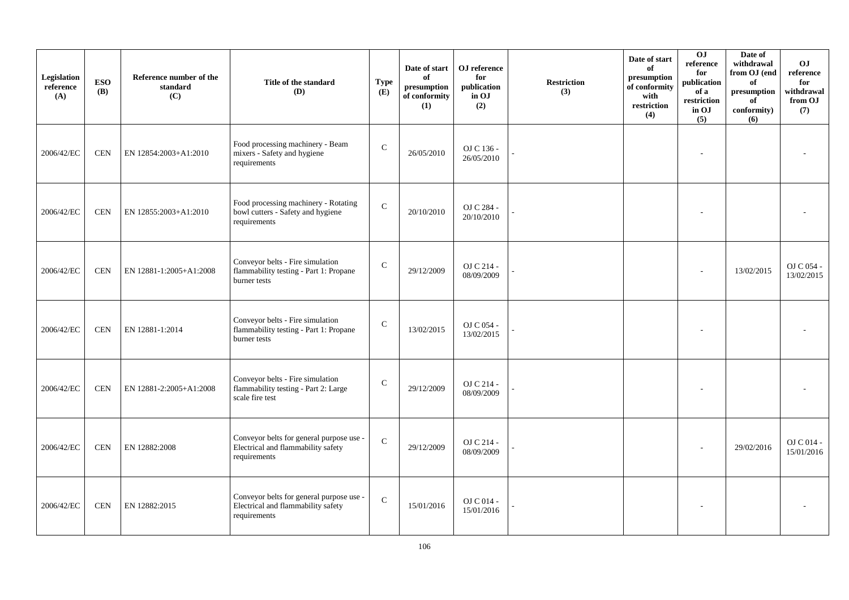| Legislation<br>reference<br>(A) | <b>ESO</b><br><b>(B)</b> | Reference number of the<br>standard<br>(C) | Title of the standard<br>(D)                                                                   | <b>Type</b><br>(E) | Date of start<br>of<br>$\bf{presumption}$<br>of conformity<br>(1) | OJ reference<br>for<br>publication<br>in OJ<br>(2) | <b>Restriction</b><br>(3) | Date of start<br>of<br>presumption<br>of conformity<br>with<br>restriction<br>(4) | 0 <sub>1</sub><br>reference<br>for<br>publication<br>of a<br>restriction<br>in OJ<br>(5) | Date of<br>withdrawal<br>from OJ (end<br>of<br>presumption<br>of<br>conformity)<br>(6) | <b>OJ</b><br>reference<br>for<br>withdrawal<br>from OJ<br>(7) |
|---------------------------------|--------------------------|--------------------------------------------|------------------------------------------------------------------------------------------------|--------------------|-------------------------------------------------------------------|----------------------------------------------------|---------------------------|-----------------------------------------------------------------------------------|------------------------------------------------------------------------------------------|----------------------------------------------------------------------------------------|---------------------------------------------------------------|
| 2006/42/EC                      | <b>CEN</b>               | EN 12854:2003+A1:2010                      | Food processing machinery - Beam<br>mixers - Safety and hygiene<br>requirements                | $\mathbf C$        | 26/05/2010                                                        | OJ C 136 -<br>26/05/2010                           |                           |                                                                                   | $\overline{\phantom{a}}$                                                                 |                                                                                        |                                                               |
| 2006/42/EC                      | <b>CEN</b>               | EN 12855:2003+A1:2010                      | Food processing machinery - Rotating<br>bowl cutters - Safety and hygiene<br>requirements      | $\mathbf C$        | 20/10/2010                                                        | OJ C 284 -<br>20/10/2010                           |                           |                                                                                   | $\overline{\phantom{a}}$                                                                 |                                                                                        |                                                               |
| 2006/42/EC                      | <b>CEN</b>               | EN 12881-1:2005+A1:2008                    | Conveyor belts - Fire simulation<br>flammability testing - Part 1: Propane<br>burner tests     | $\mathsf{C}$       | 29/12/2009                                                        | OJ C 214 -<br>08/09/2009                           |                           |                                                                                   | $\sim$                                                                                   | 13/02/2015                                                                             | OJ C 054 -<br>13/02/2015                                      |
| 2006/42/EC                      | <b>CEN</b>               | EN 12881-1:2014                            | Conveyor belts - Fire simulation<br>flammability testing - Part 1: Propane<br>burner tests     | $\mathsf{C}$       | 13/02/2015                                                        | OJ C 054 -<br>13/02/2015                           |                           |                                                                                   | $\overline{\phantom{a}}$                                                                 |                                                                                        |                                                               |
| 2006/42/EC                      | <b>CEN</b>               | EN 12881-2:2005+A1:2008                    | Conveyor belts - Fire simulation<br>flammability testing - Part 2: Large<br>scale fire test    | $\mathbf C$        | 29/12/2009                                                        | OJ C 214 -<br>08/09/2009                           |                           |                                                                                   | $\overline{\phantom{a}}$                                                                 |                                                                                        |                                                               |
| 2006/42/EC                      | <b>CEN</b>               | EN 12882:2008                              | Conveyor belts for general purpose use -<br>Electrical and flammability safety<br>requirements | $\mathbf C$        | 29/12/2009                                                        | OJ C 214 -<br>08/09/2009                           |                           |                                                                                   |                                                                                          | 29/02/2016                                                                             | $OJ C 014 -$<br>15/01/2016                                    |
| 2006/42/EC                      | <b>CEN</b>               | EN 12882:2015                              | Conveyor belts for general purpose use -<br>Electrical and flammability safety<br>requirements | $\mathbf C$        | 15/01/2016                                                        | OJ C 014 -<br>15/01/2016                           |                           |                                                                                   | $\overline{\phantom{a}}$                                                                 |                                                                                        |                                                               |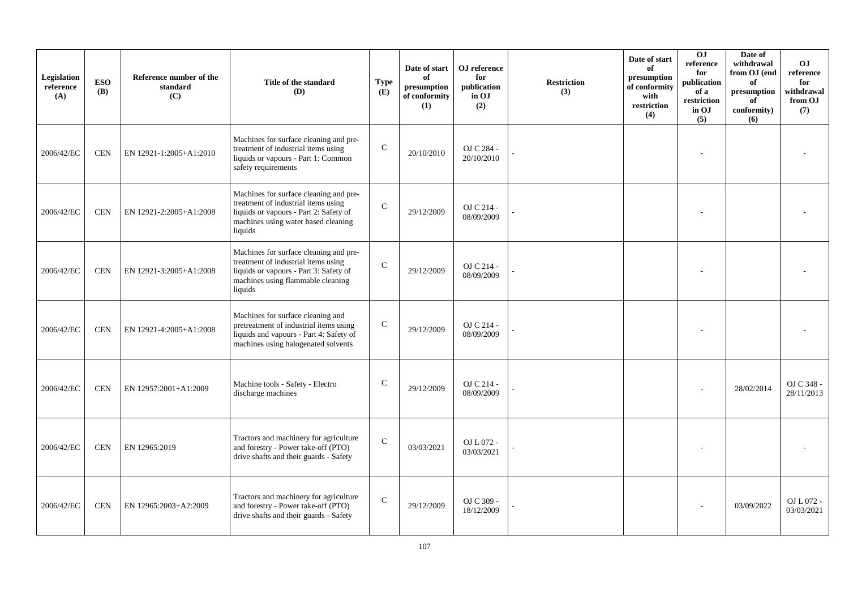| Legislation<br>reference<br>(A) | <b>ESO</b><br><b>(B)</b> | Reference number of the<br>standard<br>(C) | Title of the standard<br>(D)                                                                                                                                              | <b>Type</b><br>(E) | Date of start<br>of<br>presumption<br>of conformity<br>(1) | OJ reference<br>for<br>publication<br>in OJ<br>(2) | <b>Restriction</b><br>(3) | Date of start<br>of<br>presumption<br>of conformity<br>with<br>restriction<br>(4) | <b>OJ</b><br>reference<br>for<br>publication<br>of a<br>restriction<br>in OJ<br>(5) | Date of<br>withdrawal<br>from OJ (end<br>of<br>presumption<br>of<br>conformity)<br>(6) | <b>OJ</b><br>reference<br>for<br>withdrawal<br>from OJ<br>(7) |
|---------------------------------|--------------------------|--------------------------------------------|---------------------------------------------------------------------------------------------------------------------------------------------------------------------------|--------------------|------------------------------------------------------------|----------------------------------------------------|---------------------------|-----------------------------------------------------------------------------------|-------------------------------------------------------------------------------------|----------------------------------------------------------------------------------------|---------------------------------------------------------------|
| 2006/42/EC                      | <b>CEN</b>               | EN 12921-1:2005+A1:2010                    | Machines for surface cleaning and pre-<br>treatment of industrial items using<br>liquids or vapours - Part 1: Common<br>safety requirements                               | $\mathbf C$        | 20/10/2010                                                 | OJ C 284 -<br>20/10/2010                           |                           |                                                                                   |                                                                                     |                                                                                        |                                                               |
| 2006/42/EC                      | <b>CEN</b>               | EN 12921-2:2005+A1:2008                    | Machines for surface cleaning and pre-<br>treatment of industrial items using<br>liquids or vapours - Part 2: Safety of<br>machines using water based cleaning<br>liquids | $\mathbf C$        | 29/12/2009                                                 | OJ C 214 -<br>08/09/2009                           |                           |                                                                                   |                                                                                     |                                                                                        |                                                               |
| 2006/42/EC                      | <b>CEN</b>               | EN 12921-3:2005+A1:2008                    | Machines for surface cleaning and pre-<br>treatment of industrial items using<br>liquids or vapours - Part 3: Safety of<br>machines using flammable cleaning<br>liquids   | $\mathcal{C}$      | 29/12/2009                                                 | OJ C 214 -<br>08/09/2009                           |                           |                                                                                   |                                                                                     |                                                                                        |                                                               |
| 2006/42/EC                      | <b>CEN</b>               | EN 12921-4:2005+A1:2008                    | Machines for surface cleaning and<br>pretreatment of industrial items using<br>liquids and vapours - Part 4: Safety of<br>machines using halogenated solvents             | $\mathsf{C}$       | 29/12/2009                                                 | OJ C 214 -<br>08/09/2009                           |                           |                                                                                   |                                                                                     |                                                                                        |                                                               |
| 2006/42/EC                      | <b>CEN</b>               | EN 12957:2001+A1:2009                      | Machine tools - Safety - Electro<br>discharge machines                                                                                                                    | $\mathsf{C}$       | 29/12/2009                                                 | OJ C 214 -<br>08/09/2009                           |                           |                                                                                   |                                                                                     | 28/02/2014                                                                             | OJ C 348 -<br>28/11/2013                                      |
| 2006/42/EC                      | <b>CEN</b>               | EN 12965:2019                              | Tractors and machinery for agriculture<br>and forestry - Power take-off (PTO)<br>drive shafts and their guards - Safety                                                   | $\mathcal{C}$      | 03/03/2021                                                 | OJ L 072 -<br>03/03/2021                           |                           |                                                                                   |                                                                                     |                                                                                        |                                                               |
| 2006/42/EC                      | <b>CEN</b>               | EN 12965:2003+A2:2009                      | Tractors and machinery for agriculture<br>and forestry - Power take-off (PTO)<br>drive shafts and their guards - Safety                                                   | $\mathbf C$        | 29/12/2009                                                 | OJ C 309 -<br>18/12/2009                           |                           |                                                                                   |                                                                                     | 03/09/2022                                                                             | OJ L 072 -<br>03/03/2021                                      |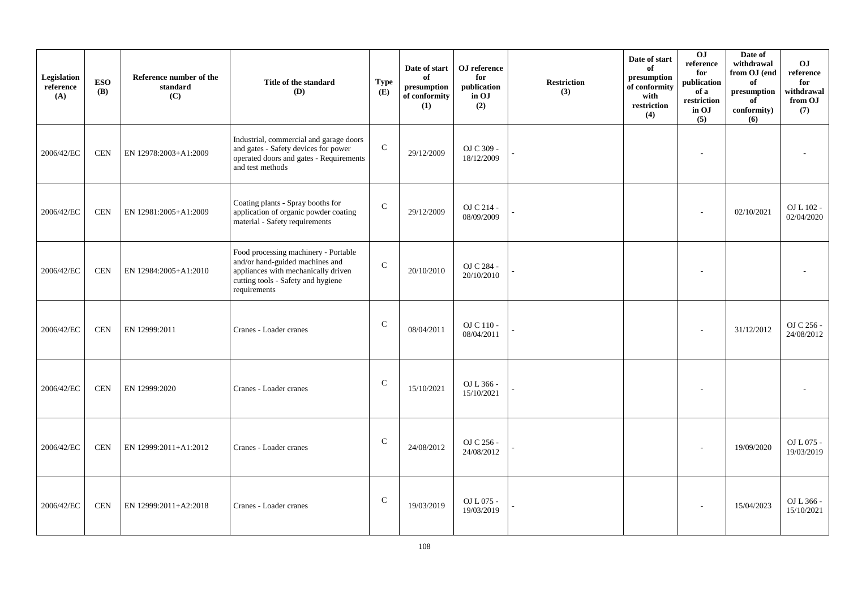| Legislation<br>reference<br>(A) | <b>ESO</b><br><b>(B)</b> | Reference number of the<br>standard<br>(C) | Title of the standard<br>(D)                                                                                                                                         | <b>Type</b><br>(E) | Date of start<br>of<br>$\bf{presumption}$<br>of conformity<br>(1) | OJ reference<br>for<br>publication<br>in OJ<br>(2) | <b>Restriction</b><br>(3) | Date of start<br>of<br>presumption<br>of conformity<br>with<br>restriction<br>(4) | 0J<br>$\rm reference$<br>for<br>publication<br>of a<br>restriction<br>in OJ<br>(5) | Date of<br>withdrawal<br>from OJ (end<br>of<br>presumption<br>of<br>conformity)<br>(6) | <b>OJ</b><br>reference<br>for<br>withdrawal<br>from OJ<br>(7) |
|---------------------------------|--------------------------|--------------------------------------------|----------------------------------------------------------------------------------------------------------------------------------------------------------------------|--------------------|-------------------------------------------------------------------|----------------------------------------------------|---------------------------|-----------------------------------------------------------------------------------|------------------------------------------------------------------------------------|----------------------------------------------------------------------------------------|---------------------------------------------------------------|
| 2006/42/EC                      | <b>CEN</b>               | EN 12978:2003+A1:2009                      | Industrial, commercial and garage doors<br>and gates - Safety devices for power<br>operated doors and gates - Requirements<br>and test methods                       | $\mathsf{C}$       | 29/12/2009                                                        | OJ C 309 -<br>18/12/2009                           |                           |                                                                                   |                                                                                    |                                                                                        |                                                               |
| 2006/42/EC                      | <b>CEN</b>               | EN 12981:2005+A1:2009                      | Coating plants - Spray booths for<br>application of organic powder coating<br>material - Safety requirements                                                         | $\mathsf{C}$       | 29/12/2009                                                        | OJ C 214 -<br>08/09/2009                           |                           |                                                                                   |                                                                                    | 02/10/2021                                                                             | OJ L 102 -<br>02/04/2020                                      |
| 2006/42/EC                      | <b>CEN</b>               | EN 12984:2005+A1:2010                      | Food processing machinery - Portable<br>and/or hand-guided machines and<br>appliances with mechanically driven<br>cutting tools - Safety and hygiene<br>requirements | $\mathcal{C}$      | 20/10/2010                                                        | OJ C 284 -<br>20/10/2010                           |                           |                                                                                   |                                                                                    |                                                                                        |                                                               |
| 2006/42/EC                      | <b>CEN</b>               | EN 12999:2011                              | Cranes - Loader cranes                                                                                                                                               | $\mathsf{C}$       | 08/04/2011                                                        | OJ C 110 -<br>08/04/2011                           |                           |                                                                                   |                                                                                    | 31/12/2012                                                                             | OJ C 256 -<br>24/08/2012                                      |
| 2006/42/EC                      | <b>CEN</b>               | EN 12999:2020                              | Cranes - Loader cranes                                                                                                                                               | $\mathsf{C}$       | 15/10/2021                                                        | OJ L 366 -<br>15/10/2021                           |                           |                                                                                   |                                                                                    |                                                                                        |                                                               |
| 2006/42/EC                      | <b>CEN</b>               | EN 12999:2011+A1:2012                      | Cranes - Loader cranes                                                                                                                                               | $\mathsf{C}$       | 24/08/2012                                                        | OJ C 256 -<br>24/08/2012                           |                           |                                                                                   |                                                                                    | 19/09/2020                                                                             | OJ L 075 -<br>19/03/2019                                      |
| 2006/42/EC                      | <b>CEN</b>               | EN 12999:2011+A2:2018                      | Cranes - Loader cranes                                                                                                                                               | $\mathsf{C}$       | 19/03/2019                                                        | OJ L 075 -<br>19/03/2019                           |                           |                                                                                   |                                                                                    | 15/04/2023                                                                             | OJ L 366 -<br>15/10/2021                                      |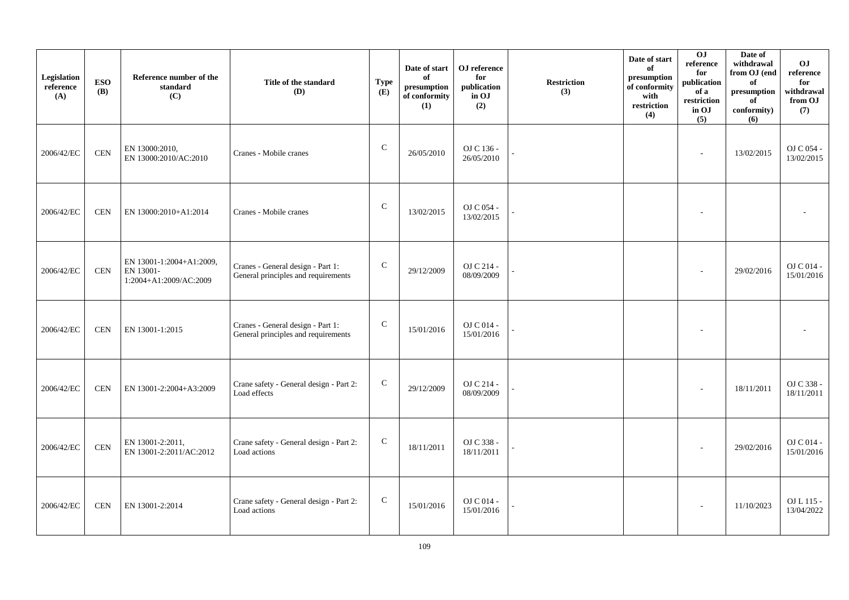| Legislation<br>reference<br>(A) | <b>ESO</b><br><b>(B)</b> | Reference number of the<br>standard<br>(C)                      | Title of the standard<br>(D)                                             | <b>Type</b><br>(E) | Date of start<br>of<br>presumption<br>of conformity<br>(1) | OJ reference<br>for<br>publication<br>in OJ<br>(2) | <b>Restriction</b><br>(3) | Date of start<br>of<br>presumption<br>of conformity<br>with<br>restriction<br>(4) | $\overline{0}$<br>$\rm reference$<br>for<br>publication<br>of a<br>restriction<br>in OJ<br>(5) | Date of<br>withdrawal<br>from OJ (end<br>of<br>$\mathbf{presumption}% \label{fig:ex1}%$<br>of<br>conformity)<br>(6) | OJ<br>reference<br>for<br>withdrawal<br>from OJ<br>(7) |
|---------------------------------|--------------------------|-----------------------------------------------------------------|--------------------------------------------------------------------------|--------------------|------------------------------------------------------------|----------------------------------------------------|---------------------------|-----------------------------------------------------------------------------------|------------------------------------------------------------------------------------------------|---------------------------------------------------------------------------------------------------------------------|--------------------------------------------------------|
| 2006/42/EC                      | $\mbox{CEN}$             | EN 13000:2010,<br>EN 13000:2010/AC:2010                         | Cranes - Mobile cranes                                                   | ${\bf C}$          | 26/05/2010                                                 | OJ C 136 -<br>26/05/2010                           |                           |                                                                                   | $\sim$                                                                                         | 13/02/2015                                                                                                          | OJ C 054 -<br>13/02/2015                               |
| 2006/42/EC                      | <b>CEN</b>               | EN 13000:2010+A1:2014                                           | Cranes - Mobile cranes                                                   | ${\bf C}$          | 13/02/2015                                                 | OJ C 054 -<br>13/02/2015                           |                           |                                                                                   |                                                                                                |                                                                                                                     |                                                        |
| 2006/42/EC                      | <b>CEN</b>               | EN 13001-1:2004+A1:2009,<br>EN 13001-<br>1:2004+A1:2009/AC:2009 | Cranes - General design - Part 1:<br>General principles and requirements | ${\bf C}$          | 29/12/2009                                                 | OJ C 214 -<br>08/09/2009                           |                           |                                                                                   |                                                                                                | 29/02/2016                                                                                                          | OJ C 014 -<br>15/01/2016                               |
| 2006/42/EC                      | <b>CEN</b>               | EN 13001-1:2015                                                 | Cranes - General design - Part 1:<br>General principles and requirements | ${\bf C}$          | 15/01/2016                                                 | OJ C 014 -<br>15/01/2016                           |                           |                                                                                   |                                                                                                |                                                                                                                     |                                                        |
| 2006/42/EC                      | <b>CEN</b>               | EN 13001-2:2004+A3:2009                                         | Crane safety - General design - Part 2:<br>Load effects                  | $\mathsf{C}$       | 29/12/2009                                                 | OJ C 214 -<br>08/09/2009                           |                           |                                                                                   | $\sim$                                                                                         | 18/11/2011                                                                                                          | OJ C 338 -<br>18/11/2011                               |
| 2006/42/EC                      | $\mbox{CEN}$             | EN 13001-2:2011,<br>EN 13001-2:2011/AC:2012                     | Crane safety - General design - Part 2:<br>Load actions                  | $\mathsf{C}$       | 18/11/2011                                                 | OJ C 338 -<br>18/11/2011                           |                           |                                                                                   |                                                                                                | 29/02/2016                                                                                                          | OJ C 014 -<br>15/01/2016                               |
| 2006/42/EC                      | <b>CEN</b>               | EN 13001-2:2014                                                 | Crane safety - General design - Part 2:<br>Load actions                  | $\mathsf{C}$       | 15/01/2016                                                 | OJ C 014 -<br>15/01/2016                           |                           |                                                                                   | $\overline{\phantom{a}}$                                                                       | 11/10/2023                                                                                                          | OJ L 115 -<br>13/04/2022                               |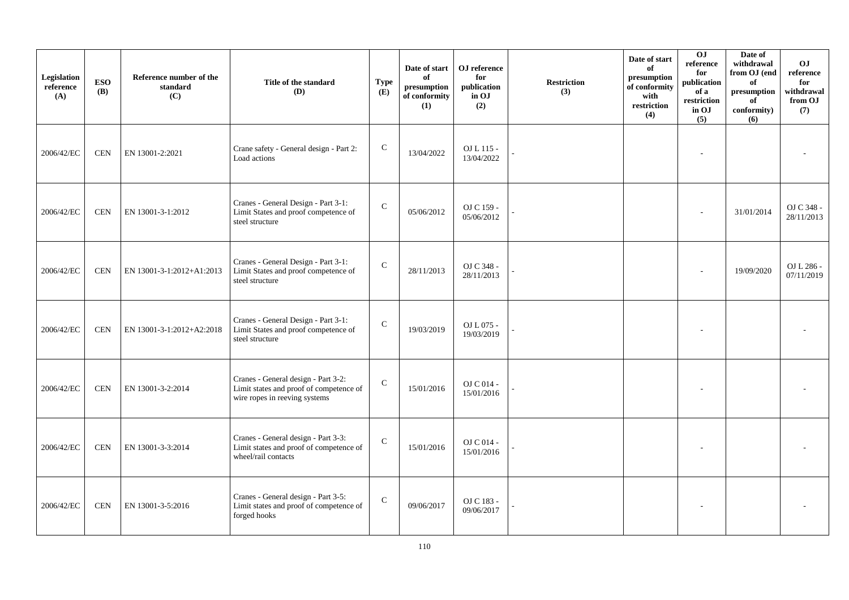| Legislation<br>reference<br>(A) | <b>ESO</b><br><b>(B)</b> | Reference number of the<br>standard<br>(C) | Title of the standard<br><b>(D)</b>                                                                             | <b>Type</b><br>(E) | Date of start<br>of<br>presumption<br>of conformity<br>(1) | OJ reference<br>for<br>publication<br>in OJ<br>(2) | <b>Restriction</b><br>(3) | Date of start<br>of<br>presumption<br>of conformity<br>with<br>restriction<br>(4) | 0J<br>reference<br>for<br>publication<br>of a<br>restriction<br>in OJ<br>(5) | Date of<br>withdrawal<br>from OJ (end<br>of<br>$\bf{presumption}$<br>of<br>conformity)<br>(6) | <b>OJ</b><br>reference<br>for<br>withdrawal<br>from OJ<br>(7) |
|---------------------------------|--------------------------|--------------------------------------------|-----------------------------------------------------------------------------------------------------------------|--------------------|------------------------------------------------------------|----------------------------------------------------|---------------------------|-----------------------------------------------------------------------------------|------------------------------------------------------------------------------|-----------------------------------------------------------------------------------------------|---------------------------------------------------------------|
| 2006/42/EC                      | <b>CEN</b>               | EN 13001-2:2021                            | Crane safety - General design - Part 2:<br>Load actions                                                         | ${\bf C}$          | 13/04/2022                                                 | OJ L 115 -<br>13/04/2022                           |                           |                                                                                   |                                                                              |                                                                                               |                                                               |
| 2006/42/EC                      | <b>CEN</b>               | EN 13001-3-1:2012                          | Cranes - General Design - Part 3-1:<br>Limit States and proof competence of<br>steel structure                  | $\mathbf C$        | 05/06/2012                                                 | OJ C 159 -<br>05/06/2012                           |                           |                                                                                   |                                                                              | 31/01/2014                                                                                    | OJ C 348 -<br>28/11/2013                                      |
| 2006/42/EC                      | <b>CEN</b>               | EN 13001-3-1:2012+A1:2013                  | Cranes - General Design - Part 3-1:<br>Limit States and proof competence of<br>steel structure                  | $\mathsf{C}$       | 28/11/2013                                                 | OJ C 348 -<br>28/11/2013                           |                           |                                                                                   |                                                                              | 19/09/2020                                                                                    | OJ L 286 -<br>07/11/2019                                      |
| 2006/42/EC                      | <b>CEN</b>               | EN 13001-3-1:2012+A2:2018                  | Cranes - General Design - Part 3-1:<br>Limit States and proof competence of<br>steel structure                  | ${\bf C}$          | 19/03/2019                                                 | OJ L 075 -<br>19/03/2019                           |                           |                                                                                   |                                                                              |                                                                                               |                                                               |
| 2006/42/EC                      | <b>CEN</b>               | EN 13001-3-2:2014                          | Cranes - General design - Part 3-2:<br>Limit states and proof of competence of<br>wire ropes in reeving systems | $\mathcal{C}$      | 15/01/2016                                                 | OJ C 014 -<br>15/01/2016                           |                           |                                                                                   |                                                                              |                                                                                               |                                                               |
| 2006/42/EC                      | <b>CEN</b>               | EN 13001-3-3:2014                          | Cranes - General design - Part 3-3:<br>Limit states and proof of competence of<br>wheel/rail contacts           | $\mathsf{C}$       | 15/01/2016                                                 | OJ C 014 -<br>15/01/2016                           |                           |                                                                                   |                                                                              |                                                                                               |                                                               |
| 2006/42/EC                      | <b>CEN</b>               | EN 13001-3-5:2016                          | Cranes - General design - Part 3-5:<br>Limit states and proof of competence of<br>forged hooks                  | $\mathbf C$        | 09/06/2017                                                 | OJ C 183 -<br>09/06/2017                           |                           |                                                                                   |                                                                              |                                                                                               |                                                               |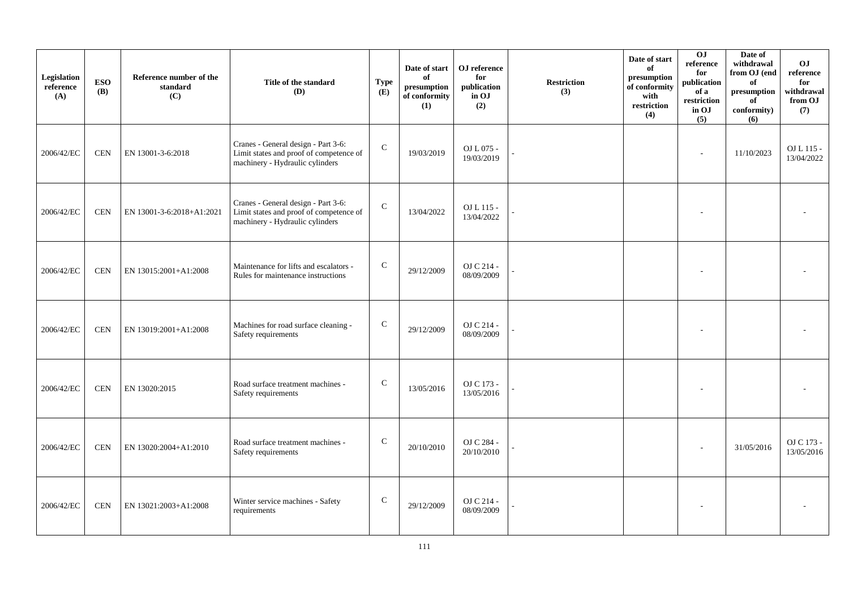| Legislation<br>reference<br>(A) | <b>ESO</b><br><b>(B)</b> | Reference number of the<br>standard<br>(C) | Title of the standard<br>(D)                                                                                      | Type<br>(E)   | Date of start<br>of<br>presumption<br>of conformity<br>(1) | OJ reference<br>for<br>publication<br>in OJ<br>(2) | <b>Restriction</b><br>(3) | Date of start<br>of<br>presumption<br>of conformity<br>with<br>restriction<br>(4) | 0J<br>reference<br>for<br>publication<br>of a<br>restriction<br>in OJ<br>(5) | Date of<br>withdrawal<br>from OJ (end<br>of<br>$\bf{presumption}$<br>of<br>conformity)<br>(6) | O <sub>J</sub><br>reference<br>for<br>withdrawal<br>from OJ<br>(7) |
|---------------------------------|--------------------------|--------------------------------------------|-------------------------------------------------------------------------------------------------------------------|---------------|------------------------------------------------------------|----------------------------------------------------|---------------------------|-----------------------------------------------------------------------------------|------------------------------------------------------------------------------|-----------------------------------------------------------------------------------------------|--------------------------------------------------------------------|
| 2006/42/EC                      | <b>CEN</b>               | EN 13001-3-6:2018                          | Cranes - General design - Part 3-6:<br>Limit states and proof of competence of<br>machinery - Hydraulic cylinders | $\mathcal{C}$ | 19/03/2019                                                 | OJ L 075 -<br>19/03/2019                           |                           |                                                                                   |                                                                              | 11/10/2023                                                                                    | OJ L 115 -<br>13/04/2022                                           |
| 2006/42/EC                      | <b>CEN</b>               | EN 13001-3-6:2018+A1:2021                  | Cranes - General design - Part 3-6:<br>Limit states and proof of competence of<br>machinery - Hydraulic cylinders | ${\bf C}$     | 13/04/2022                                                 | OJ L 115 -<br>13/04/2022                           |                           |                                                                                   |                                                                              |                                                                                               |                                                                    |
| 2006/42/EC                      | <b>CEN</b>               | EN 13015:2001+A1:2008                      | Maintenance for lifts and escalators -<br>Rules for maintenance instructions                                      | $\mathbf C$   | 29/12/2009                                                 | OJ C 214 -<br>08/09/2009                           |                           |                                                                                   |                                                                              |                                                                                               |                                                                    |
| 2006/42/EC                      | <b>CEN</b>               | EN 13019:2001+A1:2008                      | Machines for road surface cleaning -<br>Safety requirements                                                       | ${\bf C}$     | 29/12/2009                                                 | OJ C 214 -<br>08/09/2009                           |                           |                                                                                   |                                                                              |                                                                                               |                                                                    |
| 2006/42/EC                      | <b>CEN</b>               | EN 13020:2015                              | Road surface treatment machines -<br>Safety requirements                                                          | ${\bf C}$     | 13/05/2016                                                 | OJ C 173 -<br>13/05/2016                           |                           |                                                                                   |                                                                              |                                                                                               |                                                                    |
| 2006/42/EC                      | <b>CEN</b>               | EN 13020:2004+A1:2010                      | Road surface treatment machines -<br>Safety requirements                                                          | $\mathsf{C}$  | 20/10/2010                                                 | OJ C 284 -<br>20/10/2010                           |                           |                                                                                   |                                                                              | 31/05/2016                                                                                    | OJ C 173 -<br>13/05/2016                                           |
| 2006/42/EC                      | <b>CEN</b>               | EN 13021:2003+A1:2008                      | Winter service machines - Safety<br>requirements                                                                  | $\mathsf{C}$  | 29/12/2009                                                 | OJ C 214 -<br>08/09/2009                           |                           |                                                                                   |                                                                              |                                                                                               |                                                                    |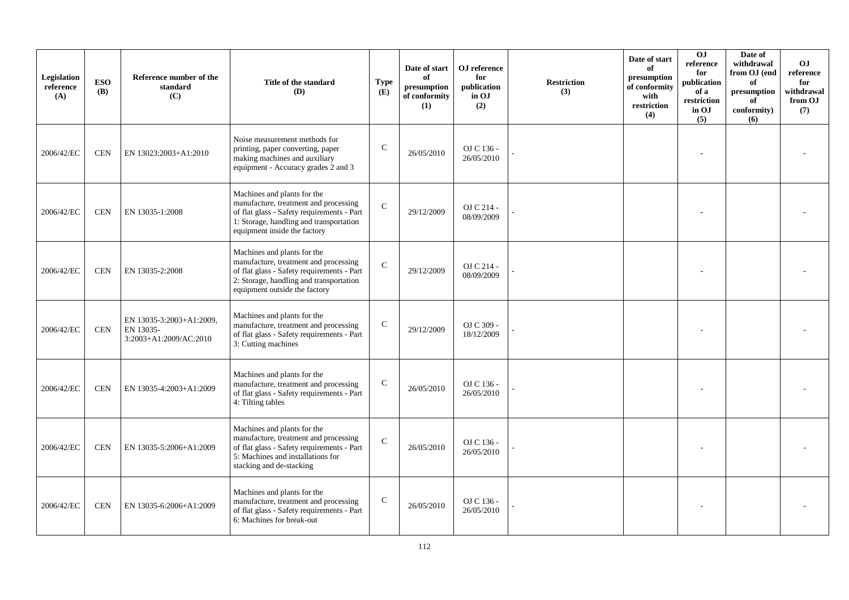| Legislation<br>reference<br>(A) | <b>ESO</b><br><b>(B)</b> | Reference number of the<br>standard<br>(C)                      | Title of the standard<br><b>(D)</b>                                                                                                                                                            | <b>Type</b><br>(E) | Date of start<br>of<br>presumption<br>of conformity<br>(1) | OJ reference<br>for<br>publication<br>in OJ<br>(2) | <b>Restriction</b><br>(3) | Date of start<br>of<br>presumption<br>of conformity<br>with<br>restriction<br>(4) | OJ<br>reference<br>for<br>publication<br>of a<br>restriction<br>in OJ<br>(5) | Date of<br>withdrawal<br>from OJ (end<br>of<br>presumption<br>of<br>conformity)<br>(6) | <b>OJ</b><br>reference<br>for<br>withdrawal<br>from OJ<br>(7) |
|---------------------------------|--------------------------|-----------------------------------------------------------------|------------------------------------------------------------------------------------------------------------------------------------------------------------------------------------------------|--------------------|------------------------------------------------------------|----------------------------------------------------|---------------------------|-----------------------------------------------------------------------------------|------------------------------------------------------------------------------|----------------------------------------------------------------------------------------|---------------------------------------------------------------|
| 2006/42/EC                      | <b>CEN</b>               | EN 13023:2003+A1:2010                                           | Noise measurement methods for<br>printing, paper converting, paper<br>making machines and auxiliary<br>equipment - Accuracy grades 2 and 3                                                     | $\mathsf{C}$       | 26/05/2010                                                 | OJ C 136 -<br>26/05/2010                           |                           |                                                                                   |                                                                              |                                                                                        |                                                               |
| 2006/42/EC                      | <b>CEN</b>               | EN 13035-1:2008                                                 | Machines and plants for the<br>manufacture, treatment and processing<br>of flat glass - Safety requirements - Part<br>1: Storage, handling and transportation<br>equipment inside the factory  | $\mathbf C$        | 29/12/2009                                                 | OJ C 214 -<br>08/09/2009                           |                           |                                                                                   |                                                                              |                                                                                        |                                                               |
| 2006/42/EC                      | <b>CEN</b>               | EN 13035-2:2008                                                 | Machines and plants for the<br>manufacture, treatment and processing<br>of flat glass - Safety requirements - Part<br>2: Storage, handling and transportation<br>equipment outside the factory | $\mathbf C$        | 29/12/2009                                                 | OJ C 214 -<br>08/09/2009                           |                           |                                                                                   |                                                                              |                                                                                        |                                                               |
| 2006/42/EC                      | <b>CEN</b>               | EN 13035-3:2003+A1:2009,<br>EN 13035-<br>3:2003+A1:2009/AC:2010 | Machines and plants for the<br>manufacture, treatment and processing<br>of flat glass - Safety requirements - Part<br>3: Cutting machines                                                      | $\mathsf{C}$       | 29/12/2009                                                 | OJ C 309 -<br>18/12/2009                           |                           |                                                                                   |                                                                              |                                                                                        |                                                               |
| 2006/42/EC                      | <b>CEN</b>               | EN 13035-4:2003+A1:2009                                         | Machines and plants for the<br>manufacture, treatment and processing<br>of flat glass - Safety requirements - Part<br>4: Tilting tables                                                        | $\mathbf C$        | 26/05/2010                                                 | OJ C 136 -<br>26/05/2010                           |                           |                                                                                   |                                                                              |                                                                                        |                                                               |
| 2006/42/EC                      | <b>CEN</b>               | EN 13035-5:2006+A1:2009                                         | Machines and plants for the<br>manufacture, treatment and processing<br>of flat glass - Safety requirements - Part<br>5: Machines and installations for<br>stacking and de-stacking            | $\mathbf C$        | 26/05/2010                                                 | OJ C 136 -<br>26/05/2010                           |                           |                                                                                   |                                                                              |                                                                                        |                                                               |
| 2006/42/EC                      | <b>CEN</b>               | EN 13035-6:2006+A1:2009                                         | Machines and plants for the<br>manufacture, treatment and processing<br>of flat glass - Safety requirements - Part<br>6: Machines for break-out                                                | $\mathbf C$        | 26/05/2010                                                 | OJ C 136 -<br>26/05/2010                           |                           |                                                                                   |                                                                              |                                                                                        |                                                               |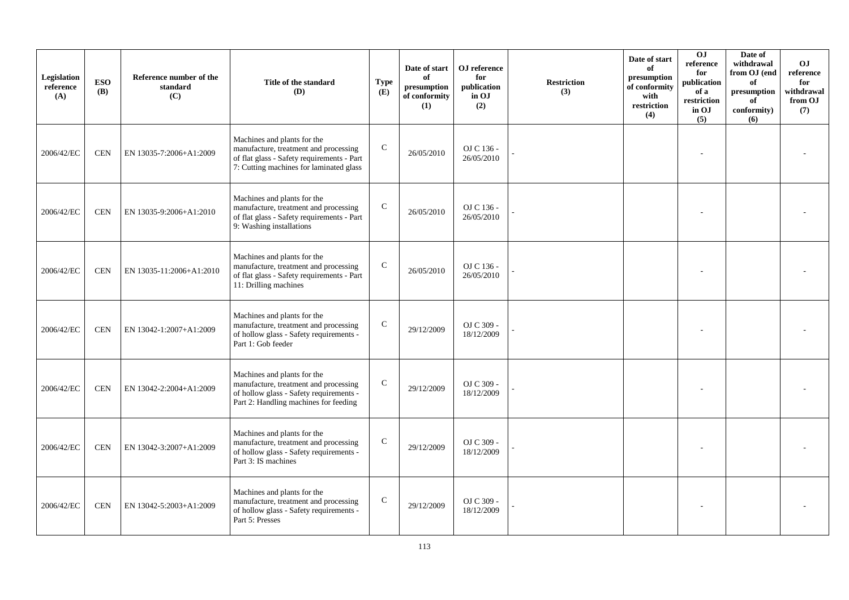| Legislation<br>reference<br>(A) | <b>ESO</b><br><b>(B)</b> | Reference number of the<br>standard<br>(C) | Title of the standard<br><b>(D)</b>                                                                                                                           | <b>Type</b><br>(E) | Date of start<br>of<br>presumption<br>of conformity<br>(1) | OJ reference<br>for<br>publication<br>in OJ<br>(2) | <b>Restriction</b><br>(3) | Date of start<br>of<br>presumption<br>of conformity<br>with<br>restriction<br>(4) | OJ<br>reference<br>for<br>publication<br>of a<br>restriction<br>in OJ<br>(5) | Date of<br>withdrawal<br>from OJ (end<br>of<br>presumption<br>of<br>conformity)<br>(6) | OJ.<br>reference<br>for<br>withdrawal<br>from OJ<br>(7) |
|---------------------------------|--------------------------|--------------------------------------------|---------------------------------------------------------------------------------------------------------------------------------------------------------------|--------------------|------------------------------------------------------------|----------------------------------------------------|---------------------------|-----------------------------------------------------------------------------------|------------------------------------------------------------------------------|----------------------------------------------------------------------------------------|---------------------------------------------------------|
| 2006/42/EC                      | <b>CEN</b>               | EN 13035-7:2006+A1:2009                    | Machines and plants for the<br>manufacture, treatment and processing<br>of flat glass - Safety requirements - Part<br>7: Cutting machines for laminated glass | $\mathbf C$        | 26/05/2010                                                 | OJ C 136 -<br>26/05/2010                           |                           |                                                                                   |                                                                              |                                                                                        |                                                         |
| 2006/42/EC                      | <b>CEN</b>               | EN 13035-9:2006+A1:2010                    | Machines and plants for the<br>manufacture, treatment and processing<br>of flat glass - Safety requirements - Part<br>9: Washing installations                | ${\bf C}$          | 26/05/2010                                                 | OJ C 136 -<br>26/05/2010                           |                           |                                                                                   |                                                                              |                                                                                        |                                                         |
| 2006/42/EC                      | <b>CEN</b>               | EN 13035-11:2006+A1:2010                   | Machines and plants for the<br>manufacture, treatment and processing<br>of flat glass - Safety requirements - Part<br>11: Drilling machines                   | ${\bf C}$          | 26/05/2010                                                 | OJ C 136 -<br>26/05/2010                           |                           |                                                                                   |                                                                              |                                                                                        |                                                         |
| 2006/42/EC                      | <b>CEN</b>               | EN 13042-1:2007+A1:2009                    | Machines and plants for the<br>manufacture, treatment and processing<br>of hollow glass - Safety requirements -<br>Part 1: Gob feeder                         | $\mathsf{C}$       | 29/12/2009                                                 | OJ C 309 -<br>18/12/2009                           |                           |                                                                                   |                                                                              |                                                                                        |                                                         |
| 2006/42/EC                      | <b>CEN</b>               | EN 13042-2:2004+A1:2009                    | Machines and plants for the<br>manufacture, treatment and processing<br>of hollow glass - Safety requirements -<br>Part 2: Handling machines for feeding      | $\mathbf C$        | 29/12/2009                                                 | OJ C 309 -<br>18/12/2009                           |                           |                                                                                   |                                                                              |                                                                                        |                                                         |
| 2006/42/EC                      | <b>CEN</b>               | EN 13042-3:2007+A1:2009                    | Machines and plants for the<br>manufacture, treatment and processing<br>of hollow glass - Safety requirements -<br>Part 3: IS machines                        | $\mathsf{C}$       | 29/12/2009                                                 | OJ C 309 -<br>18/12/2009                           |                           |                                                                                   |                                                                              |                                                                                        |                                                         |
| 2006/42/EC                      | <b>CEN</b>               | EN 13042-5:2003+A1:2009                    | Machines and plants for the<br>manufacture, treatment and processing<br>of hollow glass - Safety requirements -<br>Part 5: Presses                            | $\mathbf C$        | 29/12/2009                                                 | OJ C 309 -<br>18/12/2009                           |                           |                                                                                   |                                                                              |                                                                                        |                                                         |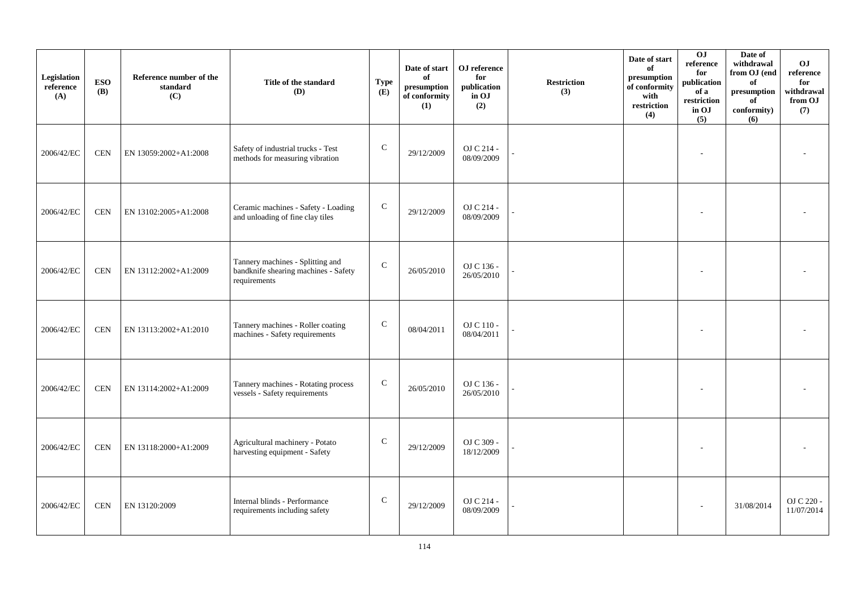| Legislation<br>reference<br>(A) | <b>ESO</b><br><b>(B)</b> | Reference number of the<br>standard<br>(C) | Title of the standard<br>(D)                                                             | <b>Type</b><br>(E) | Date of start<br>of<br>presumption<br>of conformity<br>(1) | ${\bf OJ}$ reference<br>for<br>publication<br>in OJ<br>(2) | <b>Restriction</b><br>(3) | Date of start<br>of<br>presumption<br>of conformity<br>with<br>restriction<br>(4) | 0J<br>reference<br>for<br>publication<br>of a<br>restriction<br>in OJ<br>(5) | Date of<br>withdrawal<br>from OJ (end<br>of<br>$\bf{presumption}$<br>of<br>conformity)<br>(6) | O <sub>J</sub><br>reference<br>for<br>withdrawal<br>from OJ<br>(7) |
|---------------------------------|--------------------------|--------------------------------------------|------------------------------------------------------------------------------------------|--------------------|------------------------------------------------------------|------------------------------------------------------------|---------------------------|-----------------------------------------------------------------------------------|------------------------------------------------------------------------------|-----------------------------------------------------------------------------------------------|--------------------------------------------------------------------|
| 2006/42/EC                      | <b>CEN</b>               | EN 13059:2002+A1:2008                      | Safety of industrial trucks - Test<br>methods for measuring vibration                    | $\mathbf C$        | 29/12/2009                                                 | OJ C 214 -<br>08/09/2009                                   |                           |                                                                                   |                                                                              |                                                                                               |                                                                    |
| 2006/42/EC                      | <b>CEN</b>               | EN 13102:2005+A1:2008                      | Ceramic machines - Safety - Loading<br>and unloading of fine clay tiles                  | ${\bf C}$          | 29/12/2009                                                 | OJ C 214 -<br>08/09/2009                                   |                           |                                                                                   |                                                                              |                                                                                               |                                                                    |
| 2006/42/EC                      | <b>CEN</b>               | EN 13112:2002+A1:2009                      | Tannery machines - Splitting and<br>bandknife shearing machines - Safety<br>requirements | $\mathsf{C}$       | 26/05/2010                                                 | OJ C 136 -<br>26/05/2010                                   |                           |                                                                                   |                                                                              |                                                                                               |                                                                    |
| 2006/42/EC                      | <b>CEN</b>               | EN 13113:2002+A1:2010                      | Tannery machines - Roller coating<br>machines - Safety requirements                      | ${\bf C}$          | 08/04/2011                                                 | OJ C 110 -<br>08/04/2011                                   |                           |                                                                                   |                                                                              |                                                                                               |                                                                    |
| 2006/42/EC                      | <b>CEN</b>               | EN 13114:2002+A1:2009                      | Tannery machines - Rotating process<br>vessels - Safety requirements                     | ${\bf C}$          | 26/05/2010                                                 | OJ C 136 -<br>26/05/2010                                   |                           |                                                                                   |                                                                              |                                                                                               |                                                                    |
| 2006/42/EC                      | <b>CEN</b>               | EN 13118:2000+A1:2009                      | Agricultural machinery - Potato<br>harvesting equipment - Safety                         | $\mathbf C$        | 29/12/2009                                                 | OJ C 309 -<br>18/12/2009                                   |                           |                                                                                   |                                                                              |                                                                                               |                                                                    |
| 2006/42/EC                      | <b>CEN</b>               | EN 13120:2009                              | Internal blinds - Performance<br>requirements including safety                           | $\mathsf{C}$       | 29/12/2009                                                 | OJ C 214 -<br>08/09/2009                                   |                           |                                                                                   |                                                                              | 31/08/2014                                                                                    | OJ C 220 -<br>11/07/2014                                           |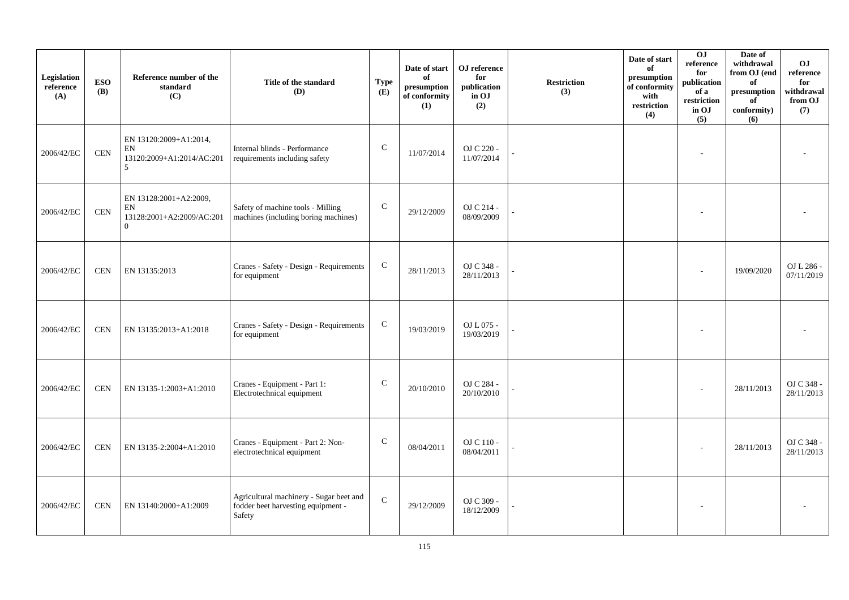| Legislation<br>reference<br>(A) | <b>ESO</b><br><b>(B)</b> | Reference number of the<br>standard<br>(C)                                            | Title of the standard<br><b>(D)</b>                                                     | <b>Type</b><br>(E) | Date of start<br>of<br>presumption<br>of conformity<br>(1) | OJ reference<br>for<br>publication<br>in OJ<br>(2) | <b>Restriction</b><br>(3) | Date of start<br>of<br>presumption<br>of conformity<br>with<br>restriction<br>(4) | 0J<br>reference<br>for<br>publication<br>of a<br>restriction<br>in OJ<br>(5) | Date of<br>withdrawal<br>from OJ (end<br>of<br>presumption<br>of<br>conformity)<br>(6) | OJ<br>$\rm reference$<br>for<br>withdrawal<br>from OJ<br>(7) |
|---------------------------------|--------------------------|---------------------------------------------------------------------------------------|-----------------------------------------------------------------------------------------|--------------------|------------------------------------------------------------|----------------------------------------------------|---------------------------|-----------------------------------------------------------------------------------|------------------------------------------------------------------------------|----------------------------------------------------------------------------------------|--------------------------------------------------------------|
| 2006/42/EC                      | <b>CEN</b>               | EN 13120:2009+A1:2014,<br>EN<br>13120:2009+A1:2014/AC:201<br>$\overline{\phantom{1}}$ | Internal blinds - Performance<br>requirements including safety                          | ${\bf C}$          | 11/07/2014                                                 | OJ C 220 -<br>11/07/2014                           |                           |                                                                                   |                                                                              |                                                                                        |                                                              |
| 2006/42/EC                      | <b>CEN</b>               | EN 13128:2001+A2:2009,<br>${\rm EN}$<br>13128:2001+A2:2009/AC:201<br>$\overline{0}$   | Safety of machine tools - Milling<br>machines (including boring machines)               | $\mathbf C$        | 29/12/2009                                                 | OJ C 214 -<br>08/09/2009                           |                           |                                                                                   |                                                                              |                                                                                        |                                                              |
| 2006/42/EC                      | <b>CEN</b>               | EN 13135:2013                                                                         | Cranes - Safety - Design - Requirements<br>for equipment                                | $\mathsf{C}$       | 28/11/2013                                                 | OJ C 348 -<br>28/11/2013                           |                           |                                                                                   |                                                                              | 19/09/2020                                                                             | OJ L 286 -<br>07/11/2019                                     |
| 2006/42/EC                      | <b>CEN</b>               | EN 13135:2013+A1:2018                                                                 | Cranes - Safety - Design - Requirements<br>for equipment                                | $\mathbf C$        | 19/03/2019                                                 | OJ L 075 -<br>19/03/2019                           |                           |                                                                                   |                                                                              |                                                                                        |                                                              |
| 2006/42/EC                      | <b>CEN</b>               | EN 13135-1:2003+A1:2010                                                               | Cranes - Equipment - Part 1:<br>Electrotechnical equipment                              | $\mathbf C$        | 20/10/2010                                                 | OJ C 284 -<br>20/10/2010                           |                           |                                                                                   |                                                                              | 28/11/2013                                                                             | OJ C 348 -<br>28/11/2013                                     |
| 2006/42/EC                      | <b>CEN</b>               | EN 13135-2:2004+A1:2010                                                               | Cranes - Equipment - Part 2: Non-<br>electrotechnical equipment                         | $\mathsf{C}$       | 08/04/2011                                                 | OJ C 110 -<br>08/04/2011                           |                           |                                                                                   |                                                                              | 28/11/2013                                                                             | OJ C 348 -<br>28/11/2013                                     |
| 2006/42/EC                      | <b>CEN</b>               | EN 13140:2000+A1:2009                                                                 | Agricultural machinery - Sugar beet and<br>fodder beet harvesting equipment -<br>Safety | $\mathbf C$        | 29/12/2009                                                 | OJ C 309 -<br>18/12/2009                           |                           |                                                                                   |                                                                              |                                                                                        |                                                              |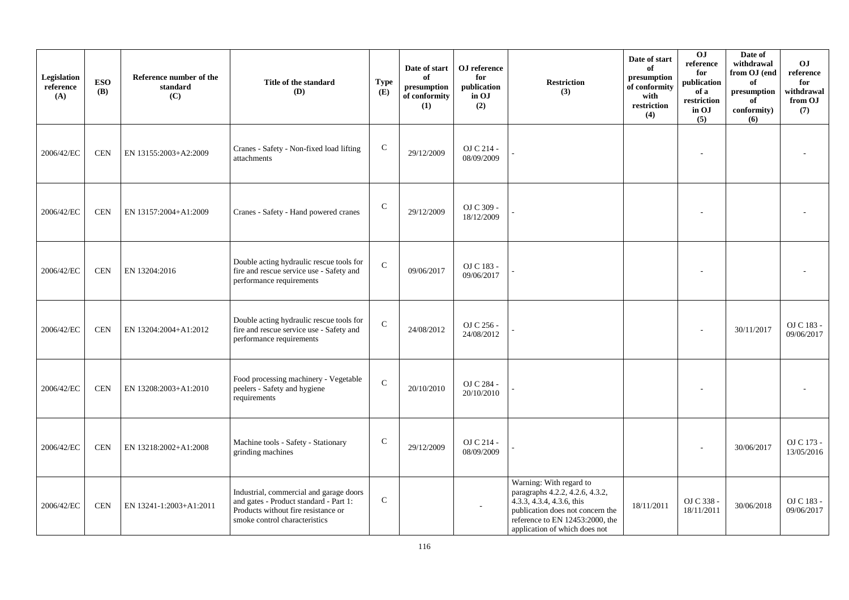| Legislation<br>reference<br>(A) | <b>ESO</b><br><b>(B)</b> | Reference number of the<br>standard<br>(C) | Title of the standard<br><b>(D)</b>                                                                                                                       | <b>Type</b><br>(E) | Date of start<br>of<br>presumption<br>of conformity<br>(1) | OJ reference<br>for<br>publication<br>in OJ<br>(2) | <b>Restriction</b><br>(3)                                                                                                                                                                         | Date of start<br>of<br>presumption<br>of conformity<br>with<br>restriction<br>(4) | 0J<br>reference<br>for<br>publication<br>of a<br>restriction<br>in OJ<br>(5) | Date of<br>withdrawal<br>from OJ (end<br>of<br>presumption<br>of<br>conformity)<br>(6) | <b>OJ</b><br>reference<br>for<br>withdrawal<br>from OJ<br>(7) |
|---------------------------------|--------------------------|--------------------------------------------|-----------------------------------------------------------------------------------------------------------------------------------------------------------|--------------------|------------------------------------------------------------|----------------------------------------------------|---------------------------------------------------------------------------------------------------------------------------------------------------------------------------------------------------|-----------------------------------------------------------------------------------|------------------------------------------------------------------------------|----------------------------------------------------------------------------------------|---------------------------------------------------------------|
| 2006/42/EC                      | <b>CEN</b>               | EN 13155:2003+A2:2009                      | Cranes - Safety - Non-fixed load lifting<br>attachments                                                                                                   | $\mathbf C$        | 29/12/2009                                                 | OJ C 214 -<br>08/09/2009                           |                                                                                                                                                                                                   |                                                                                   |                                                                              |                                                                                        |                                                               |
| 2006/42/EC                      | <b>CEN</b>               | EN 13157:2004+A1:2009                      | Cranes - Safety - Hand powered cranes                                                                                                                     | $\mathbf C$        | 29/12/2009                                                 | OJ C 309 -<br>18/12/2009                           |                                                                                                                                                                                                   |                                                                                   |                                                                              |                                                                                        |                                                               |
| 2006/42/EC                      | <b>CEN</b>               | EN 13204:2016                              | Double acting hydraulic rescue tools for<br>fire and rescue service use - Safety and<br>performance requirements                                          | $\mathbf C$        | 09/06/2017                                                 | OJ C 183 -<br>09/06/2017                           |                                                                                                                                                                                                   |                                                                                   |                                                                              |                                                                                        |                                                               |
| 2006/42/EC                      | <b>CEN</b>               | EN 13204:2004+A1:2012                      | Double acting hydraulic rescue tools for<br>fire and rescue service use - Safety and<br>performance requirements                                          | $\mathbf C$        | 24/08/2012                                                 | OJ C 256 -<br>24/08/2012                           |                                                                                                                                                                                                   |                                                                                   |                                                                              | 30/11/2017                                                                             | OJ C 183 -<br>09/06/2017                                      |
| 2006/42/EC                      | <b>CEN</b>               | EN 13208:2003+A1:2010                      | Food processing machinery - Vegetable<br>peelers - Safety and hygiene<br>requirements                                                                     | $\mathbf C$        | 20/10/2010                                                 | OJ C 284 -<br>20/10/2010                           |                                                                                                                                                                                                   |                                                                                   |                                                                              |                                                                                        |                                                               |
| 2006/42/EC                      | <b>CEN</b>               | EN 13218:2002+A1:2008                      | Machine tools - Safety - Stationary<br>grinding machines                                                                                                  | $\mathbf C$        | 29/12/2009                                                 | OJ C 214 -<br>08/09/2009                           |                                                                                                                                                                                                   |                                                                                   |                                                                              | 30/06/2017                                                                             | OJ C 173 -<br>13/05/2016                                      |
| 2006/42/EC                      | <b>CEN</b>               | EN 13241-1:2003+A1:2011                    | Industrial, commercial and garage doors<br>and gates - Product standard - Part 1:<br>Products without fire resistance or<br>smoke control characteristics | ${\bf C}$          |                                                            |                                                    | Warning: With regard to<br>paragraphs 4.2.2, 4.2.6, 4.3.2,<br>$4.3.3, 4.3.4, 4.3.6,$ this<br>publication does not concern the<br>reference to EN 12453:2000, the<br>application of which does not | 18/11/2011                                                                        | OJ C 338 -<br>18/11/2011                                                     | 30/06/2018                                                                             | OJ C 183 -<br>09/06/2017                                      |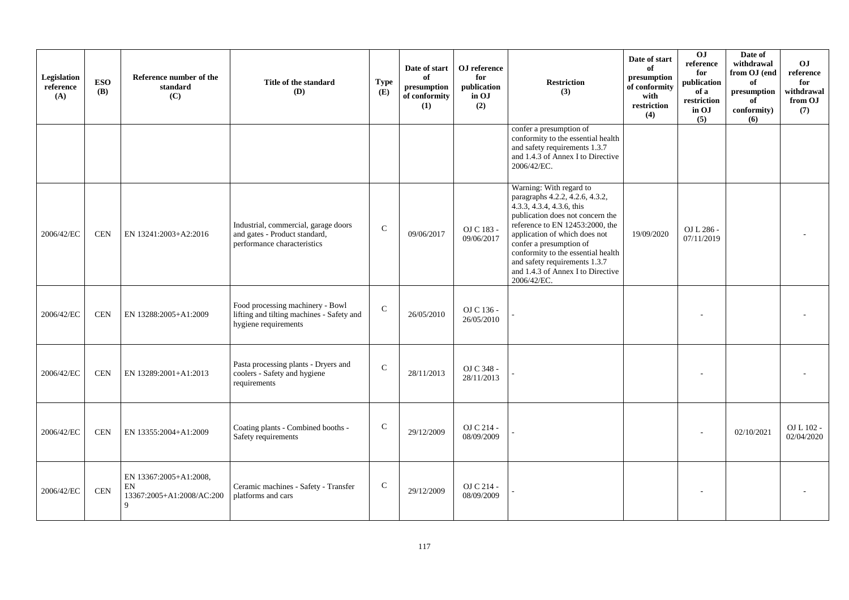| Legislation<br>reference<br>(A) | <b>ESO</b><br><b>(B)</b> | Reference number of the<br>standard<br>(C)                     | Title of the standard<br>(D)                                                                          | <b>Type</b><br>(E) | Date of start<br>of<br>presumption<br>of conformity<br>(1) | OJ reference<br>for<br>publication<br>in OJ<br>(2) | <b>Restriction</b><br>(3)                                                                                                                                                                                                                                                                                                                             | Date of start<br>of<br>presumption<br>of conformity<br>with<br>restriction<br>(4) | OJ<br>reference<br>for<br>publication<br>of a<br>restriction<br>in OJ<br>(5) | Date of<br>withdrawal<br>from OJ (end<br>of<br>presumption<br>of<br>conformity)<br>(6) | OJ<br>reference<br>for<br>withdrawal<br>from OJ<br>(7) |
|---------------------------------|--------------------------|----------------------------------------------------------------|-------------------------------------------------------------------------------------------------------|--------------------|------------------------------------------------------------|----------------------------------------------------|-------------------------------------------------------------------------------------------------------------------------------------------------------------------------------------------------------------------------------------------------------------------------------------------------------------------------------------------------------|-----------------------------------------------------------------------------------|------------------------------------------------------------------------------|----------------------------------------------------------------------------------------|--------------------------------------------------------|
|                                 |                          |                                                                |                                                                                                       |                    |                                                            |                                                    | confer a presumption of<br>conformity to the essential health<br>and safety requirements 1.3.7<br>and 1.4.3 of Annex I to Directive<br>2006/42/EC.                                                                                                                                                                                                    |                                                                                   |                                                                              |                                                                                        |                                                        |
| 2006/42/EC                      | <b>CEN</b>               | EN 13241:2003+A2:2016                                          | Industrial, commercial, garage doors<br>and gates - Product standard,<br>performance characteristics  | $\mathsf{C}$       | 09/06/2017                                                 | OJ C 183 -<br>09/06/2017                           | Warning: With regard to<br>paragraphs 4.2.2, 4.2.6, 4.3.2,<br>4.3.3, 4.3.4, 4.3.6, this<br>publication does not concern the<br>reference to EN 12453:2000, the<br>application of which does not<br>confer a presumption of<br>conformity to the essential health<br>and safety requirements 1.3.7<br>and 1.4.3 of Annex I to Directive<br>2006/42/EC. | 19/09/2020                                                                        | OJ L 286 -<br>07/11/2019                                                     |                                                                                        |                                                        |
| 2006/42/EC                      | <b>CEN</b>               | EN 13288:2005+A1:2009                                          | Food processing machinery - Bowl<br>lifting and tilting machines - Safety and<br>hygiene requirements | $\mathsf{C}$       | 26/05/2010                                                 | OJ C 136 -<br>26/05/2010                           |                                                                                                                                                                                                                                                                                                                                                       |                                                                                   |                                                                              |                                                                                        |                                                        |
| 2006/42/EC                      | <b>CEN</b>               | EN 13289:2001+A1:2013                                          | Pasta processing plants - Dryers and<br>coolers - Safety and hygiene<br>requirements                  | $\mathcal{C}$      | 28/11/2013                                                 | OJ C 348 -<br>28/11/2013                           |                                                                                                                                                                                                                                                                                                                                                       |                                                                                   |                                                                              |                                                                                        |                                                        |
| 2006/42/EC                      | <b>CEN</b>               | EN 13355:2004+A1:2009                                          | Coating plants - Combined booths -<br>Safety requirements                                             | $\mathsf{C}$       | 29/12/2009                                                 | OJ C 214 -<br>08/09/2009                           |                                                                                                                                                                                                                                                                                                                                                       |                                                                                   |                                                                              | 02/10/2021                                                                             | OJ L 102 -<br>02/04/2020                               |
| 2006/42/EC                      | $\mbox{CEN}$             | EN 13367:2005+A1:2008,<br>EN<br>13367:2005+A1:2008/AC:200<br>Q | Ceramic machines - Safety - Transfer<br>platforms and cars                                            | $\mathsf{C}$       | 29/12/2009                                                 | OJ C 214 -<br>08/09/2009                           |                                                                                                                                                                                                                                                                                                                                                       |                                                                                   |                                                                              |                                                                                        |                                                        |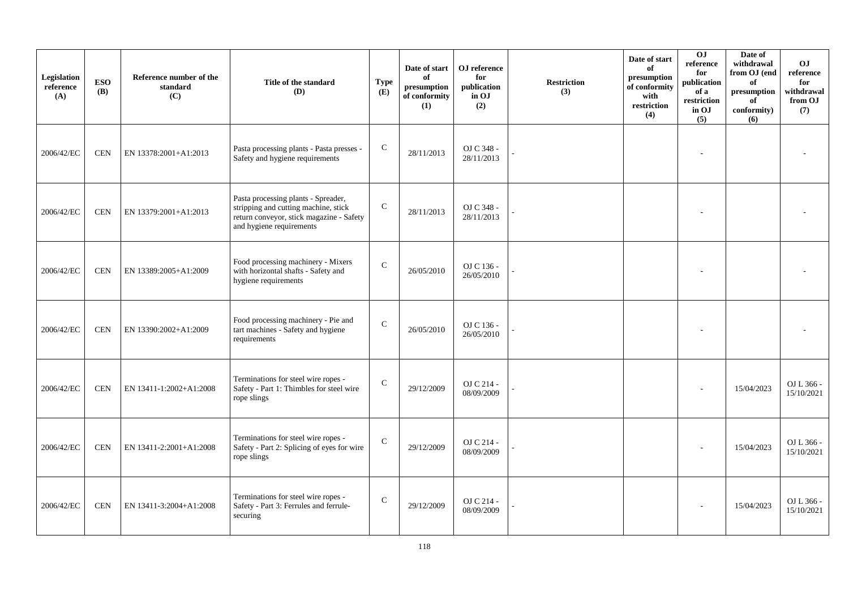| Legislation<br>reference<br>(A) | <b>ESO</b><br><b>(B)</b> | Reference number of the<br>standard<br>(C) | Title of the standard<br>(D)                                                                                                                        | <b>Type</b><br>(E) | Date of start<br>of<br>$\bf{presumption}$<br>of conformity<br>(1) | OJ reference<br>for<br>publication<br>in OJ<br>(2) | <b>Restriction</b><br>(3) | Date of start<br>of<br>presumption<br>of conformity<br>with<br>restriction<br>(4) | OJ<br>$\rm reference$<br>for<br>publication<br>of a<br>restriction<br>in OJ<br>(5) | Date of<br>withdrawal<br>from OJ (end<br>of<br>presumption<br>of<br>conformity)<br>(6) | O <sub>J</sub><br>reference<br>for<br>withdrawal<br>from OJ<br>(7) |
|---------------------------------|--------------------------|--------------------------------------------|-----------------------------------------------------------------------------------------------------------------------------------------------------|--------------------|-------------------------------------------------------------------|----------------------------------------------------|---------------------------|-----------------------------------------------------------------------------------|------------------------------------------------------------------------------------|----------------------------------------------------------------------------------------|--------------------------------------------------------------------|
| 2006/42/EC                      | <b>CEN</b>               | EN 13378:2001+A1:2013                      | Pasta processing plants - Pasta presses -<br>Safety and hygiene requirements                                                                        | $\mathsf{C}$       | 28/11/2013                                                        | OJ C 348 -<br>28/11/2013                           |                           |                                                                                   |                                                                                    |                                                                                        |                                                                    |
| 2006/42/EC                      | <b>CEN</b>               | EN 13379:2001+A1:2013                      | Pasta processing plants - Spreader,<br>stripping and cutting machine, stick<br>return conveyor, stick magazine - Safety<br>and hygiene requirements | ${\bf C}$          | 28/11/2013                                                        | OJ C 348 -<br>28/11/2013                           |                           |                                                                                   |                                                                                    |                                                                                        |                                                                    |
| 2006/42/EC                      | <b>CEN</b>               | EN 13389:2005+A1:2009                      | Food processing machinery - Mixers<br>with horizontal shafts - Safety and<br>hygiene requirements                                                   | $\mathcal{C}$      | 26/05/2010                                                        | OJ C 136 -<br>26/05/2010                           |                           |                                                                                   |                                                                                    |                                                                                        |                                                                    |
| 2006/42/EC                      | <b>CEN</b>               | EN 13390:2002+A1:2009                      | Food processing machinery - Pie and<br>tart machines - Safety and hygiene<br>requirements                                                           | $\mathsf{C}$       | 26/05/2010                                                        | OJ C 136 -<br>26/05/2010                           |                           |                                                                                   |                                                                                    |                                                                                        |                                                                    |
| 2006/42/EC                      | <b>CEN</b>               | EN 13411-1:2002+A1:2008                    | Terminations for steel wire ropes -<br>Safety - Part 1: Thimbles for steel wire<br>rope slings                                                      | $\mathcal{C}$      | 29/12/2009                                                        | OJ C 214 -<br>08/09/2009                           |                           |                                                                                   |                                                                                    | 15/04/2023                                                                             | OJ L 366 -<br>15/10/2021                                           |
| 2006/42/EC                      | <b>CEN</b>               | EN 13411-2:2001+A1:2008                    | Terminations for steel wire ropes -<br>Safety - Part 2: Splicing of eyes for wire<br>rope slings                                                    | $\mathsf{C}$       | 29/12/2009                                                        | OJ C 214 -<br>08/09/2009                           |                           |                                                                                   |                                                                                    | 15/04/2023                                                                             | OJ L 366 -<br>15/10/2021                                           |
| 2006/42/EC                      | <b>CEN</b>               | EN 13411-3:2004+A1:2008                    | Terminations for steel wire ropes -<br>Safety - Part 3: Ferrules and ferrule-<br>securing                                                           | $\mathsf{C}$       | 29/12/2009                                                        | OJ C 214 -<br>08/09/2009                           |                           |                                                                                   |                                                                                    | 15/04/2023                                                                             | OJ L 366 -<br>15/10/2021                                           |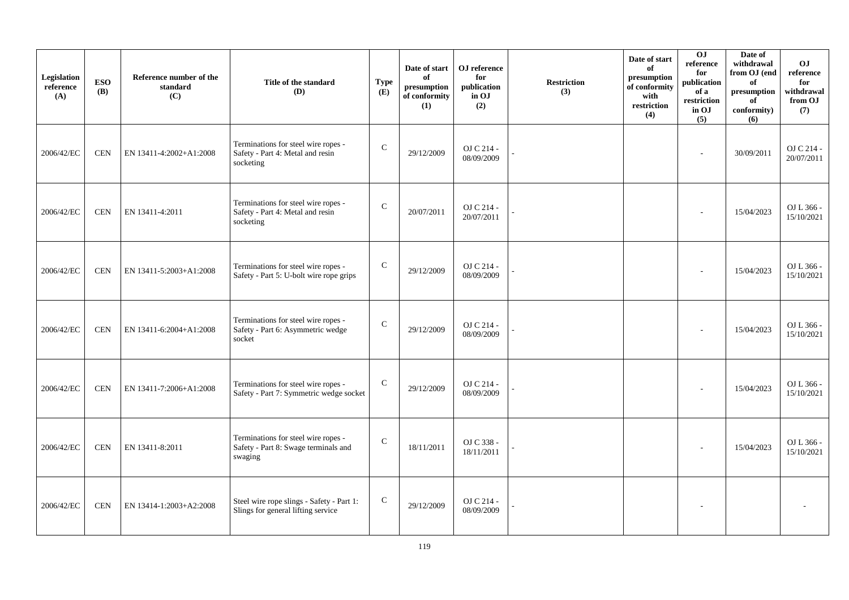| Legislation<br>reference<br>(A) | <b>ESO</b><br><b>(B)</b> | Reference number of the<br>standard<br>(C) | Title of the standard<br>(D)                                                           | <b>Type</b><br>(E) | Date of start<br>of<br>presumption<br>of conformity<br>(1) | OJ reference<br>for<br>publication<br>in OJ<br>(2) | <b>Restriction</b><br>(3) | Date of start<br>of<br>presumption<br>of conformity<br>with<br>restriction<br>(4) | 0J<br>reference<br>for<br>publication<br>of a<br>restriction<br>in OJ<br>(5) | Date of<br>withdrawal<br>from OJ (end<br>of<br>presumption<br>of<br>conformity)<br>(6) | O <sub>J</sub><br>reference<br>for<br>withdrawal<br>from OJ<br>(7) |
|---------------------------------|--------------------------|--------------------------------------------|----------------------------------------------------------------------------------------|--------------------|------------------------------------------------------------|----------------------------------------------------|---------------------------|-----------------------------------------------------------------------------------|------------------------------------------------------------------------------|----------------------------------------------------------------------------------------|--------------------------------------------------------------------|
| 2006/42/EC                      | <b>CEN</b>               | EN 13411-4:2002+A1:2008                    | Terminations for steel wire ropes -<br>Safety - Part 4: Metal and resin<br>socketing   | ${\bf C}$          | 29/12/2009                                                 | OJ C 214 -<br>08/09/2009                           |                           |                                                                                   | $\sim$                                                                       | 30/09/2011                                                                             | OJ C 214 -<br>20/07/2011                                           |
| 2006/42/EC                      | <b>CEN</b>               | EN 13411-4:2011                            | Terminations for steel wire ropes -<br>Safety - Part 4: Metal and resin<br>socketing   | $\mathbf C$        | 20/07/2011                                                 | OJ C 214 -<br>20/07/2011                           |                           |                                                                                   |                                                                              | 15/04/2023                                                                             | OJ L 366 -<br>15/10/2021                                           |
| 2006/42/EC                      | $\mbox{CEN}$             | EN 13411-5:2003+A1:2008                    | Terminations for steel wire ropes -<br>Safety - Part 5: U-bolt wire rope grips         | $\mathsf{C}$       | 29/12/2009                                                 | OJ C 214 -<br>08/09/2009                           |                           |                                                                                   |                                                                              | 15/04/2023                                                                             | OJ L 366 -<br>15/10/2021                                           |
| 2006/42/EC                      | <b>CEN</b>               | EN 13411-6:2004+A1:2008                    | Terminations for steel wire ropes -<br>Safety - Part 6: Asymmetric wedge<br>socket     | $\mathbf C$        | 29/12/2009                                                 | OJ C 214 -<br>08/09/2009                           |                           |                                                                                   |                                                                              | 15/04/2023                                                                             | OJ L 366 -<br>15/10/2021                                           |
| 2006/42/EC                      | <b>CEN</b>               | EN 13411-7:2006+A1:2008                    | Terminations for steel wire ropes -<br>Safety - Part 7: Symmetric wedge socket         | ${\bf C}$          | 29/12/2009                                                 | OJ C 214 -<br>08/09/2009                           |                           |                                                                                   | $\overline{\phantom{a}}$                                                     | 15/04/2023                                                                             | OJ L 366 -<br>15/10/2021                                           |
| 2006/42/EC                      | <b>CEN</b>               | EN 13411-8:2011                            | Terminations for steel wire ropes -<br>Safety - Part 8: Swage terminals and<br>swaging | $\mathbf C$        | 18/11/2011                                                 | OJ C 338 -<br>18/11/2011                           |                           |                                                                                   |                                                                              | 15/04/2023                                                                             | OJ L 366 -<br>15/10/2021                                           |
| 2006/42/EC                      | <b>CEN</b>               | EN 13414-1:2003+A2:2008                    | Steel wire rope slings - Safety - Part 1:<br>Slings for general lifting service        | $\mathsf{C}$       | 29/12/2009                                                 | OJ C 214 -<br>08/09/2009                           |                           |                                                                                   |                                                                              |                                                                                        |                                                                    |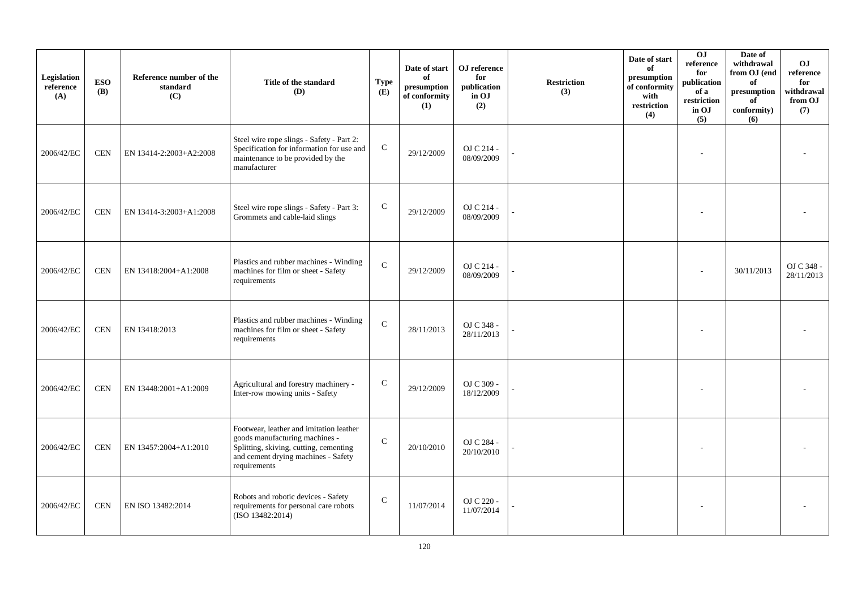| Legislation<br>reference<br>(A) | <b>ESO</b><br><b>(B)</b> | Reference number of the<br>standard<br>(C) | Title of the standard<br>(D)                                                                                                                                               | <b>Type</b><br>(E) | Date of start<br>of<br>presumption<br>of conformity<br>(1) | OJ reference<br>for<br>publication<br>in OJ<br>(2) | <b>Restriction</b><br>(3) | Date of start<br>of<br>presumption<br>of conformity<br>with<br>restriction<br>(4) | 0J<br>reference<br>for<br>publication<br>of a<br>restriction<br>in OJ<br>(5) | Date of<br>withdrawal<br>from OJ (end<br>of<br>$\bf{presumption}$<br>of<br>conformity)<br>(6) | O <sub>J</sub><br>reference<br>for<br>withdrawal<br>from OJ<br>(7) |
|---------------------------------|--------------------------|--------------------------------------------|----------------------------------------------------------------------------------------------------------------------------------------------------------------------------|--------------------|------------------------------------------------------------|----------------------------------------------------|---------------------------|-----------------------------------------------------------------------------------|------------------------------------------------------------------------------|-----------------------------------------------------------------------------------------------|--------------------------------------------------------------------|
| 2006/42/EC                      | <b>CEN</b>               | EN 13414-2:2003+A2:2008                    | Steel wire rope slings - Safety - Part 2:<br>Specification for information for use and<br>maintenance to be provided by the<br>manufacturer                                | ${\bf C}$          | 29/12/2009                                                 | OJ C 214 -<br>08/09/2009                           |                           |                                                                                   |                                                                              |                                                                                               |                                                                    |
| 2006/42/EC                      | <b>CEN</b>               | EN 13414-3:2003+A1:2008                    | Steel wire rope slings - Safety - Part 3:<br>Grommets and cable-laid slings                                                                                                | $\mathbf C$        | 29/12/2009                                                 | OJ C 214 -<br>08/09/2009                           |                           |                                                                                   |                                                                              |                                                                                               |                                                                    |
| 2006/42/EC                      | <b>CEN</b>               | EN 13418:2004+A1:2008                      | Plastics and rubber machines - Winding<br>machines for film or sheet - Safety<br>requirements                                                                              | $\mathbf C$        | 29/12/2009                                                 | OJ C 214 -<br>08/09/2009                           |                           |                                                                                   |                                                                              | 30/11/2013                                                                                    | OJ C 348 -<br>28/11/2013                                           |
| 2006/42/EC                      | <b>CEN</b>               | EN 13418:2013                              | Plastics and rubber machines - Winding<br>machines for film or sheet - Safety<br>requirements                                                                              | $\mathbf C$        | 28/11/2013                                                 | OJ C 348 -<br>28/11/2013                           |                           |                                                                                   |                                                                              |                                                                                               |                                                                    |
| 2006/42/EC                      | <b>CEN</b>               | EN 13448:2001+A1:2009                      | Agricultural and forestry machinery -<br>Inter-row mowing units - Safety                                                                                                   | $\mathbf C$        | 29/12/2009                                                 | OJ C 309 -<br>18/12/2009                           |                           |                                                                                   |                                                                              |                                                                                               |                                                                    |
| 2006/42/EC                      | <b>CEN</b>               | EN 13457:2004+A1:2010                      | Footwear, leather and imitation leather<br>goods manufacturing machines -<br>Splitting, skiving, cutting, cementing<br>and cement drying machines - Safety<br>requirements | $\mathsf{C}$       | 20/10/2010                                                 | OJ C 284 -<br>20/10/2010                           |                           |                                                                                   |                                                                              |                                                                                               |                                                                    |
| 2006/42/EC                      | <b>CEN</b>               | EN ISO 13482:2014                          | Robots and robotic devices - Safety<br>requirements for personal care robots<br>(ISO 13482:2014)                                                                           | $\mathsf{C}$       | 11/07/2014                                                 | OJ C 220 -<br>11/07/2014                           |                           |                                                                                   |                                                                              |                                                                                               |                                                                    |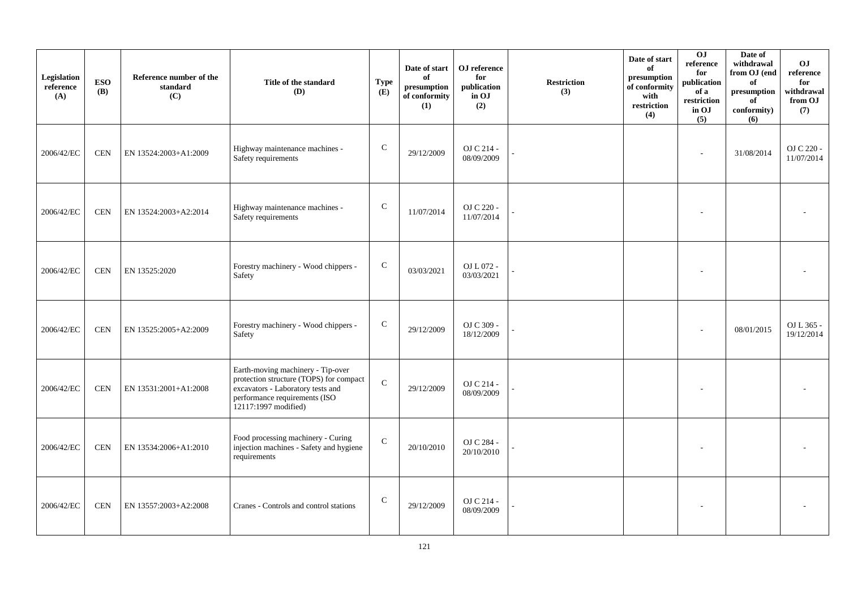| Legislation<br>reference<br>(A) | <b>ESO</b><br><b>(B)</b> | Reference number of the<br>standard<br>(C) | Title of the standard<br>(D)                                                                                                                                               | <b>Type</b><br>(E) | Date of start<br>of<br>presumption<br>of conformity<br>(1) | OJ reference<br>for<br>publication<br>in OJ<br>(2) | <b>Restriction</b><br>(3) | Date of start<br>of<br>presumption<br>of conformity<br>with<br>restriction<br>(4) | 0J<br>reference<br>for<br>publication<br>of a<br>restriction<br>in OJ<br>(5) | Date of<br>withdrawal<br>from OJ (end<br>of<br>$\bf{presumption}$<br>of<br>conformity)<br>(6) | O <sub>J</sub><br>reference<br>for<br>withdrawal<br>from OJ<br>(7) |
|---------------------------------|--------------------------|--------------------------------------------|----------------------------------------------------------------------------------------------------------------------------------------------------------------------------|--------------------|------------------------------------------------------------|----------------------------------------------------|---------------------------|-----------------------------------------------------------------------------------|------------------------------------------------------------------------------|-----------------------------------------------------------------------------------------------|--------------------------------------------------------------------|
| 2006/42/EC                      | CEN                      | EN 13524:2003+A1:2009                      | Highway maintenance machines -<br>Safety requirements                                                                                                                      | ${\bf C}$          | 29/12/2009                                                 | OJ C 214 -<br>08/09/2009                           |                           |                                                                                   |                                                                              | 31/08/2014                                                                                    | OJ C 220 -<br>11/07/2014                                           |
| 2006/42/EC                      | <b>CEN</b>               | EN 13524:2003+A2:2014                      | Highway maintenance machines -<br>Safety requirements                                                                                                                      | $\mathsf{C}$       | 11/07/2014                                                 | OJ C 220 -<br>11/07/2014                           |                           |                                                                                   |                                                                              |                                                                                               |                                                                    |
| 2006/42/EC                      | <b>CEN</b>               | EN 13525:2020                              | Forestry machinery - Wood chippers -<br>Safety                                                                                                                             | $\mathbf C$        | 03/03/2021                                                 | OJ L 072 -<br>03/03/2021                           |                           |                                                                                   |                                                                              |                                                                                               |                                                                    |
| 2006/42/EC                      | <b>CEN</b>               | EN 13525:2005+A2:2009                      | Forestry machinery - Wood chippers -<br>Safety                                                                                                                             | ${\bf C}$          | 29/12/2009                                                 | OJ C 309 -<br>18/12/2009                           |                           |                                                                                   |                                                                              | 08/01/2015                                                                                    | OJ L 365 -<br>19/12/2014                                           |
| 2006/42/EC                      | <b>CEN</b>               | EN 13531:2001+A1:2008                      | Earth-moving machinery - Tip-over<br>protection structure (TOPS) for compact<br>excavators - Laboratory tests and<br>performance requirements (ISO<br>12117:1997 modified) | $\mathcal{C}$      | 29/12/2009                                                 | OJ C 214 -<br>08/09/2009                           |                           |                                                                                   |                                                                              |                                                                                               |                                                                    |
| 2006/42/EC                      | <b>CEN</b>               | EN 13534:2006+A1:2010                      | Food processing machinery - Curing<br>injection machines - Safety and hygiene<br>requirements                                                                              | $\mathsf{C}$       | 20/10/2010                                                 | OJ C 284 -<br>20/10/2010                           |                           |                                                                                   |                                                                              |                                                                                               |                                                                    |
| 2006/42/EC                      | <b>CEN</b>               | EN 13557:2003+A2:2008                      | Cranes - Controls and control stations                                                                                                                                     | $\mathsf{C}$       | 29/12/2009                                                 | OJ C 214 -<br>08/09/2009                           |                           |                                                                                   |                                                                              |                                                                                               |                                                                    |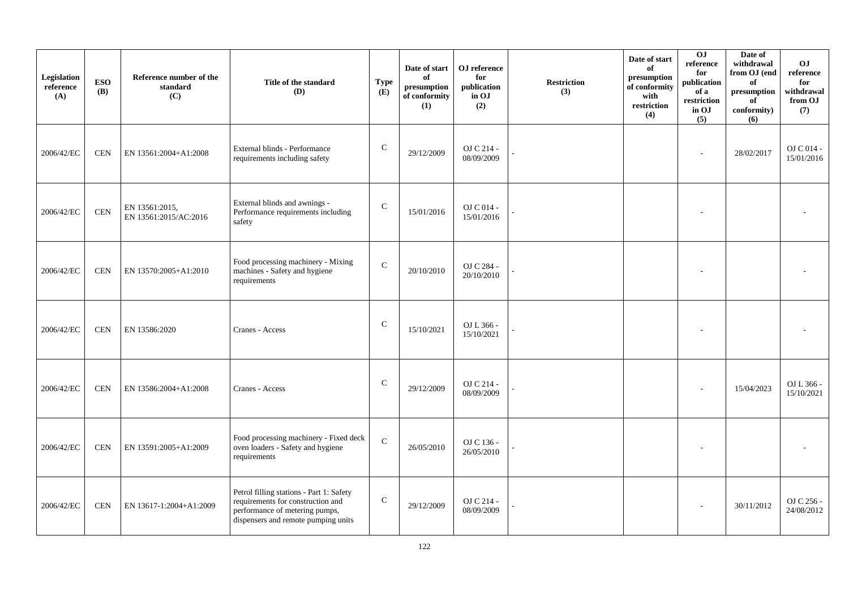| Legislation<br>reference<br>(A) | <b>ESO</b><br><b>(B)</b> | Reference number of the<br>standard<br>(C) | Title of the standard<br>(D)                                                                                                                           | <b>Type</b><br>(E) | Date of start<br>of<br>presumption<br>of conformity<br>(1) | OJ reference<br>for<br>publication<br>in OJ<br>(2) | <b>Restriction</b><br>(3) | Date of start<br>of<br>presumption<br>of conformity<br>with<br>restriction<br>(4) | 0J<br>reference<br>for<br>publication<br>of a<br>restriction<br>in OJ<br>(5) | Date of<br>withdrawal<br>from OJ (end<br>of<br>presumption<br>of<br>conformity)<br>(6) | O <sub>J</sub><br>reference<br>for<br>withdrawal<br>from OJ<br>(7) |
|---------------------------------|--------------------------|--------------------------------------------|--------------------------------------------------------------------------------------------------------------------------------------------------------|--------------------|------------------------------------------------------------|----------------------------------------------------|---------------------------|-----------------------------------------------------------------------------------|------------------------------------------------------------------------------|----------------------------------------------------------------------------------------|--------------------------------------------------------------------|
| 2006/42/EC                      | <b>CEN</b>               | EN 13561:2004+A1:2008                      | External blinds - Performance<br>requirements including safety                                                                                         | ${\bf C}$          | 29/12/2009                                                 | OJ C 214 -<br>08/09/2009                           |                           |                                                                                   | ٠                                                                            | 28/02/2017                                                                             | OJ C 014 -<br>15/01/2016                                           |
| 2006/42/EC                      | $\mbox{CEN}$             | EN 13561:2015,<br>EN 13561:2015/AC:2016    | External blinds and awnings -<br>Performance requirements including<br>safety                                                                          | $\mathbf C$        | 15/01/2016                                                 | OJ C 014 -<br>15/01/2016                           |                           |                                                                                   |                                                                              |                                                                                        |                                                                    |
| 2006/42/EC                      | <b>CEN</b>               | EN 13570:2005+A1:2010                      | Food processing machinery - Mixing<br>machines - Safety and hygiene<br>requirements                                                                    | $\mathcal{C}$      | 20/10/2010                                                 | OJ C 284 -<br>20/10/2010                           |                           |                                                                                   |                                                                              |                                                                                        |                                                                    |
| 2006/42/EC                      | <b>CEN</b>               | EN 13586:2020                              | Cranes - Access                                                                                                                                        | ${\bf C}$          | 15/10/2021                                                 | OJ L 366 -<br>15/10/2021                           |                           |                                                                                   |                                                                              |                                                                                        |                                                                    |
| 2006/42/EC                      | <b>CEN</b>               | EN 13586:2004+A1:2008                      | Cranes - Access                                                                                                                                        | $\mathcal{C}$      | 29/12/2009                                                 | OJ C 214 -<br>08/09/2009                           |                           |                                                                                   |                                                                              | 15/04/2023                                                                             | OJ L 366 -<br>15/10/2021                                           |
| 2006/42/EC                      | <b>CEN</b>               | EN 13591:2005+A1:2009                      | Food processing machinery - Fixed deck<br>oven loaders - Safety and hygiene<br>requirements                                                            | $\mathbf C$        | 26/05/2010                                                 | OJ C 136 -<br>26/05/2010                           |                           |                                                                                   |                                                                              |                                                                                        |                                                                    |
| 2006/42/EC                      | <b>CEN</b>               | EN 13617-1:2004+A1:2009                    | Petrol filling stations - Part 1: Safety<br>requirements for construction and<br>performance of metering pumps,<br>dispensers and remote pumping units | $\mathsf{C}$       | 29/12/2009                                                 | OJ C 214 -<br>08/09/2009                           |                           |                                                                                   |                                                                              | 30/11/2012                                                                             | OJ C 256 -<br>24/08/2012                                           |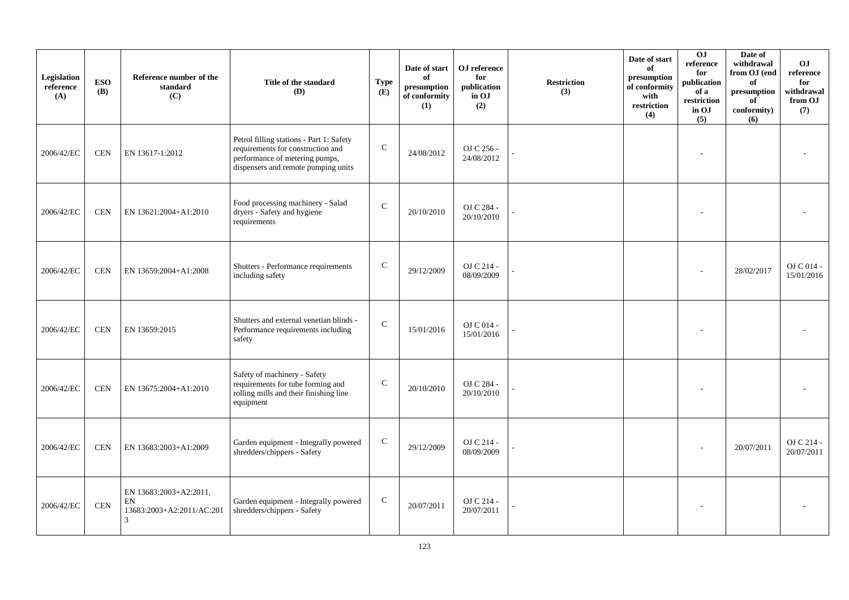| Legislation<br>reference<br>(A) | <b>ESO</b><br><b>(B)</b> | Reference number of the<br>standard<br>(C)                     | Title of the standard<br>(D)                                                                                                                           | <b>Type</b><br>(E) | Date of start<br>of<br>presumption<br>of conformity<br>(1) | OJ reference<br>for<br>publication<br>in OJ<br>(2) | <b>Restriction</b><br>(3) | Date of start<br>of<br>presumption<br>of conformity<br>with<br>restriction<br>(4) | $\overline{0}$<br>reference<br>for<br>publication<br>of a<br>restriction<br>in OJ<br>(5) | Date of<br>withdrawal<br>from OJ (end<br>of<br>$\bf{presumption}$<br>of<br>conformity)<br>(6) | O <sub>J</sub><br>reference<br>for<br>withdrawal<br>from OJ<br>(7) |
|---------------------------------|--------------------------|----------------------------------------------------------------|--------------------------------------------------------------------------------------------------------------------------------------------------------|--------------------|------------------------------------------------------------|----------------------------------------------------|---------------------------|-----------------------------------------------------------------------------------|------------------------------------------------------------------------------------------|-----------------------------------------------------------------------------------------------|--------------------------------------------------------------------|
| 2006/42/EC                      | <b>CEN</b>               | EN 13617-1:2012                                                | Petrol filling stations - Part 1: Safety<br>requirements for construction and<br>performance of metering pumps,<br>dispensers and remote pumping units | $\mathsf C$        | 24/08/2012                                                 | OJ C 256 -<br>24/08/2012                           |                           |                                                                                   |                                                                                          |                                                                                               |                                                                    |
| 2006/42/EC                      | $\mbox{CEN}$             | EN 13621:2004+A1:2010                                          | Food processing machinery - Salad<br>dryers - Safety and hygiene<br>requirements                                                                       | $\mathbf C$        | 20/10/2010                                                 | OJ C 284 -<br>20/10/2010                           |                           |                                                                                   |                                                                                          |                                                                                               |                                                                    |
| 2006/42/EC                      | <b>CEN</b>               | EN 13659:2004+A1:2008                                          | Shutters - Performance requirements<br>including safety                                                                                                | $\mathcal{C}$      | 29/12/2009                                                 | OJ C 214 -<br>08/09/2009                           |                           |                                                                                   |                                                                                          | 28/02/2017                                                                                    | OJ C 014 -<br>15/01/2016                                           |
| 2006/42/EC                      | <b>CEN</b>               | EN 13659:2015                                                  | Shutters and external venetian blinds -<br>Performance requirements including<br>safety                                                                | $\mathsf C$        | 15/01/2016                                                 | OJ C 014 -<br>15/01/2016                           |                           |                                                                                   |                                                                                          |                                                                                               |                                                                    |
| 2006/42/EC                      | <b>CEN</b>               | EN 13675:2004+A1:2010                                          | Safety of machinery - Safety<br>requirements for tube forming and<br>rolling mills and their finishing line<br>equipment                               | $\mathsf{C}$       | 20/10/2010                                                 | OJ C 284 -<br>20/10/2010                           |                           |                                                                                   |                                                                                          |                                                                                               |                                                                    |
| 2006/42/EC                      | <b>CEN</b>               | EN 13683:2003+A1:2009                                          | Garden equipment - Integrally powered<br>shredders/chippers - Safety                                                                                   | $\mathbf C$        | 29/12/2009                                                 | OJ C 214 -<br>08/09/2009                           |                           |                                                                                   |                                                                                          | 20/07/2011                                                                                    | OJ C 214 -<br>20/07/2011                                           |
| 2006/42/EC                      | $\mbox{CEN}$             | EN 13683:2003+A2:2011,<br>EN<br>13683:2003+A2:2011/AC:201<br>3 | Garden equipment - Integrally powered<br>shredders/chippers - Safety                                                                                   | $\mathbf C$        | 20/07/2011                                                 | OJ C 214 -<br>20/07/2011                           |                           |                                                                                   |                                                                                          |                                                                                               |                                                                    |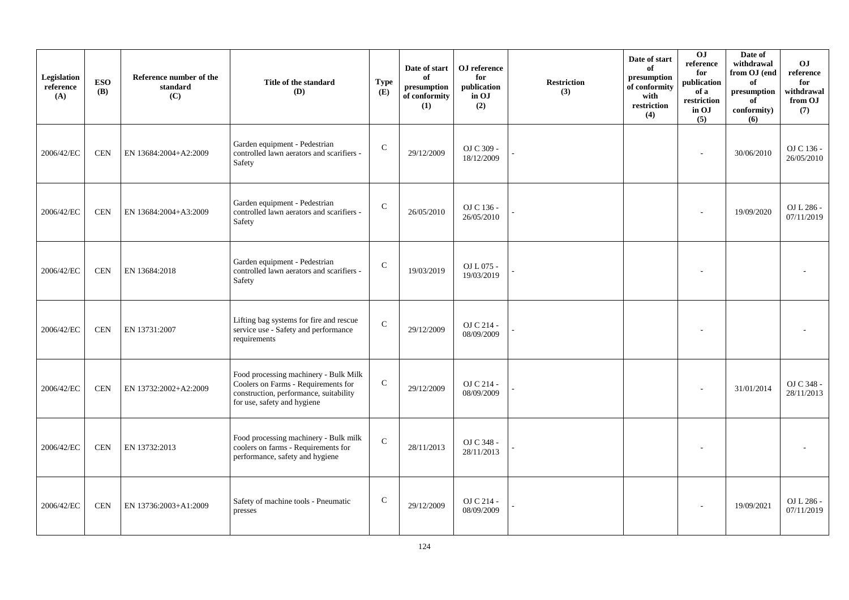| Legislation<br>reference<br>(A) | <b>ESO</b><br><b>(B)</b> | Reference number of the<br>standard<br>(C) | Title of the standard<br>(D)                                                                                                                          | <b>Type</b><br>(E) | Date of start<br>of<br>presumption<br>of conformity<br>(1) | OJ reference<br>for<br>publication<br>in OJ<br>(2) | <b>Restriction</b><br>(3) | Date of start<br>of<br>presumption<br>of conformity<br>with<br>restriction<br>(4) | 0J<br>reference<br>for<br>publication<br>of a<br>restriction<br>in OJ<br>(5) | Date of<br>withdrawal<br>from OJ (end<br>of<br>presumption<br>of<br>conformity)<br>(6) | O <sub>J</sub><br>reference<br>for<br>withdrawal<br>from OJ<br>(7) |
|---------------------------------|--------------------------|--------------------------------------------|-------------------------------------------------------------------------------------------------------------------------------------------------------|--------------------|------------------------------------------------------------|----------------------------------------------------|---------------------------|-----------------------------------------------------------------------------------|------------------------------------------------------------------------------|----------------------------------------------------------------------------------------|--------------------------------------------------------------------|
| 2006/42/EC                      | <b>CEN</b>               | EN 13684:2004+A2:2009                      | Garden equipment - Pedestrian<br>controlled lawn aerators and scarifiers -<br>Safety                                                                  | ${\bf C}$          | 29/12/2009                                                 | OJ C 309 -<br>18/12/2009                           |                           |                                                                                   | ٠                                                                            | 30/06/2010                                                                             | OJ C 136 -<br>26/05/2010                                           |
| 2006/42/EC                      | <b>CEN</b>               | EN 13684:2004+A3:2009                      | Garden equipment - Pedestrian<br>controlled lawn aerators and scarifiers -<br>Safety                                                                  | $\mathbf C$        | 26/05/2010                                                 | OJ C 136 -<br>26/05/2010                           |                           |                                                                                   |                                                                              | 19/09/2020                                                                             | OJ L 286 -<br>07/11/2019                                           |
| 2006/42/EC                      | <b>CEN</b>               | EN 13684:2018                              | Garden equipment - Pedestrian<br>controlled lawn aerators and scarifiers -<br>Safety                                                                  | $\mathsf{C}$       | 19/03/2019                                                 | OJ L 075 -<br>19/03/2019                           |                           |                                                                                   |                                                                              |                                                                                        |                                                                    |
| 2006/42/EC                      | <b>CEN</b>               | EN 13731:2007                              | Lifting bag systems for fire and rescue<br>service use - Safety and performance<br>requirements                                                       | $\mathsf{C}$       | 29/12/2009                                                 | OJ C 214 -<br>08/09/2009                           |                           |                                                                                   |                                                                              |                                                                                        |                                                                    |
| 2006/42/EC                      | <b>CEN</b>               | EN 13732:2002+A2:2009                      | Food processing machinery - Bulk Milk<br>Coolers on Farms - Requirements for<br>construction, performance, suitability<br>for use, safety and hygiene | ${\bf C}$          | 29/12/2009                                                 | OJ C 214 -<br>08/09/2009                           |                           |                                                                                   |                                                                              | 31/01/2014                                                                             | OJ C 348 -<br>28/11/2013                                           |
| 2006/42/EC                      | <b>CEN</b>               | EN 13732:2013                              | Food processing machinery - Bulk milk<br>coolers on farms - Requirements for<br>performance, safety and hygiene                                       | $\mathsf{C}$       | 28/11/2013                                                 | OJ C 348 -<br>28/11/2013                           |                           |                                                                                   |                                                                              |                                                                                        |                                                                    |
| 2006/42/EC                      | <b>CEN</b>               | EN 13736:2003+A1:2009                      | Safety of machine tools - Pneumatic<br>presses                                                                                                        | $\mathsf{C}$       | 29/12/2009                                                 | OJ C 214 -<br>08/09/2009                           |                           |                                                                                   |                                                                              | 19/09/2021                                                                             | OJ L 286 -<br>07/11/2019                                           |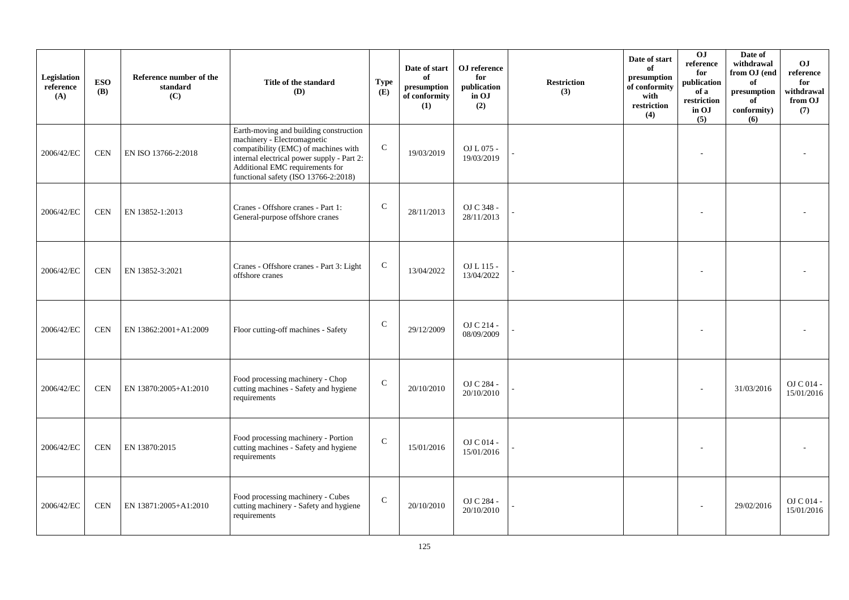| Legislation<br>reference<br>(A) | <b>ESO</b><br><b>(B)</b> | Reference number of the<br>standard<br>(C) | Title of the standard<br>(D)                                                                                                                                                                                                           | <b>Type</b><br>(E) | Date of start<br>of<br>presumption<br>of conformity<br>(1) | OJ reference<br>for<br>publication<br>in OJ<br>(2) | <b>Restriction</b><br>(3) | Date of start<br>of<br>presumption<br>of conformity<br>with<br>restriction<br>(4) | 0J<br>reference<br>for<br>publication<br>of a<br>restriction<br>in OJ<br>(5) | Date of<br>withdrawal<br>from OJ (end<br>of<br>$\bf{presumption}$<br>of<br>conformity)<br>(6) | O <sub>J</sub><br>reference<br>for<br>withdrawal<br>from OJ<br>(7) |
|---------------------------------|--------------------------|--------------------------------------------|----------------------------------------------------------------------------------------------------------------------------------------------------------------------------------------------------------------------------------------|--------------------|------------------------------------------------------------|----------------------------------------------------|---------------------------|-----------------------------------------------------------------------------------|------------------------------------------------------------------------------|-----------------------------------------------------------------------------------------------|--------------------------------------------------------------------|
| 2006/42/EC                      | <b>CEN</b>               | EN ISO 13766-2:2018                        | Earth-moving and building construction<br>machinery - Electromagnetic<br>compatibility (EMC) of machines with<br>internal electrical power supply - Part 2:<br>Additional EMC requirements for<br>functional safety (ISO 13766-2:2018) | ${\bf C}$          | 19/03/2019                                                 | OJ L 075 -<br>19/03/2019                           |                           |                                                                                   |                                                                              |                                                                                               |                                                                    |
| 2006/42/EC                      | <b>CEN</b>               | EN 13852-1:2013                            | Cranes - Offshore cranes - Part 1:<br>General-purpose offshore cranes                                                                                                                                                                  | $\mathsf C$        | 28/11/2013                                                 | OJ C 348 -<br>28/11/2013                           |                           |                                                                                   |                                                                              |                                                                                               |                                                                    |
| 2006/42/EC                      | <b>CEN</b>               | EN 13852-3:2021                            | Cranes - Offshore cranes - Part 3: Light<br>offshore cranes                                                                                                                                                                            | $\mathsf{C}$       | 13/04/2022                                                 | OJ L 115 -<br>13/04/2022                           |                           |                                                                                   |                                                                              |                                                                                               |                                                                    |
| 2006/42/EC                      | <b>CEN</b>               | EN 13862:2001+A1:2009                      | Floor cutting-off machines - Safety                                                                                                                                                                                                    | $\mathsf{C}$       | 29/12/2009                                                 | OJ C 214 -<br>08/09/2009                           |                           |                                                                                   |                                                                              |                                                                                               |                                                                    |
| 2006/42/EC                      | <b>CEN</b>               | EN 13870:2005+A1:2010                      | Food processing machinery - Chop<br>cutting machines - Safety and hygiene<br>requirements                                                                                                                                              | $\mathcal{C}$      | 20/10/2010                                                 | OJ C 284 -<br>20/10/2010                           |                           |                                                                                   |                                                                              | 31/03/2016                                                                                    | OJ C 014 -<br>15/01/2016                                           |
| 2006/42/EC                      | <b>CEN</b>               | EN 13870:2015                              | Food processing machinery - Portion<br>cutting machines - Safety and hygiene<br>requirements                                                                                                                                           | $\mathsf{C}$       | 15/01/2016                                                 | OJ C 014 -<br>15/01/2016                           |                           |                                                                                   |                                                                              |                                                                                               |                                                                    |
| 2006/42/EC                      | <b>CEN</b>               | EN 13871:2005+A1:2010                      | Food processing machinery - Cubes<br>cutting machinery - Safety and hygiene<br>requirements                                                                                                                                            | $\mathsf C$        | 20/10/2010                                                 | OJ C 284 -<br>20/10/2010                           |                           |                                                                                   |                                                                              | 29/02/2016                                                                                    | $OJ$ C 014 -<br>15/01/2016                                         |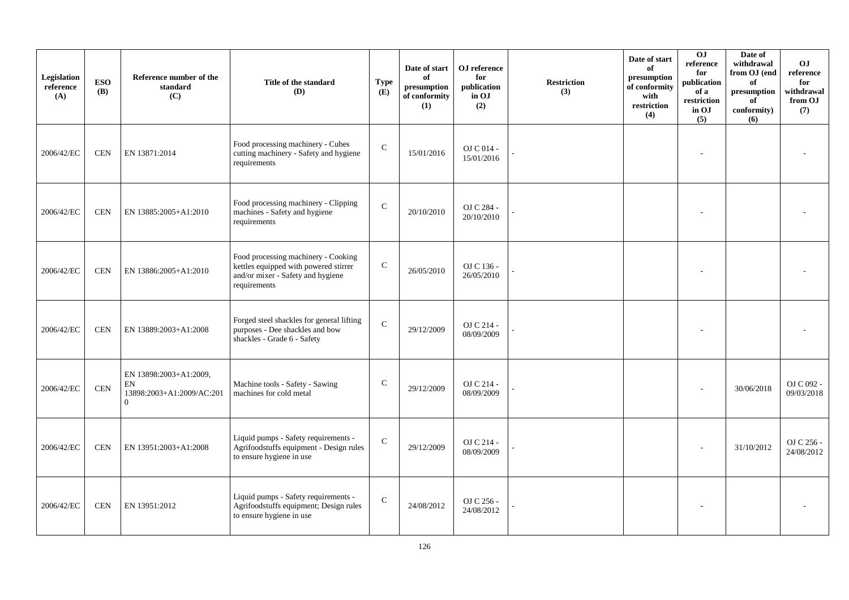| Legislation<br>reference<br>(A) | <b>ESO</b><br><b>(B)</b> | Reference number of the<br>standard<br>(C)                                    | Title of the standard<br>(D)                                                                                                      | <b>Type</b><br>(E) | Date of start<br>of<br>presumption<br>of conformity<br>(1) | OJ reference<br>for<br>publication<br>in OJ<br>(2) | <b>Restriction</b><br>(3) | Date of start<br>of<br>presumption<br>of conformity<br>with<br>restriction<br>(4) | 0J<br>reference<br>for<br>publication<br>of a<br>restriction<br>in OJ<br>(5) | Date of<br>withdrawal<br>from OJ (end<br>of<br>$\bf{presumption}$<br>of<br>conformity)<br>(6) | O <sub>J</sub><br>reference<br>for<br>withdrawal<br>from OJ<br>(7) |
|---------------------------------|--------------------------|-------------------------------------------------------------------------------|-----------------------------------------------------------------------------------------------------------------------------------|--------------------|------------------------------------------------------------|----------------------------------------------------|---------------------------|-----------------------------------------------------------------------------------|------------------------------------------------------------------------------|-----------------------------------------------------------------------------------------------|--------------------------------------------------------------------|
| 2006/42/EC                      | <b>CEN</b>               | EN 13871:2014                                                                 | Food processing machinery - Cubes<br>cutting machinery - Safety and hygiene<br>requirements                                       | $\mathcal{C}$      | 15/01/2016                                                 | OJ C 014 -<br>15/01/2016                           |                           |                                                                                   |                                                                              |                                                                                               |                                                                    |
| 2006/42/EC                      | <b>CEN</b>               | EN 13885:2005+A1:2010                                                         | Food processing machinery - Clipping<br>machines - Safety and hygiene<br>requirements                                             | $\mathbf C$        | 20/10/2010                                                 | OJ C 284 -<br>20/10/2010                           |                           |                                                                                   |                                                                              |                                                                                               |                                                                    |
| 2006/42/EC                      | <b>CEN</b>               | EN 13886:2005+A1:2010                                                         | Food processing machinery - Cooking<br>kettles equipped with powered stirrer<br>and/or mixer - Safety and hygiene<br>requirements | $\mathbf C$        | 26/05/2010                                                 | OJ C 136 -<br>26/05/2010                           |                           |                                                                                   |                                                                              |                                                                                               |                                                                    |
| 2006/42/EC                      | <b>CEN</b>               | EN 13889:2003+A1:2008                                                         | Forged steel shackles for general lifting<br>purposes - Dee shackles and bow<br>shackles - Grade 6 - Safety                       | $\mathbf C$        | 29/12/2009                                                 | OJ C 214 -<br>08/09/2009                           |                           |                                                                                   |                                                                              |                                                                                               |                                                                    |
| 2006/42/EC                      | <b>CEN</b>               | EN 13898:2003+A1:2009,<br>${\rm EN}$<br>13898:2003+A1:2009/AC:201<br>$\Omega$ | Machine tools - Safety - Sawing<br>machines for cold metal                                                                        | $\mathsf{C}$       | 29/12/2009                                                 | OJ C 214 -<br>08/09/2009                           |                           |                                                                                   |                                                                              | 30/06/2018                                                                                    | OJ C 092 -<br>09/03/2018                                           |
| 2006/42/EC                      | <b>CEN</b>               | EN 13951:2003+A1:2008                                                         | Liquid pumps - Safety requirements -<br>Agrifoodstuffs equipment - Design rules<br>to ensure hygiene in use                       | $\mathbf C$        | 29/12/2009                                                 | OJ C 214 -<br>08/09/2009                           |                           |                                                                                   |                                                                              | 31/10/2012                                                                                    | OJ C 256 -<br>24/08/2012                                           |
| 2006/42/EC                      | <b>CEN</b>               | EN 13951:2012                                                                 | Liquid pumps - Safety requirements -<br>Agrifoodstuffs equipment; Design rules<br>to ensure hygiene in use                        | $\mathbf C$        | 24/08/2012                                                 | OJ C 256 -<br>24/08/2012                           |                           |                                                                                   |                                                                              |                                                                                               |                                                                    |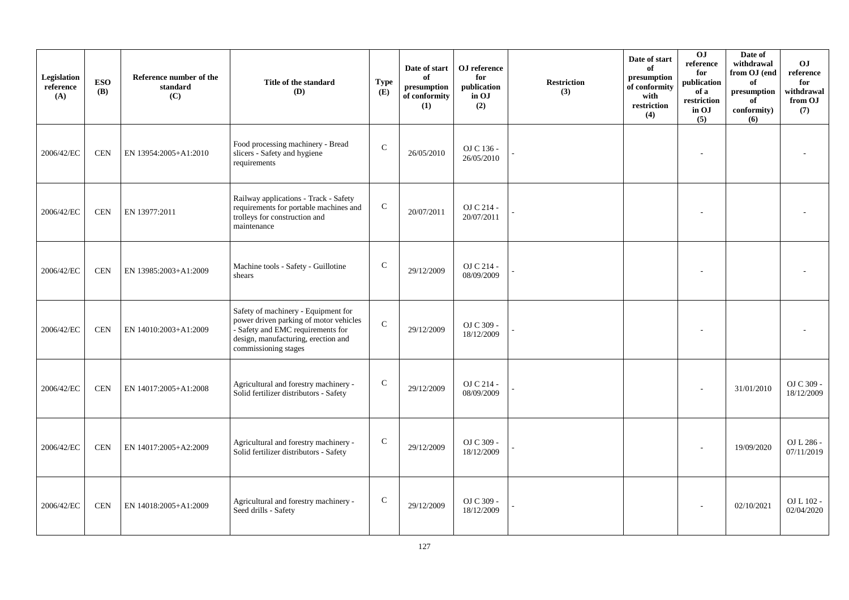| Legislation<br>reference<br>(A) | <b>ESO</b><br><b>(B)</b> | Reference number of the<br>standard<br>(C) | Title of the standard<br>(D)                                                                                                                                                      | <b>Type</b><br>(E) | Date of start<br>of<br>presumption<br>of conformity<br>(1) | OJ reference<br>for<br>publication<br>in OJ<br>(2) | <b>Restriction</b><br>(3) | Date of start<br>of<br>presumption<br>of conformity<br>with<br>restriction<br>(4) | O <sub>J</sub><br>reference<br>for<br>publication<br>of a<br>restriction<br>in OJ<br>(5) | Date of<br>withdrawal<br>from OJ (end<br>of<br>presumption<br>of<br>conformity)<br>(6) | O <sub>J</sub><br>reference<br>for<br>withdrawal<br>from OJ<br>(7) |
|---------------------------------|--------------------------|--------------------------------------------|-----------------------------------------------------------------------------------------------------------------------------------------------------------------------------------|--------------------|------------------------------------------------------------|----------------------------------------------------|---------------------------|-----------------------------------------------------------------------------------|------------------------------------------------------------------------------------------|----------------------------------------------------------------------------------------|--------------------------------------------------------------------|
| 2006/42/EC                      | <b>CEN</b>               | EN 13954:2005+A1:2010                      | Food processing machinery - Bread<br>slicers - Safety and hygiene<br>requirements                                                                                                 | ${\bf C}$          | 26/05/2010                                                 | OJ C 136 -<br>26/05/2010                           |                           |                                                                                   |                                                                                          |                                                                                        |                                                                    |
| 2006/42/EC                      | <b>CEN</b>               | EN 13977:2011                              | Railway applications - Track - Safety<br>requirements for portable machines and<br>trolleys for construction and<br>maintenance                                                   | ${\bf C}$          | 20/07/2011                                                 | OJ C 214 -<br>20/07/2011                           |                           |                                                                                   |                                                                                          |                                                                                        |                                                                    |
| 2006/42/EC                      | <b>CEN</b>               | EN 13985:2003+A1:2009                      | Machine tools - Safety - Guillotine<br>shears                                                                                                                                     | $\mathsf{C}$       | 29/12/2009                                                 | OJ C 214 -<br>08/09/2009                           |                           |                                                                                   |                                                                                          |                                                                                        |                                                                    |
| 2006/42/EC                      | <b>CEN</b>               | EN 14010:2003+A1:2009                      | Safety of machinery - Equipment for<br>power driven parking of motor vehicles<br>- Safety and EMC requirements for<br>design, manufacturing, erection and<br>commissioning stages | $\mathbf C$        | 29/12/2009                                                 | OJ C 309 -<br>18/12/2009                           |                           |                                                                                   |                                                                                          |                                                                                        |                                                                    |
| 2006/42/EC                      | <b>CEN</b>               | EN 14017:2005+A1:2008                      | Agricultural and forestry machinery -<br>Solid fertilizer distributors - Safety                                                                                                   | $\mathbf C$        | 29/12/2009                                                 | OJ C 214 -<br>08/09/2009                           |                           |                                                                                   |                                                                                          | 31/01/2010                                                                             | OJ C 309 -<br>18/12/2009                                           |
| 2006/42/EC                      | <b>CEN</b>               | EN 14017:2005+A2:2009                      | Agricultural and forestry machinery -<br>Solid fertilizer distributors - Safety                                                                                                   | $\mathbf C$        | 29/12/2009                                                 | OJ C 309 -<br>18/12/2009                           |                           |                                                                                   |                                                                                          | 19/09/2020                                                                             | OJ L 286 -<br>07/11/2019                                           |
| 2006/42/EC                      | <b>CEN</b>               | EN 14018:2005+A1:2009                      | Agricultural and forestry machinery -<br>Seed drills - Safety                                                                                                                     | $\mathbf C$        | 29/12/2009                                                 | OJ C 309 -<br>18/12/2009                           |                           |                                                                                   |                                                                                          | 02/10/2021                                                                             | OJ L 102 -<br>02/04/2020                                           |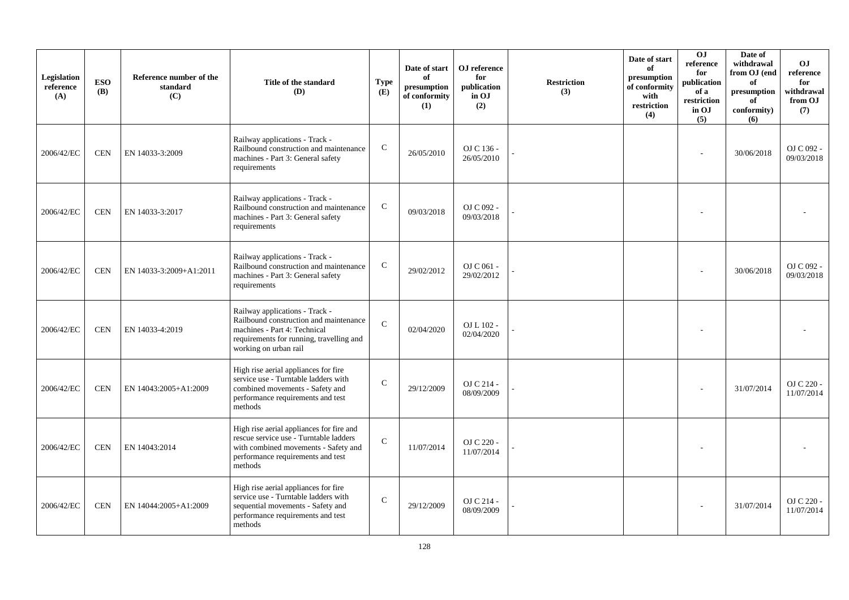| Legislation<br>reference<br>(A) | <b>ESO</b><br><b>(B)</b> | Reference number of the<br>standard<br>(C) | Title of the standard<br>(D)                                                                                                                                                  | <b>Type</b><br>(E) | Date of start<br>of<br>presumption<br>of conformity<br>(1) | OJ reference<br>for<br>publication<br>in OJ<br>(2) | <b>Restriction</b><br>(3) | Date of start<br>of<br>presumption<br>of conformity<br>with<br>restriction<br>(4) | OJ<br>reference<br>for<br>publication<br>of a<br>restriction<br>in OJ<br>(5) | Date of<br>withdrawal<br>from OJ (end<br>of<br>presumption<br>of<br>conformity)<br>(6) | O <sub>J</sub><br>reference<br>for<br>withdrawal<br>from OJ<br>(7) |
|---------------------------------|--------------------------|--------------------------------------------|-------------------------------------------------------------------------------------------------------------------------------------------------------------------------------|--------------------|------------------------------------------------------------|----------------------------------------------------|---------------------------|-----------------------------------------------------------------------------------|------------------------------------------------------------------------------|----------------------------------------------------------------------------------------|--------------------------------------------------------------------|
| 2006/42/EC                      | <b>CEN</b>               | EN 14033-3:2009                            | Railway applications - Track -<br>Railbound construction and maintenance<br>machines - Part 3: General safety<br>requirements                                                 | $\mathbf C$        | 26/05/2010                                                 | OJ C 136 -<br>26/05/2010                           |                           |                                                                                   |                                                                              | 30/06/2018                                                                             | OJ C 092 -<br>09/03/2018                                           |
| 2006/42/EC                      | <b>CEN</b>               | EN 14033-3:2017                            | Railway applications - Track -<br>Railbound construction and maintenance<br>machines - Part 3: General safety<br>requirements                                                 | $\mathsf{C}$       | 09/03/2018                                                 | OJ C 092 -<br>09/03/2018                           |                           |                                                                                   |                                                                              |                                                                                        |                                                                    |
| 2006/42/EC                      | <b>CEN</b>               | EN 14033-3:2009+A1:2011                    | Railway applications - Track -<br>Railbound construction and maintenance<br>machines - Part 3: General safety<br>requirements                                                 | $\mathsf{C}$       | 29/02/2012                                                 | OJ C 061 -<br>29/02/2012                           |                           |                                                                                   |                                                                              | 30/06/2018                                                                             | OJ C 092 -<br>09/03/2018                                           |
| 2006/42/EC                      | <b>CEN</b>               | EN 14033-4:2019                            | Railway applications - Track -<br>Railbound construction and maintenance<br>machines - Part 4: Technical<br>requirements for running, travelling and<br>working on urban rail | $\mathcal{C}$      | 02/04/2020                                                 | OJ L 102 -<br>02/04/2020                           |                           |                                                                                   |                                                                              |                                                                                        |                                                                    |
| 2006/42/EC                      | <b>CEN</b>               | EN 14043:2005+A1:2009                      | High rise aerial appliances for fire<br>service use - Turntable ladders with<br>combined movements - Safety and<br>performance requirements and test<br>methods               | $\mathcal{C}$      | 29/12/2009                                                 | OJ C 214 -<br>08/09/2009                           |                           |                                                                                   |                                                                              | 31/07/2014                                                                             | OJ C 220 -<br>11/07/2014                                           |
| 2006/42/EC                      | <b>CEN</b>               | EN 14043:2014                              | High rise aerial appliances for fire and<br>rescue service use - Turntable ladders<br>with combined movements - Safety and<br>performance requirements and test<br>methods    | $\mathbf{C}$       | 11/07/2014                                                 | OJ C 220 -<br>11/07/2014                           |                           |                                                                                   |                                                                              |                                                                                        |                                                                    |
| 2006/42/EC                      | <b>CEN</b>               | EN 14044:2005+A1:2009                      | High rise aerial appliances for fire<br>service use - Turntable ladders with<br>sequential movements - Safety and<br>performance requirements and test<br>methods             | $\mathcal{C}$      | 29/12/2009                                                 | OJ C 214 -<br>08/09/2009                           |                           |                                                                                   |                                                                              | 31/07/2014                                                                             | OJ C 220 -<br>11/07/2014                                           |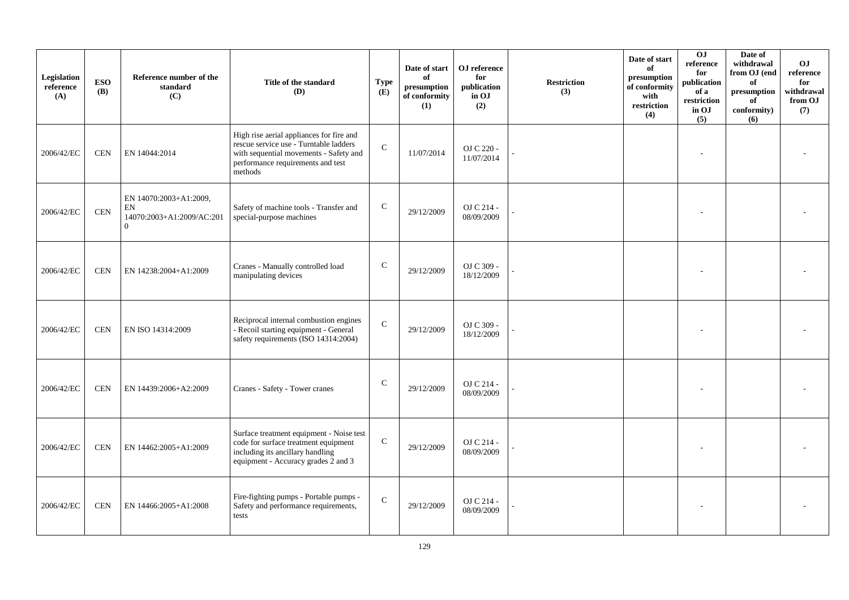| Legislation<br>reference<br>(A) | <b>ESO</b><br><b>(B)</b> | Reference number of the<br>standard<br>(C)                                                    | Title of the standard<br>(D)                                                                                                                                                 | <b>Type</b><br>(E) | Date of start<br>of<br>presumption<br>of conformity<br>(1) | OJ reference<br>for<br>publication<br>in OJ<br>(2) | <b>Restriction</b><br>(3) | Date of start<br>of<br>presumption<br>of conformity<br>with<br>restriction<br>(4) | 0J<br>reference<br>for<br>publication<br>of a<br>restriction<br>in OJ<br>(5) | Date of<br>withdrawal<br>from OJ (end<br>of<br>$\bf{presumption}$<br>of<br>conformity)<br>(6) | O <sub>J</sub><br>reference<br>for<br>withdrawal<br>from OJ<br>(7) |
|---------------------------------|--------------------------|-----------------------------------------------------------------------------------------------|------------------------------------------------------------------------------------------------------------------------------------------------------------------------------|--------------------|------------------------------------------------------------|----------------------------------------------------|---------------------------|-----------------------------------------------------------------------------------|------------------------------------------------------------------------------|-----------------------------------------------------------------------------------------------|--------------------------------------------------------------------|
| 2006/42/EC                      | <b>CEN</b>               | EN 14044:2014                                                                                 | High rise aerial appliances for fire and<br>rescue service use - Turntable ladders<br>with sequential movements - Safety and<br>performance requirements and test<br>methods | $\mathcal{C}$      | 11/07/2014                                                 | OJ C 220 -<br>11/07/2014                           |                           |                                                                                   |                                                                              |                                                                                               |                                                                    |
| 2006/42/EC                      | <b>CEN</b>               | EN 14070:2003+A1:2009,<br>$\mathop{\rm EN}\nolimits$<br>14070:2003+A1:2009/AC:201<br>$\Omega$ | Safety of machine tools - Transfer and<br>special-purpose machines                                                                                                           | $\mathbf C$        | 29/12/2009                                                 | OJ C 214 -<br>08/09/2009                           |                           |                                                                                   |                                                                              |                                                                                               |                                                                    |
| 2006/42/EC                      | <b>CEN</b>               | EN 14238:2004+A1:2009                                                                         | Cranes - Manually controlled load<br>manipulating devices                                                                                                                    | $\mathbf C$        | 29/12/2009                                                 | OJ C 309 -<br>18/12/2009                           |                           |                                                                                   |                                                                              |                                                                                               |                                                                    |
| 2006/42/EC                      | <b>CEN</b>               | EN ISO 14314:2009                                                                             | Reciprocal internal combustion engines<br>- Recoil starting equipment - General<br>safety requirements (ISO 14314:2004)                                                      | $\mathbf C$        | 29/12/2009                                                 | OJ C 309 -<br>18/12/2009                           |                           |                                                                                   |                                                                              |                                                                                               |                                                                    |
| 2006/42/EC                      | <b>CEN</b>               | EN 14439:2006+A2:2009                                                                         | Cranes - Safety - Tower cranes                                                                                                                                               | $\mathsf{C}$       | 29/12/2009                                                 | OJ C 214 -<br>08/09/2009                           |                           |                                                                                   |                                                                              |                                                                                               |                                                                    |
| 2006/42/EC                      | <b>CEN</b>               | EN 14462:2005+A1:2009                                                                         | Surface treatment equipment - Noise test<br>code for surface treatment equipment<br>including its ancillary handling<br>equipment - Accuracy grades 2 and 3                  | $\mathbf C$        | 29/12/2009                                                 | OJ C 214 -<br>08/09/2009                           |                           |                                                                                   |                                                                              |                                                                                               |                                                                    |
| 2006/42/EC                      | <b>CEN</b>               | EN 14466:2005+A1:2008                                                                         | Fire-fighting pumps - Portable pumps -<br>Safety and performance requirements,<br>tests                                                                                      | $\mathsf{C}$       | 29/12/2009                                                 | OJ C 214 -<br>08/09/2009                           |                           |                                                                                   |                                                                              |                                                                                               |                                                                    |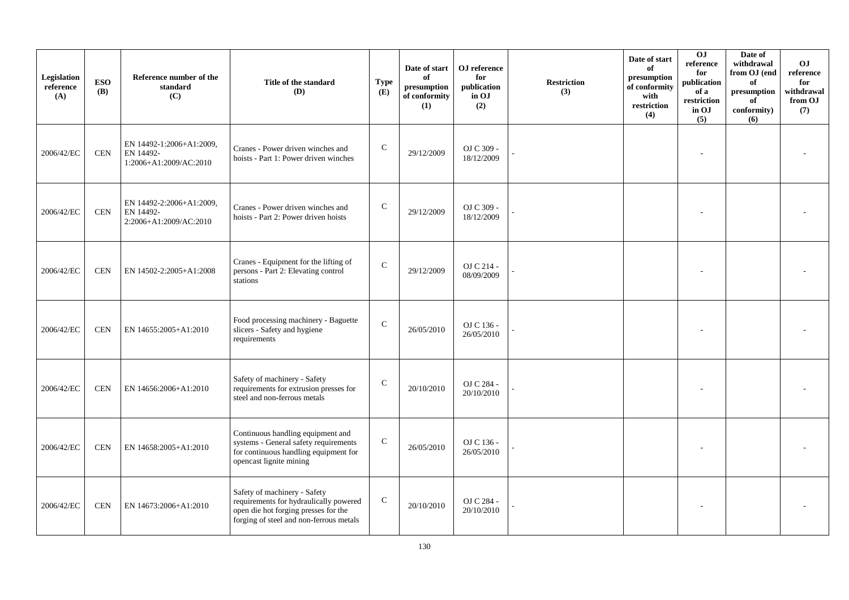| Legislation<br>reference<br>(A) | <b>ESO</b><br><b>(B)</b> | Reference number of the<br>standard<br>(C)                      | Title of the standard<br>(D)                                                                                                                              | <b>Type</b><br>(E) | Date of start<br>of<br>presumption<br>of conformity<br>(1) | OJ reference<br>for<br>publication<br>in OJ<br>(2) | <b>Restriction</b><br>(3) | Date of start<br>of<br>presumption<br>of conformity<br>with<br>restriction<br>(4) | 0J<br>reference<br>for<br>publication<br>of a<br>restriction<br>in OJ<br>(5) | Date of<br>withdrawal<br>from OJ (end<br>of<br>$\bf{presumption}$<br>of<br>conformity)<br>(6) | O <sub>J</sub><br>reference<br>for<br>withdrawal<br>from OJ<br>(7) |
|---------------------------------|--------------------------|-----------------------------------------------------------------|-----------------------------------------------------------------------------------------------------------------------------------------------------------|--------------------|------------------------------------------------------------|----------------------------------------------------|---------------------------|-----------------------------------------------------------------------------------|------------------------------------------------------------------------------|-----------------------------------------------------------------------------------------------|--------------------------------------------------------------------|
| 2006/42/EC                      | <b>CEN</b>               | EN 14492-1:2006+A1:2009,<br>EN 14492-<br>1:2006+A1:2009/AC:2010 | Cranes - Power driven winches and<br>hoists - Part 1: Power driven winches                                                                                | $\mathbf C$        | 29/12/2009                                                 | OJ C 309 -<br>18/12/2009                           |                           |                                                                                   |                                                                              |                                                                                               |                                                                    |
| 2006/42/EC                      | <b>CEN</b>               | EN 14492-2:2006+A1:2009,<br>EN 14492-<br>2:2006+A1:2009/AC:2010 | Cranes - Power driven winches and<br>hoists - Part 2: Power driven hoists                                                                                 | $\mathsf{C}$       | 29/12/2009                                                 | OJ C 309 -<br>18/12/2009                           |                           |                                                                                   |                                                                              |                                                                                               |                                                                    |
| 2006/42/EC                      | <b>CEN</b>               | EN 14502-2:2005+A1:2008                                         | Cranes - Equipment for the lifting of<br>persons - Part 2: Elevating control<br>stations                                                                  | $\mathcal{C}$      | 29/12/2009                                                 | OJ C 214 -<br>08/09/2009                           |                           |                                                                                   |                                                                              |                                                                                               |                                                                    |
| 2006/42/EC                      | <b>CEN</b>               | EN 14655:2005+A1:2010                                           | Food processing machinery - Baguette<br>slicers - Safety and hygiene<br>requirements                                                                      | $\mathbf C$        | 26/05/2010                                                 | OJ C 136 -<br>26/05/2010                           |                           |                                                                                   |                                                                              |                                                                                               |                                                                    |
| 2006/42/EC                      | <b>CEN</b>               | EN 14656:2006+A1:2010                                           | Safety of machinery - Safety<br>requirements for extrusion presses for<br>steel and non-ferrous metals                                                    | $\mathcal{C}$      | 20/10/2010                                                 | OJ C 284 -<br>20/10/2010                           |                           |                                                                                   |                                                                              |                                                                                               |                                                                    |
| 2006/42/EC                      | <b>CEN</b>               | EN 14658:2005+A1:2010                                           | Continuous handling equipment and<br>systems - General safety requirements<br>for continuous handling equipment for<br>opencast lignite mining            | $\mathbf C$        | 26/05/2010                                                 | OJ C 136 -<br>26/05/2010                           |                           |                                                                                   |                                                                              |                                                                                               |                                                                    |
| 2006/42/EC                      | <b>CEN</b>               | EN 14673:2006+A1:2010                                           | Safety of machinery - Safety<br>requirements for hydraulically powered<br>open die hot forging presses for the<br>forging of steel and non-ferrous metals | $\mathbf C$        | 20/10/2010                                                 | OJ C 284 -<br>20/10/2010                           |                           |                                                                                   |                                                                              |                                                                                               |                                                                    |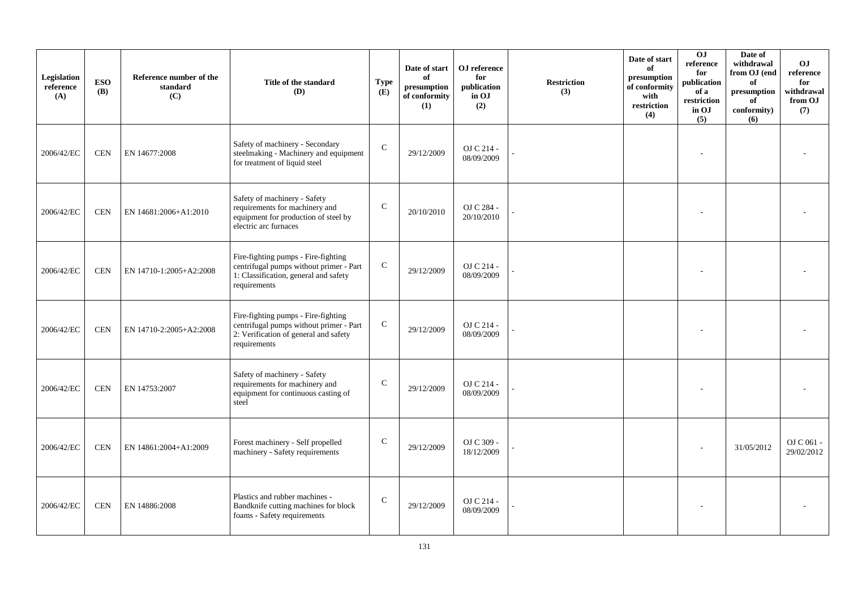| Legislation<br>reference<br>(A) | <b>ESO</b><br><b>(B)</b> | Reference number of the<br>standard<br>(C) | Title of the standard<br>(D)                                                                                                            | <b>Type</b><br>(E) | Date of start<br>of<br>presumption<br>of conformity<br>(1) | OJ reference<br>for<br>publication<br>in OJ<br>(2) | <b>Restriction</b><br>(3) | Date of start<br>of<br>presumption<br>of conformity<br>with<br>restriction<br>(4) | 0J<br>reference<br>for<br>publication<br>of a<br>restriction<br>in OJ<br>(5) | Date of<br>withdrawal<br>from OJ (end<br>of<br>presumption<br>of<br>conformity)<br>(6) | OJ.<br>reference<br>for<br>withdrawal<br>from OJ<br>(7) |
|---------------------------------|--------------------------|--------------------------------------------|-----------------------------------------------------------------------------------------------------------------------------------------|--------------------|------------------------------------------------------------|----------------------------------------------------|---------------------------|-----------------------------------------------------------------------------------|------------------------------------------------------------------------------|----------------------------------------------------------------------------------------|---------------------------------------------------------|
| 2006/42/EC                      | <b>CEN</b>               | EN 14677:2008                              | Safety of machinery - Secondary<br>steelmaking - Machinery and equipment<br>for treatment of liquid steel                               | ${\bf C}$          | 29/12/2009                                                 | OJ C 214 -<br>08/09/2009                           |                           |                                                                                   |                                                                              |                                                                                        |                                                         |
| 2006/42/EC                      | <b>CEN</b>               | EN 14681:2006+A1:2010                      | Safety of machinery - Safety<br>requirements for machinery and<br>equipment for production of steel by<br>electric arc furnaces         | ${\bf C}$          | 20/10/2010                                                 | OJ C 284 -<br>20/10/2010                           |                           |                                                                                   |                                                                              |                                                                                        |                                                         |
| 2006/42/EC                      | <b>CEN</b>               | EN 14710-1:2005+A2:2008                    | Fire-fighting pumps - Fire-fighting<br>centrifugal pumps without primer - Part<br>1: Classification, general and safety<br>requirements | ${\bf C}$          | 29/12/2009                                                 | OJ C 214 -<br>08/09/2009                           |                           |                                                                                   |                                                                              |                                                                                        |                                                         |
| 2006/42/EC                      | <b>CEN</b>               | EN 14710-2:2005+A2:2008                    | Fire-fighting pumps - Fire-fighting<br>centrifugal pumps without primer - Part<br>2: Verification of general and safety<br>requirements | $\mathbf C$        | 29/12/2009                                                 | OJ C 214 -<br>08/09/2009                           |                           |                                                                                   |                                                                              |                                                                                        |                                                         |
| 2006/42/EC                      | <b>CEN</b>               | EN 14753:2007                              | Safety of machinery - Safety<br>requirements for machinery and<br>equipment for continuous casting of<br>steel                          | $\mathbf C$        | 29/12/2009                                                 | OJ C 214 -<br>08/09/2009                           |                           |                                                                                   |                                                                              |                                                                                        |                                                         |
| 2006/42/EC                      | <b>CEN</b>               | EN 14861:2004+A1:2009                      | Forest machinery - Self propelled<br>machinery - Safety requirements                                                                    | $\mathbf C$        | 29/12/2009                                                 | OJ C 309 -<br>18/12/2009                           |                           |                                                                                   |                                                                              | 31/05/2012                                                                             | OJ C 061 -<br>29/02/2012                                |
| 2006/42/EC                      | <b>CEN</b>               | EN 14886:2008                              | Plastics and rubber machines -<br>Bandknife cutting machines for block<br>foams - Safety requirements                                   | $\mathsf{C}$       | 29/12/2009                                                 | OJ C 214 -<br>08/09/2009                           |                           |                                                                                   |                                                                              |                                                                                        |                                                         |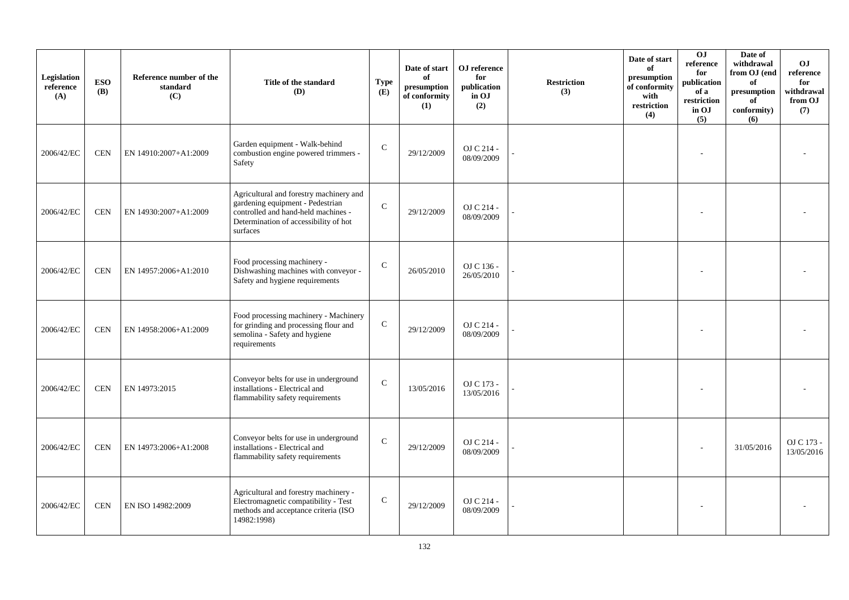| Legislation<br>reference<br>(A) | <b>ESO</b><br><b>(B)</b> | Reference number of the<br>standard<br>(C) | Title of the standard<br>(D)                                                                                                                                            | <b>Type</b><br>(E) | Date of start<br>of<br>presumption<br>of conformity<br>(1) | OJ reference<br>for<br>publication<br>in OJ<br>(2) | <b>Restriction</b><br>(3) | Date of start<br>of<br>presumption<br>of conformity<br>with<br>restriction<br>(4) | 0 <sub>J</sub><br>reference<br>for<br>publication<br>of a<br>restriction<br>in OJ<br>(5) | Date of<br>withdrawal<br>from OJ (end<br>of<br>presumption<br>of<br>conformity)<br>(6) | <b>OJ</b><br>reference<br>for<br>withdrawal<br>from OJ<br>(7) |
|---------------------------------|--------------------------|--------------------------------------------|-------------------------------------------------------------------------------------------------------------------------------------------------------------------------|--------------------|------------------------------------------------------------|----------------------------------------------------|---------------------------|-----------------------------------------------------------------------------------|------------------------------------------------------------------------------------------|----------------------------------------------------------------------------------------|---------------------------------------------------------------|
| 2006/42/EC                      | <b>CEN</b>               | EN 14910:2007+A1:2009                      | Garden equipment - Walk-behind<br>combustion engine powered trimmers -<br>Safety                                                                                        | $\mathcal{C}$      | 29/12/2009                                                 | OJ C 214 -<br>08/09/2009                           |                           |                                                                                   |                                                                                          |                                                                                        |                                                               |
| 2006/42/EC                      | <b>CEN</b>               | EN 14930:2007+A1:2009                      | Agricultural and forestry machinery and<br>gardening equipment - Pedestrian<br>controlled and hand-held machines -<br>Determination of accessibility of hot<br>surfaces | $\mathsf{C}$       | 29/12/2009                                                 | OJ C 214 -<br>08/09/2009                           |                           |                                                                                   |                                                                                          |                                                                                        |                                                               |
| 2006/42/EC                      | <b>CEN</b>               | EN 14957:2006+A1:2010                      | Food processing machinery -<br>Dishwashing machines with conveyor -<br>Safety and hygiene requirements                                                                  | $\mathcal{C}$      | 26/05/2010                                                 | OJ C 136 -<br>26/05/2010                           |                           |                                                                                   |                                                                                          |                                                                                        |                                                               |
| 2006/42/EC                      | <b>CEN</b>               | EN 14958:2006+A1:2009                      | Food processing machinery - Machinery<br>for grinding and processing flour and<br>semolina - Safety and hygiene<br>requirements                                         | ${\bf C}$          | 29/12/2009                                                 | OJ C 214 -<br>08/09/2009                           |                           |                                                                                   |                                                                                          |                                                                                        |                                                               |
| 2006/42/EC                      | <b>CEN</b>               | EN 14973:2015                              | Conveyor belts for use in underground<br>installations - Electrical and<br>flammability safety requirements                                                             | $\mathcal{C}$      | 13/05/2016                                                 | OJ C 173 -<br>13/05/2016                           |                           |                                                                                   |                                                                                          |                                                                                        |                                                               |
| 2006/42/EC                      | <b>CEN</b>               | EN 14973:2006+A1:2008                      | Conveyor belts for use in underground<br>installations - Electrical and<br>flammability safety requirements                                                             | $\mathcal{C}$      | 29/12/2009                                                 | OJ C 214 -<br>08/09/2009                           |                           |                                                                                   |                                                                                          | 31/05/2016                                                                             | OJ C 173 -<br>13/05/2016                                      |
| 2006/42/EC                      | <b>CEN</b>               | EN ISO 14982:2009                          | Agricultural and forestry machinery -<br>Electromagnetic compatibility - Test<br>methods and acceptance criteria (ISO<br>14982:1998)                                    | $\mathsf{C}$       | 29/12/2009                                                 | OJ C 214 -<br>08/09/2009                           |                           |                                                                                   |                                                                                          |                                                                                        |                                                               |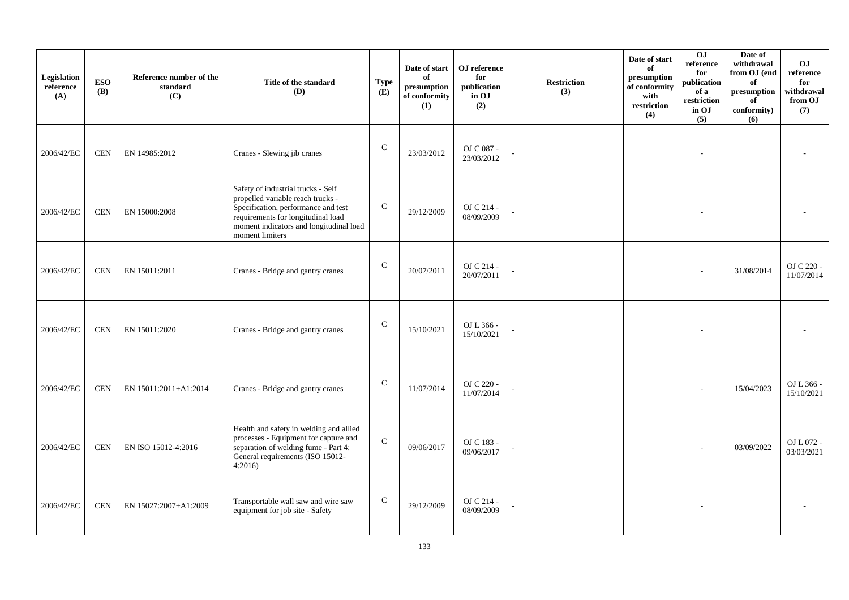| Legislation<br>reference<br>(A) | <b>ESO</b><br><b>(B)</b> | Reference number of the<br>standard<br>(C) | Title of the standard<br>(D)                                                                                                                                                                                       | <b>Type</b><br>(E) | Date of start<br>of<br>presumption<br>of conformity<br>(1) | OJ reference<br>for<br>publication<br>in OJ<br>(2) | <b>Restriction</b><br>(3) | Date of start<br>of<br>presumption<br>of conformity<br>with<br>restriction<br>(4) | $\overline{0}$<br>reference<br>for<br>publication<br>of a<br>restriction<br>in OJ<br>(5) | Date of<br>withdrawal<br>from OJ (end<br>of<br>presumption<br>of<br>conformity)<br>(6) | OJ<br>$\rm reference$<br>for<br>withdrawal<br>from OJ<br>(7) |
|---------------------------------|--------------------------|--------------------------------------------|--------------------------------------------------------------------------------------------------------------------------------------------------------------------------------------------------------------------|--------------------|------------------------------------------------------------|----------------------------------------------------|---------------------------|-----------------------------------------------------------------------------------|------------------------------------------------------------------------------------------|----------------------------------------------------------------------------------------|--------------------------------------------------------------|
| 2006/42/EC                      | <b>CEN</b>               | EN 14985:2012                              | Cranes - Slewing jib cranes                                                                                                                                                                                        | $\mathbf C$        | 23/03/2012                                                 | OJ C 087 -<br>23/03/2012                           |                           |                                                                                   |                                                                                          |                                                                                        |                                                              |
| 2006/42/EC                      | <b>CEN</b>               | EN 15000:2008                              | Safety of industrial trucks - Self<br>propelled variable reach trucks -<br>Specification, performance and test<br>requirements for longitudinal load<br>moment indicators and longitudinal load<br>moment limiters | $\mathsf{C}$       | 29/12/2009                                                 | OJ C 214 -<br>08/09/2009                           |                           |                                                                                   |                                                                                          |                                                                                        |                                                              |
| 2006/42/EC                      | <b>CEN</b>               | EN 15011:2011                              | Cranes - Bridge and gantry cranes                                                                                                                                                                                  | $\mathsf{C}$       | 20/07/2011                                                 | OJ C 214 -<br>20/07/2011                           |                           |                                                                                   |                                                                                          | 31/08/2014                                                                             | OJ C 220 -<br>11/07/2014                                     |
| 2006/42/EC                      | <b>CEN</b>               | EN 15011:2020                              | Cranes - Bridge and gantry cranes                                                                                                                                                                                  | $\mathsf{C}$       | 15/10/2021                                                 | OJ L 366 -<br>15/10/2021                           |                           |                                                                                   |                                                                                          |                                                                                        |                                                              |
| 2006/42/EC                      | <b>CEN</b>               | EN 15011:2011+A1:2014                      | Cranes - Bridge and gantry cranes                                                                                                                                                                                  | $\mathsf{C}$       | 11/07/2014                                                 | OJ C 220 -<br>11/07/2014                           |                           |                                                                                   |                                                                                          | 15/04/2023                                                                             | OJ L 366 -<br>15/10/2021                                     |
| 2006/42/EC                      | <b>CEN</b>               | EN ISO 15012-4:2016                        | Health and safety in welding and allied<br>processes - Equipment for capture and<br>separation of welding fume - Part 4:<br>General requirements (ISO 15012-<br>4:2016                                             | $\mathsf{C}$       | 09/06/2017                                                 | OJ C 183 -<br>09/06/2017                           |                           |                                                                                   |                                                                                          | 03/09/2022                                                                             | OJ L 072 -<br>03/03/2021                                     |
| 2006/42/EC                      | <b>CEN</b>               | EN 15027:2007+A1:2009                      | Transportable wall saw and wire saw<br>equipment for job site - Safety                                                                                                                                             | $\mathsf{C}$       | 29/12/2009                                                 | OJ C 214 -<br>08/09/2009                           |                           |                                                                                   |                                                                                          |                                                                                        |                                                              |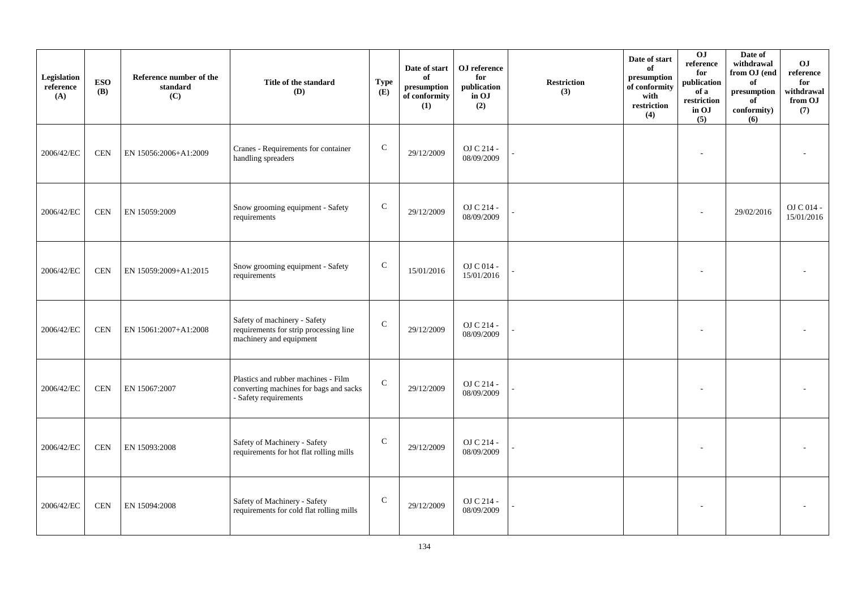| Legislation<br>reference<br>(A) | <b>ESO</b><br><b>(B)</b> | Reference number of the<br>standard<br>(C) | Title of the standard<br>(D)                                                                           | <b>Type</b><br>(E) | Date of start<br>of<br>presumption<br>of conformity<br>(1) | OJ reference<br>for<br>publication<br>in OJ<br>(2) | <b>Restriction</b><br>(3) | Date of start<br>of<br>presumption<br>of conformity<br>with<br>restriction<br>(4) | 0J<br>reference<br>for<br>publication<br>of a<br>restriction<br>in OJ<br>(5) | Date of<br>withdrawal<br>from OJ (end<br>of<br>presumption<br>of<br>conformity)<br>(6) | OJ<br>$\rm reference$<br>for<br>withdrawal<br>from OJ<br>(7) |
|---------------------------------|--------------------------|--------------------------------------------|--------------------------------------------------------------------------------------------------------|--------------------|------------------------------------------------------------|----------------------------------------------------|---------------------------|-----------------------------------------------------------------------------------|------------------------------------------------------------------------------|----------------------------------------------------------------------------------------|--------------------------------------------------------------|
| 2006/42/EC                      | <b>CEN</b>               | EN 15056:2006+A1:2009                      | Cranes - Requirements for container<br>handling spreaders                                              | ${\bf C}$          | 29/12/2009                                                 | OJ C 214 -<br>08/09/2009                           |                           |                                                                                   |                                                                              |                                                                                        |                                                              |
| 2006/42/EC                      | <b>CEN</b>               | EN 15059:2009                              | Snow grooming equipment - Safety<br>requirements                                                       | ${\bf C}$          | 29/12/2009                                                 | OJ C 214 -<br>08/09/2009                           |                           |                                                                                   |                                                                              | 29/02/2016                                                                             | OJ C 014 -<br>15/01/2016                                     |
| 2006/42/EC                      | <b>CEN</b>               | EN 15059:2009+A1:2015                      | Snow grooming equipment - Safety<br>requirements                                                       | $\mathsf{C}$       | 15/01/2016                                                 | OJ C 014 -<br>15/01/2016                           |                           |                                                                                   | ٠                                                                            |                                                                                        |                                                              |
| 2006/42/EC                      | <b>CEN</b>               | EN 15061:2007+A1:2008                      | Safety of machinery - Safety<br>requirements for strip processing line<br>machinery and equipment      | ${\bf C}$          | 29/12/2009                                                 | OJ C 214 -<br>08/09/2009                           |                           |                                                                                   |                                                                              |                                                                                        |                                                              |
| 2006/42/EC                      | <b>CEN</b>               | EN 15067:2007                              | Plastics and rubber machines - Film<br>converting machines for bags and sacks<br>- Safety requirements | $\mathcal{C}$      | 29/12/2009                                                 | OJ C 214 -<br>08/09/2009                           |                           |                                                                                   |                                                                              |                                                                                        |                                                              |
| 2006/42/EC                      | <b>CEN</b>               | EN 15093:2008                              | Safety of Machinery - Safety<br>requirements for hot flat rolling mills                                | $\mathsf{C}$       | 29/12/2009                                                 | OJ C 214 -<br>08/09/2009                           |                           |                                                                                   |                                                                              |                                                                                        |                                                              |
| 2006/42/EC                      | <b>CEN</b>               | EN 15094:2008                              | Safety of Machinery - Safety<br>requirements for cold flat rolling mills                               | $\mathsf{C}$       | 29/12/2009                                                 | OJ C 214 -<br>08/09/2009                           |                           |                                                                                   |                                                                              |                                                                                        |                                                              |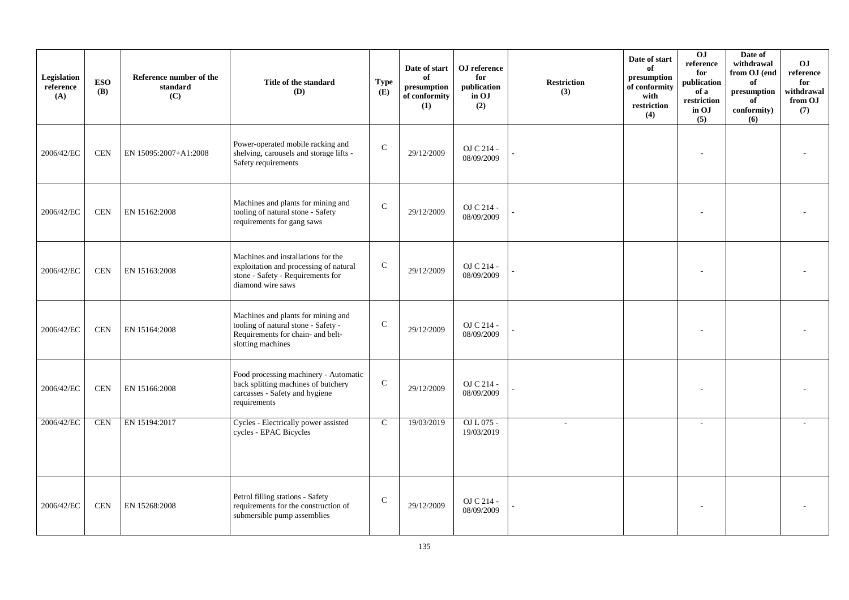| Legislation<br>reference<br>(A) | <b>ESO</b><br><b>(B)</b> | Reference number of the<br>standard<br>(C) | Title of the standard<br>(D)                                                                                                           | <b>Type</b><br>(E) | Date of start<br>of<br>presumption<br>of conformity<br>(1) | OJ reference<br>for<br>publication<br>in OJ<br>(2) | <b>Restriction</b><br>(3) | Date of start<br>of<br>presumption<br>of conformity<br>with<br>restriction<br>(4) | 0J<br>reference<br>for<br>publication<br>of a<br>restriction<br>in OJ<br>(5) | Date of<br>withdrawal<br>from OJ (end<br>of<br>$\,$ presumption<br>of<br>conformity)<br>(6) | O <sub>J</sub><br>reference<br>for<br>withdrawal<br>from OJ<br>(7) |
|---------------------------------|--------------------------|--------------------------------------------|----------------------------------------------------------------------------------------------------------------------------------------|--------------------|------------------------------------------------------------|----------------------------------------------------|---------------------------|-----------------------------------------------------------------------------------|------------------------------------------------------------------------------|---------------------------------------------------------------------------------------------|--------------------------------------------------------------------|
| 2006/42/EC                      | <b>CEN</b>               | EN 15095:2007+A1:2008                      | Power-operated mobile racking and<br>shelving, carousels and storage lifts -<br>Safety requirements                                    | ${\bf C}$          | 29/12/2009                                                 | OJ C 214 -<br>08/09/2009                           |                           |                                                                                   |                                                                              |                                                                                             |                                                                    |
| 2006/42/EC                      | <b>CEN</b>               | EN 15162:2008                              | Machines and plants for mining and<br>tooling of natural stone - Safety<br>requirements for gang saws                                  | $\mathcal{C}$      | 29/12/2009                                                 | OJ C 214 -<br>08/09/2009                           |                           |                                                                                   |                                                                              |                                                                                             |                                                                    |
| 2006/42/EC                      | <b>CEN</b>               | EN 15163:2008                              | Machines and installations for the<br>exploitation and processing of natural<br>stone - Safety - Requirements for<br>diamond wire saws | $\mathbf C$        | 29/12/2009                                                 | OJ C 214 -<br>08/09/2009                           |                           |                                                                                   |                                                                              |                                                                                             |                                                                    |
| 2006/42/EC                      | <b>CEN</b>               | EN 15164:2008                              | Machines and plants for mining and<br>tooling of natural stone - Safety -<br>Requirements for chain- and belt-<br>slotting machines    | $\mathbf C$        | 29/12/2009                                                 | OJ C 214 -<br>08/09/2009                           |                           |                                                                                   |                                                                              |                                                                                             |                                                                    |
| 2006/42/EC                      | <b>CEN</b>               | EN 15166:2008                              | Food processing machinery - Automatic<br>back splitting machines of butchery<br>carcasses - Safety and hygiene<br>requirements         | ${\bf C}$          | 29/12/2009                                                 | OJ C 214 -<br>08/09/2009                           |                           |                                                                                   |                                                                              |                                                                                             |                                                                    |
| 2006/42/EC                      | <b>CEN</b>               | EN 15194:2017                              | Cycles - Electrically power assisted<br>cycles - EPAC Bicycles                                                                         | $\mathbf C$        | 19/03/2019                                                 | OJ L 075 -<br>19/03/2019                           | ÷.                        |                                                                                   |                                                                              |                                                                                             |                                                                    |
| 2006/42/EC                      | <b>CEN</b>               | EN 15268:2008                              | Petrol filling stations - Safety<br>requirements for the construction of<br>submersible pump assemblies                                | $\mathsf{C}$       | 29/12/2009                                                 | OJ C 214 -<br>08/09/2009                           |                           |                                                                                   |                                                                              |                                                                                             |                                                                    |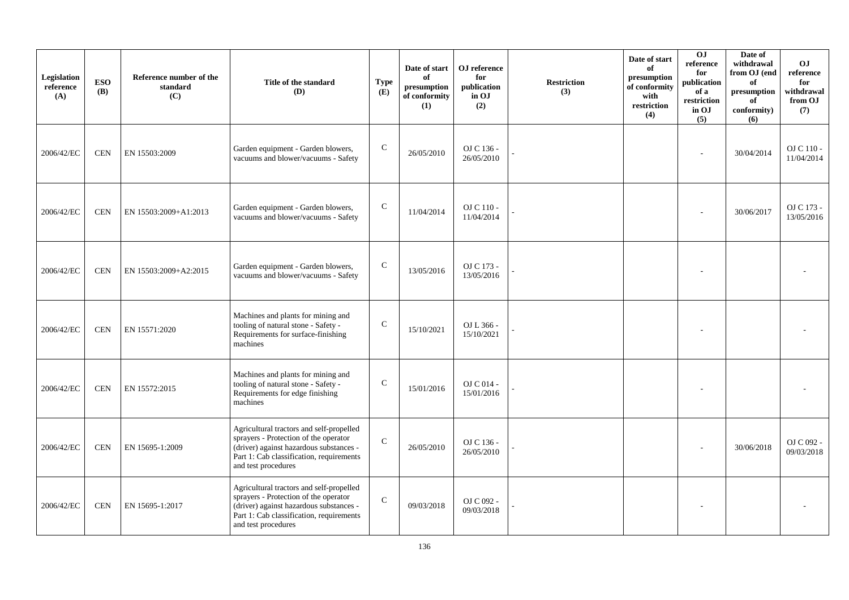| Legislation<br>reference<br>(A) | <b>ESO</b><br><b>(B)</b> | Reference number of the<br>standard<br>(C) | Title of the standard<br>(D)                                                                                                                                                                    | <b>Type</b><br>(E) | Date of start<br>of<br>presumption<br>of conformity<br>(1) | OJ reference<br>for<br>publication<br>in OJ<br>(2) | <b>Restriction</b><br>(3) | Date of start<br>of<br>presumption<br>of conformity<br>with<br>restriction<br>(4) | O <sub>J</sub><br>reference<br>for<br>publication<br>of a<br>restriction<br>in OJ<br>(5) | Date of<br>withdrawal<br>from OJ (end<br>of<br>presumption<br>of<br>conformity)<br>(6) | <b>OJ</b><br>reference<br>for<br>withdrawal<br>from OJ<br>(7) |
|---------------------------------|--------------------------|--------------------------------------------|-------------------------------------------------------------------------------------------------------------------------------------------------------------------------------------------------|--------------------|------------------------------------------------------------|----------------------------------------------------|---------------------------|-----------------------------------------------------------------------------------|------------------------------------------------------------------------------------------|----------------------------------------------------------------------------------------|---------------------------------------------------------------|
| 2006/42/EC                      | <b>CEN</b>               | EN 15503:2009                              | Garden equipment - Garden blowers,<br>vacuums and blower/vacuums - Safety                                                                                                                       | ${\bf C}$          | 26/05/2010                                                 | OJ C 136 -<br>26/05/2010                           |                           |                                                                                   |                                                                                          | 30/04/2014                                                                             | OJ C 110 -<br>11/04/2014                                      |
| 2006/42/EC                      | <b>CEN</b>               | EN 15503:2009+A1:2013                      | Garden equipment - Garden blowers,<br>vacuums and blower/vacuums - Safety                                                                                                                       | $\mathsf{C}$       | 11/04/2014                                                 | OJ C 110 -<br>11/04/2014                           |                           |                                                                                   |                                                                                          | 30/06/2017                                                                             | OJ C 173 -<br>13/05/2016                                      |
| 2006/42/EC                      | <b>CEN</b>               | EN 15503:2009+A2:2015                      | Garden equipment - Garden blowers,<br>vacuums and blower/vacuums - Safety                                                                                                                       | $\mathsf{C}$       | 13/05/2016                                                 | OJ C 173 -<br>13/05/2016                           |                           |                                                                                   |                                                                                          |                                                                                        |                                                               |
| 2006/42/EC                      | <b>CEN</b>               | EN 15571:2020                              | Machines and plants for mining and<br>tooling of natural stone - Safety -<br>Requirements for surface-finishing<br>machines                                                                     | C                  | 15/10/2021                                                 | OJ L 366 -<br>15/10/2021                           |                           |                                                                                   |                                                                                          |                                                                                        |                                                               |
| 2006/42/EC                      | <b>CEN</b>               | EN 15572:2015                              | Machines and plants for mining and<br>tooling of natural stone - Safety -<br>Requirements for edge finishing<br>machines                                                                        | $\mathcal{C}$      | 15/01/2016                                                 | OJ C 014 -<br>15/01/2016                           |                           |                                                                                   |                                                                                          |                                                                                        |                                                               |
| 2006/42/EC                      | <b>CEN</b>               | EN 15695-1:2009                            | Agricultural tractors and self-propelled<br>sprayers - Protection of the operator<br>(driver) against hazardous substances -<br>Part 1: Cab classification, requirements<br>and test procedures | $\mathsf{C}$       | 26/05/2010                                                 | OJ C 136 -<br>26/05/2010                           |                           |                                                                                   |                                                                                          | 30/06/2018                                                                             | OJ C 092 -<br>09/03/2018                                      |
| 2006/42/EC                      | <b>CEN</b>               | EN 15695-1:2017                            | Agricultural tractors and self-propelled<br>sprayers - Protection of the operator<br>(driver) against hazardous substances -<br>Part 1: Cab classification, requirements<br>and test procedures | $\mathsf{C}$       | 09/03/2018                                                 | OJ C 092 -<br>09/03/2018                           |                           |                                                                                   |                                                                                          |                                                                                        |                                                               |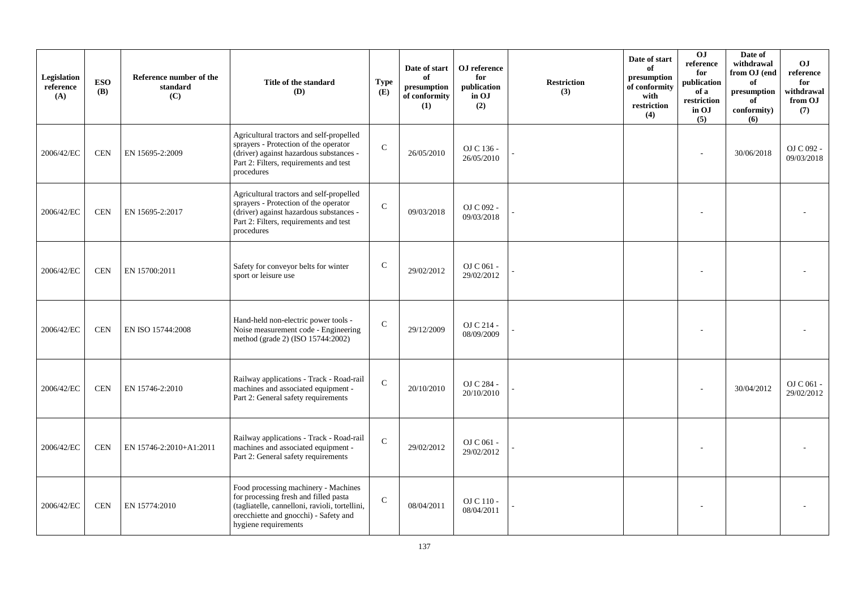| Legislation<br>reference<br>(A) | <b>ESO</b><br><b>(B)</b> | Reference number of the<br>standard<br>(C) | Title of the standard<br>(D)                                                                                                                                                                     | <b>Type</b><br>(E) | Date of start<br>of<br>presumption<br>of conformity<br>(1) | OJ reference<br>for<br>publication<br>in OJ<br>(2) | <b>Restriction</b><br>(3) | Date of start<br>of<br>presumption<br>of conformity<br>with<br>$\operatorname{restriction}$<br>(4) | O <sub>J</sub><br>reference<br>for<br>publication<br>of a<br>restriction<br>in OJ<br>(5) | Date of<br>withdrawal<br>from OJ (end<br>of<br>$\bf{presumption}$<br>of<br>conformity)<br>(6) | OJ.<br>reference<br>for<br>withdrawal<br>from OJ<br>(7) |
|---------------------------------|--------------------------|--------------------------------------------|--------------------------------------------------------------------------------------------------------------------------------------------------------------------------------------------------|--------------------|------------------------------------------------------------|----------------------------------------------------|---------------------------|----------------------------------------------------------------------------------------------------|------------------------------------------------------------------------------------------|-----------------------------------------------------------------------------------------------|---------------------------------------------------------|
| 2006/42/EC                      | <b>CEN</b>               | EN 15695-2:2009                            | Agricultural tractors and self-propelled<br>sprayers - Protection of the operator<br>(driver) against hazardous substances -<br>Part 2: Filters, requirements and test<br>procedures             | $\mathbf C$        | 26/05/2010                                                 | OJ C 136 -<br>26/05/2010                           |                           |                                                                                                    |                                                                                          | 30/06/2018                                                                                    | OJ C 092 -<br>09/03/2018                                |
| 2006/42/EC                      | <b>CEN</b>               | EN 15695-2:2017                            | Agricultural tractors and self-propelled<br>sprayers - Protection of the operator<br>(driver) against hazardous substances -<br>Part 2: Filters, requirements and test<br>procedures             | $\mathcal{C}$      | 09/03/2018                                                 | OJ C 092 -<br>09/03/2018                           |                           |                                                                                                    |                                                                                          |                                                                                               |                                                         |
| 2006/42/EC                      | <b>CEN</b>               | EN 15700:2011                              | Safety for conveyor belts for winter<br>sport or leisure use                                                                                                                                     | $\mathbf C$        | 29/02/2012                                                 | OJ C 061 -<br>29/02/2012                           |                           |                                                                                                    |                                                                                          |                                                                                               |                                                         |
| 2006/42/EC                      | <b>CEN</b>               | EN ISO 15744:2008                          | Hand-held non-electric power tools -<br>Noise measurement code - Engineering<br>method (grade 2) (ISO 15744:2002)                                                                                | $\mathbf C$        | 29/12/2009                                                 | OJ C 214 -<br>08/09/2009                           |                           |                                                                                                    |                                                                                          |                                                                                               |                                                         |
| 2006/42/EC                      | <b>CEN</b>               | EN 15746-2:2010                            | Railway applications - Track - Road-rail<br>machines and associated equipment -<br>Part 2: General safety requirements                                                                           | $\mathsf{C}$       | 20/10/2010                                                 | OJ C 284 -<br>20/10/2010                           |                           |                                                                                                    |                                                                                          | 30/04/2012                                                                                    | OJ C 061 -<br>29/02/2012                                |
| 2006/42/EC                      | <b>CEN</b>               | EN 15746-2:2010+A1:2011                    | Railway applications - Track - Road-rail<br>machines and associated equipment -<br>Part 2: General safety requirements                                                                           | $\mathsf{C}$       | 29/02/2012                                                 | OJ C 061 -<br>29/02/2012                           |                           |                                                                                                    |                                                                                          |                                                                                               |                                                         |
| 2006/42/EC                      | <b>CEN</b>               | EN 15774:2010                              | Food processing machinery - Machines<br>for processing fresh and filled pasta<br>(tagliatelle, cannelloni, ravioli, tortellini,<br>orecchiette and gnocchi) - Safety and<br>hygiene requirements | $\mathcal{C}$      | 08/04/2011                                                 | OJ C 110 -<br>08/04/2011                           |                           |                                                                                                    |                                                                                          |                                                                                               |                                                         |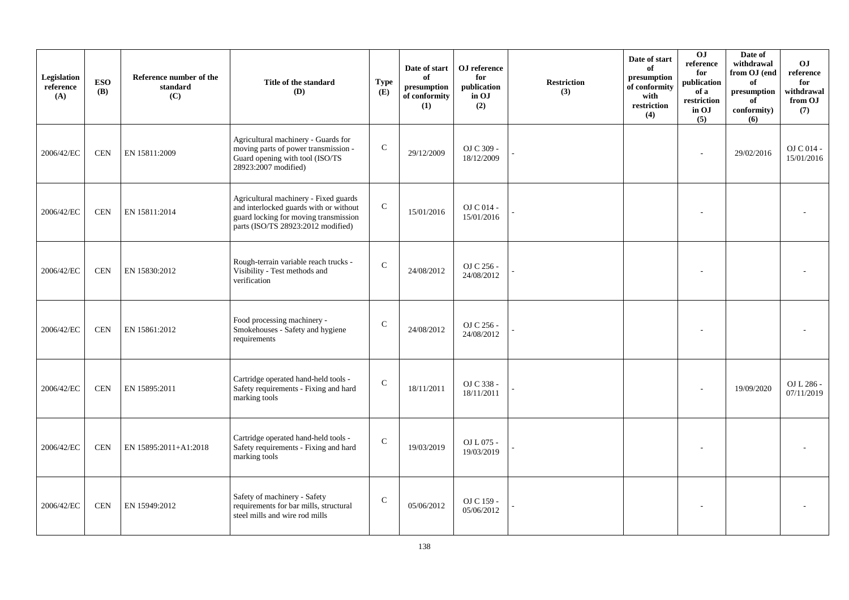| Legislation<br>reference<br>(A) | <b>ESO</b><br><b>(B)</b> | Reference number of the<br>standard<br>(C) | Title of the standard<br>(D)                                                                                                                                   | <b>Type</b><br>(E) | Date of start<br>of<br>presumption<br>of conformity<br>(1) | OJ reference<br>for<br>publication<br>in OJ<br>(2) | <b>Restriction</b><br>(3) | Date of start<br>of<br>presumption<br>of conformity<br>with<br>restriction<br>(4) | 0J<br>reference<br>for<br>publication<br>of a<br>restriction<br>in OJ<br>(5) | Date of<br>withdrawal<br>from OJ (end<br>of<br>presumption<br>of<br>conformity)<br>(6) | O <sub>J</sub><br>reference<br>for<br>withdrawal<br>from OJ<br>(7) |
|---------------------------------|--------------------------|--------------------------------------------|----------------------------------------------------------------------------------------------------------------------------------------------------------------|--------------------|------------------------------------------------------------|----------------------------------------------------|---------------------------|-----------------------------------------------------------------------------------|------------------------------------------------------------------------------|----------------------------------------------------------------------------------------|--------------------------------------------------------------------|
| 2006/42/EC                      | <b>CEN</b>               | EN 15811:2009                              | Agricultural machinery - Guards for<br>moving parts of power transmission -<br>Guard opening with tool (ISO/TS<br>28923:2007 modified)                         | $\mathbf C$        | 29/12/2009                                                 | OJ C 309 -<br>18/12/2009                           |                           |                                                                                   |                                                                              | 29/02/2016                                                                             | OJ C 014 -<br>15/01/2016                                           |
| 2006/42/EC                      | <b>CEN</b>               | EN 15811:2014                              | Agricultural machinery - Fixed guards<br>and interlocked guards with or without<br>guard locking for moving transmission<br>parts (ISO/TS 28923:2012 modified) | ${\bf C}$          | 15/01/2016                                                 | OJ C 014 -<br>15/01/2016                           |                           |                                                                                   |                                                                              |                                                                                        |                                                                    |
| 2006/42/EC                      | <b>CEN</b>               | EN 15830:2012                              | Rough-terrain variable reach trucks -<br>Visibility - Test methods and<br>verification                                                                         | $\mathbf C$        | 24/08/2012                                                 | OJ C 256 -<br>24/08/2012                           |                           |                                                                                   |                                                                              |                                                                                        |                                                                    |
| 2006/42/EC                      | <b>CEN</b>               | EN 15861:2012                              | Food processing machinery -<br>Smokehouses - Safety and hygiene<br>requirements                                                                                | $\mathsf{C}$       | 24/08/2012                                                 | OJ C 256 -<br>24/08/2012                           |                           |                                                                                   |                                                                              |                                                                                        |                                                                    |
| 2006/42/EC                      | <b>CEN</b>               | EN 15895:2011                              | Cartridge operated hand-held tools -<br>Safety requirements - Fixing and hard<br>marking tools                                                                 | $\mathsf{C}$       | 18/11/2011                                                 | OJ C 338 -<br>18/11/2011                           |                           |                                                                                   |                                                                              | 19/09/2020                                                                             | OJ L 286 -<br>07/11/2019                                           |
| 2006/42/EC                      | <b>CEN</b>               | EN 15895:2011+A1:2018                      | Cartridge operated hand-held tools -<br>Safety requirements - Fixing and hard<br>marking tools                                                                 | $\mathsf{C}$       | 19/03/2019                                                 | OJ L 075 -<br>19/03/2019                           |                           |                                                                                   |                                                                              |                                                                                        |                                                                    |
| 2006/42/EC                      | <b>CEN</b>               | EN 15949:2012                              | Safety of machinery - Safety<br>requirements for bar mills, structural<br>steel mills and wire rod mills                                                       | $\mathsf{C}$       | 05/06/2012                                                 | OJ C 159 -<br>05/06/2012                           |                           |                                                                                   |                                                                              |                                                                                        |                                                                    |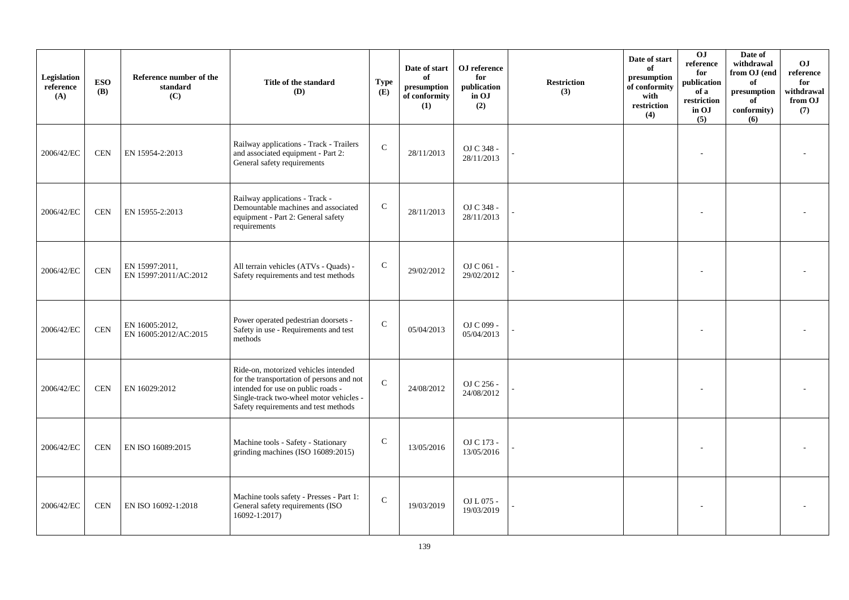| Legislation<br>reference<br>(A) | <b>ESO</b><br><b>(B)</b> | Reference number of the<br>standard<br>(C) | Title of the standard<br><b>(D)</b>                                                                                                                                                                        | Type<br>(E)   | Date of start<br>of<br>presumption<br>of conformity<br>(1) | OJ reference<br>for<br>publication<br>in OJ<br>(2) | <b>Restriction</b><br>(3) | Date of start<br>of<br>presumption<br>of conformity<br>with<br>restriction<br>(4) | OJ<br>reference<br>for<br>publication<br>of a<br>restriction<br>in OJ<br>(5) | Date of<br>withdrawal<br>from OJ (end<br>of<br>presumption<br>of<br>conformity)<br>(6) | O <sub>J</sub><br>reference<br>for<br>withdrawal<br>from OJ<br>(7) |
|---------------------------------|--------------------------|--------------------------------------------|------------------------------------------------------------------------------------------------------------------------------------------------------------------------------------------------------------|---------------|------------------------------------------------------------|----------------------------------------------------|---------------------------|-----------------------------------------------------------------------------------|------------------------------------------------------------------------------|----------------------------------------------------------------------------------------|--------------------------------------------------------------------|
| 2006/42/EC                      | <b>CEN</b>               | EN 15954-2:2013                            | Railway applications - Track - Trailers<br>and associated equipment - Part 2:<br>General safety requirements                                                                                               | $\mathbf{C}$  | 28/11/2013                                                 | OJ C 348 -<br>28/11/2013                           |                           |                                                                                   |                                                                              |                                                                                        |                                                                    |
| 2006/42/EC                      | <b>CEN</b>               | EN 15955-2:2013                            | Railway applications - Track -<br>Demountable machines and associated<br>equipment - Part 2: General safety<br>requirements                                                                                | ${\bf C}$     | 28/11/2013                                                 | OJ C 348 -<br>28/11/2013                           |                           |                                                                                   |                                                                              |                                                                                        |                                                                    |
| 2006/42/EC                      | <b>CEN</b>               | EN 15997:2011,<br>EN 15997:2011/AC:2012    | All terrain vehicles (ATVs - Quads) -<br>Safety requirements and test methods                                                                                                                              | $\mathbf C$   | 29/02/2012                                                 | OJ C $061$ -<br>29/02/2012                         |                           |                                                                                   |                                                                              |                                                                                        |                                                                    |
| 2006/42/EC                      | <b>CEN</b>               | EN 16005:2012,<br>EN 16005:2012/AC:2015    | Power operated pedestrian doorsets -<br>Safety in use - Requirements and test<br>methods                                                                                                                   | $\mathcal{C}$ | 05/04/2013                                                 | OJ C 099 -<br>05/04/2013                           |                           |                                                                                   |                                                                              |                                                                                        |                                                                    |
| 2006/42/EC                      | <b>CEN</b>               | EN 16029:2012                              | Ride-on, motorized vehicles intended<br>for the transportation of persons and not<br>intended for use on public roads -<br>Single-track two-wheel motor vehicles -<br>Safety requirements and test methods | $\mathcal{C}$ | 24/08/2012                                                 | OJ C 256 -<br>24/08/2012                           |                           |                                                                                   |                                                                              |                                                                                        |                                                                    |
| 2006/42/EC                      | <b>CEN</b>               | EN ISO 16089:2015                          | Machine tools - Safety - Stationary<br>grinding machines (ISO 16089:2015)                                                                                                                                  | $\mathbf C$   | 13/05/2016                                                 | OJ C 173 -<br>13/05/2016                           |                           |                                                                                   |                                                                              |                                                                                        |                                                                    |
| 2006/42/EC                      | <b>CEN</b>               | EN ISO 16092-1:2018                        | Machine tools safety - Presses - Part 1:<br>General safety requirements (ISO<br>16092-1:2017)                                                                                                              | $\mathsf{C}$  | 19/03/2019                                                 | OJ L 075 -<br>19/03/2019                           |                           |                                                                                   |                                                                              |                                                                                        |                                                                    |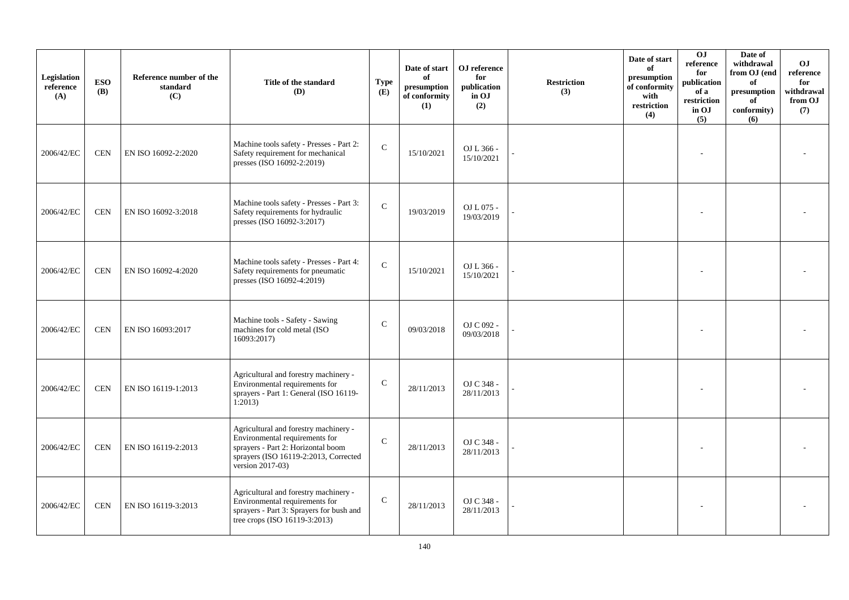| Legislation<br>reference<br>(A) | <b>ESO</b><br><b>(B)</b> | Reference number of the<br>standard<br>(C) | Title of the standard<br>(D)                                                                                                                                               | <b>Type</b><br>(E) | Date of start<br>of<br>presumption<br>of conformity<br>(1) | OJ reference<br>for<br>publication<br>in OJ<br>(2) | <b>Restriction</b><br>(3) | Date of start<br>of<br>presumption<br>of conformity<br>with<br>restriction<br>(4) | OJ<br>reference<br>for<br>publication<br>of a<br>restriction<br>in OJ<br>(5) | Date of<br>withdrawal<br>from OJ (end<br>of<br>presumption<br>of<br>conformity)<br>(6) | O <sub>J</sub><br>reference<br>for<br>withdrawal<br>from OJ<br>(7) |
|---------------------------------|--------------------------|--------------------------------------------|----------------------------------------------------------------------------------------------------------------------------------------------------------------------------|--------------------|------------------------------------------------------------|----------------------------------------------------|---------------------------|-----------------------------------------------------------------------------------|------------------------------------------------------------------------------|----------------------------------------------------------------------------------------|--------------------------------------------------------------------|
| 2006/42/EC                      | <b>CEN</b>               | EN ISO 16092-2:2020                        | Machine tools safety - Presses - Part 2:<br>Safety requirement for mechanical<br>presses (ISO 16092-2:2019)                                                                | $\mathbf C$        | 15/10/2021                                                 | OJ L 366 -<br>15/10/2021                           |                           |                                                                                   |                                                                              |                                                                                        |                                                                    |
| 2006/42/EC                      | <b>CEN</b>               | EN ISO 16092-3:2018                        | Machine tools safety - Presses - Part 3:<br>Safety requirements for hydraulic<br>presses (ISO 16092-3:2017)                                                                | $\mathbf C$        | 19/03/2019                                                 | OJ L 075 -<br>19/03/2019                           |                           |                                                                                   |                                                                              |                                                                                        |                                                                    |
| 2006/42/EC                      | <b>CEN</b>               | EN ISO 16092-4:2020                        | Machine tools safety - Presses - Part 4:<br>Safety requirements for pneumatic<br>presses (ISO 16092-4:2019)                                                                | $\mathcal{C}$      | 15/10/2021                                                 | OJ L 366 -<br>15/10/2021                           |                           |                                                                                   |                                                                              |                                                                                        |                                                                    |
| 2006/42/EC                      | <b>CEN</b>               | EN ISO 16093:2017                          | Machine tools - Safety - Sawing<br>machines for cold metal (ISO<br>16093:2017)                                                                                             | $\mathcal{C}$      | 09/03/2018                                                 | OJ C 092 -<br>09/03/2018                           |                           |                                                                                   |                                                                              |                                                                                        |                                                                    |
| 2006/42/EC                      | <b>CEN</b>               | EN ISO 16119-1:2013                        | Agricultural and forestry machinery -<br>Environmental requirements for<br>sprayers - Part 1: General (ISO 16119-<br>1:2013                                                | $\mathbf C$        | 28/11/2013                                                 | OJ C 348 -<br>28/11/2013                           |                           |                                                                                   |                                                                              |                                                                                        |                                                                    |
| 2006/42/EC                      | <b>CEN</b>               | EN ISO 16119-2:2013                        | Agricultural and forestry machinery -<br>Environmental requirements for<br>sprayers - Part 2: Horizontal boom<br>sprayers (ISO 16119-2:2013, Corrected<br>version 2017-03) | $\mathcal{C}$      | 28/11/2013                                                 | OJ C 348 -<br>28/11/2013                           |                           |                                                                                   |                                                                              |                                                                                        |                                                                    |
| 2006/42/EC                      | <b>CEN</b>               | EN ISO 16119-3:2013                        | Agricultural and forestry machinery -<br>Environmental requirements for<br>sprayers - Part 3: Sprayers for bush and<br>tree crops (ISO 16119-3:2013)                       | $\mathcal{C}$      | 28/11/2013                                                 | OJ C 348 -<br>28/11/2013                           |                           |                                                                                   |                                                                              |                                                                                        |                                                                    |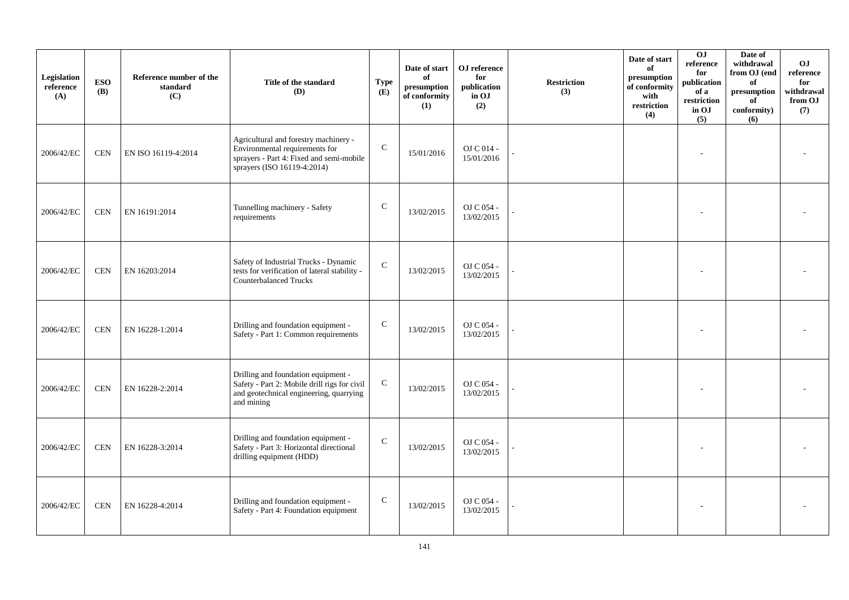| Legislation<br>reference<br>(A) | <b>ESO</b><br><b>(B)</b> | Reference number of the<br>standard<br>(C) | Title of the standard<br>(D)                                                                                                                       | <b>Type</b><br>(E) | Date of start<br>of<br>presumption<br>of conformity<br>(1) | OJ reference<br>for<br>publication<br>in OJ<br>(2) | <b>Restriction</b><br>(3) | Date of start<br>of<br>presumption<br>of conformity<br>with<br>restriction<br>(4) | 0J<br>reference<br>for<br>publication<br>of a<br>restriction<br>in OJ<br>(5) | Date of<br>withdrawal<br>from OJ (end<br>of<br>$\bf{presumption}$<br>of<br>conformity)<br>(6) | O <sub>J</sub><br>reference<br>for<br>withdrawal<br>from OJ<br>(7) |
|---------------------------------|--------------------------|--------------------------------------------|----------------------------------------------------------------------------------------------------------------------------------------------------|--------------------|------------------------------------------------------------|----------------------------------------------------|---------------------------|-----------------------------------------------------------------------------------|------------------------------------------------------------------------------|-----------------------------------------------------------------------------------------------|--------------------------------------------------------------------|
| 2006/42/EC                      | <b>CEN</b>               | EN ISO 16119-4:2014                        | Agricultural and forestry machinery -<br>Environmental requirements for<br>sprayers - Part 4: Fixed and semi-mobile<br>sprayers (ISO 16119-4:2014) | $\mathcal{C}$      | 15/01/2016                                                 | OJ C 014 -<br>15/01/2016                           |                           |                                                                                   |                                                                              |                                                                                               |                                                                    |
| 2006/42/EC                      | <b>CEN</b>               | EN 16191:2014                              | Tunnelling machinery - Safety<br>requirements                                                                                                      | $\mathsf{C}$       | 13/02/2015                                                 | OJ C $054$ -<br>13/02/2015                         |                           |                                                                                   |                                                                              |                                                                                               |                                                                    |
| 2006/42/EC                      | <b>CEN</b>               | EN 16203:2014                              | Safety of Industrial Trucks - Dynamic<br>tests for verification of lateral stability -<br><b>Counterbalanced Trucks</b>                            | $\mathbf C$        | 13/02/2015                                                 | OJ C 054 -<br>13/02/2015                           |                           |                                                                                   |                                                                              |                                                                                               |                                                                    |
| 2006/42/EC                      | <b>CEN</b>               | EN 16228-1:2014                            | Drilling and foundation equipment -<br>Safety - Part 1: Common requirements                                                                        | ${\bf C}$          | 13/02/2015                                                 | OJ C 054 -<br>13/02/2015                           |                           |                                                                                   |                                                                              |                                                                                               |                                                                    |
| 2006/42/EC                      | <b>CEN</b>               | EN 16228-2:2014                            | Drilling and foundation equipment -<br>Safety - Part 2: Mobile drill rigs for civil<br>and geotechnical engineering, quarrying<br>and mining       | $\mathbf C$        | 13/02/2015                                                 | OJ C 054 -<br>13/02/2015                           |                           |                                                                                   |                                                                              |                                                                                               |                                                                    |
| 2006/42/EC                      | <b>CEN</b>               | EN 16228-3:2014                            | Drilling and foundation equipment -<br>Safety - Part 3: Horizontal directional<br>drilling equipment (HDD)                                         | $\mathbf C$        | 13/02/2015                                                 | OJ C 054 -<br>13/02/2015                           |                           |                                                                                   |                                                                              |                                                                                               |                                                                    |
| 2006/42/EC                      | <b>CEN</b>               | EN 16228-4:2014                            | Drilling and foundation equipment -<br>Safety - Part 4: Foundation equipment                                                                       | $\mathbf C$        | 13/02/2015                                                 | OJ C 054 -<br>13/02/2015                           |                           |                                                                                   |                                                                              |                                                                                               |                                                                    |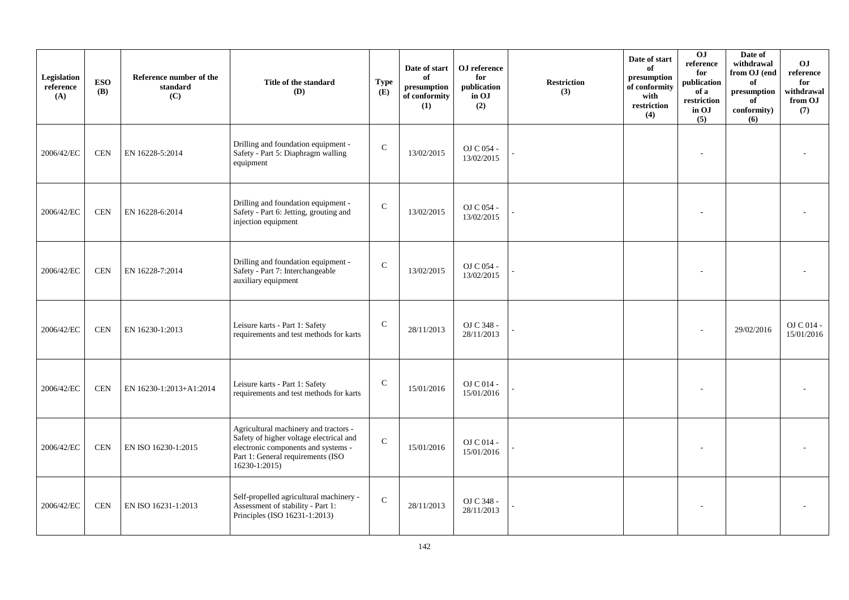| Legislation<br>reference<br>(A) | <b>ESO</b><br><b>(B)</b> | Reference number of the<br>standard<br>(C) | Title of the standard<br>(D)                                                                                                                                                  | <b>Type</b><br>(E) | Date of start<br>of<br>presumption<br>of conformity<br>(1) | OJ reference<br>for<br>publication<br>in OJ<br>(2) | <b>Restriction</b><br>(3) | Date of start<br>of<br>presumption<br>of conformity<br>with<br>restriction<br>(4) | 0J<br>reference<br>for<br>publication<br>of a<br>restriction<br>in OJ<br>(5) | Date of<br>withdrawal<br>from OJ (end<br>of<br>$\bf{presumption}$<br>of<br>conformity)<br>(6) | O <sub>J</sub><br>reference<br>for<br>withdrawal<br>from OJ<br>(7) |
|---------------------------------|--------------------------|--------------------------------------------|-------------------------------------------------------------------------------------------------------------------------------------------------------------------------------|--------------------|------------------------------------------------------------|----------------------------------------------------|---------------------------|-----------------------------------------------------------------------------------|------------------------------------------------------------------------------|-----------------------------------------------------------------------------------------------|--------------------------------------------------------------------|
| 2006/42/EC                      | <b>CEN</b>               | EN 16228-5:2014                            | Drilling and foundation equipment -<br>Safety - Part 5: Diaphragm walling<br>equipment                                                                                        | $\mathcal{C}$      | 13/02/2015                                                 | OJ C 054 -<br>13/02/2015                           |                           |                                                                                   |                                                                              |                                                                                               |                                                                    |
| 2006/42/EC                      | <b>CEN</b>               | EN 16228-6:2014                            | Drilling and foundation equipment -<br>Safety - Part 6: Jetting, grouting and<br>injection equipment                                                                          | $\mathbf C$        | 13/02/2015                                                 | OJ C $054$ -<br>13/02/2015                         |                           |                                                                                   |                                                                              |                                                                                               |                                                                    |
| 2006/42/EC                      | <b>CEN</b>               | EN 16228-7:2014                            | Drilling and foundation equipment -<br>Safety - Part 7: Interchangeable<br>auxiliary equipment                                                                                | $\mathcal{C}$      | 13/02/2015                                                 | OJ C 054 -<br>13/02/2015                           |                           |                                                                                   |                                                                              |                                                                                               |                                                                    |
| 2006/42/EC                      | <b>CEN</b>               | EN 16230-1:2013                            | Leisure karts - Part 1: Safety<br>requirements and test methods for karts                                                                                                     | $\mathcal{C}$      | 28/11/2013                                                 | OJ C 348 -<br>28/11/2013                           |                           |                                                                                   |                                                                              | 29/02/2016                                                                                    | OJ C 014 -<br>15/01/2016                                           |
| 2006/42/EC                      | <b>CEN</b>               | EN 16230-1:2013+A1:2014                    | Leisure karts - Part 1: Safety<br>requirements and test methods for karts                                                                                                     | $\mathcal{C}$      | 15/01/2016                                                 | OJ C 014 -<br>15/01/2016                           |                           |                                                                                   |                                                                              |                                                                                               |                                                                    |
| 2006/42/EC                      | <b>CEN</b>               | EN ISO 16230-1:2015                        | Agricultural machinery and tractors -<br>Safety of higher voltage electrical and<br>electronic components and systems -<br>Part 1: General requirements (ISO<br>16230-1:2015) | $\mathcal{C}$      | 15/01/2016                                                 | OJ C 014 -<br>15/01/2016                           |                           |                                                                                   |                                                                              |                                                                                               |                                                                    |
| 2006/42/EC                      | <b>CEN</b>               | EN ISO 16231-1:2013                        | Self-propelled agricultural machinery -<br>Assessment of stability - Part 1:<br>Principles (ISO 16231-1:2013)                                                                 | $\mathsf{C}$       | 28/11/2013                                                 | OJ C 348 -<br>28/11/2013                           |                           |                                                                                   |                                                                              |                                                                                               |                                                                    |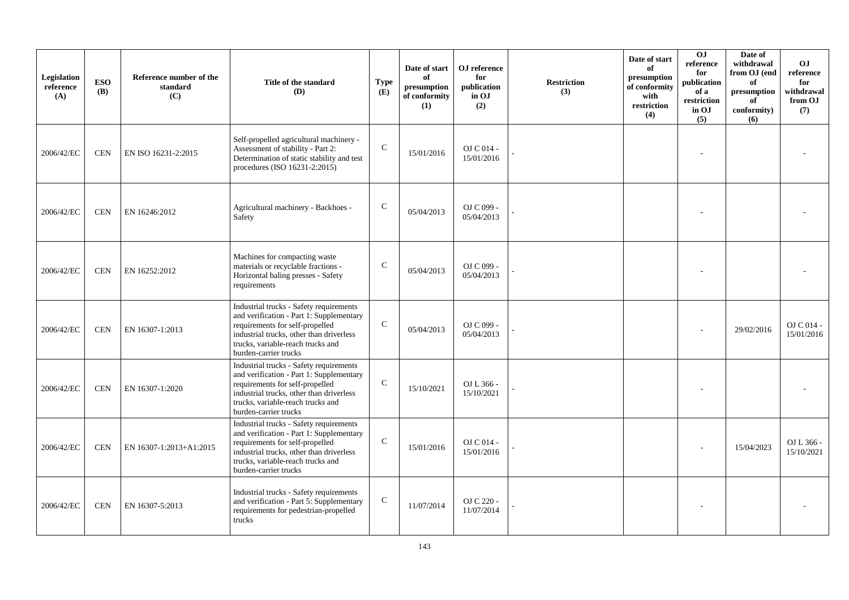| Legislation<br>reference<br>(A) | <b>ESO</b><br><b>(B)</b> | Reference number of the<br>standard<br>(C) | Title of the standard<br>(D)                                                                                                                                                                                                     | <b>Type</b><br>(E) | Date of start<br>of<br>presumption<br>of conformity<br>(1) | OJ reference<br>for<br>publication<br>in OJ<br>(2) | <b>Restriction</b><br>(3) | Date of start<br>of<br>presumption<br>of conformity<br>with<br>restriction<br>(4) | O <sub>J</sub><br>reference<br>for<br>publication<br>of a<br>restriction<br>in OJ<br>(5) | Date of<br>withdrawal<br>from OJ (end<br>of<br>presumption<br>of<br>conformity)<br>(6) | <b>OJ</b><br>reference<br>for<br>withdrawal<br>from OJ<br>(7) |
|---------------------------------|--------------------------|--------------------------------------------|----------------------------------------------------------------------------------------------------------------------------------------------------------------------------------------------------------------------------------|--------------------|------------------------------------------------------------|----------------------------------------------------|---------------------------|-----------------------------------------------------------------------------------|------------------------------------------------------------------------------------------|----------------------------------------------------------------------------------------|---------------------------------------------------------------|
| 2006/42/EC                      | <b>CEN</b>               | EN ISO 16231-2:2015                        | Self-propelled agricultural machinery -<br>Assessment of stability - Part 2:<br>Determination of static stability and test<br>procedures (ISO 16231-2:2015)                                                                      | $\mathcal{C}$      | 15/01/2016                                                 | OJ C 014 -<br>15/01/2016                           |                           |                                                                                   |                                                                                          |                                                                                        |                                                               |
| 2006/42/EC                      | <b>CEN</b>               | EN 16246:2012                              | Agricultural machinery - Backhoes -<br>Safety                                                                                                                                                                                    | $\mathcal{C}$      | 05/04/2013                                                 | OJ C 099 -<br>05/04/2013                           |                           |                                                                                   |                                                                                          |                                                                                        |                                                               |
| 2006/42/EC                      | <b>CEN</b>               | EN 16252:2012                              | Machines for compacting waste<br>materials or recyclable fractions -<br>Horizontal baling presses - Safety<br>requirements                                                                                                       | $\mathsf{C}$       | 05/04/2013                                                 | OJ C 099 -<br>05/04/2013                           |                           |                                                                                   |                                                                                          |                                                                                        |                                                               |
| 2006/42/EC                      | <b>CEN</b>               | EN 16307-1:2013                            | Industrial trucks - Safety requirements<br>and verification - Part 1: Supplementary<br>requirements for self-propelled<br>industrial trucks, other than driverless<br>trucks, variable-reach trucks and<br>burden-carrier trucks | $\mathsf{C}$       | 05/04/2013                                                 | OJ C 099 -<br>05/04/2013                           |                           |                                                                                   |                                                                                          | 29/02/2016                                                                             | $OJ$ C 014 -<br>15/01/2016                                    |
| 2006/42/EC                      | <b>CEN</b>               | EN 16307-1:2020                            | Industrial trucks - Safety requirements<br>and verification - Part 1: Supplementary<br>requirements for self-propelled<br>industrial trucks, other than driverless<br>trucks, variable-reach trucks and<br>burden-carrier trucks | $\mathsf{C}$       | 15/10/2021                                                 | OJ L 366 -<br>15/10/2021                           |                           |                                                                                   |                                                                                          |                                                                                        |                                                               |
| 2006/42/EC                      | <b>CEN</b>               | EN 16307-1:2013+A1:2015                    | Industrial trucks - Safety requirements<br>and verification - Part 1: Supplementary<br>requirements for self-propelled<br>industrial trucks, other than driverless<br>trucks, variable-reach trucks and<br>burden-carrier trucks | $\mathcal{C}$      | 15/01/2016                                                 | OJ C 014 -<br>15/01/2016                           |                           |                                                                                   |                                                                                          | 15/04/2023                                                                             | OJ L 366 -<br>15/10/2021                                      |
| 2006/42/EC                      | <b>CEN</b>               | EN 16307-5:2013                            | Industrial trucks - Safety requirements<br>and verification - Part 5: Supplementary<br>requirements for pedestrian-propelled<br>trucks                                                                                           | $\mathsf{C}$       | 11/07/2014                                                 | OJ C 220 -<br>11/07/2014                           |                           |                                                                                   |                                                                                          |                                                                                        |                                                               |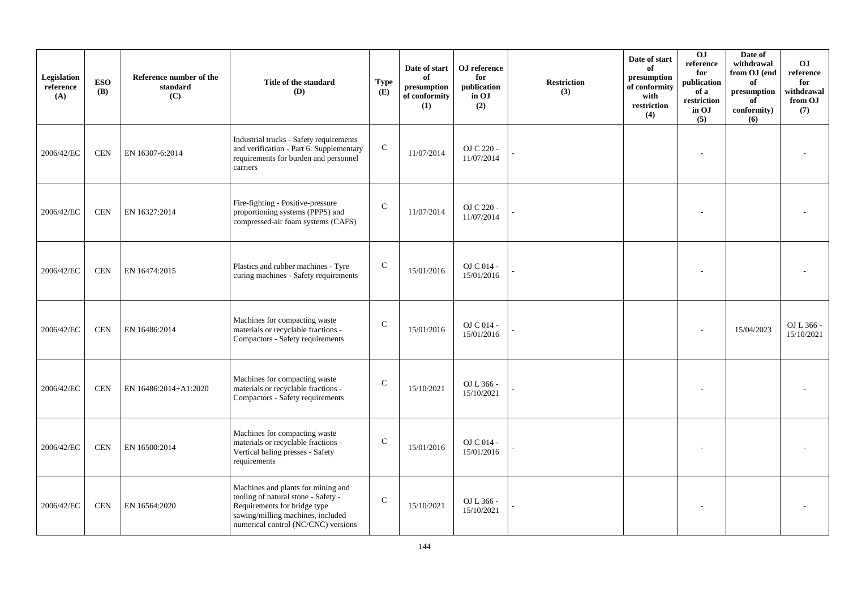| Legislation<br>reference<br>(A) | <b>ESO</b><br><b>(B)</b> | Reference number of the<br>standard<br>(C) | Title of the standard<br>(D)                                                                                                                                                          | <b>Type</b><br>(E) | Date of start<br>of<br>presumption<br>of conformity<br>(1) | OJ reference<br>for<br>publication<br>in OJ<br>(2) | <b>Restriction</b><br>(3) | Date of start<br>of<br>presumption<br>of conformity<br>with<br>restriction<br>(4) | 0J<br>reference<br>for<br>publication<br>of a<br>restriction<br>in OJ<br>(5) | Date of<br>withdrawal<br>from OJ (end<br>of<br>presumption<br>of<br>conformity)<br>(6) | O <sub>J</sub><br>reference<br>for<br>withdrawal<br>from OJ<br>(7) |
|---------------------------------|--------------------------|--------------------------------------------|---------------------------------------------------------------------------------------------------------------------------------------------------------------------------------------|--------------------|------------------------------------------------------------|----------------------------------------------------|---------------------------|-----------------------------------------------------------------------------------|------------------------------------------------------------------------------|----------------------------------------------------------------------------------------|--------------------------------------------------------------------|
| 2006/42/EC                      | <b>CEN</b>               | EN 16307-6:2014                            | Industrial trucks - Safety requirements<br>and verification - Part 6: Supplementary<br>requirements for burden and personnel<br>carriers                                              | $\mathbf C$        | 11/07/2014                                                 | OJ C 220 -<br>11/07/2014                           |                           |                                                                                   |                                                                              |                                                                                        |                                                                    |
| 2006/42/EC                      | <b>CEN</b>               | EN 16327:2014                              | Fire-fighting - Positive-pressure<br>proportioning systems (PPPS) and<br>compressed-air foam systems (CAFS)                                                                           | $\mathsf{C}$       | 11/07/2014                                                 | OJ C 220 -<br>11/07/2014                           |                           |                                                                                   |                                                                              |                                                                                        |                                                                    |
| 2006/42/EC                      | <b>CEN</b>               | EN 16474:2015                              | Plastics and rubber machines - Tyre<br>curing machines - Safety requirements                                                                                                          | $\mathsf{C}$       | 15/01/2016                                                 | OJ C 014 -<br>15/01/2016                           |                           |                                                                                   |                                                                              |                                                                                        |                                                                    |
| 2006/42/EC                      | <b>CEN</b>               | EN 16486:2014                              | Machines for compacting waste<br>materials or recyclable fractions -<br>Compactors - Safety requirements                                                                              | $\mathsf{C}$       | 15/01/2016                                                 | OJ C 014 -<br>15/01/2016                           |                           |                                                                                   |                                                                              | 15/04/2023                                                                             | OJ L 366 -<br>15/10/2021                                           |
| 2006/42/EC                      | <b>CEN</b>               | EN 16486:2014+A1:2020                      | Machines for compacting waste<br>materials or recyclable fractions -<br>Compactors - Safety requirements                                                                              | $\mathcal{C}$      | 15/10/2021                                                 | OJ L 366 -<br>15/10/2021                           |                           |                                                                                   |                                                                              |                                                                                        |                                                                    |
| 2006/42/EC                      | <b>CEN</b>               | EN 16500:2014                              | Machines for compacting waste<br>materials or recyclable fractions -<br>Vertical baling presses - Safety<br>requirements                                                              | $\mathsf{C}$       | 15/01/2016                                                 | OJ C 014 -<br>15/01/2016                           |                           |                                                                                   |                                                                              |                                                                                        |                                                                    |
| 2006/42/EC                      | <b>CEN</b>               | EN 16564:2020                              | Machines and plants for mining and<br>tooling of natural stone - Safety -<br>Requirements for bridge type<br>sawing/milling machines, included<br>numerical control (NC/CNC) versions | $\mathbf C$        | 15/10/2021                                                 | OJ L 366 -<br>15/10/2021                           |                           |                                                                                   |                                                                              |                                                                                        |                                                                    |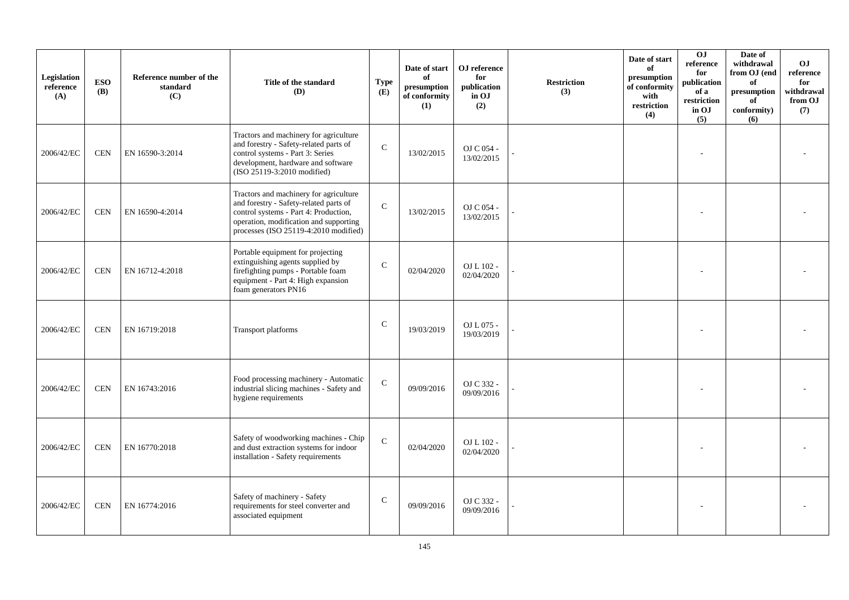| Legislation<br>reference<br>(A) | <b>ESO</b><br><b>(B)</b> | Reference number of the<br>standard<br>(C) | Title of the standard<br>(D)                                                                                                                                                                                 | <b>Type</b><br>(E) | Date of start<br>of<br>presumption<br>of conformity<br>(1) | OJ reference<br>for<br>publication<br>in OJ<br>(2) | <b>Restriction</b><br>(3) | Date of start<br>of<br>presumption<br>of conformity<br>with<br>restriction<br>(4) | 0J<br>reference<br>for<br>publication<br>of a<br>restriction<br>in OJ<br>(5) | Date of<br>withdrawal<br>from OJ (end<br>of<br>$\bf{presumption}$<br>of<br>conformity)<br>(6) | O <sub>J</sub><br>reference<br>for<br>withdrawal<br>from OJ<br>(7) |
|---------------------------------|--------------------------|--------------------------------------------|--------------------------------------------------------------------------------------------------------------------------------------------------------------------------------------------------------------|--------------------|------------------------------------------------------------|----------------------------------------------------|---------------------------|-----------------------------------------------------------------------------------|------------------------------------------------------------------------------|-----------------------------------------------------------------------------------------------|--------------------------------------------------------------------|
| 2006/42/EC                      | <b>CEN</b>               | EN 16590-3:2014                            | Tractors and machinery for agriculture<br>and forestry - Safety-related parts of<br>control systems - Part 3: Series<br>development, hardware and software<br>(ISO 25119-3:2010 modified)                    | $\mathcal{C}$      | 13/02/2015                                                 | OJ C 054 -<br>13/02/2015                           |                           |                                                                                   |                                                                              |                                                                                               |                                                                    |
| 2006/42/EC                      | <b>CEN</b>               | EN 16590-4:2014                            | Tractors and machinery for agriculture<br>and forestry - Safety-related parts of<br>control systems - Part 4: Production,<br>operation, modification and supporting<br>processes (ISO 25119-4:2010 modified) | $\mathcal{C}$      | 13/02/2015                                                 | OJ C 054 -<br>13/02/2015                           |                           |                                                                                   |                                                                              |                                                                                               |                                                                    |
| 2006/42/EC                      | <b>CEN</b>               | EN 16712-4:2018                            | Portable equipment for projecting<br>extinguishing agents supplied by<br>firefighting pumps - Portable foam<br>equipment - Part 4: High expansion<br>foam generators PN16                                    | $\mathcal{C}$      | 02/04/2020                                                 | OJ L 102 -<br>02/04/2020                           |                           |                                                                                   |                                                                              |                                                                                               |                                                                    |
| 2006/42/EC                      | <b>CEN</b>               | EN 16719:2018                              | <b>Transport platforms</b>                                                                                                                                                                                   | $\mathsf{C}$       | 19/03/2019                                                 | OJ L 075 -<br>19/03/2019                           |                           |                                                                                   |                                                                              |                                                                                               |                                                                    |
| 2006/42/EC                      | <b>CEN</b>               | EN 16743:2016                              | Food processing machinery - Automatic<br>industrial slicing machines - Safety and<br>hygiene requirements                                                                                                    | $\mathsf{C}$       | 09/09/2016                                                 | OJ C 332 -<br>09/09/2016                           |                           |                                                                                   |                                                                              |                                                                                               |                                                                    |
| 2006/42/EC                      | <b>CEN</b>               | EN 16770:2018                              | Safety of woodworking machines - Chip<br>and dust extraction systems for indoor<br>installation - Safety requirements                                                                                        | $\mathcal{C}$      | 02/04/2020                                                 | OJ L 102 -<br>02/04/2020                           |                           |                                                                                   |                                                                              |                                                                                               |                                                                    |
| 2006/42/EC                      | <b>CEN</b>               | EN 16774:2016                              | Safety of machinery - Safety<br>requirements for steel converter and<br>associated equipment                                                                                                                 | $\mathsf{C}$       | 09/09/2016                                                 | OJ C 332 -<br>09/09/2016                           |                           |                                                                                   |                                                                              |                                                                                               |                                                                    |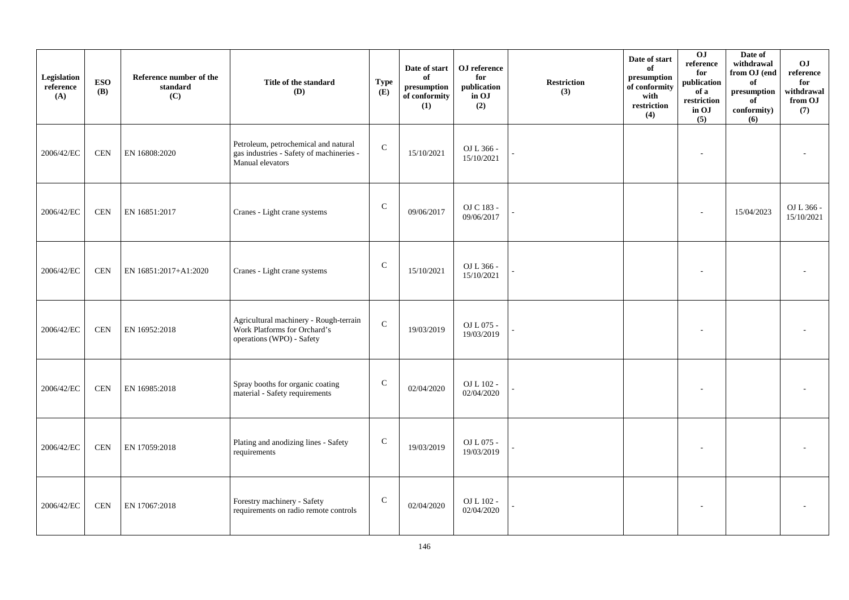| Legislation<br>reference<br>(A) | <b>ESO</b><br><b>(B)</b> | Reference number of the<br>standard<br>(C) | Title of the standard<br><b>(D)</b>                                                                  | <b>Type</b><br>(E) | Date of start<br>of<br>presumption<br>of conformity<br>(1) | ${\bf OJ}$ reference<br>for<br>publication<br>in OJ<br>(2) | <b>Restriction</b><br>(3) | Date of start<br>of<br>presumption<br>of conformity<br>with<br>restriction<br>(4) | 0J<br>reference<br>for<br>publication<br>of a<br>restriction<br>in OJ<br>(5) | Date of<br>withdrawal<br>from OJ (end<br>of<br>$\mathbf{presumption}% \label{fig:ex1}%$<br>of<br>conformity)<br>(6) | OJ<br>$\rm reference$<br>for<br>withdrawal<br>from OJ<br>(7) |
|---------------------------------|--------------------------|--------------------------------------------|------------------------------------------------------------------------------------------------------|--------------------|------------------------------------------------------------|------------------------------------------------------------|---------------------------|-----------------------------------------------------------------------------------|------------------------------------------------------------------------------|---------------------------------------------------------------------------------------------------------------------|--------------------------------------------------------------|
| 2006/42/EC                      | <b>CEN</b>               | EN 16808:2020                              | Petroleum, petrochemical and natural<br>gas industries - Safety of machineries -<br>Manual elevators | ${\bf C}$          | 15/10/2021                                                 | OJ L 366 -<br>15/10/2021                                   |                           |                                                                                   |                                                                              |                                                                                                                     |                                                              |
| 2006/42/EC                      | <b>CEN</b>               | EN 16851:2017                              | Cranes - Light crane systems                                                                         | $\mathbf C$        | 09/06/2017                                                 | OJ C 183 -<br>09/06/2017                                   |                           |                                                                                   |                                                                              | 15/04/2023                                                                                                          | OJ L 366 -<br>15/10/2021                                     |
| 2006/42/EC                      | <b>CEN</b>               | EN 16851:2017+A1:2020                      | Cranes - Light crane systems                                                                         | $\mathsf{C}$       | 15/10/2021                                                 | OJ L 366 -<br>15/10/2021                                   |                           |                                                                                   |                                                                              |                                                                                                                     |                                                              |
| 2006/42/EC                      | <b>CEN</b>               | EN 16952:2018                              | Agricultural machinery - Rough-terrain<br>Work Platforms for Orchard's<br>operations (WPO) - Safety  | ${\bf C}$          | 19/03/2019                                                 | OJ L 075 -<br>19/03/2019                                   |                           |                                                                                   |                                                                              |                                                                                                                     |                                                              |
| 2006/42/EC                      | <b>CEN</b>               | EN 16985:2018                              | Spray booths for organic coating<br>material - Safety requirements                                   | $\mathbf C$        | 02/04/2020                                                 | OJ L $102$ -<br>02/04/2020                                 |                           |                                                                                   |                                                                              |                                                                                                                     |                                                              |
| 2006/42/EC                      | <b>CEN</b>               | EN 17059:2018                              | Plating and anodizing lines - Safety<br>requirements                                                 | $\mathbf C$        | 19/03/2019                                                 | OJ L 075 -<br>19/03/2019                                   |                           |                                                                                   |                                                                              |                                                                                                                     |                                                              |
| 2006/42/EC                      | <b>CEN</b>               | EN 17067:2018                              | Forestry machinery - Safety<br>requirements on radio remote controls                                 | $\mathbf C$        | 02/04/2020                                                 | OJ L 102 -<br>02/04/2020                                   |                           |                                                                                   |                                                                              |                                                                                                                     |                                                              |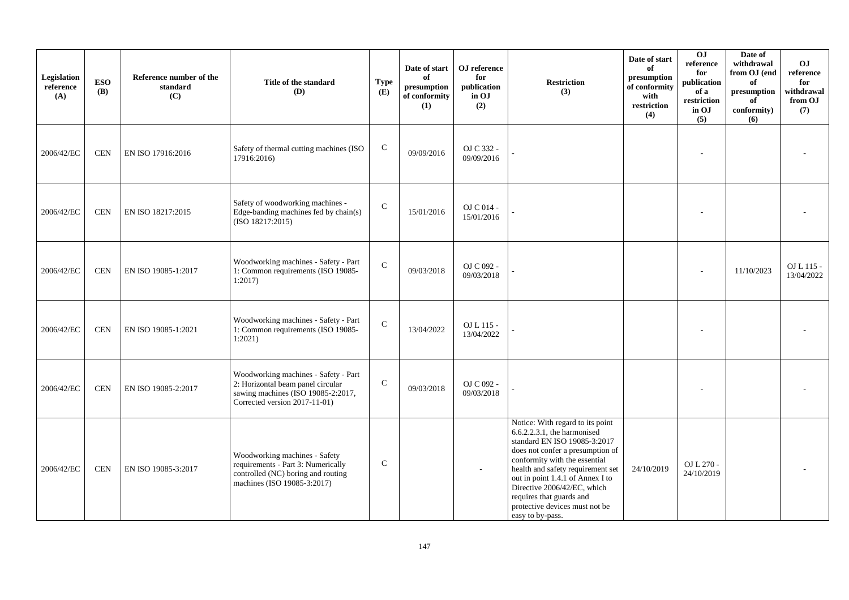| Legislation<br>reference<br>(A) | <b>ESO</b><br><b>(B)</b> | Reference number of the<br>standard<br>(C) | Title of the standard<br>(D)                                                                                                                     | <b>Type</b><br>(E) | Date of start<br>of<br>presumption<br>of conformity<br>(1) | OJ reference<br>for<br>publication<br>in OJ<br>(2) | <b>Restriction</b><br>(3)                                                                                                                                                                                                                                                                                                                                      | Date of start<br>of<br>presumption<br>of conformity<br>with<br>restriction<br>(4) | OJ<br>reference<br>for<br>publication<br>of a<br>restriction<br>in OJ<br>(5) | Date of<br>withdrawal<br>from OJ (end<br>of<br>presumption<br>of<br>conformity)<br>(6) | OJ<br>reference<br>for<br>withdrawal<br>from OJ<br>(7) |
|---------------------------------|--------------------------|--------------------------------------------|--------------------------------------------------------------------------------------------------------------------------------------------------|--------------------|------------------------------------------------------------|----------------------------------------------------|----------------------------------------------------------------------------------------------------------------------------------------------------------------------------------------------------------------------------------------------------------------------------------------------------------------------------------------------------------------|-----------------------------------------------------------------------------------|------------------------------------------------------------------------------|----------------------------------------------------------------------------------------|--------------------------------------------------------|
| 2006/42/EC                      | <b>CEN</b>               | EN ISO 17916:2016                          | Safety of thermal cutting machines (ISO<br>17916:2016)                                                                                           | $\mathsf{C}$       | 09/09/2016                                                 | OJ C 332 -<br>09/09/2016                           |                                                                                                                                                                                                                                                                                                                                                                |                                                                                   |                                                                              |                                                                                        |                                                        |
| 2006/42/EC                      | <b>CEN</b>               | EN ISO 18217:2015                          | Safety of woodworking machines -<br>Edge-banding machines fed by chain(s)<br>(ISO 18217:2015)                                                    | $\mathcal{C}$      | 15/01/2016                                                 | OJ C 014 -<br>15/01/2016                           |                                                                                                                                                                                                                                                                                                                                                                |                                                                                   |                                                                              |                                                                                        |                                                        |
| 2006/42/EC                      | <b>CEN</b>               | EN ISO 19085-1:2017                        | Woodworking machines - Safety - Part<br>1: Common requirements (ISO 19085-<br>1:2017                                                             | $\mathbf C$        | 09/03/2018                                                 | OJ C 092 -<br>09/03/2018                           |                                                                                                                                                                                                                                                                                                                                                                |                                                                                   |                                                                              | 11/10/2023                                                                             | OJ L 115 -<br>13/04/2022                               |
| 2006/42/EC                      | <b>CEN</b>               | EN ISO 19085-1:2021                        | Woodworking machines - Safety - Part<br>1: Common requirements (ISO 19085-<br>$1:2021$ )                                                         | $\mathbf C$        | 13/04/2022                                                 | OJ L 115 -<br>13/04/2022                           |                                                                                                                                                                                                                                                                                                                                                                |                                                                                   |                                                                              |                                                                                        |                                                        |
| 2006/42/EC                      | <b>CEN</b>               | EN ISO 19085-2:2017                        | Woodworking machines - Safety - Part<br>2: Horizontal beam panel circular<br>sawing machines (ISO 19085-2:2017,<br>Corrected version 2017-11-01) | $\mathsf{C}$       | 09/03/2018                                                 | OJ C 092 -<br>09/03/2018                           |                                                                                                                                                                                                                                                                                                                                                                |                                                                                   |                                                                              |                                                                                        |                                                        |
| 2006/42/EC                      | <b>CEN</b>               | EN ISO 19085-3:2017                        | Woodworking machines - Safety<br>requirements - Part 3: Numerically<br>controlled (NC) boring and routing<br>machines (ISO 19085-3:2017)         | $\mathsf{C}$       |                                                            |                                                    | Notice: With regard to its point<br>6.6.2.2.3.1, the harmonised<br>standard EN ISO 19085-3:2017<br>does not confer a presumption of<br>conformity with the essential<br>health and safety requirement set<br>out in point 1.4.1 of Annex I to<br>Directive 2006/42/EC, which<br>requires that guards and<br>protective devices must not be<br>easy to by-pass. | 24/10/2019                                                                        | OJ L 270 -<br>24/10/2019                                                     |                                                                                        |                                                        |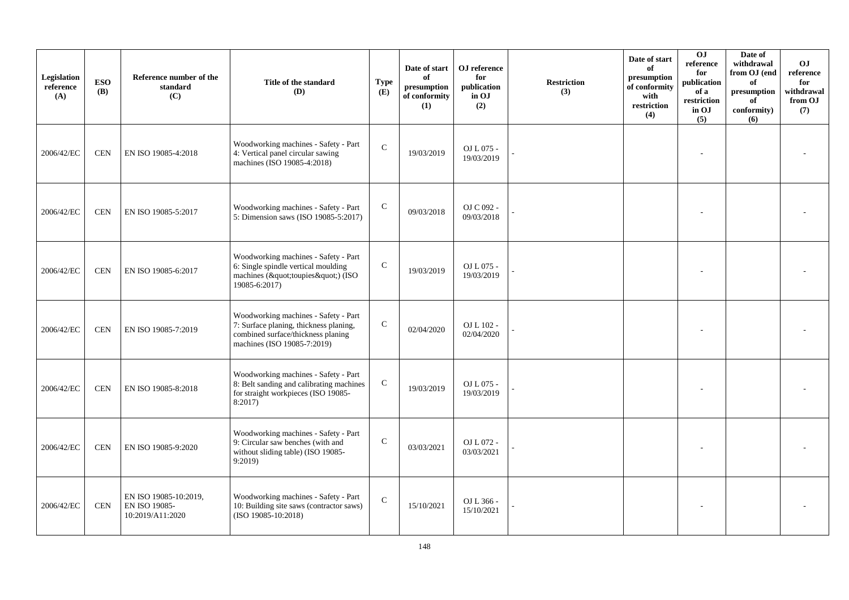| Legislation<br>reference<br>(A) | <b>ESO</b><br><b>(B)</b> | Reference number of the<br>standard<br>(C)                 | Title of the standard<br>(D)                                                                                                                        | <b>Type</b><br>(E) | Date of start<br>of<br>presumption<br>of conformity<br>(1) | OJ reference<br>for<br>publication<br>in OJ<br>(2) | <b>Restriction</b><br>(3) | Date of start<br>of<br>presumption<br>of conformity<br>with<br>$\operatorname{restriction}$<br>(4) | 0J<br>reference<br>for<br>publication<br>of a<br>restriction<br>in OJ<br>(5) | Date of<br>withdrawal<br>from OJ (end<br>of<br>$\bf{presumption}$<br>of<br>conformity)<br>(6) | O <sub>J</sub><br>reference<br>for<br>withdrawal<br>from OJ<br>(7) |
|---------------------------------|--------------------------|------------------------------------------------------------|-----------------------------------------------------------------------------------------------------------------------------------------------------|--------------------|------------------------------------------------------------|----------------------------------------------------|---------------------------|----------------------------------------------------------------------------------------------------|------------------------------------------------------------------------------|-----------------------------------------------------------------------------------------------|--------------------------------------------------------------------|
| 2006/42/EC                      | <b>CEN</b>               | EN ISO 19085-4:2018                                        | Woodworking machines - Safety - Part<br>4: Vertical panel circular sawing<br>machines (ISO 19085-4:2018)                                            | $\mathcal{C}$      | 19/03/2019                                                 | OJ L 075 -<br>19/03/2019                           |                           |                                                                                                    |                                                                              |                                                                                               |                                                                    |
| 2006/42/EC                      | <b>CEN</b>               | EN ISO 19085-5:2017                                        | Woodworking machines - Safety - Part<br>5: Dimension saws (ISO 19085-5:2017)                                                                        | ${\bf C}$          | 09/03/2018                                                 | OJ C 092 -<br>09/03/2018                           |                           |                                                                                                    |                                                                              |                                                                                               |                                                                    |
| 2006/42/EC                      | <b>CEN</b>               | EN ISO 19085-6:2017                                        | Woodworking machines - Safety - Part<br>6: Single spindle vertical moulding<br>machines ("toupies") (ISO<br>19085-6:2017)                           | $\mathsf{C}$       | 19/03/2019                                                 | OJ L 075 -<br>19/03/2019                           |                           |                                                                                                    |                                                                              |                                                                                               |                                                                    |
| 2006/42/EC                      | <b>CEN</b>               | EN ISO 19085-7:2019                                        | Woodworking machines - Safety - Part<br>7: Surface planing, thickness planing,<br>combined surface/thickness planing<br>machines (ISO 19085-7:2019) | ${\bf C}$          | 02/04/2020                                                 | OJ L 102 -<br>02/04/2020                           |                           |                                                                                                    |                                                                              |                                                                                               |                                                                    |
| 2006/42/EC                      | <b>CEN</b>               | EN ISO 19085-8:2018                                        | Woodworking machines - Safety - Part<br>8: Belt sanding and calibrating machines<br>for straight workpieces (ISO 19085-<br>8:2017                   | $\mathsf{C}$       | 19/03/2019                                                 | OJ L 075 -<br>19/03/2019                           |                           |                                                                                                    |                                                                              |                                                                                               |                                                                    |
| 2006/42/EC                      | <b>CEN</b>               | EN ISO 19085-9:2020                                        | Woodworking machines - Safety - Part<br>9: Circular saw benches (with and<br>without sliding table) (ISO 19085-<br>9:2019                           | $\mathbf C$        | 03/03/2021                                                 | OJ L 072 -<br>03/03/2021                           |                           |                                                                                                    |                                                                              |                                                                                               |                                                                    |
| 2006/42/EC                      | <b>CEN</b>               | EN ISO 19085-10:2019,<br>EN ISO 19085-<br>10:2019/A11:2020 | Woodworking machines - Safety - Part<br>10: Building site saws (contractor saws)<br>$(ISO 19085-10:2018)$                                           | $\mathsf{C}$       | 15/10/2021                                                 | OJ L 366 -<br>15/10/2021                           |                           |                                                                                                    |                                                                              |                                                                                               |                                                                    |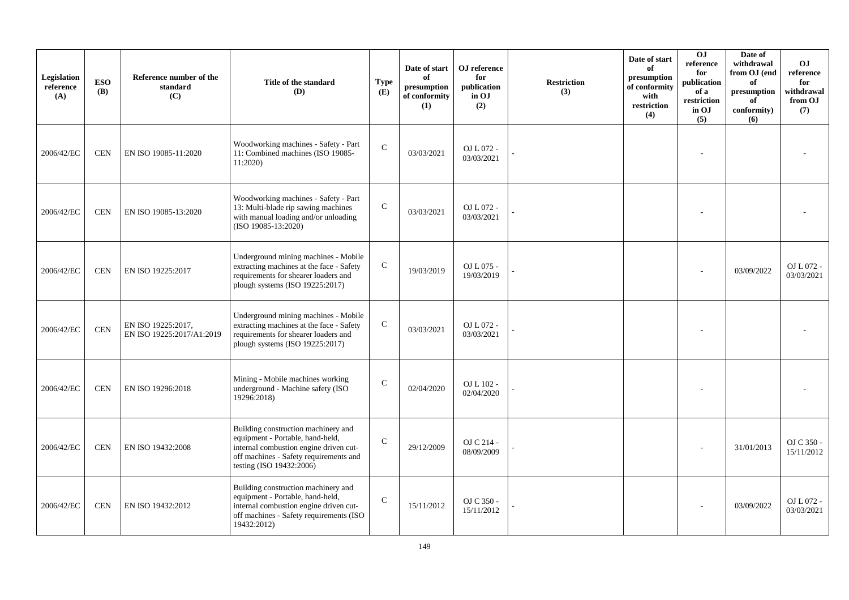| Legislation<br>reference<br>(A) | <b>ESO</b><br><b>(B)</b> | Reference number of the<br>standard<br>(C)      | Title of the standard<br>(D)                                                                                                                                                            | <b>Type</b><br>(E) | Date of start<br>of<br>presumption<br>of conformity<br>(1) | OJ reference<br>for<br>publication<br>in OJ<br>(2) | <b>Restriction</b><br>(3) | Date of start<br>of<br>presumption<br>of conformity<br>with<br>restriction<br>(4) | O <sub>J</sub><br>reference<br>for<br>publication<br>of a<br>restriction<br>in OJ<br>(5) | Date of<br>withdrawal<br>from OJ (end<br>of<br>presumption<br>of<br>conformity)<br>(6) | <b>OJ</b><br>reference<br>for<br>withdrawal<br>from OJ<br>(7) |
|---------------------------------|--------------------------|-------------------------------------------------|-----------------------------------------------------------------------------------------------------------------------------------------------------------------------------------------|--------------------|------------------------------------------------------------|----------------------------------------------------|---------------------------|-----------------------------------------------------------------------------------|------------------------------------------------------------------------------------------|----------------------------------------------------------------------------------------|---------------------------------------------------------------|
| 2006/42/EC                      | <b>CEN</b>               | EN ISO 19085-11:2020                            | Woodworking machines - Safety - Part<br>11: Combined machines (ISO 19085-<br>11:2020)                                                                                                   | $\mathsf{C}$       | 03/03/2021                                                 | OJ L 072 -<br>03/03/2021                           |                           |                                                                                   |                                                                                          |                                                                                        |                                                               |
| 2006/42/EC                      | <b>CEN</b>               | EN ISO 19085-13:2020                            | Woodworking machines - Safety - Part<br>13: Multi-blade rip sawing machines<br>with manual loading and/or unloading<br>$(ISO 19085-13:2020)$                                            | $\mathsf{C}$       | 03/03/2021                                                 | OJ L 072 -<br>03/03/2021                           |                           |                                                                                   |                                                                                          |                                                                                        |                                                               |
| 2006/42/EC                      | <b>CEN</b>               | EN ISO 19225:2017                               | Underground mining machines - Mobile<br>extracting machines at the face - Safety<br>requirements for shearer loaders and<br>plough systems (ISO 19225:2017)                             | $\mathbf C$        | 19/03/2019                                                 | OJ L 075 -<br>19/03/2019                           |                           |                                                                                   |                                                                                          | 03/09/2022                                                                             | OJ L 072 -<br>03/03/2021                                      |
| 2006/42/EC                      | $\mbox{CEN}$             | EN ISO 19225:2017,<br>EN ISO 19225:2017/A1:2019 | Underground mining machines - Mobile<br>extracting machines at the face - Safety<br>requirements for shearer loaders and<br>plough systems (ISO 19225:2017)                             | $\mathbf C$        | 03/03/2021                                                 | OJ L 072 -<br>03/03/2021                           |                           |                                                                                   |                                                                                          |                                                                                        |                                                               |
| 2006/42/EC                      | <b>CEN</b>               | EN ISO 19296:2018                               | Mining - Mobile machines working<br>underground - Machine safety (ISO<br>19296:2018)                                                                                                    | $\mathcal{C}$      | 02/04/2020                                                 | OJ L 102 -<br>02/04/2020                           |                           |                                                                                   |                                                                                          |                                                                                        |                                                               |
| 2006/42/EC                      | <b>CEN</b>               | EN ISO 19432:2008                               | Building construction machinery and<br>equipment - Portable, hand-held,<br>internal combustion engine driven cut-<br>off machines - Safety requirements and<br>testing (ISO 19432:2006) | $\mathbf C$        | 29/12/2009                                                 | OJ C 214 -<br>08/09/2009                           |                           |                                                                                   |                                                                                          | 31/01/2013                                                                             | OJ C 350 -<br>15/11/2012                                      |
| 2006/42/EC                      | <b>CEN</b>               | EN ISO 19432:2012                               | Building construction machinery and<br>equipment - Portable, hand-held,<br>internal combustion engine driven cut-<br>off machines - Safety requirements (ISO<br>19432:2012)             | $\mathcal{C}$      | 15/11/2012                                                 | OJ C 350 -<br>15/11/2012                           |                           |                                                                                   |                                                                                          | 03/09/2022                                                                             | OJ L 072 -<br>03/03/2021                                      |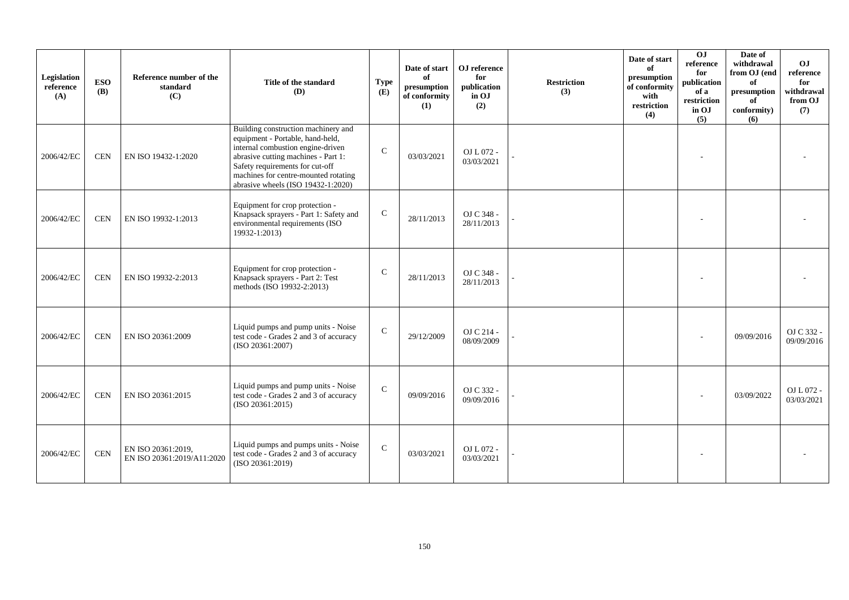| Legislation<br>reference<br>(A) | <b>ESO</b><br><b>(B)</b> | Reference number of the<br>standard<br>(C)       | Title of the standard<br>(D)                                                                                                                                                                                                                                           | <b>Type</b><br>(E) | Date of start<br>of<br>presumption<br>of conformity<br>(1) | OJ reference<br>for<br>publication<br>in OJ<br>(2) | <b>Restriction</b><br>(3) | Date of start<br>of<br>presumption<br>of conformity<br>with<br>restriction<br>(4) | $\overline{0}$<br>reference<br>for<br>publication<br>of a<br>restriction<br>in OJ<br>(5) | Date of<br>withdrawal<br>from OJ (end<br>of<br>presumption<br>of<br>conformity)<br>(6) | O <sub>J</sub><br>reference<br>for<br>withdrawal<br>from OJ<br>(7) |
|---------------------------------|--------------------------|--------------------------------------------------|------------------------------------------------------------------------------------------------------------------------------------------------------------------------------------------------------------------------------------------------------------------------|--------------------|------------------------------------------------------------|----------------------------------------------------|---------------------------|-----------------------------------------------------------------------------------|------------------------------------------------------------------------------------------|----------------------------------------------------------------------------------------|--------------------------------------------------------------------|
| 2006/42/EC                      | <b>CEN</b>               | EN ISO 19432-1:2020                              | Building construction machinery and<br>equipment - Portable, hand-held,<br>internal combustion engine-driven<br>abrasive cutting machines - Part 1:<br>Safety requirements for cut-off<br>machines for centre-mounted rotating<br>abrasive wheels $(ISO 19432-1:2020)$ | $\mathsf{C}$       | 03/03/2021                                                 | OJ L 072 -<br>03/03/2021                           |                           |                                                                                   |                                                                                          |                                                                                        |                                                                    |
| 2006/42/EC                      | <b>CEN</b>               | EN ISO 19932-1:2013                              | Equipment for crop protection -<br>Knapsack sprayers - Part 1: Safety and<br>environmental requirements (ISO<br>19932-1:2013)                                                                                                                                          | $\mathsf{C}$       | 28/11/2013                                                 | OJ C 348 -<br>28/11/2013                           |                           |                                                                                   |                                                                                          |                                                                                        |                                                                    |
| 2006/42/EC                      | <b>CEN</b>               | EN ISO 19932-2:2013                              | Equipment for crop protection -<br>Knapsack sprayers - Part 2: Test<br>methods (ISO 19932-2:2013)                                                                                                                                                                      | $\mathbf{C}$       | 28/11/2013                                                 | OJ C 348 -<br>28/11/2013                           |                           |                                                                                   |                                                                                          |                                                                                        |                                                                    |
| 2006/42/EC                      | <b>CEN</b>               | EN ISO 20361:2009                                | Liquid pumps and pump units - Noise<br>test code - Grades 2 and 3 of accuracy<br>(ISO 20361:2007)                                                                                                                                                                      | ${\bf C}$          | 29/12/2009                                                 | OJ C 214 -<br>08/09/2009                           |                           |                                                                                   |                                                                                          | 09/09/2016                                                                             | OJ C 332 -<br>09/09/2016                                           |
| 2006/42/EC                      | <b>CEN</b>               | EN ISO 20361:2015                                | Liquid pumps and pump units - Noise<br>test code - Grades 2 and 3 of accuracy<br>(ISO 20361:2015)                                                                                                                                                                      | $\mathsf{C}$       | 09/09/2016                                                 | OJ C 332 -<br>09/09/2016                           |                           |                                                                                   |                                                                                          | 03/09/2022                                                                             | OJ L 072 -<br>03/03/2021                                           |
| 2006/42/EC                      | <b>CEN</b>               | EN ISO 20361:2019.<br>EN ISO 20361:2019/A11:2020 | Liquid pumps and pumps units - Noise<br>test code - Grades 2 and 3 of accuracy<br>(ISO 20361:2019)                                                                                                                                                                     | $\mathcal{C}$      | 03/03/2021                                                 | OJ L 072 -<br>03/03/2021                           |                           |                                                                                   |                                                                                          |                                                                                        |                                                                    |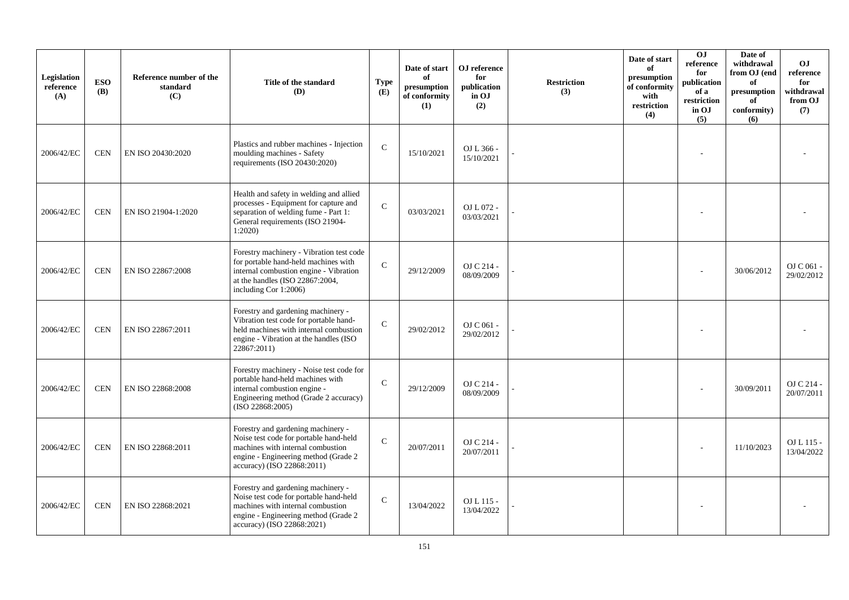| Legislation<br>reference<br>(A) | <b>ESO</b><br><b>(B)</b> | Reference number of the<br>standard<br>(C) | Title of the standard<br>(D)                                                                                                                                                            | <b>Type</b><br>(E) | Date of start<br>of<br>presumption<br>of conformity<br>(1) | OJ reference<br>for<br>publication<br>in OJ<br>(2) | <b>Restriction</b><br>(3) | Date of start<br>of<br>presumption<br>of conformity<br>with<br>restriction<br>(4) | OJ<br>reference<br>for<br>publication<br>of a<br>restriction<br>in OJ<br>(5) | Date of<br>withdrawal<br>from OJ (end<br>of<br>presumption<br>of<br>conformity)<br>(6) | <b>OJ</b><br>reference<br>for<br>withdrawal<br>from OJ<br>(7) |
|---------------------------------|--------------------------|--------------------------------------------|-----------------------------------------------------------------------------------------------------------------------------------------------------------------------------------------|--------------------|------------------------------------------------------------|----------------------------------------------------|---------------------------|-----------------------------------------------------------------------------------|------------------------------------------------------------------------------|----------------------------------------------------------------------------------------|---------------------------------------------------------------|
| 2006/42/EC                      | <b>CEN</b>               | EN ISO 20430:2020                          | Plastics and rubber machines - Injection<br>moulding machines - Safety<br>requirements (ISO 20430:2020)                                                                                 | $\mathcal{C}$      | 15/10/2021                                                 | OJ L 366 -<br>15/10/2021                           |                           |                                                                                   |                                                                              |                                                                                        |                                                               |
| 2006/42/EC                      | <b>CEN</b>               | EN ISO 21904-1:2020                        | Health and safety in welding and allied<br>processes - Equipment for capture and<br>separation of welding fume - Part 1:<br>General requirements (ISO 21904-<br>1:2020                  | $\mathcal{C}$      | 03/03/2021                                                 | OJ L 072 -<br>03/03/2021                           |                           |                                                                                   |                                                                              |                                                                                        |                                                               |
| 2006/42/EC                      | <b>CEN</b>               | EN ISO 22867:2008                          | Forestry machinery - Vibration test code<br>for portable hand-held machines with<br>internal combustion engine - Vibration<br>at the handles (ISO 22867:2004,<br>including Cor 1:2006)  | $\mathcal{C}$      | 29/12/2009                                                 | OJ C 214 -<br>08/09/2009                           |                           |                                                                                   |                                                                              | 30/06/2012                                                                             | OJ C 061 -<br>29/02/2012                                      |
| 2006/42/EC                      | <b>CEN</b>               | EN ISO 22867:2011                          | Forestry and gardening machinery -<br>Vibration test code for portable hand-<br>held machines with internal combustion<br>engine - Vibration at the handles (ISO)<br>22867:2011)        | $\mathbf C$        | 29/02/2012                                                 | OJ C 061 -<br>29/02/2012                           |                           |                                                                                   |                                                                              |                                                                                        |                                                               |
| 2006/42/EC                      | <b>CEN</b>               | EN ISO 22868:2008                          | Forestry machinery - Noise test code for<br>portable hand-held machines with<br>internal combustion engine -<br>Engineering method (Grade 2 accuracy)<br>(ISO 22868:2005)               | $\mathcal{C}$      | 29/12/2009                                                 | OJ C 214 -<br>08/09/2009                           |                           |                                                                                   |                                                                              | 30/09/2011                                                                             | OJ C 214 -<br>20/07/2011                                      |
| 2006/42/EC                      | <b>CEN</b>               | EN ISO 22868:2011                          | Forestry and gardening machinery -<br>Noise test code for portable hand-held<br>machines with internal combustion<br>engine - Engineering method (Grade 2<br>accuracy) (ISO 22868:2011) | $\mathcal{C}$      | 20/07/2011                                                 | OJ C 214 -<br>20/07/2011                           |                           |                                                                                   |                                                                              | 11/10/2023                                                                             | OJ L 115 -<br>13/04/2022                                      |
| 2006/42/EC                      | <b>CEN</b>               | EN ISO 22868:2021                          | Forestry and gardening machinery -<br>Noise test code for portable hand-held<br>machines with internal combustion<br>engine - Engineering method (Grade 2<br>accuracy) (ISO 22868:2021) | $\mathsf{C}$       | 13/04/2022                                                 | OJ L 115 -<br>13/04/2022                           |                           |                                                                                   |                                                                              |                                                                                        |                                                               |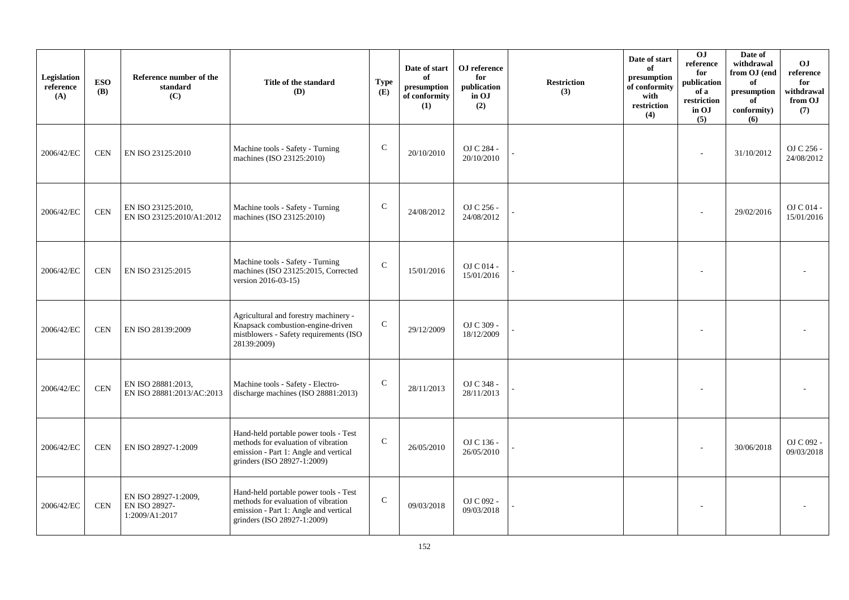| Legislation<br>reference<br>(A) | <b>ESO</b><br><b>(B)</b> | Reference number of the<br>standard<br>(C)              | Title of the standard<br><b>(D)</b>                                                                                                                  | <b>Type</b><br>(E) | Date of start<br>of<br>presumption<br>of conformity<br>(1) | OJ reference<br>for<br>publication<br>in OJ<br>(2) | <b>Restriction</b><br>(3) | Date of start<br>of<br>presumption<br>of conformity<br>with<br>restriction<br>(4) | 0J<br>reference<br>for<br>publication<br>of a<br>restriction<br>in OJ<br>(5) | Date of<br>withdrawal<br>from OJ (end<br>of<br>presumption<br>of<br>conformity)<br>(6) | <b>OJ</b><br>reference<br>for<br>withdrawal<br>from OJ<br>(7) |
|---------------------------------|--------------------------|---------------------------------------------------------|------------------------------------------------------------------------------------------------------------------------------------------------------|--------------------|------------------------------------------------------------|----------------------------------------------------|---------------------------|-----------------------------------------------------------------------------------|------------------------------------------------------------------------------|----------------------------------------------------------------------------------------|---------------------------------------------------------------|
| 2006/42/EC                      | <b>CEN</b>               | EN ISO 23125:2010                                       | Machine tools - Safety - Turning<br>machines (ISO 23125:2010)                                                                                        | ${\bf C}$          | 20/10/2010                                                 | OJ C 284 -<br>20/10/2010                           |                           |                                                                                   | ٠                                                                            | 31/10/2012                                                                             | OJ C 256 -<br>24/08/2012                                      |
| 2006/42/EC                      | $\mbox{CEN}$             | EN ISO 23125:2010,<br>EN ISO 23125:2010/A1:2012         | Machine tools - Safety - Turning<br>machines (ISO 23125:2010)                                                                                        | $\mathsf{C}$       | 24/08/2012                                                 | OJ C 256 -<br>24/08/2012                           |                           |                                                                                   |                                                                              | 29/02/2016                                                                             | OJ C 014 -<br>15/01/2016                                      |
| 2006/42/EC                      | <b>CEN</b>               | EN ISO 23125:2015                                       | Machine tools - Safety - Turning<br>machines (ISO 23125:2015, Corrected<br>version 2016-03-15)                                                       | $\mathcal{C}$      | 15/01/2016                                                 | OJ C 014 -<br>15/01/2016                           |                           |                                                                                   |                                                                              |                                                                                        |                                                               |
| 2006/42/EC                      | <b>CEN</b>               | EN ISO 28139:2009                                       | Agricultural and forestry machinery -<br>Knapsack combustion-engine-driven<br>mistblowers - Safety requirements (ISO<br>28139:2009)                  | ${\bf C}$          | 29/12/2009                                                 | OJ C 309 -<br>18/12/2009                           |                           |                                                                                   |                                                                              |                                                                                        |                                                               |
| 2006/42/EC                      | $\mbox{CEN}$             | EN ISO 28881:2013,<br>EN ISO 28881:2013/AC:2013         | Machine tools - Safety - Electro-<br>discharge machines (ISO 28881:2013)                                                                             | $\mathsf{C}$       | 28/11/2013                                                 | OJ C 348 -<br>28/11/2013                           |                           |                                                                                   |                                                                              |                                                                                        |                                                               |
| 2006/42/EC                      | <b>CEN</b>               | EN ISO 28927-1:2009                                     | Hand-held portable power tools - Test<br>methods for evaluation of vibration<br>emission - Part 1: Angle and vertical<br>grinders (ISO 28927-1:2009) | $\mathsf{C}$       | 26/05/2010                                                 | OJ C 136 -<br>26/05/2010                           |                           |                                                                                   |                                                                              | 30/06/2018                                                                             | OJ C 092 -<br>09/03/2018                                      |
| 2006/42/EC                      | <b>CEN</b>               | EN ISO 28927-1:2009,<br>EN ISO 28927-<br>1:2009/A1:2017 | Hand-held portable power tools - Test<br>methods for evaluation of vibration<br>emission - Part 1: Angle and vertical<br>grinders (ISO 28927-1:2009) | $\mathbf C$        | 09/03/2018                                                 | OJ C 092 -<br>09/03/2018                           |                           |                                                                                   |                                                                              |                                                                                        |                                                               |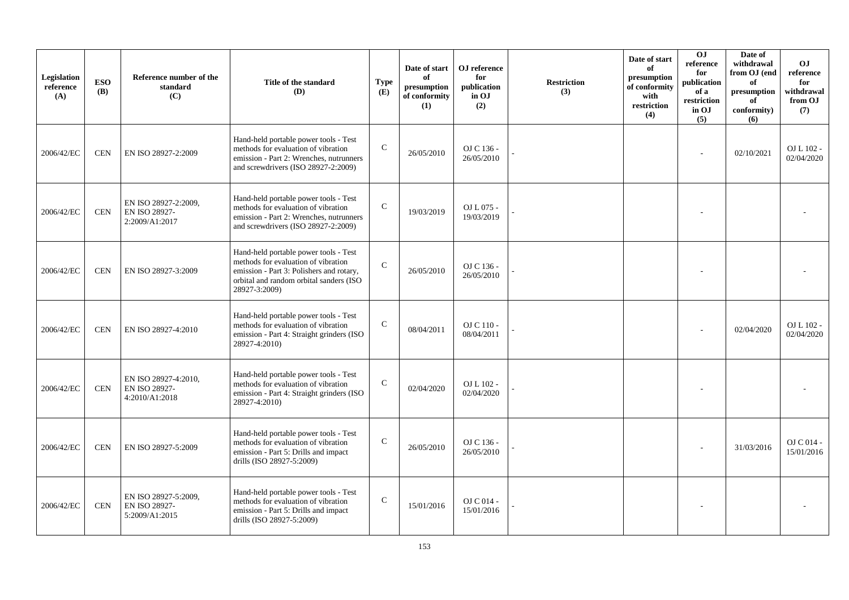| Legislation<br>reference<br>(A) | <b>ESO</b><br><b>(B)</b> | Reference number of the<br>standard<br>(C)              | Title of the standard<br>(D)                                                                                                                                                         | <b>Type</b><br>(E) | Date of start<br>of<br>presumption<br>of conformity<br>(1) | OJ reference<br>for<br>publication<br>in OJ<br>(2) | <b>Restriction</b><br>(3) | Date of start<br>of<br>presumption<br>of conformity<br>with<br>restriction<br>(4) | OJ<br>reference<br>for<br>publication<br>of a<br>restriction<br>in OJ<br>(5) | Date of<br>withdrawal<br>from OJ (end<br>of<br>presumption<br>of<br>conformity)<br>(6) | <b>OJ</b><br>reference<br>for<br>withdrawal<br>from OJ<br>(7) |
|---------------------------------|--------------------------|---------------------------------------------------------|--------------------------------------------------------------------------------------------------------------------------------------------------------------------------------------|--------------------|------------------------------------------------------------|----------------------------------------------------|---------------------------|-----------------------------------------------------------------------------------|------------------------------------------------------------------------------|----------------------------------------------------------------------------------------|---------------------------------------------------------------|
| 2006/42/EC                      | <b>CEN</b>               | EN ISO 28927-2:2009                                     | Hand-held portable power tools - Test<br>methods for evaluation of vibration<br>emission - Part 2: Wrenches, nutrunners<br>and screwdrivers (ISO 28927-2:2009)                       | $\mathbf C$        | 26/05/2010                                                 | OJ C 136 -<br>26/05/2010                           |                           |                                                                                   |                                                                              | 02/10/2021                                                                             | OJ L 102 -<br>02/04/2020                                      |
| 2006/42/EC                      | <b>CEN</b>               | EN ISO 28927-2:2009.<br>EN ISO 28927-<br>2:2009/A1:2017 | Hand-held portable power tools - Test<br>methods for evaluation of vibration<br>emission - Part 2: Wrenches, nutrunners<br>and screwdrivers (ISO 28927-2:2009)                       | $\mathsf C$        | 19/03/2019                                                 | OJ L 075 -<br>19/03/2019                           |                           |                                                                                   |                                                                              |                                                                                        |                                                               |
| 2006/42/EC                      | <b>CEN</b>               | EN ISO 28927-3:2009                                     | Hand-held portable power tools - Test<br>methods for evaluation of vibration<br>emission - Part 3: Polishers and rotary,<br>orbital and random orbital sanders (ISO<br>28927-3:2009) | $\mathcal{C}$      | 26/05/2010                                                 | OJ C 136 -<br>26/05/2010                           |                           |                                                                                   |                                                                              |                                                                                        |                                                               |
| 2006/42/EC                      | <b>CEN</b>               | EN ISO 28927-4:2010                                     | Hand-held portable power tools - Test<br>methods for evaluation of vibration<br>emission - Part 4: Straight grinders (ISO)<br>28927-4:2010)                                          | $\mathsf{C}$       | 08/04/2011                                                 | OJ C 110 -<br>08/04/2011                           |                           |                                                                                   |                                                                              | 02/04/2020                                                                             | OJ L 102 -<br>02/04/2020                                      |
| 2006/42/EC                      | <b>CEN</b>               | EN ISO 28927-4:2010,<br>EN ISO 28927-<br>4:2010/A1:2018 | Hand-held portable power tools - Test<br>methods for evaluation of vibration<br>emission - Part 4: Straight grinders (ISO<br>28927-4:2010)                                           | $\mathcal{C}$      | 02/04/2020                                                 | OJ L 102 -<br>02/04/2020                           |                           |                                                                                   |                                                                              |                                                                                        |                                                               |
| 2006/42/EC                      | <b>CEN</b>               | EN ISO 28927-5:2009                                     | Hand-held portable power tools - Test<br>methods for evaluation of vibration<br>emission - Part 5: Drills and impact<br>drills (ISO 28927-5:2009)                                    | $\mathbf C$        | 26/05/2010                                                 | OJ C 136 -<br>26/05/2010                           |                           |                                                                                   |                                                                              | 31/03/2016                                                                             | $OJ C 014 -$<br>15/01/2016                                    |
| 2006/42/EC                      | <b>CEN</b>               | EN ISO 28927-5:2009,<br>EN ISO 28927-<br>5:2009/A1:2015 | Hand-held portable power tools - Test<br>methods for evaluation of vibration<br>emission - Part 5: Drills and impact<br>drills (ISO 28927-5:2009)                                    | $\mathbf C$        | 15/01/2016                                                 | OJ C 014 -<br>15/01/2016                           |                           |                                                                                   |                                                                              |                                                                                        |                                                               |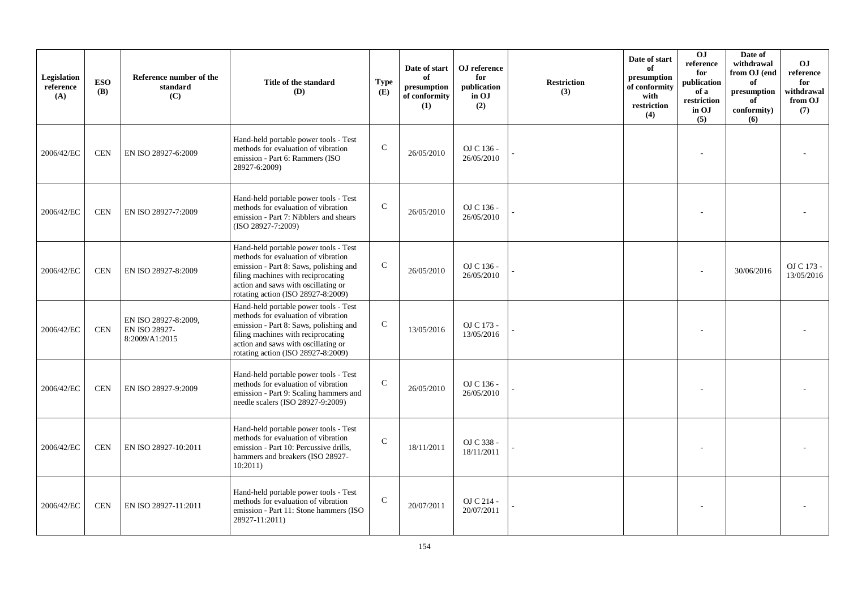| Legislation<br>reference<br>(A) | <b>ESO</b><br><b>(B)</b> | Reference number of the<br>standard<br>(C)              | Title of the standard<br>(D)                                                                                                                                                                                                              | <b>Type</b><br>(E) | Date of start<br>of<br>presumption<br>of conformity<br>(1) | OJ reference<br>for<br>publication<br>in OJ<br>(2) | <b>Restriction</b><br>(3) | Date of start<br>of<br>presumption<br>of conformity<br>with<br>$\operatorname{restriction}$<br>(4) | O <sub>J</sub><br>reference<br>for<br>publication<br>of a<br>restriction<br>in OJ<br>(5) | Date of<br>withdrawal<br>from OJ (end<br>of<br>$\bf{presumption}$<br>of<br>conformity)<br>(6) | <b>OJ</b><br>reference<br>for<br>withdrawal<br>from OJ<br>(7) |
|---------------------------------|--------------------------|---------------------------------------------------------|-------------------------------------------------------------------------------------------------------------------------------------------------------------------------------------------------------------------------------------------|--------------------|------------------------------------------------------------|----------------------------------------------------|---------------------------|----------------------------------------------------------------------------------------------------|------------------------------------------------------------------------------------------|-----------------------------------------------------------------------------------------------|---------------------------------------------------------------|
| 2006/42/EC                      | <b>CEN</b>               | EN ISO 28927-6:2009                                     | Hand-held portable power tools - Test<br>methods for evaluation of vibration<br>emission - Part 6: Rammers (ISO<br>28927-6:2009)                                                                                                          | $\mathsf{C}$       | 26/05/2010                                                 | OJ C 136 -<br>26/05/2010                           |                           |                                                                                                    |                                                                                          |                                                                                               |                                                               |
| 2006/42/EC                      | <b>CEN</b>               | EN ISO 28927-7:2009                                     | Hand-held portable power tools - Test<br>methods for evaluation of vibration<br>emission - Part 7: Nibblers and shears<br>(ISO 28927-7:2009)                                                                                              | $\mathsf{C}$       | 26/05/2010                                                 | OJ C 136 -<br>26/05/2010                           |                           |                                                                                                    |                                                                                          |                                                                                               |                                                               |
| 2006/42/EC                      | <b>CEN</b>               | EN ISO 28927-8:2009                                     | Hand-held portable power tools - Test<br>methods for evaluation of vibration<br>emission - Part 8: Saws, polishing and<br>filing machines with reciprocating<br>action and saws with oscillating or<br>rotating action (ISO 28927-8:2009) | $\mathsf{C}$       | 26/05/2010                                                 | OJ C 136 -<br>26/05/2010                           |                           |                                                                                                    |                                                                                          | 30/06/2016                                                                                    | OJ C 173 -<br>13/05/2016                                      |
| 2006/42/EC                      | <b>CEN</b>               | EN ISO 28927-8:2009,<br>EN ISO 28927-<br>8:2009/A1:2015 | Hand-held portable power tools - Test<br>methods for evaluation of vibration<br>emission - Part 8: Saws, polishing and<br>filing machines with reciprocating<br>action and saws with oscillating or<br>rotating action (ISO 28927-8:2009) | $\mathbf C$        | 13/05/2016                                                 | OJ C 173 -<br>13/05/2016                           |                           |                                                                                                    |                                                                                          |                                                                                               |                                                               |
| 2006/42/EC                      | <b>CEN</b>               | EN ISO 28927-9:2009                                     | Hand-held portable power tools - Test<br>methods for evaluation of vibration<br>emission - Part 9: Scaling hammers and<br>needle scalers (ISO 28927-9:2009)                                                                               | $\mathbf C$        | 26/05/2010                                                 | OJ C 136 -<br>26/05/2010                           |                           |                                                                                                    |                                                                                          |                                                                                               |                                                               |
| 2006/42/EC                      | <b>CEN</b>               | EN ISO 28927-10:2011                                    | Hand-held portable power tools - Test<br>methods for evaluation of vibration<br>emission - Part 10: Percussive drills.<br>hammers and breakers (ISO 28927-<br>10:2011)                                                                    | $\mathcal{C}$      | 18/11/2011                                                 | OJ C 338 -<br>18/11/2011                           |                           |                                                                                                    |                                                                                          |                                                                                               |                                                               |
| 2006/42/EC                      | <b>CEN</b>               | EN ISO 28927-11:2011                                    | Hand-held portable power tools - Test<br>methods for evaluation of vibration<br>emission - Part 11: Stone hammers (ISO<br>28927-11:2011)                                                                                                  | $\mathbf C$        | 20/07/2011                                                 | OJ C 214 -<br>20/07/2011                           |                           |                                                                                                    |                                                                                          |                                                                                               |                                                               |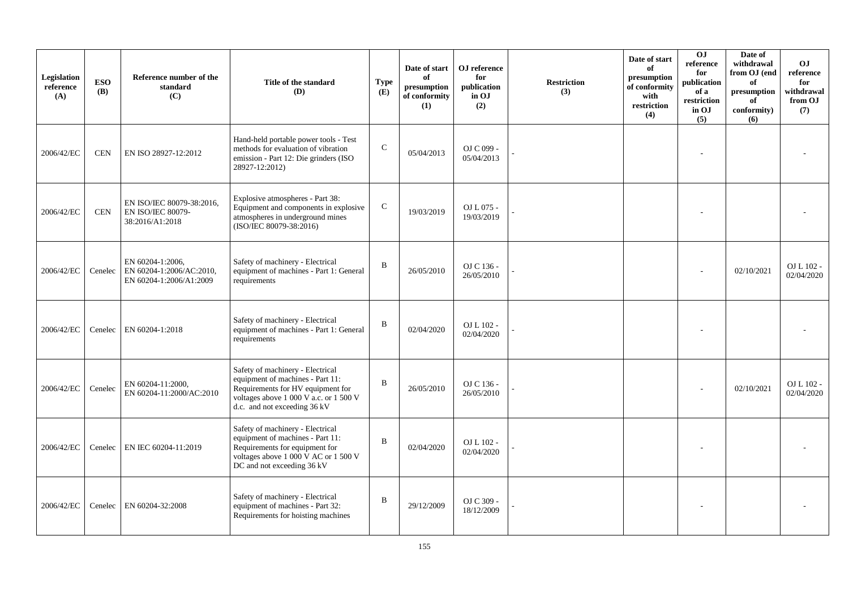| Legislation<br>reference<br>(A) | <b>ESO</b><br><b>(B)</b> | Reference number of the<br>standard<br>(C)                               | Title of the standard<br><b>(D)</b>                                                                                                                                                 | <b>Type</b><br>(E) | Date of start<br>of<br>presumption<br>of conformity<br>(1) | OJ reference<br>for<br>publication<br>in OJ<br>(2) | <b>Restriction</b><br>(3) | Date of start<br>of<br>presumption<br>of conformity<br>with<br>restriction<br>(4) | OJ<br>reference<br>for<br>publication<br>of a<br>restriction<br>in OJ<br>(5) | Date of<br>withdrawal<br>from OJ (end<br>of<br>presumption<br>of<br>conformity)<br>(6) | OJ.<br>reference<br>for<br>withdrawal<br>from OJ<br>(7) |
|---------------------------------|--------------------------|--------------------------------------------------------------------------|-------------------------------------------------------------------------------------------------------------------------------------------------------------------------------------|--------------------|------------------------------------------------------------|----------------------------------------------------|---------------------------|-----------------------------------------------------------------------------------|------------------------------------------------------------------------------|----------------------------------------------------------------------------------------|---------------------------------------------------------|
| 2006/42/EC                      | <b>CEN</b>               | EN ISO 28927-12:2012                                                     | Hand-held portable power tools - Test<br>methods for evaluation of vibration<br>emission - Part 12: Die grinders (ISO<br>28927-12:2012)                                             | $\mathbf C$        | 05/04/2013                                                 | OJ C 099 -<br>05/04/2013                           |                           |                                                                                   |                                                                              |                                                                                        |                                                         |
| 2006/42/EC                      | <b>CEN</b>               | EN ISO/IEC 80079-38:2016,<br><b>EN ISO/IEC 80079-</b><br>38:2016/A1:2018 | Explosive atmospheres - Part 38:<br>Equipment and components in explosive<br>atmospheres in underground mines<br>(ISO/IEC 80079-38:2016)                                            | ${\bf C}$          | 19/03/2019                                                 | OJ L 075 -<br>19/03/2019                           |                           |                                                                                   |                                                                              |                                                                                        |                                                         |
| 2006/42/EC                      | Cenelec                  | EN 60204-1:2006,<br>EN 60204-1:2006/AC:2010,<br>EN 60204-1:2006/A1:2009  | Safety of machinery - Electrical<br>equipment of machines - Part 1: General<br>requirements                                                                                         | $\mathbf{B}$       | 26/05/2010                                                 | OJ C 136 -<br>26/05/2010                           |                           |                                                                                   |                                                                              | 02/10/2021                                                                             | OJ L 102 -<br>02/04/2020                                |
| 2006/42/EC                      |                          | Cenelec EN 60204-1:2018                                                  | Safety of machinery - Electrical<br>equipment of machines - Part 1: General<br>requirements                                                                                         | $\, {\bf B}$       | 02/04/2020                                                 | OJ L 102 -<br>02/04/2020                           |                           |                                                                                   |                                                                              |                                                                                        |                                                         |
| 2006/42/EC                      | Cenelec                  | EN 60204-11:2000,<br>EN 60204-11:2000/AC:2010                            | Safety of machinery - Electrical<br>equipment of machines - Part 11:<br>Requirements for HV equipment for<br>voltages above 1 000 V a.c. or 1 500 V<br>d.c. and not exceeding 36 kV | $\mathbf B$        | 26/05/2010                                                 | OJ C 136 -<br>26/05/2010                           |                           |                                                                                   |                                                                              | 02/10/2021                                                                             | OJ L 102 -<br>02/04/2020                                |
| 2006/42/EC                      | Cenelec                  | EN IEC 60204-11:2019                                                     | Safety of machinery - Electrical<br>equipment of machines - Part 11:<br>Requirements for equipment for<br>voltages above 1 000 V AC or 1 500 V<br>DC and not exceeding 36 kV        | $\mathbf B$        | 02/04/2020                                                 | OJ L 102 -<br>02/04/2020                           |                           |                                                                                   |                                                                              |                                                                                        |                                                         |
| 2006/42/EC                      | Cenelec                  | EN 60204-32:2008                                                         | Safety of machinery - Electrical<br>equipment of machines - Part 32:<br>Requirements for hoisting machines                                                                          | $\, {\bf B}$       | 29/12/2009                                                 | OJ C 309 -<br>18/12/2009                           |                           |                                                                                   |                                                                              |                                                                                        |                                                         |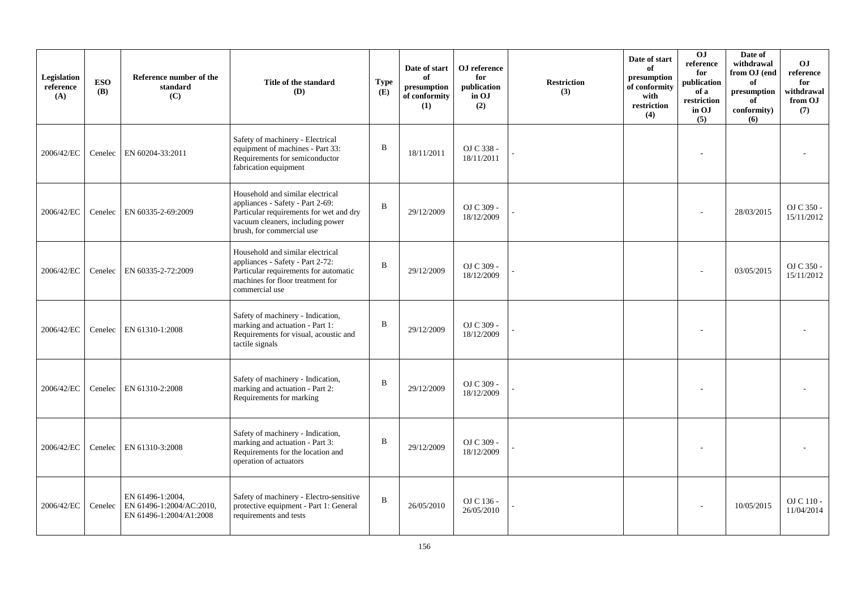| Legislation<br>reference<br>(A) | <b>ESO</b><br><b>(B)</b> | Reference number of the<br>standard<br>(C)                              | Title of the standard<br>(D)                                                                                                                                                     | <b>Type</b><br>(E) | Date of start<br>of<br>presumption<br>of conformity<br>(1) | OJ reference<br>for<br>publication<br>in OJ<br>(2) | <b>Restriction</b><br>(3) | Date of start<br>of<br>presumption<br>of conformity<br>with<br>restriction<br>(4) | OJ<br>reference<br>for<br>publication<br>of a<br>restriction<br>in OJ<br>(5) | Date of<br>withdrawal<br>from OJ (end<br>of<br>presumption<br>of<br>conformity)<br>(6) | O <sub>J</sub><br>reference<br>for<br>withdrawal<br>from OJ<br>(7) |
|---------------------------------|--------------------------|-------------------------------------------------------------------------|----------------------------------------------------------------------------------------------------------------------------------------------------------------------------------|--------------------|------------------------------------------------------------|----------------------------------------------------|---------------------------|-----------------------------------------------------------------------------------|------------------------------------------------------------------------------|----------------------------------------------------------------------------------------|--------------------------------------------------------------------|
| 2006/42/EC                      | Cenelec                  | EN 60204-33:2011                                                        | Safety of machinery - Electrical<br>equipment of machines - Part 33:<br>Requirements for semiconductor<br>fabrication equipment                                                  | B                  | 18/11/2011                                                 | OJ C 338 -<br>18/11/2011                           |                           |                                                                                   |                                                                              |                                                                                        |                                                                    |
| 2006/42/EC                      | Cenelec                  | EN 60335-2-69:2009                                                      | Household and similar electrical<br>appliances - Safety - Part 2-69:<br>Particular requirements for wet and dry<br>vacuum cleaners, including power<br>brush, for commercial use | $\, {\bf B}$       | 29/12/2009                                                 | OJ C 309 -<br>18/12/2009                           |                           |                                                                                   |                                                                              | 28/03/2015                                                                             | OJ C 350 -<br>15/11/2012                                           |
| 2006/42/EC                      | Cenelec                  | EN 60335-2-72:2009                                                      | Household and similar electrical<br>appliances - Safety - Part 2-72:<br>Particular requirements for automatic<br>machines for floor treatment for<br>commercial use              | B                  | 29/12/2009                                                 | OJ C 309 -<br>18/12/2009                           |                           |                                                                                   |                                                                              | 03/05/2015                                                                             | OJ C 350 -<br>15/11/2012                                           |
| 2006/42/EC                      |                          | Cenelec EN 61310-1:2008                                                 | Safety of machinery - Indication,<br>marking and actuation - Part 1:<br>Requirements for visual, acoustic and<br>tactile signals                                                 | B                  | 29/12/2009                                                 | OJ C 309 -<br>18/12/2009                           |                           |                                                                                   |                                                                              |                                                                                        |                                                                    |
| 2006/42/EC                      | Cenelec                  | EN 61310-2:2008                                                         | Safety of machinery - Indication,<br>marking and actuation - Part 2:<br>Requirements for marking                                                                                 | B                  | 29/12/2009                                                 | OJ C 309 -<br>18/12/2009                           |                           |                                                                                   |                                                                              |                                                                                        |                                                                    |
| 2006/42/EC                      |                          | Cenelec EN 61310-3:2008                                                 | Safety of machinery - Indication,<br>marking and actuation - Part 3:<br>Requirements for the location and<br>operation of actuators                                              | B                  | 29/12/2009                                                 | OJ C 309 -<br>18/12/2009                           |                           |                                                                                   |                                                                              |                                                                                        |                                                                    |
| 2006/42/EC                      | Cenelec                  | EN 61496-1:2004,<br>EN 61496-1:2004/AC:2010,<br>EN 61496-1:2004/A1:2008 | Safety of machinery - Electro-sensitive<br>protective equipment - Part 1: General<br>requirements and tests                                                                      | B                  | 26/05/2010                                                 | OJ C 136 -<br>26/05/2010                           |                           |                                                                                   |                                                                              | 10/05/2015                                                                             | OJ C 110 -<br>11/04/2014                                           |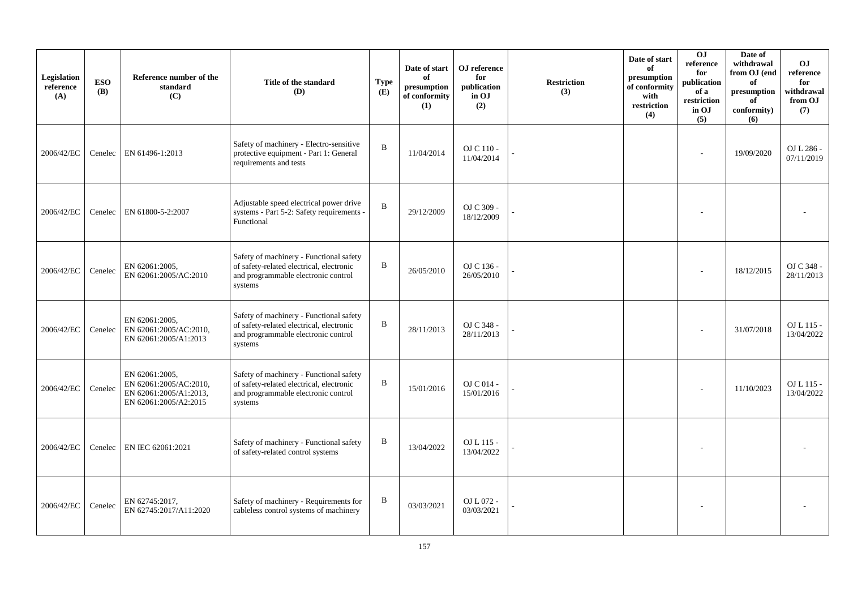| Legislation<br>reference<br>(A) | <b>ESO</b><br><b>(B)</b> | Reference number of the<br>standard<br>(C)                                                  | Title of the standard<br>(D)                                                                                                          | <b>Type</b><br>(E) | Date of start<br>of<br>presumption<br>of conformity<br>(1) | OJ reference<br>for<br>publication<br>in OJ<br>(2) | <b>Restriction</b><br>(3) | Date of start<br>of<br>presumption<br>of conformity<br>with<br>restriction<br>(4) | 0J<br>reference<br>for<br>publication<br>of a<br>restriction<br>in OJ<br>(5) | Date of<br>withdrawal<br>from OJ (end<br>of<br>presumption<br>of<br>conformity)<br>(6) | <b>OJ</b><br>reference<br>for<br>withdrawal<br>from OJ<br>(7) |
|---------------------------------|--------------------------|---------------------------------------------------------------------------------------------|---------------------------------------------------------------------------------------------------------------------------------------|--------------------|------------------------------------------------------------|----------------------------------------------------|---------------------------|-----------------------------------------------------------------------------------|------------------------------------------------------------------------------|----------------------------------------------------------------------------------------|---------------------------------------------------------------|
| 2006/42/EC                      | Cenelec                  | EN 61496-1:2013                                                                             | Safety of machinery - Electro-sensitive<br>protective equipment - Part 1: General<br>requirements and tests                           | B                  | 11/04/2014                                                 | OJ C 110 -<br>11/04/2014                           |                           |                                                                                   | $\overline{a}$                                                               | 19/09/2020                                                                             | OJ L 286 -<br>07/11/2019                                      |
| 2006/42/EC                      | Cenelec                  | EN 61800-5-2:2007                                                                           | Adjustable speed electrical power drive<br>systems - Part 5-2: Safety requirements -<br>Functional                                    | B                  | 29/12/2009                                                 | OJ C 309 -<br>18/12/2009                           |                           |                                                                                   |                                                                              |                                                                                        |                                                               |
| 2006/42/EC                      | Cenelec                  | EN 62061:2005,<br>EN 62061:2005/AC:2010                                                     | Safety of machinery - Functional safety<br>of safety-related electrical, electronic<br>and programmable electronic control<br>systems | B                  | 26/05/2010                                                 | OJ C 136 -<br>26/05/2010                           |                           |                                                                                   |                                                                              | 18/12/2015                                                                             | OJ C 348 -<br>28/11/2013                                      |
| 2006/42/EC                      | Cenelec                  | EN 62061:2005,<br>EN 62061:2005/AC:2010,<br>EN 62061:2005/A1:2013                           | Safety of machinery - Functional safety<br>of safety-related electrical, electronic<br>and programmable electronic control<br>systems | B                  | 28/11/2013                                                 | OJ C 348 -<br>28/11/2013                           |                           |                                                                                   |                                                                              | 31/07/2018                                                                             | OJ L 115 -<br>13/04/2022                                      |
| 2006/42/EC                      | Cenelec                  | EN 62061:2005.<br>EN 62061:2005/AC:2010,<br>EN 62061:2005/A1:2013,<br>EN 62061:2005/A2:2015 | Safety of machinery - Functional safety<br>of safety-related electrical, electronic<br>and programmable electronic control<br>systems | B                  | 15/01/2016                                                 | OJ C 014 -<br>15/01/2016                           |                           |                                                                                   |                                                                              | 11/10/2023                                                                             | OJ L 115 -<br>13/04/2022                                      |
| 2006/42/EC                      | Cenelec                  | EN IEC 62061:2021                                                                           | Safety of machinery - Functional safety<br>of safety-related control systems                                                          | B                  | 13/04/2022                                                 | OJ L 115 -<br>13/04/2022                           |                           |                                                                                   |                                                                              |                                                                                        |                                                               |
| 2006/42/EC                      | Cenelec                  | EN 62745:2017,<br>EN 62745:2017/A11:2020                                                    | Safety of machinery - Requirements for<br>cableless control systems of machinery                                                      | B                  | 03/03/2021                                                 | OJ L 072 -<br>03/03/2021                           |                           |                                                                                   |                                                                              |                                                                                        |                                                               |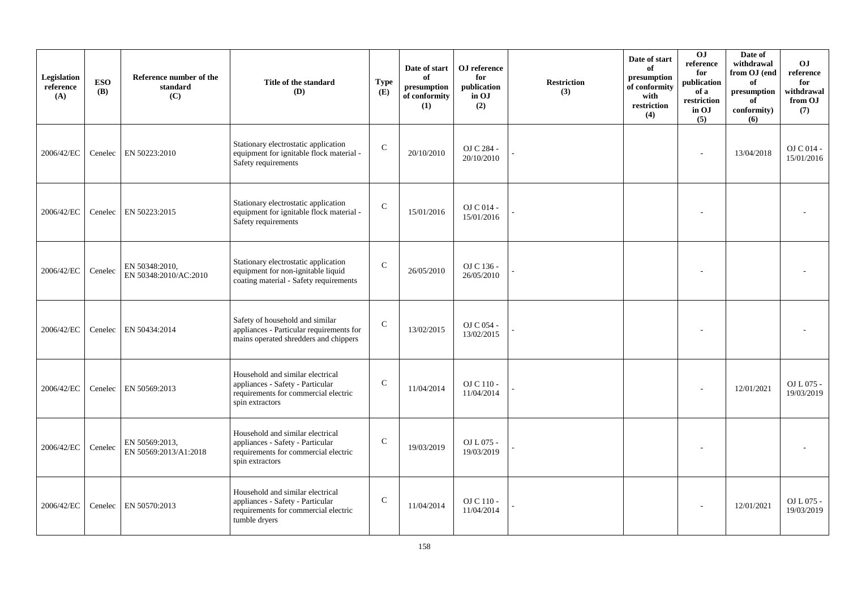| Legislation<br>reference<br>(A) | <b>ESO</b><br><b>(B)</b> | Reference number of the<br>standard<br>(C) | Title of the standard<br>(D)                                                                                                    | <b>Type</b><br>(E) | Date of start<br>of<br>presumption<br>of conformity<br>(1) | OJ reference<br>for<br>publication<br>in OJ<br>(2) | <b>Restriction</b><br>(3) | Date of start<br>of<br>presumption<br>of conformity<br>with<br>restriction<br>(4) | <b>OJ</b><br>reference<br>for<br>publication<br>of a<br>restriction<br>in OJ<br>(5) | Date of<br>withdrawal<br>from OJ (end<br>of<br>presumption<br>of<br>conformity)<br>(6) | <b>OJ</b><br>reference<br>for<br>withdrawal<br>from OJ<br>(7) |
|---------------------------------|--------------------------|--------------------------------------------|---------------------------------------------------------------------------------------------------------------------------------|--------------------|------------------------------------------------------------|----------------------------------------------------|---------------------------|-----------------------------------------------------------------------------------|-------------------------------------------------------------------------------------|----------------------------------------------------------------------------------------|---------------------------------------------------------------|
| 2006/42/EC                      | Cenelec                  | EN 50223:2010                              | Stationary electrostatic application<br>equipment for ignitable flock material -<br>Safety requirements                         | $\mathcal{C}$      | 20/10/2010                                                 | OJ C 284 -<br>20/10/2010                           |                           |                                                                                   | $\overline{a}$                                                                      | 13/04/2018                                                                             | OJ C 014 -<br>15/01/2016                                      |
| 2006/42/EC                      | Cenelec                  | EN 50223:2015                              | Stationary electrostatic application<br>equipment for ignitable flock material -<br>Safety requirements                         | $\mathbf C$        | 15/01/2016                                                 | OJ C 014 -<br>15/01/2016                           |                           |                                                                                   |                                                                                     |                                                                                        |                                                               |
| 2006/42/EC                      | Cenelec                  | EN 50348:2010,<br>EN 50348:2010/AC:2010    | Stationary electrostatic application<br>equipment for non-ignitable liquid<br>coating material - Safety requirements            | $\mathcal{C}$      | 26/05/2010                                                 | OJ C 136 -<br>26/05/2010                           |                           |                                                                                   | $\overline{\phantom{a}}$                                                            |                                                                                        |                                                               |
| 2006/42/EC                      | Cenelec                  | EN 50434:2014                              | Safety of household and similar<br>appliances - Particular requirements for<br>mains operated shredders and chippers            | $\mathbf C$        | 13/02/2015                                                 | OJ C 054 -<br>13/02/2015                           |                           |                                                                                   |                                                                                     |                                                                                        |                                                               |
| 2006/42/EC                      | Cenelec                  | EN 50569:2013                              | Household and similar electrical<br>appliances - Safety - Particular<br>requirements for commercial electric<br>spin extractors | $\mathcal{C}$      | 11/04/2014                                                 | OJ C 110 -<br>11/04/2014                           |                           |                                                                                   |                                                                                     | 12/01/2021                                                                             | OJ L 075 -<br>19/03/2019                                      |
| 2006/42/EC                      | Cenelec                  | EN 50569:2013,<br>EN 50569:2013/A1:2018    | Household and similar electrical<br>appliances - Safety - Particular<br>requirements for commercial electric<br>spin extractors | $\mathcal{C}$      | 19/03/2019                                                 | OJ L 075 -<br>19/03/2019                           |                           |                                                                                   |                                                                                     |                                                                                        |                                                               |
| 2006/42/EC                      | Cenelec                  | EN 50570:2013                              | Household and similar electrical<br>appliances - Safety - Particular<br>requirements for commercial electric<br>tumble dryers   | $\mathbf C$        | 11/04/2014                                                 | OJ C 110 -<br>11/04/2014                           |                           |                                                                                   |                                                                                     | 12/01/2021                                                                             | OJ L 075 -<br>19/03/2019                                      |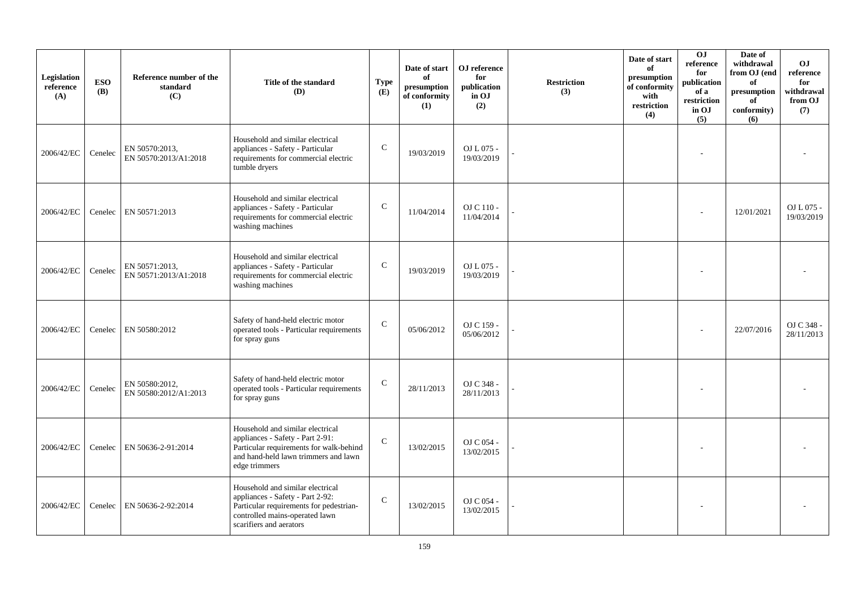| Legislation<br>reference<br>(A) | <b>ESO</b><br><b>(B)</b> | Reference number of the<br>standard<br>(C) | Title of the standard<br>(D)                                                                                                                                                 | <b>Type</b><br>(E) | Date of start<br>of<br>presumption<br>of conformity<br>(1) | OJ reference<br>for<br>publication<br>in OJ<br>(2) | <b>Restriction</b><br>(3) | Date of start<br>of<br>presumption<br>of conformity<br>with<br>restriction<br>(4) | <b>OJ</b><br>reference<br>for<br>publication<br>of a<br>restriction<br>in OJ<br>(5) | Date of<br>withdrawal<br>from OJ (end<br>of<br>presumption<br>of<br>conformity)<br>(6) | O <sub>J</sub><br>reference<br>for<br>withdrawal<br>from OJ<br>(7) |
|---------------------------------|--------------------------|--------------------------------------------|------------------------------------------------------------------------------------------------------------------------------------------------------------------------------|--------------------|------------------------------------------------------------|----------------------------------------------------|---------------------------|-----------------------------------------------------------------------------------|-------------------------------------------------------------------------------------|----------------------------------------------------------------------------------------|--------------------------------------------------------------------|
| 2006/42/EC                      | Cenelec                  | EN 50570:2013.<br>EN 50570:2013/A1:2018    | Household and similar electrical<br>appliances - Safety - Particular<br>requirements for commercial electric<br>tumble dryers                                                | $\mathsf{C}$       | 19/03/2019                                                 | OJ L 075 -<br>19/03/2019                           |                           |                                                                                   |                                                                                     |                                                                                        |                                                                    |
| 2006/42/EC                      |                          | Cenelec EN 50571:2013                      | Household and similar electrical<br>appliances - Safety - Particular<br>requirements for commercial electric<br>washing machines                                             | $\mathcal{C}$      | 11/04/2014                                                 | OJ C 110 -<br>11/04/2014                           |                           |                                                                                   |                                                                                     | 12/01/2021                                                                             | OJ L 075 -<br>19/03/2019                                           |
| 2006/42/EC                      | Cenelec                  | EN 50571:2013,<br>EN 50571:2013/A1:2018    | Household and similar electrical<br>appliances - Safety - Particular<br>requirements for commercial electric<br>washing machines                                             | $\mathcal{C}$      | 19/03/2019                                                 | OJ L 075 -<br>19/03/2019                           |                           |                                                                                   |                                                                                     |                                                                                        |                                                                    |
| 2006/42/EC                      |                          | Cenelec EN 50580:2012                      | Safety of hand-held electric motor<br>operated tools - Particular requirements<br>for spray guns                                                                             | $\mathsf{C}$       | 05/06/2012                                                 | OJ C 159 -<br>05/06/2012                           |                           |                                                                                   |                                                                                     | 22/07/2016                                                                             | OJ C 348 -<br>28/11/2013                                           |
| 2006/42/EC                      | Cenelec                  | EN 50580:2012,<br>EN 50580:2012/A1:2013    | Safety of hand-held electric motor<br>operated tools - Particular requirements<br>for spray guns                                                                             | $\mathcal{C}$      | 28/11/2013                                                 | OJ C 348 -<br>28/11/2013                           |                           |                                                                                   |                                                                                     |                                                                                        |                                                                    |
| 2006/42/EC                      | Cenelec                  | EN 50636-2-91:2014                         | Household and similar electrical<br>appliances - Safety - Part 2-91:<br>Particular requirements for walk-behind<br>and hand-held lawn trimmers and lawn<br>edge trimmers     | $\mathcal{C}$      | 13/02/2015                                                 | OJ C 054 -<br>13/02/2015                           |                           |                                                                                   |                                                                                     |                                                                                        |                                                                    |
| 2006/42/EC                      | Cenelec                  | EN 50636-2-92:2014                         | Household and similar electrical<br>appliances - Safety - Part 2-92:<br>Particular requirements for pedestrian-<br>controlled mains-operated lawn<br>scarifiers and aerators | $\mathbf C$        | 13/02/2015                                                 | OJ C 054 -<br>13/02/2015                           |                           |                                                                                   |                                                                                     |                                                                                        |                                                                    |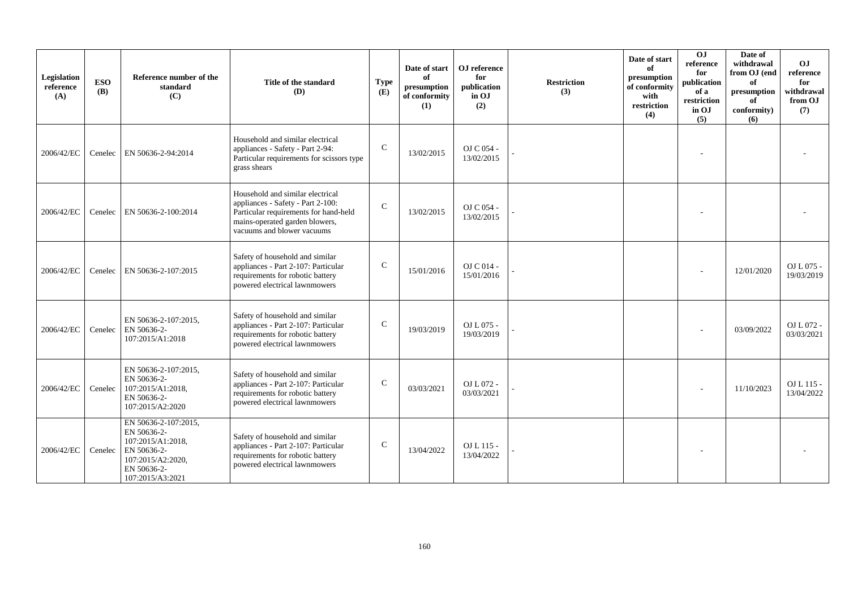| Legislation<br>reference<br>(A) | <b>ESO</b><br><b>(B)</b> | Reference number of the<br>standard<br>(C)                                                                                      | Title of the standard<br>(D)                                                                                                                                                   | <b>Type</b><br>(E) | Date of start<br>of<br>presumption<br>of conformity<br>(1) | OJ reference<br>for<br>publication<br>in OJ<br>(2) | <b>Restriction</b><br>(3) | Date of start<br>of<br>presumption<br>of conformity<br>with<br>restriction<br>(4) | $\overline{0}$<br>reference<br>for<br>publication<br>of a<br>restriction<br>in OJ<br>(5) | Date of<br>withdrawal<br>from OJ (end<br>of<br>presumption<br>of<br>conformity)<br>(6) | O <sub>J</sub><br>reference<br>for<br>withdrawal<br>from OJ<br>(7) |
|---------------------------------|--------------------------|---------------------------------------------------------------------------------------------------------------------------------|--------------------------------------------------------------------------------------------------------------------------------------------------------------------------------|--------------------|------------------------------------------------------------|----------------------------------------------------|---------------------------|-----------------------------------------------------------------------------------|------------------------------------------------------------------------------------------|----------------------------------------------------------------------------------------|--------------------------------------------------------------------|
| 2006/42/EC                      | Cenelec                  | EN 50636-2-94:2014                                                                                                              | Household and similar electrical<br>appliances - Safety - Part 2-94:<br>Particular requirements for scissors type<br>grass shears                                              | $\mathbf C$        | 13/02/2015                                                 | OJ C 054 -<br>13/02/2015                           |                           |                                                                                   |                                                                                          |                                                                                        |                                                                    |
| 2006/42/EC                      | Cenelec                  | EN 50636-2-100:2014                                                                                                             | Household and similar electrical<br>appliances - Safety - Part 2-100:<br>Particular requirements for hand-held<br>mains-operated garden blowers,<br>vacuums and blower vacuums | $\mathcal{C}$      | 13/02/2015                                                 | OJ C 054 -<br>13/02/2015                           |                           |                                                                                   |                                                                                          |                                                                                        |                                                                    |
| 2006/42/EC                      | Cenelec                  | EN 50636-2-107:2015                                                                                                             | Safety of household and similar<br>appliances - Part 2-107: Particular<br>requirements for robotic battery<br>powered electrical lawnmowers                                    | $\mathcal{C}$      | 15/01/2016                                                 | OJ C 014 -<br>15/01/2016                           |                           |                                                                                   |                                                                                          | 12/01/2020                                                                             | $OL L 075 -$<br>19/03/2019                                         |
| 2006/42/EC                      | Cenelec                  | EN 50636-2-107:2015,<br>EN 50636-2-<br>107:2015/A1:2018                                                                         | Safety of household and similar<br>appliances - Part 2-107: Particular<br>requirements for robotic battery<br>powered electrical lawnmowers                                    | $\mathsf{C}$       | 19/03/2019                                                 | OJ L 075 -<br>19/03/2019                           |                           |                                                                                   |                                                                                          | 03/09/2022                                                                             | OJ L 072 -<br>03/03/2021                                           |
| 2006/42/EC                      | Cenelec                  | EN 50636-2-107:2015,<br>EN 50636-2-<br>107:2015/A1:2018,<br>EN 50636-2-<br>107:2015/A2:2020                                     | Safety of household and similar<br>appliances - Part 2-107: Particular<br>requirements for robotic battery<br>powered electrical lawnmowers                                    | $\mathcal{C}$      | 03/03/2021                                                 | OJ L 072 -<br>03/03/2021                           |                           |                                                                                   |                                                                                          | 11/10/2023                                                                             | OJ L 115 -<br>13/04/2022                                           |
| 2006/42/EC                      | Cenelec                  | EN 50636-2-107:2015,<br>EN 50636-2-<br>107:2015/A1:2018,<br>EN 50636-2-<br>107:2015/A2:2020,<br>EN 50636-2-<br>107:2015/A3:2021 | Safety of household and similar<br>appliances - Part 2-107: Particular<br>requirements for robotic battery<br>powered electrical lawnmowers                                    | $\mathcal{C}$      | 13/04/2022                                                 | OJ L 115 -<br>13/04/2022                           |                           |                                                                                   |                                                                                          |                                                                                        |                                                                    |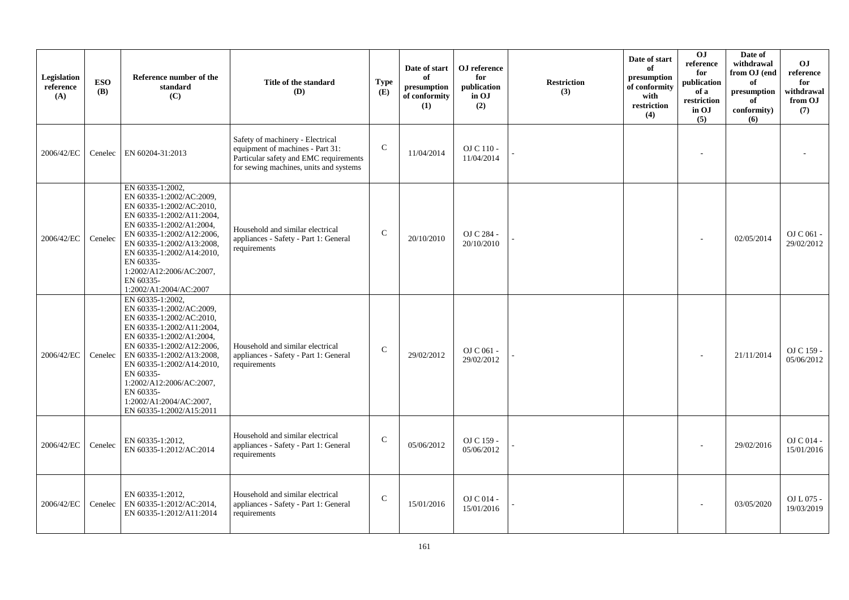| Legislation<br>reference<br>(A) | <b>ESO</b><br><b>(B)</b> | Reference number of the<br>standard<br>(C)                                                                                                                                                                                                                                                                                            | Title of the standard<br>(D)                                                                                                                             | <b>Type</b><br>(E) | Date of start<br>of<br>presumption<br>of conformity<br>(1) | OJ reference<br>for<br>publication<br>in OJ<br>(2) | <b>Restriction</b><br>(3) | Date of start<br>of<br>presumption<br>of conformity<br>with<br>restriction<br>(4) | OJ<br>reference<br>for<br>publication<br>of a<br>restriction<br>in OJ<br>(5) | Date of<br>withdrawal<br>from OJ (end<br>of<br>presumption<br>of<br>conformity)<br>(6) | <b>OJ</b><br>reference<br>for<br>withdrawal<br>from OJ<br>(7) |
|---------------------------------|--------------------------|---------------------------------------------------------------------------------------------------------------------------------------------------------------------------------------------------------------------------------------------------------------------------------------------------------------------------------------|----------------------------------------------------------------------------------------------------------------------------------------------------------|--------------------|------------------------------------------------------------|----------------------------------------------------|---------------------------|-----------------------------------------------------------------------------------|------------------------------------------------------------------------------|----------------------------------------------------------------------------------------|---------------------------------------------------------------|
| 2006/42/EC                      | Cenelec                  | EN 60204-31:2013                                                                                                                                                                                                                                                                                                                      | Safety of machinery - Electrical<br>equipment of machines - Part 31:<br>Particular safety and EMC requirements<br>for sewing machines, units and systems | $\mathsf{C}$       | 11/04/2014                                                 | OJ C 110 -<br>11/04/2014                           |                           |                                                                                   |                                                                              |                                                                                        |                                                               |
| 2006/42/EC                      | Cenelec                  | EN 60335-1:2002,<br>EN 60335-1:2002/AC:2009,<br>EN 60335-1:2002/AC:2010,<br>EN 60335-1:2002/A11:2004,<br>EN 60335-1:2002/A1:2004,<br>EN 60335-1:2002/A12:2006,<br>EN 60335-1:2002/A13:2008,<br>EN 60335-1:2002/A14:2010,<br>EN 60335-<br>1:2002/A12:2006/AC:2007,<br>EN 60335-<br>1:2002/A1:2004/AC:2007                              | Household and similar electrical<br>appliances - Safety - Part 1: General<br>requirements                                                                | $\mathcal{C}$      | 20/10/2010                                                 | OJ C 284 -<br>20/10/2010                           |                           |                                                                                   |                                                                              | 02/05/2014                                                                             | $OJ C 061 -$<br>29/02/2012                                    |
| 2006/42/EC                      | Cenelec                  | EN 60335-1:2002,<br>EN 60335-1:2002/AC:2009,<br>EN 60335-1:2002/AC:2010,<br>EN 60335-1:2002/A11:2004,<br>EN 60335-1:2002/A1:2004.<br>EN 60335-1:2002/A12:2006,<br>EN 60335-1:2002/A13:2008,<br>EN 60335-1:2002/A14:2010,<br>EN 60335-<br>1:2002/A12:2006/AC:2007,<br>EN 60335-<br>1:2002/A1:2004/AC:2007,<br>EN 60335-1:2002/A15:2011 | Household and similar electrical<br>appliances - Safety - Part 1: General<br>requirements                                                                | $\mathsf{C}$       | 29/02/2012                                                 | OJ C 061 -<br>29/02/2012                           |                           |                                                                                   |                                                                              | 21/11/2014                                                                             | OJ C 159 -<br>05/06/2012                                      |
| 2006/42/EC                      | Cenelec                  | EN 60335-1:2012,<br>EN 60335-1:2012/AC:2014                                                                                                                                                                                                                                                                                           | Household and similar electrical<br>appliances - Safety - Part 1: General<br>requirements                                                                | ${\bf C}$          | 05/06/2012                                                 | OJ C 159 -<br>05/06/2012                           |                           |                                                                                   |                                                                              | 29/02/2016                                                                             | OJ C 014 -<br>15/01/2016                                      |
| 2006/42/EC                      | Cenelec                  | EN 60335-1:2012,<br>EN 60335-1:2012/AC:2014,<br>EN 60335-1:2012/A11:2014                                                                                                                                                                                                                                                              | Household and similar electrical<br>appliances - Safety - Part 1: General<br>requirements                                                                | $\mathsf{C}$       | 15/01/2016                                                 | OJ C 014 -<br>15/01/2016                           |                           |                                                                                   |                                                                              | 03/05/2020                                                                             | OJ L 075 -<br>19/03/2019                                      |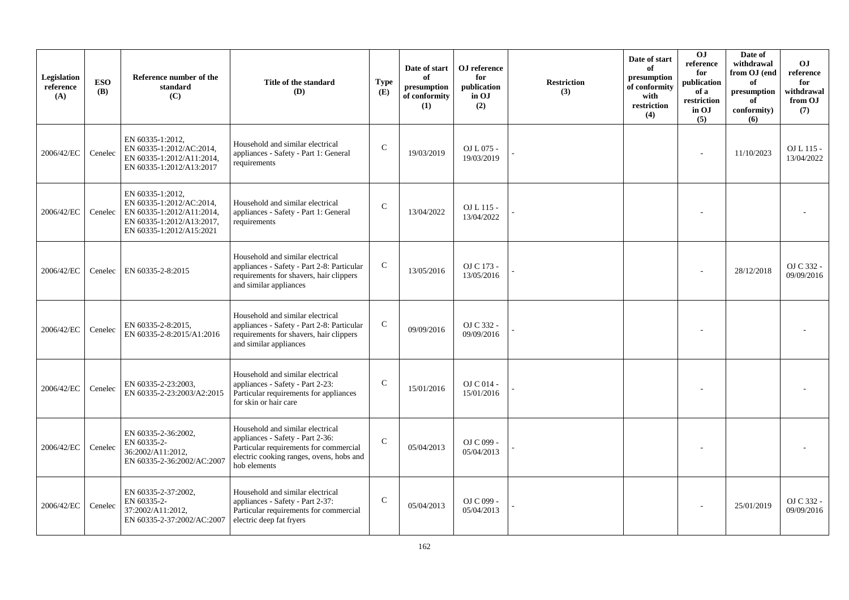| Legislation<br>reference<br>(A) | <b>ESO</b><br><b>(B)</b> | Reference number of the<br>standard<br>(C)                                                                                         | Title of the standard<br>(D)                                                                                                                                               | <b>Type</b><br>(E) | Date of start<br>of<br>presumption<br>of conformity<br>(1) | OJ reference<br>for<br>publication<br>in OJ<br>(2) | <b>Restriction</b><br>(3) | Date of start<br>of<br>presumption<br>of conformity<br>with<br>restriction<br>(4) | O <sub>J</sub><br>reference<br>for<br>publication<br>of a<br>restriction<br>in OJ<br>(5) | Date of<br>withdrawal<br>from OJ (end<br>of<br>presumption<br>of<br>conformity)<br>(6) | <b>OJ</b><br>reference<br>for<br>withdrawal<br>from OJ<br>(7) |
|---------------------------------|--------------------------|------------------------------------------------------------------------------------------------------------------------------------|----------------------------------------------------------------------------------------------------------------------------------------------------------------------------|--------------------|------------------------------------------------------------|----------------------------------------------------|---------------------------|-----------------------------------------------------------------------------------|------------------------------------------------------------------------------------------|----------------------------------------------------------------------------------------|---------------------------------------------------------------|
| 2006/42/EC                      | Cenelec                  | EN 60335-1:2012,<br>EN 60335-1:2012/AC:2014,<br>EN 60335-1:2012/A11:2014.<br>EN 60335-1:2012/A13:2017                              | Household and similar electrical<br>appliances - Safety - Part 1: General<br>requirements                                                                                  | $\mathcal{C}$      | 19/03/2019                                                 | OJ L 075 -<br>19/03/2019                           |                           |                                                                                   |                                                                                          | 11/10/2023                                                                             | $OL115-$<br>13/04/2022                                        |
| 2006/42/EC                      | Cenelec                  | EN 60335-1:2012,<br>EN 60335-1:2012/AC:2014,<br>EN 60335-1:2012/A11:2014,<br>EN 60335-1:2012/A13:2017,<br>EN 60335-1:2012/A15:2021 | Household and similar electrical<br>appliances - Safety - Part 1: General<br>requirements                                                                                  | $\mathsf C$        | 13/04/2022                                                 | OJ L 115 -<br>13/04/2022                           |                           |                                                                                   |                                                                                          |                                                                                        |                                                               |
| 2006/42/EC                      | Cenelec                  | EN 60335-2-8:2015                                                                                                                  | Household and similar electrical<br>appliances - Safety - Part 2-8: Particular<br>requirements for shavers, hair clippers<br>and similar appliances                        | $\mathsf{C}$       | 13/05/2016                                                 | OJ C 173 -<br>13/05/2016                           |                           |                                                                                   |                                                                                          | 28/12/2018                                                                             | OJ C 332 -<br>09/09/2016                                      |
| 2006/42/EC                      | Cenelec                  | EN 60335-2-8:2015,<br>EN 60335-2-8:2015/A1:2016                                                                                    | Household and similar electrical<br>appliances - Safety - Part 2-8: Particular<br>requirements for shavers, hair clippers<br>and similar appliances                        | ${\bf C}$          | 09/09/2016                                                 | OJ C 332 -<br>09/09/2016                           |                           |                                                                                   |                                                                                          |                                                                                        |                                                               |
| 2006/42/EC                      | Cenelec                  | EN 60335-2-23:2003,<br>EN 60335-2-23:2003/A2:2015                                                                                  | Household and similar electrical<br>appliances - Safety - Part 2-23:<br>Particular requirements for appliances<br>for skin or hair care                                    | $\mathcal{C}$      | 15/01/2016                                                 | OJ C 014 -<br>15/01/2016                           |                           |                                                                                   |                                                                                          |                                                                                        |                                                               |
| 2006/42/EC                      | Cenelec                  | EN 60335-2-36:2002,<br>EN 60335-2-<br>36:2002/A11:2012,<br>EN 60335-2-36:2002/AC:2007                                              | Household and similar electrical<br>appliances - Safety - Part 2-36:<br>Particular requirements for commercial<br>electric cooking ranges, ovens, hobs and<br>hob elements | $\mathsf{C}$       | 05/04/2013                                                 | OJ C 099 -<br>05/04/2013                           |                           |                                                                                   |                                                                                          |                                                                                        |                                                               |
| 2006/42/EC                      | Cenelec                  | EN 60335-2-37:2002,<br>EN 60335-2-<br>37:2002/A11:2012,<br>EN 60335-2-37:2002/AC:2007                                              | Household and similar electrical<br>appliances - Safety - Part 2-37:<br>Particular requirements for commercial<br>electric deep fat fryers                                 | $\mathsf{C}$       | 05/04/2013                                                 | OJ C 099 -<br>05/04/2013                           |                           |                                                                                   |                                                                                          | 25/01/2019                                                                             | OJ C 332 -<br>09/09/2016                                      |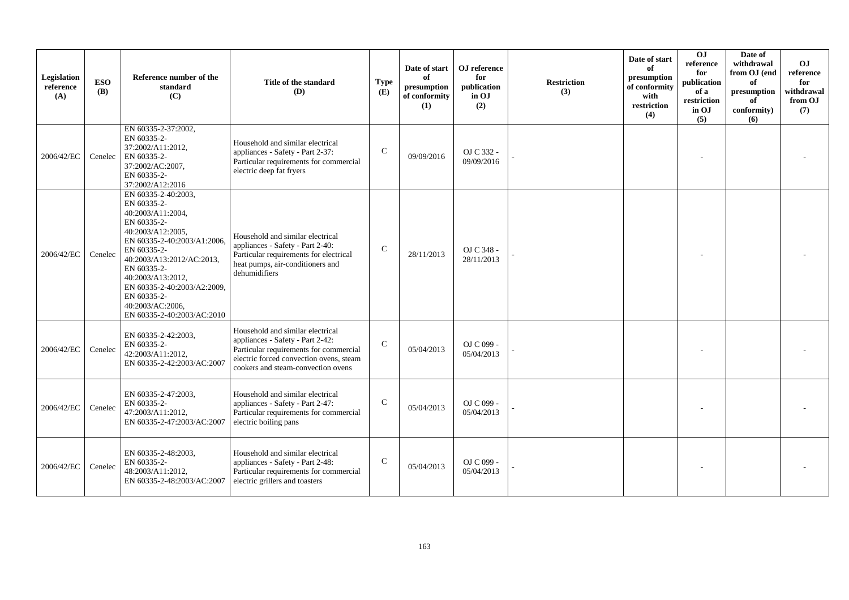| Legislation<br>reference<br>(A) | <b>ESO</b><br><b>(B)</b> | Reference number of the<br>standard<br>(C)                                                                                                                                                                                                                                                                 | Title of the standard<br><b>(D)</b>                                                                                                                                                             | Type<br>(E)   | Date of start<br>of<br>presumption<br>of conformity<br>(1) | OJ reference<br>for<br>publication<br>in OJ<br>(2) | <b>Restriction</b><br>(3) | Date of start<br>of<br>presumption<br>of conformity<br>with<br>restriction<br>(4) | $\overline{0}$<br>reference<br>for<br>publication<br>of a<br>restriction<br>in OJ<br>(5) | Date of<br>withdrawal<br>from OJ (end<br>of<br>presumption<br>of<br>conformity)<br>(6) | O <sub>J</sub><br>reference<br>for<br>withdrawal<br>from OJ<br>(7) |
|---------------------------------|--------------------------|------------------------------------------------------------------------------------------------------------------------------------------------------------------------------------------------------------------------------------------------------------------------------------------------------------|-------------------------------------------------------------------------------------------------------------------------------------------------------------------------------------------------|---------------|------------------------------------------------------------|----------------------------------------------------|---------------------------|-----------------------------------------------------------------------------------|------------------------------------------------------------------------------------------|----------------------------------------------------------------------------------------|--------------------------------------------------------------------|
| 2006/42/EC                      | Cenelec                  | EN 60335-2-37:2002.<br>EN 60335-2-<br>37:2002/A11:2012.<br>EN 60335-2-<br>37:2002/AC:2007,<br>EN 60335-2-<br>37:2002/A12:2016                                                                                                                                                                              | Household and similar electrical<br>appliances - Safety - Part 2-37:<br>Particular requirements for commercial<br>electric deep fat fryers                                                      | $\mathcal{C}$ | 09/09/2016                                                 | OJ C 332 -<br>09/09/2016                           |                           |                                                                                   |                                                                                          |                                                                                        |                                                                    |
| 2006/42/EC                      | Cenelec                  | EN 60335-2-40:2003.<br>EN 60335-2-<br>40:2003/A11:2004,<br>EN 60335-2-<br>40:2003/A12:2005,<br>EN 60335-2-40:2003/A1:2006,<br>EN 60335-2-<br>40:2003/A13:2012/AC:2013,<br>EN 60335-2-<br>40:2003/A13:2012,<br>EN 60335-2-40:2003/A2:2009,<br>EN 60335-2-<br>40:2003/AC:2006,<br>EN 60335-2-40:2003/AC:2010 | Household and similar electrical<br>appliances - Safety - Part 2-40:<br>Particular requirements for electrical<br>heat pumps, air-conditioners and<br>dehumidifiers                             | $\mathsf{C}$  | 28/11/2013                                                 | OJ C 348 -<br>28/11/2013                           |                           |                                                                                   |                                                                                          |                                                                                        |                                                                    |
| 2006/42/EC                      | Cenelec                  | EN 60335-2-42:2003,<br>EN 60335-2-<br>42:2003/A11:2012,<br>EN 60335-2-42:2003/AC:2007                                                                                                                                                                                                                      | Household and similar electrical<br>appliances - Safety - Part 2-42:<br>Particular requirements for commercial<br>electric forced convection ovens, steam<br>cookers and steam-convection ovens | $\mathcal{C}$ | 05/04/2013                                                 | OJ C 099 -<br>05/04/2013                           |                           |                                                                                   |                                                                                          |                                                                                        |                                                                    |
| 2006/42/EC                      | Cenelec                  | EN 60335-2-47:2003,<br>EN 60335-2-<br>47:2003/A11:2012,<br>EN 60335-2-47:2003/AC:2007                                                                                                                                                                                                                      | Household and similar electrical<br>appliances - Safety - Part 2-47:<br>Particular requirements for commercial<br>electric boiling pans                                                         | $\mathbf C$   | 05/04/2013                                                 | OJ C 099 -<br>05/04/2013                           |                           |                                                                                   |                                                                                          |                                                                                        |                                                                    |
| 2006/42/EC                      | Cenelec                  | EN 60335-2-48:2003,<br>EN 60335-2-<br>48:2003/A11:2012,<br>EN 60335-2-48:2003/AC:2007                                                                                                                                                                                                                      | Household and similar electrical<br>appliances - Safety - Part 2-48:<br>Particular requirements for commercial<br>electric grillers and toasters                                                | $\mathcal{C}$ | 05/04/2013                                                 | OJ C 099 -<br>05/04/2013                           |                           |                                                                                   |                                                                                          |                                                                                        |                                                                    |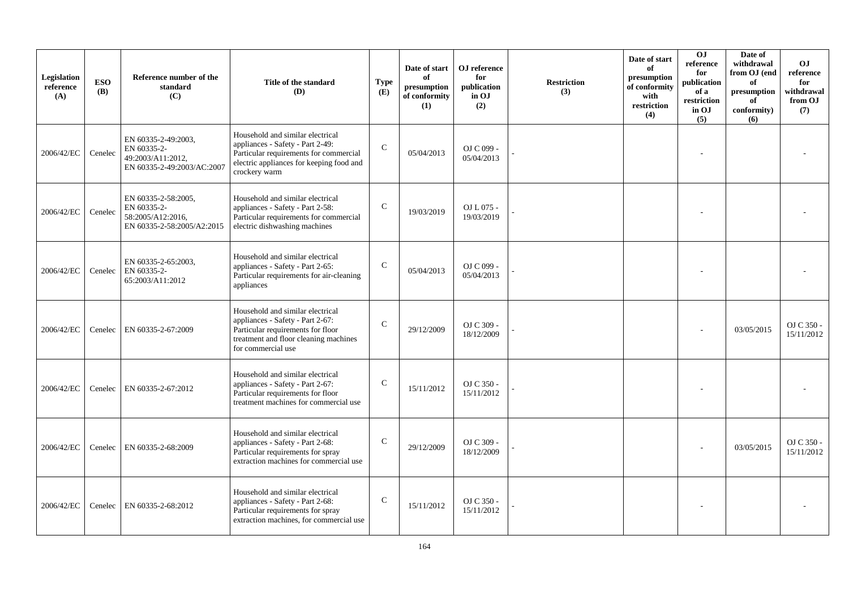| Legislation<br>reference<br>(A) | <b>ESO</b><br><b>(B)</b> | Reference number of the<br>standard<br>(C)                                            | Title of the standard<br>(D)                                                                                                                                                | <b>Type</b><br>(E) | Date of start<br>of<br>presumption<br>of conformity<br>(1) | ${\bf OJ}$ reference<br>for<br>publication<br>in OJ<br>(2) | <b>Restriction</b><br>(3) | Date of start<br>of<br>presumption<br>of conformity<br>with<br>restriction<br>(4) | O <sub>J</sub><br>reference<br>for<br>publication<br>of a<br>restriction<br>in OJ<br>(5) | Date of<br>withdrawal<br>from OJ (end<br>of<br>presumption<br>of<br>conformity)<br>(6) | <b>OJ</b><br>reference<br>for<br>withdrawal<br>from OJ<br>(7) |
|---------------------------------|--------------------------|---------------------------------------------------------------------------------------|-----------------------------------------------------------------------------------------------------------------------------------------------------------------------------|--------------------|------------------------------------------------------------|------------------------------------------------------------|---------------------------|-----------------------------------------------------------------------------------|------------------------------------------------------------------------------------------|----------------------------------------------------------------------------------------|---------------------------------------------------------------|
| 2006/42/EC                      | Cenelec                  | EN 60335-2-49:2003.<br>EN 60335-2-<br>49:2003/A11:2012,<br>EN 60335-2-49:2003/AC:2007 | Household and similar electrical<br>appliances - Safety - Part 2-49:<br>Particular requirements for commercial<br>electric appliances for keeping food and<br>crockery warm | $\mathbf C$        | 05/04/2013                                                 | OJ C 099 -<br>05/04/2013                                   |                           |                                                                                   |                                                                                          |                                                                                        |                                                               |
| 2006/42/EC                      | Cenelec                  | EN 60335-2-58:2005,<br>EN 60335-2-<br>58:2005/A12:2016,<br>EN 60335-2-58:2005/A2:2015 | Household and similar electrical<br>appliances - Safety - Part 2-58:<br>Particular requirements for commercial<br>electric dishwashing machines                             | $\mathsf{C}$       | 19/03/2019                                                 | OJ L 075 -<br>19/03/2019                                   |                           |                                                                                   |                                                                                          |                                                                                        |                                                               |
| 2006/42/EC                      | Cenelec                  | EN 60335-2-65:2003,<br>EN 60335-2-<br>65:2003/A11:2012                                | Household and similar electrical<br>appliances - Safety - Part 2-65:<br>Particular requirements for air-cleaning<br>appliances                                              | $\mathsf{C}$       | 05/04/2013                                                 | OJ C 099 -<br>05/04/2013                                   |                           |                                                                                   |                                                                                          |                                                                                        |                                                               |
| 2006/42/EC                      | Cenelec                  | EN 60335-2-67:2009                                                                    | Household and similar electrical<br>appliances - Safety - Part 2-67:<br>Particular requirements for floor<br>treatment and floor cleaning machines<br>for commercial use    | $\mathcal{C}$      | 29/12/2009                                                 | OJ C 309 -<br>18/12/2009                                   |                           |                                                                                   |                                                                                          | 03/05/2015                                                                             | OJ C 350 -<br>15/11/2012                                      |
| 2006/42/EC                      | Cenelec                  | EN 60335-2-67:2012                                                                    | Household and similar electrical<br>appliances - Safety - Part 2-67:<br>Particular requirements for floor<br>treatment machines for commercial use                          | $\mathsf C$        | 15/11/2012                                                 | OJ C 350 -<br>15/11/2012                                   |                           |                                                                                   |                                                                                          |                                                                                        |                                                               |
| 2006/42/EC                      | Cenelec                  | EN 60335-2-68:2009                                                                    | Household and similar electrical<br>appliances - Safety - Part 2-68:<br>Particular requirements for spray<br>extraction machines for commercial use                         | $\mathsf{C}$       | 29/12/2009                                                 | OJ C 309 -<br>18/12/2009                                   |                           |                                                                                   |                                                                                          | 03/05/2015                                                                             | OJ C 350 -<br>15/11/2012                                      |
| 2006/42/EC                      | Cenelec                  | EN 60335-2-68:2012                                                                    | Household and similar electrical<br>appliances - Safety - Part 2-68:<br>Particular requirements for spray<br>extraction machines, for commercial use                        | $\mathsf{C}$       | 15/11/2012                                                 | OJ C 350 -<br>15/11/2012                                   |                           |                                                                                   |                                                                                          |                                                                                        |                                                               |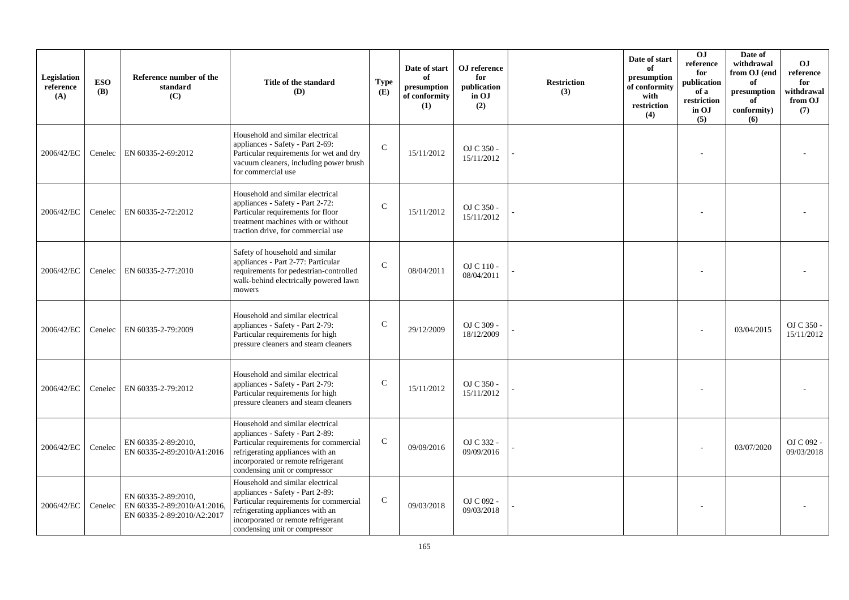| Legislation<br>reference<br>(A) | <b>ESO</b><br><b>(B)</b> | Reference number of the<br>standard<br>(C)                                       | Title of the standard<br>(D)                                                                                                                                                                                              | <b>Type</b><br>(E) | Date of start<br>of<br>presumption<br>of conformity<br>(1) | OJ reference<br>for<br>publication<br>in OJ<br>(2) | <b>Restriction</b><br>(3) | Date of start<br>of<br>presumption<br>of conformity<br>with<br>restriction<br>(4) | <b>OJ</b><br>reference<br>for<br>publication<br>of a<br>restriction<br>in OJ<br>(5) | Date of<br>withdrawal<br>from OJ (end<br>of<br>presumption<br>of<br>conformity)<br>(6) | <b>OJ</b><br>$\rm reference$<br>for<br>withdrawal<br>from OJ<br>(7) |
|---------------------------------|--------------------------|----------------------------------------------------------------------------------|---------------------------------------------------------------------------------------------------------------------------------------------------------------------------------------------------------------------------|--------------------|------------------------------------------------------------|----------------------------------------------------|---------------------------|-----------------------------------------------------------------------------------|-------------------------------------------------------------------------------------|----------------------------------------------------------------------------------------|---------------------------------------------------------------------|
| 2006/42/EC                      | Cenelec                  | EN 60335-2-69:2012                                                               | Household and similar electrical<br>appliances - Safety - Part 2-69:<br>Particular requirements for wet and dry<br>vacuum cleaners, including power brush<br>for commercial use                                           | $\mathcal{C}$      | 15/11/2012                                                 | OJ C 350 -<br>15/11/2012                           |                           |                                                                                   |                                                                                     |                                                                                        |                                                                     |
| 2006/42/EC                      | Cenelec                  | EN 60335-2-72:2012                                                               | Household and similar electrical<br>appliances - Safety - Part 2-72:<br>Particular requirements for floor<br>treatment machines with or without<br>traction drive, for commercial use                                     | $\mathcal{C}$      | 15/11/2012                                                 | OJ C 350 -<br>15/11/2012                           |                           |                                                                                   |                                                                                     |                                                                                        |                                                                     |
| 2006/42/EC                      | Cenelec                  | EN 60335-2-77:2010                                                               | Safety of household and similar<br>appliances - Part 2-77: Particular<br>requirements for pedestrian-controlled<br>walk-behind electrically powered lawn<br>mowers                                                        | $\mathcal{C}$      | 08/04/2011                                                 | OJ C 110 -<br>08/04/2011                           |                           |                                                                                   |                                                                                     |                                                                                        |                                                                     |
| 2006/42/EC                      | Cenelec                  | EN 60335-2-79:2009                                                               | Household and similar electrical<br>appliances - Safety - Part 2-79:<br>Particular requirements for high<br>pressure cleaners and steam cleaners                                                                          | $\mathbf C$        | 29/12/2009                                                 | OJ C 309 -<br>18/12/2009                           |                           |                                                                                   |                                                                                     | 03/04/2015                                                                             | OJ C 350 -<br>15/11/2012                                            |
| 2006/42/EC                      | Cenelec                  | EN 60335-2-79:2012                                                               | Household and similar electrical<br>appliances - Safety - Part 2-79:<br>Particular requirements for high<br>pressure cleaners and steam cleaners                                                                          | $\mathsf{C}$       | 15/11/2012                                                 | OJ C 350 -<br>15/11/2012                           |                           |                                                                                   |                                                                                     |                                                                                        |                                                                     |
| 2006/42/EC                      | Cenelec                  | EN 60335-2-89:2010,<br>EN 60335-2-89:2010/A1:2016                                | Household and similar electrical<br>appliances - Safety - Part 2-89:<br>Particular requirements for commercial<br>refrigerating appliances with an<br>incorporated or remote refrigerant<br>condensing unit or compressor | $\mathsf{C}$       | 09/09/2016                                                 | OJ C 332 -<br>09/09/2016                           |                           |                                                                                   |                                                                                     | 03/07/2020                                                                             | OJ C 092 -<br>09/03/2018                                            |
| 2006/42/EC                      | Cenelec                  | EN 60335-2-89:2010.<br>EN 60335-2-89:2010/A1:2016,<br>EN 60335-2-89:2010/A2:2017 | Household and similar electrical<br>appliances - Safety - Part 2-89:<br>Particular requirements for commercial<br>refrigerating appliances with an<br>incorporated or remote refrigerant<br>condensing unit or compressor | $\mathbf C$        | 09/03/2018                                                 | OJ C 092 -<br>09/03/2018                           |                           |                                                                                   |                                                                                     |                                                                                        |                                                                     |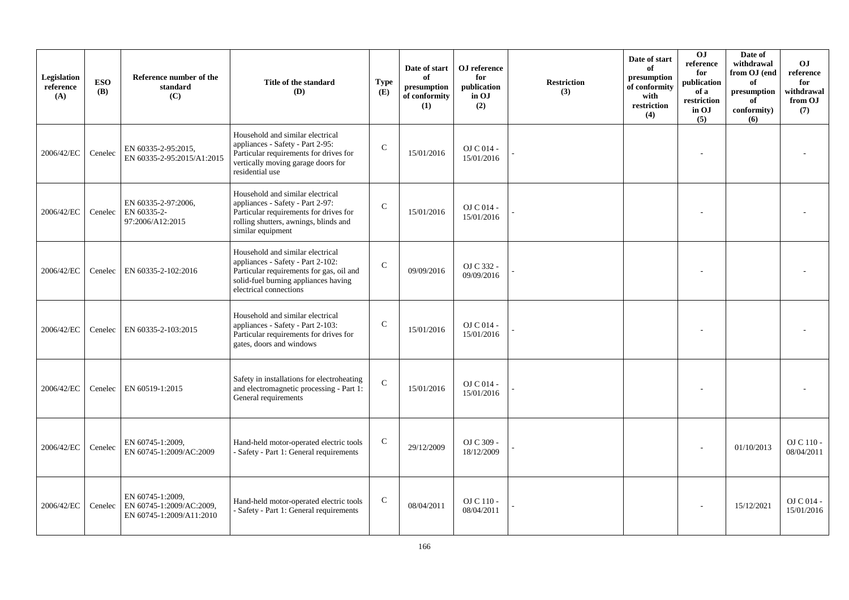| Legislation<br>reference<br>(A) | <b>ESO</b><br><b>(B)</b> | Reference number of the<br>standard<br>(C)                               | Title of the standard<br><b>(D)</b>                                                                                                                                                 | <b>Type</b><br>(E) | Date of start<br>of<br>presumption<br>of conformity<br>(1) | OJ reference<br>for<br>publication<br>in OJ<br>(2) | <b>Restriction</b><br>(3) | Date of start<br>of<br>presumption<br>of conformity<br>with<br>restriction<br>(4) | OJ<br>reference<br>for<br>publication<br>of a<br>restriction<br>in OJ<br>(5) | Date of<br>withdrawal<br>from OJ (end<br>of<br>presumption<br>of<br>conformity)<br>(6) | <b>OJ</b><br>reference<br>for<br>withdrawal<br>from OJ<br>(7) |
|---------------------------------|--------------------------|--------------------------------------------------------------------------|-------------------------------------------------------------------------------------------------------------------------------------------------------------------------------------|--------------------|------------------------------------------------------------|----------------------------------------------------|---------------------------|-----------------------------------------------------------------------------------|------------------------------------------------------------------------------|----------------------------------------------------------------------------------------|---------------------------------------------------------------|
| 2006/42/EC                      | Cenelec                  | EN 60335-2-95:2015,<br>EN 60335-2-95:2015/A1:2015                        | Household and similar electrical<br>appliances - Safety - Part 2-95:<br>Particular requirements for drives for<br>vertically moving garage doors for<br>residential use             | $\mathbf C$        | 15/01/2016                                                 | $OJ C 014 -$<br>15/01/2016                         |                           |                                                                                   |                                                                              |                                                                                        |                                                               |
| 2006/42/EC                      | Cenelec                  | EN 60335-2-97:2006,<br>EN 60335-2-<br>97:2006/A12:2015                   | Household and similar electrical<br>appliances - Safety - Part 2-97:<br>Particular requirements for drives for<br>rolling shutters, awnings, blinds and<br>similar equipment        | $\mathbf C$        | 15/01/2016                                                 | OJ C 014 -<br>15/01/2016                           |                           |                                                                                   |                                                                              |                                                                                        |                                                               |
| 2006/42/EC                      | Cenelec                  | EN 60335-2-102:2016                                                      | Household and similar electrical<br>appliances - Safety - Part 2-102:<br>Particular requirements for gas, oil and<br>solid-fuel burning appliances having<br>electrical connections | $\mathcal{C}$      | 09/09/2016                                                 | OJ C 332 -<br>09/09/2016                           |                           |                                                                                   |                                                                              |                                                                                        |                                                               |
| 2006/42/EC                      | Cenelec                  | EN 60335-2-103:2015                                                      | Household and similar electrical<br>appliances - Safety - Part 2-103:<br>Particular requirements for drives for<br>gates, doors and windows                                         | $\mathcal{C}$      | 15/01/2016                                                 | OJ C 014 -<br>15/01/2016                           |                           |                                                                                   |                                                                              |                                                                                        |                                                               |
| 2006/42/EC                      | Cenelec                  | EN 60519-1:2015                                                          | Safety in installations for electroheating<br>and electromagnetic processing - Part 1:<br>General requirements                                                                      | $\mathbf C$        | 15/01/2016                                                 | OJ C 014 -<br>15/01/2016                           |                           |                                                                                   |                                                                              |                                                                                        |                                                               |
| 2006/42/EC                      | Cenelec                  | EN 60745-1:2009,<br>EN 60745-1:2009/AC:2009                              | Hand-held motor-operated electric tools<br>- Safety - Part 1: General requirements                                                                                                  | $\mathbf C$        | 29/12/2009                                                 | OJ C 309 -<br>18/12/2009                           |                           |                                                                                   |                                                                              | 01/10/2013                                                                             | OJ C 110 -<br>08/04/2011                                      |
| 2006/42/EC                      | Cenelec                  | EN 60745-1:2009,<br>EN 60745-1:2009/AC:2009.<br>EN 60745-1:2009/A11:2010 | Hand-held motor-operated electric tools<br>- Safety - Part 1: General requirements                                                                                                  | $\mathbf C$        | 08/04/2011                                                 | OJ C 110 -<br>08/04/2011                           |                           |                                                                                   |                                                                              | 15/12/2021                                                                             | $OJ$ C 014 -<br>15/01/2016                                    |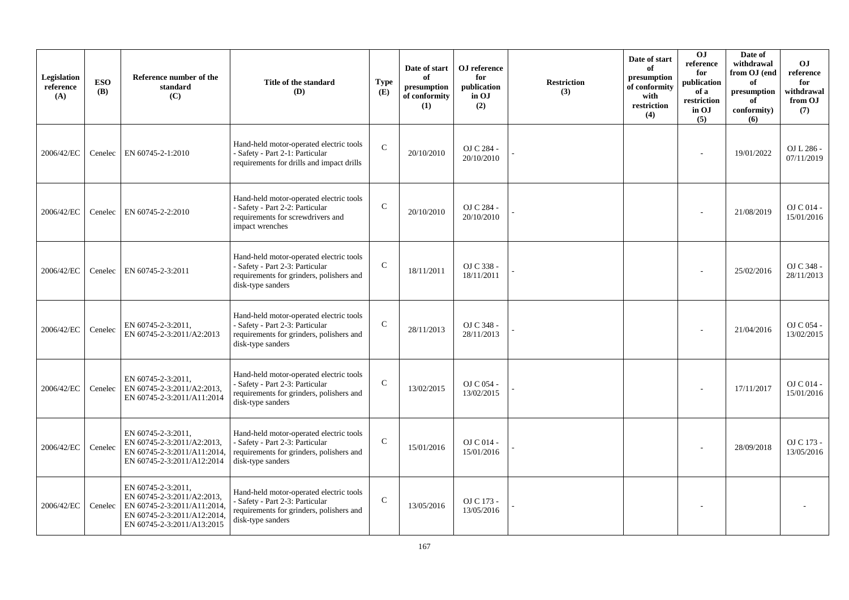| Legislation<br>reference<br>(A) | <b>ESO</b><br><b>(B)</b> | Reference number of the<br>standard<br>(C)                                                                                                   | Title of the standard<br>(D)                                                                                                                | <b>Type</b><br>(E) | Date of start<br>of<br>presumption<br>of conformity<br>(1) | OJ reference<br>for<br>publication<br>in OJ<br>(2) | <b>Restriction</b><br>(3) | Date of start<br>of<br>presumption<br>of conformity<br>with<br>restriction<br>(4) | <b>OJ</b><br>reference<br>for<br>publication<br>of a<br>restriction<br>in OJ<br>(5) | Date of<br>withdrawal<br>from OJ (end<br>of<br>presumption<br>of<br>conformity)<br>(6) | <b>OJ</b><br>reference<br>for<br>withdrawal<br>from OJ<br>(7) |
|---------------------------------|--------------------------|----------------------------------------------------------------------------------------------------------------------------------------------|---------------------------------------------------------------------------------------------------------------------------------------------|--------------------|------------------------------------------------------------|----------------------------------------------------|---------------------------|-----------------------------------------------------------------------------------|-------------------------------------------------------------------------------------|----------------------------------------------------------------------------------------|---------------------------------------------------------------|
| 2006/42/EC                      | Cenelec                  | EN 60745-2-1:2010                                                                                                                            | Hand-held motor-operated electric tools<br>- Safety - Part 2-1: Particular<br>requirements for drills and impact drills                     | $\mathbf C$        | 20/10/2010                                                 | OJ C 284 -<br>20/10/2010                           |                           |                                                                                   |                                                                                     | 19/01/2022                                                                             | OJ L 286 -<br>07/11/2019                                      |
| 2006/42/EC                      | Cenelec                  | EN 60745-2-2:2010                                                                                                                            | Hand-held motor-operated electric tools<br>- Safety - Part 2-2: Particular<br>requirements for screwdrivers and<br>impact wrenches          | $\mathbf C$        | 20/10/2010                                                 | OJ C 284 -<br>20/10/2010                           |                           |                                                                                   |                                                                                     | 21/08/2019                                                                             | OJ C 014 -<br>15/01/2016                                      |
| 2006/42/EC                      | Cenelec                  | EN 60745-2-3:2011                                                                                                                            | Hand-held motor-operated electric tools<br>- Safety - Part 2-3: Particular<br>requirements for grinders, polishers and<br>disk-type sanders | $\mathcal{C}$      | 18/11/2011                                                 | OJ C 338 -<br>18/11/2011                           |                           |                                                                                   |                                                                                     | 25/02/2016                                                                             | OJ C 348 -<br>28/11/2013                                      |
| 2006/42/EC                      | Cenelec                  | EN 60745-2-3:2011,<br>EN 60745-2-3:2011/A2:2013                                                                                              | Hand-held motor-operated electric tools<br>- Safety - Part 2-3: Particular<br>requirements for grinders, polishers and<br>disk-type sanders | $\mathbf C$        | 28/11/2013                                                 | OJ C 348 -<br>28/11/2013                           |                           |                                                                                   |                                                                                     | 21/04/2016                                                                             | OJ C 054 -<br>13/02/2015                                      |
| 2006/42/EC                      | Cenelec                  | EN 60745-2-3:2011.<br>EN 60745-2-3:2011/A2:2013,<br>EN 60745-2-3:2011/A11:2014                                                               | Hand-held motor-operated electric tools<br>- Safety - Part 2-3: Particular<br>requirements for grinders, polishers and<br>disk-type sanders | $\mathcal{C}$      | 13/02/2015                                                 | OJ C 054 -<br>13/02/2015                           |                           |                                                                                   |                                                                                     | 17/11/2017                                                                             | OJ C 014 -<br>15/01/2016                                      |
| 2006/42/EC                      | Cenelec                  | EN 60745-2-3:2011,<br>EN 60745-2-3:2011/A2:2013,<br>EN 60745-2-3:2011/A11:2014,<br>EN 60745-2-3:2011/A12:2014                                | Hand-held motor-operated electric tools<br>- Safety - Part 2-3: Particular<br>requirements for grinders, polishers and<br>disk-type sanders | $\mathsf{C}$       | 15/01/2016                                                 | OJ C 014 -<br>15/01/2016                           |                           |                                                                                   |                                                                                     | 28/09/2018                                                                             | OJ C 173 -<br>13/05/2016                                      |
| 2006/42/EC                      | Cenelec                  | EN 60745-2-3:2011,<br>EN 60745-2-3:2011/A2:2013,<br>EN 60745-2-3:2011/A11:2014.<br>EN 60745-2-3:2011/A12:2014,<br>EN 60745-2-3:2011/A13:2015 | Hand-held motor-operated electric tools<br>- Safety - Part 2-3: Particular<br>requirements for grinders, polishers and<br>disk-type sanders | $\mathcal{C}$      | 13/05/2016                                                 | OJ C 173 -<br>13/05/2016                           |                           |                                                                                   |                                                                                     |                                                                                        |                                                               |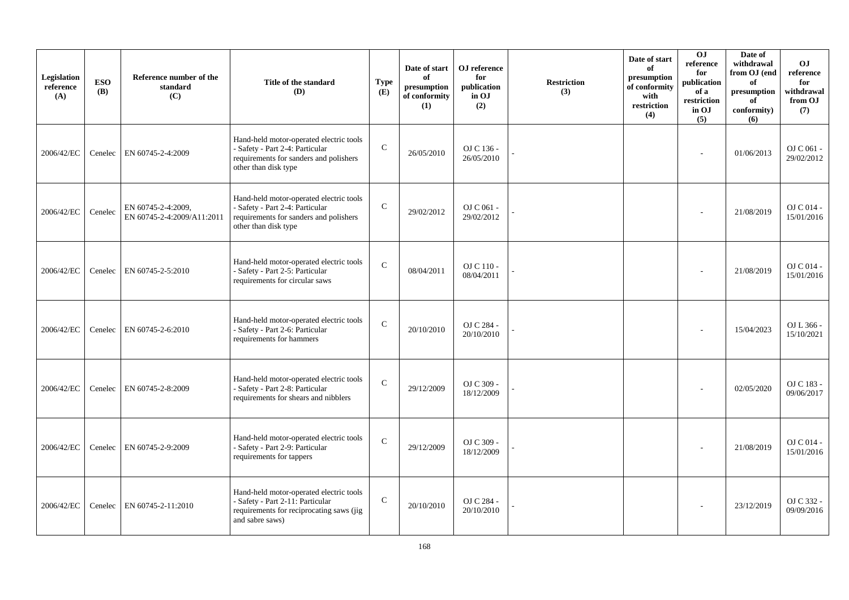| Legislation<br>reference<br>(A) | <b>ESO</b><br><b>(B)</b> | Reference number of the<br>standard<br>(C)       | Title of the standard<br>(D)                                                                                                                 | <b>Type</b><br>(E) | Date of start<br>of<br>presumption<br>of conformity<br>(1) | OJ reference<br>for<br>publication<br>in OJ<br>(2) | <b>Restriction</b><br>(3) | Date of start<br>of<br>presumption<br>of conformity<br>with<br>restriction<br>(4) | OJ<br>reference<br>for<br>publication<br>of a<br>restriction<br>in OJ<br>(5) | Date of<br>withdrawal<br>from OJ (end<br>of<br>presumption<br>of<br>conformity)<br>(6) | <b>OJ</b><br>reference<br>for<br>withdrawal<br>from OJ<br>(7) |
|---------------------------------|--------------------------|--------------------------------------------------|----------------------------------------------------------------------------------------------------------------------------------------------|--------------------|------------------------------------------------------------|----------------------------------------------------|---------------------------|-----------------------------------------------------------------------------------|------------------------------------------------------------------------------|----------------------------------------------------------------------------------------|---------------------------------------------------------------|
| 2006/42/EC                      | Cenelec                  | EN 60745-2-4:2009                                | Hand-held motor-operated electric tools<br>- Safety - Part 2-4: Particular<br>requirements for sanders and polishers<br>other than disk type | $\mathbf C$        | 26/05/2010                                                 | OJ C 136 -<br>26/05/2010                           |                           |                                                                                   |                                                                              | 01/06/2013                                                                             | OJ C 061 -<br>29/02/2012                                      |
| 2006/42/EC                      | Cenelec                  | EN 60745-2-4:2009,<br>EN 60745-2-4:2009/A11:2011 | Hand-held motor-operated electric tools<br>- Safety - Part 2-4: Particular<br>requirements for sanders and polishers<br>other than disk type | $\mathbf C$        | 29/02/2012                                                 | OJ C 061 -<br>29/02/2012                           |                           |                                                                                   |                                                                              | 21/08/2019                                                                             | OJ C 014 -<br>15/01/2016                                      |
| 2006/42/EC                      | Cenelec                  | EN 60745-2-5:2010                                | Hand-held motor-operated electric tools<br>- Safety - Part 2-5: Particular<br>requirements for circular saws                                 | $\mathbf{C}$       | 08/04/2011                                                 | OJ C 110 -<br>08/04/2011                           |                           |                                                                                   |                                                                              | 21/08/2019                                                                             | O <sub>J</sub> C <sub>014</sub><br>15/01/2016                 |
| 2006/42/EC                      | Cenelec                  | EN 60745-2-6:2010                                | Hand-held motor-operated electric tools<br>- Safety - Part 2-6: Particular<br>requirements for hammers                                       | $\mathbf C$        | 20/10/2010                                                 | OJ C 284 -<br>20/10/2010                           |                           |                                                                                   |                                                                              | 15/04/2023                                                                             | OJ L 366 -<br>15/10/2021                                      |
| 2006/42/EC                      | Cenelec                  | EN 60745-2-8:2009                                | Hand-held motor-operated electric tools<br>- Safety - Part 2-8: Particular<br>requirements for shears and nibblers                           | $\mathbf{C}$       | 29/12/2009                                                 | OJ C 309 -<br>18/12/2009                           |                           |                                                                                   |                                                                              | 02/05/2020                                                                             | OJ C 183 -<br>09/06/2017                                      |
| 2006/42/EC                      | Cenelec                  | EN 60745-2-9:2009                                | Hand-held motor-operated electric tools<br>- Safety - Part 2-9: Particular<br>requirements for tappers                                       | $\mathbf{C}$       | 29/12/2009                                                 | OJ C 309 -<br>18/12/2009                           |                           |                                                                                   |                                                                              | 21/08/2019                                                                             | OJ C 014 -<br>15/01/2016                                      |
| 2006/42/EC                      | Cenelec                  | EN 60745-2-11:2010                               | Hand-held motor-operated electric tools<br>- Safety - Part 2-11: Particular<br>requirements for reciprocating saws (jig<br>and sabre saws)   | $\mathbf C$        | 20/10/2010                                                 | OJ C 284 -<br>20/10/2010                           |                           |                                                                                   |                                                                              | 23/12/2019                                                                             | OJ C 332 -<br>09/09/2016                                      |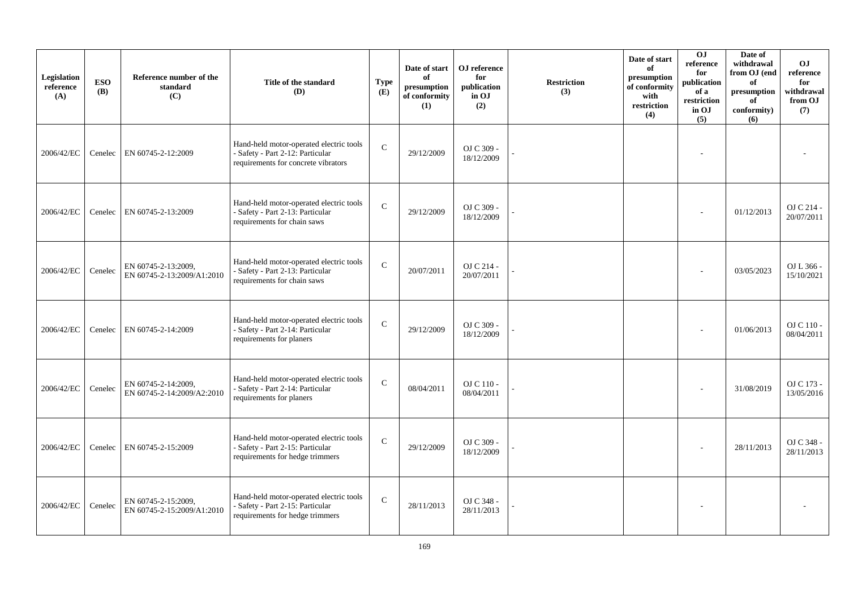| Legislation<br>reference<br>(A) | <b>ESO</b><br><b>(B)</b> | Reference number of the<br>standard<br>(C)        | Title of the standard<br><b>(D)</b>                                                                                | <b>Type</b><br>(E) | Date of start<br>of<br>presumption<br>of conformity<br>(1) | OJ reference<br>for<br>publication<br>in OJ<br>(2) | <b>Restriction</b><br>(3) | Date of start<br>of<br>presumption<br>of conformity<br>with<br>restriction<br>(4) | OJ<br>$\rm reference$<br>for<br>publication<br>of a<br>restriction<br>in OJ<br>(5) | Date of<br>withdrawal<br>from OJ (end<br>of<br>presumption<br>of<br>conformity)<br>(6) | <b>OJ</b><br>reference<br>for<br>withdrawal<br>from OJ<br>(7) |
|---------------------------------|--------------------------|---------------------------------------------------|--------------------------------------------------------------------------------------------------------------------|--------------------|------------------------------------------------------------|----------------------------------------------------|---------------------------|-----------------------------------------------------------------------------------|------------------------------------------------------------------------------------|----------------------------------------------------------------------------------------|---------------------------------------------------------------|
| 2006/42/EC                      | Cenelec                  | EN 60745-2-12:2009                                | Hand-held motor-operated electric tools<br>- Safety - Part 2-12: Particular<br>requirements for concrete vibrators | $\mathbf C$        | 29/12/2009                                                 | OJ C 309 -<br>18/12/2009                           |                           |                                                                                   |                                                                                    |                                                                                        |                                                               |
| 2006/42/EC                      | Cenelec                  | EN 60745-2-13:2009                                | Hand-held motor-operated electric tools<br>- Safety - Part 2-13: Particular<br>requirements for chain saws         | $\mathbf C$        | 29/12/2009                                                 | OJ C 309 -<br>18/12/2009                           |                           |                                                                                   |                                                                                    | 01/12/2013                                                                             | OJ C 214 -<br>20/07/2011                                      |
| 2006/42/EC                      | Cenelec                  | EN 60745-2-13:2009,<br>EN 60745-2-13:2009/A1:2010 | Hand-held motor-operated electric tools<br>- Safety - Part 2-13: Particular<br>requirements for chain saws         | $\mathbf{C}$       | 20/07/2011                                                 | OJ C 214 -<br>20/07/2011                           |                           |                                                                                   |                                                                                    | 03/05/2023                                                                             | OJ L 366 -<br>15/10/2021                                      |
| 2006/42/EC                      |                          | Cenelec   EN 60745-2-14:2009                      | Hand-held motor-operated electric tools<br>- Safety - Part 2-14: Particular<br>requirements for planers            | $\mathbf C$        | 29/12/2009                                                 | OJ C 309 -<br>18/12/2009                           |                           |                                                                                   |                                                                                    | 01/06/2013                                                                             | OJ C 110 -<br>08/04/2011                                      |
| 2006/42/EC                      | Cenelec                  | EN 60745-2-14:2009,<br>EN 60745-2-14:2009/A2:2010 | Hand-held motor-operated electric tools<br>- Safety - Part 2-14: Particular<br>requirements for planers            | $\mathbf C$        | 08/04/2011                                                 | OJ C 110 -<br>08/04/2011                           |                           |                                                                                   |                                                                                    | 31/08/2019                                                                             | OJ C 173 -<br>13/05/2016                                      |
| 2006/42/EC                      |                          | Cenelec   EN 60745-2-15:2009                      | Hand-held motor-operated electric tools<br>- Safety - Part 2-15: Particular<br>requirements for hedge trimmers     | $\mathbf C$        | 29/12/2009                                                 | OJ C 309 -<br>18/12/2009                           |                           |                                                                                   |                                                                                    | 28/11/2013                                                                             | OJ C 348 -<br>28/11/2013                                      |
| 2006/42/EC                      | Cenelec                  | EN 60745-2-15:2009,<br>EN 60745-2-15:2009/A1:2010 | Hand-held motor-operated electric tools<br>- Safety - Part 2-15: Particular<br>requirements for hedge trimmers     | $\mathbf C$        | 28/11/2013                                                 | OJ C 348 -<br>28/11/2013                           |                           |                                                                                   |                                                                                    |                                                                                        |                                                               |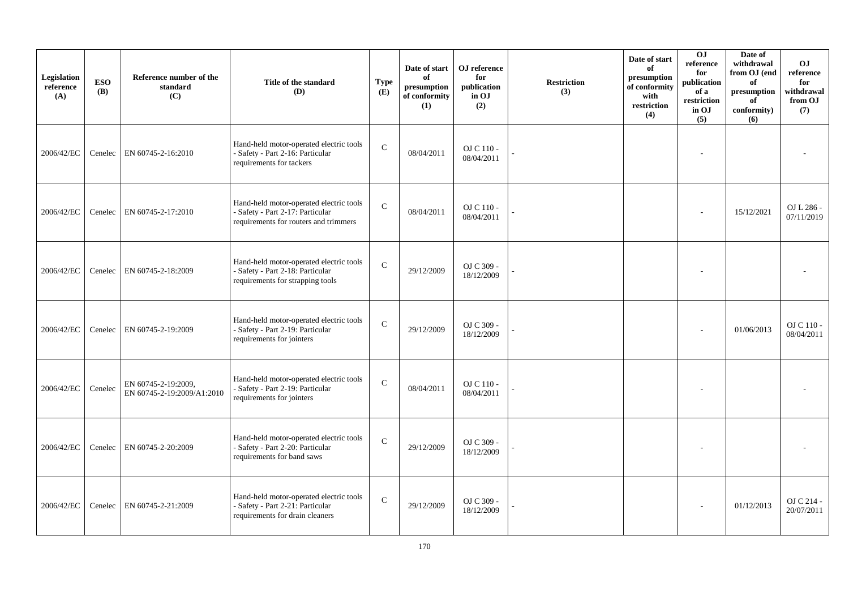| Legislation<br>reference<br>(A) | <b>ESO</b><br><b>(B)</b> | Reference number of the<br>standard<br>(C)        | Title of the standard<br>(D)                                                                                         | <b>Type</b><br>(E) | Date of start<br>of<br>presumption<br>of conformity<br>(1) | OJ reference<br>for<br>publication<br>in OJ<br>(2) | <b>Restriction</b><br>(3) | Date of start<br>of<br>presumption<br>of conformity<br>with<br>restriction<br>(4) | 0J<br>reference<br>for<br>publication<br>of a<br>restriction<br>in OJ<br>(5) | Date of<br>withdrawal<br>from OJ (end<br>of<br>presumption<br>of<br>conformity)<br>(6) | <b>OJ</b><br>reference<br>for<br>withdrawal<br>from OJ<br>(7) |
|---------------------------------|--------------------------|---------------------------------------------------|----------------------------------------------------------------------------------------------------------------------|--------------------|------------------------------------------------------------|----------------------------------------------------|---------------------------|-----------------------------------------------------------------------------------|------------------------------------------------------------------------------|----------------------------------------------------------------------------------------|---------------------------------------------------------------|
| 2006/42/EC                      | Cenelec                  | EN 60745-2-16:2010                                | Hand-held motor-operated electric tools<br>- Safety - Part 2-16: Particular<br>requirements for tackers              | $\mathbf{C}$       | 08/04/2011                                                 | OJ C 110 -<br>08/04/2011                           |                           |                                                                                   |                                                                              |                                                                                        |                                                               |
| 2006/42/EC                      | Cenelec                  | EN 60745-2-17:2010                                | Hand-held motor-operated electric tools<br>- Safety - Part 2-17: Particular<br>requirements for routers and trimmers | $\mathbf{C}$       | 08/04/2011                                                 | OJ C 110 -<br>08/04/2011                           |                           |                                                                                   |                                                                              | 15/12/2021                                                                             | OJ L 286 -<br>07/11/2019                                      |
| 2006/42/EC                      | Cenelec                  | EN 60745-2-18:2009                                | Hand-held motor-operated electric tools<br>- Safety - Part 2-18: Particular<br>requirements for strapping tools      | $\mathbf C$        | 29/12/2009                                                 | OJ C 309 -<br>18/12/2009                           |                           |                                                                                   |                                                                              |                                                                                        |                                                               |
| 2006/42/EC                      |                          | Cenelec   EN 60745-2-19:2009                      | Hand-held motor-operated electric tools<br>- Safety - Part 2-19: Particular<br>requirements for jointers             | $\mathbf C$        | 29/12/2009                                                 | OJ C 309 -<br>18/12/2009                           |                           |                                                                                   |                                                                              | 01/06/2013                                                                             | OJ C 110 -<br>08/04/2011                                      |
| 2006/42/EC                      | Cenelec                  | EN 60745-2-19:2009,<br>EN 60745-2-19:2009/A1:2010 | Hand-held motor-operated electric tools<br>- Safety - Part 2-19: Particular<br>requirements for jointers             | $\mathcal{C}$      | 08/04/2011                                                 | OJ C 110 -<br>08/04/2011                           |                           |                                                                                   |                                                                              |                                                                                        |                                                               |
| 2006/42/EC                      |                          | Cenelec   EN 60745-2-20:2009                      | Hand-held motor-operated electric tools<br>- Safety - Part 2-20: Particular<br>requirements for band saws            | $\mathsf{C}$       | 29/12/2009                                                 | OJ C 309 -<br>18/12/2009                           |                           |                                                                                   |                                                                              |                                                                                        |                                                               |
| 2006/42/EC                      | Cenelec                  | EN 60745-2-21:2009                                | Hand-held motor-operated electric tools<br>- Safety - Part 2-21: Particular<br>requirements for drain cleaners       | $\mathbf C$        | 29/12/2009                                                 | OJ C 309 -<br>18/12/2009                           |                           |                                                                                   |                                                                              | 01/12/2013                                                                             | OJ C 214 -<br>20/07/2011                                      |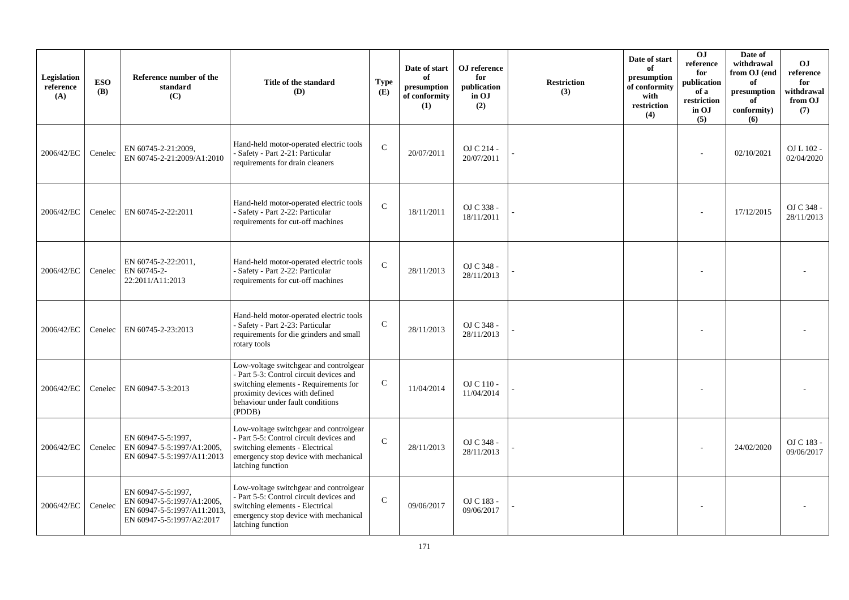| Legislation<br>reference<br>(A) | <b>ESO</b><br><b>(B)</b> | Reference number of the<br>standard<br>(C)                                                                   | Title of the standard<br>(D)                                                                                                                                                                               | <b>Type</b><br>(E) | Date of start<br>of<br>presumption<br>of conformity<br>(1) | OJ reference<br>for<br>publication<br>in OJ<br>(2) | <b>Restriction</b><br>(3) | Date of start<br>of<br>presumption<br>of conformity<br>with<br>restriction<br>(4) | <b>OJ</b><br>reference<br>for<br>publication<br>of a<br>restriction<br>in OJ<br>(5) | Date of<br>withdrawal<br>from OJ (end<br>of<br>presumption<br>of<br>conformity)<br>(6) | <b>OJ</b><br>reference<br>for<br>withdrawal<br>from OJ<br>(7) |
|---------------------------------|--------------------------|--------------------------------------------------------------------------------------------------------------|------------------------------------------------------------------------------------------------------------------------------------------------------------------------------------------------------------|--------------------|------------------------------------------------------------|----------------------------------------------------|---------------------------|-----------------------------------------------------------------------------------|-------------------------------------------------------------------------------------|----------------------------------------------------------------------------------------|---------------------------------------------------------------|
| 2006/42/EC                      | Cenelec                  | EN 60745-2-21:2009,<br>EN 60745-2-21:2009/A1:2010                                                            | Hand-held motor-operated electric tools<br>- Safety - Part 2-21: Particular<br>requirements for drain cleaners                                                                                             | $\mathbf C$        | 20/07/2011                                                 | OJ C 214 -<br>20/07/2011                           |                           |                                                                                   |                                                                                     | 02/10/2021                                                                             | $OL L 102 -$<br>02/04/2020                                    |
| 2006/42/EC                      | Cenelec                  | EN 60745-2-22:2011                                                                                           | Hand-held motor-operated electric tools<br>- Safety - Part 2-22: Particular<br>requirements for cut-off machines                                                                                           | $\mathcal{C}$      | 18/11/2011                                                 | OJ C 338 -<br>18/11/2011                           |                           |                                                                                   |                                                                                     | 17/12/2015                                                                             | OJ C 348 -<br>28/11/2013                                      |
| 2006/42/EC                      | Cenelec                  | EN 60745-2-22:2011,<br>EN 60745-2-<br>22:2011/A11:2013                                                       | Hand-held motor-operated electric tools<br>- Safety - Part 2-22: Particular<br>requirements for cut-off machines                                                                                           | $\mathcal{C}$      | 28/11/2013                                                 | OJ C 348 -<br>28/11/2013                           |                           |                                                                                   |                                                                                     |                                                                                        |                                                               |
| 2006/42/EC                      | Cenelec                  | EN 60745-2-23:2013                                                                                           | Hand-held motor-operated electric tools<br>- Safety - Part 2-23: Particular<br>requirements for die grinders and small<br>rotary tools                                                                     | $\mathsf{C}$       | 28/11/2013                                                 | OJ C 348 -<br>28/11/2013                           |                           |                                                                                   |                                                                                     |                                                                                        |                                                               |
| 2006/42/EC                      | Cenelec                  | EN 60947-5-3:2013                                                                                            | Low-voltage switchgear and controlgear<br>- Part 5-3: Control circuit devices and<br>switching elements - Requirements for<br>proximity devices with defined<br>behaviour under fault conditions<br>(PDDB) | $\mathsf{C}$       | 11/04/2014                                                 | OJ C 110 -<br>11/04/2014                           |                           |                                                                                   |                                                                                     |                                                                                        |                                                               |
| 2006/42/EC                      | Cenelec                  | EN 60947-5-5:1997,<br>EN 60947-5-5:1997/A1:2005,<br>EN 60947-5-5:1997/A11:2013                               | Low-voltage switchgear and controlgear<br>- Part 5-5: Control circuit devices and<br>switching elements - Electrical<br>emergency stop device with mechanical<br>latching function                         | $\mathcal{C}$      | 28/11/2013                                                 | OJ C 348 -<br>28/11/2013                           |                           |                                                                                   |                                                                                     | 24/02/2020                                                                             | OJ C 183 -<br>09/06/2017                                      |
| 2006/42/EC                      | Cenelec                  | EN 60947-5-5:1997.<br>EN 60947-5-5:1997/A1:2005,<br>EN 60947-5-5:1997/A11:2013,<br>EN 60947-5-5:1997/A2:2017 | Low-voltage switchgear and controlgear<br>- Part 5-5: Control circuit devices and<br>switching elements - Electrical<br>emergency stop device with mechanical<br>latching function                         | $\mathcal{C}$      | 09/06/2017                                                 | OJ C 183 -<br>09/06/2017                           |                           |                                                                                   |                                                                                     |                                                                                        |                                                               |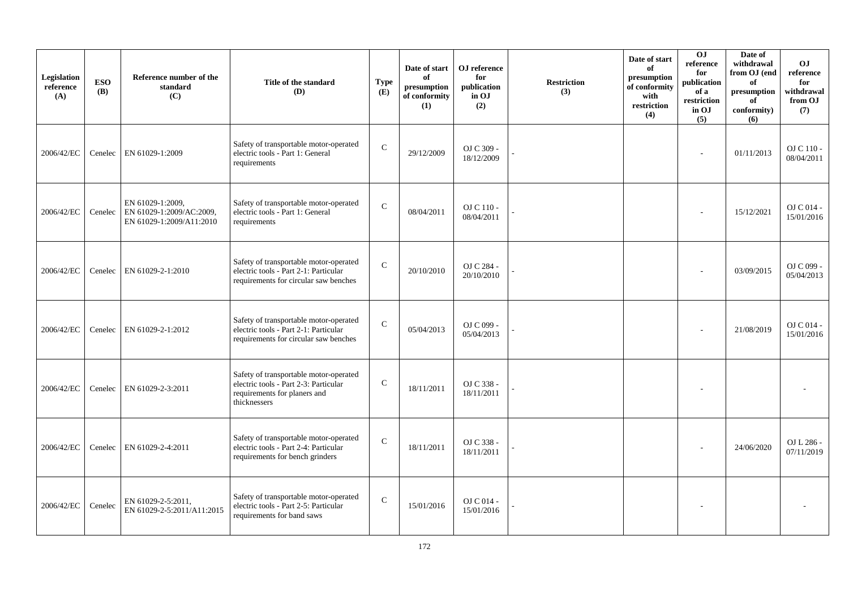| Legislation<br>reference<br>(A) | <b>ESO</b><br><b>(B)</b> | Reference number of the<br>standard<br>(C)                               | Title of the standard<br>(D)                                                                                                    | <b>Type</b><br>(E) | Date of start<br>of<br>presumption<br>of conformity<br>(1) | OJ reference<br>for<br>publication<br>in OJ<br>(2) | <b>Restriction</b><br>(3) | Date of start<br>of<br>presumption<br>of conformity<br>with<br>restriction<br>(4) | <b>OJ</b><br>reference<br>for<br>publication<br>of a<br>restriction<br>in OJ<br>(5) | Date of<br>withdrawal<br>from OJ (end<br>of<br>presumption<br>of<br>conformity)<br>(6) | <b>OJ</b><br>reference<br>for<br>withdrawal<br>from OJ<br>(7) |
|---------------------------------|--------------------------|--------------------------------------------------------------------------|---------------------------------------------------------------------------------------------------------------------------------|--------------------|------------------------------------------------------------|----------------------------------------------------|---------------------------|-----------------------------------------------------------------------------------|-------------------------------------------------------------------------------------|----------------------------------------------------------------------------------------|---------------------------------------------------------------|
| 2006/42/EC                      | Cenelec                  | EN 61029-1:2009                                                          | Safety of transportable motor-operated<br>electric tools - Part 1: General<br>requirements                                      | $\mathbf C$        | 29/12/2009                                                 | OJ C 309 -<br>18/12/2009                           |                           |                                                                                   | $\overline{a}$                                                                      | 01/11/2013                                                                             | OJ C 110 -<br>08/04/2011                                      |
| 2006/42/EC                      | Cenelec                  | EN 61029-1:2009,<br>EN 61029-1:2009/AC:2009,<br>EN 61029-1:2009/A11:2010 | Safety of transportable motor-operated<br>electric tools - Part 1: General<br>requirements                                      | $\mathbf C$        | 08/04/2011                                                 | OJ C 110 -<br>08/04/2011                           |                           |                                                                                   |                                                                                     | 15/12/2021                                                                             | $OJ C 014 -$<br>15/01/2016                                    |
| 2006/42/EC                      | Cenelec                  | EN 61029-2-1:2010                                                        | Safety of transportable motor-operated<br>electric tools - Part 2-1: Particular<br>requirements for circular saw benches        | $\mathbf{C}$       | 20/10/2010                                                 | OJ C 284 -<br>20/10/2010                           |                           |                                                                                   |                                                                                     | 03/09/2015                                                                             | OJ C 099 -<br>05/04/2013                                      |
| 2006/42/EC                      | Cenelec                  | EN 61029-2-1:2012                                                        | Safety of transportable motor-operated<br>electric tools - Part 2-1: Particular<br>requirements for circular saw benches        | $\mathcal{C}$      | 05/04/2013                                                 | OJ C 099 -<br>05/04/2013                           |                           |                                                                                   |                                                                                     | 21/08/2019                                                                             | OJ C 014 -<br>15/01/2016                                      |
| 2006/42/EC                      | Cenelec                  | EN 61029-2-3:2011                                                        | Safety of transportable motor-operated<br>electric tools - Part 2-3: Particular<br>requirements for planers and<br>thicknessers | $\mathsf{C}$       | 18/11/2011                                                 | OJ C 338 -<br>18/11/2011                           |                           |                                                                                   | $\sim$                                                                              |                                                                                        |                                                               |
| 2006/42/EC                      | Cenelec                  | EN 61029-2-4:2011                                                        | Safety of transportable motor-operated<br>electric tools - Part 2-4: Particular<br>requirements for bench grinders              | $\mathbf C$        | 18/11/2011                                                 | OJ C 338 -<br>18/11/2011                           |                           |                                                                                   |                                                                                     | 24/06/2020                                                                             | OJ L 286 -<br>07/11/2019                                      |
| 2006/42/EC                      | Cenelec                  | EN 61029-2-5:2011,<br>EN 61029-2-5:2011/A11:2015                         | Safety of transportable motor-operated<br>electric tools - Part 2-5: Particular<br>requirements for band saws                   | $\mathbf C$        | 15/01/2016                                                 | OJ C 014 -<br>15/01/2016                           |                           |                                                                                   |                                                                                     |                                                                                        |                                                               |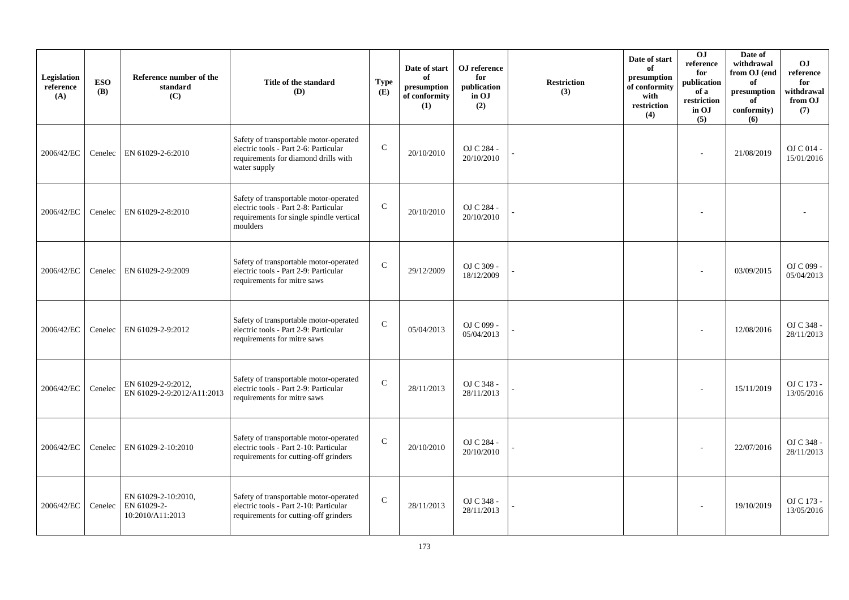| Legislation<br>reference<br>(A) | <b>ESO</b><br><b>(B)</b> | Reference number of the<br>standard<br>(C)             | Title of the standard<br>(D)                                                                                                            | <b>Type</b><br>(E) | Date of start<br>of<br>presumption<br>of conformity<br>(1) | OJ reference<br>for<br>publication<br>in OJ<br>(2) | <b>Restriction</b><br>(3) | Date of start<br>of<br>presumption<br>of conformity<br>with<br>restriction<br>(4) | OJ<br>reference<br>for<br>publication<br>of a<br>restriction<br>in OJ<br>(5) | Date of<br>withdrawal<br>from OJ (end<br>of<br>presumption<br>of<br>conformity)<br>(6) | O <sub>J</sub><br>reference<br>for<br>withdrawal<br>from OJ<br>(7) |
|---------------------------------|--------------------------|--------------------------------------------------------|-----------------------------------------------------------------------------------------------------------------------------------------|--------------------|------------------------------------------------------------|----------------------------------------------------|---------------------------|-----------------------------------------------------------------------------------|------------------------------------------------------------------------------|----------------------------------------------------------------------------------------|--------------------------------------------------------------------|
| 2006/42/EC                      | Cenelec                  | EN 61029-2-6:2010                                      | Safety of transportable motor-operated<br>electric tools - Part 2-6: Particular<br>requirements for diamond drills with<br>water supply | $\mathbf C$        | 20/10/2010                                                 | OJ C 284 -<br>20/10/2010                           |                           |                                                                                   |                                                                              | 21/08/2019                                                                             | O <sub>J</sub> C <sub>014</sub><br>15/01/2016                      |
| 2006/42/EC                      | Cenelec                  | EN 61029-2-8:2010                                      | Safety of transportable motor-operated<br>electric tools - Part 2-8: Particular<br>requirements for single spindle vertical<br>moulders | $\mathbf C$        | 20/10/2010                                                 | OJ C 284 -<br>20/10/2010                           |                           |                                                                                   |                                                                              |                                                                                        |                                                                    |
| 2006/42/EC                      | Cenelec                  | EN 61029-2-9:2009                                      | Safety of transportable motor-operated<br>electric tools - Part 2-9: Particular<br>requirements for mitre saws                          | $\mathcal{C}$      | 29/12/2009                                                 | OJ C 309 -<br>18/12/2009                           |                           |                                                                                   |                                                                              | 03/09/2015                                                                             | OJ C 099 -<br>05/04/2013                                           |
| 2006/42/EC                      | Cenelec                  | EN 61029-2-9:2012                                      | Safety of transportable motor-operated<br>electric tools - Part 2-9: Particular<br>requirements for mitre saws                          | $\mathcal{C}$      | 05/04/2013                                                 | OJ C 099 -<br>05/04/2013                           |                           |                                                                                   |                                                                              | 12/08/2016                                                                             | OJ C 348 -<br>28/11/2013                                           |
| 2006/42/EC                      | Cenelec                  | EN 61029-2-9:2012,<br>EN 61029-2-9:2012/A11:2013       | Safety of transportable motor-operated<br>electric tools - Part 2-9: Particular<br>requirements for mitre saws                          | $\mathcal{C}$      | 28/11/2013                                                 | OJ C 348 -<br>28/11/2013                           |                           |                                                                                   |                                                                              | 15/11/2019                                                                             | OJ C 173 -<br>13/05/2016                                           |
| 2006/42/EC                      | Cenelec                  | EN 61029-2-10:2010                                     | Safety of transportable motor-operated<br>electric tools - Part 2-10: Particular<br>requirements for cutting-off grinders               | $\mathbf{C}$       | 20/10/2010                                                 | OJ C 284 -<br>20/10/2010                           |                           |                                                                                   |                                                                              | 22/07/2016                                                                             | OJ C 348 -<br>28/11/2013                                           |
| 2006/42/EC                      | Cenelec                  | EN 61029-2-10:2010,<br>EN 61029-2-<br>10:2010/A11:2013 | Safety of transportable motor-operated<br>electric tools - Part 2-10: Particular<br>requirements for cutting-off grinders               | $\mathbf C$        | 28/11/2013                                                 | OJ C 348 -<br>28/11/2013                           |                           |                                                                                   |                                                                              | 19/10/2019                                                                             | OJ C 173 -<br>13/05/2016                                           |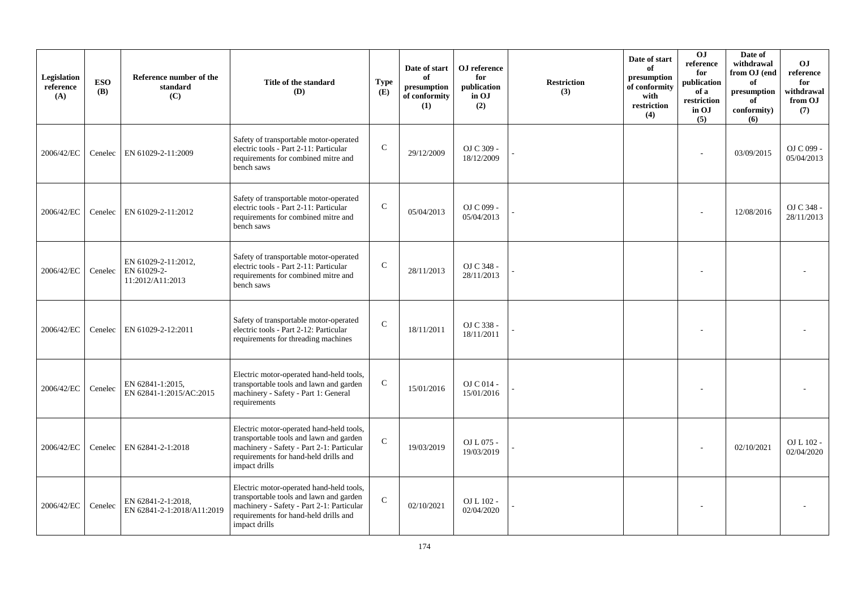| Legislation<br>reference<br>(A) | <b>ESO</b><br><b>(B)</b> | Reference number of the<br>standard<br>(C)             | Title of the standard<br>(D)                                                                                                                                                               | <b>Type</b><br>(E) | Date of start<br>of<br>presumption<br>of conformity<br>(1) | OJ reference<br>for<br>publication<br>in OJ<br>(2) | <b>Restriction</b><br>(3) | Date of start<br>of<br>presumption<br>of conformity<br>with<br>restriction<br>(4) | OJ<br>reference<br>for<br>publication<br>of a<br>restriction<br>in OJ<br>(5) | Date of<br>withdrawal<br>from OJ (end<br>of<br>presumption<br>of<br>conformity)<br>(6) | O <sub>J</sub><br>reference<br>for<br>withdrawal<br>from OJ<br>(7) |
|---------------------------------|--------------------------|--------------------------------------------------------|--------------------------------------------------------------------------------------------------------------------------------------------------------------------------------------------|--------------------|------------------------------------------------------------|----------------------------------------------------|---------------------------|-----------------------------------------------------------------------------------|------------------------------------------------------------------------------|----------------------------------------------------------------------------------------|--------------------------------------------------------------------|
| 2006/42/EC                      | Cenelec                  | EN 61029-2-11:2009                                     | Safety of transportable motor-operated<br>electric tools - Part 2-11: Particular<br>requirements for combined mitre and<br>bench saws                                                      | $\mathbf C$        | 29/12/2009                                                 | OJ C 309 -<br>18/12/2009                           |                           |                                                                                   |                                                                              | 03/09/2015                                                                             | OJ C 099 -<br>05/04/2013                                           |
| 2006/42/EC                      | Cenelec                  | EN 61029-2-11:2012                                     | Safety of transportable motor-operated<br>electric tools - Part 2-11: Particular<br>requirements for combined mitre and<br>bench saws                                                      | $\mathsf{C}$       | 05/04/2013                                                 | OJ C 099 -<br>05/04/2013                           |                           |                                                                                   |                                                                              | 12/08/2016                                                                             | OJ C 348 -<br>28/11/2013                                           |
| 2006/42/EC                      | Cenelec                  | EN 61029-2-11:2012,<br>EN 61029-2-<br>11:2012/A11:2013 | Safety of transportable motor-operated<br>electric tools - Part 2-11: Particular<br>requirements for combined mitre and<br>bench saws                                                      | $\mathcal{C}$      | 28/11/2013                                                 | OJ C 348 -<br>28/11/2013                           |                           |                                                                                   |                                                                              |                                                                                        |                                                                    |
| 2006/42/EC                      |                          | Cenelec   EN 61029-2-12:2011                           | Safety of transportable motor-operated<br>electric tools - Part 2-12: Particular<br>requirements for threading machines                                                                    | $\mathcal{C}$      | 18/11/2011                                                 | OJ C 338 -<br>18/11/2011                           |                           |                                                                                   |                                                                              |                                                                                        |                                                                    |
| 2006/42/EC                      | Cenelec                  | EN 62841-1:2015,<br>EN 62841-1:2015/AC:2015            | Electric motor-operated hand-held tools,<br>transportable tools and lawn and garden<br>machinery - Safety - Part 1: General<br>requirements                                                | $\mathbf C$        | 15/01/2016                                                 | OJ C 014 -<br>15/01/2016                           |                           |                                                                                   |                                                                              |                                                                                        |                                                                    |
| 2006/42/EC                      |                          | Cenelec   EN 62841-2-1:2018                            | Electric motor-operated hand-held tools,<br>transportable tools and lawn and garden<br>machinery - Safety - Part 2-1: Particular<br>requirements for hand-held drills and<br>impact drills | $\mathcal{C}$      | 19/03/2019                                                 | OJ L 075 -<br>19/03/2019                           |                           |                                                                                   |                                                                              | 02/10/2021                                                                             | OJ L 102 -<br>02/04/2020                                           |
| 2006/42/EC                      | Cenelec                  | EN 62841-2-1:2018,<br>EN 62841-2-1:2018/A11:2019       | Electric motor-operated hand-held tools,<br>transportable tools and lawn and garden<br>machinery - Safety - Part 2-1: Particular<br>requirements for hand-held drills and<br>impact drills | $\mathbf C$        | 02/10/2021                                                 | OJ L 102 -<br>02/04/2020                           |                           |                                                                                   |                                                                              |                                                                                        |                                                                    |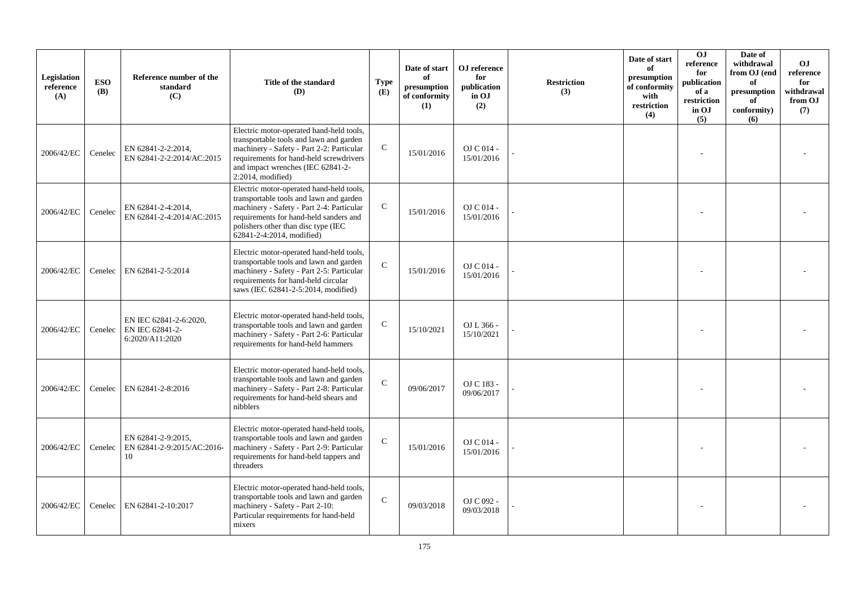| Legislation<br>reference<br>(A) | <b>ESO</b><br><b>(B)</b> | Reference number of the<br>standard<br>(C)                   | Title of the standard<br>(D)                                                                                                                                                                                                                   | <b>Type</b><br>(E) | Date of start<br>of<br>presumption<br>of conformity<br>(1) | OJ reference<br>for<br>publication<br>in OJ<br>(2) | <b>Restriction</b><br>(3) | Date of start<br>of<br>presumption<br>of conformity<br>with<br>restriction<br>(4) | O <sub>J</sub><br>reference<br>for<br>publication<br>of a<br>restriction<br>in OJ<br>(5) | Date of<br>withdrawal<br>from OJ (end<br>of<br>presumption<br>of<br>conformity)<br>(6) | <b>OJ</b><br>reference<br>for<br>withdrawal<br>from OJ<br>(7) |
|---------------------------------|--------------------------|--------------------------------------------------------------|------------------------------------------------------------------------------------------------------------------------------------------------------------------------------------------------------------------------------------------------|--------------------|------------------------------------------------------------|----------------------------------------------------|---------------------------|-----------------------------------------------------------------------------------|------------------------------------------------------------------------------------------|----------------------------------------------------------------------------------------|---------------------------------------------------------------|
| 2006/42/EC                      | Cenelec                  | EN 62841-2-2:2014,<br>EN 62841-2-2:2014/AC:2015              | Electric motor-operated hand-held tools,<br>transportable tools and lawn and garden<br>machinery - Safety - Part 2-2: Particular<br>requirements for hand-held screwdrivers<br>and impact wrenches (IEC 62841-2-<br>$2:2014$ , modified)       | $\mathcal{C}$      | 15/01/2016                                                 | OJ C 014 -<br>15/01/2016                           |                           |                                                                                   |                                                                                          |                                                                                        |                                                               |
| 2006/42/EC                      | Cenelec                  | EN 62841-2-4:2014.<br>EN 62841-2-4:2014/AC:2015              | Electric motor-operated hand-held tools,<br>transportable tools and lawn and garden<br>machinery - Safety - Part 2-4: Particular<br>requirements for hand-held sanders and<br>polishers other than disc type (IEC<br>62841-2-4:2014, modified) | $\mathcal{C}$      | 15/01/2016                                                 | OJ C 014 -<br>15/01/2016                           |                           |                                                                                   |                                                                                          |                                                                                        |                                                               |
| 2006/42/EC                      | Cenelec                  | EN 62841-2-5:2014                                            | Electric motor-operated hand-held tools,<br>transportable tools and lawn and garden<br>machinery - Safety - Part 2-5: Particular<br>requirements for hand-held circular<br>saws (IEC 62841-2-5:2014, modified)                                 | $\mathcal{C}$      | 15/01/2016                                                 | OJ C 014 -<br>15/01/2016                           |                           |                                                                                   |                                                                                          |                                                                                        |                                                               |
| 2006/42/EC                      | Cenelec                  | EN IEC 62841-2-6:2020,<br>EN IEC 62841-2-<br>6:2020/A11:2020 | Electric motor-operated hand-held tools,<br>transportable tools and lawn and garden<br>machinery - Safety - Part 2-6: Particular<br>requirements for hand-held hammers                                                                         | $\mathsf{C}$       | 15/10/2021                                                 | OJ L 366 -<br>15/10/2021                           |                           |                                                                                   |                                                                                          |                                                                                        |                                                               |
| 2006/42/EC                      | Cenelec                  | EN 62841-2-8:2016                                            | Electric motor-operated hand-held tools,<br>transportable tools and lawn and garden<br>machinery - Safety - Part 2-8: Particular<br>requirements for hand-held shears and<br>nibblers                                                          | $\mathcal{C}$      | 09/06/2017                                                 | OJ C 183 -<br>09/06/2017                           |                           |                                                                                   |                                                                                          |                                                                                        |                                                               |
| 2006/42/EC                      | Cenelec                  | EN 62841-2-9:2015,<br>EN 62841-2-9:2015/AC:2016-<br>10       | Electric motor-operated hand-held tools,<br>transportable tools and lawn and garden<br>machinery - Safety - Part 2-9: Particular<br>requirements for hand-held tappers and<br>threaders                                                        | $\mathcal{C}$      | 15/01/2016                                                 | OJ C 014 -<br>15/01/2016                           |                           |                                                                                   |                                                                                          |                                                                                        |                                                               |
| 2006/42/EC                      | Cenelec                  | EN 62841-2-10:2017                                           | Electric motor-operated hand-held tools,<br>transportable tools and lawn and garden<br>machinery - Safety - Part 2-10:<br>Particular requirements for hand-held<br>mixers                                                                      | $\mathcal{C}$      | 09/03/2018                                                 | OJ C 092 -<br>09/03/2018                           |                           |                                                                                   |                                                                                          |                                                                                        |                                                               |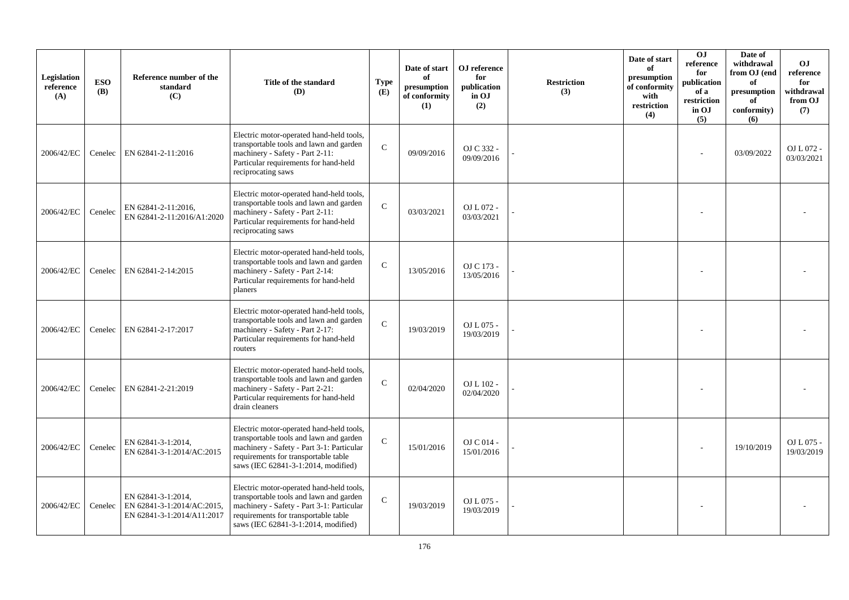| Legislation<br>reference<br>(A) | <b>ESO</b><br><b>(B)</b> | Reference number of the<br>standard<br>(C)                                     | Title of the standard<br><b>(D)</b>                                                                                                                                                                             | <b>Type</b><br>(E) | Date of start<br>of<br>presumption<br>of conformity<br>(1) | OJ reference<br>for<br>publication<br>in OJ<br>(2) | <b>Restriction</b><br>(3) | Date of start<br>of<br>presumption<br>of conformity<br>with<br>restriction<br>(4) | <b>OJ</b><br>reference<br>for<br>publication<br>of a<br>restriction<br>in OJ<br>(5) | Date of<br>withdrawal<br>from OJ (end<br>of<br>presumption<br>of<br>conformity)<br>(6) | <b>OJ</b><br>reference<br>for<br>withdrawal<br>from OJ<br>(7) |
|---------------------------------|--------------------------|--------------------------------------------------------------------------------|-----------------------------------------------------------------------------------------------------------------------------------------------------------------------------------------------------------------|--------------------|------------------------------------------------------------|----------------------------------------------------|---------------------------|-----------------------------------------------------------------------------------|-------------------------------------------------------------------------------------|----------------------------------------------------------------------------------------|---------------------------------------------------------------|
| 2006/42/EC                      | Cenelec                  | EN 62841-2-11:2016                                                             | Electric motor-operated hand-held tools,<br>transportable tools and lawn and garden<br>machinery - Safety - Part 2-11:<br>Particular requirements for hand-held<br>reciprocating saws                           | $\mathbf{C}$       | 09/09/2016                                                 | OJ C 332 -<br>09/09/2016                           |                           |                                                                                   |                                                                                     | 03/09/2022                                                                             | OJ L 072 -<br>03/03/2021                                      |
| 2006/42/EC                      | Cenelec                  | EN 62841-2-11:2016,<br>EN 62841-2-11:2016/A1:2020                              | Electric motor-operated hand-held tools,<br>transportable tools and lawn and garden<br>machinery - Safety - Part 2-11:<br>Particular requirements for hand-held<br>reciprocating saws                           | $\mathbf{C}$       | 03/03/2021                                                 | OJ L 072 -<br>03/03/2021                           |                           |                                                                                   |                                                                                     |                                                                                        |                                                               |
| 2006/42/EC                      | Cenelec                  | EN 62841-2-14:2015                                                             | Electric motor-operated hand-held tools,<br>transportable tools and lawn and garden<br>machinery - Safety - Part 2-14:<br>Particular requirements for hand-held<br>planers                                      | $\mathcal{C}$      | 13/05/2016                                                 | OJ C 173 -<br>13/05/2016                           |                           |                                                                                   |                                                                                     |                                                                                        |                                                               |
| 2006/42/EC                      | Cenelec                  | EN 62841-2-17:2017                                                             | Electric motor-operated hand-held tools,<br>transportable tools and lawn and garden<br>machinery - Safety - Part 2-17:<br>Particular requirements for hand-held<br>routers                                      | $\mathcal{C}$      | 19/03/2019                                                 | OJ L 075 -<br>19/03/2019                           |                           |                                                                                   |                                                                                     |                                                                                        |                                                               |
| 2006/42/EC                      | Cenelec                  | EN 62841-2-21:2019                                                             | Electric motor-operated hand-held tools,<br>transportable tools and lawn and garden<br>machinery - Safety - Part 2-21:<br>Particular requirements for hand-held<br>drain cleaners                               | $\mathcal{C}$      | 02/04/2020                                                 | OJ L 102 -<br>02/04/2020                           |                           |                                                                                   |                                                                                     |                                                                                        |                                                               |
| 2006/42/EC                      | Cenelec                  | EN 62841-3-1:2014,<br>EN 62841-3-1:2014/AC:2015                                | Electric motor-operated hand-held tools,<br>transportable tools and lawn and garden<br>machinery - Safety - Part 3-1: Particular<br>requirements for transportable table<br>saws (IEC 62841-3-1:2014, modified) | $\mathcal{C}$      | 15/01/2016                                                 | OJ C 014 -<br>15/01/2016                           |                           |                                                                                   |                                                                                     | 19/10/2019                                                                             | OJ L 075 -<br>19/03/2019                                      |
| 2006/42/EC                      | Cenelec                  | EN 62841-3-1:2014,<br>EN 62841-3-1:2014/AC:2015,<br>EN 62841-3-1:2014/A11:2017 | Electric motor-operated hand-held tools,<br>transportable tools and lawn and garden<br>machinery - Safety - Part 3-1: Particular<br>requirements for transportable table<br>saws (IEC 62841-3-1:2014, modified) | $\mathsf{C}$       | 19/03/2019                                                 | OJ L 075 -<br>19/03/2019                           |                           |                                                                                   |                                                                                     |                                                                                        |                                                               |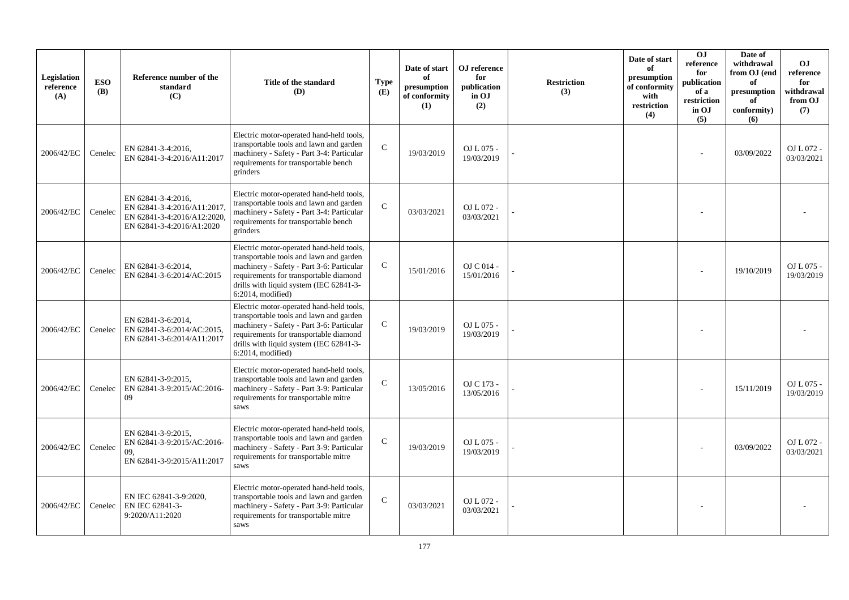| Legislation<br>reference<br>(A) | <b>ESO</b><br><b>(B)</b> | Reference number of the<br>standard<br>(C)                                                                    | Title of the standard<br><b>(D)</b>                                                                                                                                                                                                           | <b>Type</b><br>(E) | Date of start<br>of<br>presumption<br>of conformity<br>(1) | OJ reference<br>for<br>publication<br>in OJ<br>(2) | <b>Restriction</b><br>(3) | Date of start<br>of<br>presumption<br>of conformity<br>with<br>restriction<br>(4) | <b>OJ</b><br>reference<br>for<br>publication<br>of a<br>restriction<br>in OJ<br>(5) | Date of<br>withdrawal<br>from OJ (end<br>of<br>presumption<br>of<br>conformity)<br>(6) | <b>OJ</b><br>reference<br>for<br>withdrawal<br>from OJ<br>(7) |
|---------------------------------|--------------------------|---------------------------------------------------------------------------------------------------------------|-----------------------------------------------------------------------------------------------------------------------------------------------------------------------------------------------------------------------------------------------|--------------------|------------------------------------------------------------|----------------------------------------------------|---------------------------|-----------------------------------------------------------------------------------|-------------------------------------------------------------------------------------|----------------------------------------------------------------------------------------|---------------------------------------------------------------|
| 2006/42/EC                      | Cenelec                  | EN 62841-3-4:2016.<br>EN 62841-3-4:2016/A11:2017                                                              | Electric motor-operated hand-held tools,<br>transportable tools and lawn and garden<br>machinery - Safety - Part 3-4: Particular<br>requirements for transportable bench<br>grinders                                                          | C                  | 19/03/2019                                                 | OJ L 075 -<br>19/03/2019                           |                           |                                                                                   |                                                                                     | 03/09/2022                                                                             | OJ L 072 -<br>03/03/2021                                      |
| 2006/42/EC                      | Cenelec                  | EN 62841-3-4:2016.<br>EN 62841-3-4:2016/A11:2017,<br>EN 62841-3-4:2016/A12:2020,<br>EN 62841-3-4:2016/A1:2020 | Electric motor-operated hand-held tools,<br>transportable tools and lawn and garden<br>machinery - Safety - Part 3-4: Particular<br>requirements for transportable bench<br>grinders                                                          | $\mathcal{C}$      | 03/03/2021                                                 | OJ L 072 -<br>03/03/2021                           |                           |                                                                                   |                                                                                     |                                                                                        |                                                               |
| 2006/42/EC                      | Cenelec                  | EN 62841-3-6:2014,<br>EN 62841-3-6:2014/AC:2015                                                               | Electric motor-operated hand-held tools,<br>transportable tools and lawn and garden<br>machinery - Safety - Part 3-6: Particular<br>requirements for transportable diamond<br>drills with liquid system (IEC 62841-3-<br>$6:2014$ , modified) | $\mathcal{C}$      | 15/01/2016                                                 | OJ C 014 -<br>15/01/2016                           |                           |                                                                                   |                                                                                     | 19/10/2019                                                                             | OJ L 075 -<br>19/03/2019                                      |
| 2006/42/EC                      | Cenelec                  | EN 62841-3-6:2014,<br>EN 62841-3-6:2014/AC:2015,<br>EN 62841-3-6:2014/A11:2017                                | Electric motor-operated hand-held tools,<br>transportable tools and lawn and garden<br>machinery - Safety - Part 3-6: Particular<br>requirements for transportable diamond<br>drills with liquid system (IEC 62841-3-<br>$6:2014$ , modified) | $\mathbf C$        | 19/03/2019                                                 | OJ L 075 -<br>19/03/2019                           |                           |                                                                                   |                                                                                     |                                                                                        |                                                               |
| 2006/42/EC                      | Cenelec                  | EN 62841-3-9:2015.<br>EN 62841-3-9:2015/AC:2016-<br>09                                                        | Electric motor-operated hand-held tools,<br>transportable tools and lawn and garden<br>machinery - Safety - Part 3-9: Particular<br>requirements for transportable mitre<br>saws                                                              | $\mathcal{C}$      | 13/05/2016                                                 | OJ C 173 -<br>13/05/2016                           |                           |                                                                                   |                                                                                     | 15/11/2019                                                                             | OJ L 075 -<br>19/03/2019                                      |
| 2006/42/EC                      | Cenelec                  | EN 62841-3-9:2015.<br>EN 62841-3-9:2015/AC:2016-<br>09.<br>EN 62841-3-9:2015/A11:2017                         | Electric motor-operated hand-held tools,<br>transportable tools and lawn and garden<br>machinery - Safety - Part 3-9: Particular<br>requirements for transportable mitre<br>saws                                                              | $\mathcal{C}$      | 19/03/2019                                                 | OJ L 075 -<br>19/03/2019                           |                           |                                                                                   |                                                                                     | 03/09/2022                                                                             | OJ L 072 -<br>03/03/2021                                      |
| 2006/42/EC                      | Cenelec                  | EN IEC 62841-3-9:2020,<br>EN IEC 62841-3-<br>9:2020/A11:2020                                                  | Electric motor-operated hand-held tools,<br>transportable tools and lawn and garden<br>machinery - Safety - Part 3-9: Particular<br>requirements for transportable mitre<br>saws                                                              | $\mathcal{C}$      | 03/03/2021                                                 | OJ L 072 -<br>03/03/2021                           |                           |                                                                                   |                                                                                     |                                                                                        |                                                               |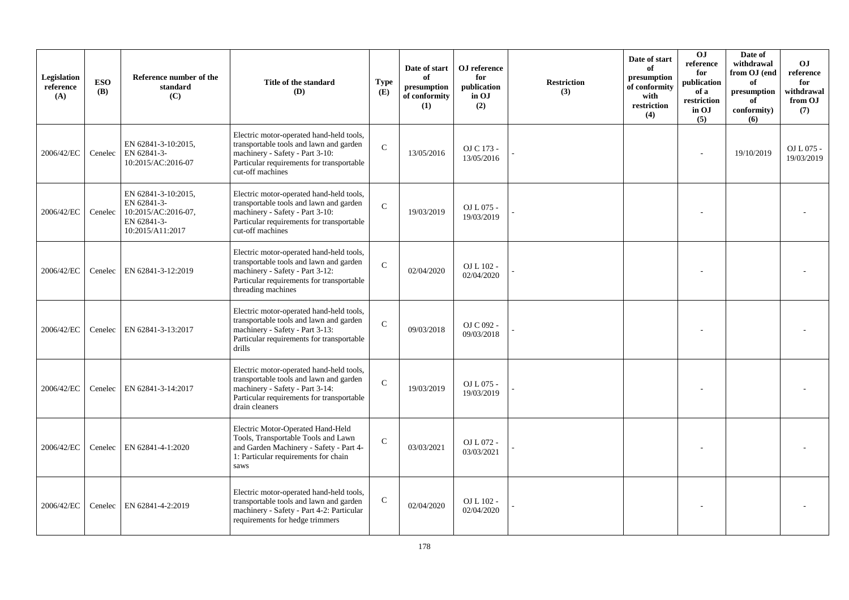| Legislation<br>reference<br>(A) | <b>ESO</b><br><b>(B)</b> | Reference number of the<br>standard<br>(C)                                                   | Title of the standard<br>(D)                                                                                                                                                              | <b>Type</b><br>(E) | Date of start<br>of<br>presumption<br>of conformity<br>(1) | OJ reference<br>for<br>publication<br>in OJ<br>(2) | <b>Restriction</b><br>(3) | Date of start<br>of<br>presumption<br>of conformity<br>with<br>restriction<br>(4) | O <sub>J</sub><br>reference<br>for<br>publication<br>of a<br>restriction<br>in OJ<br>(5) | Date of<br>withdrawal<br>from OJ (end<br>of<br>presumption<br>of<br>conformity)<br>(6) | <b>OJ</b><br>reference<br>for<br>withdrawal<br>from OJ<br>(7) |
|---------------------------------|--------------------------|----------------------------------------------------------------------------------------------|-------------------------------------------------------------------------------------------------------------------------------------------------------------------------------------------|--------------------|------------------------------------------------------------|----------------------------------------------------|---------------------------|-----------------------------------------------------------------------------------|------------------------------------------------------------------------------------------|----------------------------------------------------------------------------------------|---------------------------------------------------------------|
| 2006/42/EC                      | Cenelec                  | EN 62841-3-10:2015,<br>EN 62841-3-<br>10:2015/AC:2016-07                                     | Electric motor-operated hand-held tools,<br>transportable tools and lawn and garden<br>machinery - Safety - Part 3-10:<br>Particular requirements for transportable<br>cut-off machines   | $\mathcal{C}$      | 13/05/2016                                                 | OJ C 173 -<br>13/05/2016                           |                           |                                                                                   |                                                                                          | 19/10/2019                                                                             | $OLL075$ -<br>19/03/2019                                      |
| 2006/42/EC                      | Cenelec                  | EN 62841-3-10:2015,<br>EN 62841-3-<br>10:2015/AC:2016-07,<br>EN 62841-3-<br>10:2015/A11:2017 | Electric motor-operated hand-held tools,<br>transportable tools and lawn and garden<br>machinery - Safety - Part 3-10:<br>Particular requirements for transportable<br>cut-off machines   | $\mathcal{C}$      | 19/03/2019                                                 | OJ L 075 -<br>19/03/2019                           |                           |                                                                                   |                                                                                          |                                                                                        |                                                               |
| 2006/42/EC                      | Cenelec                  | EN 62841-3-12:2019                                                                           | Electric motor-operated hand-held tools,<br>transportable tools and lawn and garden<br>machinery - Safety - Part 3-12:<br>Particular requirements for transportable<br>threading machines | $\mathcal{C}$      | 02/04/2020                                                 | OJ L 102 -<br>02/04/2020                           |                           |                                                                                   |                                                                                          |                                                                                        |                                                               |
| 2006/42/EC                      |                          | Cenelec   EN 62841-3-13:2017                                                                 | Electric motor-operated hand-held tools,<br>transportable tools and lawn and garden<br>machinery - Safety - Part 3-13:<br>Particular requirements for transportable<br>drills             | $\mathbf{C}$       | 09/03/2018                                                 | OJ C 092 -<br>09/03/2018                           |                           |                                                                                   |                                                                                          |                                                                                        |                                                               |
| 2006/42/EC                      | Cenelec                  | EN 62841-3-14:2017                                                                           | Electric motor-operated hand-held tools,<br>transportable tools and lawn and garden<br>machinery - Safety - Part 3-14:<br>Particular requirements for transportable<br>drain cleaners     | $\mathcal{C}$      | 19/03/2019                                                 | OJ L 075 -<br>19/03/2019                           |                           |                                                                                   |                                                                                          |                                                                                        |                                                               |
| 2006/42/EC                      |                          | Cenelec   EN 62841-4-1:2020                                                                  | Electric Motor-Operated Hand-Held<br>Tools, Transportable Tools and Lawn<br>and Garden Machinery - Safety - Part 4-<br>1: Particular requirements for chain<br>saws                       | $\mathcal{C}$      | 03/03/2021                                                 | OJ L 072 -<br>03/03/2021                           |                           |                                                                                   |                                                                                          |                                                                                        |                                                               |
| 2006/42/EC                      | Cenelec                  | EN 62841-4-2:2019                                                                            | Electric motor-operated hand-held tools,<br>transportable tools and lawn and garden<br>machinery - Safety - Part 4-2: Particular<br>requirements for hedge trimmers                       | $\mathbf C$        | 02/04/2020                                                 | OJ L 102 -<br>02/04/2020                           |                           |                                                                                   |                                                                                          |                                                                                        |                                                               |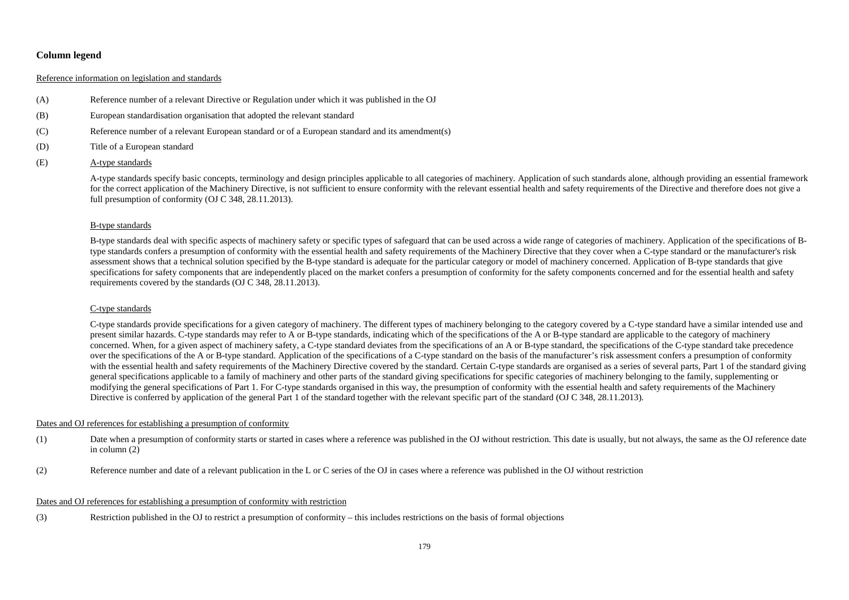# **Column legend**

## Reference information on legislation and standards

- (A) Reference number of a relevant Directive or Regulation under which it was published in the OJ
- (B) European standardisation organisation that adopted the relevant standard
- (C) Reference number of a relevant European standard or of a European standard and its amendment(s)
- (D) Title of a European standard
- (E) A-type standards

A-type standards specify basic concepts, terminology and design principles applicable to all categories of machinery. Application of such standards alone, although providing an essential framework for the correct application of the Machinery Directive, is not sufficient to ensure conformity with the relevant essential health and safety requirements of the Directive and therefore does not give a full presumption of conformity (OJ C 348, 28.11.2013).

### B-type standards

B-type standards deal with specific aspects of machinery safety or specific types of safeguard that can be used across a wide range of categories of machinery. Application of the specifications of Btype standards confers a presumption of conformity with the essential health and safety requirements of the Machinery Directive that they cover when a C-type standard or the manufacturer's risk assessment shows that a technical solution specified by the B-type standard is adequate for the particular category or model of machinery concerned. Application of B-type standards that give specifications for safety components that are independently placed on the market confers a presumption of conformity for the safety components concerned and for the essential health and safety requirements covered by the standards (OJ C 348, 28.11.2013).

#### C-type standards

C-type standards provide specifications for a given category of machinery. The different types of machinery belonging to the category covered by a C-type standard have a similar intended use and present similar hazards. C-type standards may refer to A or B-type standards, indicating which of the specifications of the A or B-type standard are applicable to the category of machinery concerned. When, for a given aspect of machinery safety, a C-type standard deviates from the specifications of an A or B-type standard, the specifications of the C-type standard take precedence over the specifications of the A or B-type standard. Application of the specifications of a C-type standard on the basis of the manufacturer's risk assessment confers a presumption of conformity with the essential health and safety requirements of the Machinery Directive covered by the standard. Certain C-type standards are organised as a series of several parts, Part 1 of the standard giving general specifications applicable to a family of machinery and other parts of the standard giving specifications for specific categories of machinery belonging to the family, supplementing or modifying the general specifications of Part 1. For C-type standards organised in this way, the presumption of conformity with the essential health and safety requirements of the Machinery Directive is conferred by application of the general Part 1 of the standard together with the relevant specific part of the standard (OJ C 348, 28.11.2013).

#### Dates and OJ references for establishing a presumption of conformity

- (1) Date when a presumption of conformity starts or started in cases where a reference was published in the OJ without restriction. This date is usually, but not always, the same as the OJ reference date in column (2)
- (2) Reference number and date of a relevant publication in the L or C series of the OJ in cases where a reference was published in the OJ without restriction

#### Dates and OJ references for establishing a presumption of conformity with restriction

(3) Restriction published in the OJ to restrict a presumption of conformity – this includes restrictions on the basis of formal objections